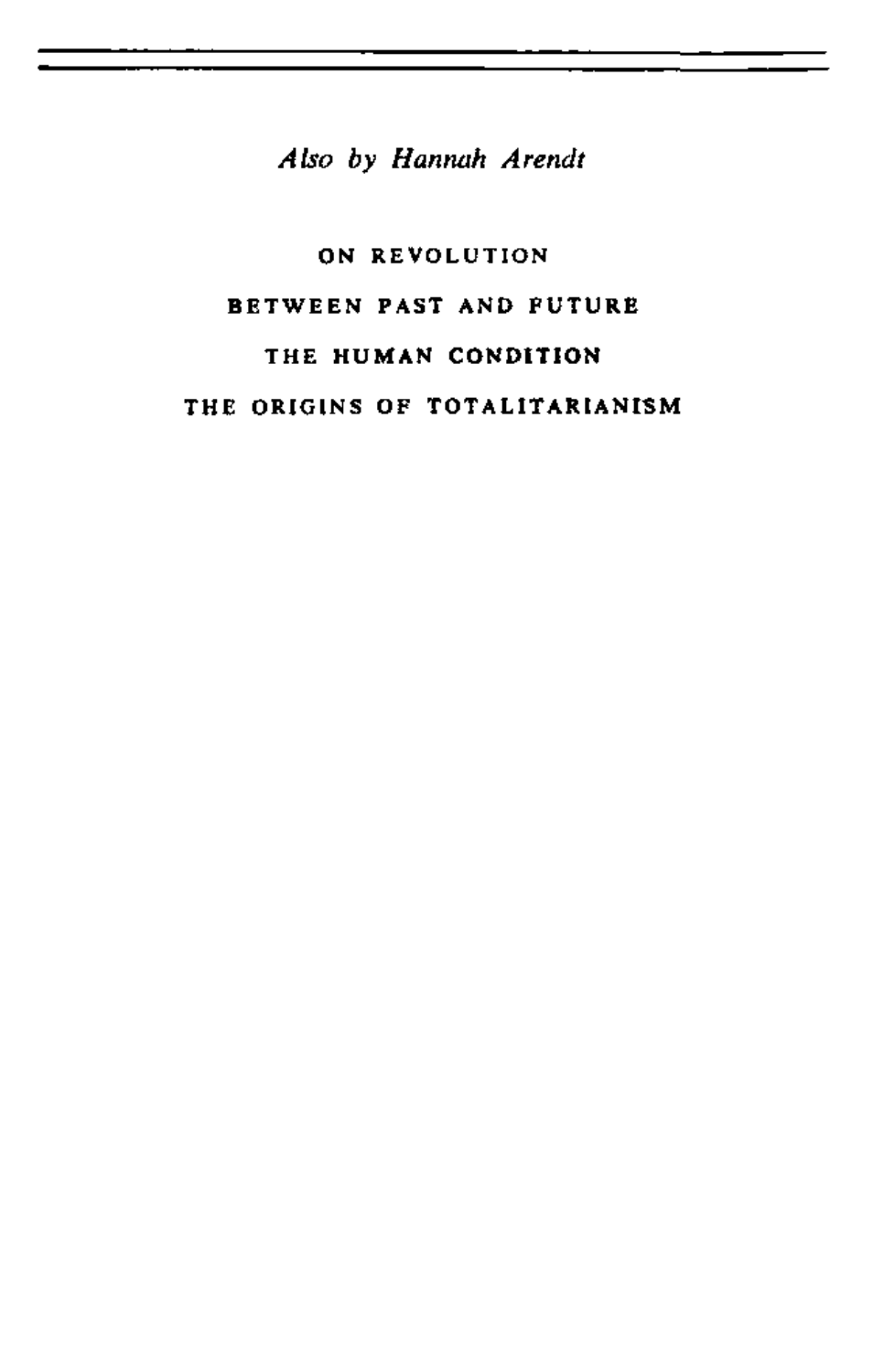Also by Hannah Arendt

#### ON REVOLUTION **BETWEEN PAST AND FUTURE** THE HUMAN CONDITION THE ORIGINS OF TOTALITARIANISM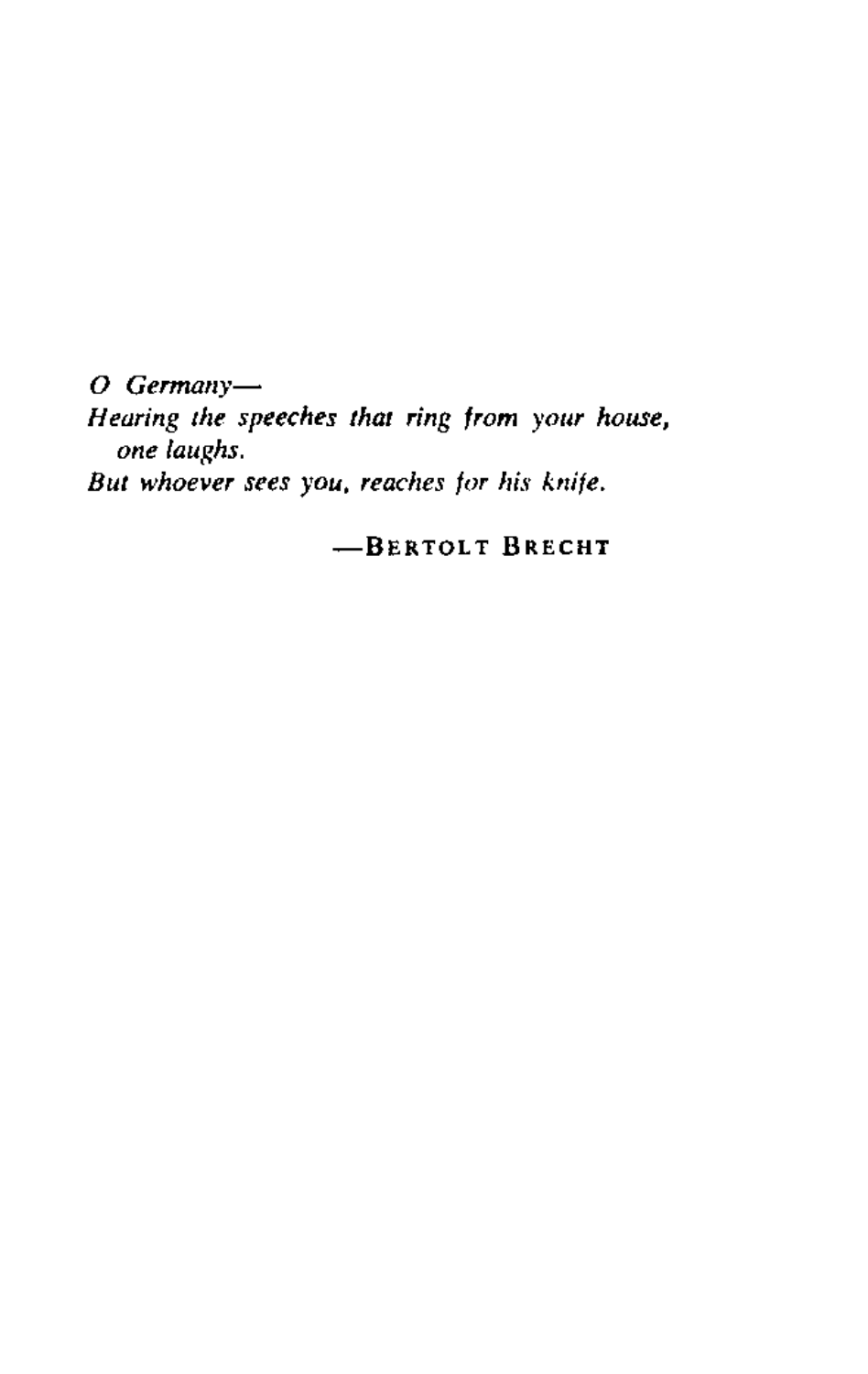O Germany-Hearing the speeches that ring from your house, one laughs. But whoever sees you, reaches for his knife.

-BERTOLT BRECHT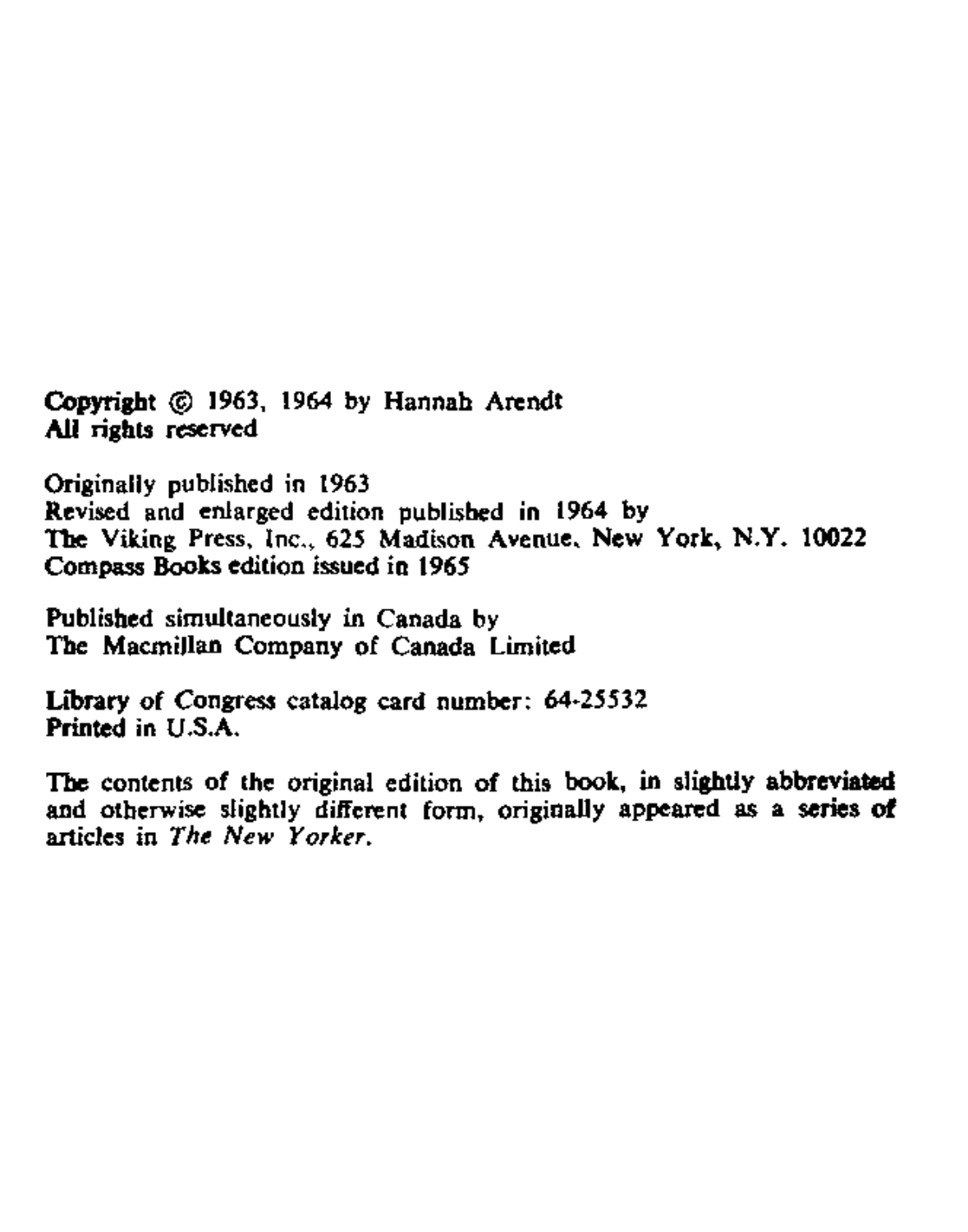Copyright @ 1963, 1964 by Hannah Arendt All rights reserved

Originally published in 1963 Revised and enlarged edition published in 1964 by The Viking Press, Inc., 625 Madison Avenue, New York, N.Y. 10022 Compass Rooks edition issued in 1965

Published simultaneously in Canada by The Macmillan Company of Canada Limited

Library of Congress catalog card number: 64-25532 Printed in IISA

The contents of the original edition of this book, in slightly abbreviated and otherwise slightly different form, originally appeared as a series of sticles in The New Yorker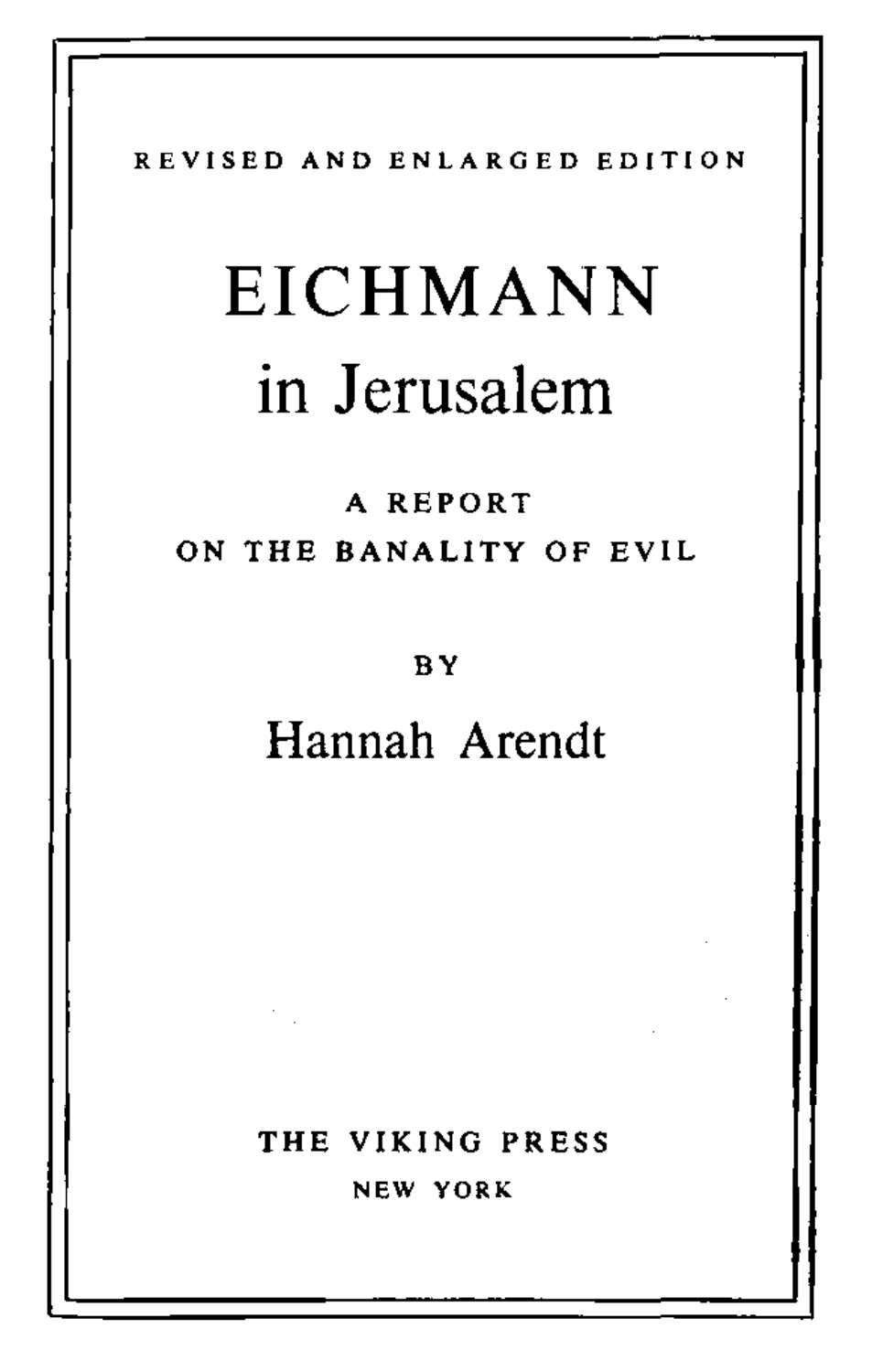PEVISED AND ENLARGED EDI TION

# **EICHMANN** in Jerusalem

A REPORT ON THE BANALITY OF EVIL

**BY** 

#### Hannah Arendt

THE VIKING PRESS

**NEW YORK**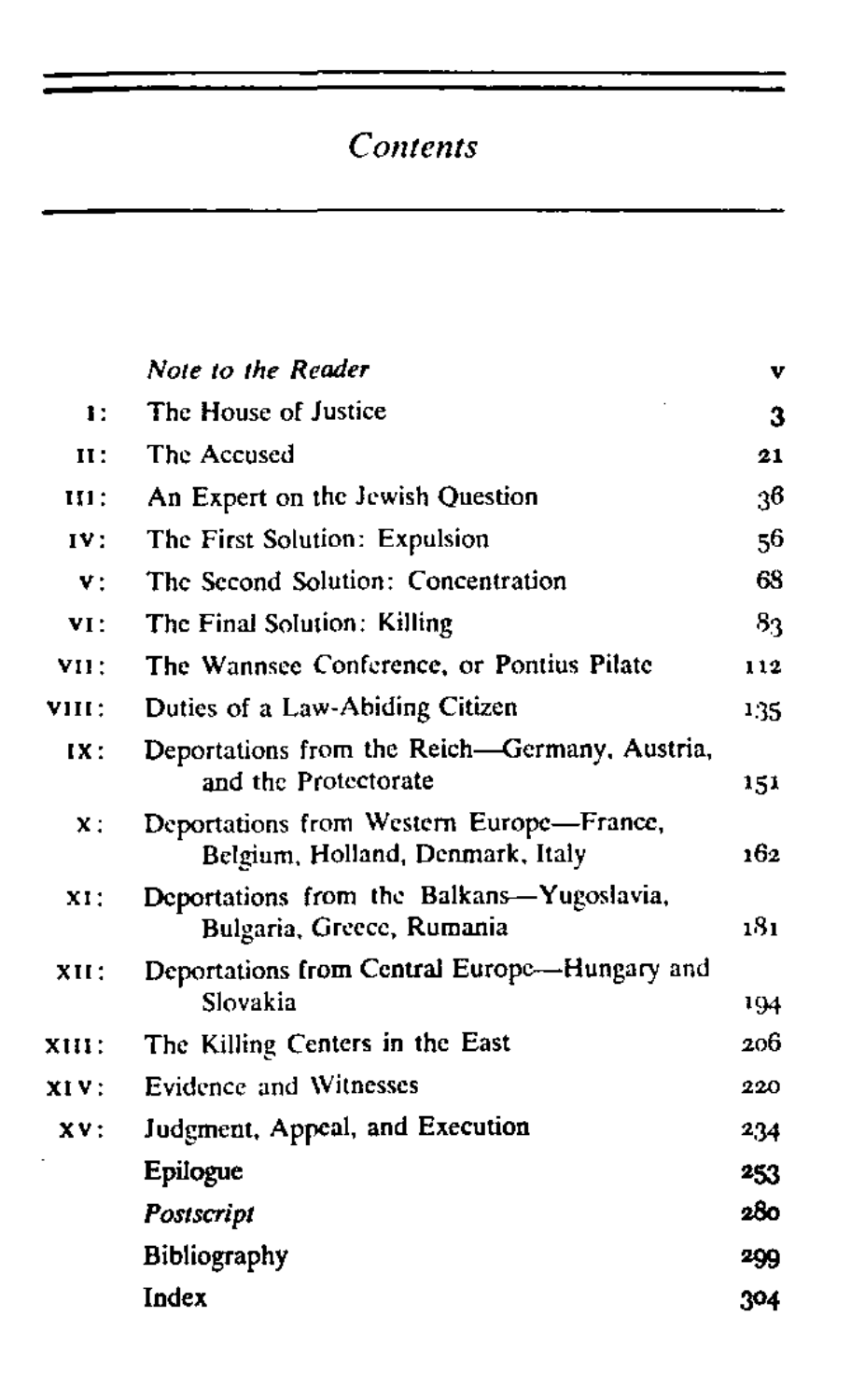#### Contents

|                | Note to the Reader                                                           | v     |
|----------------|------------------------------------------------------------------------------|-------|
| ī.             | The House of Justice                                                         | 3     |
| <b>II:</b>     | The Accused                                                                  | 21    |
| $\mathbf{m}$ : | An Expert on the Jewish Question                                             | 36    |
| IV:            | The First Solution: Expulsion                                                | 56    |
| ν:             | The Second Solution: Concentration                                           | 68    |
| VI:            | The Final Solution: Killing                                                  | $s_3$ |
| VII:           | The Wannsee Conference, or Pontius Pilate                                    | 112   |
| VIII:          | Duties of a Law-Abiding Citizen                                              | 135   |
| IX:            | Deportations from the Reich-Germany, Austria,<br>and the Protectorate        | 151   |
| x:             | Deportations from Western Europe-France,<br>Belgium, Holland, Denmark, Italy | 162   |
| XI.            | Deportations from the Balkans-Yugoslavia,<br>Bulgaria, Greece, Rumania       | 181   |
| XII:           | Deportations from Central Europe-Hungary and<br>Slovakia                     | 194   |
| XIII:          | The Killing Centers in the East                                              | 206   |
| XIV:           | Evidence and Witnesses                                                       | 220   |
| XV:            | Judgment, Appeal, and Execution                                              | 234   |
|                | Epilogue                                                                     | 253   |
|                | Postscript                                                                   | 28o   |
|                | Bibliography                                                                 | 200   |
|                | Index                                                                        | 304   |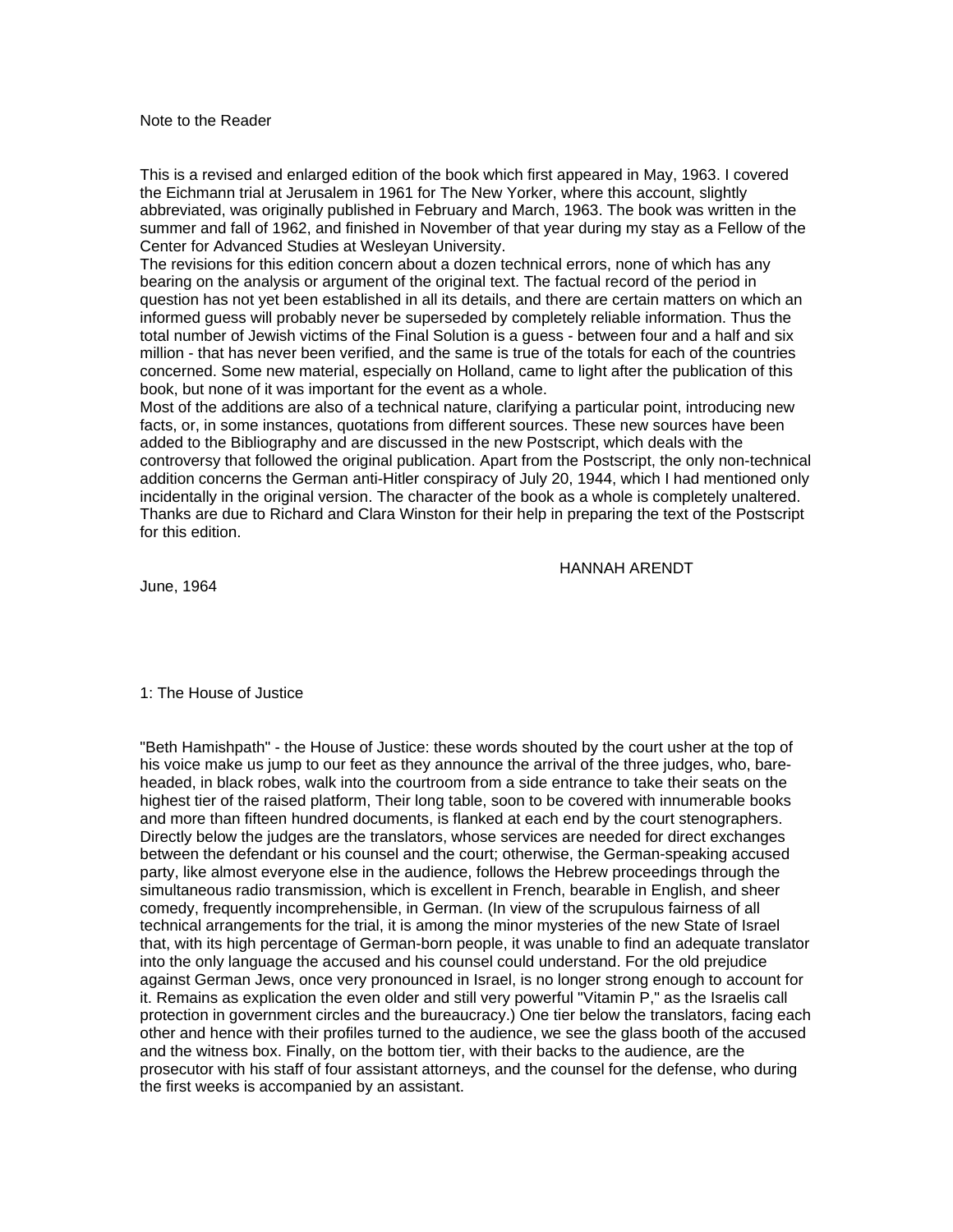Note to the Reader

This is a revised and enlarged edition of the book which first appeared in May, 1963. I covered the Eichmann trial at Jerusalem in 1961 for The New Yorker, where this account, slightly abbreviated, was originally published in February and March, 1963. The book was written in the summer and fall of 1962, and finished in November of that year during my stay as a Fellow of the Center for Advanced Studies at Wesleyan University.

The revisions for this edition concern about a dozen technical errors, none of which has any bearing on the analysis or argument of the original text. The factual record of the period in question has not yet been established in all its details, and there are certain matters on which an informed guess will probably never be superseded by completely reliable information. Thus the total number of Jewish victims of the Final Solution is a guess - between four and a half and six million - that has never been verified, and the same is true of the totals for each of the countries concerned. Some new material, especially on Holland, came to light after the publication of this book, but none of it was important for the event as a whole.

Most of the additions are also of a technical nature, clarifying a particular point, introducing new facts, or, in some instances, quotations from different sources. These new sources have been added to the Bibliography and are discussed in the new Postscript, which deals with the controversy that followed the original publication. Apart from the Postscript, the only non-technical addition concerns the German anti-Hitler conspiracy of July 20, 1944, which I had mentioned only incidentally in the original version. The character of the book as a whole is completely unaltered. Thanks are due to Richard and Clara Winston for their help in preparing the text of the Postscript for this edition.

HANNAH ARENDT

June, 1964

1: The House of Justice

"Beth Hamishpath" - the House of Justice: these words shouted by the court usher at the top of his voice make us jump to our feet as they announce the arrival of the three judges, who, bareheaded, in black robes, walk into the courtroom from a side entrance to take their seats on the highest tier of the raised platform, Their long table, soon to be covered with innumerable books and more than fifteen hundred documents, is flanked at each end by the court stenographers. Directly below the judges are the translators, whose services are needed for direct exchanges between the defendant or his counsel and the court; otherwise, the German-speaking accused party, like almost everyone else in the audience, follows the Hebrew proceedings through the simultaneous radio transmission, which is excellent in French, bearable in English, and sheer comedy, frequently incomprehensible, in German. (In view of the scrupulous fairness of all technical arrangements for the trial, it is among the minor mysteries of the new State of Israel that, with its high percentage of German-born people, it was unable to find an adequate translator into the only language the accused and his counsel could understand. For the old prejudice against German Jews, once very pronounced in Israel, is no longer strong enough to account for it. Remains as explication the even older and still very powerful "Vitamin P," as the Israelis call protection in government circles and the bureaucracy.) One tier below the translators, facing each other and hence with their profiles turned to the audience, we see the glass booth of the accused and the witness box. Finally, on the bottom tier, with their backs to the audience, are the prosecutor with his staff of four assistant attorneys, and the counsel for the defense, who during the first weeks is accompanied by an assistant.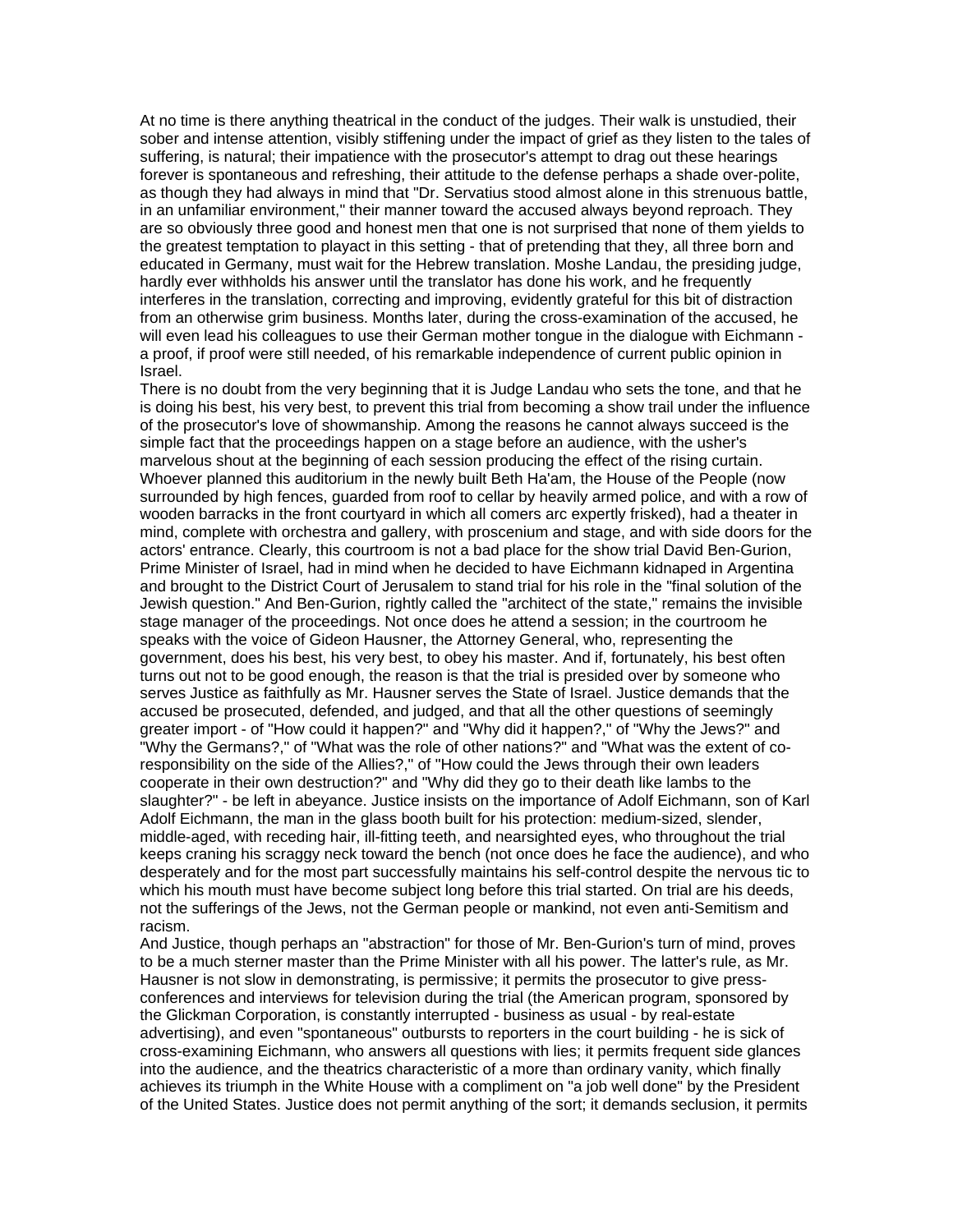At no time is there anything theatrical in the conduct of the judges. Their walk is unstudied, their sober and intense attention, visibly stiffening under the impact of grief as they listen to the tales of suffering, is natural; their impatience with the prosecutor's attempt to drag out these hearings forever is spontaneous and refreshing, their attitude to the defense perhaps a shade over-polite, as though they had always in mind that "Dr. Servatius stood almost alone in this strenuous battle, in an unfamiliar environment," their manner toward the accused always beyond reproach. They are so obviously three good and honest men that one is not surprised that none of them yields to the greatest temptation to playact in this setting - that of pretending that they, all three born and educated in Germany, must wait for the Hebrew translation. Moshe Landau, the presiding judge, hardly ever withholds his answer until the translator has done his work, and he frequently interferes in the translation, correcting and improving, evidently grateful for this bit of distraction from an otherwise grim business. Months later, during the cross-examination of the accused, he will even lead his colleagues to use their German mother tongue in the dialogue with Eichmann a proof, if proof were still needed, of his remarkable independence of current public opinion in Israel.

There is no doubt from the very beginning that it is Judge Landau who sets the tone, and that he is doing his best, his very best, to prevent this trial from becoming a show trail under the influence of the prosecutor's love of showmanship. Among the reasons he cannot always succeed is the simple fact that the proceedings happen on a stage before an audience, with the usher's marvelous shout at the beginning of each session producing the effect of the rising curtain. Whoever planned this auditorium in the newly built Beth Ha'am, the House of the People (now surrounded by high fences, guarded from roof to cellar by heavily armed police, and with a row of wooden barracks in the front courtyard in which all comers arc expertly frisked), had a theater in mind, complete with orchestra and gallery, with proscenium and stage, and with side doors for the actors' entrance. Clearly, this courtroom is not a bad place for the show trial David Ben-Gurion, Prime Minister of Israel, had in mind when he decided to have Eichmann kidnaped in Argentina and brought to the District Court of Jerusalem to stand trial for his role in the "final solution of the Jewish question." And Ben-Gurion, rightly called the "architect of the state," remains the invisible stage manager of the proceedings. Not once does he attend a session; in the courtroom he speaks with the voice of Gideon Hausner, the Attorney General, who, representing the government, does his best, his very best, to obey his master. And if, fortunately, his best often turns out not to be good enough, the reason is that the trial is presided over by someone who serves Justice as faithfully as Mr. Hausner serves the State of Israel. Justice demands that the accused be prosecuted, defended, and judged, and that all the other questions of seemingly greater import - of "How could it happen?" and "Why did it happen?," of "Why the Jews?" and "Why the Germans?," of "What was the role of other nations?" and "What was the extent of coresponsibility on the side of the Allies?," of "How could the Jews through their own leaders cooperate in their own destruction?" and "Why did they go to their death like lambs to the slaughter?" - be left in abeyance. Justice insists on the importance of Adolf Eichmann, son of Karl Adolf Eichmann, the man in the glass booth built for his protection: medium-sized, slender, middle-aged, with receding hair, ill-fitting teeth, and nearsighted eyes, who throughout the trial keeps craning his scraggy neck toward the bench (not once does he face the audience), and who desperately and for the most part successfully maintains his self-control despite the nervous tic to which his mouth must have become subject long before this trial started. On trial are his deeds, not the sufferings of the Jews, not the German people or mankind, not even anti-Semitism and racism.

And Justice, though perhaps an "abstraction" for those of Mr. Ben-Gurion's turn of mind, proves to be a much sterner master than the Prime Minister with all his power. The latter's rule, as Mr. Hausner is not slow in demonstrating, is permissive; it permits the prosecutor to give pressconferences and interviews for television during the trial (the American program, sponsored by the Glickman Corporation, is constantly interrupted - business as usual - by real-estate advertising), and even "spontaneous" outbursts to reporters in the court building - he is sick of cross-examining Eichmann, who answers all questions with lies; it permits frequent side glances into the audience, and the theatrics characteristic of a more than ordinary vanity, which finally achieves its triumph in the White House with a compliment on "a job well done" by the President of the United States. Justice does not permit anything of the sort; it demands seclusion, it permits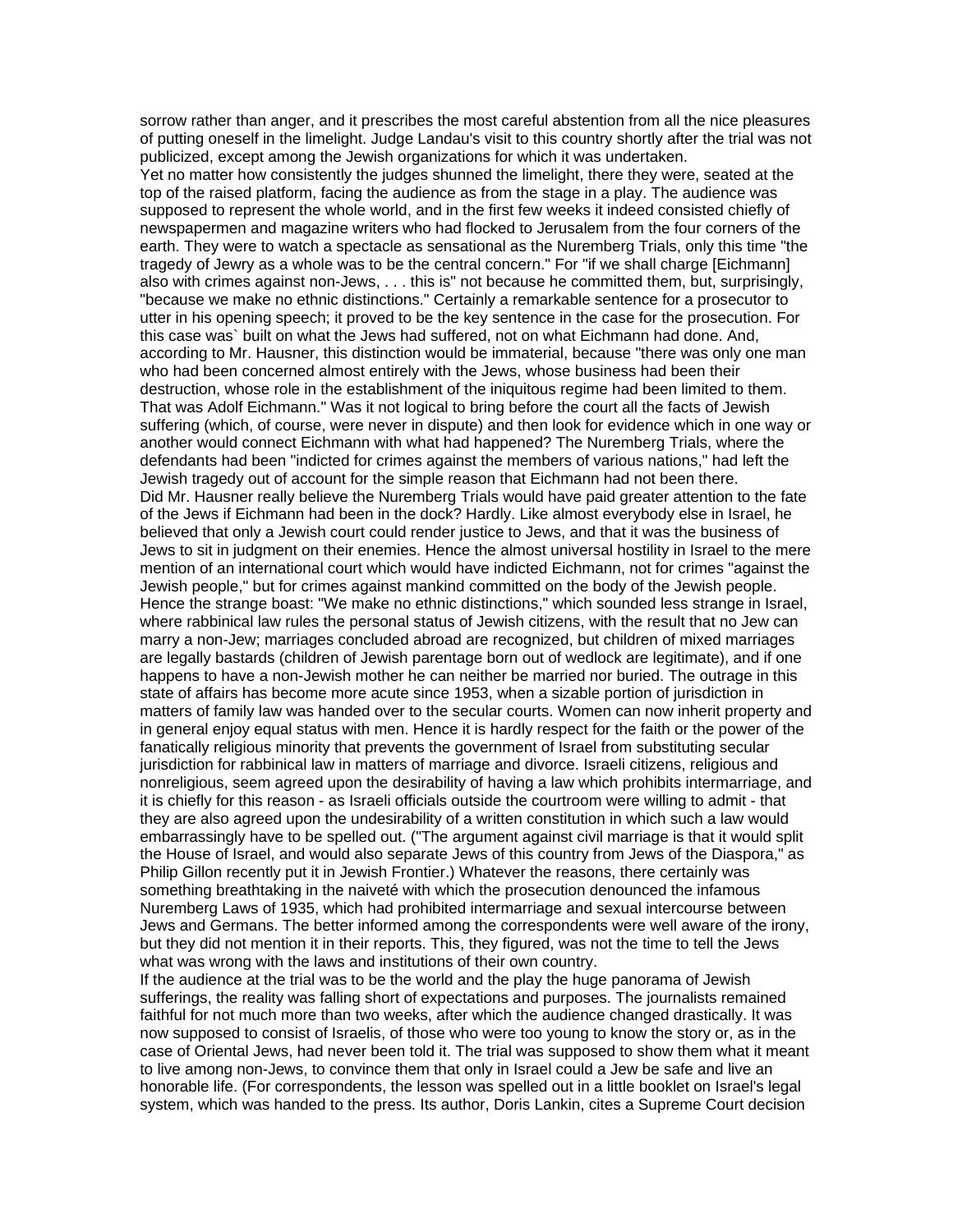sorrow rather than anger, and it prescribes the most careful abstention from all the nice pleasures of putting oneself in the limelight. Judge Landau's visit to this country shortly after the trial was not publicized, except among the Jewish organizations for which it was undertaken.

Yet no matter how consistently the judges shunned the limelight, there they were, seated at the top of the raised platform, facing the audience as from the stage in a play. The audience was supposed to represent the whole world, and in the first few weeks it indeed consisted chiefly of newspapermen and magazine writers who had flocked to Jerusalem from the four corners of the earth. They were to watch a spectacle as sensational as the Nuremberg Trials, only this time "the tragedy of Jewry as a whole was to be the central concern." For "if we shall charge [Eichmann] also with crimes against non-Jews, . . . this is" not because he committed them, but, surprisingly, "because we make no ethnic distinctions." Certainly a remarkable sentence for a prosecutor to utter in his opening speech; it proved to be the key sentence in the case for the prosecution. For this case was` built on what the Jews had suffered, not on what Eichmann had done. And, according to Mr. Hausner, this distinction would be immaterial, because "there was only one man who had been concerned almost entirely with the Jews, whose business had been their destruction, whose role in the establishment of the iniquitous regime had been limited to them. That was Adolf Eichmann." Was it not logical to bring before the court all the facts of Jewish suffering (which, of course, were never in dispute) and then look for evidence which in one way or another would connect Eichmann with what had happened? The Nuremberg Trials, where the defendants had been "indicted for crimes against the members of various nations," had left the Jewish tragedy out of account for the simple reason that Eichmann had not been there. Did Mr. Hausner really believe the Nuremberg Trials would have paid greater attention to the fate of the Jews if Eichmann had been in the dock? Hardly. Like almost everybody else in Israel, he believed that only a Jewish court could render justice to Jews, and that it was the business of Jews to sit in judgment on their enemies. Hence the almost universal hostility in Israel to the mere mention of an international court which would have indicted Eichmann, not for crimes "against the Jewish people," but for crimes against mankind committed on the body of the Jewish people. Hence the strange boast: "We make no ethnic distinctions," which sounded less strange in Israel, where rabbinical law rules the personal status of Jewish citizens, with the result that no Jew can marry a non-Jew; marriages concluded abroad are recognized, but children of mixed marriages are legally bastards (children of Jewish parentage born out of wedlock are legitimate), and if one happens to have a non-Jewish mother he can neither be married nor buried. The outrage in this state of affairs has become more acute since 1953, when a sizable portion of jurisdiction in matters of family law was handed over to the secular courts. Women can now inherit property and in general enjoy equal status with men. Hence it is hardly respect for the faith or the power of the fanatically religious minority that prevents the government of Israel from substituting secular jurisdiction for rabbinical law in matters of marriage and divorce. Israeli citizens, religious and nonreligious, seem agreed upon the desirability of having a law which prohibits intermarriage, and it is chiefly for this reason - as Israeli officials outside the courtroom were willing to admit - that they are also agreed upon the undesirability of a written constitution in which such a law would embarrassingly have to be spelled out. ("The argument against civil marriage is that it would split the House of Israel, and would also separate Jews of this country from Jews of the Diaspora," as Philip Gillon recently put it in Jewish Frontier.) Whatever the reasons, there certainly was something breathtaking in the naiveté with which the prosecution denounced the infamous Nuremberg Laws of 1935, which had prohibited intermarriage and sexual intercourse between Jews and Germans. The better informed among the correspondents were well aware of the irony, but they did not mention it in their reports. This, they figured, was not the time to tell the Jews what was wrong with the laws and institutions of their own country.

If the audience at the trial was to be the world and the play the huge panorama of Jewish sufferings, the reality was falling short of expectations and purposes. The journalists remained faithful for not much more than two weeks, after which the audience changed drastically. It was now supposed to consist of Israelis, of those who were too young to know the story or, as in the case of Oriental Jews, had never been told it. The trial was supposed to show them what it meant to live among non-Jews, to convince them that only in Israel could a Jew be safe and live an honorable life. (For correspondents, the lesson was spelled out in a little booklet on Israel's legal system, which was handed to the press. Its author, Doris Lankin, cites a Supreme Court decision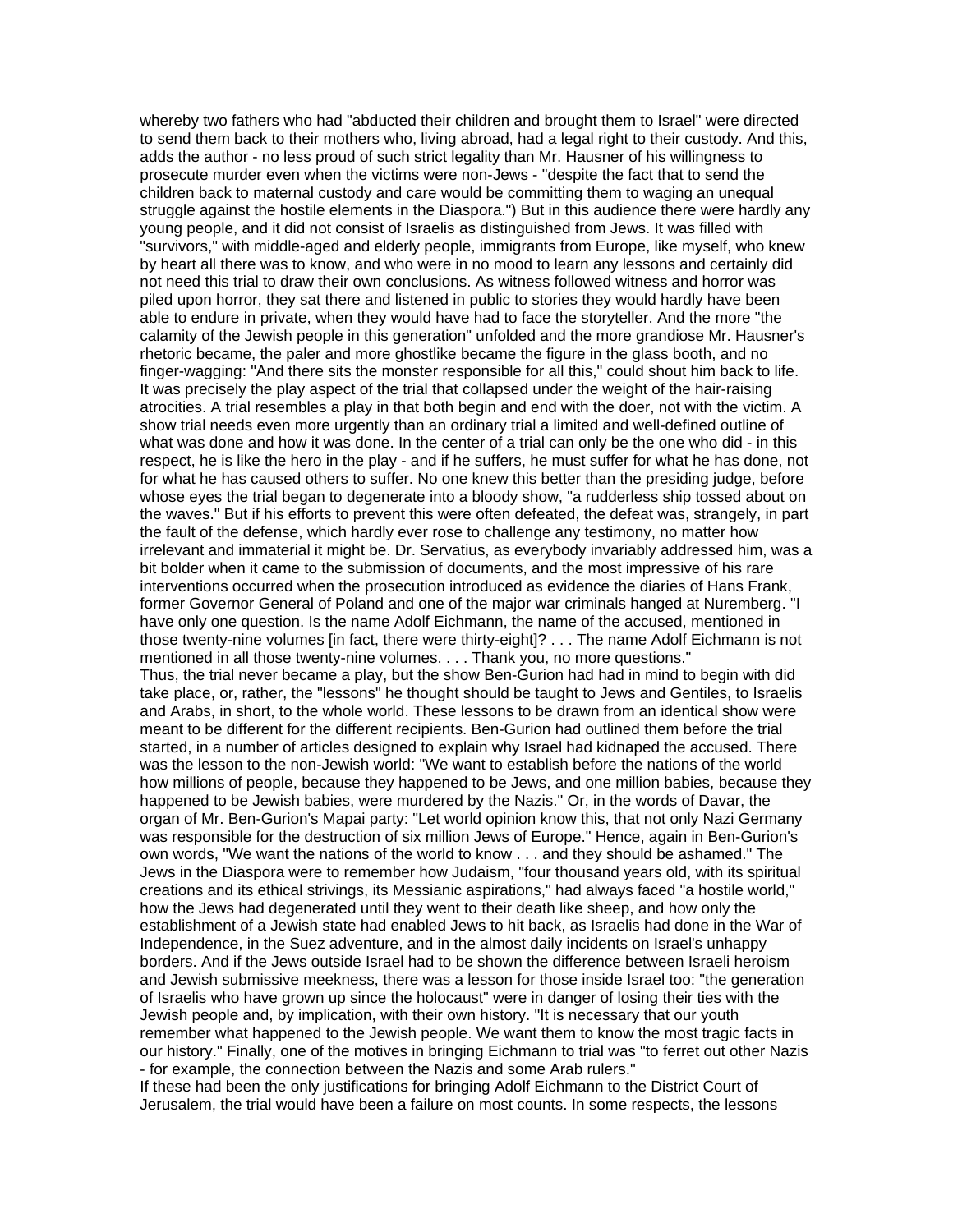whereby two fathers who had "abducted their children and brought them to Israel" were directed to send them back to their mothers who, living abroad, had a legal right to their custody. And this, adds the author - no less proud of such strict legality than Mr. Hausner of his willingness to prosecute murder even when the victims were non-Jews - "despite the fact that to send the children back to maternal custody and care would be committing them to waging an unequal struggle against the hostile elements in the Diaspora.") But in this audience there were hardly any young people, and it did not consist of Israelis as distinguished from Jews. It was filled with "survivors," with middle-aged and elderly people, immigrants from Europe, like myself, who knew by heart all there was to know, and who were in no mood to learn any lessons and certainly did not need this trial to draw their own conclusions. As witness followed witness and horror was piled upon horror, they sat there and listened in public to stories they would hardly have been able to endure in private, when they would have had to face the storyteller. And the more "the calamity of the Jewish people in this generation" unfolded and the more grandiose Mr. Hausner's rhetoric became, the paler and more ghostlike became the figure in the glass booth, and no finger-wagging: "And there sits the monster responsible for all this," could shout him back to life. It was precisely the play aspect of the trial that collapsed under the weight of the hair-raising atrocities. A trial resembles a play in that both begin and end with the doer, not with the victim. A show trial needs even more urgently than an ordinary trial a limited and well-defined outline of what was done and how it was done. In the center of a trial can only be the one who did - in this respect, he is like the hero in the play - and if he suffers, he must suffer for what he has done, not for what he has caused others to suffer. No one knew this better than the presiding judge, before whose eyes the trial began to degenerate into a bloody show, "a rudderless ship tossed about on the waves." But if his efforts to prevent this were often defeated, the defeat was, strangely, in part the fault of the defense, which hardly ever rose to challenge any testimony, no matter how irrelevant and immaterial it might be. Dr. Servatius, as everybody invariably addressed him, was a bit bolder when it came to the submission of documents, and the most impressive of his rare interventions occurred when the prosecution introduced as evidence the diaries of Hans Frank, former Governor General of Poland and one of the major war criminals hanged at Nuremberg. "I have only one question. Is the name Adolf Eichmann, the name of the accused, mentioned in those twenty-nine volumes [in fact, there were thirty-eight]? . . . The name Adolf Eichmann is not mentioned in all those twenty-nine volumes. . . . Thank you, no more questions." Thus, the trial never became a play, but the show Ben-Gurion had had in mind to begin with did take place, or, rather, the "lessons" he thought should be taught to Jews and Gentiles, to Israelis and Arabs, in short, to the whole world. These lessons to be drawn from an identical show were meant to be different for the different recipients. Ben-Gurion had outlined them before the trial started, in a number of articles designed to explain why Israel had kidnaped the accused. There was the lesson to the non-Jewish world: "We want to establish before the nations of the world how millions of people, because they happened to be Jews, and one million babies, because they happened to be Jewish babies, were murdered by the Nazis." Or, in the words of Davar, the organ of Mr. Ben-Gurion's Mapai party: "Let world opinion know this, that not only Nazi Germany was responsible for the destruction of six million Jews of Europe." Hence, again in Ben-Gurion's own words, "We want the nations of the world to know . . . and they should be ashamed." The Jews in the Diaspora were to remember how Judaism, "four thousand years old, with its spiritual creations and its ethical strivings, its Messianic aspirations," had always faced "a hostile world," how the Jews had degenerated until they went to their death like sheep, and how only the establishment of a Jewish state had enabled Jews to hit back, as Israelis had done in the War of Independence, in the Suez adventure, and in the almost daily incidents on Israel's unhappy borders. And if the Jews outside Israel had to be shown the difference between Israeli heroism and Jewish submissive meekness, there was a lesson for those inside Israel too: "the generation of Israelis who have grown up since the holocaust" were in danger of losing their ties with the Jewish people and, by implication, with their own history. "It is necessary that our youth remember what happened to the Jewish people. We want them to know the most tragic facts in our history." Finally, one of the motives in bringing Eichmann to trial was "to ferret out other Nazis - for example, the connection between the Nazis and some Arab rulers."

If these had been the only justifications for bringing Adolf Eichmann to the District Court of Jerusalem, the trial would have been a failure on most counts. In some respects, the lessons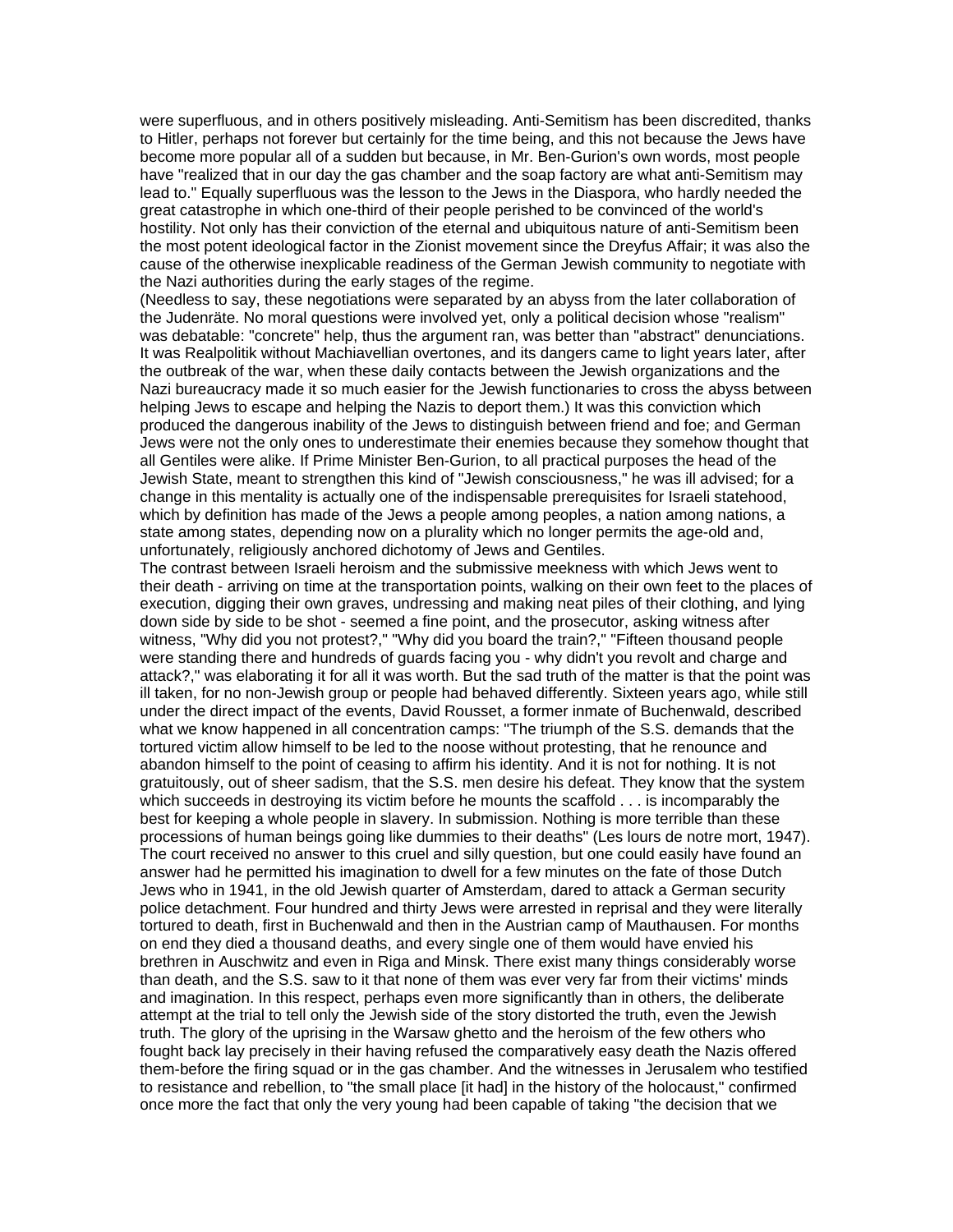were superfluous, and in others positively misleading. Anti-Semitism has been discredited, thanks to Hitler, perhaps not forever but certainly for the time being, and this not because the Jews have become more popular all of a sudden but because, in Mr. Ben-Gurion's own words, most people have "realized that in our day the gas chamber and the soap factory are what anti-Semitism may lead to." Equally superfluous was the lesson to the Jews in the Diaspora, who hardly needed the great catastrophe in which one-third of their people perished to be convinced of the world's hostility. Not only has their conviction of the eternal and ubiquitous nature of anti-Semitism been the most potent ideological factor in the Zionist movement since the Dreyfus Affair; it was also the cause of the otherwise inexplicable readiness of the German Jewish community to negotiate with the Nazi authorities during the early stages of the regime.

(Needless to say, these negotiations were separated by an abyss from the later collaboration of the Judenräte. No moral questions were involved yet, only a political decision whose "realism" was debatable: "concrete" help, thus the argument ran, was better than "abstract" denunciations. It was Realpolitik without Machiavellian overtones, and its dangers came to light years later, after the outbreak of the war, when these daily contacts between the Jewish organizations and the Nazi bureaucracy made it so much easier for the Jewish functionaries to cross the abyss between helping Jews to escape and helping the Nazis to deport them.) It was this conviction which produced the dangerous inability of the Jews to distinguish between friend and foe; and German Jews were not the only ones to underestimate their enemies because they somehow thought that all Gentiles were alike. If Prime Minister Ben-Gurion, to all practical purposes the head of the Jewish State, meant to strengthen this kind of "Jewish consciousness," he was ill advised; for a change in this mentality is actually one of the indispensable prerequisites for Israeli statehood, which by definition has made of the Jews a people among peoples, a nation among nations, a state among states, depending now on a plurality which no longer permits the age-old and, unfortunately, religiously anchored dichotomy of Jews and Gentiles.

The contrast between Israeli heroism and the submissive meekness with which Jews went to their death - arriving on time at the transportation points, walking on their own feet to the places of execution, digging their own graves, undressing and making neat piles of their clothing, and lying down side by side to be shot - seemed a fine point, and the prosecutor, asking witness after witness, "Why did you not protest?," "Why did you board the train?," "Fifteen thousand people were standing there and hundreds of guards facing you - why didn't you revolt and charge and attack?," was elaborating it for all it was worth. But the sad truth of the matter is that the point was ill taken, for no non-Jewish group or people had behaved differently. Sixteen years ago, while still under the direct impact of the events, David Rousset, a former inmate of Buchenwald, described what we know happened in all concentration camps: "The triumph of the S.S. demands that the tortured victim allow himself to be led to the noose without protesting, that he renounce and abandon himself to the point of ceasing to affirm his identity. And it is not for nothing. It is not gratuitously, out of sheer sadism, that the S.S. men desire his defeat. They know that the system which succeeds in destroying its victim before he mounts the scaffold . . . is incomparably the best for keeping a whole people in slavery. In submission. Nothing is more terrible than these processions of human beings going like dummies to their deaths" (Les lours de notre mort, 1947). The court received no answer to this cruel and silly question, but one could easily have found an answer had he permitted his imagination to dwell for a few minutes on the fate of those Dutch Jews who in 1941, in the old Jewish quarter of Amsterdam, dared to attack a German security police detachment. Four hundred and thirty Jews were arrested in reprisal and they were literally tortured to death, first in Buchenwald and then in the Austrian camp of Mauthausen. For months on end they died a thousand deaths, and every single one of them would have envied his brethren in Auschwitz and even in Riga and Minsk. There exist many things considerably worse than death, and the S.S. saw to it that none of them was ever very far from their victims' minds and imagination. In this respect, perhaps even more significantly than in others, the deliberate attempt at the trial to tell only the Jewish side of the story distorted the truth, even the Jewish truth. The glory of the uprising in the Warsaw ghetto and the heroism of the few others who fought back lay precisely in their having refused the comparatively easy death the Nazis offered them-before the firing squad or in the gas chamber. And the witnesses in Jerusalem who testified to resistance and rebellion, to "the small place [it had] in the history of the holocaust," confirmed once more the fact that only the very young had been capable of taking "the decision that we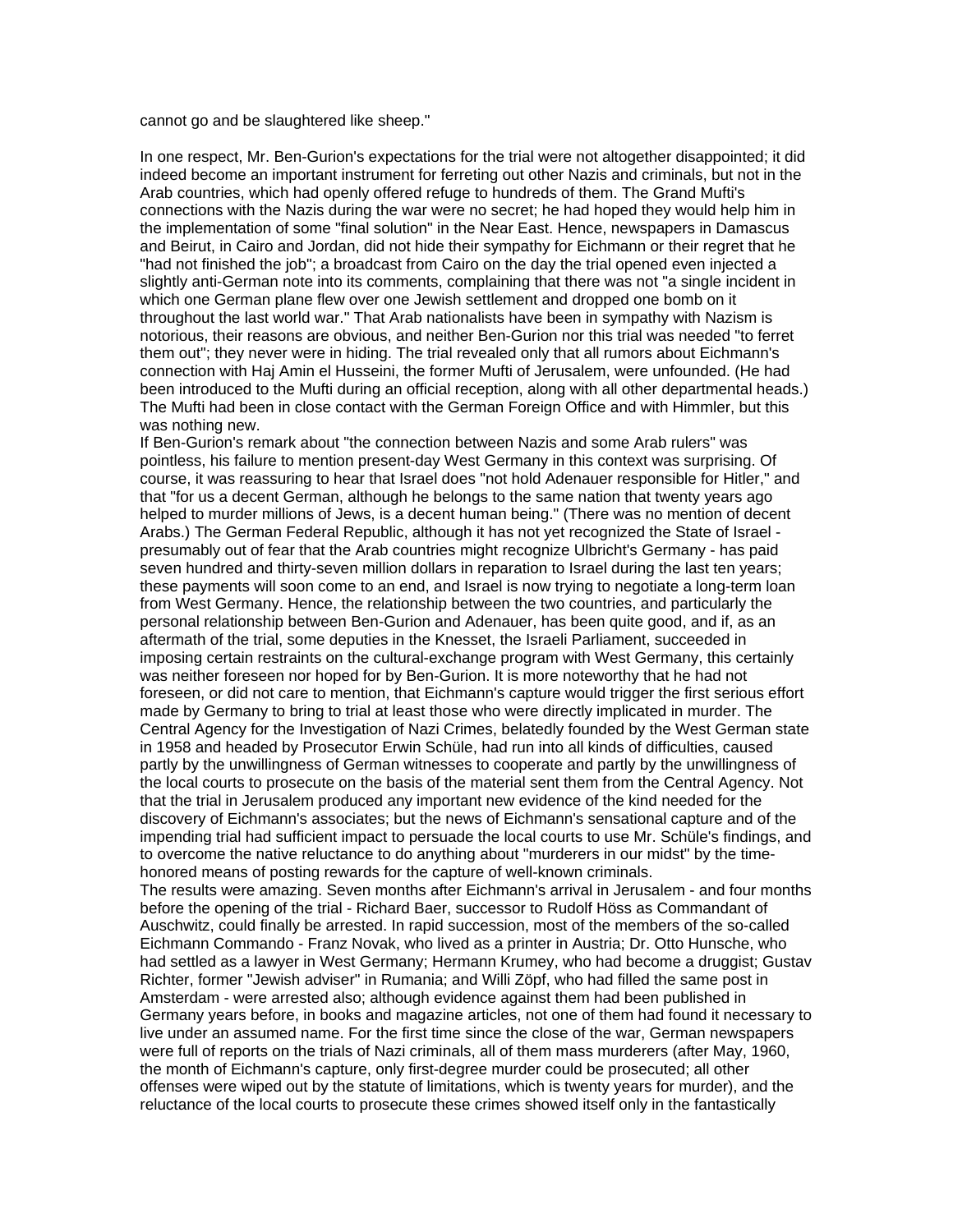cannot go and be slaughtered like sheep."

In one respect, Mr. Ben-Gurion's expectations for the trial were not altogether disappointed; it did indeed become an important instrument for ferreting out other Nazis and criminals, but not in the Arab countries, which had openly offered refuge to hundreds of them. The Grand Mufti's connections with the Nazis during the war were no secret; he had hoped they would help him in the implementation of some "final solution" in the Near East. Hence, newspapers in Damascus and Beirut, in Cairo and Jordan, did not hide their sympathy for Eichmann or their regret that he "had not finished the job"; a broadcast from Cairo on the day the trial opened even injected a slightly anti-German note into its comments, complaining that there was not "a single incident in which one German plane flew over one Jewish settlement and dropped one bomb on it throughout the last world war." That Arab nationalists have been in sympathy with Nazism is notorious, their reasons are obvious, and neither Ben-Gurion nor this trial was needed "to ferret them out"; they never were in hiding. The trial revealed only that all rumors about Eichmann's connection with Haj Amin el Husseini, the former Mufti of Jerusalem, were unfounded. (He had been introduced to the Mufti during an official reception, along with all other departmental heads.) The Mufti had been in close contact with the German Foreign Office and with Himmler, but this was nothing new.

If Ben-Gurion's remark about "the connection between Nazis and some Arab rulers" was pointless, his failure to mention present-day West Germany in this context was surprising. Of course, it was reassuring to hear that Israel does "not hold Adenauer responsible for Hitler," and that "for us a decent German, although he belongs to the same nation that twenty years ago helped to murder millions of Jews, is a decent human being." (There was no mention of decent Arabs.) The German Federal Republic, although it has not yet recognized the State of Israel presumably out of fear that the Arab countries might recognize Ulbricht's Germany - has paid seven hundred and thirty-seven million dollars in reparation to Israel during the last ten years; these payments will soon come to an end, and Israel is now trying to negotiate a long-term loan from West Germany. Hence, the relationship between the two countries, and particularly the personal relationship between Ben-Gurion and Adenauer, has been quite good, and if, as an aftermath of the trial, some deputies in the Knesset, the Israeli Parliament, succeeded in imposing certain restraints on the cultural-exchange program with West Germany, this certainly was neither foreseen nor hoped for by Ben-Gurion. It is more noteworthy that he had not foreseen, or did not care to mention, that Eichmann's capture would trigger the first serious effort made by Germany to bring to trial at least those who were directly implicated in murder. The Central Agency for the Investigation of Nazi Crimes, belatedly founded by the West German state in 1958 and headed by Prosecutor Erwin Schüle, had run into all kinds of difficulties, caused partly by the unwillingness of German witnesses to cooperate and partly by the unwillingness of the local courts to prosecute on the basis of the material sent them from the Central Agency. Not that the trial in Jerusalem produced any important new evidence of the kind needed for the discovery of Eichmann's associates; but the news of Eichmann's sensational capture and of the impending trial had sufficient impact to persuade the local courts to use Mr. Schüle's findings, and to overcome the native reluctance to do anything about "murderers in our midst" by the timehonored means of posting rewards for the capture of well-known criminals. The results were amazing. Seven months after Eichmann's arrival in Jerusalem - and four months before the opening of the trial - Richard Baer, successor to Rudolf Höss as Commandant of Auschwitz, could finally be arrested. In rapid succession, most of the members of the so-called Eichmann Commando - Franz Novak, who lived as a printer in Austria; Dr. Otto Hunsche, who had settled as a lawyer in West Germany; Hermann Krumey, who had become a druggist; Gustav Richter, former "Jewish adviser" in Rumania; and Willi Zöpf, who had filled the same post in Amsterdam - were arrested also; although evidence against them had been published in Germany years before, in books and magazine articles, not one of them had found it necessary to live under an assumed name. For the first time since the close of the war, German newspapers

were full of reports on the trials of Nazi criminals, all of them mass murderers (after May, 1960, the month of Eichmann's capture, only first-degree murder could be prosecuted; all other offenses were wiped out by the statute of limitations, which is twenty years for murder), and the reluctance of the local courts to prosecute these crimes showed itself only in the fantastically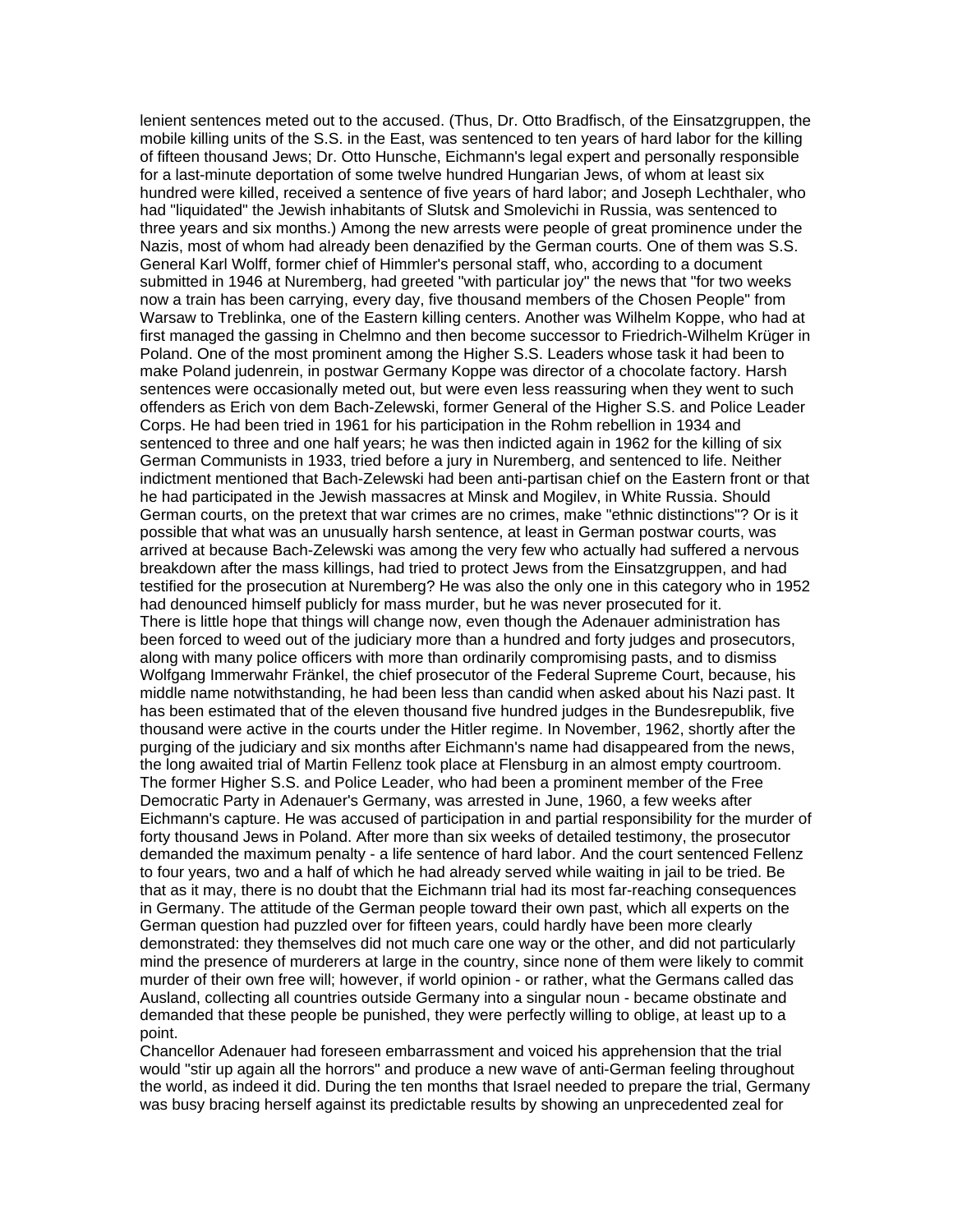lenient sentences meted out to the accused. (Thus, Dr. Otto Bradfisch, of the Einsatzgruppen, the mobile killing units of the S.S. in the East, was sentenced to ten years of hard labor for the killing of fifteen thousand Jews; Dr. Otto Hunsche, Eichmann's legal expert and personally responsible for a last-minute deportation of some twelve hundred Hungarian Jews, of whom at least six hundred were killed, received a sentence of five years of hard labor; and Joseph Lechthaler, who had "liquidated" the Jewish inhabitants of Slutsk and Smolevichi in Russia, was sentenced to three years and six months.) Among the new arrests were people of great prominence under the Nazis, most of whom had already been denazified by the German courts. One of them was S.S. General Karl Wolff, former chief of Himmler's personal staff, who, according to a document submitted in 1946 at Nuremberg, had greeted "with particular joy" the news that "for two weeks now a train has been carrying, every day, five thousand members of the Chosen People" from Warsaw to Treblinka, one of the Eastern killing centers. Another was Wilhelm Koppe, who had at first managed the gassing in Chelmno and then become successor to Friedrich-Wilhelm Krüger in Poland. One of the most prominent among the Higher S.S. Leaders whose task it had been to make Poland judenrein, in postwar Germany Koppe was director of a chocolate factory. Harsh sentences were occasionally meted out, but were even less reassuring when they went to such offenders as Erich von dem Bach-Zelewski, former General of the Higher S.S. and Police Leader Corps. He had been tried in 1961 for his participation in the Rohm rebellion in 1934 and sentenced to three and one half years; he was then indicted again in 1962 for the killing of six German Communists in 1933, tried before a jury in Nuremberg, and sentenced to life. Neither indictment mentioned that Bach-Zelewski had been anti-partisan chief on the Eastern front or that he had participated in the Jewish massacres at Minsk and Mogilev, in White Russia. Should German courts, on the pretext that war crimes are no crimes, make "ethnic distinctions"? Or is it possible that what was an unusually harsh sentence, at least in German postwar courts, was arrived at because Bach-Zelewski was among the very few who actually had suffered a nervous breakdown after the mass killings, had tried to protect Jews from the Einsatzgruppen, and had testified for the prosecution at Nuremberg? He was also the only one in this category who in 1952 had denounced himself publicly for mass murder, but he was never prosecuted for it. There is little hope that things will change now, even though the Adenauer administration has been forced to weed out of the judiciary more than a hundred and forty judges and prosecutors, along with many police officers with more than ordinarily compromising pasts, and to dismiss Wolfgang Immerwahr Fränkel, the chief prosecutor of the Federal Supreme Court, because, his middle name notwithstanding, he had been less than candid when asked about his Nazi past. It has been estimated that of the eleven thousand five hundred judges in the Bundesrepublik, five thousand were active in the courts under the Hitler regime. In November, 1962, shortly after the purging of the judiciary and six months after Eichmann's name had disappeared from the news, the long awaited trial of Martin Fellenz took place at Flensburg in an almost empty courtroom. The former Higher S.S. and Police Leader, who had been a prominent member of the Free Democratic Party in Adenauer's Germany, was arrested in June, 1960, a few weeks after Eichmann's capture. He was accused of participation in and partial responsibility for the murder of forty thousand Jews in Poland. After more than six weeks of detailed testimony, the prosecutor demanded the maximum penalty - a life sentence of hard labor. And the court sentenced Fellenz to four years, two and a half of which he had already served while waiting in jail to be tried. Be that as it may, there is no doubt that the Eichmann trial had its most far-reaching consequences in Germany. The attitude of the German people toward their own past, which all experts on the German question had puzzled over for fifteen years, could hardly have been more clearly demonstrated: they themselves did not much care one way or the other, and did not particularly mind the presence of murderers at large in the country, since none of them were likely to commit murder of their own free will; however, if world opinion - or rather, what the Germans called das Ausland, collecting all countries outside Germany into a singular noun - became obstinate and demanded that these people be punished, they were perfectly willing to oblige, at least up to a point.

Chancellor Adenauer had foreseen embarrassment and voiced his apprehension that the trial would "stir up again all the horrors" and produce a new wave of anti-German feeling throughout the world, as indeed it did. During the ten months that Israel needed to prepare the trial, Germany was busy bracing herself against its predictable results by showing an unprecedented zeal for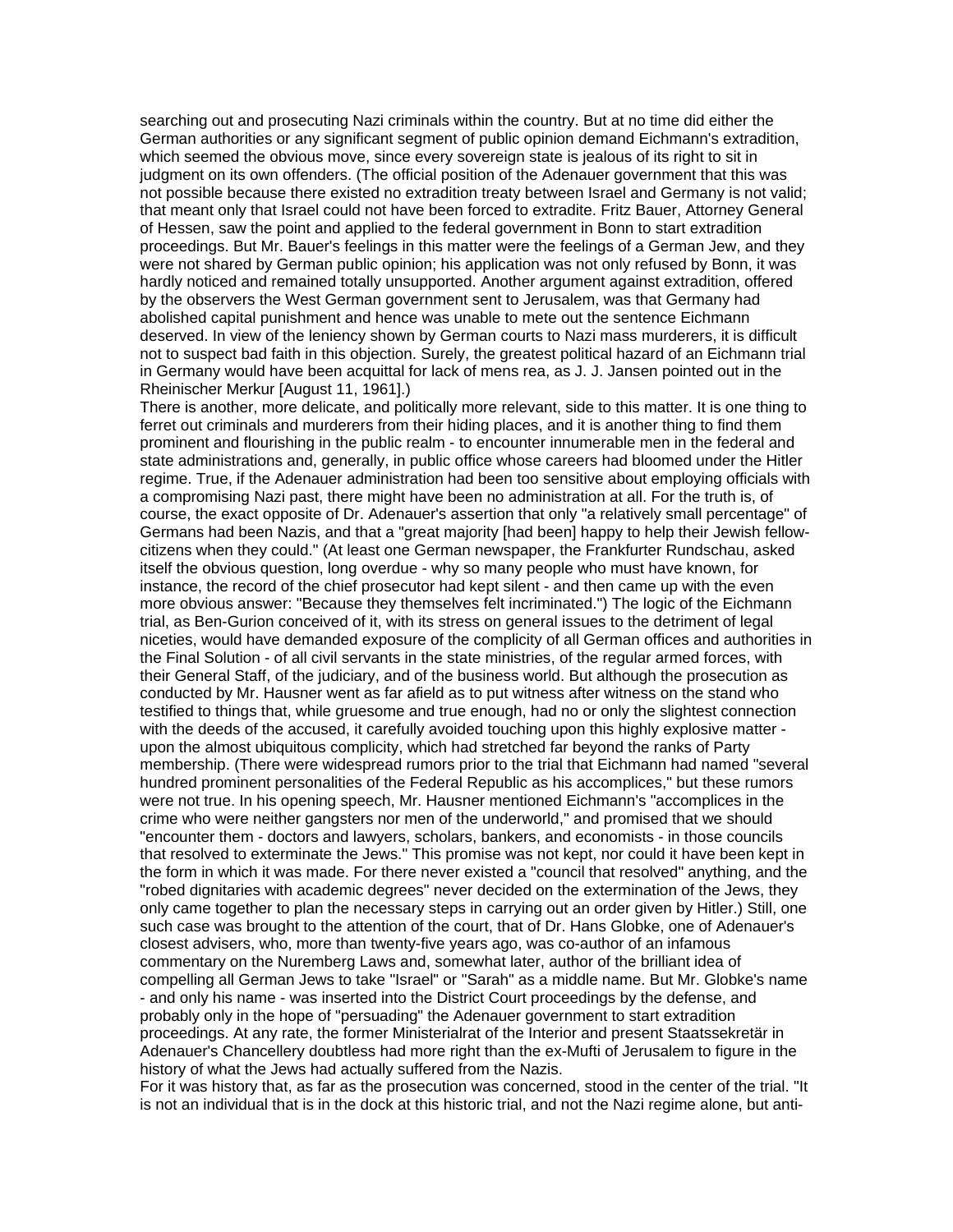searching out and prosecuting Nazi criminals within the country. But at no time did either the German authorities or any significant segment of public opinion demand Eichmann's extradition, which seemed the obvious move, since every sovereign state is jealous of its right to sit in judgment on its own offenders. (The official position of the Adenauer government that this was not possible because there existed no extradition treaty between Israel and Germany is not valid; that meant only that Israel could not have been forced to extradite. Fritz Bauer, Attorney General of Hessen, saw the point and applied to the federal government in Bonn to start extradition proceedings. But Mr. Bauer's feelings in this matter were the feelings of a German Jew, and they were not shared by German public opinion; his application was not only refused by Bonn, it was hardly noticed and remained totally unsupported. Another argument against extradition, offered by the observers the West German government sent to Jerusalem, was that Germany had abolished capital punishment and hence was unable to mete out the sentence Eichmann deserved. In view of the leniency shown by German courts to Nazi mass murderers, it is difficult not to suspect bad faith in this objection. Surely, the greatest political hazard of an Eichmann trial in Germany would have been acquittal for lack of mens rea, as J. J. Jansen pointed out in the Rheinischer Merkur [August 11, 1961].)

There is another, more delicate, and politically more relevant, side to this matter. It is one thing to ferret out criminals and murderers from their hiding places, and it is another thing to find them prominent and flourishing in the public realm - to encounter innumerable men in the federal and state administrations and, generally, in public office whose careers had bloomed under the Hitler regime. True, if the Adenauer administration had been too sensitive about employing officials with a compromising Nazi past, there might have been no administration at all. For the truth is, of course, the exact opposite of Dr. Adenauer's assertion that only "a relatively small percentage" of Germans had been Nazis, and that a "great majority [had been] happy to help their Jewish fellowcitizens when they could." (At least one German newspaper, the Frankfurter Rundschau, asked itself the obvious question, long overdue - why so many people who must have known, for instance, the record of the chief prosecutor had kept silent - and then came up with the even more obvious answer: "Because they themselves felt incriminated.") The logic of the Eichmann trial, as Ben-Gurion conceived of it, with its stress on general issues to the detriment of legal niceties, would have demanded exposure of the complicity of all German offices and authorities in the Final Solution - of all civil servants in the state ministries, of the regular armed forces, with their General Staff, of the judiciary, and of the business world. But although the prosecution as conducted by Mr. Hausner went as far afield as to put witness after witness on the stand who testified to things that, while gruesome and true enough, had no or only the slightest connection with the deeds of the accused, it carefully avoided touching upon this highly explosive matter upon the almost ubiquitous complicity, which had stretched far beyond the ranks of Party membership. (There were widespread rumors prior to the trial that Eichmann had named "several hundred prominent personalities of the Federal Republic as his accomplices," but these rumors were not true. In his opening speech, Mr. Hausner mentioned Eichmann's "accomplices in the crime who were neither gangsters nor men of the underworld," and promised that we should "encounter them - doctors and lawyers, scholars, bankers, and economists - in those councils that resolved to exterminate the Jews." This promise was not kept, nor could it have been kept in the form in which it was made. For there never existed a "council that resolved" anything, and the "robed dignitaries with academic degrees" never decided on the extermination of the Jews, they only came together to plan the necessary steps in carrying out an order given by Hitler.) Still, one such case was brought to the attention of the court, that of Dr. Hans Globke, one of Adenauer's closest advisers, who, more than twenty-five years ago, was co-author of an infamous commentary on the Nuremberg Laws and, somewhat later, author of the brilliant idea of compelling all German Jews to take "Israel" or "Sarah" as a middle name. But Mr. Globke's name - and only his name - was inserted into the District Court proceedings by the defense, and probably only in the hope of "persuading" the Adenauer government to start extradition proceedings. At any rate, the former Ministerialrat of the Interior and present Staatssekretär in Adenauer's Chancellery doubtless had more right than the ex-Mufti of Jerusalem to figure in the history of what the Jews had actually suffered from the Nazis.

For it was history that, as far as the prosecution was concerned, stood in the center of the trial. "It is not an individual that is in the dock at this historic trial, and not the Nazi regime alone, but anti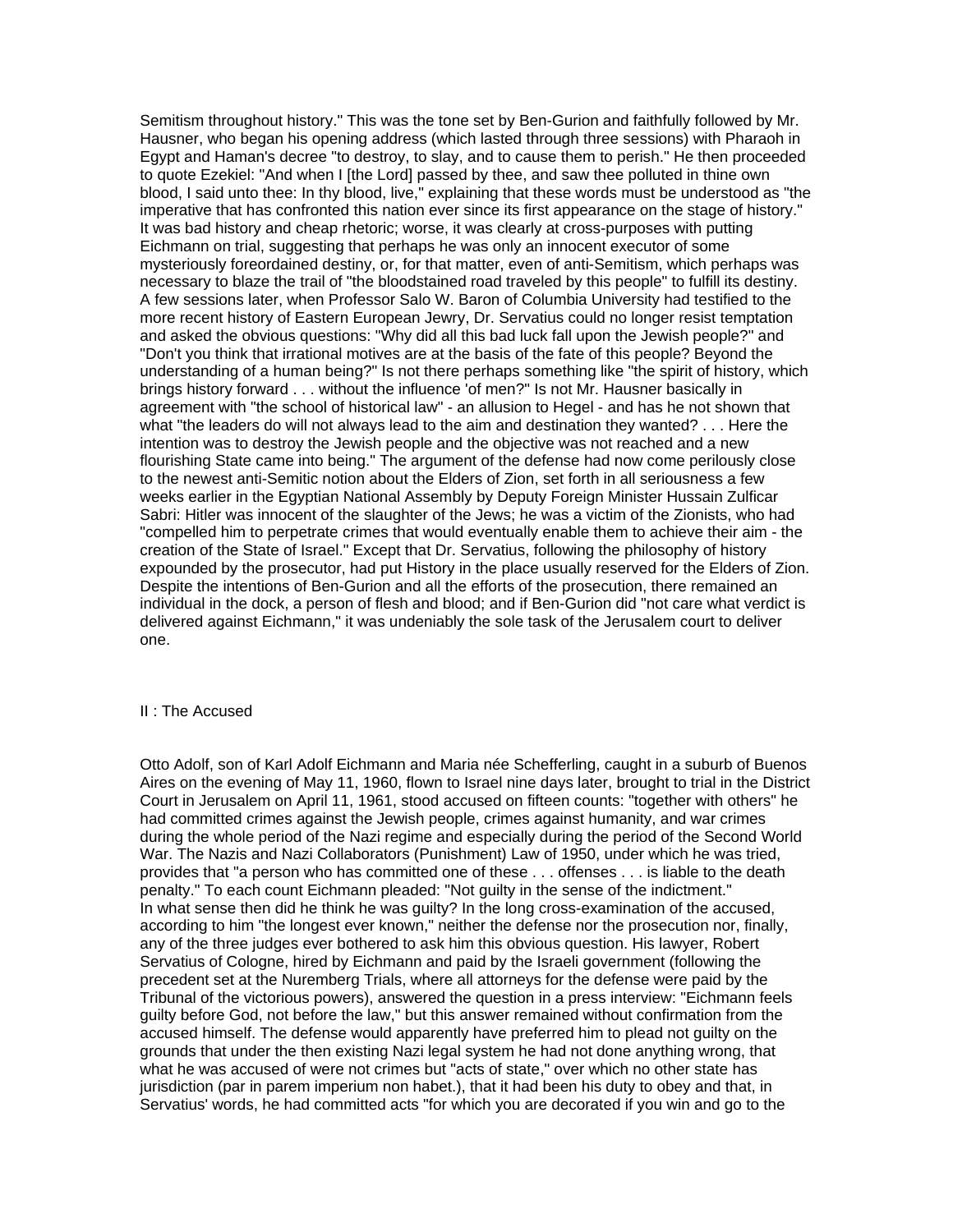Semitism throughout history." This was the tone set by Ben-Gurion and faithfully followed by Mr. Hausner, who began his opening address (which lasted through three sessions) with Pharaoh in Egypt and Haman's decree "to destroy, to slay, and to cause them to perish." He then proceeded to quote Ezekiel: "And when I [the Lord] passed by thee, and saw thee polluted in thine own blood, I said unto thee: In thy blood, live," explaining that these words must be understood as "the imperative that has confronted this nation ever since its first appearance on the stage of history." It was bad history and cheap rhetoric; worse, it was clearly at cross-purposes with putting Eichmann on trial, suggesting that perhaps he was only an innocent executor of some mysteriously foreordained destiny, or, for that matter, even of anti-Semitism, which perhaps was necessary to blaze the trail of "the bloodstained road traveled by this people" to fulfill its destiny. A few sessions later, when Professor Salo W. Baron of Columbia University had testified to the more recent history of Eastern European Jewry, Dr. Servatius could no longer resist temptation and asked the obvious questions: "Why did all this bad luck fall upon the Jewish people?" and "Don't you think that irrational motives are at the basis of the fate of this people? Beyond the understanding of a human being?" Is not there perhaps something like "the spirit of history, which brings history forward . . . without the influence 'of men?" Is not Mr. Hausner basically in agreement with "the school of historical law" - an allusion to Hegel - and has he not shown that what "the leaders do will not always lead to the aim and destination they wanted? . . . Here the intention was to destroy the Jewish people and the objective was not reached and a new flourishing State came into being." The argument of the defense had now come perilously close to the newest anti-Semitic notion about the Elders of Zion, set forth in all seriousness a few weeks earlier in the Egyptian National Assembly by Deputy Foreign Minister Hussain Zulficar Sabri: Hitler was innocent of the slaughter of the Jews; he was a victim of the Zionists, who had "compelled him to perpetrate crimes that would eventually enable them to achieve their aim - the creation of the State of Israel." Except that Dr. Servatius, following the philosophy of history expounded by the prosecutor, had put History in the place usually reserved for the Elders of Zion. Despite the intentions of Ben-Gurion and all the efforts of the prosecution, there remained an individual in the dock, a person of flesh and blood; and if Ben-Gurion did "not care what verdict is delivered against Eichmann," it was undeniably the sole task of the Jerusalem court to deliver one.

## II : The Accused

Otto Adolf, son of Karl Adolf Eichmann and Maria née Schefferling, caught in a suburb of Buenos Aires on the evening of May 11, 1960, flown to Israel nine days later, brought to trial in the District Court in Jerusalem on April 11, 1961, stood accused on fifteen counts: "together with others" he had committed crimes against the Jewish people, crimes against humanity, and war crimes during the whole period of the Nazi regime and especially during the period of the Second World War. The Nazis and Nazi Collaborators (Punishment) Law of 1950, under which he was tried, provides that "a person who has committed one of these . . . offenses . . . is liable to the death penalty." To each count Eichmann pleaded: "Not guilty in the sense of the indictment." In what sense then did he think he was guilty? In the long cross-examination of the accused, according to him "the longest ever known," neither the defense nor the prosecution nor, finally, any of the three judges ever bothered to ask him this obvious question. His lawyer, Robert Servatius of Cologne, hired by Eichmann and paid by the Israeli government (following the precedent set at the Nuremberg Trials, where all attorneys for the defense were paid by the Tribunal of the victorious powers), answered the question in a press interview: "Eichmann feels guilty before God, not before the law," but this answer remained without confirmation from the accused himself. The defense would apparently have preferred him to plead not guilty on the grounds that under the then existing Nazi legal system he had not done anything wrong, that what he was accused of were not crimes but "acts of state," over which no other state has jurisdiction (par in parem imperium non habet.), that it had been his duty to obey and that, in Servatius' words, he had committed acts "for which you are decorated if you win and go to the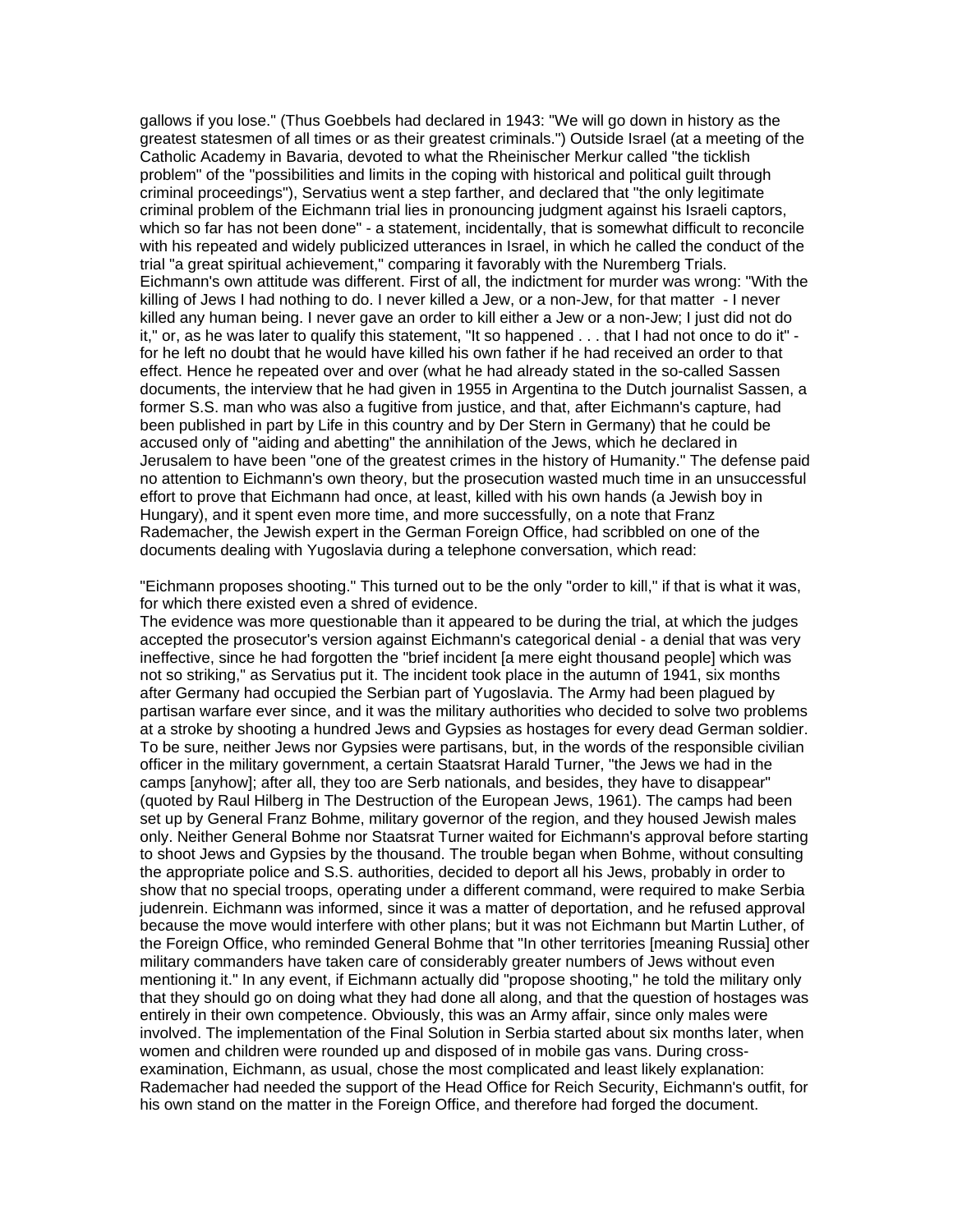gallows if you lose." (Thus Goebbels had declared in 1943: "We will go down in history as the greatest statesmen of all times or as their greatest criminals.") Outside Israel (at a meeting of the Catholic Academy in Bavaria, devoted to what the Rheinischer Merkur called "the ticklish problem" of the "possibilities and limits in the coping with historical and political guilt through criminal proceedings"), Servatius went a step farther, and declared that "the only legitimate criminal problem of the Eichmann trial lies in pronouncing judgment against his Israeli captors, which so far has not been done" - a statement, incidentally, that is somewhat difficult to reconcile with his repeated and widely publicized utterances in Israel, in which he called the conduct of the trial "a great spiritual achievement," comparing it favorably with the Nuremberg Trials. Eichmann's own attitude was different. First of all, the indictment for murder was wrong: "With the killing of Jews I had nothing to do. I never killed a Jew, or a non-Jew, for that matter - I never killed any human being. I never gave an order to kill either a Jew or a non-Jew; I just did not do it," or, as he was later to qualify this statement, "It so happened . . . that I had not once to do it" for he left no doubt that he would have killed his own father if he had received an order to that effect. Hence he repeated over and over (what he had already stated in the so-called Sassen documents, the interview that he had given in 1955 in Argentina to the Dutch journalist Sassen, a former S.S. man who was also a fugitive from justice, and that, after Eichmann's capture, had been published in part by Life in this country and by Der Stern in Germany) that he could be accused only of "aiding and abetting" the annihilation of the Jews, which he declared in Jerusalem to have been "one of the greatest crimes in the history of Humanity." The defense paid no attention to Eichmann's own theory, but the prosecution wasted much time in an unsuccessful effort to prove that Eichmann had once, at least, killed with his own hands (a Jewish boy in Hungary), and it spent even more time, and more successfully, on a note that Franz Rademacher, the Jewish expert in the German Foreign Office, had scribbled on one of the documents dealing with Yugoslavia during a telephone conversation, which read:

"Eichmann proposes shooting." This turned out to be the only "order to kill," if that is what it was, for which there existed even a shred of evidence.

The evidence was more questionable than it appeared to be during the trial, at which the judges accepted the prosecutor's version against Eichmann's categorical denial - a denial that was very ineffective, since he had forgotten the "brief incident [a mere eight thousand people] which was not so striking," as Servatius put it. The incident took place in the autumn of 1941, six months after Germany had occupied the Serbian part of Yugoslavia. The Army had been plagued by partisan warfare ever since, and it was the military authorities who decided to solve two problems at a stroke by shooting a hundred Jews and Gypsies as hostages for every dead German soldier. To be sure, neither Jews nor Gypsies were partisans, but, in the words of the responsible civilian officer in the military government, a certain Staatsrat Harald Turner, "the Jews we had in the camps [anyhow]; after all, they too are Serb nationals, and besides, they have to disappear" (quoted by Raul Hilberg in The Destruction of the European Jews, 1961). The camps had been set up by General Franz Bohme, military governor of the region, and they housed Jewish males only. Neither General Bohme nor Staatsrat Turner waited for Eichmann's approval before starting to shoot Jews and Gypsies by the thousand. The trouble began when Bohme, without consulting the appropriate police and S.S. authorities, decided to deport all his Jews, probably in order to show that no special troops, operating under a different command, were required to make Serbia judenrein. Eichmann was informed, since it was a matter of deportation, and he refused approval because the move would interfere with other plans; but it was not Eichmann but Martin Luther, of the Foreign Office, who reminded General Bohme that "In other territories [meaning Russia] other military commanders have taken care of considerably greater numbers of Jews without even mentioning it." In any event, if Eichmann actually did "propose shooting," he told the military only that they should go on doing what they had done all along, and that the question of hostages was entirely in their own competence. Obviously, this was an Army affair, since only males were involved. The implementation of the Final Solution in Serbia started about six months later, when women and children were rounded up and disposed of in mobile gas vans. During crossexamination, Eichmann, as usual, chose the most complicated and least likely explanation: Rademacher had needed the support of the Head Office for Reich Security, Eichmann's outfit, for his own stand on the matter in the Foreign Office, and therefore had forged the document.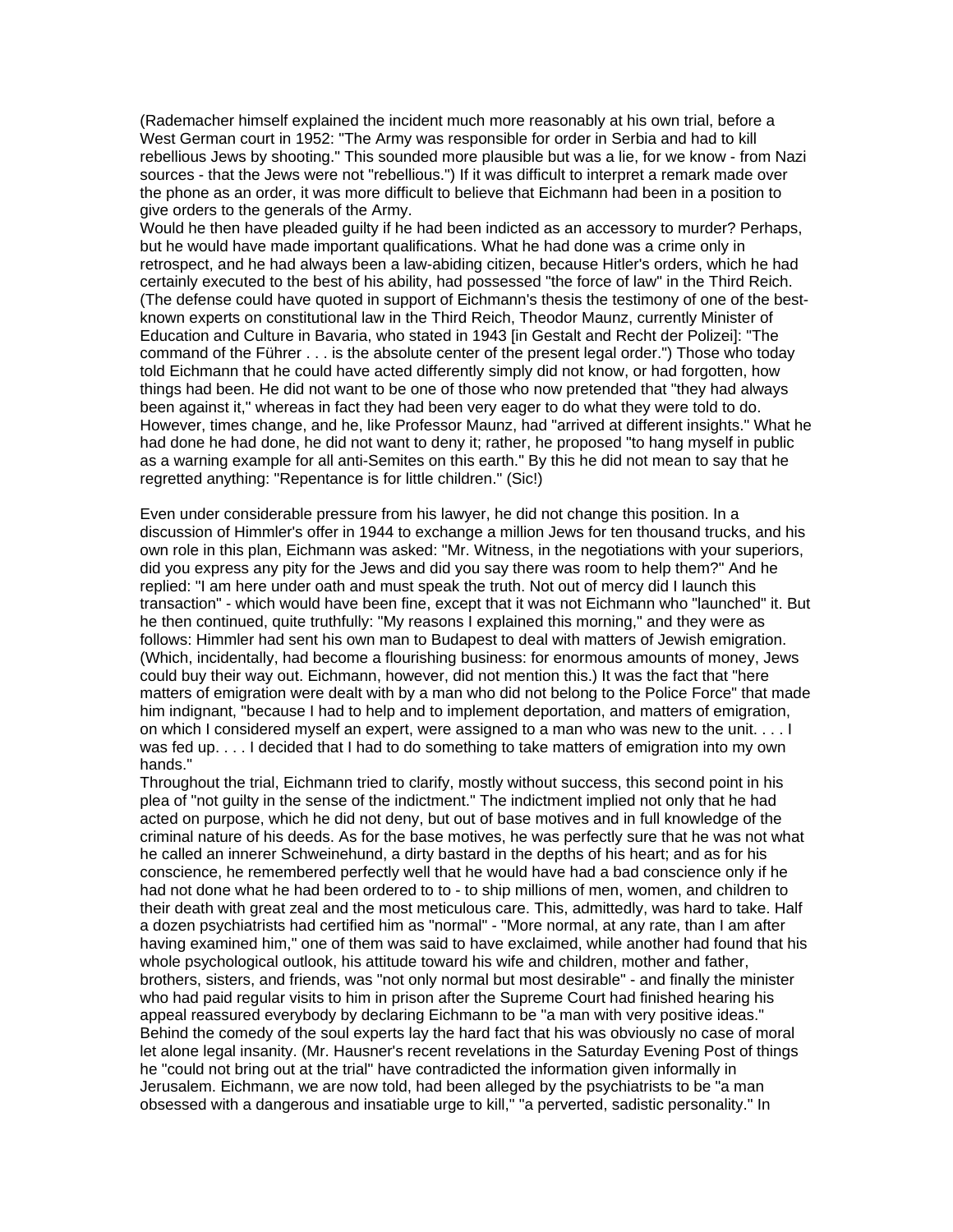(Rademacher himself explained the incident much more reasonably at his own trial, before a West German court in 1952: "The Army was responsible for order in Serbia and had to kill rebellious Jews by shooting." This sounded more plausible but was a lie, for we know - from Nazi sources - that the Jews were not "rebellious.") If it was difficult to interpret a remark made over the phone as an order, it was more difficult to believe that Eichmann had been in a position to give orders to the generals of the Army.

Would he then have pleaded guilty if he had been indicted as an accessory to murder? Perhaps, but he would have made important qualifications. What he had done was a crime only in retrospect, and he had always been a law-abiding citizen, because Hitler's orders, which he had certainly executed to the best of his ability, had possessed "the force of law" in the Third Reich. (The defense could have quoted in support of Eichmann's thesis the testimony of one of the bestknown experts on constitutional law in the Third Reich, Theodor Maunz, currently Minister of Education and Culture in Bavaria, who stated in 1943 [in Gestalt and Recht der Polizei]: "The command of the Führer . . . is the absolute center of the present legal order.") Those who today told Eichmann that he could have acted differently simply did not know, or had forgotten, how things had been. He did not want to be one of those who now pretended that "they had always been against it," whereas in fact they had been very eager to do what they were told to do. However, times change, and he, like Professor Maunz, had "arrived at different insights." What he had done he had done, he did not want to deny it; rather, he proposed "to hang myself in public as a warning example for all anti-Semites on this earth." By this he did not mean to say that he regretted anything: "Repentance is for little children." (Sic!)

Even under considerable pressure from his lawyer, he did not change this position. In a discussion of Himmler's offer in 1944 to exchange a million Jews for ten thousand trucks, and his own role in this plan, Eichmann was asked: "Mr. Witness, in the negotiations with your superiors, did you express any pity for the Jews and did you say there was room to help them?" And he replied: "I am here under oath and must speak the truth. Not out of mercy did I launch this transaction" - which would have been fine, except that it was not Eichmann who "launched" it. But he then continued, quite truthfully: "My reasons I explained this morning," and they were as follows: Himmler had sent his own man to Budapest to deal with matters of Jewish emigration. (Which, incidentally, had become a flourishing business: for enormous amounts of money, Jews could buy their way out. Eichmann, however, did not mention this.) It was the fact that "here matters of emigration were dealt with by a man who did not belong to the Police Force" that made him indignant, "because I had to help and to implement deportation, and matters of emigration, on which I considered myself an expert, were assigned to a man who was new to the unit. . . . I was fed up. . . . I decided that I had to do something to take matters of emigration into my own hands."

Throughout the trial, Eichmann tried to clarify, mostly without success, this second point in his plea of "not guilty in the sense of the indictment." The indictment implied not only that he had acted on purpose, which he did not deny, but out of base motives and in full knowledge of the criminal nature of his deeds. As for the base motives, he was perfectly sure that he was not what he called an innerer Schweinehund, a dirty bastard in the depths of his heart; and as for his conscience, he remembered perfectly well that he would have had a bad conscience only if he had not done what he had been ordered to to - to ship millions of men, women, and children to their death with great zeal and the most meticulous care. This, admittedly, was hard to take. Half a dozen psychiatrists had certified him as "normal" - "More normal, at any rate, than I am after having examined him," one of them was said to have exclaimed, while another had found that his whole psychological outlook, his attitude toward his wife and children, mother and father, brothers, sisters, and friends, was "not only normal but most desirable" - and finally the minister who had paid regular visits to him in prison after the Supreme Court had finished hearing his appeal reassured everybody by declaring Eichmann to be "a man with very positive ideas." Behind the comedy of the soul experts lay the hard fact that his was obviously no case of moral let alone legal insanity. (Mr. Hausner's recent revelations in the Saturday Evening Post of things he "could not bring out at the trial" have contradicted the information given informally in Jerusalem. Eichmann, we are now told, had been alleged by the psychiatrists to be "a man obsessed with a dangerous and insatiable urge to kill," "a perverted, sadistic personality." In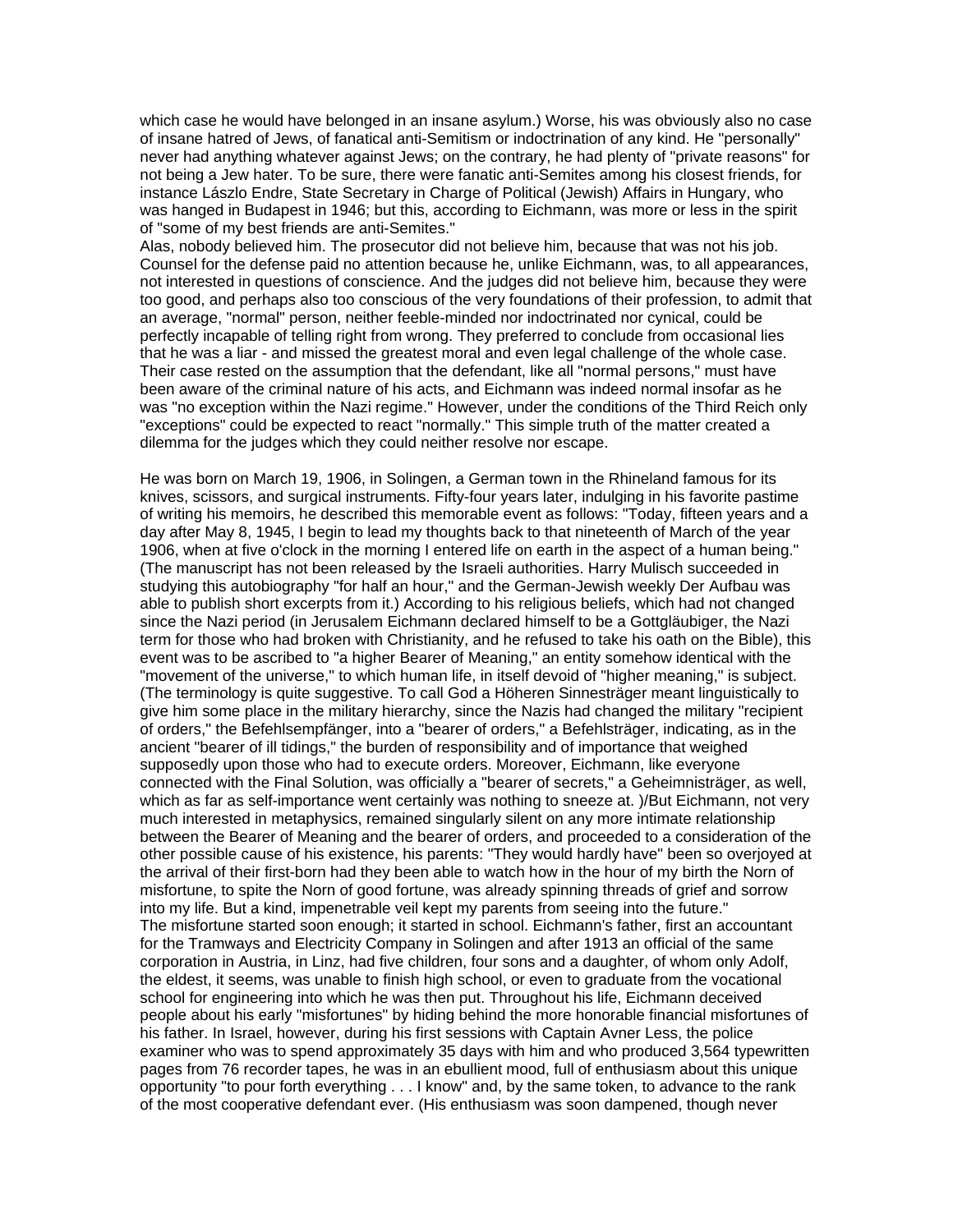which case he would have belonged in an insane asylum.) Worse, his was obviously also no case of insane hatred of Jews, of fanatical anti-Semitism or indoctrination of any kind. He "personally" never had anything whatever against Jews; on the contrary, he had plenty of "private reasons" for not being a Jew hater. To be sure, there were fanatic anti-Semites among his closest friends, for instance Lászlo Endre, State Secretary in Charge of Political (Jewish) Affairs in Hungary, who was hanged in Budapest in 1946; but this, according to Eichmann, was more or less in the spirit of "some of my best friends are anti-Semites."

Alas, nobody believed him. The prosecutor did not believe him, because that was not his job. Counsel for the defense paid no attention because he, unlike Eichmann, was, to all appearances, not interested in questions of conscience. And the judges did not believe him, because they were too good, and perhaps also too conscious of the very foundations of their profession, to admit that an average, "normal" person, neither feeble-minded nor indoctrinated nor cynical, could be perfectly incapable of telling right from wrong. They preferred to conclude from occasional lies that he was a liar - and missed the greatest moral and even legal challenge of the whole case. Their case rested on the assumption that the defendant, like all "normal persons," must have been aware of the criminal nature of his acts, and Eichmann was indeed normal insofar as he was "no exception within the Nazi regime." However, under the conditions of the Third Reich only "exceptions" could be expected to react "normally." This simple truth of the matter created a dilemma for the judges which they could neither resolve nor escape.

He was born on March 19, 1906, in Solingen, a German town in the Rhineland famous for its knives, scissors, and surgical instruments. Fifty-four years later, indulging in his favorite pastime of writing his memoirs, he described this memorable event as follows: "Today, fifteen years and a day after May 8, 1945, I begin to lead my thoughts back to that nineteenth of March of the year 1906, when at five o'clock in the morning I entered life on earth in the aspect of a human being." (The manuscript has not been released by the Israeli authorities. Harry Mulisch succeeded in studying this autobiography "for half an hour," and the German-Jewish weekly Der Aufbau was able to publish short excerpts from it.) According to his religious beliefs, which had not changed since the Nazi period (in Jerusalem Eichmann declared himself to be a Gottgläubiger, the Nazi term for those who had broken with Christianity, and he refused to take his oath on the Bible), this event was to be ascribed to "a higher Bearer of Meaning," an entity somehow identical with the "movement of the universe," to which human life, in itself devoid of "higher meaning," is subject. (The terminology is quite suggestive. To call God a Höheren Sinnesträger meant linguistically to give him some place in the military hierarchy, since the Nazis had changed the military "recipient of orders," the Befehlsempfänger, into a "bearer of orders," a Befehlsträger, indicating, as in the ancient "bearer of ill tidings," the burden of responsibility and of importance that weighed supposedly upon those who had to execute orders. Moreover, Eichmann, like everyone connected with the Final Solution, was officially a "bearer of secrets," a Geheimnisträger, as well, which as far as self-importance went certainly was nothing to sneeze at. )/But Eichmann, not very much interested in metaphysics, remained singularly silent on any more intimate relationship between the Bearer of Meaning and the bearer of orders, and proceeded to a consideration of the other possible cause of his existence, his parents: "They would hardly have" been so overjoyed at the arrival of their first-born had they been able to watch how in the hour of my birth the Norn of misfortune, to spite the Norn of good fortune, was already spinning threads of grief and sorrow into my life. But a kind, impenetrable veil kept my parents from seeing into the future." The misfortune started soon enough; it started in school. Eichmann's father, first an accountant for the Tramways and Electricity Company in Solingen and after 1913 an official of the same corporation in Austria, in Linz, had five children, four sons and a daughter, of whom only Adolf, the eldest, it seems, was unable to finish high school, or even to graduate from the vocational school for engineering into which he was then put. Throughout his life, Eichmann deceived people about his early "misfortunes" by hiding behind the more honorable financial misfortunes of his father. In Israel, however, during his first sessions with Captain Avner Less, the police examiner who was to spend approximately 35 days with him and who produced 3,564 typewritten pages from 76 recorder tapes, he was in an ebullient mood, full of enthusiasm about this unique opportunity "to pour forth everything . . . I know" and, by the same token, to advance to the rank of the most cooperative defendant ever. (His enthusiasm was soon dampened, though never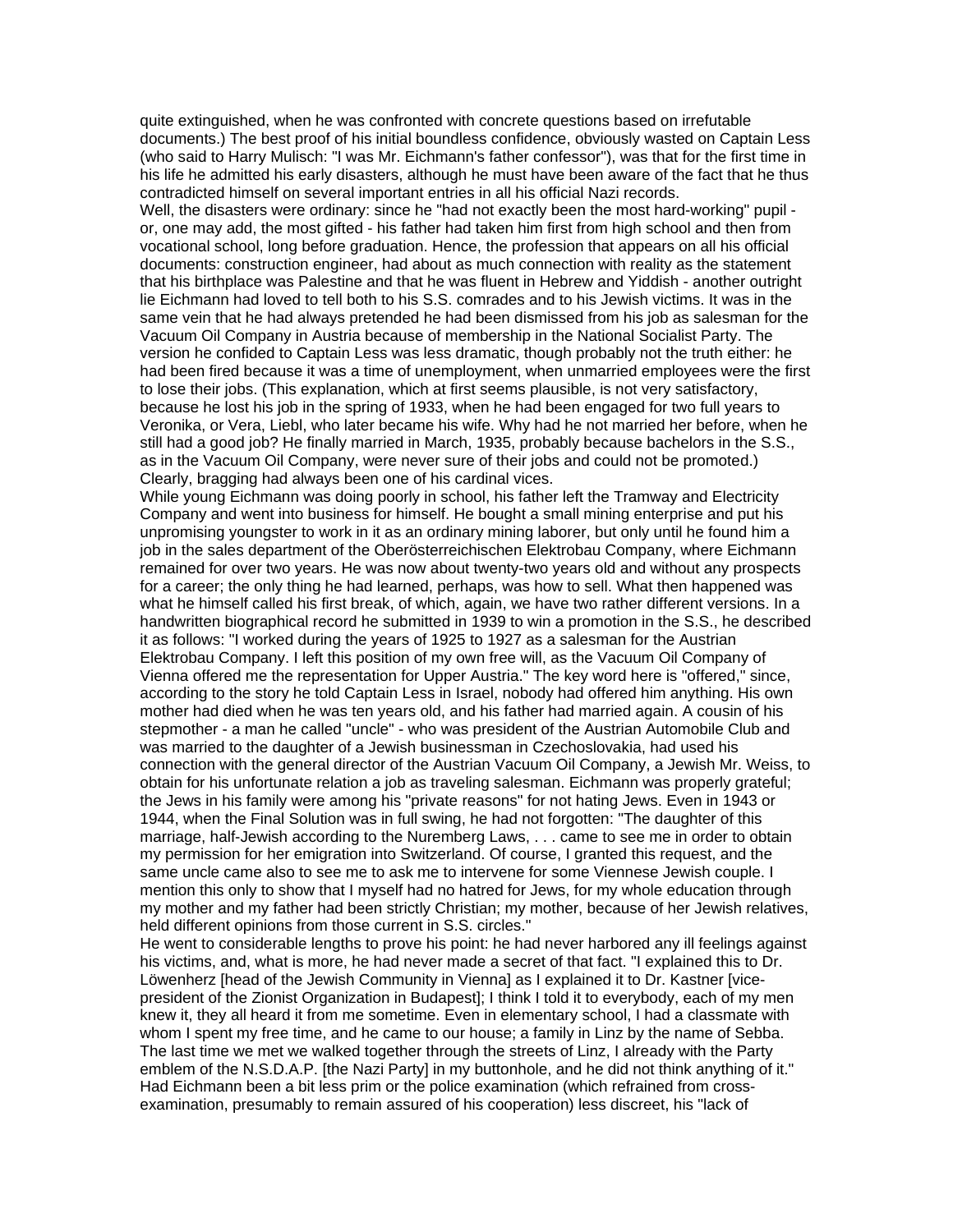quite extinguished, when he was confronted with concrete questions based on irrefutable documents.) The best proof of his initial boundless confidence, obviously wasted on Captain Less (who said to Harry Mulisch: "I was Mr. Eichmann's father confessor"), was that for the first time in his life he admitted his early disasters, although he must have been aware of the fact that he thus contradicted himself on several important entries in all his official Nazi records.

Well, the disasters were ordinary: since he "had not exactly been the most hard-working" pupil or, one may add, the most gifted - his father had taken him first from high school and then from vocational school, long before graduation. Hence, the profession that appears on all his official documents: construction engineer, had about as much connection with reality as the statement that his birthplace was Palestine and that he was fluent in Hebrew and Yiddish - another outright lie Eichmann had loved to tell both to his S.S. comrades and to his Jewish victims. It was in the same vein that he had always pretended he had been dismissed from his job as salesman for the Vacuum Oil Company in Austria because of membership in the National Socialist Party. The version he confided to Captain Less was less dramatic, though probably not the truth either: he had been fired because it was a time of unemployment, when unmarried employees were the first to lose their jobs. (This explanation, which at first seems plausible, is not very satisfactory, because he lost his job in the spring of 1933, when he had been engaged for two full years to Veronika, or Vera, Liebl, who later became his wife. Why had he not married her before, when he still had a good job? He finally married in March, 1935, probably because bachelors in the S.S., as in the Vacuum Oil Company, were never sure of their jobs and could not be promoted.) Clearly, bragging had always been one of his cardinal vices.

While young Eichmann was doing poorly in school, his father left the Tramway and Electricity Company and went into business for himself. He bought a small mining enterprise and put his unpromising youngster to work in it as an ordinary mining laborer, but only until he found him a job in the sales department of the Oberösterreichischen Elektrobau Company, where Eichmann remained for over two years. He was now about twenty-two years old and without any prospects for a career; the only thing he had learned, perhaps, was how to sell. What then happened was what he himself called his first break, of which, again, we have two rather different versions. In a handwritten biographical record he submitted in 1939 to win a promotion in the S.S., he described it as follows: "I worked during the years of 1925 to 1927 as a salesman for the Austrian Elektrobau Company. I left this position of my own free will, as the Vacuum Oil Company of Vienna offered me the representation for Upper Austria." The key word here is "offered," since, according to the story he told Captain Less in Israel, nobody had offered him anything. His own mother had died when he was ten years old, and his father had married again. A cousin of his stepmother - a man he called "uncle" - who was president of the Austrian Automobile Club and was married to the daughter of a Jewish businessman in Czechoslovakia, had used his connection with the general director of the Austrian Vacuum Oil Company, a Jewish Mr. Weiss, to obtain for his unfortunate relation a job as traveling salesman. Eichmann was properly grateful; the Jews in his family were among his "private reasons" for not hating Jews. Even in 1943 or 1944, when the Final Solution was in full swing, he had not forgotten: "The daughter of this marriage, half-Jewish according to the Nuremberg Laws, . . . came to see me in order to obtain my permission for her emigration into Switzerland. Of course, I granted this request, and the same uncle came also to see me to ask me to intervene for some Viennese Jewish couple. I mention this only to show that I myself had no hatred for Jews, for my whole education through my mother and my father had been strictly Christian; my mother, because of her Jewish relatives, held different opinions from those current in S.S. circles."

He went to considerable lengths to prove his point: he had never harbored any ill feelings against his victims, and, what is more, he had never made a secret of that fact. "I explained this to Dr. Löwenherz [head of the Jewish Community in Vienna] as I explained it to Dr. Kastner [vicepresident of the Zionist Organization in Budapest]; I think I told it to everybody, each of my men knew it, they all heard it from me sometime. Even in elementary school, I had a classmate with whom I spent my free time, and he came to our house; a family in Linz by the name of Sebba. The last time we met we walked together through the streets of Linz, I already with the Party emblem of the N.S.D.A.P. [the Nazi Party] in my buttonhole, and he did not think anything of it." Had Eichmann been a bit less prim or the police examination (which refrained from crossexamination, presumably to remain assured of his cooperation) less discreet, his "lack of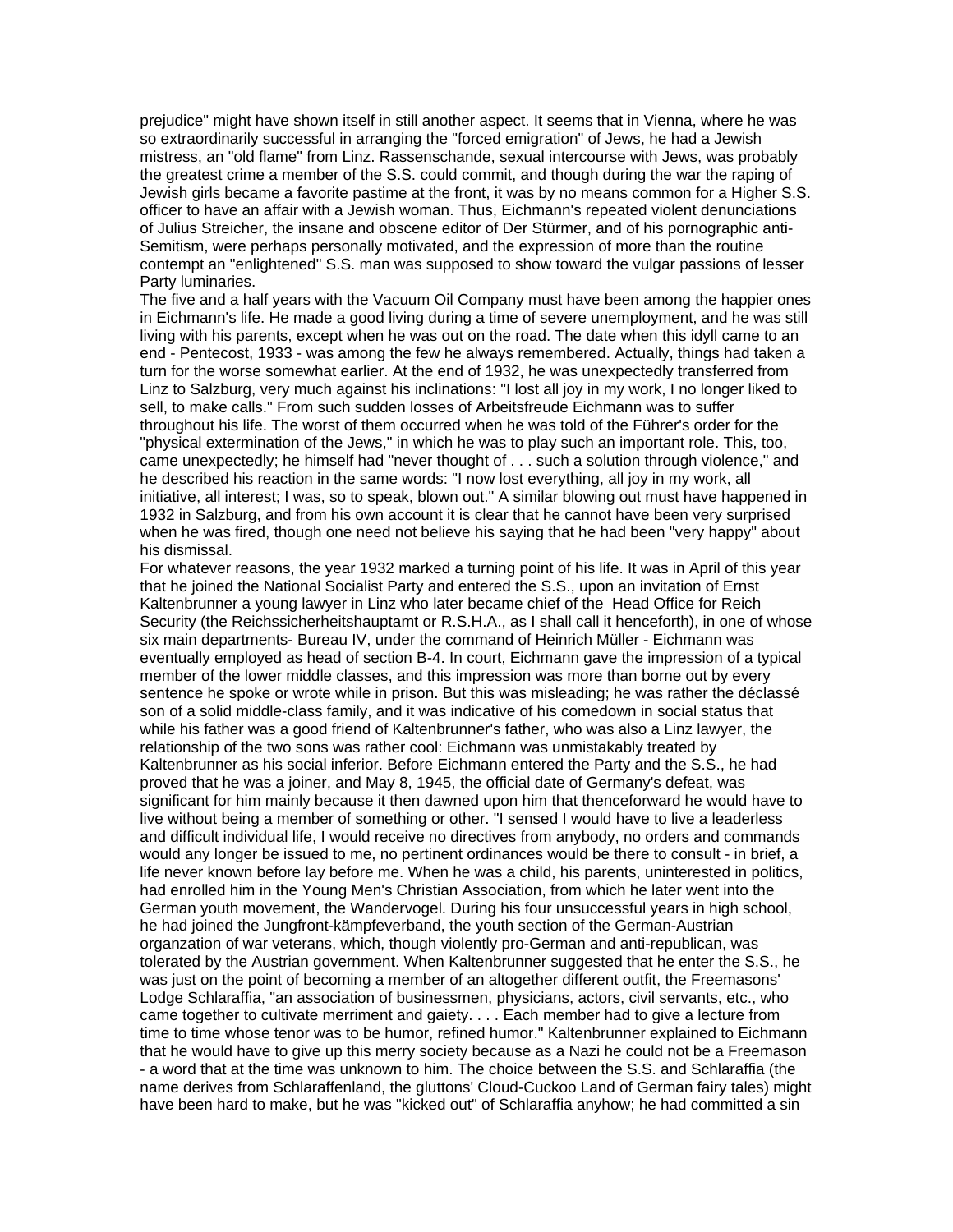prejudice" might have shown itself in still another aspect. It seems that in Vienna, where he was so extraordinarily successful in arranging the "forced emigration" of Jews, he had a Jewish mistress, an "old flame" from Linz. Rassenschande, sexual intercourse with Jews, was probably the greatest crime a member of the S.S. could commit, and though during the war the raping of Jewish girls became a favorite pastime at the front, it was by no means common for a Higher S.S. officer to have an affair with a Jewish woman. Thus, Eichmann's repeated violent denunciations of Julius Streicher, the insane and obscene editor of Der Stürmer, and of his pornographic anti-Semitism, were perhaps personally motivated, and the expression of more than the routine contempt an "enlightened" S.S. man was supposed to show toward the vulgar passions of lesser Party luminaries.

The five and a half years with the Vacuum Oil Company must have been among the happier ones in Eichmann's life. He made a good living during a time of severe unemployment, and he was still living with his parents, except when he was out on the road. The date when this idyll came to an end - Pentecost, 1933 - was among the few he always remembered. Actually, things had taken a turn for the worse somewhat earlier. At the end of 1932, he was unexpectedly transferred from Linz to Salzburg, very much against his inclinations: "I lost all joy in my work, I no longer liked to sell, to make calls." From such sudden losses of Arbeitsfreude Eichmann was to suffer throughout his life. The worst of them occurred when he was told of the Führer's order for the "physical extermination of the Jews," in which he was to play such an important role. This, too, came unexpectedly; he himself had "never thought of . . . such a solution through violence," and he described his reaction in the same words: "I now lost everything, all joy in my work, all initiative, all interest; I was, so to speak, blown out." A similar blowing out must have happened in 1932 in Salzburg, and from his own account it is clear that he cannot have been very surprised when he was fired, though one need not believe his saying that he had been "very happy" about his dismissal.

For whatever reasons, the year 1932 marked a turning point of his life. It was in April of this year that he joined the National Socialist Party and entered the S.S., upon an invitation of Ernst Kaltenbrunner a young lawyer in Linz who later became chief of the Head Office for Reich Security (the Reichssicherheitshauptamt or R.S.H.A., as I shall call it henceforth), in one of whose six main departments- Bureau IV, under the command of Heinrich Müller - Eichmann was eventually employed as head of section B-4. In court, Eichmann gave the impression of a typical member of the lower middle classes, and this impression was more than borne out by every sentence he spoke or wrote while in prison. But this was misleading; he was rather the déclassé son of a solid middle-class family, and it was indicative of his comedown in social status that while his father was a good friend of Kaltenbrunner's father, who was also a Linz lawyer, the relationship of the two sons was rather cool: Eichmann was unmistakably treated by Kaltenbrunner as his social inferior. Before Eichmann entered the Party and the S.S., he had proved that he was a joiner, and May 8, 1945, the official date of Germany's defeat, was significant for him mainly because it then dawned upon him that thenceforward he would have to live without being a member of something or other. "I sensed I would have to live a leaderless and difficult individual life, I would receive no directives from anybody, no orders and commands would any longer be issued to me, no pertinent ordinances would be there to consult - in brief, a life never known before lay before me. When he was a child, his parents, uninterested in politics, had enrolled him in the Young Men's Christian Association, from which he later went into the German youth movement, the Wandervogel. During his four unsuccessful years in high school, he had joined the Jungfront-kämpfeverband, the youth section of the German-Austrian organzation of war veterans, which, though violently pro-German and anti-republican, was tolerated by the Austrian government. When Kaltenbrunner suggested that he enter the S.S., he was just on the point of becoming a member of an altogether different outfit, the Freemasons' Lodge Schlaraffia, "an association of businessmen, physicians, actors, civil servants, etc., who came together to cultivate merriment and gaiety. . . . Each member had to give a lecture from time to time whose tenor was to be humor, refined humor." Kaltenbrunner explained to Eichmann that he would have to give up this merry society because as a Nazi he could not be a Freemason - a word that at the time was unknown to him. The choice between the S.S. and Schlaraffia (the name derives from Schlaraffenland, the gluttons' Cloud-Cuckoo Land of German fairy tales) might have been hard to make, but he was "kicked out" of Schlaraffia anyhow; he had committed a sin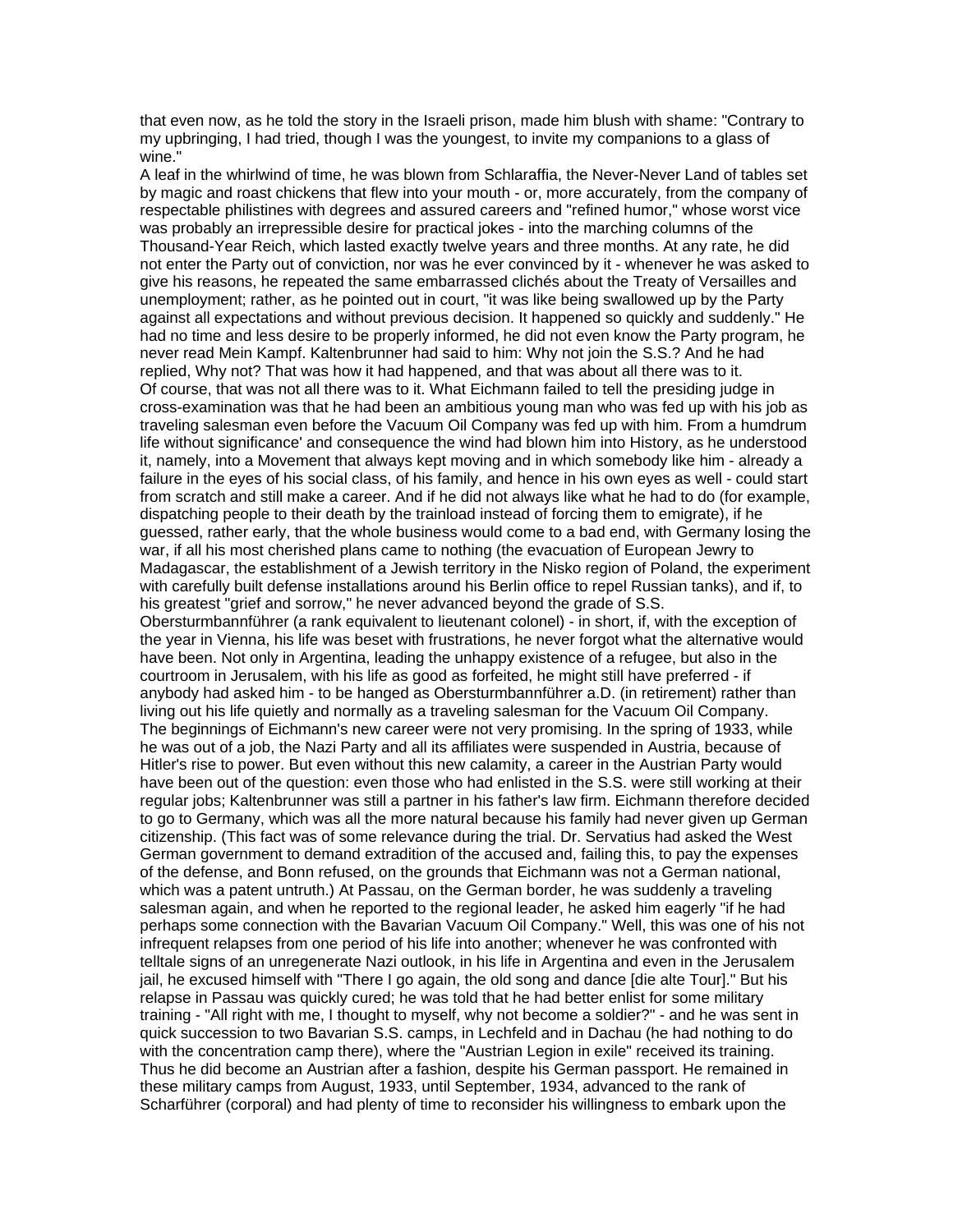that even now, as he told the story in the Israeli prison, made him blush with shame: "Contrary to my upbringing, I had tried, though I was the youngest, to invite my companions to a glass of wine."

A leaf in the whirlwind of time, he was blown from Schlaraffia, the Never-Never Land of tables set by magic and roast chickens that flew into your mouth - or, more accurately, from the company of respectable philistines with degrees and assured careers and "refined humor," whose worst vice was probably an irrepressible desire for practical jokes - into the marching columns of the Thousand-Year Reich, which lasted exactly twelve years and three months. At any rate, he did not enter the Party out of conviction, nor was he ever convinced by it - whenever he was asked to give his reasons, he repeated the same embarrassed clichés about the Treaty of Versailles and unemployment; rather, as he pointed out in court, "it was like being swallowed up by the Party against all expectations and without previous decision. It happened so quickly and suddenly." He had no time and less desire to be properly informed, he did not even know the Party program, he never read Mein Kampf. Kaltenbrunner had said to him: Why not join the S.S.? And he had replied, Why not? That was how it had happened, and that was about all there was to it. Of course, that was not all there was to it. What Eichmann failed to tell the presiding judge in cross-examination was that he had been an ambitious young man who was fed up with his job as traveling salesman even before the Vacuum Oil Company was fed up with him. From a humdrum life without significance' and consequence the wind had blown him into History, as he understood it, namely, into a Movement that always kept moving and in which somebody like him - already a failure in the eyes of his social class, of his family, and hence in his own eyes as well - could start from scratch and still make a career. And if he did not always like what he had to do (for example, dispatching people to their death by the trainload instead of forcing them to emigrate), if he guessed, rather early, that the whole business would come to a bad end, with Germany losing the war, if all his most cherished plans came to nothing (the evacuation of European Jewry to Madagascar, the establishment of a Jewish territory in the Nisko region of Poland, the experiment with carefully built defense installations around his Berlin office to repel Russian tanks), and if, to his greatest "grief and sorrow," he never advanced beyond the grade of S.S. Obersturmbannführer (a rank equivalent to lieutenant colonel) - in short, if, with the exception of the year in Vienna, his life was beset with frustrations, he never forgot what the alternative would have been. Not only in Argentina, leading the unhappy existence of a refugee, but also in the courtroom in Jerusalem, with his life as good as forfeited, he might still have preferred - if anybody had asked him - to be hanged as Obersturmbannführer a.D. (in retirement) rather than living out his life quietly and normally as a traveling salesman for the Vacuum Oil Company. The beginnings of Eichmann's new career were not very promising. In the spring of 1933, while he was out of a job, the Nazi Party and all its affiliates were suspended in Austria, because of Hitler's rise to power. But even without this new calamity, a career in the Austrian Party would have been out of the question: even those who had enlisted in the S.S. were still working at their regular jobs; Kaltenbrunner was still a partner in his father's law firm. Eichmann therefore decided to go to Germany, which was all the more natural because his family had never given up German citizenship. (This fact was of some relevance during the trial. Dr. Servatius had asked the West German government to demand extradition of the accused and, failing this, to pay the expenses of the defense, and Bonn refused, on the grounds that Eichmann was not a German national, which was a patent untruth.) At Passau, on the German border, he was suddenly a traveling salesman again, and when he reported to the regional leader, he asked him eagerly "if he had perhaps some connection with the Bavarian Vacuum Oil Company." Well, this was one of his not infrequent relapses from one period of his life into another; whenever he was confronted with telltale signs of an unregenerate Nazi outlook, in his life in Argentina and even in the Jerusalem jail, he excused himself with "There I go again, the old song and dance [die alte Tour]." But his relapse in Passau was quickly cured; he was told that he had better enlist for some military training - "All right with me, I thought to myself, why not become a soldier?" - and he was sent in quick succession to two Bavarian S.S. camps, in Lechfeld and in Dachau (he had nothing to do with the concentration camp there), where the "Austrian Legion in exile" received its training. Thus he did become an Austrian after a fashion, despite his German passport. He remained in these military camps from August, 1933, until September, 1934, advanced to the rank of Scharführer (corporal) and had plenty of time to reconsider his willingness to embark upon the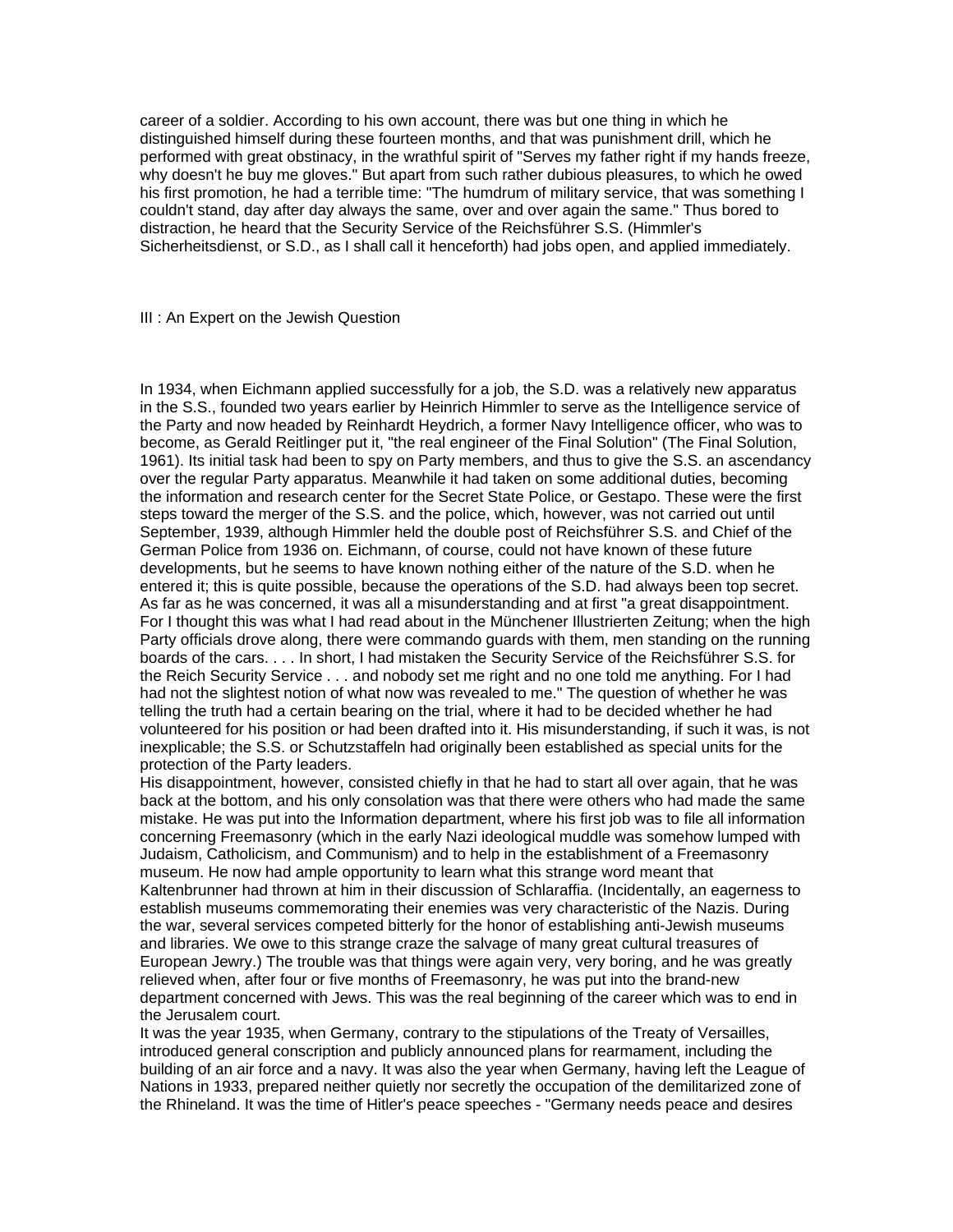career of a soldier. According to his own account, there was but one thing in which he distinguished himself during these fourteen months, and that was punishment drill, which he performed with great obstinacy, in the wrathful spirit of "Serves my father right if my hands freeze, why doesn't he buy me gloves." But apart from such rather dubious pleasures, to which he owed his first promotion, he had a terrible time: "The humdrum of military service, that was something I couldn't stand, day after day always the same, over and over again the same." Thus bored to distraction, he heard that the Security Service of the Reichsführer S.S. (Himmler's Sicherheitsdienst, or S.D., as I shall call it henceforth) had jobs open, and applied immediately.

### III : An Expert on the Jewish Question

In 1934, when Eichmann applied successfully for a job, the S.D. was a relatively new apparatus in the S.S., founded two years earlier by Heinrich Himmler to serve as the Intelligence service of the Party and now headed by Reinhardt Heydrich, a former Navy Intelligence officer, who was to become, as Gerald Reitlinger put it, "the real engineer of the Final Solution" (The Final Solution, 1961). Its initial task had been to spy on Party members, and thus to give the S.S. an ascendancy over the regular Party apparatus. Meanwhile it had taken on some additional duties, becoming the information and research center for the Secret State Police, or Gestapo. These were the first steps toward the merger of the S.S. and the police, which, however, was not carried out until September, 1939, although Himmler held the double post of Reichsführer S.S. and Chief of the German Police from 1936 on. Eichmann, of course, could not have known of these future developments, but he seems to have known nothing either of the nature of the S.D. when he entered it; this is quite possible, because the operations of the S.D. had always been top secret. As far as he was concerned, it was all a misunderstanding and at first "a great disappointment. For I thought this was what I had read about in the Münchener Illustrierten Zeitung; when the high Party officials drove along, there were commando guards with them, men standing on the running boards of the cars. . . . In short, I had mistaken the Security Service of the Reichsführer S.S. for the Reich Security Service . . . and nobody set me right and no one told me anything. For I had had not the slightest notion of what now was revealed to me." The question of whether he was telling the truth had a certain bearing on the trial, where it had to be decided whether he had volunteered for his position or had been drafted into it. His misunderstanding, if such it was, is not inexplicable; the S.S. or Schutzstaffeln had originally been established as special units for the protection of the Party leaders.

His disappointment, however, consisted chiefly in that he had to start all over again, that he was back at the bottom, and his only consolation was that there were others who had made the same mistake. He was put into the Information department, where his first job was to file all information concerning Freemasonry (which in the early Nazi ideological muddle was somehow lumped with Judaism, Catholicism, and Communism) and to help in the establishment of a Freemasonry museum. He now had ample opportunity to learn what this strange word meant that Kaltenbrunner had thrown at him in their discussion of Schlaraffia. (Incidentally, an eagerness to establish museums commemorating their enemies was very characteristic of the Nazis. During the war, several services competed bitterly for the honor of establishing anti-Jewish museums and libraries. We owe to this strange craze the salvage of many great cultural treasures of European Jewry.) The trouble was that things were again very, very boring, and he was greatly relieved when, after four or five months of Freemasonry, he was put into the brand-new department concerned with Jews. This was the real beginning of the career which was to end in the Jerusalem court.

It was the year 1935, when Germany, contrary to the stipulations of the Treaty of Versailles, introduced general conscription and publicly announced plans for rearmament, including the building of an air force and a navy. It was also the year when Germany, having left the League of Nations in 1933, prepared neither quietly nor secretly the occupation of the demilitarized zone of the Rhineland. It was the time of Hitler's peace speeches - "Germany needs peace and desires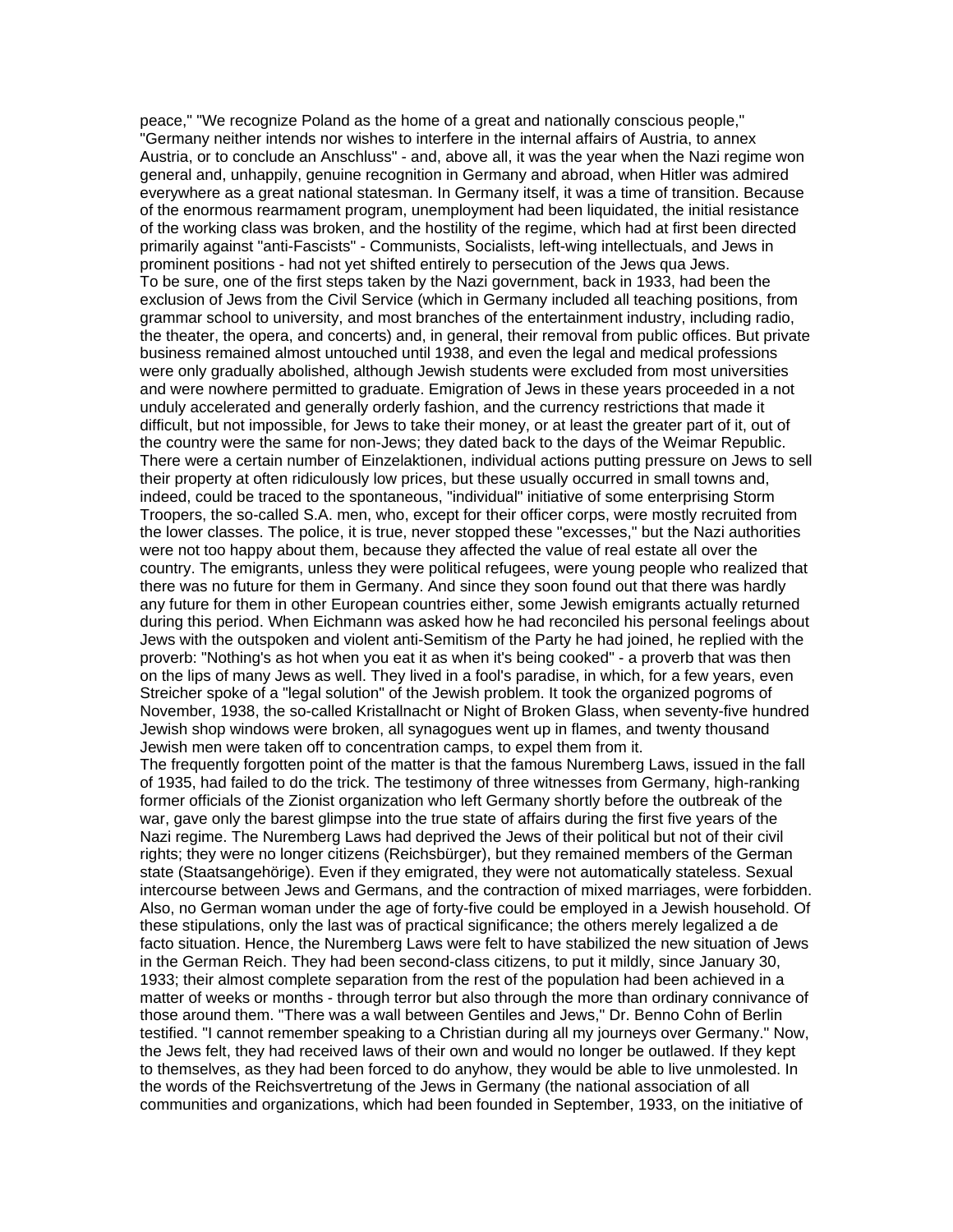peace," "We recognize Poland as the home of a great and nationally conscious people," "Germany neither intends nor wishes to interfere in the internal affairs of Austria, to annex Austria, or to conclude an Anschluss" - and, above all, it was the year when the Nazi regime won general and, unhappily, genuine recognition in Germany and abroad, when Hitler was admired everywhere as a great national statesman. In Germany itself, it was a time of transition. Because of the enormous rearmament program, unemployment had been liquidated, the initial resistance of the working class was broken, and the hostility of the regime, which had at first been directed primarily against "anti-Fascists" - Communists, Socialists, left-wing intellectuals, and Jews in prominent positions - had not yet shifted entirely to persecution of the Jews qua Jews. To be sure, one of the first steps taken by the Nazi government, back in 1933, had been the exclusion of Jews from the Civil Service (which in Germany included all teaching positions, from grammar school to university, and most branches of the entertainment industry, including radio, the theater, the opera, and concerts) and, in general, their removal from public offices. But private business remained almost untouched until 1938, and even the legal and medical professions were only gradually abolished, although Jewish students were excluded from most universities and were nowhere permitted to graduate. Emigration of Jews in these years proceeded in a not unduly accelerated and generally orderly fashion, and the currency restrictions that made it difficult, but not impossible, for Jews to take their money, or at least the greater part of it, out of the country were the same for non-Jews; they dated back to the days of the Weimar Republic. There were a certain number of Einzelaktionen, individual actions putting pressure on Jews to sell their property at often ridiculously low prices, but these usually occurred in small towns and, indeed, could be traced to the spontaneous, "individual" initiative of some enterprising Storm Troopers, the so-called S.A. men, who, except for their officer corps, were mostly recruited from the lower classes. The police, it is true, never stopped these "excesses," but the Nazi authorities were not too happy about them, because they affected the value of real estate all over the country. The emigrants, unless they were political refugees, were young people who realized that there was no future for them in Germany. And since they soon found out that there was hardly any future for them in other European countries either, some Jewish emigrants actually returned during this period. When Eichmann was asked how he had reconciled his personal feelings about Jews with the outspoken and violent anti-Semitism of the Party he had joined, he replied with the proverb: "Nothing's as hot when you eat it as when it's being cooked" - a proverb that was then on the lips of many Jews as well. They lived in a fool's paradise, in which, for a few years, even Streicher spoke of a "legal solution" of the Jewish problem. It took the organized pogroms of November, 1938, the so-called Kristallnacht or Night of Broken Glass, when seventy-five hundred Jewish shop windows were broken, all synagogues went up in flames, and twenty thousand Jewish men were taken off to concentration camps, to expel them from it. The frequently forgotten point of the matter is that the famous Nuremberg Laws, issued in the fall of 1935, had failed to do the trick. The testimony of three witnesses from Germany, high-ranking

former officials of the Zionist organization who left Germany shortly before the outbreak of the war, gave only the barest glimpse into the true state of affairs during the first five years of the Nazi regime. The Nuremberg Laws had deprived the Jews of their political but not of their civil rights; they were no longer citizens (Reichsbürger), but they remained members of the German state (Staatsangehörige). Even if they emigrated, they were not automatically stateless. Sexual intercourse between Jews and Germans, and the contraction of mixed marriages, were forbidden. Also, no German woman under the age of forty-five could be employed in a Jewish household. Of these stipulations, only the last was of practical significance; the others merely legalized a de facto situation. Hence, the Nuremberg Laws were felt to have stabilized the new situation of Jews in the German Reich. They had been second-class citizens, to put it mildly, since January 30, 1933; their almost complete separation from the rest of the population had been achieved in a matter of weeks or months - through terror but also through the more than ordinary connivance of those around them. "There was a wall between Gentiles and Jews," Dr. Benno Cohn of Berlin testified. "I cannot remember speaking to a Christian during all my journeys over Germany." Now, the Jews felt, they had received laws of their own and would no longer be outlawed. If they kept to themselves, as they had been forced to do anyhow, they would be able to live unmolested. In the words of the Reichsvertretung of the Jews in Germany (the national association of all communities and organizations, which had been founded in September, 1933, on the initiative of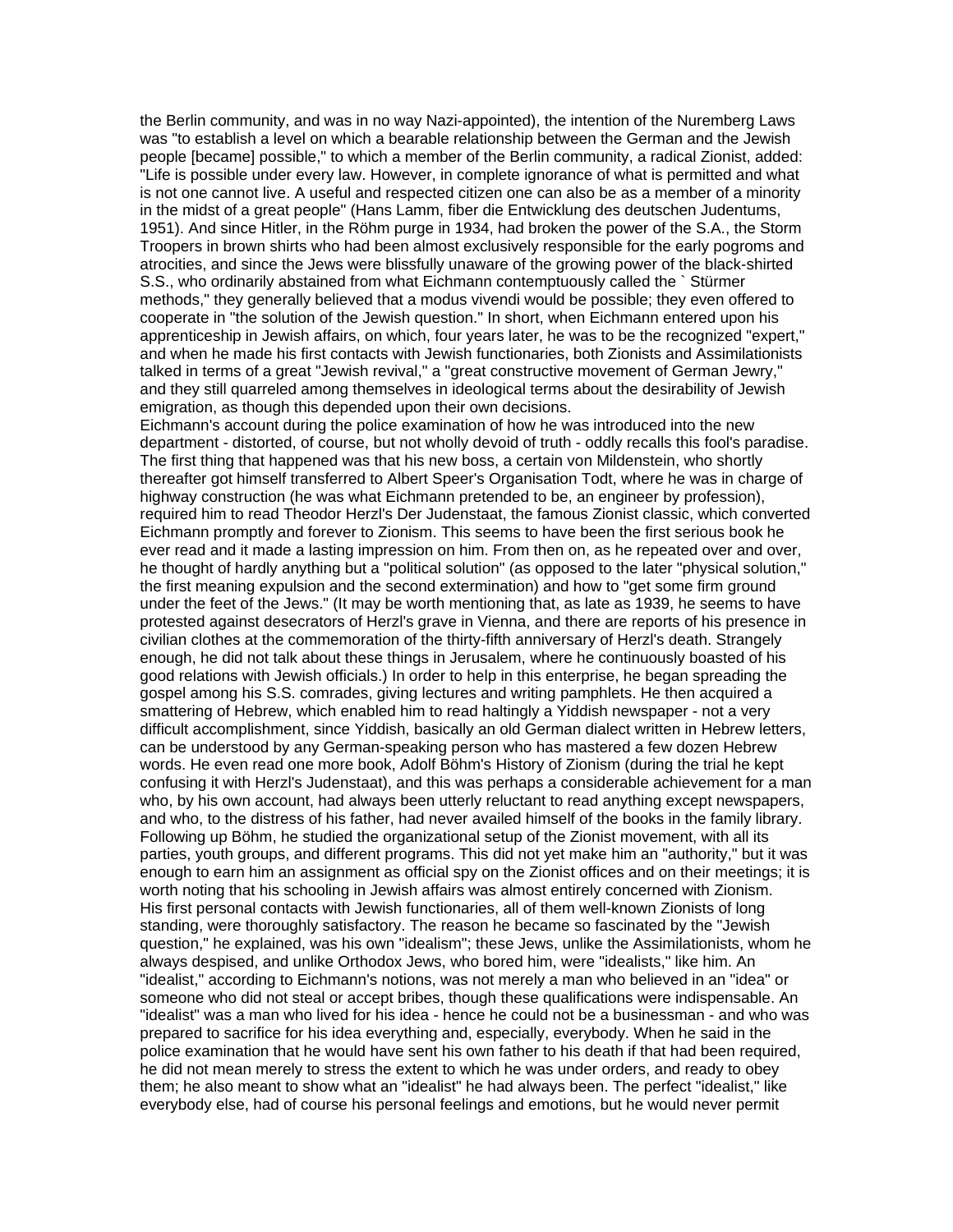the Berlin community, and was in no way Nazi-appointed), the intention of the Nuremberg Laws was "to establish a level on which a bearable relationship between the German and the Jewish people [became] possible," to which a member of the Berlin community, a radical Zionist, added: "Life is possible under every law. However, in complete ignorance of what is permitted and what is not one cannot live. A useful and respected citizen one can also be as a member of a minority in the midst of a great people" (Hans Lamm, fiber die Entwicklung des deutschen Judentums, 1951). And since Hitler, in the Röhm purge in 1934, had broken the power of the S.A., the Storm Troopers in brown shirts who had been almost exclusively responsible for the early pogroms and atrocities, and since the Jews were blissfully unaware of the growing power of the black-shirted S.S., who ordinarily abstained from what Eichmann contemptuously called the ` Stürmer methods," they generally believed that a modus vivendi would be possible; they even offered to cooperate in "the solution of the Jewish question." In short, when Eichmann entered upon his apprenticeship in Jewish affairs, on which, four years later, he was to be the recognized "expert," and when he made his first contacts with Jewish functionaries, both Zionists and Assimilationists talked in terms of a great "Jewish revival," a "great constructive movement of German Jewry," and they still quarreled among themselves in ideological terms about the desirability of Jewish emigration, as though this depended upon their own decisions.

Eichmann's account during the police examination of how he was introduced into the new department - distorted, of course, but not wholly devoid of truth - oddly recalls this fool's paradise. The first thing that happened was that his new boss, a certain von Mildenstein, who shortly thereafter got himself transferred to Albert Speer's Organisation Todt, where he was in charge of highway construction (he was what Eichmann pretended to be, an engineer by profession), required him to read Theodor Herzl's Der Judenstaat, the famous Zionist classic, which converted Eichmann promptly and forever to Zionism. This seems to have been the first serious book he ever read and it made a lasting impression on him. From then on, as he repeated over and over, he thought of hardly anything but a "political solution" (as opposed to the later "physical solution," the first meaning expulsion and the second extermination) and how to "get some firm ground under the feet of the Jews." (It may be worth mentioning that, as late as 1939, he seems to have protested against desecrators of Herzl's grave in Vienna, and there are reports of his presence in civilian clothes at the commemoration of the thirty-fifth anniversary of Herzl's death. Strangely enough, he did not talk about these things in Jerusalem, where he continuously boasted of his good relations with Jewish officials.) In order to help in this enterprise, he began spreading the gospel among his S.S. comrades, giving lectures and writing pamphlets. He then acquired a smattering of Hebrew, which enabled him to read haltingly a Yiddish newspaper - not a very difficult accomplishment, since Yiddish, basically an old German dialect written in Hebrew letters, can be understood by any German-speaking person who has mastered a few dozen Hebrew words. He even read one more book, Adolf Böhm's History of Zionism (during the trial he kept confusing it with Herzl's Judenstaat), and this was perhaps a considerable achievement for a man who, by his own account, had always been utterly reluctant to read anything except newspapers, and who, to the distress of his father, had never availed himself of the books in the family library. Following up Böhm, he studied the organizational setup of the Zionist movement, with all its parties, youth groups, and different programs. This did not yet make him an "authority," but it was enough to earn him an assignment as official spy on the Zionist offices and on their meetings; it is worth noting that his schooling in Jewish affairs was almost entirely concerned with Zionism. His first personal contacts with Jewish functionaries, all of them well-known Zionists of long standing, were thoroughly satisfactory. The reason he became so fascinated by the "Jewish question," he explained, was his own "idealism"; these Jews, unlike the Assimilationists, whom he always despised, and unlike Orthodox Jews, who bored him, were "idealists," like him. An "idealist," according to Eichmann's notions, was not merely a man who believed in an "idea" or someone who did not steal or accept bribes, though these qualifications were indispensable. An "idealist" was a man who lived for his idea - hence he could not be a businessman - and who was prepared to sacrifice for his idea everything and, especially, everybody. When he said in the police examination that he would have sent his own father to his death if that had been required, he did not mean merely to stress the extent to which he was under orders, and ready to obey them; he also meant to show what an "idealist" he had always been. The perfect "idealist," like everybody else, had of course his personal feelings and emotions, but he would never permit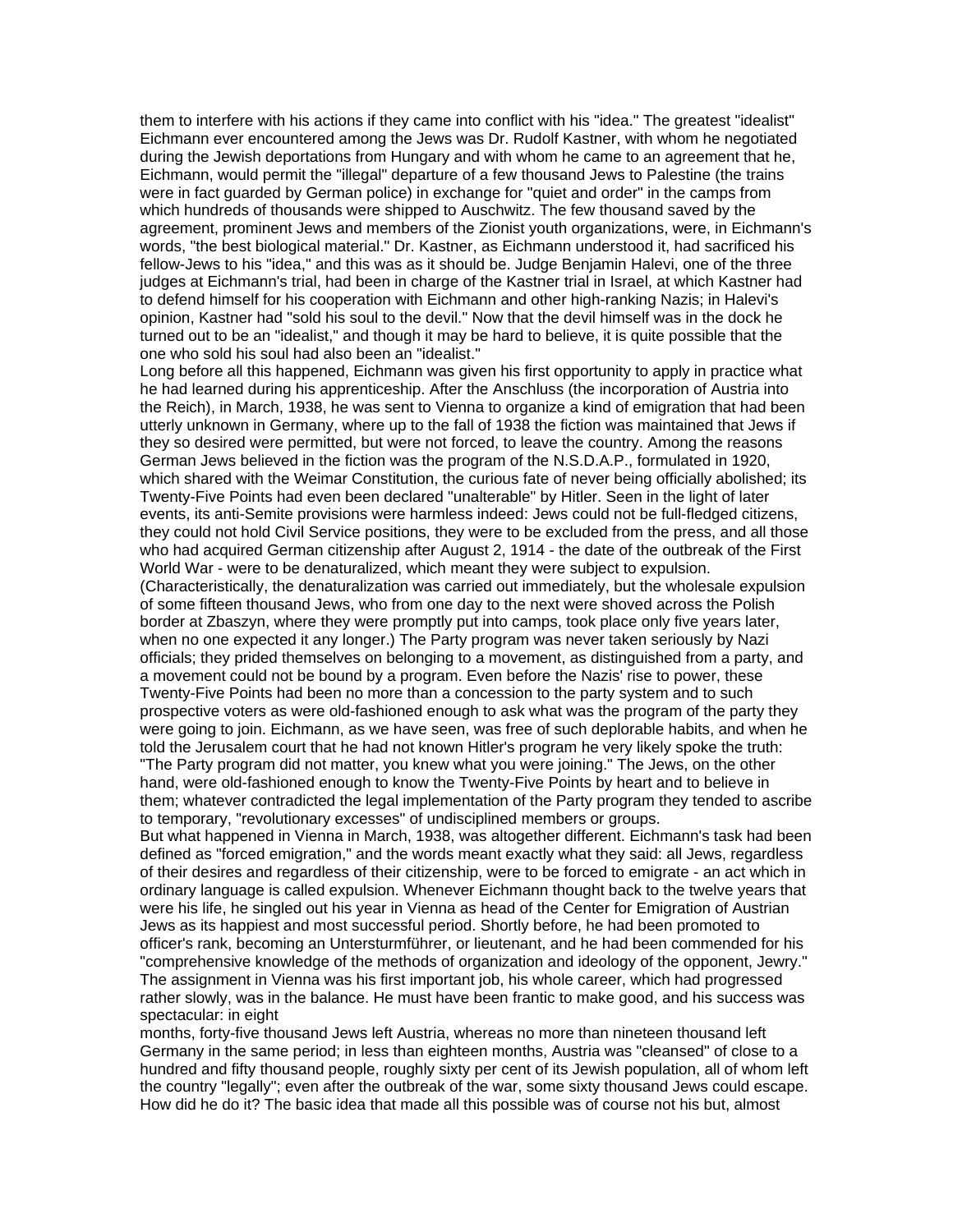them to interfere with his actions if they came into conflict with his "idea." The greatest "idealist" Eichmann ever encountered among the Jews was Dr. Rudolf Kastner, with whom he negotiated during the Jewish deportations from Hungary and with whom he came to an agreement that he, Eichmann, would permit the "illegal" departure of a few thousand Jews to Palestine (the trains were in fact guarded by German police) in exchange for "quiet and order" in the camps from which hundreds of thousands were shipped to Auschwitz. The few thousand saved by the agreement, prominent Jews and members of the Zionist youth organizations, were, in Eichmann's words, "the best biological material." Dr. Kastner, as Eichmann understood it, had sacrificed his fellow-Jews to his "idea," and this was as it should be. Judge Benjamin Halevi, one of the three judges at Eichmann's trial, had been in charge of the Kastner trial in Israel, at which Kastner had to defend himself for his cooperation with Eichmann and other high-ranking Nazis; in Halevi's opinion, Kastner had "sold his soul to the devil." Now that the devil himself was in the dock he turned out to be an "idealist," and though it may be hard to believe, it is quite possible that the one who sold his soul had also been an "idealist."

Long before all this happened, Eichmann was given his first opportunity to apply in practice what he had learned during his apprenticeship. After the Anschluss (the incorporation of Austria into the Reich), in March, 1938, he was sent to Vienna to organize a kind of emigration that had been utterly unknown in Germany, where up to the fall of 1938 the fiction was maintained that Jews if they so desired were permitted, but were not forced, to leave the country. Among the reasons German Jews believed in the fiction was the program of the N.S.D.A.P., formulated in 1920, which shared with the Weimar Constitution, the curious fate of never being officially abolished; its Twenty-Five Points had even been declared "unalterable" by Hitler. Seen in the light of later events, its anti-Semite provisions were harmless indeed: Jews could not be full-fledged citizens, they could not hold Civil Service positions, they were to be excluded from the press, and all those who had acquired German citizenship after August 2, 1914 - the date of the outbreak of the First World War - were to be denaturalized, which meant they were subject to expulsion. (Characteristically, the denaturalization was carried out immediately, but the wholesale expulsion of some fifteen thousand Jews, who from one day to the next were shoved across the Polish border at Zbaszyn, where they were promptly put into camps, took place only five years later, when no one expected it any longer.) The Party program was never taken seriously by Nazi officials; they prided themselves on belonging to a movement, as distinguished from a party, and a movement could not be bound by a program. Even before the Nazis' rise to power, these Twenty-Five Points had been no more than a concession to the party system and to such prospective voters as were old-fashioned enough to ask what was the program of the party they were going to join. Eichmann, as we have seen, was free of such deplorable habits, and when he told the Jerusalem court that he had not known Hitler's program he very likely spoke the truth: "The Party program did not matter, you knew what you were joining." The Jews, on the other

hand, were old-fashioned enough to know the Twenty-Five Points by heart and to believe in them; whatever contradicted the legal implementation of the Party program they tended to ascribe to temporary, "revolutionary excesses" of undisciplined members or groups.

But what happened in Vienna in March, 1938, was altogether different. Eichmann's task had been defined as "forced emigration," and the words meant exactly what they said: all Jews, regardless of their desires and regardless of their citizenship, were to be forced to emigrate - an act which in ordinary language is called expulsion. Whenever Eichmann thought back to the twelve years that were his life, he singled out his year in Vienna as head of the Center for Emigration of Austrian Jews as its happiest and most successful period. Shortly before, he had been promoted to officer's rank, becoming an Untersturmführer, or lieutenant, and he had been commended for his "comprehensive knowledge of the methods of organization and ideology of the opponent, Jewry." The assignment in Vienna was his first important job, his whole career, which had progressed rather slowly, was in the balance. He must have been frantic to make good, and his success was spectacular: in eight

months, forty-five thousand Jews left Austria, whereas no more than nineteen thousand left Germany in the same period; in less than eighteen months, Austria was "cleansed" of close to a hundred and fifty thousand people, roughly sixty per cent of its Jewish population, all of whom left the country "legally"; even after the outbreak of the war, some sixty thousand Jews could escape. How did he do it? The basic idea that made all this possible was of course not his but, almost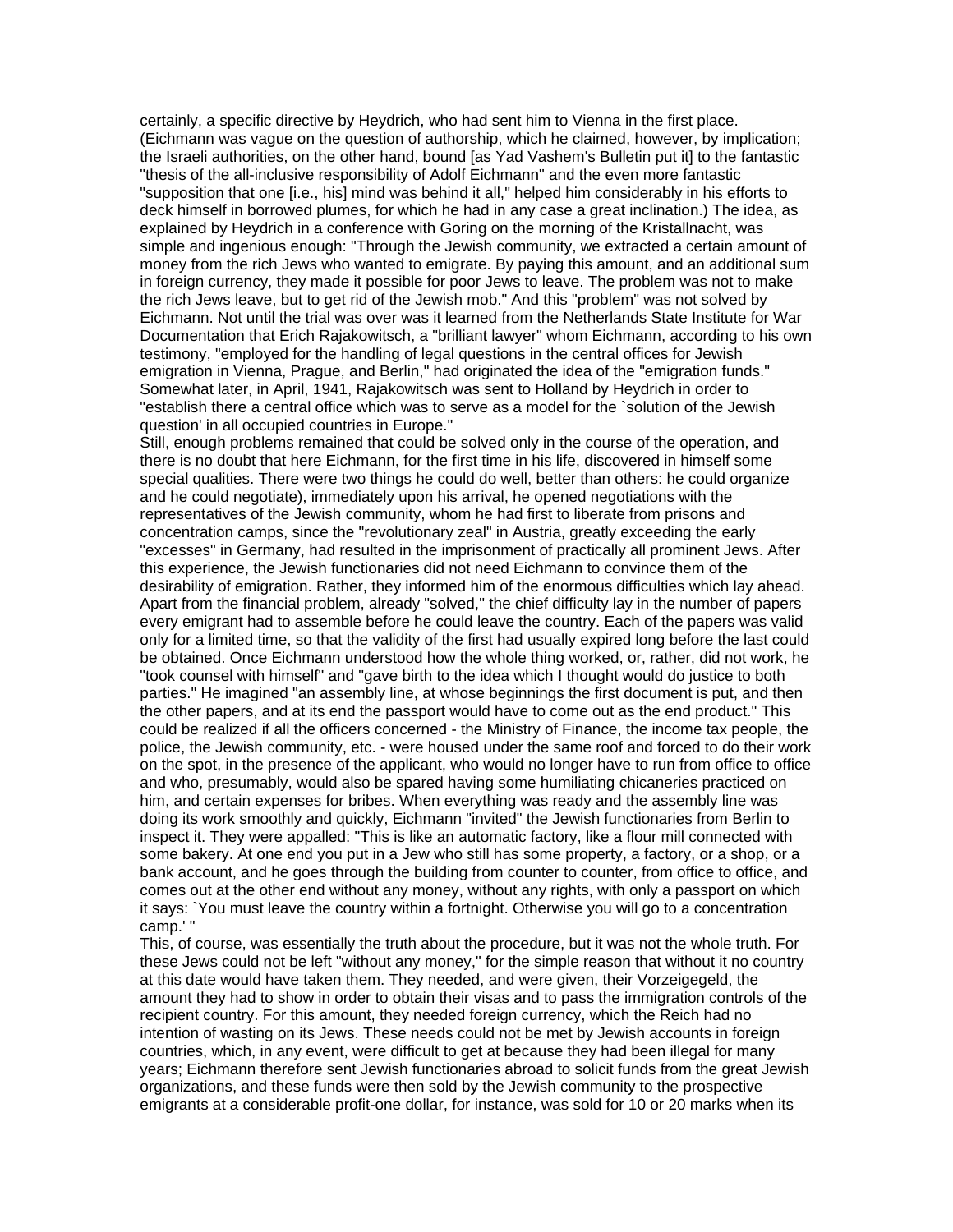certainly, a specific directive by Heydrich, who had sent him to Vienna in the first place. (Eichmann was vague on the question of authorship, which he claimed, however, by implication; the Israeli authorities, on the other hand, bound [as Yad Vashem's Bulletin put it] to the fantastic "thesis of the all-inclusive responsibility of Adolf Eichmann" and the even more fantastic "supposition that one [i.e., his] mind was behind it all," helped him considerably in his efforts to deck himself in borrowed plumes, for which he had in any case a great inclination.) The idea, as explained by Heydrich in a conference with Goring on the morning of the Kristallnacht, was simple and ingenious enough: "Through the Jewish community, we extracted a certain amount of money from the rich Jews who wanted to emigrate. By paying this amount, and an additional sum in foreign currency, they made it possible for poor Jews to leave. The problem was not to make the rich Jews leave, but to get rid of the Jewish mob." And this "problem" was not solved by Eichmann. Not until the trial was over was it learned from the Netherlands State Institute for War Documentation that Erich Rajakowitsch, a "brilliant lawyer" whom Eichmann, according to his own testimony, "employed for the handling of legal questions in the central offices for Jewish emigration in Vienna, Prague, and Berlin," had originated the idea of the "emigration funds." Somewhat later, in April, 1941, Rajakowitsch was sent to Holland by Heydrich in order to "establish there a central office which was to serve as a model for the `solution of the Jewish question' in all occupied countries in Europe."

Still, enough problems remained that could be solved only in the course of the operation, and there is no doubt that here Eichmann, for the first time in his life, discovered in himself some special qualities. There were two things he could do well, better than others: he could organize and he could negotiate), immediately upon his arrival, he opened negotiations with the representatives of the Jewish community, whom he had first to liberate from prisons and concentration camps, since the "revolutionary zeal" in Austria, greatly exceeding the early "excesses" in Germany, had resulted in the imprisonment of practically all prominent Jews. After this experience, the Jewish functionaries did not need Eichmann to convince them of the desirability of emigration. Rather, they informed him of the enormous difficulties which lay ahead. Apart from the financial problem, already "solved," the chief difficulty lay in the number of papers every emigrant had to assemble before he could leave the country. Each of the papers was valid only for a limited time, so that the validity of the first had usually expired long before the last could be obtained. Once Eichmann understood how the whole thing worked, or, rather, did not work, he "took counsel with himself" and "gave birth to the idea which I thought would do justice to both parties." He imagined "an assembly line, at whose beginnings the first document is put, and then the other papers, and at its end the passport would have to come out as the end product." This could be realized if all the officers concerned - the Ministry of Finance, the income tax people, the police, the Jewish community, etc. - were housed under the same roof and forced to do their work on the spot, in the presence of the applicant, who would no longer have to run from office to office and who, presumably, would also be spared having some humiliating chicaneries practiced on him, and certain expenses for bribes. When everything was ready and the assembly line was doing its work smoothly and quickly, Eichmann "invited" the Jewish functionaries from Berlin to inspect it. They were appalled: "This is like an automatic factory, like a flour mill connected with some bakery. At one end you put in a Jew who still has some property, a factory, or a shop, or a bank account, and he goes through the building from counter to counter, from office to office, and comes out at the other end without any money, without any rights, with only a passport on which it says: `You must leave the country within a fortnight. Otherwise you will go to a concentration camp.' "

This, of course, was essentially the truth about the procedure, but it was not the whole truth. For these Jews could not be left "without any money," for the simple reason that without it no country at this date would have taken them. They needed, and were given, their Vorzeigegeld, the amount they had to show in order to obtain their visas and to pass the immigration controls of the recipient country. For this amount, they needed foreign currency, which the Reich had no intention of wasting on its Jews. These needs could not be met by Jewish accounts in foreign countries, which, in any event, were difficult to get at because they had been illegal for many years; Eichmann therefore sent Jewish functionaries abroad to solicit funds from the great Jewish organizations, and these funds were then sold by the Jewish community to the prospective emigrants at a considerable profit-one dollar, for instance, was sold for 10 or 20 marks when its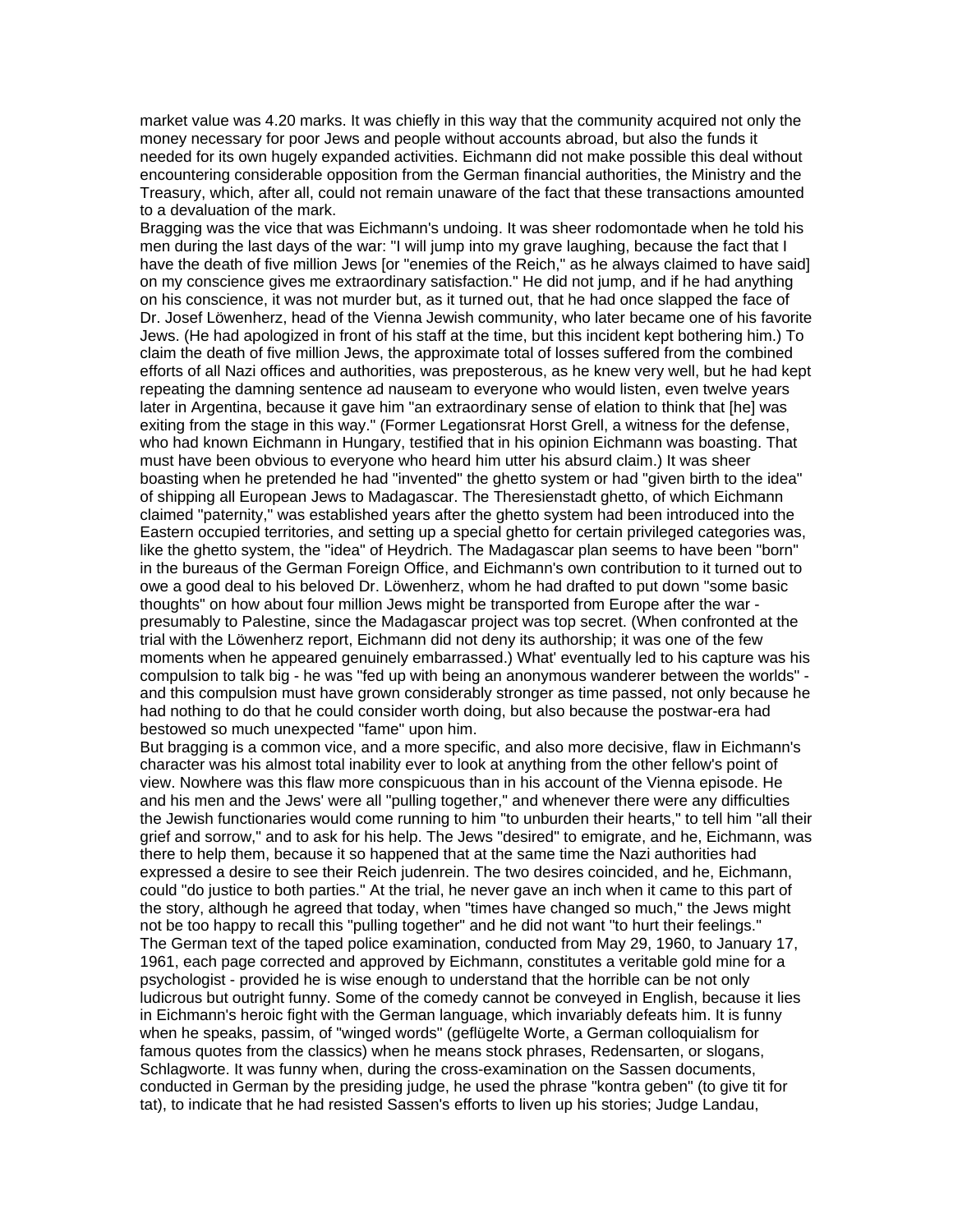market value was 4.20 marks. It was chiefly in this way that the community acquired not only the money necessary for poor Jews and people without accounts abroad, but also the funds it needed for its own hugely expanded activities. Eichmann did not make possible this deal without encountering considerable opposition from the German financial authorities, the Ministry and the Treasury, which, after all, could not remain unaware of the fact that these transactions amounted to a devaluation of the mark.

Bragging was the vice that was Eichmann's undoing. It was sheer rodomontade when he told his men during the last days of the war: "I will jump into my grave laughing, because the fact that I have the death of five million Jews [or "enemies of the Reich," as he always claimed to have said] on my conscience gives me extraordinary satisfaction." He did not jump, and if he had anything on his conscience, it was not murder but, as it turned out, that he had once slapped the face of Dr. Josef Löwenherz, head of the Vienna Jewish community, who later became one of his favorite Jews. (He had apologized in front of his staff at the time, but this incident kept bothering him.) To claim the death of five million Jews, the approximate total of losses suffered from the combined efforts of all Nazi offices and authorities, was preposterous, as he knew very well, but he had kept repeating the damning sentence ad nauseam to everyone who would listen, even twelve years later in Argentina, because it gave him "an extraordinary sense of elation to think that [he] was exiting from the stage in this way." (Former Legationsrat Horst Grell, a witness for the defense, who had known Eichmann in Hungary, testified that in his opinion Eichmann was boasting. That must have been obvious to everyone who heard him utter his absurd claim.) It was sheer boasting when he pretended he had "invented" the ghetto system or had "given birth to the idea" of shipping all European Jews to Madagascar. The Theresienstadt ghetto, of which Eichmann claimed "paternity," was established years after the ghetto system had been introduced into the Eastern occupied territories, and setting up a special ghetto for certain privileged categories was, like the ghetto system, the "idea" of Heydrich. The Madagascar plan seems to have been "born" in the bureaus of the German Foreign Office, and Eichmann's own contribution to it turned out to owe a good deal to his beloved Dr. Löwenherz, whom he had drafted to put down "some basic thoughts" on how about four million Jews might be transported from Europe after the war presumably to Palestine, since the Madagascar project was top secret. (When confronted at the trial with the Löwenherz report, Eichmann did not deny its authorship; it was one of the few moments when he appeared genuinely embarrassed.) What' eventually led to his capture was his compulsion to talk big - he was "fed up with being an anonymous wanderer between the worlds" and this compulsion must have grown considerably stronger as time passed, not only because he had nothing to do that he could consider worth doing, but also because the postwar-era had bestowed so much unexpected "fame" upon him.

But bragging is a common vice, and a more specific, and also more decisive, flaw in Eichmann's character was his almost total inability ever to look at anything from the other fellow's point of view. Nowhere was this flaw more conspicuous than in his account of the Vienna episode. He and his men and the Jews' were all "pulling together," and whenever there were any difficulties the Jewish functionaries would come running to him "to unburden their hearts," to tell him "all their grief and sorrow," and to ask for his help. The Jews "desired" to emigrate, and he, Eichmann, was there to help them, because it so happened that at the same time the Nazi authorities had expressed a desire to see their Reich judenrein. The two desires coincided, and he, Eichmann, could "do justice to both parties." At the trial, he never gave an inch when it came to this part of the story, although he agreed that today, when "times have changed so much," the Jews might not be too happy to recall this "pulling together" and he did not want "to hurt their feelings." The German text of the taped police examination, conducted from May 29, 1960, to January 17, 1961, each page corrected and approved by Eichmann, constitutes a veritable gold mine for a psychologist - provided he is wise enough to understand that the horrible can be not only ludicrous but outright funny. Some of the comedy cannot be conveyed in English, because it lies in Eichmann's heroic fight with the German language, which invariably defeats him. It is funny when he speaks, passim, of "winged words" (geflügelte Worte, a German colloquialism for famous quotes from the classics) when he means stock phrases, Redensarten, or slogans, Schlagworte. It was funny when, during the cross-examination on the Sassen documents, conducted in German by the presiding judge, he used the phrase "kontra geben" (to give tit for tat), to indicate that he had resisted Sassen's efforts to liven up his stories; Judge Landau,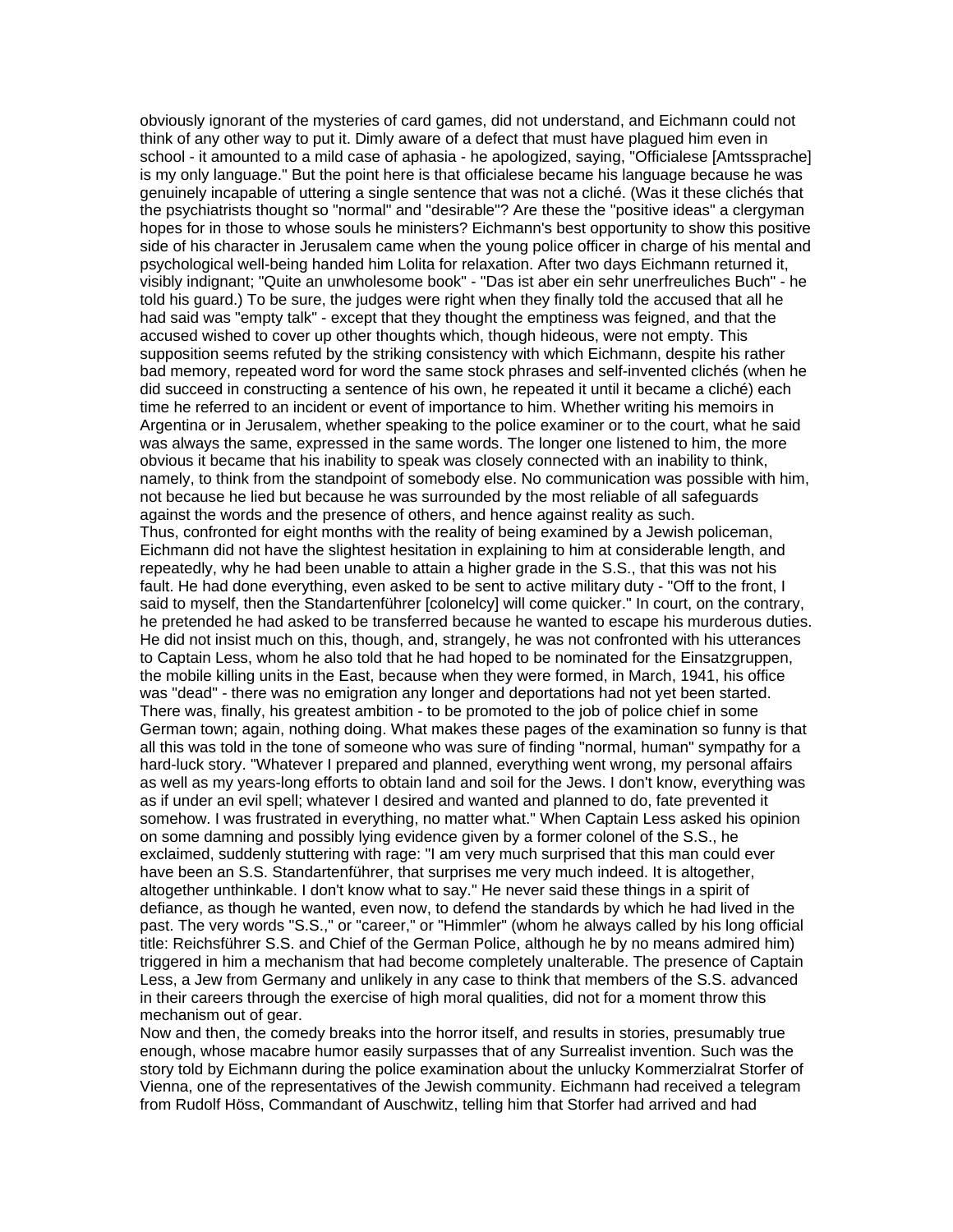obviously ignorant of the mysteries of card games, did not understand, and Eichmann could not think of any other way to put it. Dimly aware of a defect that must have plagued him even in school - it amounted to a mild case of aphasia - he apologized, saying, "Officialese [Amtssprache] is my only language." But the point here is that officialese became his language because he was genuinely incapable of uttering a single sentence that was not a cliché. (Was it these clichés that the psychiatrists thought so "normal" and "desirable"? Are these the "positive ideas" a clergyman hopes for in those to whose souls he ministers? Eichmann's best opportunity to show this positive side of his character in Jerusalem came when the young police officer in charge of his mental and psychological well-being handed him Lolita for relaxation. After two days Eichmann returned it, visibly indignant; "Quite an unwholesome book" - "Das ist aber ein sehr unerfreuliches Buch" - he told his guard.) To be sure, the judges were right when they finally told the accused that all he had said was "empty talk" - except that they thought the emptiness was feigned, and that the accused wished to cover up other thoughts which, though hideous, were not empty. This supposition seems refuted by the striking consistency with which Eichmann, despite his rather bad memory, repeated word for word the same stock phrases and self-invented clichés (when he did succeed in constructing a sentence of his own, he repeated it until it became a cliché) each time he referred to an incident or event of importance to him. Whether writing his memoirs in Argentina or in Jerusalem, whether speaking to the police examiner or to the court, what he said was always the same, expressed in the same words. The longer one listened to him, the more obvious it became that his inability to speak was closely connected with an inability to think, namely, to think from the standpoint of somebody else. No communication was possible with him, not because he lied but because he was surrounded by the most reliable of all safeguards against the words and the presence of others, and hence against reality as such. Thus, confronted for eight months with the reality of being examined by a Jewish policeman, Eichmann did not have the slightest hesitation in explaining to him at considerable length, and repeatedly, why he had been unable to attain a higher grade in the S.S., that this was not his fault. He had done everything, even asked to be sent to active military duty - "Off to the front, I said to myself, then the Standartenführer [colonelcy] will come quicker." In court, on the contrary, he pretended he had asked to be transferred because he wanted to escape his murderous duties. He did not insist much on this, though, and, strangely, he was not confronted with his utterances to Captain Less, whom he also told that he had hoped to be nominated for the Einsatzgruppen, the mobile killing units in the East, because when they were formed, in March, 1941, his office was "dead" - there was no emigration any longer and deportations had not yet been started. There was, finally, his greatest ambition - to be promoted to the job of police chief in some German town; again, nothing doing. What makes these pages of the examination so funny is that all this was told in the tone of someone who was sure of finding "normal, human" sympathy for a hard-luck story. "Whatever I prepared and planned, everything went wrong, my personal affairs as well as my years-long efforts to obtain land and soil for the Jews. I don't know, everything was as if under an evil spell; whatever I desired and wanted and planned to do, fate prevented it somehow. I was frustrated in everything, no matter what." When Captain Less asked his opinion on some damning and possibly lying evidence given by a former colonel of the S.S., he exclaimed, suddenly stuttering with rage: "I am very much surprised that this man could ever have been an S.S. Standartenführer, that surprises me very much indeed. It is altogether, altogether unthinkable. I don't know what to say." He never said these things in a spirit of defiance, as though he wanted, even now, to defend the standards by which he had lived in the past. The very words "S.S.," or "career," or "Himmler" (whom he always called by his long official title: Reichsführer S.S. and Chief of the German Police, although he by no means admired him) triggered in him a mechanism that had become completely unalterable. The presence of Captain Less, a Jew from Germany and unlikely in any case to think that members of the S.S. advanced in their careers through the exercise of high moral qualities, did not for a moment throw this mechanism out of gear.

Now and then, the comedy breaks into the horror itself, and results in stories, presumably true enough, whose macabre humor easily surpasses that of any Surrealist invention. Such was the story told by Eichmann during the police examination about the unlucky Kommerzialrat Storfer of Vienna, one of the representatives of the Jewish community. Eichmann had received a telegram from Rudolf Höss, Commandant of Auschwitz, telling him that Storfer had arrived and had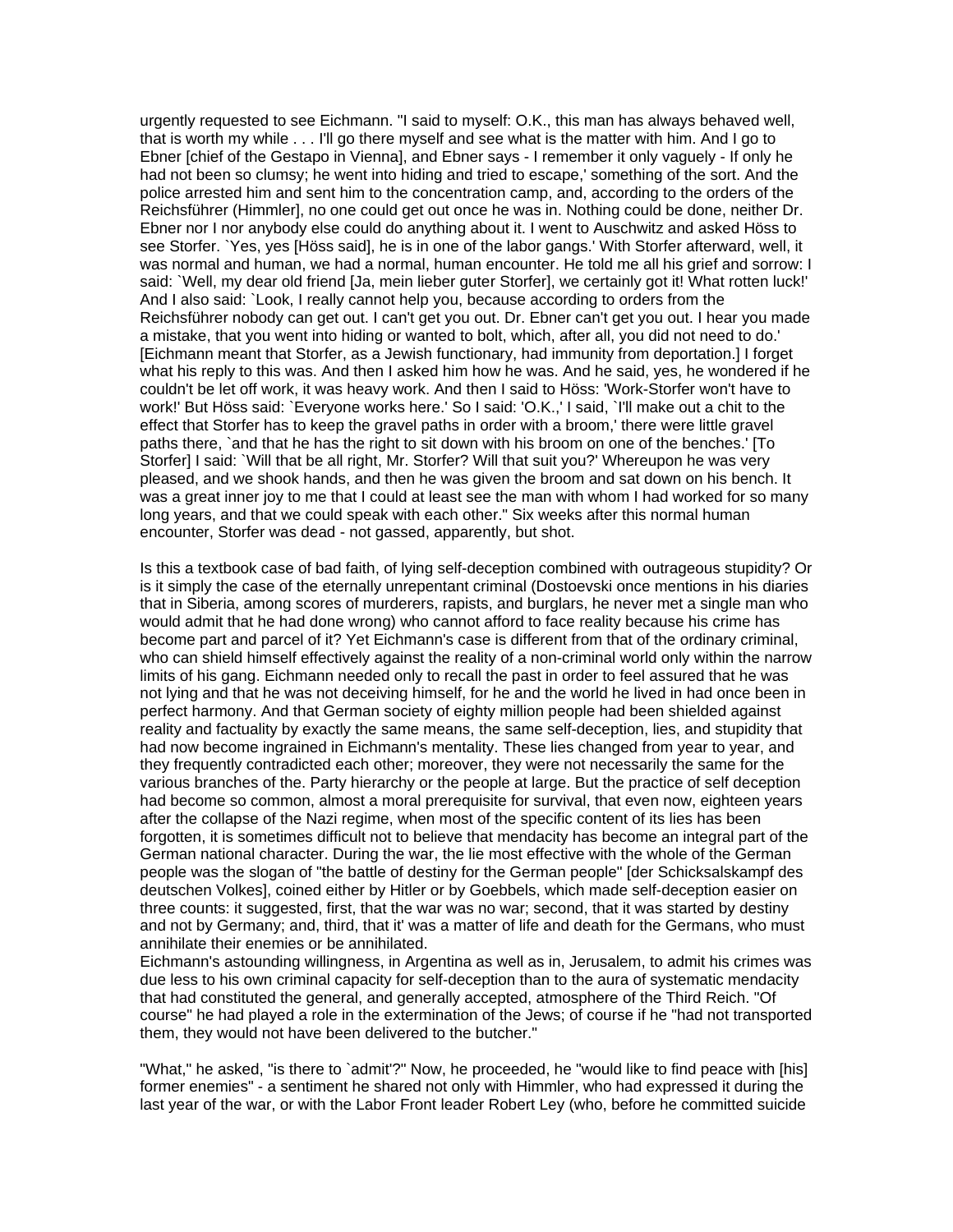urgently requested to see Eichmann. "I said to myself: O.K., this man has always behaved well, that is worth my while . . . I'll go there myself and see what is the matter with him. And I go to Ebner [chief of the Gestapo in Vienna], and Ebner says - I remember it only vaguely - If only he had not been so clumsy; he went into hiding and tried to escape,' something of the sort. And the police arrested him and sent him to the concentration camp, and, according to the orders of the Reichsführer (Himmler], no one could get out once he was in. Nothing could be done, neither Dr. Ebner nor I nor anybody else could do anything about it. I went to Auschwitz and asked Höss to see Storfer. `Yes, yes [Höss said], he is in one of the labor gangs.' With Storfer afterward, well, it was normal and human, we had a normal, human encounter. He told me all his grief and sorrow: I said: `Well, my dear old friend [Ja, mein lieber guter Storfer], we certainly got it! What rotten luck!' And I also said: `Look, I really cannot help you, because according to orders from the Reichsführer nobody can get out. I can't get you out. Dr. Ebner can't get you out. I hear you made a mistake, that you went into hiding or wanted to bolt, which, after all, you did not need to do.' [Eichmann meant that Storfer, as a Jewish functionary, had immunity from deportation.] I forget what his reply to this was. And then I asked him how he was. And he said, yes, he wondered if he couldn't be let off work, it was heavy work. And then I said to Höss: 'Work-Storfer won't have to work!' But Höss said: `Everyone works here.' So I said: 'O.K.,' I said, `I'll make out a chit to the effect that Storfer has to keep the gravel paths in order with a broom,' there were little gravel paths there, `and that he has the right to sit down with his broom on one of the benches.' [To Storfer] I said: `Will that be all right, Mr. Storfer? Will that suit you?' Whereupon he was very pleased, and we shook hands, and then he was given the broom and sat down on his bench. It was a great inner joy to me that I could at least see the man with whom I had worked for so many long years, and that we could speak with each other." Six weeks after this normal human encounter, Storfer was dead - not gassed, apparently, but shot.

Is this a textbook case of bad faith, of lying self-deception combined with outrageous stupidity? Or is it simply the case of the eternally unrepentant criminal (Dostoevski once mentions in his diaries that in Siberia, among scores of murderers, rapists, and burglars, he never met a single man who would admit that he had done wrong) who cannot afford to face reality because his crime has become part and parcel of it? Yet Eichmann's case is different from that of the ordinary criminal, who can shield himself effectively against the reality of a non-criminal world only within the narrow limits of his gang. Eichmann needed only to recall the past in order to feel assured that he was not lying and that he was not deceiving himself, for he and the world he lived in had once been in perfect harmony. And that German society of eighty million people had been shielded against reality and factuality by exactly the same means, the same self-deception, lies, and stupidity that had now become ingrained in Eichmann's mentality. These lies changed from year to year, and they frequently contradicted each other; moreover, they were not necessarily the same for the various branches of the. Party hierarchy or the people at large. But the practice of self deception had become so common, almost a moral prerequisite for survival, that even now, eighteen years after the collapse of the Nazi regime, when most of the specific content of its lies has been forgotten, it is sometimes difficult not to believe that mendacity has become an integral part of the German national character. During the war, the lie most effective with the whole of the German people was the slogan of "the battle of destiny for the German people" [der Schicksalskampf des deutschen Volkes], coined either by Hitler or by Goebbels, which made self-deception easier on three counts: it suggested, first, that the war was no war; second, that it was started by destiny and not by Germany; and, third, that it' was a matter of life and death for the Germans, who must annihilate their enemies or be annihilated.

Eichmann's astounding willingness, in Argentina as well as in, Jerusalem, to admit his crimes was due less to his own criminal capacity for self-deception than to the aura of systematic mendacity that had constituted the general, and generally accepted, atmosphere of the Third Reich. "Of course" he had played a role in the extermination of the Jews; of course if he "had not transported them, they would not have been delivered to the butcher."

"What," he asked, "is there to `admit'?" Now, he proceeded, he "would like to find peace with [his] former enemies" - a sentiment he shared not only with Himmler, who had expressed it during the last year of the war, or with the Labor Front leader Robert Ley (who, before he committed suicide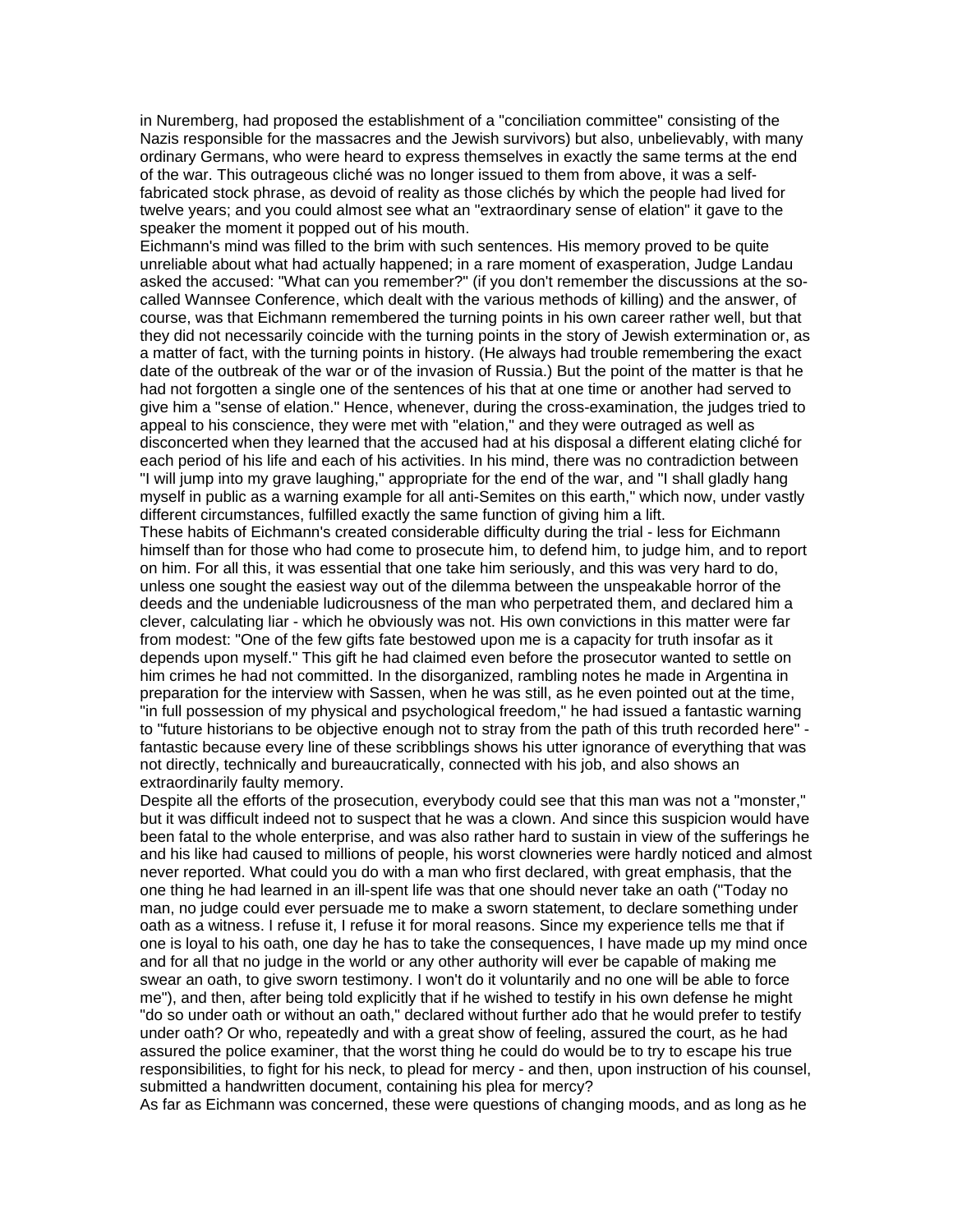in Nuremberg, had proposed the establishment of a "conciliation committee" consisting of the Nazis responsible for the massacres and the Jewish survivors) but also, unbelievably, with many ordinary Germans, who were heard to express themselves in exactly the same terms at the end of the war. This outrageous cliché was no longer issued to them from above, it was a selffabricated stock phrase, as devoid of reality as those clichés by which the people had lived for twelve years; and you could almost see what an "extraordinary sense of elation" it gave to the speaker the moment it popped out of his mouth.

Eichmann's mind was filled to the brim with such sentences. His memory proved to be quite unreliable about what had actually happened; in a rare moment of exasperation, Judge Landau asked the accused: "What can you remember?" (if you don't remember the discussions at the socalled Wannsee Conference, which dealt with the various methods of killing) and the answer, of course, was that Eichmann remembered the turning points in his own career rather well, but that they did not necessarily coincide with the turning points in the story of Jewish extermination or, as a matter of fact, with the turning points in history. (He always had trouble remembering the exact date of the outbreak of the war or of the invasion of Russia.) But the point of the matter is that he had not forgotten a single one of the sentences of his that at one time or another had served to give him a "sense of elation." Hence, whenever, during the cross-examination, the judges tried to appeal to his conscience, they were met with "elation," and they were outraged as well as disconcerted when they learned that the accused had at his disposal a different elating cliché for each period of his life and each of his activities. In his mind, there was no contradiction between "I will jump into my grave laughing," appropriate for the end of the war, and "I shall gladly hang myself in public as a warning example for all anti-Semites on this earth," which now, under vastly different circumstances, fulfilled exactly the same function of giving him a lift.

These habits of Eichmann's created considerable difficulty during the trial - less for Eichmann himself than for those who had come to prosecute him, to defend him, to judge him, and to report on him. For all this, it was essential that one take him seriously, and this was very hard to do, unless one sought the easiest way out of the dilemma between the unspeakable horror of the deeds and the undeniable ludicrousness of the man who perpetrated them, and declared him a clever, calculating liar - which he obviously was not. His own convictions in this matter were far from modest: "One of the few gifts fate bestowed upon me is a capacity for truth insofar as it depends upon myself." This gift he had claimed even before the prosecutor wanted to settle on him crimes he had not committed. In the disorganized, rambling notes he made in Argentina in preparation for the interview with Sassen, when he was still, as he even pointed out at the time, "in full possession of my physical and psychological freedom," he had issued a fantastic warning to "future historians to be objective enough not to stray from the path of this truth recorded here" fantastic because every line of these scribblings shows his utter ignorance of everything that was not directly, technically and bureaucratically, connected with his job, and also shows an extraordinarily faulty memory.

Despite all the efforts of the prosecution, everybody could see that this man was not a "monster," but it was difficult indeed not to suspect that he was a clown. And since this suspicion would have been fatal to the whole enterprise, and was also rather hard to sustain in view of the sufferings he and his like had caused to millions of people, his worst clowneries were hardly noticed and almost never reported. What could you do with a man who first declared, with great emphasis, that the one thing he had learned in an ill-spent life was that one should never take an oath ("Today no man, no judge could ever persuade me to make a sworn statement, to declare something under oath as a witness. I refuse it, I refuse it for moral reasons. Since my experience tells me that if one is loyal to his oath, one day he has to take the consequences, I have made up my mind once and for all that no judge in the world or any other authority will ever be capable of making me swear an oath, to give sworn testimony. I won't do it voluntarily and no one will be able to force me"), and then, after being told explicitly that if he wished to testify in his own defense he might "do so under oath or without an oath," declared without further ado that he would prefer to testify under oath? Or who, repeatedly and with a great show of feeling, assured the court, as he had assured the police examiner, that the worst thing he could do would be to try to escape his true responsibilities, to fight for his neck, to plead for mercy - and then, upon instruction of his counsel, submitted a handwritten document, containing his plea for mercy?

As far as Eichmann was concerned, these were questions of changing moods, and as long as he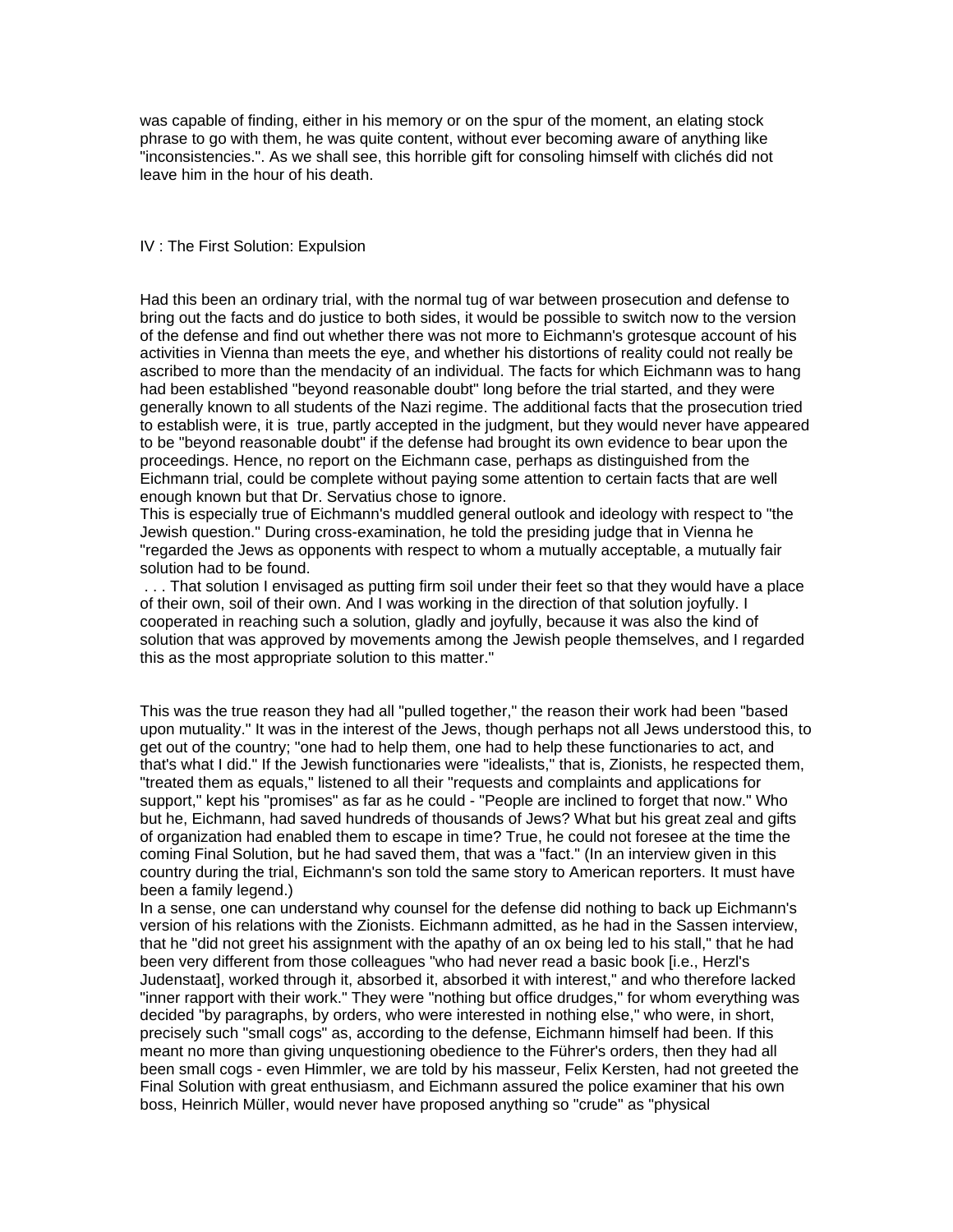was capable of finding, either in his memory or on the spur of the moment, an elating stock phrase to go with them, he was quite content, without ever becoming aware of anything like "inconsistencies.". As we shall see, this horrible gift for consoling himself with clichés did not leave him in the hour of his death.

#### IV : The First Solution: Expulsion

Had this been an ordinary trial, with the normal tug of war between prosecution and defense to bring out the facts and do justice to both sides, it would be possible to switch now to the version of the defense and find out whether there was not more to Eichmann's grotesque account of his activities in Vienna than meets the eye, and whether his distortions of reality could not really be ascribed to more than the mendacity of an individual. The facts for which Eichmann was to hang had been established "beyond reasonable doubt" long before the trial started, and they were generally known to all students of the Nazi regime. The additional facts that the prosecution tried to establish were, it is true, partly accepted in the judgment, but they would never have appeared to be "beyond reasonable doubt" if the defense had brought its own evidence to bear upon the proceedings. Hence, no report on the Eichmann case, perhaps as distinguished from the Eichmann trial, could be complete without paying some attention to certain facts that are well enough known but that Dr. Servatius chose to ignore.

This is especially true of Eichmann's muddled general outlook and ideology with respect to "the Jewish question." During cross-examination, he told the presiding judge that in Vienna he "regarded the Jews as opponents with respect to whom a mutually acceptable, a mutually fair solution had to be found.

 . . . That solution I envisaged as putting firm soil under their feet so that they would have a place of their own, soil of their own. And I was working in the direction of that solution joyfully. I cooperated in reaching such a solution, gladly and joyfully, because it was also the kind of solution that was approved by movements among the Jewish people themselves, and I regarded this as the most appropriate solution to this matter."

This was the true reason they had all "pulled together," the reason their work had been "based upon mutuality." It was in the interest of the Jews, though perhaps not all Jews understood this, to get out of the country; "one had to help them, one had to help these functionaries to act, and that's what I did." If the Jewish functionaries were "idealists," that is, Zionists, he respected them, "treated them as equals," listened to all their "requests and complaints and applications for support," kept his "promises" as far as he could - "People are inclined to forget that now." Who but he, Eichmann, had saved hundreds of thousands of Jews? What but his great zeal and gifts of organization had enabled them to escape in time? True, he could not foresee at the time the coming Final Solution, but he had saved them, that was a "fact." (In an interview given in this country during the trial, Eichmann's son told the same story to American reporters. It must have been a family legend.)

In a sense, one can understand why counsel for the defense did nothing to back up Eichmann's version of his relations with the Zionists. Eichmann admitted, as he had in the Sassen interview, that he "did not greet his assignment with the apathy of an ox being led to his stall," that he had been very different from those colleagues "who had never read a basic book [i.e., Herzl's Judenstaat], worked through it, absorbed it, absorbed it with interest," and who therefore lacked "inner rapport with their work." They were "nothing but office drudges," for whom everything was decided "by paragraphs, by orders, who were interested in nothing else," who were, in short, precisely such "small cogs" as, according to the defense, Eichmann himself had been. If this meant no more than giving unquestioning obedience to the Führer's orders, then they had all been small cogs - even Himmler, we are told by his masseur, Felix Kersten, had not greeted the Final Solution with great enthusiasm, and Eichmann assured the police examiner that his own boss, Heinrich Müller, would never have proposed anything so "crude" as "physical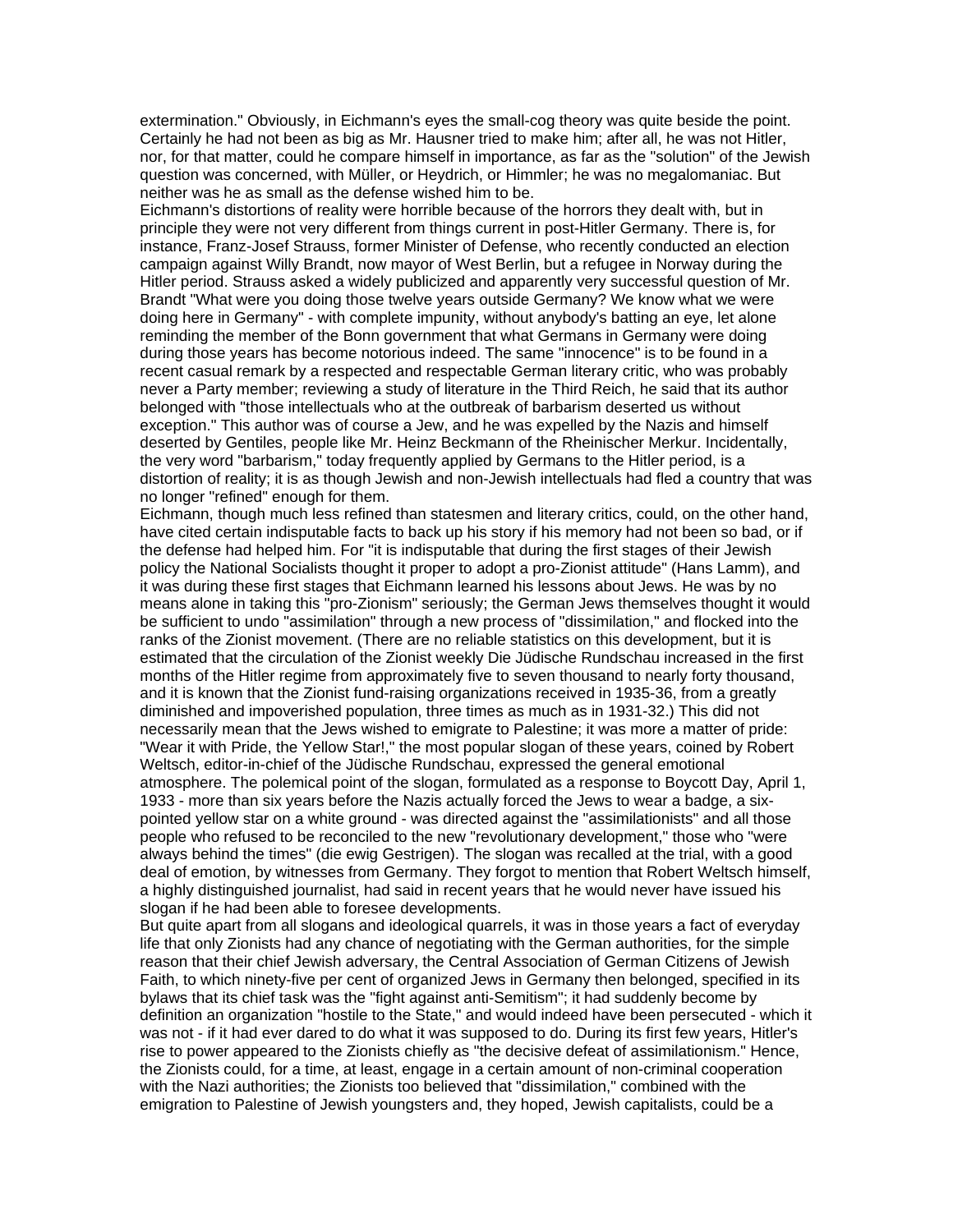extermination." Obviously, in Eichmann's eyes the small-cog theory was quite beside the point. Certainly he had not been as big as Mr. Hausner tried to make him; after all, he was not Hitler, nor, for that matter, could he compare himself in importance, as far as the "solution" of the Jewish question was concerned, with Müller, or Heydrich, or Himmler; he was no megalomaniac. But neither was he as small as the defense wished him to be.

Eichmann's distortions of reality were horrible because of the horrors they dealt with, but in principle they were not very different from things current in post-Hitler Germany. There is, for instance, Franz-Josef Strauss, former Minister of Defense, who recently conducted an election campaign against Willy Brandt, now mayor of West Berlin, but a refugee in Norway during the Hitler period. Strauss asked a widely publicized and apparently very successful question of Mr. Brandt "What were you doing those twelve years outside Germany? We know what we were doing here in Germany" - with complete impunity, without anybody's batting an eye, let alone reminding the member of the Bonn government that what Germans in Germany were doing during those years has become notorious indeed. The same "innocence" is to be found in a recent casual remark by a respected and respectable German literary critic, who was probably never a Party member; reviewing a study of literature in the Third Reich, he said that its author belonged with "those intellectuals who at the outbreak of barbarism deserted us without exception." This author was of course a Jew, and he was expelled by the Nazis and himself deserted by Gentiles, people like Mr. Heinz Beckmann of the Rheinischer Merkur. Incidentally, the very word "barbarism," today frequently applied by Germans to the Hitler period, is a distortion of reality; it is as though Jewish and non-Jewish intellectuals had fled a country that was no longer "refined" enough for them.

Eichmann, though much less refined than statesmen and literary critics, could, on the other hand, have cited certain indisputable facts to back up his story if his memory had not been so bad, or if the defense had helped him. For "it is indisputable that during the first stages of their Jewish policy the National Socialists thought it proper to adopt a pro-Zionist attitude" (Hans Lamm), and it was during these first stages that Eichmann learned his lessons about Jews. He was by no means alone in taking this "pro-Zionism" seriously; the German Jews themselves thought it would be sufficient to undo "assimilation" through a new process of "dissimilation," and flocked into the ranks of the Zionist movement. (There are no reliable statistics on this development, but it is estimated that the circulation of the Zionist weekly Die Jüdische Rundschau increased in the first months of the Hitler regime from approximately five to seven thousand to nearly forty thousand, and it is known that the Zionist fund-raising organizations received in 1935-36, from a greatly diminished and impoverished population, three times as much as in 1931-32.) This did not necessarily mean that the Jews wished to emigrate to Palestine; it was more a matter of pride: "Wear it with Pride, the Yellow Star!," the most popular slogan of these years, coined by Robert Weltsch, editor-in-chief of the Jüdische Rundschau, expressed the general emotional atmosphere. The polemical point of the slogan, formulated as a response to Boycott Day, April 1, 1933 - more than six years before the Nazis actually forced the Jews to wear a badge, a sixpointed yellow star on a white ground - was directed against the "assimilationists" and all those people who refused to be reconciled to the new "revolutionary development," those who "were always behind the times" (die ewig Gestrigen). The slogan was recalled at the trial, with a good deal of emotion, by witnesses from Germany. They forgot to mention that Robert Weltsch himself, a highly distinguished journalist, had said in recent years that he would never have issued his slogan if he had been able to foresee developments.

But quite apart from all slogans and ideological quarrels, it was in those years a fact of everyday life that only Zionists had any chance of negotiating with the German authorities, for the simple reason that their chief Jewish adversary, the Central Association of German Citizens of Jewish Faith, to which ninety-five per cent of organized Jews in Germany then belonged, specified in its bylaws that its chief task was the "fight against anti-Semitism"; it had suddenly become by definition an organization "hostile to the State," and would indeed have been persecuted - which it was not - if it had ever dared to do what it was supposed to do. During its first few years, Hitler's rise to power appeared to the Zionists chiefly as "the decisive defeat of assimilationism." Hence, the Zionists could, for a time, at least, engage in a certain amount of non-criminal cooperation with the Nazi authorities; the Zionists too believed that "dissimilation," combined with the emigration to Palestine of Jewish youngsters and, they hoped, Jewish capitalists, could be a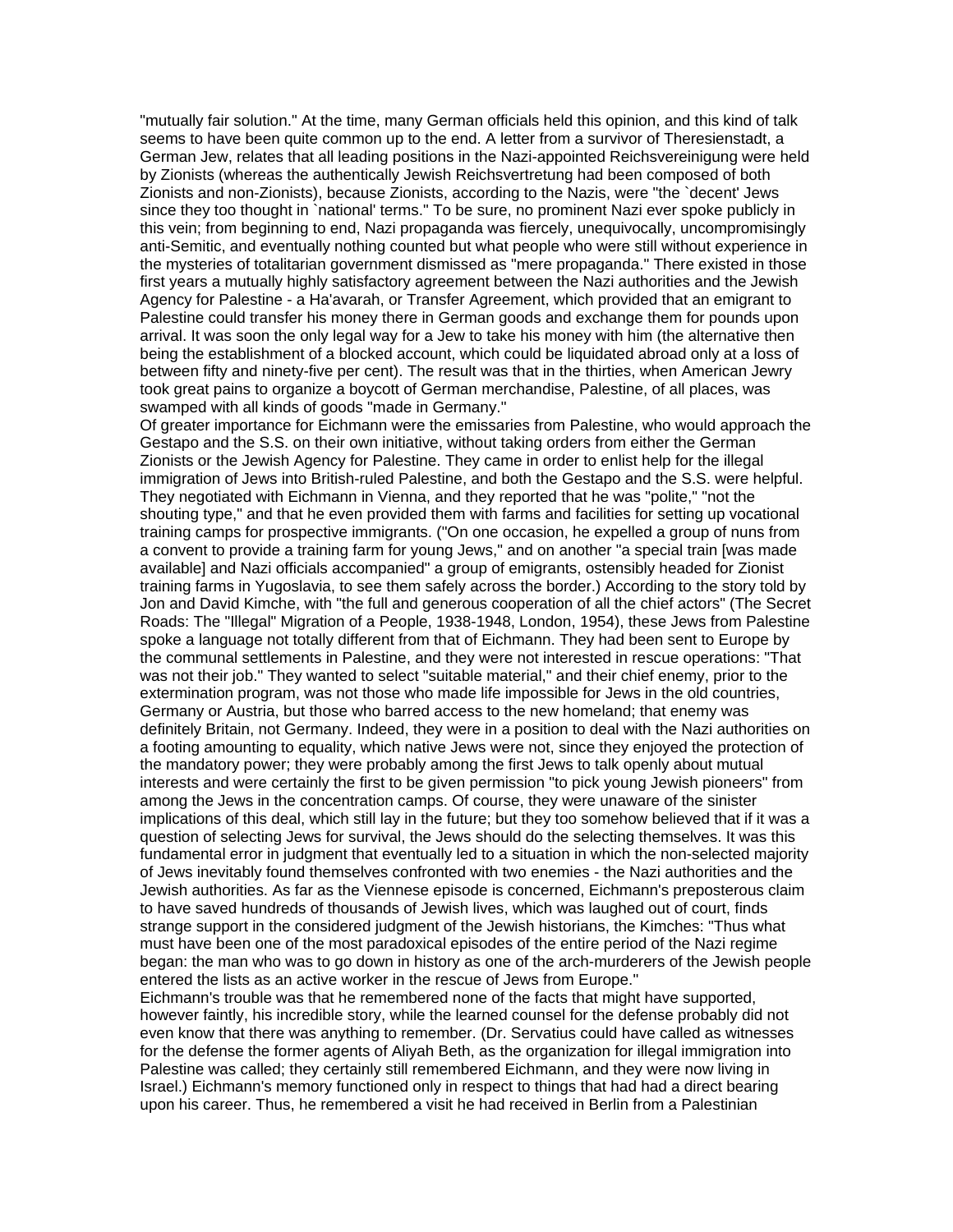"mutually fair solution." At the time, many German officials held this opinion, and this kind of talk seems to have been quite common up to the end. A letter from a survivor of Theresienstadt, a German Jew, relates that all leading positions in the Nazi-appointed Reichsvereinigung were held by Zionists (whereas the authentically Jewish Reichsvertretung had been composed of both Zionists and non-Zionists), because Zionists, according to the Nazis, were "the `decent' Jews since they too thought in `national' terms." To be sure, no prominent Nazi ever spoke publicly in this vein; from beginning to end, Nazi propaganda was fiercely, unequivocally, uncompromisingly anti-Semitic, and eventually nothing counted but what people who were still without experience in the mysteries of totalitarian government dismissed as "mere propaganda." There existed in those first years a mutually highly satisfactory agreement between the Nazi authorities and the Jewish Agency for Palestine - a Ha'avarah, or Transfer Agreement, which provided that an emigrant to Palestine could transfer his money there in German goods and exchange them for pounds upon arrival. It was soon the only legal way for a Jew to take his money with him (the alternative then being the establishment of a blocked account, which could be liquidated abroad only at a loss of between fifty and ninety-five per cent). The result was that in the thirties, when American Jewry took great pains to organize a boycott of German merchandise, Palestine, of all places, was swamped with all kinds of goods "made in Germany."

Of greater importance for Eichmann were the emissaries from Palestine, who would approach the Gestapo and the S.S. on their own initiative, without taking orders from either the German Zionists or the Jewish Agency for Palestine. They came in order to enlist help for the illegal immigration of Jews into British-ruled Palestine, and both the Gestapo and the S.S. were helpful. They negotiated with Eichmann in Vienna, and they reported that he was "polite," "not the shouting type," and that he even provided them with farms and facilities for setting up vocational training camps for prospective immigrants. ("On one occasion, he expelled a group of nuns from a convent to provide a training farm for young Jews," and on another "a special train [was made available] and Nazi officials accompanied" a group of emigrants, ostensibly headed for Zionist training farms in Yugoslavia, to see them safely across the border.) According to the story told by Jon and David Kimche, with "the full and generous cooperation of all the chief actors" (The Secret Roads: The "Illegal" Migration of a People, 1938-1948, London, 1954), these Jews from Palestine spoke a language not totally different from that of Eichmann. They had been sent to Europe by the communal settlements in Palestine, and they were not interested in rescue operations: "That was not their job." They wanted to select "suitable material," and their chief enemy, prior to the extermination program, was not those who made life impossible for Jews in the old countries, Germany or Austria, but those who barred access to the new homeland; that enemy was definitely Britain, not Germany. Indeed, they were in a position to deal with the Nazi authorities on a footing amounting to equality, which native Jews were not, since they enjoyed the protection of the mandatory power; they were probably among the first Jews to talk openly about mutual interests and were certainly the first to be given permission "to pick young Jewish pioneers" from among the Jews in the concentration camps. Of course, they were unaware of the sinister implications of this deal, which still lay in the future; but they too somehow believed that if it was a question of selecting Jews for survival, the Jews should do the selecting themselves. It was this fundamental error in judgment that eventually led to a situation in which the non-selected majority of Jews inevitably found themselves confronted with two enemies - the Nazi authorities and the Jewish authorities. As far as the Viennese episode is concerned, Eichmann's preposterous claim to have saved hundreds of thousands of Jewish lives, which was laughed out of court, finds strange support in the considered judgment of the Jewish historians, the Kimches: "Thus what must have been one of the most paradoxical episodes of the entire period of the Nazi regime began: the man who was to go down in history as one of the arch-murderers of the Jewish people entered the lists as an active worker in the rescue of Jews from Europe."

Eichmann's trouble was that he remembered none of the facts that might have supported, however faintly, his incredible story, while the learned counsel for the defense probably did not even know that there was anything to remember. (Dr. Servatius could have called as witnesses for the defense the former agents of Aliyah Beth, as the organization for illegal immigration into Palestine was called; they certainly still remembered Eichmann, and they were now living in Israel.) Eichmann's memory functioned only in respect to things that had had a direct bearing upon his career. Thus, he remembered a visit he had received in Berlin from a Palestinian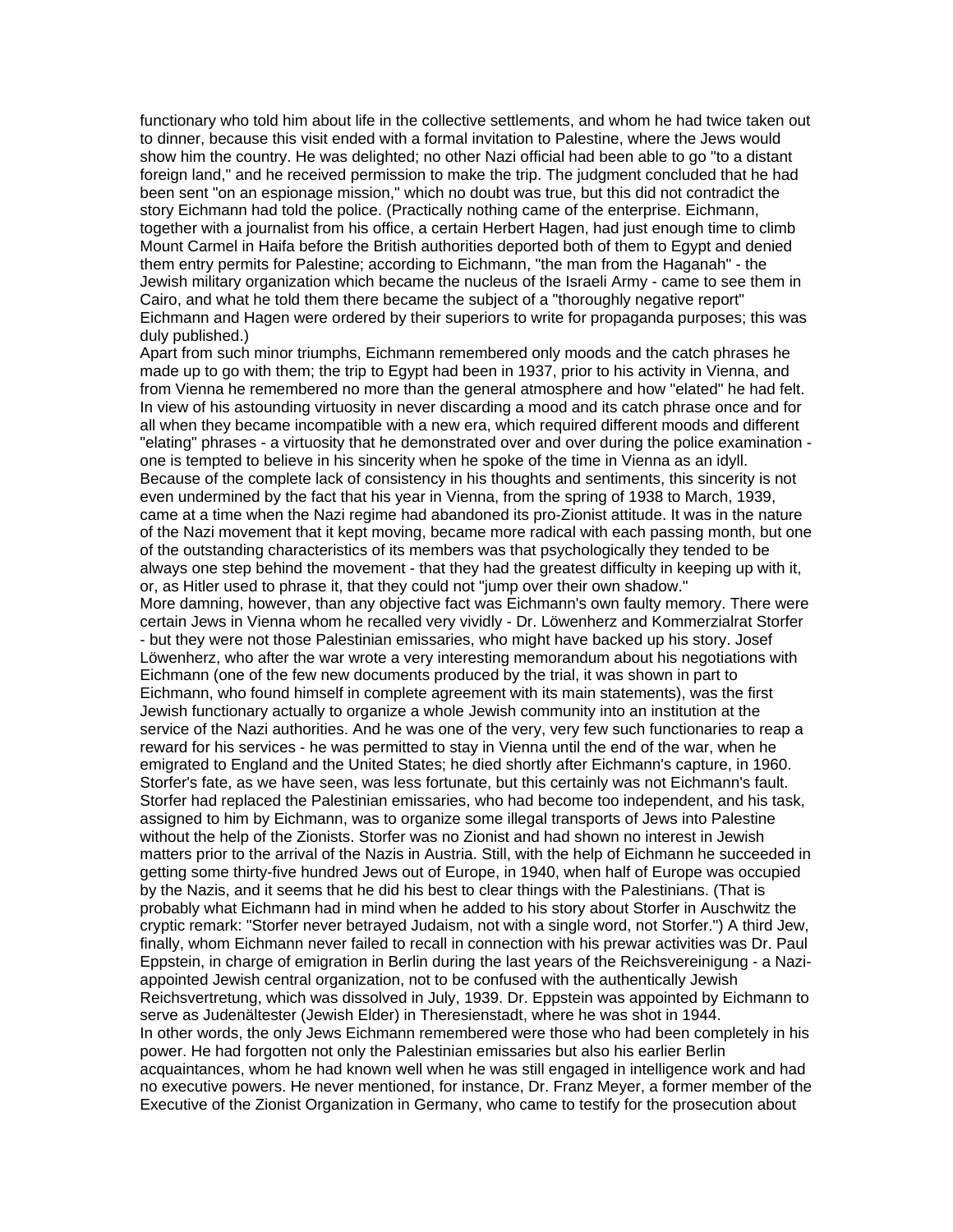functionary who told him about life in the collective settlements, and whom he had twice taken out to dinner, because this visit ended with a formal invitation to Palestine, where the Jews would show him the country. He was delighted; no other Nazi official had been able to go "to a distant foreign land," and he received permission to make the trip. The judgment concluded that he had been sent "on an espionage mission," which no doubt was true, but this did not contradict the story Eichmann had told the police. (Practically nothing came of the enterprise. Eichmann, together with a journalist from his office, a certain Herbert Hagen, had just enough time to climb Mount Carmel in Haifa before the British authorities deported both of them to Egypt and denied them entry permits for Palestine; according to Eichmann, "the man from the Haganah" - the Jewish military organization which became the nucleus of the Israeli Army - came to see them in Cairo, and what he told them there became the subject of a "thoroughly negative report" Eichmann and Hagen were ordered by their superiors to write for propaganda purposes; this was duly published.)

Apart from such minor triumphs, Eichmann remembered only moods and the catch phrases he made up to go with them; the trip to Egypt had been in 1937, prior to his activity in Vienna, and from Vienna he remembered no more than the general atmosphere and how "elated" he had felt. In view of his astounding virtuosity in never discarding a mood and its catch phrase once and for all when they became incompatible with a new era, which required different moods and different "elating" phrases - a virtuosity that he demonstrated over and over during the police examination one is tempted to believe in his sincerity when he spoke of the time in Vienna as an idyll. Because of the complete lack of consistency in his thoughts and sentiments, this sincerity is not even undermined by the fact that his year in Vienna, from the spring of 1938 to March, 1939, came at a time when the Nazi regime had abandoned its pro-Zionist attitude. It was in the nature of the Nazi movement that it kept moving, became more radical with each passing month, but one of the outstanding characteristics of its members was that psychologically they tended to be always one step behind the movement - that they had the greatest difficulty in keeping up with it, or, as Hitler used to phrase it, that they could not "jump over their own shadow." More damning, however, than any objective fact was Eichmann's own faulty memory. There were certain Jews in Vienna whom he recalled very vividly - Dr. Löwenherz and Kommerzialrat Storfer - but they were not those Palestinian emissaries, who might have backed up his story. Josef Löwenherz, who after the war wrote a very interesting memorandum about his negotiations with Eichmann (one of the few new documents produced by the trial, it was shown in part to Eichmann, who found himself in complete agreement with its main statements), was the first Jewish functionary actually to organize a whole Jewish community into an institution at the service of the Nazi authorities. And he was one of the very, very few such functionaries to reap a reward for his services - he was permitted to stay in Vienna until the end of the war, when he emigrated to England and the United States; he died shortly after Eichmann's capture, in 1960. Storfer's fate, as we have seen, was less fortunate, but this certainly was not Eichmann's fault. Storfer had replaced the Palestinian emissaries, who had become too independent, and his task, assigned to him by Eichmann, was to organize some illegal transports of Jews into Palestine without the help of the Zionists. Storfer was no Zionist and had shown no interest in Jewish matters prior to the arrival of the Nazis in Austria. Still, with the help of Eichmann he succeeded in getting some thirty-five hundred Jews out of Europe, in 1940, when half of Europe was occupied by the Nazis, and it seems that he did his best to clear things with the Palestinians. (That is probably what Eichmann had in mind when he added to his story about Storfer in Auschwitz the cryptic remark: "Storfer never betrayed Judaism, not with a single word, not Storfer.") A third Jew, finally, whom Eichmann never failed to recall in connection with his prewar activities was Dr. Paul Eppstein, in charge of emigration in Berlin during the last years of the Reichsvereinigung - a Naziappointed Jewish central organization, not to be confused with the authentically Jewish Reichsvertretung, which was dissolved in July, 1939. Dr. Eppstein was appointed by Eichmann to serve as Judenältester (Jewish Elder) in Theresienstadt, where he was shot in 1944. In other words, the only Jews Eichmann remembered were those who had been completely in his power. He had forgotten not only the Palestinian emissaries but also his earlier Berlin acquaintances, whom he had known well when he was still engaged in intelligence work and had no executive powers. He never mentioned, for instance, Dr. Franz Meyer, a former member of the Executive of the Zionist Organization in Germany, who came to testify for the prosecution about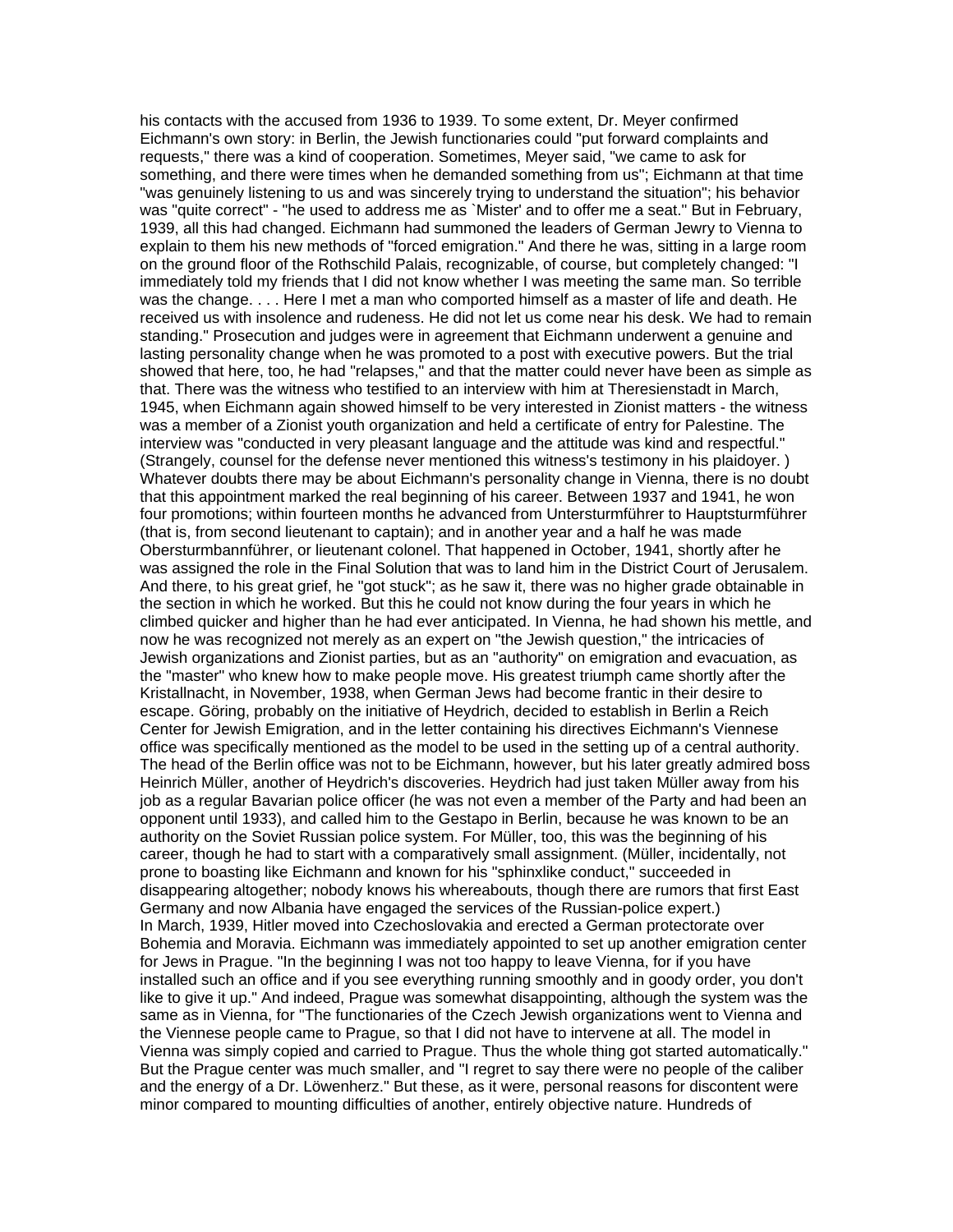his contacts with the accused from 1936 to 1939. To some extent, Dr. Meyer confirmed Eichmann's own story: in Berlin, the Jewish functionaries could "put forward complaints and requests," there was a kind of cooperation. Sometimes, Meyer said, "we came to ask for something, and there were times when he demanded something from us"; Eichmann at that time "was genuinely listening to us and was sincerely trying to understand the situation"; his behavior was "quite correct" - "he used to address me as `Mister' and to offer me a seat." But in February, 1939, all this had changed. Eichmann had summoned the leaders of German Jewry to Vienna to explain to them his new methods of "forced emigration." And there he was, sitting in a large room on the ground floor of the Rothschild Palais, recognizable, of course, but completely changed: "I immediately told my friends that I did not know whether I was meeting the same man. So terrible was the change. . . . Here I met a man who comported himself as a master of life and death. He received us with insolence and rudeness. He did not let us come near his desk. We had to remain standing." Prosecution and judges were in agreement that Eichmann underwent a genuine and lasting personality change when he was promoted to a post with executive powers. But the trial showed that here, too, he had "relapses," and that the matter could never have been as simple as that. There was the witness who testified to an interview with him at Theresienstadt in March, 1945, when Eichmann again showed himself to be very interested in Zionist matters - the witness was a member of a Zionist youth organization and held a certificate of entry for Palestine. The interview was "conducted in very pleasant language and the attitude was kind and respectful." (Strangely, counsel for the defense never mentioned this witness's testimony in his plaidoyer. ) Whatever doubts there may be about Eichmann's personality change in Vienna, there is no doubt that this appointment marked the real beginning of his career. Between 1937 and 1941, he won four promotions; within fourteen months he advanced from Untersturmführer to Hauptsturmführer (that is, from second lieutenant to captain); and in another year and a half he was made Obersturmbannführer, or lieutenant colonel. That happened in October, 1941, shortly after he was assigned the role in the Final Solution that was to land him in the District Court of Jerusalem. And there, to his great grief, he "got stuck"; as he saw it, there was no higher grade obtainable in the section in which he worked. But this he could not know during the four years in which he climbed quicker and higher than he had ever anticipated. In Vienna, he had shown his mettle, and now he was recognized not merely as an expert on "the Jewish question," the intricacies of Jewish organizations and Zionist parties, but as an "authority" on emigration and evacuation, as the "master" who knew how to make people move. His greatest triumph came shortly after the Kristallnacht, in November, 1938, when German Jews had become frantic in their desire to escape. Göring, probably on the initiative of Heydrich, decided to establish in Berlin a Reich Center for Jewish Emigration, and in the letter containing his directives Eichmann's Viennese office was specifically mentioned as the model to be used in the setting up of a central authority. The head of the Berlin office was not to be Eichmann, however, but his later greatly admired boss Heinrich Müller, another of Heydrich's discoveries. Heydrich had just taken Müller away from his job as a regular Bavarian police officer (he was not even a member of the Party and had been an opponent until 1933), and called him to the Gestapo in Berlin, because he was known to be an authority on the Soviet Russian police system. For Müller, too, this was the beginning of his career, though he had to start with a comparatively small assignment. (Müller, incidentally, not prone to boasting like Eichmann and known for his "sphinxlike conduct," succeeded in disappearing altogether; nobody knows his whereabouts, though there are rumors that first East Germany and now Albania have engaged the services of the Russian-police expert.) In March, 1939, Hitler moved into Czechoslovakia and erected a German protectorate over Bohemia and Moravia. Eichmann was immediately appointed to set up another emigration center for Jews in Prague. "In the beginning I was not too happy to leave Vienna, for if you have installed such an office and if you see everything running smoothly and in goody order, you don't like to give it up." And indeed, Prague was somewhat disappointing, although the system was the same as in Vienna, for "The functionaries of the Czech Jewish organizations went to Vienna and the Viennese people came to Prague, so that I did not have to intervene at all. The model in Vienna was simply copied and carried to Prague. Thus the whole thing got started automatically." But the Prague center was much smaller, and "I regret to say there were no people of the caliber and the energy of a Dr. Löwenherz." But these, as it were, personal reasons for discontent were minor compared to mounting difficulties of another, entirely objective nature. Hundreds of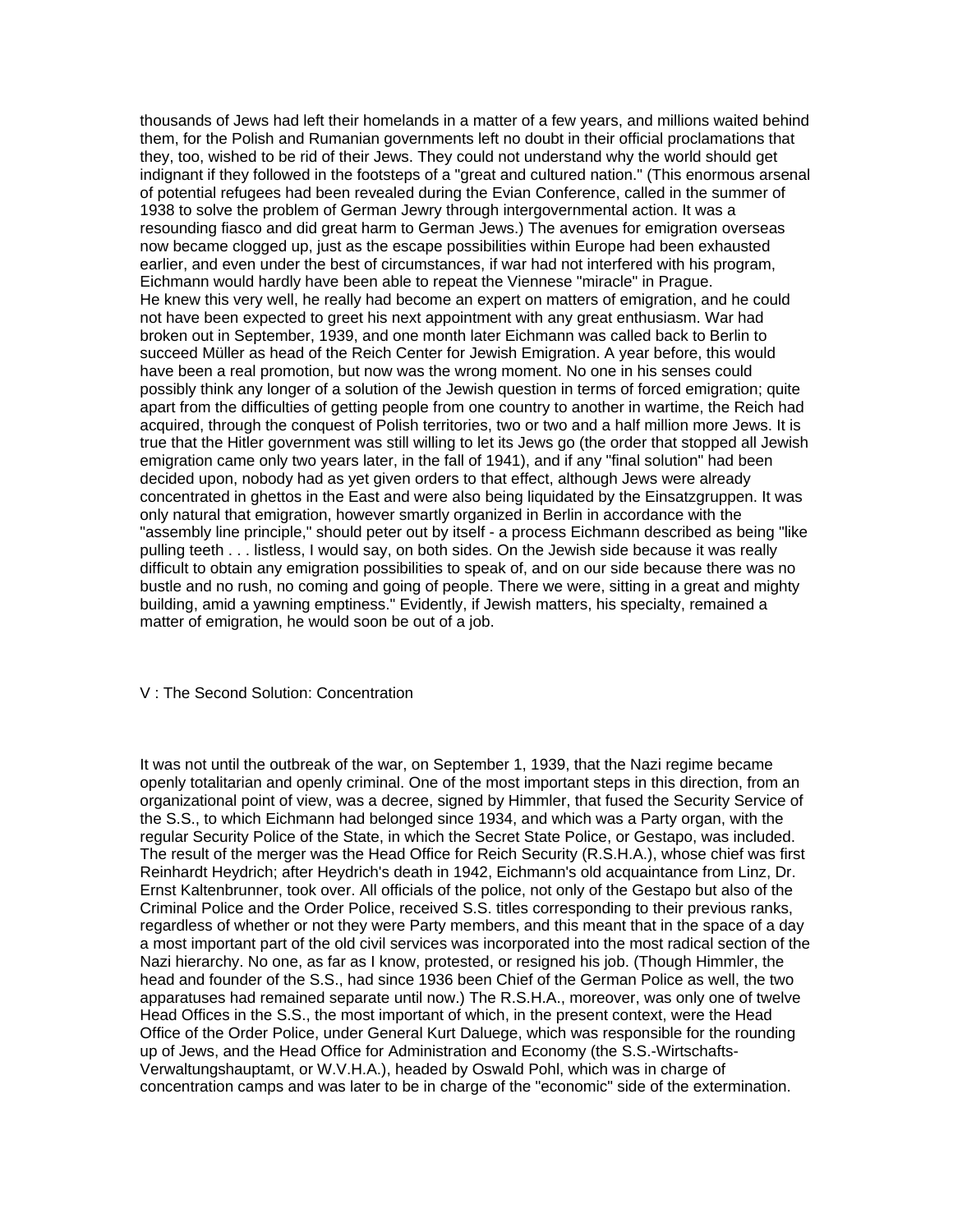thousands of Jews had left their homelands in a matter of a few years, and millions waited behind them, for the Polish and Rumanian governments left no doubt in their official proclamations that they, too, wished to be rid of their Jews. They could not understand why the world should get indignant if they followed in the footsteps of a "great and cultured nation." (This enormous arsenal of potential refugees had been revealed during the Evian Conference, called in the summer of 1938 to solve the problem of German Jewry through intergovernmental action. It was a resounding fiasco and did great harm to German Jews.) The avenues for emigration overseas now became clogged up, just as the escape possibilities within Europe had been exhausted earlier, and even under the best of circumstances, if war had not interfered with his program, Eichmann would hardly have been able to repeat the Viennese "miracle" in Prague. He knew this very well, he really had become an expert on matters of emigration, and he could not have been expected to greet his next appointment with any great enthusiasm. War had broken out in September, 1939, and one month later Eichmann was called back to Berlin to succeed Müller as head of the Reich Center for Jewish Emigration. A year before, this would have been a real promotion, but now was the wrong moment. No one in his senses could possibly think any longer of a solution of the Jewish question in terms of forced emigration; quite apart from the difficulties of getting people from one country to another in wartime, the Reich had acquired, through the conquest of Polish territories, two or two and a half million more Jews. It is true that the Hitler government was still willing to let its Jews go (the order that stopped all Jewish emigration came only two years later, in the fall of 1941), and if any "final solution" had been decided upon, nobody had as yet given orders to that effect, although Jews were already concentrated in ghettos in the East and were also being liquidated by the Einsatzgruppen. It was only natural that emigration, however smartly organized in Berlin in accordance with the "assembly line principle," should peter out by itself - a process Eichmann described as being "like pulling teeth . . . listless, I would say, on both sides. On the Jewish side because it was really difficult to obtain any emigration possibilities to speak of, and on our side because there was no bustle and no rush, no coming and going of people. There we were, sitting in a great and mighty building, amid a yawning emptiness." Evidently, if Jewish matters, his specialty, remained a matter of emigration, he would soon be out of a job.

## V : The Second Solution: Concentration

It was not until the outbreak of the war, on September 1, 1939, that the Nazi regime became openly totalitarian and openly criminal. One of the most important steps in this direction, from an organizational point of view, was a decree, signed by Himmler, that fused the Security Service of the S.S., to which Eichmann had belonged since 1934, and which was a Party organ, with the regular Security Police of the State, in which the Secret State Police, or Gestapo, was included. The result of the merger was the Head Office for Reich Security (R.S.H.A.), whose chief was first Reinhardt Heydrich; after Heydrich's death in 1942, Eichmann's old acquaintance from Linz, Dr. Ernst Kaltenbrunner, took over. All officials of the police, not only of the Gestapo but also of the Criminal Police and the Order Police, received S.S. titles corresponding to their previous ranks, regardless of whether or not they were Party members, and this meant that in the space of a day a most important part of the old civil services was incorporated into the most radical section of the Nazi hierarchy. No one, as far as I know, protested, or resigned his job. (Though Himmler, the head and founder of the S.S., had since 1936 been Chief of the German Police as well, the two apparatuses had remained separate until now.) The R.S.H.A., moreover, was only one of twelve Head Offices in the S.S., the most important of which, in the present context, were the Head Office of the Order Police, under General Kurt Daluege, which was responsible for the rounding up of Jews, and the Head Office for Administration and Economy (the S.S.-Wirtschafts-Verwaltungshauptamt, or W.V.H.A.), headed by Oswald Pohl, which was in charge of concentration camps and was later to be in charge of the "economic" side of the extermination.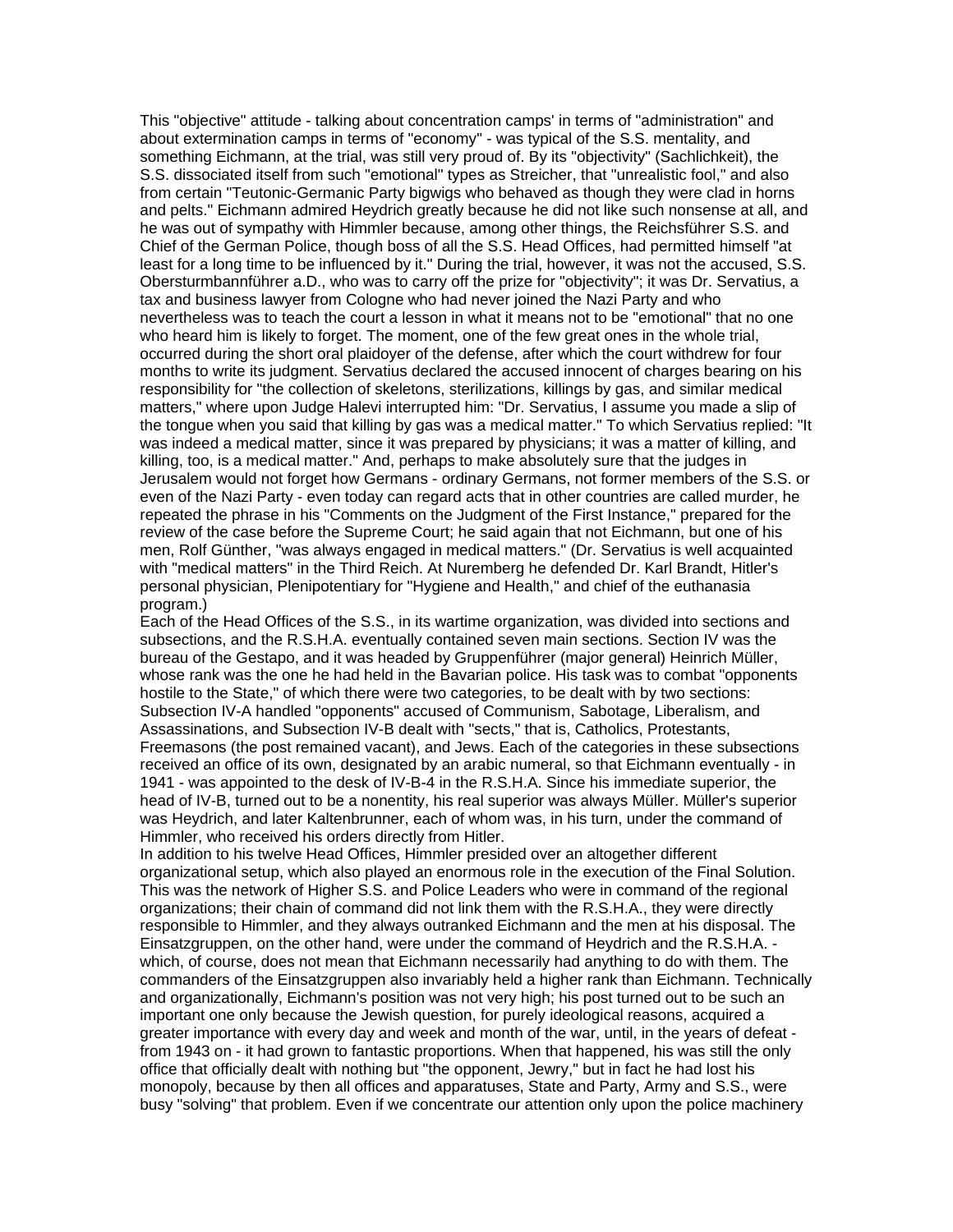This "objective" attitude - talking about concentration camps' in terms of "administration" and about extermination camps in terms of "economy" - was typical of the S.S. mentality, and something Eichmann, at the trial, was still very proud of. By its "objectivity" (Sachlichkeit), the S.S. dissociated itself from such "emotional" types as Streicher, that "unrealistic fool," and also from certain "Teutonic-Germanic Party bigwigs who behaved as though they were clad in horns and pelts." Eichmann admired Heydrich greatly because he did not like such nonsense at all, and he was out of sympathy with Himmler because, among other things, the Reichsführer S.S. and Chief of the German Police, though boss of all the S.S. Head Offices, had permitted himself "at least for a long time to be influenced by it." During the trial, however, it was not the accused, S.S. Obersturmbannführer a.D., who was to carry off the prize for "objectivity"; it was Dr. Servatius, a tax and business lawyer from Cologne who had never joined the Nazi Party and who nevertheless was to teach the court a lesson in what it means not to be "emotional" that no one who heard him is likely to forget. The moment, one of the few great ones in the whole trial, occurred during the short oral plaidoyer of the defense, after which the court withdrew for four months to write its judgment. Servatius declared the accused innocent of charges bearing on his responsibility for "the collection of skeletons, sterilizations, killings by gas, and similar medical matters," where upon Judge Halevi interrupted him: "Dr. Servatius, I assume you made a slip of the tongue when you said that killing by gas was a medical matter." To which Servatius replied: "It was indeed a medical matter, since it was prepared by physicians; it was a matter of killing, and killing, too, is a medical matter." And, perhaps to make absolutely sure that the judges in Jerusalem would not forget how Germans - ordinary Germans, not former members of the S.S. or even of the Nazi Party - even today can regard acts that in other countries are called murder, he repeated the phrase in his "Comments on the Judgment of the First Instance," prepared for the review of the case before the Supreme Court; he said again that not Eichmann, but one of his men, Rolf Günther, "was always engaged in medical matters." (Dr. Servatius is well acquainted with "medical matters" in the Third Reich. At Nuremberg he defended Dr. Karl Brandt, Hitler's personal physician, Plenipotentiary for "Hygiene and Health," and chief of the euthanasia program.)

Each of the Head Offices of the S.S., in its wartime organization, was divided into sections and subsections, and the R.S.H.A. eventually contained seven main sections. Section IV was the bureau of the Gestapo, and it was headed by Gruppenführer (major general) Heinrich Müller, whose rank was the one he had held in the Bavarian police. His task was to combat "opponents hostile to the State," of which there were two categories, to be dealt with by two sections: Subsection IV-A handled "opponents" accused of Communism, Sabotage, Liberalism, and Assassinations, and Subsection IV-B dealt with "sects," that is, Catholics, Protestants, Freemasons (the post remained vacant), and Jews. Each of the categories in these subsections received an office of its own, designated by an arabic numeral, so that Eichmann eventually - in 1941 - was appointed to the desk of IV-B-4 in the R.S.H.A. Since his immediate superior, the head of IV-B, turned out to be a nonentity, his real superior was always Müller. Müller's superior was Heydrich, and later Kaltenbrunner, each of whom was, in his turn, under the command of Himmler, who received his orders directly from Hitler.

In addition to his twelve Head Offices, Himmler presided over an altogether different organizational setup, which also played an enormous role in the execution of the Final Solution. This was the network of Higher S.S. and Police Leaders who were in command of the regional organizations; their chain of command did not link them with the R.S.H.A., they were directly responsible to Himmler, and they always outranked Eichmann and the men at his disposal. The Einsatzgruppen, on the other hand, were under the command of Heydrich and the R.S.H.A. which, of course, does not mean that Eichmann necessarily had anything to do with them. The commanders of the Einsatzgruppen also invariably held a higher rank than Eichmann. Technically and organizationally, Eichmann's position was not very high; his post turned out to be such an important one only because the Jewish question, for purely ideological reasons, acquired a greater importance with every day and week and month of the war, until, in the years of defeat from 1943 on - it had grown to fantastic proportions. When that happened, his was still the only office that officially dealt with nothing but "the opponent, Jewry," but in fact he had lost his monopoly, because by then all offices and apparatuses, State and Party, Army and S.S., were busy "solving" that problem. Even if we concentrate our attention only upon the police machinery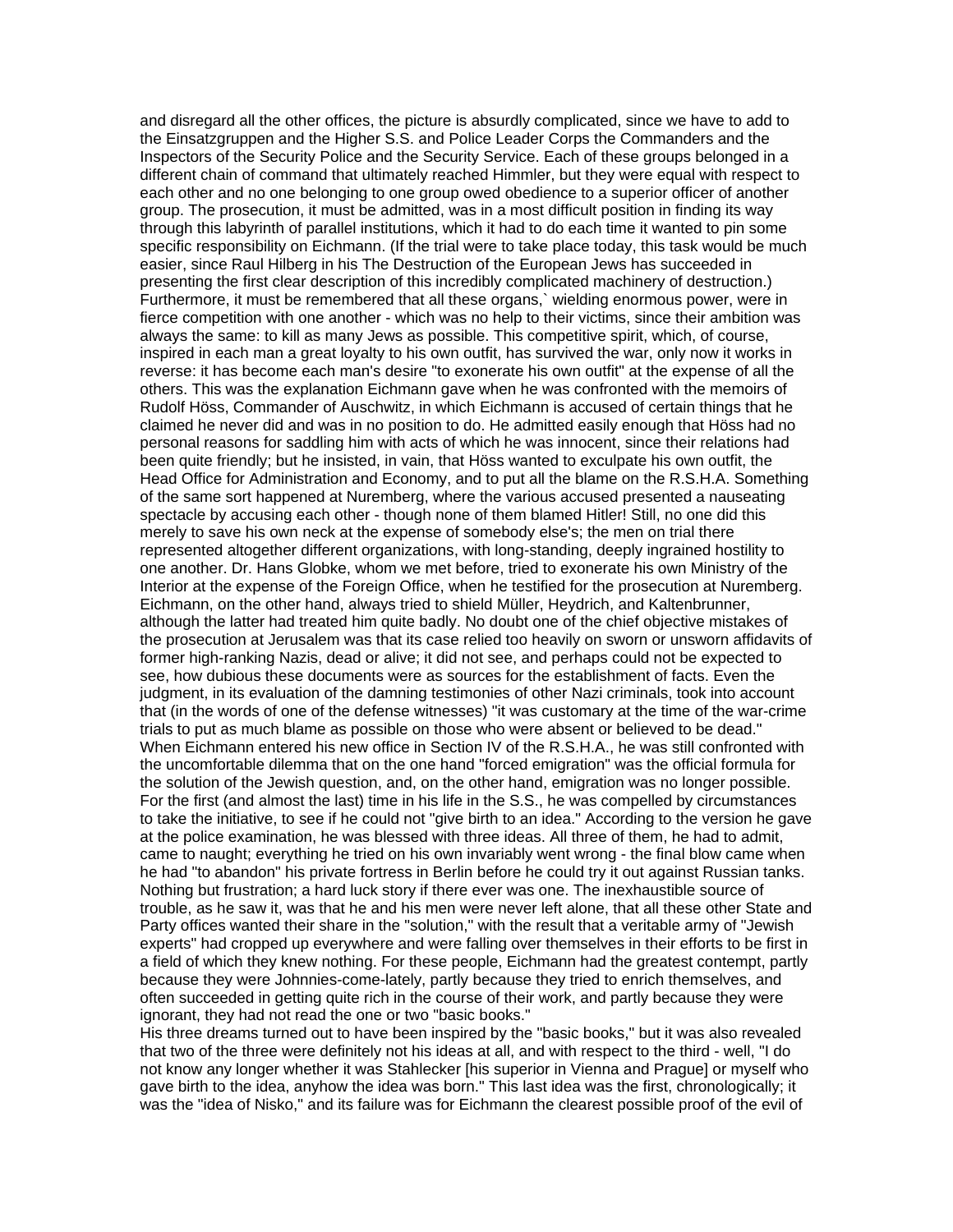and disregard all the other offices, the picture is absurdly complicated, since we have to add to the Einsatzgruppen and the Higher S.S. and Police Leader Corps the Commanders and the Inspectors of the Security Police and the Security Service. Each of these groups belonged in a different chain of command that ultimately reached Himmler, but they were equal with respect to each other and no one belonging to one group owed obedience to a superior officer of another group. The prosecution, it must be admitted, was in a most difficult position in finding its way through this labyrinth of parallel institutions, which it had to do each time it wanted to pin some specific responsibility on Eichmann. (If the trial were to take place today, this task would be much easier, since Raul Hilberg in his The Destruction of the European Jews has succeeded in presenting the first clear description of this incredibly complicated machinery of destruction.) Furthermore, it must be remembered that all these organs,` wielding enormous power, were in fierce competition with one another - which was no help to their victims, since their ambition was always the same: to kill as many Jews as possible. This competitive spirit, which, of course, inspired in each man a great loyalty to his own outfit, has survived the war, only now it works in reverse: it has become each man's desire "to exonerate his own outfit" at the expense of all the others. This was the explanation Eichmann gave when he was confronted with the memoirs of Rudolf Höss, Commander of Auschwitz, in which Eichmann is accused of certain things that he claimed he never did and was in no position to do. He admitted easily enough that Höss had no personal reasons for saddling him with acts of which he was innocent, since their relations had been quite friendly; but he insisted, in vain, that Höss wanted to exculpate his own outfit, the Head Office for Administration and Economy, and to put all the blame on the R.S.H.A. Something of the same sort happened at Nuremberg, where the various accused presented a nauseating spectacle by accusing each other - though none of them blamed Hitler! Still, no one did this merely to save his own neck at the expense of somebody else's; the men on trial there represented altogether different organizations, with long-standing, deeply ingrained hostility to one another. Dr. Hans Globke, whom we met before, tried to exonerate his own Ministry of the Interior at the expense of the Foreign Office, when he testified for the prosecution at Nuremberg. Eichmann, on the other hand, always tried to shield Müller, Heydrich, and Kaltenbrunner, although the latter had treated him quite badly. No doubt one of the chief objective mistakes of the prosecution at Jerusalem was that its case relied too heavily on sworn or unsworn affidavits of former high-ranking Nazis, dead or alive; it did not see, and perhaps could not be expected to see, how dubious these documents were as sources for the establishment of facts. Even the judgment, in its evaluation of the damning testimonies of other Nazi criminals, took into account that (in the words of one of the defense witnesses) "it was customary at the time of the war-crime trials to put as much blame as possible on those who were absent or believed to be dead." When Eichmann entered his new office in Section IV of the R.S.H.A., he was still confronted with the uncomfortable dilemma that on the one hand "forced emigration" was the official formula for the solution of the Jewish question, and, on the other hand, emigration was no longer possible. For the first (and almost the last) time in his life in the S.S., he was compelled by circumstances to take the initiative, to see if he could not "give birth to an idea." According to the version he gave at the police examination, he was blessed with three ideas. All three of them, he had to admit, came to naught; everything he tried on his own invariably went wrong - the final blow came when he had "to abandon" his private fortress in Berlin before he could try it out against Russian tanks. Nothing but frustration; a hard luck story if there ever was one. The inexhaustible source of trouble, as he saw it, was that he and his men were never left alone, that all these other State and Party offices wanted their share in the "solution," with the result that a veritable army of "Jewish experts" had cropped up everywhere and were falling over themselves in their efforts to be first in a field of which they knew nothing. For these people, Eichmann had the greatest contempt, partly because they were Johnnies-come-lately, partly because they tried to enrich themselves, and often succeeded in getting quite rich in the course of their work, and partly because they were ignorant, they had not read the one or two "basic books."

His three dreams turned out to have been inspired by the "basic books," but it was also revealed that two of the three were definitely not his ideas at all, and with respect to the third - well, "I do not know any longer whether it was Stahlecker [his superior in Vienna and Prague] or myself who gave birth to the idea, anyhow the idea was born." This last idea was the first, chronologically; it was the "idea of Nisko," and its failure was for Eichmann the clearest possible proof of the evil of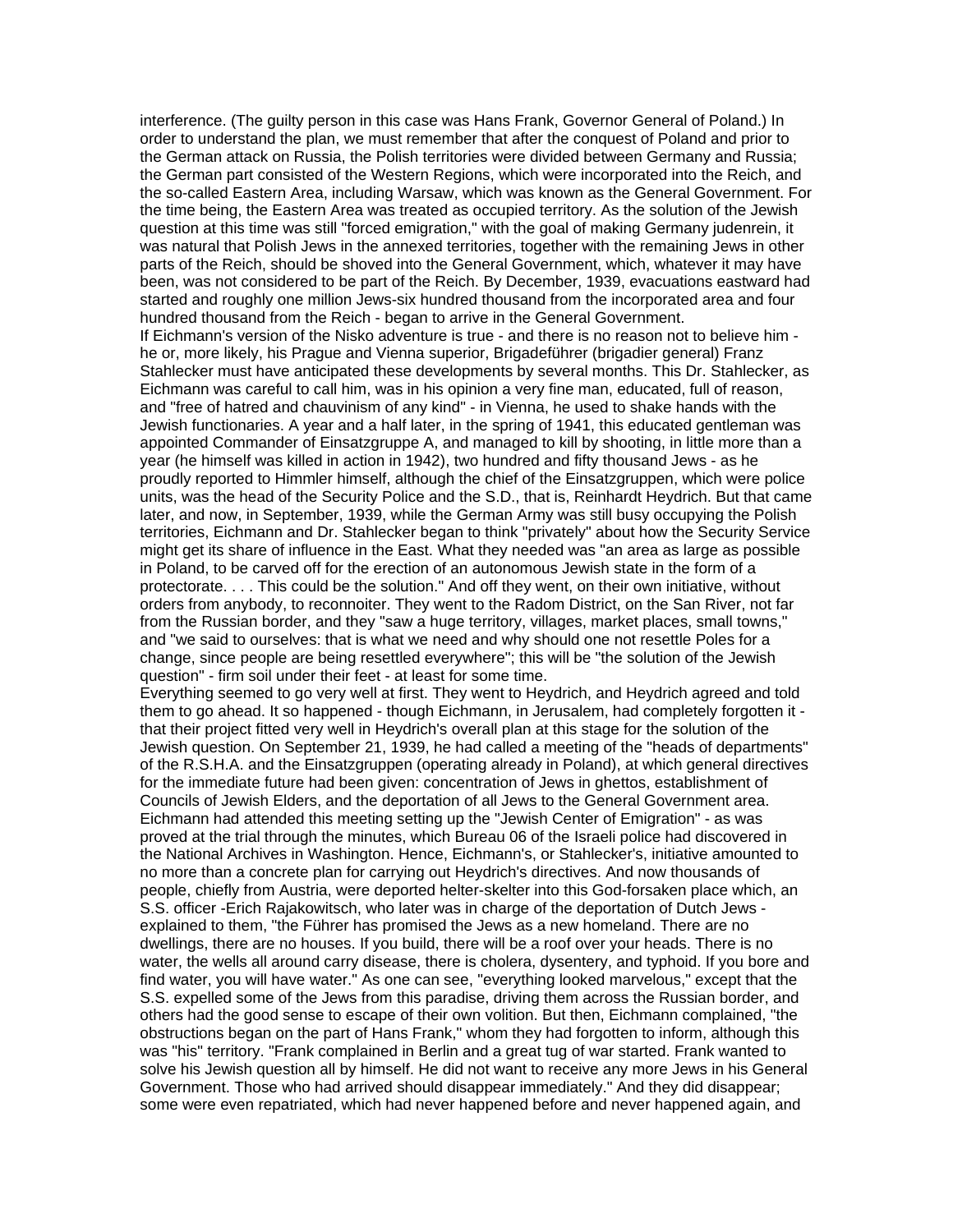interference. (The guilty person in this case was Hans Frank, Governor General of Poland.) In order to understand the plan, we must remember that after the conquest of Poland and prior to the German attack on Russia, the Polish territories were divided between Germany and Russia; the German part consisted of the Western Regions, which were incorporated into the Reich, and the so-called Eastern Area, including Warsaw, which was known as the General Government. For the time being, the Eastern Area was treated as occupied territory. As the solution of the Jewish question at this time was still "forced emigration," with the goal of making Germany judenrein, it was natural that Polish Jews in the annexed territories, together with the remaining Jews in other parts of the Reich, should be shoved into the General Government, which, whatever it may have been, was not considered to be part of the Reich. By December, 1939, evacuations eastward had started and roughly one million Jews-six hundred thousand from the incorporated area and four hundred thousand from the Reich - began to arrive in the General Government. If Eichmann's version of the Nisko adventure is true - and there is no reason not to believe him he or, more likely, his Prague and Vienna superior, Brigadeführer (brigadier general) Franz Stahlecker must have anticipated these developments by several months. This Dr. Stahlecker, as Eichmann was careful to call him, was in his opinion a very fine man, educated, full of reason, and "free of hatred and chauvinism of any kind" - in Vienna, he used to shake hands with the Jewish functionaries. A year and a half later, in the spring of 1941, this educated gentleman was appointed Commander of Einsatzgruppe A, and managed to kill by shooting, in little more than a year (he himself was killed in action in 1942), two hundred and fifty thousand Jews - as he proudly reported to Himmler himself, although the chief of the Einsatzgruppen, which were police units, was the head of the Security Police and the S.D., that is, Reinhardt Heydrich. But that came later, and now, in September, 1939, while the German Army was still busy occupying the Polish territories, Eichmann and Dr. Stahlecker began to think "privately" about how the Security Service might get its share of influence in the East. What they needed was "an area as large as possible in Poland, to be carved off for the erection of an autonomous Jewish state in the form of a protectorate. . . . This could be the solution." And off they went, on their own initiative, without orders from anybody, to reconnoiter. They went to the Radom District, on the San River, not far from the Russian border, and they "saw a huge territory, villages, market places, small towns," and "we said to ourselves: that is what we need and why should one not resettle Poles for a change, since people are being resettled everywhere"; this will be "the solution of the Jewish question" - firm soil under their feet - at least for some time.

Everything seemed to go very well at first. They went to Heydrich, and Heydrich agreed and told them to go ahead. It so happened - though Eichmann, in Jerusalem, had completely forgotten it that their project fitted very well in Heydrich's overall plan at this stage for the solution of the Jewish question. On September 21, 1939, he had called a meeting of the "heads of departments" of the R.S.H.A. and the Einsatzgruppen (operating already in Poland), at which general directives for the immediate future had been given: concentration of Jews in ghettos, establishment of Councils of Jewish Elders, and the deportation of all Jews to the General Government area. Eichmann had attended this meeting setting up the "Jewish Center of Emigration" - as was proved at the trial through the minutes, which Bureau 06 of the Israeli police had discovered in the National Archives in Washington. Hence, Eichmann's, or Stahlecker's, initiative amounted to no more than a concrete plan for carrying out Heydrich's directives. And now thousands of people, chiefly from Austria, were deported helter-skelter into this God-forsaken place which, an S.S. officer -Erich Rajakowitsch, who later was in charge of the deportation of Dutch Jews explained to them, "the Führer has promised the Jews as a new homeland. There are no dwellings, there are no houses. If you build, there will be a roof over your heads. There is no water, the wells all around carry disease, there is cholera, dysentery, and typhoid. If you bore and find water, you will have water." As one can see, "everything looked marvelous," except that the S.S. expelled some of the Jews from this paradise, driving them across the Russian border, and others had the good sense to escape of their own volition. But then, Eichmann complained, "the obstructions began on the part of Hans Frank," whom they had forgotten to inform, although this was "his" territory. "Frank complained in Berlin and a great tug of war started. Frank wanted to solve his Jewish question all by himself. He did not want to receive any more Jews in his General Government. Those who had arrived should disappear immediately." And they did disappear; some were even repatriated, which had never happened before and never happened again, and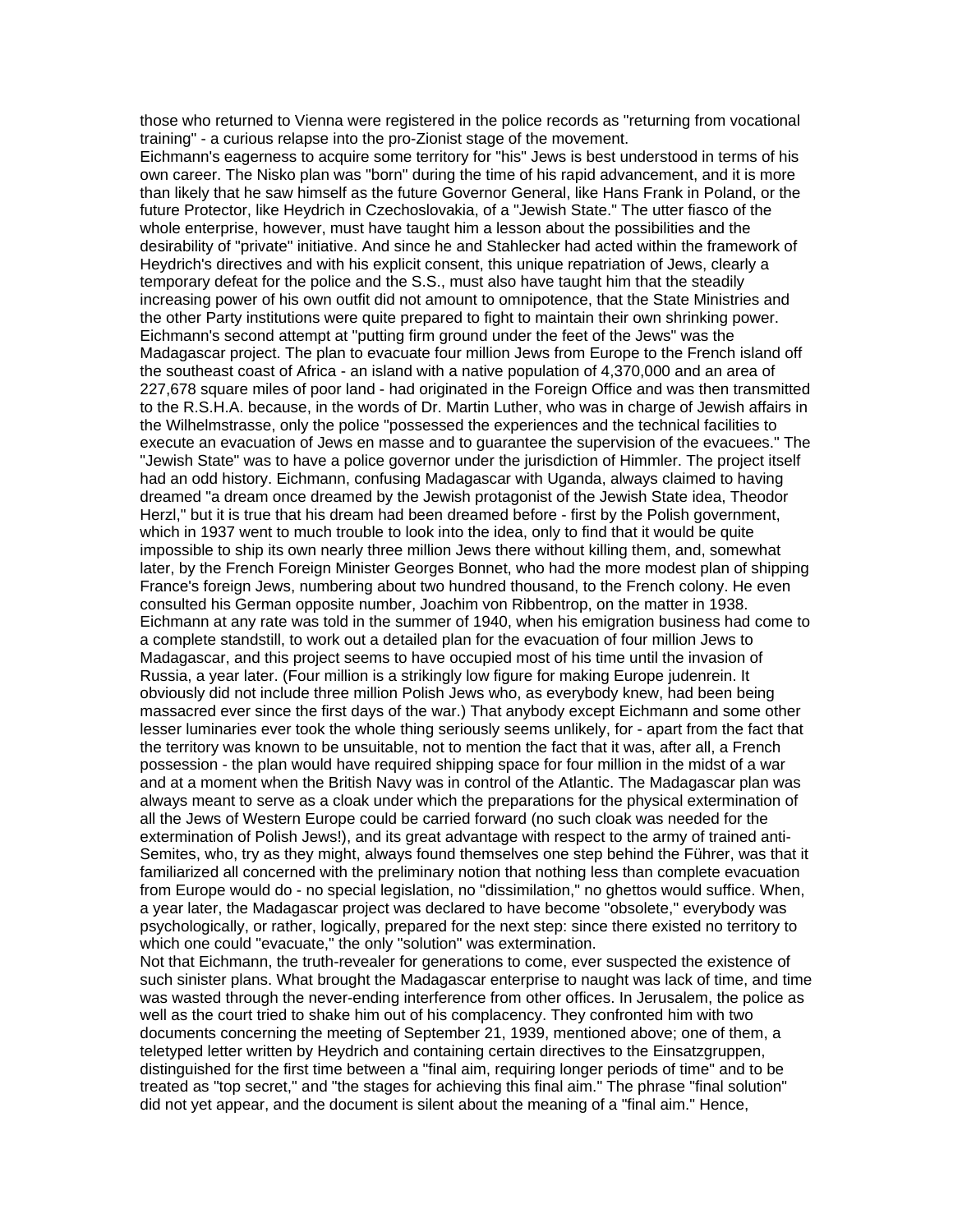those who returned to Vienna were registered in the police records as "returning from vocational training" - a curious relapse into the pro-Zionist stage of the movement.

Eichmann's eagerness to acquire some territory for "his" Jews is best understood in terms of his own career. The Nisko plan was "born" during the time of his rapid advancement, and it is more than likely that he saw himself as the future Governor General, like Hans Frank in Poland, or the future Protector, like Heydrich in Czechoslovakia, of a "Jewish State." The utter fiasco of the whole enterprise, however, must have taught him a lesson about the possibilities and the desirability of "private" initiative. And since he and Stahlecker had acted within the framework of Heydrich's directives and with his explicit consent, this unique repatriation of Jews, clearly a temporary defeat for the police and the S.S., must also have taught him that the steadily increasing power of his own outfit did not amount to omnipotence, that the State Ministries and the other Party institutions were quite prepared to fight to maintain their own shrinking power. Eichmann's second attempt at "putting firm ground under the feet of the Jews" was the Madagascar project. The plan to evacuate four million Jews from Europe to the French island off the southeast coast of Africa - an island with a native population of 4,370,000 and an area of 227,678 square miles of poor land - had originated in the Foreign Office and was then transmitted to the R.S.H.A. because, in the words of Dr. Martin Luther, who was in charge of Jewish affairs in the Wilhelmstrasse, only the police "possessed the experiences and the technical facilities to execute an evacuation of Jews en masse and to guarantee the supervision of the evacuees." The "Jewish State" was to have a police governor under the jurisdiction of Himmler. The project itself had an odd history. Eichmann, confusing Madagascar with Uganda, always claimed to having dreamed "a dream once dreamed by the Jewish protagonist of the Jewish State idea, Theodor Herzl," but it is true that his dream had been dreamed before - first by the Polish government, which in 1937 went to much trouble to look into the idea, only to find that it would be quite impossible to ship its own nearly three million Jews there without killing them, and, somewhat later, by the French Foreign Minister Georges Bonnet, who had the more modest plan of shipping France's foreign Jews, numbering about two hundred thousand, to the French colony. He even consulted his German opposite number, Joachim von Ribbentrop, on the matter in 1938. Eichmann at any rate was told in the summer of 1940, when his emigration business had come to a complete standstill, to work out a detailed plan for the evacuation of four million Jews to Madagascar, and this project seems to have occupied most of his time until the invasion of Russia, a year later. (Four million is a strikingly low figure for making Europe judenrein. It obviously did not include three million Polish Jews who, as everybody knew, had been being massacred ever since the first days of the war.) That anybody except Eichmann and some other lesser luminaries ever took the whole thing seriously seems unlikely, for - apart from the fact that the territory was known to be unsuitable, not to mention the fact that it was, after all, a French possession - the plan would have required shipping space for four million in the midst of a war and at a moment when the British Navy was in control of the Atlantic. The Madagascar plan was always meant to serve as a cloak under which the preparations for the physical extermination of all the Jews of Western Europe could be carried forward (no such cloak was needed for the extermination of Polish Jews!), and its great advantage with respect to the army of trained anti-Semites, who, try as they might, always found themselves one step behind the Führer, was that it familiarized all concerned with the preliminary notion that nothing less than complete evacuation from Europe would do - no special legislation, no "dissimilation," no ghettos would suffice. When, a year later, the Madagascar project was declared to have become "obsolete," everybody was psychologically, or rather, logically, prepared for the next step: since there existed no territory to which one could "evacuate," the only "solution" was extermination.

Not that Eichmann, the truth-revealer for generations to come, ever suspected the existence of such sinister plans. What brought the Madagascar enterprise to naught was lack of time, and time was wasted through the never-ending interference from other offices. In Jerusalem, the police as well as the court tried to shake him out of his complacency. They confronted him with two documents concerning the meeting of September 21, 1939, mentioned above; one of them, a teletyped letter written by Heydrich and containing certain directives to the Einsatzgruppen, distinguished for the first time between a "final aim, requiring longer periods of time" and to be treated as "top secret," and "the stages for achieving this final aim." The phrase "final solution" did not yet appear, and the document is silent about the meaning of a "final aim." Hence,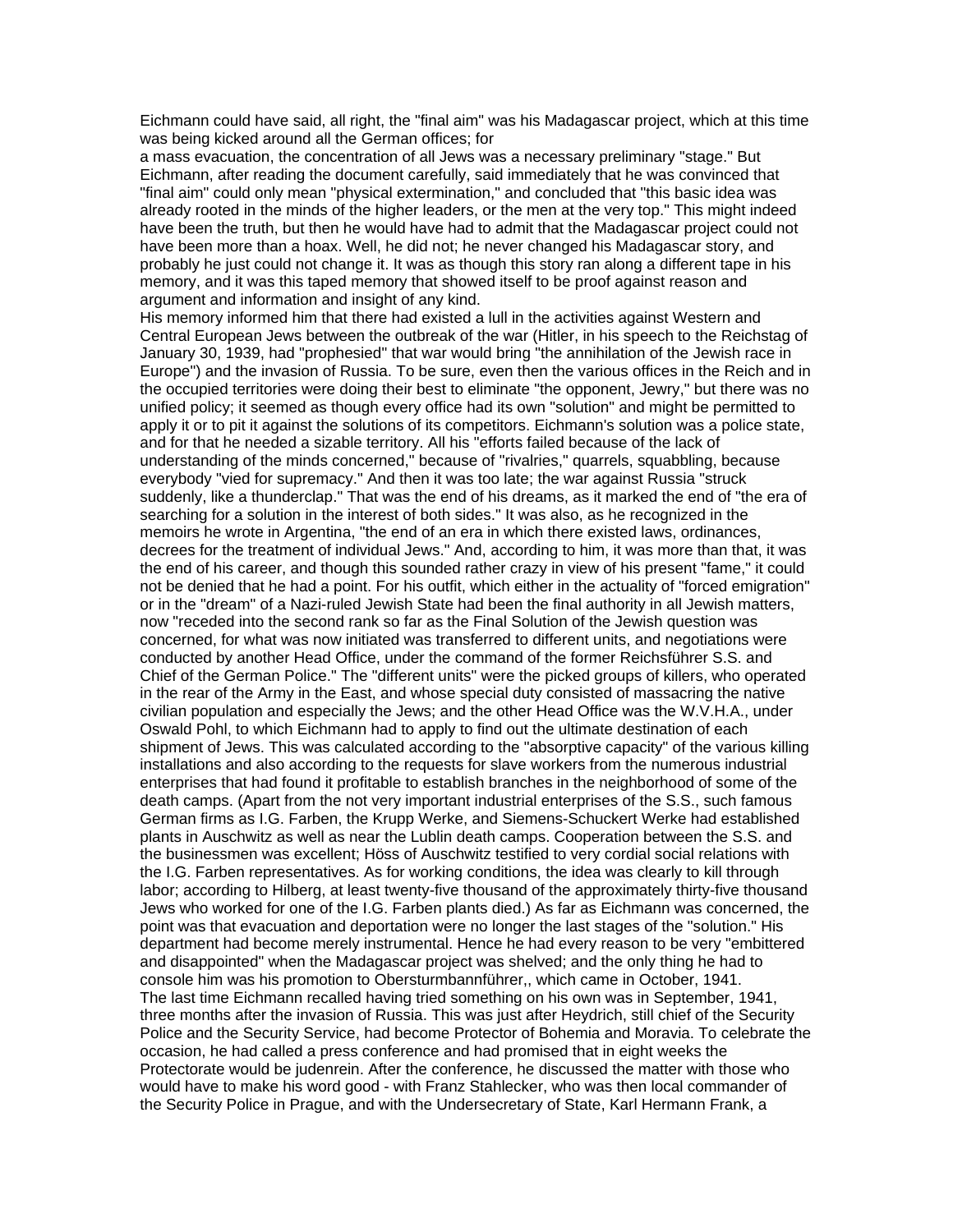Eichmann could have said, all right, the "final aim" was his Madagascar project, which at this time was being kicked around all the German offices; for

a mass evacuation, the concentration of all Jews was a necessary preliminary "stage." But Eichmann, after reading the document carefully, said immediately that he was convinced that "final aim" could only mean "physical extermination," and concluded that "this basic idea was already rooted in the minds of the higher leaders, or the men at the very top." This might indeed have been the truth, but then he would have had to admit that the Madagascar project could not have been more than a hoax. Well, he did not; he never changed his Madagascar story, and probably he just could not change it. It was as though this story ran along a different tape in his memory, and it was this taped memory that showed itself to be proof against reason and argument and information and insight of any kind.

His memory informed him that there had existed a lull in the activities against Western and Central European Jews between the outbreak of the war (Hitler, in his speech to the Reichstag of January 30, 1939, had "prophesied" that war would bring "the annihilation of the Jewish race in Europe") and the invasion of Russia. To be sure, even then the various offices in the Reich and in the occupied territories were doing their best to eliminate "the opponent, Jewry," but there was no unified policy; it seemed as though every office had its own "solution" and might be permitted to apply it or to pit it against the solutions of its competitors. Eichmann's solution was a police state, and for that he needed a sizable territory. All his "efforts failed because of the lack of understanding of the minds concerned," because of "rivalries," quarrels, squabbling, because everybody "vied for supremacy." And then it was too late; the war against Russia "struck suddenly, like a thunderclap." That was the end of his dreams, as it marked the end of "the era of searching for a solution in the interest of both sides." It was also, as he recognized in the memoirs he wrote in Argentina, "the end of an era in which there existed laws, ordinances, decrees for the treatment of individual Jews." And, according to him, it was more than that, it was the end of his career, and though this sounded rather crazy in view of his present "fame," it could not be denied that he had a point. For his outfit, which either in the actuality of "forced emigration" or in the "dream" of a Nazi-ruled Jewish State had been the final authority in all Jewish matters, now "receded into the second rank so far as the Final Solution of the Jewish question was concerned, for what was now initiated was transferred to different units, and negotiations were conducted by another Head Office, under the command of the former Reichsführer S.S. and Chief of the German Police." The "different units" were the picked groups of killers, who operated in the rear of the Army in the East, and whose special duty consisted of massacring the native civilian population and especially the Jews; and the other Head Office was the W.V.H.A., under Oswald Pohl, to which Eichmann had to apply to find out the ultimate destination of each shipment of Jews. This was calculated according to the "absorptive capacity" of the various killing installations and also according to the requests for slave workers from the numerous industrial enterprises that had found it profitable to establish branches in the neighborhood of some of the death camps. (Apart from the not very important industrial enterprises of the S.S., such famous German firms as I.G. Farben, the Krupp Werke, and Siemens-Schuckert Werke had established plants in Auschwitz as well as near the Lublin death camps. Cooperation between the S.S. and the businessmen was excellent; Höss of Auschwitz testified to very cordial social relations with the I.G. Farben representatives. As for working conditions, the idea was clearly to kill through labor; according to Hilberg, at least twenty-five thousand of the approximately thirty-five thousand Jews who worked for one of the I.G. Farben plants died.) As far as Eichmann was concerned, the point was that evacuation and deportation were no longer the last stages of the "solution." His department had become merely instrumental. Hence he had every reason to be very "embittered and disappointed" when the Madagascar project was shelved; and the only thing he had to console him was his promotion to Obersturmbannführer,, which came in October, 1941. The last time Eichmann recalled having tried something on his own was in September, 1941, three months after the invasion of Russia. This was just after Heydrich, still chief of the Security Police and the Security Service, had become Protector of Bohemia and Moravia. To celebrate the occasion, he had called a press conference and had promised that in eight weeks the Protectorate would be judenrein. After the conference, he discussed the matter with those who would have to make his word good - with Franz Stahlecker, who was then local commander of the Security Police in Prague, and with the Undersecretary of State, Karl Hermann Frank, a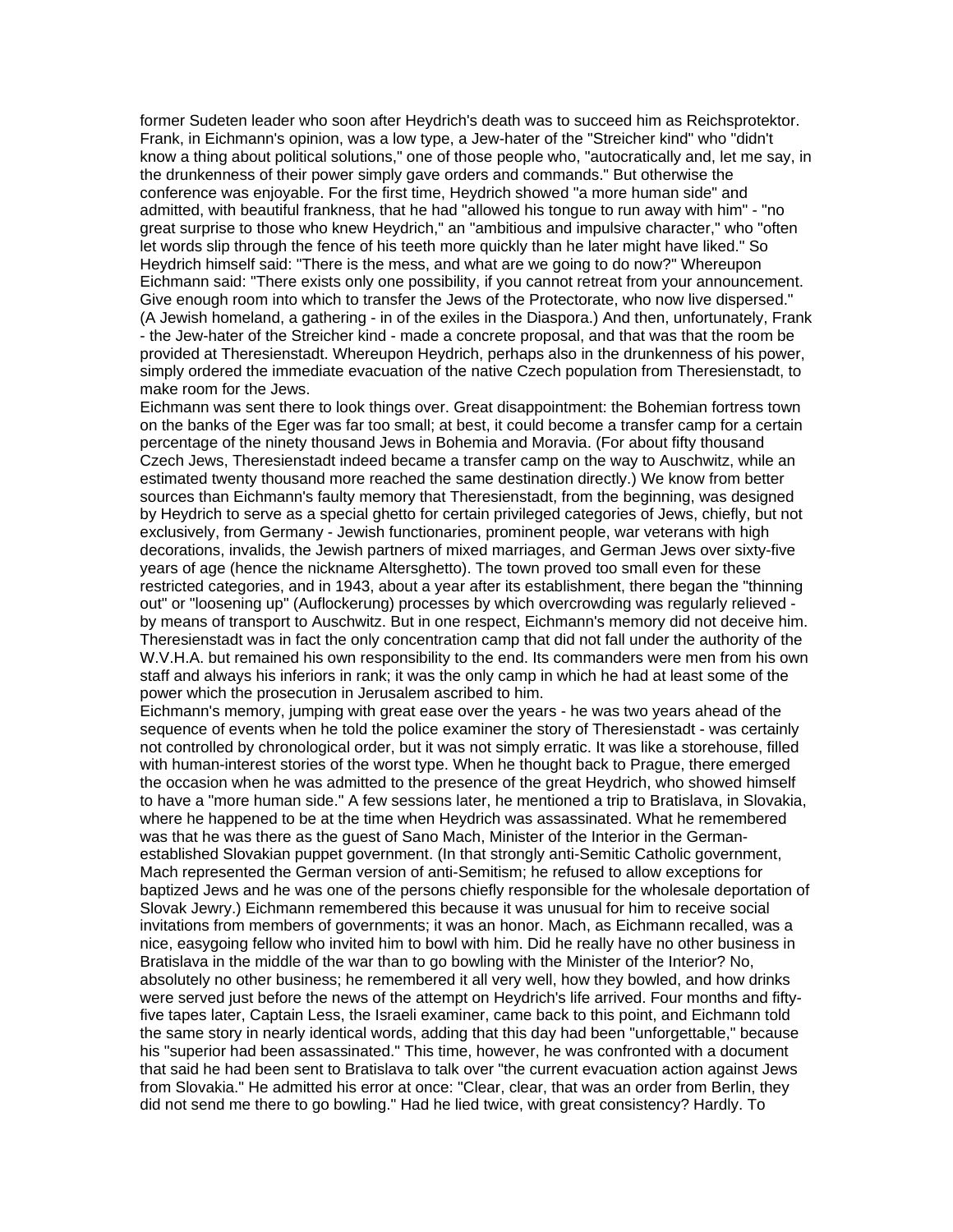former Sudeten leader who soon after Heydrich's death was to succeed him as Reichsprotektor. Frank, in Eichmann's opinion, was a low type, a Jew-hater of the "Streicher kind" who "didn't know a thing about political solutions," one of those people who, "autocratically and, let me say, in the drunkenness of their power simply gave orders and commands." But otherwise the conference was enjoyable. For the first time, Heydrich showed "a more human side" and admitted, with beautiful frankness, that he had "allowed his tongue to run away with him" - "no great surprise to those who knew Heydrich," an "ambitious and impulsive character," who "often let words slip through the fence of his teeth more quickly than he later might have liked." So Heydrich himself said: "There is the mess, and what are we going to do now?" Whereupon Eichmann said: "There exists only one possibility, if you cannot retreat from your announcement. Give enough room into which to transfer the Jews of the Protectorate, who now live dispersed." (A Jewish homeland, a gathering - in of the exiles in the Diaspora.) And then, unfortunately, Frank - the Jew-hater of the Streicher kind - made a concrete proposal, and that was that the room be provided at Theresienstadt. Whereupon Heydrich, perhaps also in the drunkenness of his power, simply ordered the immediate evacuation of the native Czech population from Theresienstadt, to make room for the Jews.

Eichmann was sent there to look things over. Great disappointment: the Bohemian fortress town on the banks of the Eger was far too small; at best, it could become a transfer camp for a certain percentage of the ninety thousand Jews in Bohemia and Moravia. (For about fifty thousand Czech Jews, Theresienstadt indeed became a transfer camp on the way to Auschwitz, while an estimated twenty thousand more reached the same destination directly.) We know from better sources than Eichmann's faulty memory that Theresienstadt, from the beginning, was designed by Heydrich to serve as a special ghetto for certain privileged categories of Jews, chiefly, but not exclusively, from Germany - Jewish functionaries, prominent people, war veterans with high decorations, invalids, the Jewish partners of mixed marriages, and German Jews over sixty-five years of age (hence the nickname Altersghetto). The town proved too small even for these restricted categories, and in 1943, about a year after its establishment, there began the "thinning out" or "loosening up" (Auflockerung) processes by which overcrowding was regularly relieved by means of transport to Auschwitz. But in one respect, Eichmann's memory did not deceive him. Theresienstadt was in fact the only concentration camp that did not fall under the authority of the W.V.H.A. but remained his own responsibility to the end. Its commanders were men from his own staff and always his inferiors in rank; it was the only camp in which he had at least some of the power which the prosecution in Jerusalem ascribed to him.

Eichmann's memory, jumping with great ease over the years - he was two years ahead of the sequence of events when he told the police examiner the story of Theresienstadt - was certainly not controlled by chronological order, but it was not simply erratic. It was like a storehouse, filled with human-interest stories of the worst type. When he thought back to Prague, there emerged the occasion when he was admitted to the presence of the great Heydrich, who showed himself to have a "more human side." A few sessions later, he mentioned a trip to Bratislava, in Slovakia, where he happened to be at the time when Heydrich was assassinated. What he remembered was that he was there as the guest of Sano Mach, Minister of the Interior in the Germanestablished Slovakian puppet government. (In that strongly anti-Semitic Catholic government, Mach represented the German version of anti-Semitism; he refused to allow exceptions for baptized Jews and he was one of the persons chiefly responsible for the wholesale deportation of Slovak Jewry.) Eichmann remembered this because it was unusual for him to receive social invitations from members of governments; it was an honor. Mach, as Eichmann recalled, was a nice, easygoing fellow who invited him to bowl with him. Did he really have no other business in Bratislava in the middle of the war than to go bowling with the Minister of the Interior? No, absolutely no other business; he remembered it all very well, how they bowled, and how drinks were served just before the news of the attempt on Heydrich's life arrived. Four months and fiftyfive tapes later, Captain Less, the Israeli examiner, came back to this point, and Eichmann told the same story in nearly identical words, adding that this day had been "unforgettable," because his "superior had been assassinated." This time, however, he was confronted with a document that said he had been sent to Bratislava to talk over "the current evacuation action against Jews from Slovakia." He admitted his error at once: "Clear, clear, that was an order from Berlin, they did not send me there to go bowling." Had he lied twice, with great consistency? Hardly. To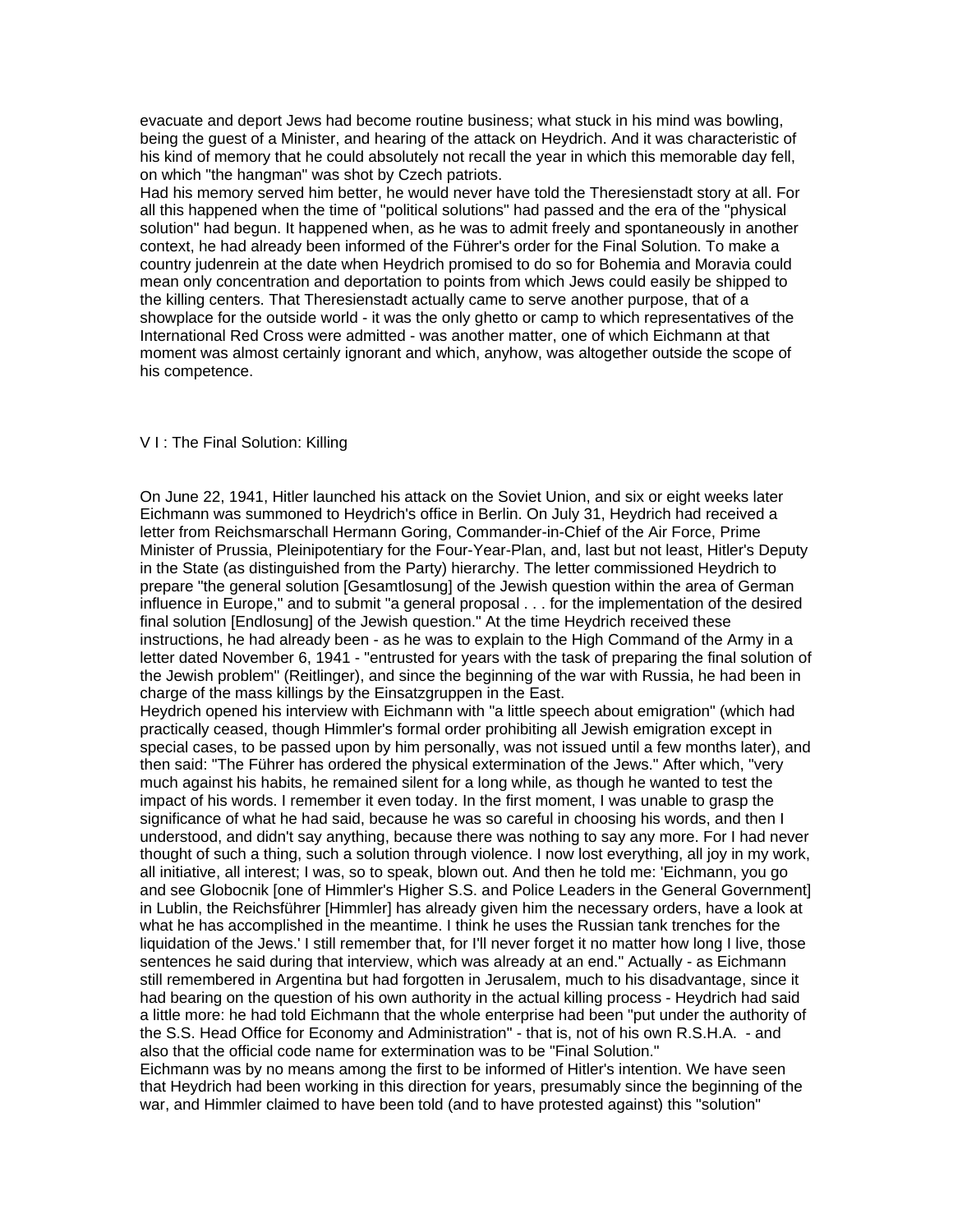evacuate and deport Jews had become routine business; what stuck in his mind was bowling, being the guest of a Minister, and hearing of the attack on Heydrich. And it was characteristic of his kind of memory that he could absolutely not recall the year in which this memorable day fell, on which "the hangman" was shot by Czech patriots.

Had his memory served him better, he would never have told the Theresienstadt story at all. For all this happened when the time of "political solutions" had passed and the era of the "physical solution" had begun. It happened when, as he was to admit freely and spontaneously in another context, he had already been informed of the Führer's order for the Final Solution. To make a country judenrein at the date when Heydrich promised to do so for Bohemia and Moravia could mean only concentration and deportation to points from which Jews could easily be shipped to the killing centers. That Theresienstadt actually came to serve another purpose, that of a showplace for the outside world - it was the only ghetto or camp to which representatives of the International Red Cross were admitted - was another matter, one of which Eichmann at that moment was almost certainly ignorant and which, anyhow, was altogether outside the scope of his competence.

## V I : The Final Solution: Killing

On June 22, 1941, Hitler launched his attack on the Soviet Union, and six or eight weeks later Eichmann was summoned to Heydrich's office in Berlin. On July 31, Heydrich had received a letter from Reichsmarschall Hermann Goring, Commander-in-Chief of the Air Force, Prime Minister of Prussia, Pleinipotentiary for the Four-Year-Plan, and, last but not least, Hitler's Deputy in the State (as distinguished from the Party) hierarchy. The letter commissioned Heydrich to prepare "the general solution [Gesamtlosung] of the Jewish question within the area of German influence in Europe," and to submit "a general proposal . . . for the implementation of the desired final solution [Endlosung] of the Jewish question." At the time Heydrich received these instructions, he had already been - as he was to explain to the High Command of the Army in a letter dated November 6, 1941 - "entrusted for years with the task of preparing the final solution of the Jewish problem" (Reitlinger), and since the beginning of the war with Russia, he had been in charge of the mass killings by the Einsatzgruppen in the East.

Heydrich opened his interview with Eichmann with "a little speech about emigration" (which had practically ceased, though Himmler's formal order prohibiting all Jewish emigration except in special cases, to be passed upon by him personally, was not issued until a few months later), and then said: "The Führer has ordered the physical extermination of the Jews." After which, "very much against his habits, he remained silent for a long while, as though he wanted to test the impact of his words. I remember it even today. In the first moment, I was unable to grasp the significance of what he had said, because he was so careful in choosing his words, and then I understood, and didn't say anything, because there was nothing to say any more. For I had never thought of such a thing, such a solution through violence. I now lost everything, all joy in my work, all initiative, all interest; I was, so to speak, blown out. And then he told me: 'Eichmann, you go and see Globocnik [one of Himmler's Higher S.S. and Police Leaders in the General Government] in Lublin, the Reichsführer [Himmler] has already given him the necessary orders, have a look at what he has accomplished in the meantime. I think he uses the Russian tank trenches for the liquidation of the Jews.' I still remember that, for I'll never forget it no matter how long I live, those sentences he said during that interview, which was already at an end." Actually - as Eichmann still remembered in Argentina but had forgotten in Jerusalem, much to his disadvantage, since it had bearing on the question of his own authority in the actual killing process - Heydrich had said a little more: he had told Eichmann that the whole enterprise had been "put under the authority of the S.S. Head Office for Economy and Administration" - that is, not of his own R.S.H.A. - and also that the official code name for extermination was to be "Final Solution."

Eichmann was by no means among the first to be informed of Hitler's intention. We have seen that Heydrich had been working in this direction for years, presumably since the beginning of the war, and Himmler claimed to have been told (and to have protested against) this "solution"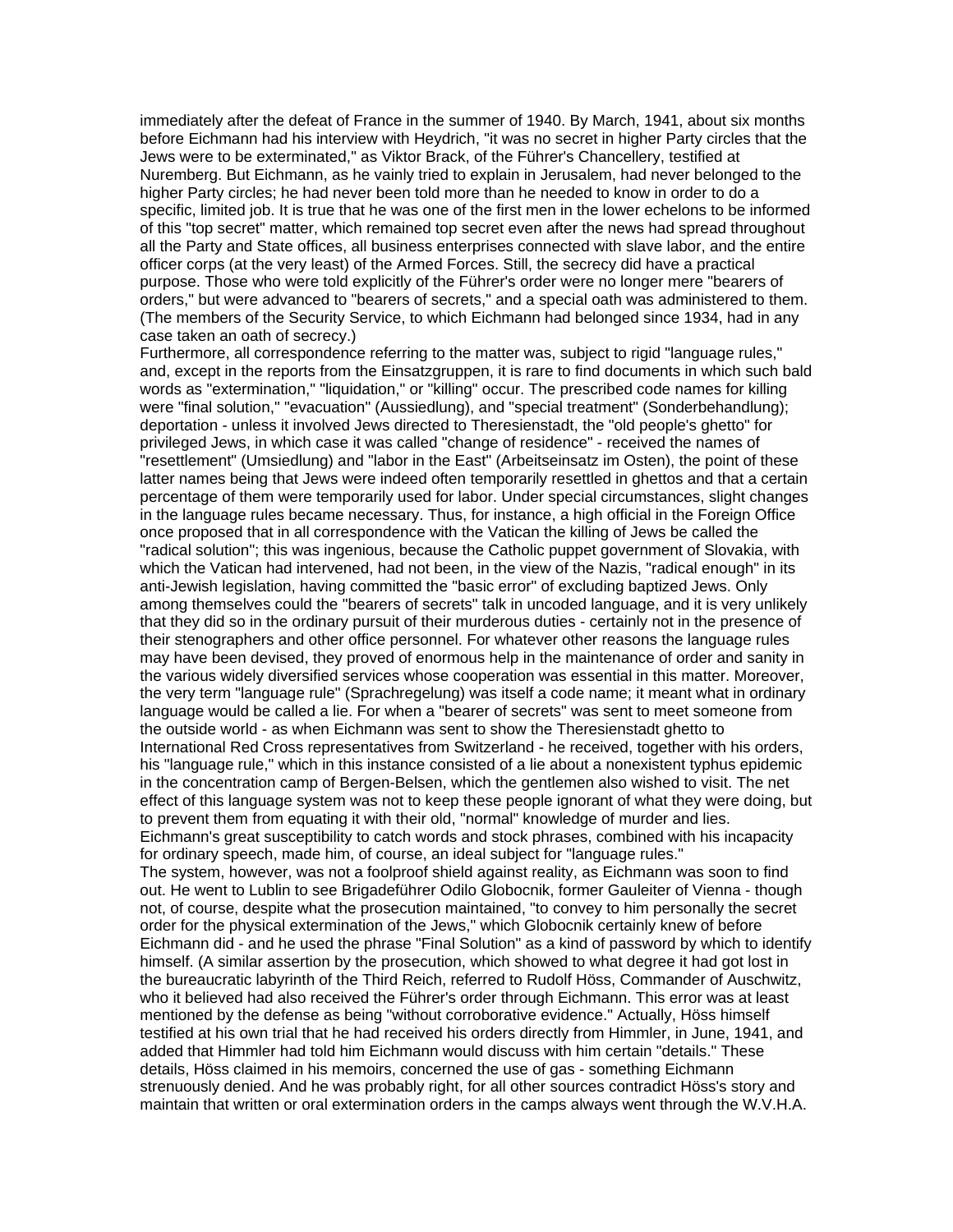immediately after the defeat of France in the summer of 1940. By March, 1941, about six months before Eichmann had his interview with Heydrich, "it was no secret in higher Party circles that the Jews were to be exterminated," as Viktor Brack, of the Führer's Chancellery, testified at Nuremberg. But Eichmann, as he vainly tried to explain in Jerusalem, had never belonged to the higher Party circles; he had never been told more than he needed to know in order to do a specific, limited job. It is true that he was one of the first men in the lower echelons to be informed of this "top secret" matter, which remained top secret even after the news had spread throughout all the Party and State offices, all business enterprises connected with slave labor, and the entire officer corps (at the very least) of the Armed Forces. Still, the secrecy did have a practical purpose. Those who were told explicitly of the Führer's order were no longer mere "bearers of orders," but were advanced to "bearers of secrets," and a special oath was administered to them. (The members of the Security Service, to which Eichmann had belonged since 1934, had in any case taken an oath of secrecy.)

Furthermore, all correspondence referring to the matter was, subject to rigid "language rules," and, except in the reports from the Einsatzgruppen, it is rare to find documents in which such bald words as "extermination," "liquidation," or "killing" occur. The prescribed code names for killing were "final solution," "evacuation" (Aussiedlung), and "special treatment" (Sonderbehandlung); deportation - unless it involved Jews directed to Theresienstadt, the "old people's ghetto" for privileged Jews, in which case it was called "change of residence" - received the names of "resettlement" (Umsiedlung) and "labor in the East" (Arbeitseinsatz im Osten), the point of these latter names being that Jews were indeed often temporarily resettled in ghettos and that a certain percentage of them were temporarily used for labor. Under special circumstances, slight changes in the language rules became necessary. Thus, for instance, a high official in the Foreign Office once proposed that in all correspondence with the Vatican the killing of Jews be called the "radical solution"; this was ingenious, because the Catholic puppet government of Slovakia, with which the Vatican had intervened, had not been, in the view of the Nazis, "radical enough" in its anti-Jewish legislation, having committed the "basic error" of excluding baptized Jews. Only among themselves could the "bearers of secrets" talk in uncoded language, and it is very unlikely that they did so in the ordinary pursuit of their murderous duties - certainly not in the presence of their stenographers and other office personnel. For whatever other reasons the language rules may have been devised, they proved of enormous help in the maintenance of order and sanity in the various widely diversified services whose cooperation was essential in this matter. Moreover, the very term "language rule" (Sprachregelung) was itself a code name; it meant what in ordinary language would be called a lie. For when a "bearer of secrets" was sent to meet someone from the outside world - as when Eichmann was sent to show the Theresienstadt ghetto to International Red Cross representatives from Switzerland - he received, together with his orders, his "language rule," which in this instance consisted of a lie about a nonexistent typhus epidemic in the concentration camp of Bergen-Belsen, which the gentlemen also wished to visit. The net effect of this language system was not to keep these people ignorant of what they were doing, but to prevent them from equating it with their old, "normal" knowledge of murder and lies. Eichmann's great susceptibility to catch words and stock phrases, combined with his incapacity for ordinary speech, made him, of course, an ideal subject for "language rules." The system, however, was not a foolproof shield against reality, as Eichmann was soon to find out. He went to Lublin to see Brigadeführer Odilo Globocnik, former Gauleiter of Vienna - though not, of course, despite what the prosecution maintained, "to convey to him personally the secret order for the physical extermination of the Jews," which Globocnik certainly knew of before Eichmann did - and he used the phrase "Final Solution" as a kind of password by which to identify himself. (A similar assertion by the prosecution, which showed to what degree it had got lost in the bureaucratic labyrinth of the Third Reich, referred to Rudolf Höss, Commander of Auschwitz, who it believed had also received the Führer's order through Eichmann. This error was at least mentioned by the defense as being "without corroborative evidence." Actually, Höss himself testified at his own trial that he had received his orders directly from Himmler, in June, 1941, and added that Himmler had told him Eichmann would discuss with him certain "details." These details, Höss claimed in his memoirs, concerned the use of gas - something Eichmann strenuously denied. And he was probably right, for all other sources contradict Höss's story and maintain that written or oral extermination orders in the camps always went through the W.V.H.A.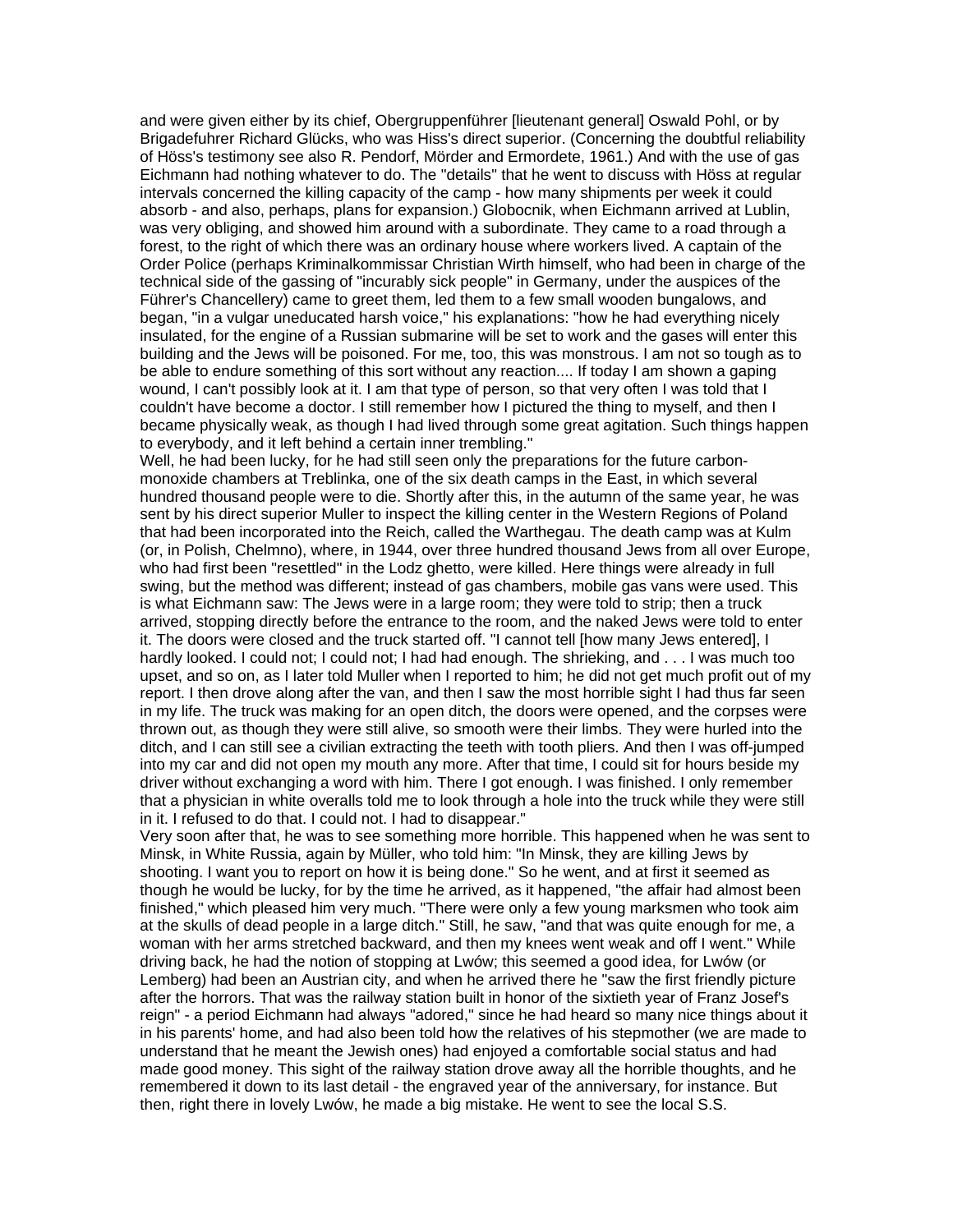and were given either by its chief, Obergruppenführer [lieutenant general] Oswald Pohl, or by Brigadefuhrer Richard Glücks, who was Hiss's direct superior. (Concerning the doubtful reliability of Höss's testimony see also R. Pendorf, Mörder and Ermordete, 1961.) And with the use of gas Eichmann had nothing whatever to do. The "details" that he went to discuss with Höss at regular intervals concerned the killing capacity of the camp - how many shipments per week it could absorb - and also, perhaps, plans for expansion.) Globocnik, when Eichmann arrived at Lublin, was very obliging, and showed him around with a subordinate. They came to a road through a forest, to the right of which there was an ordinary house where workers lived. A captain of the Order Police (perhaps Kriminalkommissar Christian Wirth himself, who had been in charge of the technical side of the gassing of "incurably sick people" in Germany, under the auspices of the Führer's Chancellery) came to greet them, led them to a few small wooden bungalows, and began, "in a vulgar uneducated harsh voice," his explanations: "how he had everything nicely insulated, for the engine of a Russian submarine will be set to work and the gases will enter this building and the Jews will be poisoned. For me, too, this was monstrous. I am not so tough as to be able to endure something of this sort without any reaction.... If today I am shown a gaping wound, I can't possibly look at it. I am that type of person, so that very often I was told that I couldn't have become a doctor. I still remember how I pictured the thing to myself, and then I became physically weak, as though I had lived through some great agitation. Such things happen to everybody, and it left behind a certain inner trembling."

Well, he had been lucky, for he had still seen only the preparations for the future carbonmonoxide chambers at Treblinka, one of the six death camps in the East, in which several hundred thousand people were to die. Shortly after this, in the autumn of the same year, he was sent by his direct superior Muller to inspect the killing center in the Western Regions of Poland that had been incorporated into the Reich, called the Warthegau. The death camp was at Kulm (or, in Polish, Chelmno), where, in 1944, over three hundred thousand Jews from all over Europe, who had first been "resettled" in the Lodz ghetto, were killed. Here things were already in full swing, but the method was different; instead of gas chambers, mobile gas vans were used. This is what Eichmann saw: The Jews were in a large room; they were told to strip; then a truck arrived, stopping directly before the entrance to the room, and the naked Jews were told to enter it. The doors were closed and the truck started off. "I cannot tell [how many Jews entered], I hardly looked. I could not; I could not; I had had enough. The shrieking, and . . . I was much too upset, and so on, as I later told Muller when I reported to him; he did not get much profit out of my report. I then drove along after the van, and then I saw the most horrible sight I had thus far seen in my life. The truck was making for an open ditch, the doors were opened, and the corpses were thrown out, as though they were still alive, so smooth were their limbs. They were hurled into the ditch, and I can still see a civilian extracting the teeth with tooth pliers. And then I was off-jumped into my car and did not open my mouth any more. After that time, I could sit for hours beside my driver without exchanging a word with him. There I got enough. I was finished. I only remember that a physician in white overalls told me to look through a hole into the truck while they were still in it. I refused to do that. I could not. I had to disappear."

Very soon after that, he was to see something more horrible. This happened when he was sent to Minsk, in White Russia, again by Müller, who told him: "In Minsk, they are killing Jews by shooting. I want you to report on how it is being done." So he went, and at first it seemed as though he would be lucky, for by the time he arrived, as it happened, "the affair had almost been finished," which pleased him very much. "There were only a few young marksmen who took aim at the skulls of dead people in a large ditch." Still, he saw, "and that was quite enough for me, a woman with her arms stretched backward, and then my knees went weak and off I went." While driving back, he had the notion of stopping at Lwów; this seemed a good idea, for Lwów (or Lemberg) had been an Austrian city, and when he arrived there he "saw the first friendly picture after the horrors. That was the railway station built in honor of the sixtieth year of Franz Josef's reign" - a period Eichmann had always "adored," since he had heard so many nice things about it in his parents' home, and had also been told how the relatives of his stepmother (we are made to understand that he meant the Jewish ones) had enjoyed a comfortable social status and had made good money. This sight of the railway station drove away all the horrible thoughts, and he remembered it down to its last detail - the engraved year of the anniversary, for instance. But then, right there in lovely Lwów, he made a big mistake. He went to see the local S.S.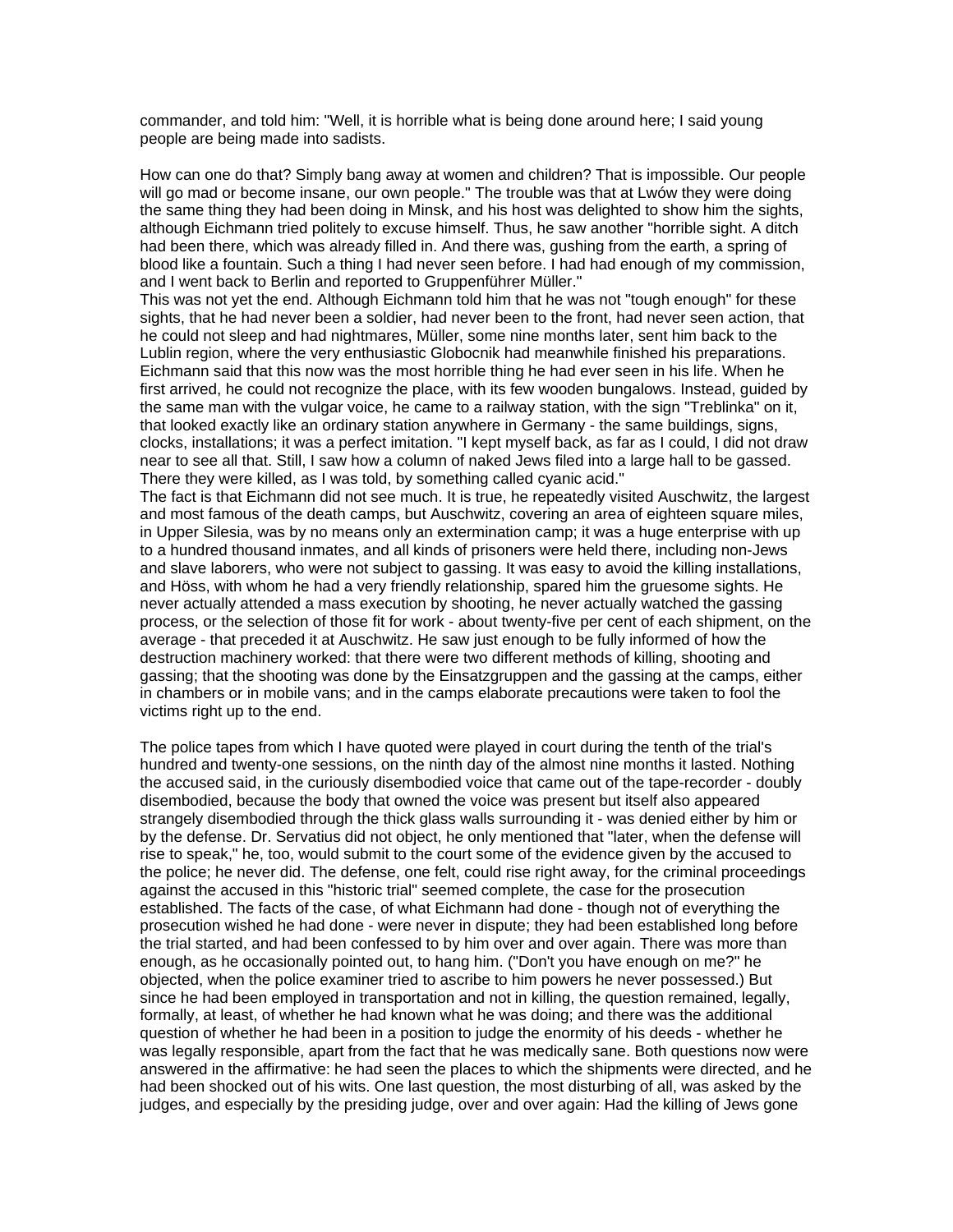commander, and told him: "Well, it is horrible what is being done around here; I said young people are being made into sadists.

How can one do that? Simply bang away at women and children? That is impossible. Our people will go mad or become insane, our own people." The trouble was that at Lwów they were doing the same thing they had been doing in Minsk, and his host was delighted to show him the sights, although Eichmann tried politely to excuse himself. Thus, he saw another "horrible sight. A ditch had been there, which was already filled in. And there was, gushing from the earth, a spring of blood like a fountain. Such a thing I had never seen before. I had had enough of my commission, and I went back to Berlin and reported to Gruppenführer Müller."

This was not yet the end. Although Eichmann told him that he was not "tough enough" for these sights, that he had never been a soldier, had never been to the front, had never seen action, that he could not sleep and had nightmares, Müller, some nine months later, sent him back to the Lublin region, where the very enthusiastic Globocnik had meanwhile finished his preparations. Eichmann said that this now was the most horrible thing he had ever seen in his life. When he first arrived, he could not recognize the place, with its few wooden bungalows. Instead, guided by the same man with the vulgar voice, he came to a railway station, with the sign "Treblinka" on it, that looked exactly like an ordinary station anywhere in Germany - the same buildings, signs, clocks, installations; it was a perfect imitation. "I kept myself back, as far as I could, I did not draw near to see all that. Still, I saw how a column of naked Jews filed into a large hall to be gassed. There they were killed, as I was told, by something called cyanic acid."

The fact is that Eichmann did not see much. It is true, he repeatedly visited Auschwitz, the largest and most famous of the death camps, but Auschwitz, covering an area of eighteen square miles, in Upper Silesia, was by no means only an extermination camp; it was a huge enterprise with up to a hundred thousand inmates, and all kinds of prisoners were held there, including non-Jews and slave laborers, who were not subject to gassing. It was easy to avoid the killing installations, and Höss, with whom he had a very friendly relationship, spared him the gruesome sights. He never actually attended a mass execution by shooting, he never actually watched the gassing process, or the selection of those fit for work - about twenty-five per cent of each shipment, on the average - that preceded it at Auschwitz. He saw just enough to be fully informed of how the destruction machinery worked: that there were two different methods of killing, shooting and gassing; that the shooting was done by the Einsatzgruppen and the gassing at the camps, either in chambers or in mobile vans; and in the camps elaborate precautions were taken to fool the victims right up to the end.

The police tapes from which I have quoted were played in court during the tenth of the trial's hundred and twenty-one sessions, on the ninth day of the almost nine months it lasted. Nothing the accused said, in the curiously disembodied voice that came out of the tape-recorder - doubly disembodied, because the body that owned the voice was present but itself also appeared strangely disembodied through the thick glass walls surrounding it - was denied either by him or by the defense. Dr. Servatius did not object, he only mentioned that "later, when the defense will rise to speak," he, too, would submit to the court some of the evidence given by the accused to the police; he never did. The defense, one felt, could rise right away, for the criminal proceedings against the accused in this "historic trial" seemed complete, the case for the prosecution established. The facts of the case, of what Eichmann had done - though not of everything the prosecution wished he had done - were never in dispute; they had been established long before the trial started, and had been confessed to by him over and over again. There was more than enough, as he occasionally pointed out, to hang him. ("Don't you have enough on me?" he objected, when the police examiner tried to ascribe to him powers he never possessed.) But since he had been employed in transportation and not in killing, the question remained, legally, formally, at least, of whether he had known what he was doing; and there was the additional question of whether he had been in a position to judge the enormity of his deeds - whether he was legally responsible, apart from the fact that he was medically sane. Both questions now were answered in the affirmative: he had seen the places to which the shipments were directed, and he had been shocked out of his wits. One last question, the most disturbing of all, was asked by the judges, and especially by the presiding judge, over and over again: Had the killing of Jews gone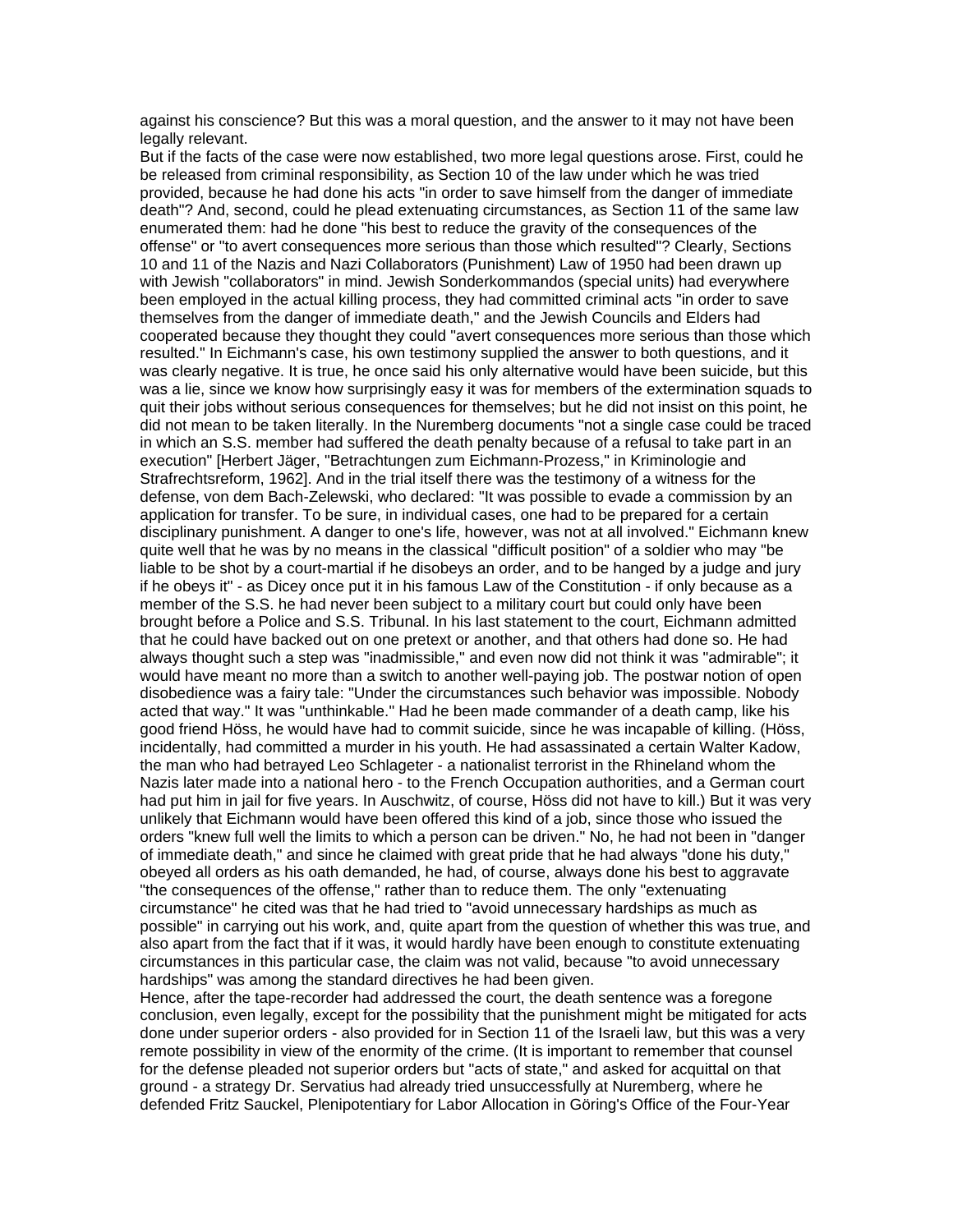against his conscience? But this was a moral question, and the answer to it may not have been legally relevant.

But if the facts of the case were now established, two more legal questions arose. First, could he be released from criminal responsibility, as Section 10 of the law under which he was tried provided, because he had done his acts "in order to save himself from the danger of immediate death"? And, second, could he plead extenuating circumstances, as Section 11 of the same law enumerated them: had he done "his best to reduce the gravity of the consequences of the offense" or "to avert consequences more serious than those which resulted"? Clearly, Sections 10 and 11 of the Nazis and Nazi Collaborators (Punishment) Law of 1950 had been drawn up with Jewish "collaborators" in mind. Jewish Sonderkommandos (special units) had everywhere been employed in the actual killing process, they had committed criminal acts "in order to save themselves from the danger of immediate death," and the Jewish Councils and Elders had cooperated because they thought they could "avert consequences more serious than those which resulted." In Eichmann's case, his own testimony supplied the answer to both questions, and it was clearly negative. It is true, he once said his only alternative would have been suicide, but this was a lie, since we know how surprisingly easy it was for members of the extermination squads to quit their jobs without serious consequences for themselves; but he did not insist on this point, he did not mean to be taken literally. In the Nuremberg documents "not a single case could be traced in which an S.S. member had suffered the death penalty because of a refusal to take part in an execution" [Herbert Jäger, "Betrachtungen zum Eichmann-Prozess," in Kriminologie and Strafrechtsreform, 1962]. And in the trial itself there was the testimony of a witness for the defense, von dem Bach-Zelewski, who declared: "It was possible to evade a commission by an application for transfer. To be sure, in individual cases, one had to be prepared for a certain disciplinary punishment. A danger to one's life, however, was not at all involved." Eichmann knew quite well that he was by no means in the classical "difficult position" of a soldier who may "be liable to be shot by a court-martial if he disobeys an order, and to be hanged by a judge and jury if he obeys it" - as Dicey once put it in his famous Law of the Constitution - if only because as a member of the S.S. he had never been subject to a military court but could only have been brought before a Police and S.S. Tribunal. In his last statement to the court, Eichmann admitted that he could have backed out on one pretext or another, and that others had done so. He had always thought such a step was "inadmissible," and even now did not think it was "admirable"; it would have meant no more than a switch to another well-paying job. The postwar notion of open disobedience was a fairy tale: "Under the circumstances such behavior was impossible. Nobody acted that way." It was "unthinkable." Had he been made commander of a death camp, like his good friend Höss, he would have had to commit suicide, since he was incapable of killing. (Höss, incidentally, had committed a murder in his youth. He had assassinated a certain Walter Kadow, the man who had betrayed Leo Schlageter - a nationalist terrorist in the Rhineland whom the Nazis later made into a national hero - to the French Occupation authorities, and a German court had put him in jail for five years. In Auschwitz, of course, Höss did not have to kill.) But it was very unlikely that Eichmann would have been offered this kind of a job, since those who issued the orders "knew full well the limits to which a person can be driven." No, he had not been in "danger of immediate death," and since he claimed with great pride that he had always "done his duty," obeyed all orders as his oath demanded, he had, of course, always done his best to aggravate "the consequences of the offense," rather than to reduce them. The only "extenuating circumstance" he cited was that he had tried to "avoid unnecessary hardships as much as possible" in carrying out his work, and, quite apart from the question of whether this was true, and also apart from the fact that if it was, it would hardly have been enough to constitute extenuating circumstances in this particular case, the claim was not valid, because "to avoid unnecessary hardships" was among the standard directives he had been given.

Hence, after the tape-recorder had addressed the court, the death sentence was a foregone conclusion, even legally, except for the possibility that the punishment might be mitigated for acts done under superior orders - also provided for in Section 11 of the Israeli law, but this was a very remote possibility in view of the enormity of the crime. (It is important to remember that counsel for the defense pleaded not superior orders but "acts of state," and asked for acquittal on that ground - a strategy Dr. Servatius had already tried unsuccessfully at Nuremberg, where he defended Fritz Sauckel, Plenipotentiary for Labor Allocation in Göring's Office of the Four-Year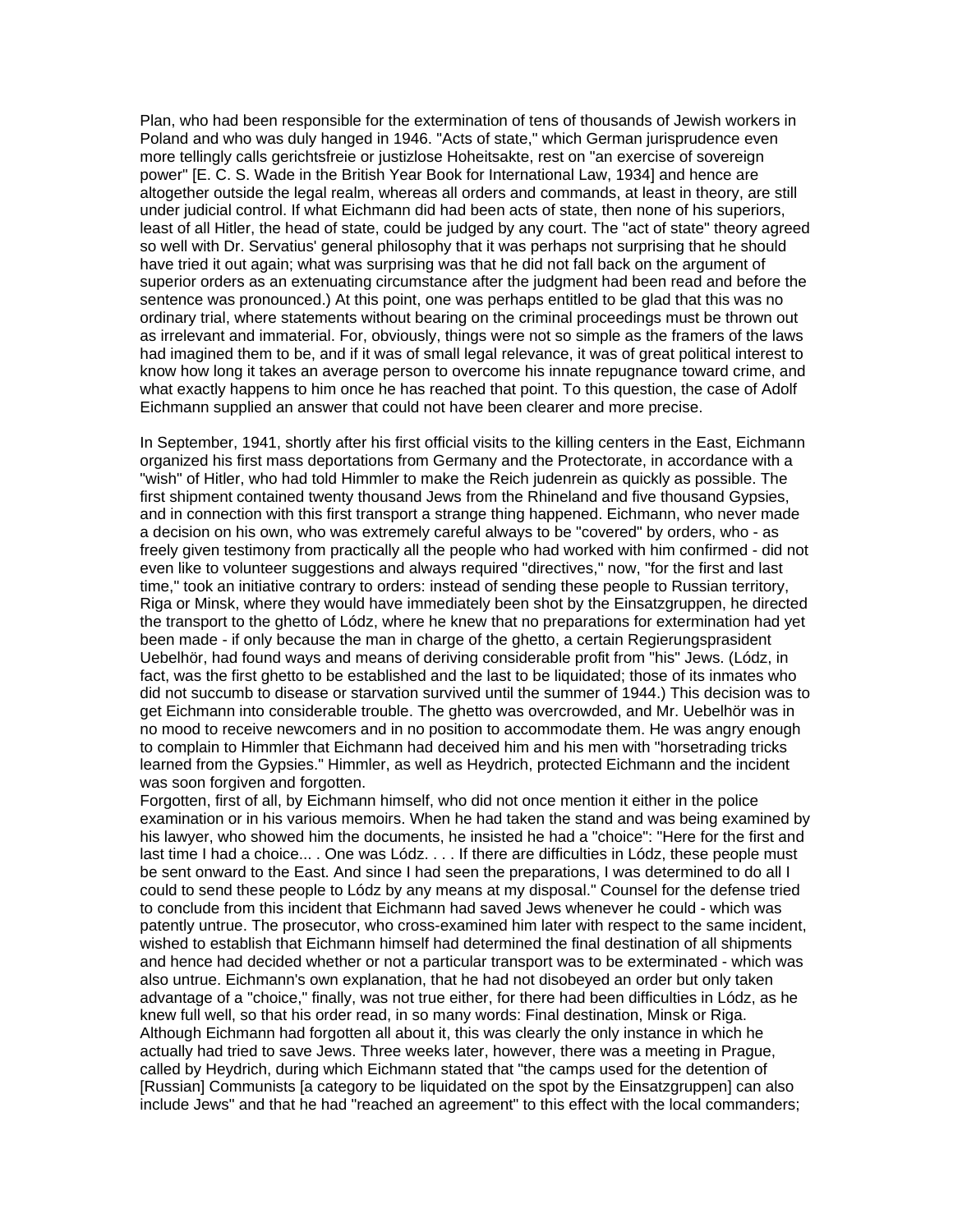Plan, who had been responsible for the extermination of tens of thousands of Jewish workers in Poland and who was duly hanged in 1946. "Acts of state," which German jurisprudence even more tellingly calls gerichtsfreie or justizlose Hoheitsakte, rest on "an exercise of sovereign power" [E. C. S. Wade in the British Year Book for International Law, 1934] and hence are altogether outside the legal realm, whereas all orders and commands, at least in theory, are still under judicial control. If what Eichmann did had been acts of state, then none of his superiors, least of all Hitler, the head of state, could be judged by any court. The "act of state" theory agreed so well with Dr. Servatius' general philosophy that it was perhaps not surprising that he should have tried it out again; what was surprising was that he did not fall back on the argument of superior orders as an extenuating circumstance after the judgment had been read and before the sentence was pronounced.) At this point, one was perhaps entitled to be glad that this was no ordinary trial, where statements without bearing on the criminal proceedings must be thrown out as irrelevant and immaterial. For, obviously, things were not so simple as the framers of the laws had imagined them to be, and if it was of small legal relevance, it was of great political interest to know how long it takes an average person to overcome his innate repugnance toward crime, and what exactly happens to him once he has reached that point. To this question, the case of Adolf Eichmann supplied an answer that could not have been clearer and more precise.

In September, 1941, shortly after his first official visits to the killing centers in the East, Eichmann organized his first mass deportations from Germany and the Protectorate, in accordance with a "wish" of Hitler, who had told Himmler to make the Reich judenrein as quickly as possible. The first shipment contained twenty thousand Jews from the Rhineland and five thousand Gypsies, and in connection with this first transport a strange thing happened. Eichmann, who never made a decision on his own, who was extremely careful always to be "covered" by orders, who - as freely given testimony from practically all the people who had worked with him confirmed - did not even like to volunteer suggestions and always required "directives," now, "for the first and last time," took an initiative contrary to orders: instead of sending these people to Russian territory, Riga or Minsk, where they would have immediately been shot by the Einsatzgruppen, he directed the transport to the ghetto of Lódz, where he knew that no preparations for extermination had yet been made - if only because the man in charge of the ghetto, a certain Regierungsprasident Uebelhör, had found ways and means of deriving considerable profit from "his" Jews. (Lódz, in fact, was the first ghetto to be established and the last to be liquidated; those of its inmates who did not succumb to disease or starvation survived until the summer of 1944.) This decision was to get Eichmann into considerable trouble. The ghetto was overcrowded, and Mr. Uebelhör was in no mood to receive newcomers and in no position to accommodate them. He was angry enough to complain to Himmler that Eichmann had deceived him and his men with "horsetrading tricks learned from the Gypsies." Himmler, as well as Heydrich, protected Eichmann and the incident was soon forgiven and forgotten.

Forgotten, first of all, by Eichmann himself, who did not once mention it either in the police examination or in his various memoirs. When he had taken the stand and was being examined by his lawyer, who showed him the documents, he insisted he had a "choice": "Here for the first and last time I had a choice... . One was Lódz. . . . If there are difficulties in Lódz, these people must be sent onward to the East. And since I had seen the preparations, I was determined to do all I could to send these people to Lódz by any means at my disposal." Counsel for the defense tried to conclude from this incident that Eichmann had saved Jews whenever he could - which was patently untrue. The prosecutor, who cross-examined him later with respect to the same incident, wished to establish that Eichmann himself had determined the final destination of all shipments and hence had decided whether or not a particular transport was to be exterminated - which was also untrue. Eichmann's own explanation, that he had not disobeyed an order but only taken advantage of a "choice," finally, was not true either, for there had been difficulties in Lódz, as he knew full well, so that his order read, in so many words: Final destination, Minsk or Riga. Although Eichmann had forgotten all about it, this was clearly the only instance in which he actually had tried to save Jews. Three weeks later, however, there was a meeting in Prague, called by Heydrich, during which Eichmann stated that "the camps used for the detention of [Russian] Communists [a category to be liquidated on the spot by the Einsatzgruppen] can also include Jews" and that he had "reached an agreement" to this effect with the local commanders;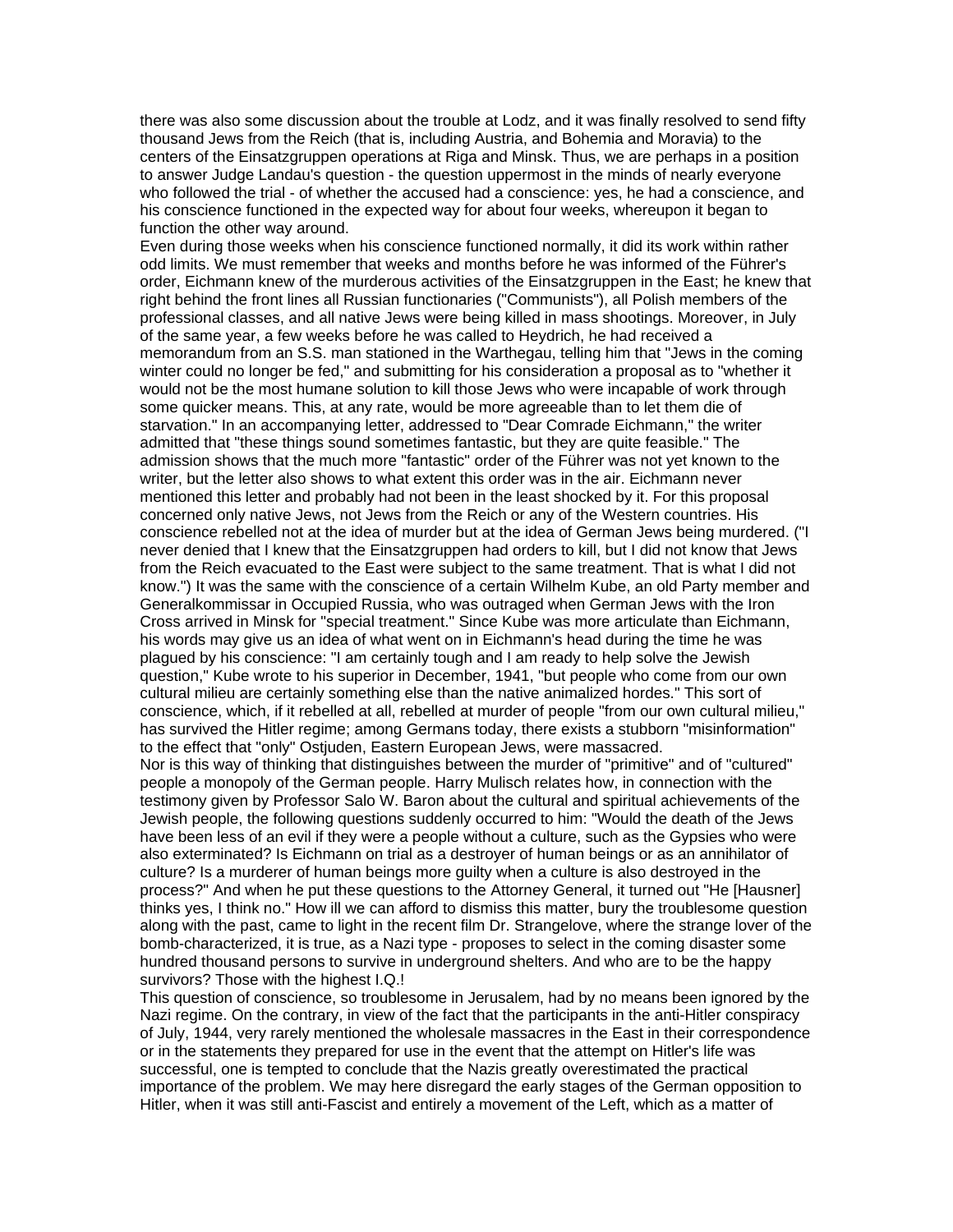there was also some discussion about the trouble at Lodz, and it was finally resolved to send fifty thousand Jews from the Reich (that is, including Austria, and Bohemia and Moravia) to the centers of the Einsatzgruppen operations at Riga and Minsk. Thus, we are perhaps in a position to answer Judge Landau's question - the question uppermost in the minds of nearly everyone who followed the trial - of whether the accused had a conscience: yes, he had a conscience, and his conscience functioned in the expected way for about four weeks, whereupon it began to function the other way around.

Even during those weeks when his conscience functioned normally, it did its work within rather odd limits. We must remember that weeks and months before he was informed of the Führer's order, Eichmann knew of the murderous activities of the Einsatzgruppen in the East; he knew that right behind the front lines all Russian functionaries ("Communists"), all Polish members of the professional classes, and all native Jews were being killed in mass shootings. Moreover, in July of the same year, a few weeks before he was called to Heydrich, he had received a memorandum from an S.S. man stationed in the Warthegau, telling him that "Jews in the coming winter could no longer be fed," and submitting for his consideration a proposal as to "whether it would not be the most humane solution to kill those Jews who were incapable of work through some quicker means. This, at any rate, would be more agreeable than to let them die of starvation." In an accompanying letter, addressed to "Dear Comrade Eichmann," the writer admitted that "these things sound sometimes fantastic, but they are quite feasible." The admission shows that the much more "fantastic" order of the Führer was not yet known to the writer, but the letter also shows to what extent this order was in the air. Eichmann never mentioned this letter and probably had not been in the least shocked by it. For this proposal concerned only native Jews, not Jews from the Reich or any of the Western countries. His conscience rebelled not at the idea of murder but at the idea of German Jews being murdered. ("I never denied that I knew that the Einsatzgruppen had orders to kill, but I did not know that Jews from the Reich evacuated to the East were subject to the same treatment. That is what I did not know.") It was the same with the conscience of a certain Wilhelm Kube, an old Party member and Generalkommissar in Occupied Russia, who was outraged when German Jews with the Iron Cross arrived in Minsk for "special treatment." Since Kube was more articulate than Eichmann, his words may give us an idea of what went on in Eichmann's head during the time he was plagued by his conscience: "I am certainly tough and I am ready to help solve the Jewish question," Kube wrote to his superior in December, 1941, "but people who come from our own cultural milieu are certainly something else than the native animalized hordes." This sort of conscience, which, if it rebelled at all, rebelled at murder of people "from our own cultural milieu," has survived the Hitler regime; among Germans today, there exists a stubborn "misinformation" to the effect that "only" Ostjuden, Eastern European Jews, were massacred. Nor is this way of thinking that distinguishes between the murder of "primitive" and of "cultured"

people a monopoly of the German people. Harry Mulisch relates how, in connection with the testimony given by Professor Salo W. Baron about the cultural and spiritual achievements of the Jewish people, the following questions suddenly occurred to him: "Would the death of the Jews have been less of an evil if they were a people without a culture, such as the Gypsies who were also exterminated? Is Eichmann on trial as a destroyer of human beings or as an annihilator of culture? Is a murderer of human beings more guilty when a culture is also destroyed in the process?" And when he put these questions to the Attorney General, it turned out "He [Hausner] thinks yes, I think no." How ill we can afford to dismiss this matter, bury the troublesome question along with the past, came to light in the recent film Dr. Strangelove, where the strange lover of the bomb-characterized, it is true, as a Nazi type - proposes to select in the coming disaster some hundred thousand persons to survive in underground shelters. And who are to be the happy survivors? Those with the highest I.Q.!

This question of conscience, so troublesome in Jerusalem, had by no means been ignored by the Nazi regime. On the contrary, in view of the fact that the participants in the anti-Hitler conspiracy of July, 1944, very rarely mentioned the wholesale massacres in the East in their correspondence or in the statements they prepared for use in the event that the attempt on Hitler's life was successful, one is tempted to conclude that the Nazis greatly overestimated the practical importance of the problem. We may here disregard the early stages of the German opposition to Hitler, when it was still anti-Fascist and entirely a movement of the Left, which as a matter of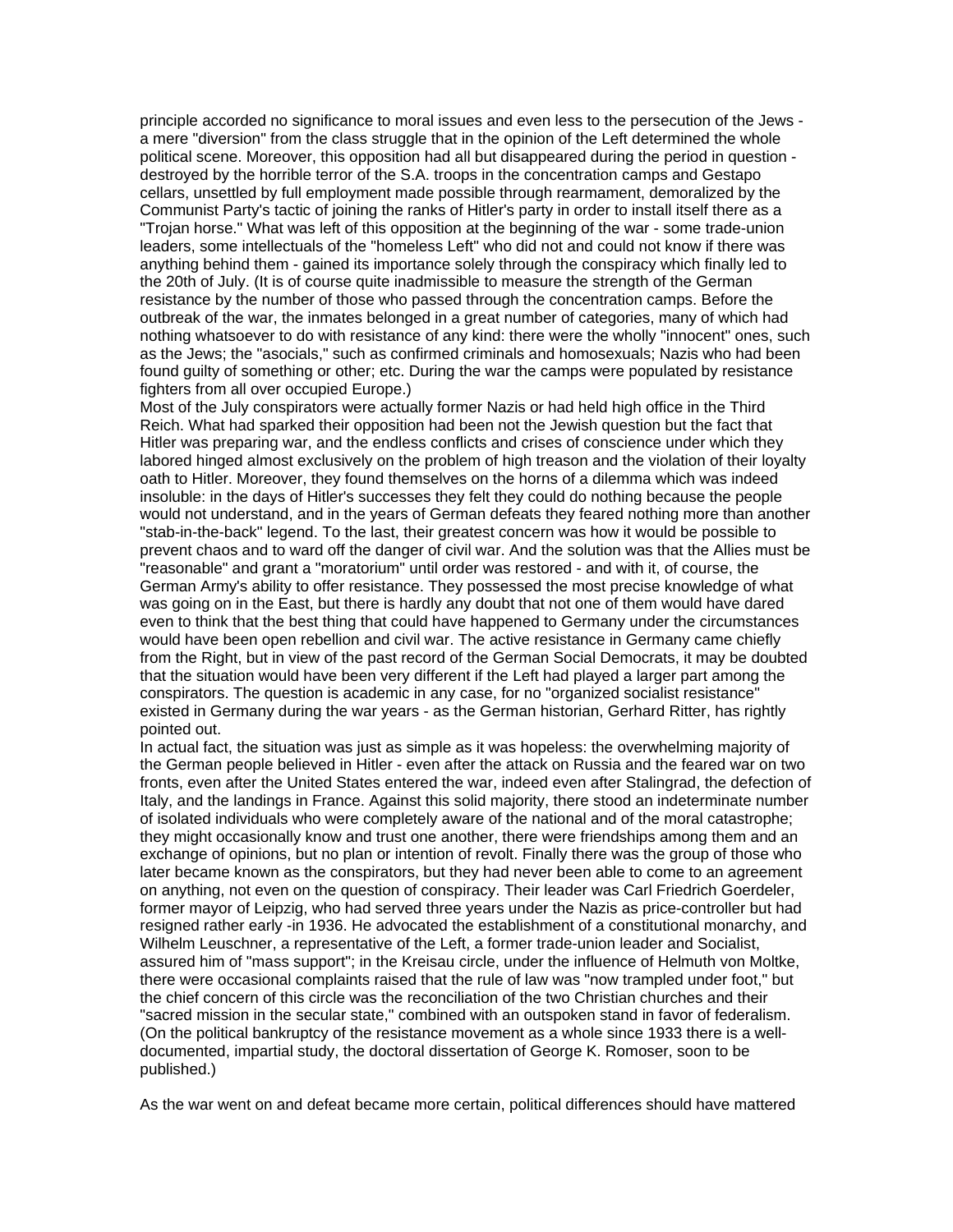principle accorded no significance to moral issues and even less to the persecution of the Jews a mere "diversion" from the class struggle that in the opinion of the Left determined the whole political scene. Moreover, this opposition had all but disappeared during the period in question destroyed by the horrible terror of the S.A. troops in the concentration camps and Gestapo cellars, unsettled by full employment made possible through rearmament, demoralized by the Communist Party's tactic of joining the ranks of Hitler's party in order to install itself there as a "Trojan horse." What was left of this opposition at the beginning of the war - some trade-union leaders, some intellectuals of the "homeless Left" who did not and could not know if there was anything behind them - gained its importance solely through the conspiracy which finally led to the 20th of July. (It is of course quite inadmissible to measure the strength of the German resistance by the number of those who passed through the concentration camps. Before the outbreak of the war, the inmates belonged in a great number of categories, many of which had nothing whatsoever to do with resistance of any kind: there were the wholly "innocent" ones, such as the Jews; the "asocials," such as confirmed criminals and homosexuals; Nazis who had been found guilty of something or other; etc. During the war the camps were populated by resistance fighters from all over occupied Europe.)

Most of the July conspirators were actually former Nazis or had held high office in the Third Reich. What had sparked their opposition had been not the Jewish question but the fact that Hitler was preparing war, and the endless conflicts and crises of conscience under which they labored hinged almost exclusively on the problem of high treason and the violation of their loyalty oath to Hitler. Moreover, they found themselves on the horns of a dilemma which was indeed insoluble: in the days of Hitler's successes they felt they could do nothing because the people would not understand, and in the years of German defeats they feared nothing more than another "stab-in-the-back" legend. To the last, their greatest concern was how it would be possible to prevent chaos and to ward off the danger of civil war. And the solution was that the Allies must be "reasonable" and grant a "moratorium" until order was restored - and with it, of course, the German Army's ability to offer resistance. They possessed the most precise knowledge of what was going on in the East, but there is hardly any doubt that not one of them would have dared even to think that the best thing that could have happened to Germany under the circumstances would have been open rebellion and civil war. The active resistance in Germany came chiefly from the Right, but in view of the past record of the German Social Democrats, it may be doubted that the situation would have been very different if the Left had played a larger part among the conspirators. The question is academic in any case, for no "organized socialist resistance" existed in Germany during the war years - as the German historian, Gerhard Ritter, has rightly pointed out.

In actual fact, the situation was just as simple as it was hopeless: the overwhelming majority of the German people believed in Hitler - even after the attack on Russia and the feared war on two fronts, even after the United States entered the war, indeed even after Stalingrad, the defection of Italy, and the landings in France. Against this solid majority, there stood an indeterminate number of isolated individuals who were completely aware of the national and of the moral catastrophe; they might occasionally know and trust one another, there were friendships among them and an exchange of opinions, but no plan or intention of revolt. Finally there was the group of those who later became known as the conspirators, but they had never been able to come to an agreement on anything, not even on the question of conspiracy. Their leader was Carl Friedrich Goerdeler, former mayor of Leipzig, who had served three years under the Nazis as price-controller but had resigned rather early -in 1936. He advocated the establishment of a constitutional monarchy, and Wilhelm Leuschner, a representative of the Left, a former trade-union leader and Socialist, assured him of "mass support"; in the Kreisau circle, under the influence of Helmuth von Moltke, there were occasional complaints raised that the rule of law was "now trampled under foot," but the chief concern of this circle was the reconciliation of the two Christian churches and their "sacred mission in the secular state," combined with an outspoken stand in favor of federalism. (On the political bankruptcy of the resistance movement as a whole since 1933 there is a welldocumented, impartial study, the doctoral dissertation of George K. Romoser, soon to be published.)

As the war went on and defeat became more certain, political differences should have mattered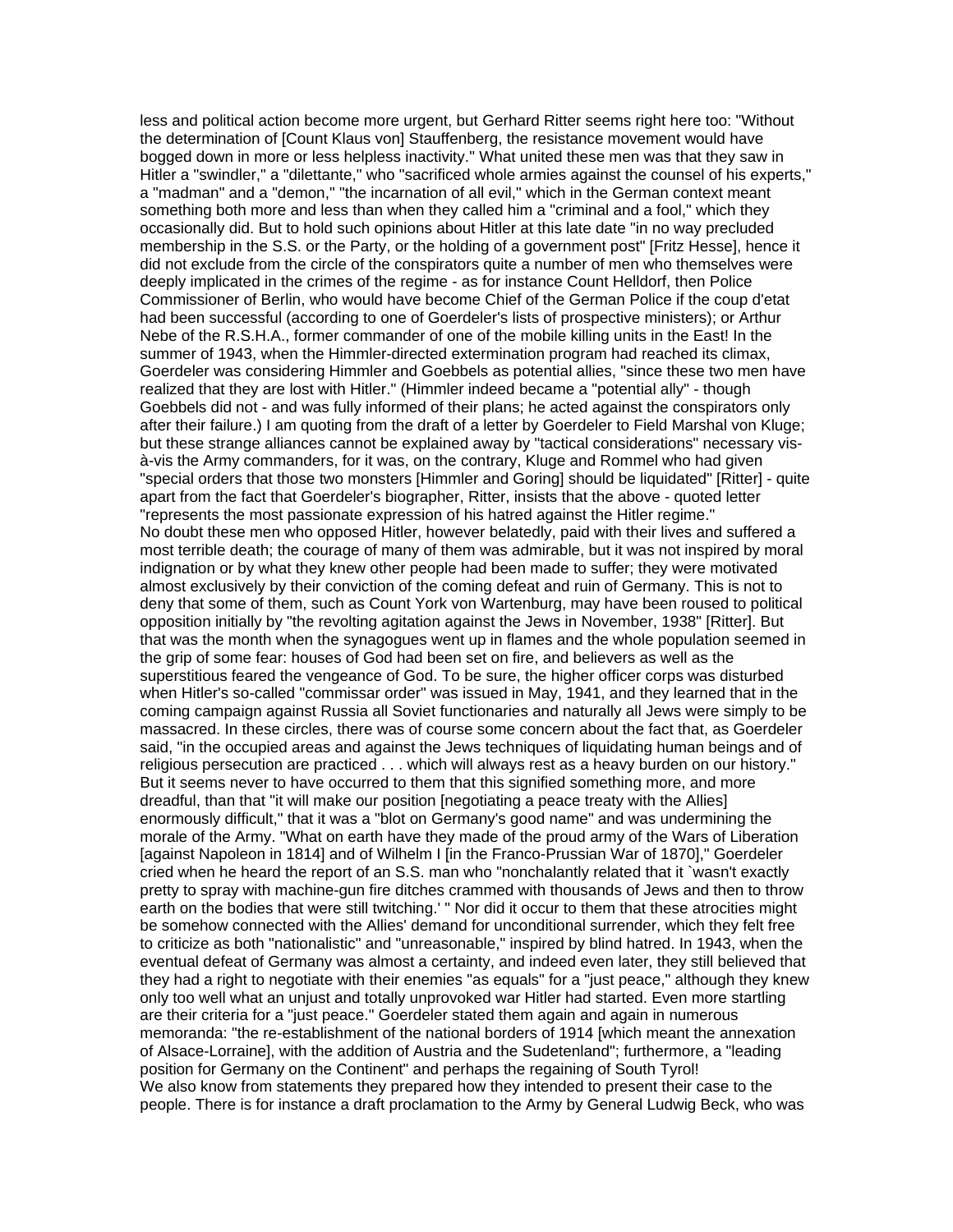less and political action become more urgent, but Gerhard Ritter seems right here too: "Without the determination of [Count Klaus von] Stauffenberg, the resistance movement would have bogged down in more or less helpless inactivity." What united these men was that they saw in Hitler a "swindler," a "dilettante," who "sacrificed whole armies against the counsel of his experts," a "madman" and a "demon," "the incarnation of all evil," which in the German context meant something both more and less than when they called him a "criminal and a fool," which they occasionally did. But to hold such opinions about Hitler at this late date "in no way precluded membership in the S.S. or the Party, or the holding of a government post" [Fritz Hesse], hence it did not exclude from the circle of the conspirators quite a number of men who themselves were deeply implicated in the crimes of the regime - as for instance Count Helldorf, then Police Commissioner of Berlin, who would have become Chief of the German Police if the coup d'etat had been successful (according to one of Goerdeler's lists of prospective ministers); or Arthur Nebe of the R.S.H.A., former commander of one of the mobile killing units in the East! In the summer of 1943, when the Himmler-directed extermination program had reached its climax, Goerdeler was considering Himmler and Goebbels as potential allies, "since these two men have realized that they are lost with Hitler." (Himmler indeed became a "potential ally" - though Goebbels did not - and was fully informed of their plans; he acted against the conspirators only after their failure.) I am quoting from the draft of a letter by Goerdeler to Field Marshal von Kluge; but these strange alliances cannot be explained away by "tactical considerations" necessary visà-vis the Army commanders, for it was, on the contrary, Kluge and Rommel who had given "special orders that those two monsters [Himmler and Goring] should be liquidated" [Ritter] - quite apart from the fact that Goerdeler's biographer, Ritter, insists that the above - quoted letter "represents the most passionate expression of his hatred against the Hitler regime." No doubt these men who opposed Hitler, however belatedly, paid with their lives and suffered a most terrible death; the courage of many of them was admirable, but it was not inspired by moral indignation or by what they knew other people had been made to suffer; they were motivated almost exclusively by their conviction of the coming defeat and ruin of Germany. This is not to deny that some of them, such as Count York von Wartenburg, may have been roused to political opposition initially by "the revolting agitation against the Jews in November, 1938" [Ritter]. But that was the month when the synagogues went up in flames and the whole population seemed in the grip of some fear: houses of God had been set on fire, and believers as well as the superstitious feared the vengeance of God. To be sure, the higher officer corps was disturbed when Hitler's so-called "commissar order" was issued in May, 1941, and they learned that in the coming campaign against Russia all Soviet functionaries and naturally all Jews were simply to be massacred. In these circles, there was of course some concern about the fact that, as Goerdeler said, "in the occupied areas and against the Jews techniques of liquidating human beings and of religious persecution are practiced . . . which will always rest as a heavy burden on our history." But it seems never to have occurred to them that this signified something more, and more dreadful, than that "it will make our position [negotiating a peace treaty with the Allies] enormously difficult," that it was a "blot on Germany's good name" and was undermining the morale of the Army. "What on earth have they made of the proud army of the Wars of Liberation [against Napoleon in 1814] and of Wilhelm I [in the Franco-Prussian War of 1870]," Goerdeler cried when he heard the report of an S.S. man who "nonchalantly related that it `wasn't exactly pretty to spray with machine-gun fire ditches crammed with thousands of Jews and then to throw earth on the bodies that were still twitching.' " Nor did it occur to them that these atrocities might be somehow connected with the Allies' demand for unconditional surrender, which they felt free to criticize as both "nationalistic" and "unreasonable," inspired by blind hatred. In 1943, when the eventual defeat of Germany was almost a certainty, and indeed even later, they still believed that they had a right to negotiate with their enemies "as equals" for a "just peace," although they knew only too well what an unjust and totally unprovoked war Hitler had started. Even more startling are their criteria for a "just peace." Goerdeler stated them again and again in numerous memoranda: "the re-establishment of the national borders of 1914 [which meant the annexation of Alsace-Lorraine], with the addition of Austria and the Sudetenland"; furthermore, a "leading position for Germany on the Continent" and perhaps the regaining of South Tyrol! We also know from statements they prepared how they intended to present their case to the people. There is for instance a draft proclamation to the Army by General Ludwig Beck, who was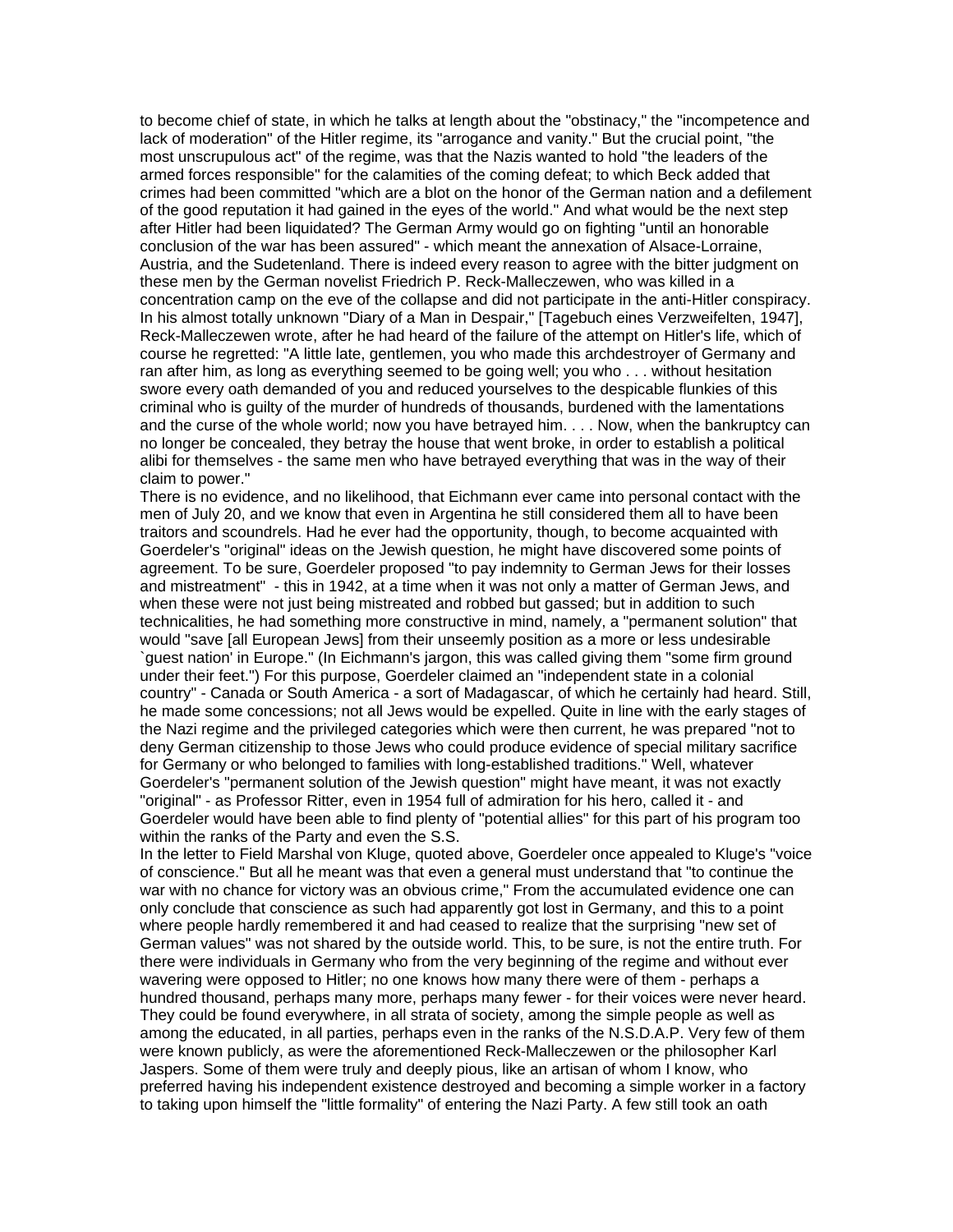to become chief of state, in which he talks at length about the "obstinacy," the "incompetence and lack of moderation" of the Hitler regime, its "arrogance and vanity." But the crucial point, "the most unscrupulous act" of the regime, was that the Nazis wanted to hold "the leaders of the armed forces responsible" for the calamities of the coming defeat; to which Beck added that crimes had been committed "which are a blot on the honor of the German nation and a defilement of the good reputation it had gained in the eyes of the world." And what would be the next step after Hitler had been liquidated? The German Army would go on fighting "until an honorable conclusion of the war has been assured" - which meant the annexation of Alsace-Lorraine, Austria, and the Sudetenland. There is indeed every reason to agree with the bitter judgment on these men by the German novelist Friedrich P. Reck-Malleczewen, who was killed in a concentration camp on the eve of the collapse and did not participate in the anti-Hitler conspiracy. In his almost totally unknown "Diary of a Man in Despair," [Tagebuch eines Verzweifelten, 1947], Reck-Malleczewen wrote, after he had heard of the failure of the attempt on Hitler's life, which of course he regretted: "A little late, gentlemen, you who made this archdestroyer of Germany and ran after him, as long as everything seemed to be going well; you who . . . without hesitation swore every oath demanded of you and reduced yourselves to the despicable flunkies of this criminal who is guilty of the murder of hundreds of thousands, burdened with the lamentations and the curse of the whole world; now you have betrayed him. . . . Now, when the bankruptcy can no longer be concealed, they betray the house that went broke, in order to establish a political alibi for themselves - the same men who have betrayed everything that was in the way of their claim to power."

There is no evidence, and no likelihood, that Eichmann ever came into personal contact with the men of July 20, and we know that even in Argentina he still considered them all to have been traitors and scoundrels. Had he ever had the opportunity, though, to become acquainted with Goerdeler's "original" ideas on the Jewish question, he might have discovered some points of agreement. To be sure, Goerdeler proposed "to pay indemnity to German Jews for their losses and mistreatment" - this in 1942, at a time when it was not only a matter of German Jews, and when these were not just being mistreated and robbed but gassed; but in addition to such technicalities, he had something more constructive in mind, namely, a "permanent solution" that would "save [all European Jews] from their unseemly position as a more or less undesirable `guest nation' in Europe." (In Eichmann's jargon, this was called giving them "some firm ground under their feet.") For this purpose, Goerdeler claimed an "independent state in a colonial country" - Canada or South America - a sort of Madagascar, of which he certainly had heard. Still, he made some concessions; not all Jews would be expelled. Quite in line with the early stages of the Nazi regime and the privileged categories which were then current, he was prepared "not to deny German citizenship to those Jews who could produce evidence of special military sacrifice for Germany or who belonged to families with long-established traditions." Well, whatever Goerdeler's "permanent solution of the Jewish question" might have meant, it was not exactly "original" - as Professor Ritter, even in 1954 full of admiration for his hero, called it - and Goerdeler would have been able to find plenty of "potential allies" for this part of his program too within the ranks of the Party and even the S.S.

In the letter to Field Marshal von Kluge, quoted above, Goerdeler once appealed to Kluge's "voice of conscience." But all he meant was that even a general must understand that "to continue the war with no chance for victory was an obvious crime," From the accumulated evidence one can only conclude that conscience as such had apparently got lost in Germany, and this to a point where people hardly remembered it and had ceased to realize that the surprising "new set of German values" was not shared by the outside world. This, to be sure, is not the entire truth. For there were individuals in Germany who from the very beginning of the regime and without ever wavering were opposed to Hitler; no one knows how many there were of them - perhaps a hundred thousand, perhaps many more, perhaps many fewer - for their voices were never heard. They could be found everywhere, in all strata of society, among the simple people as well as among the educated, in all parties, perhaps even in the ranks of the N.S.D.A.P. Very few of them were known publicly, as were the aforementioned Reck-Malleczewen or the philosopher Karl Jaspers. Some of them were truly and deeply pious, like an artisan of whom I know, who preferred having his independent existence destroyed and becoming a simple worker in a factory to taking upon himself the "little formality" of entering the Nazi Party. A few still took an oath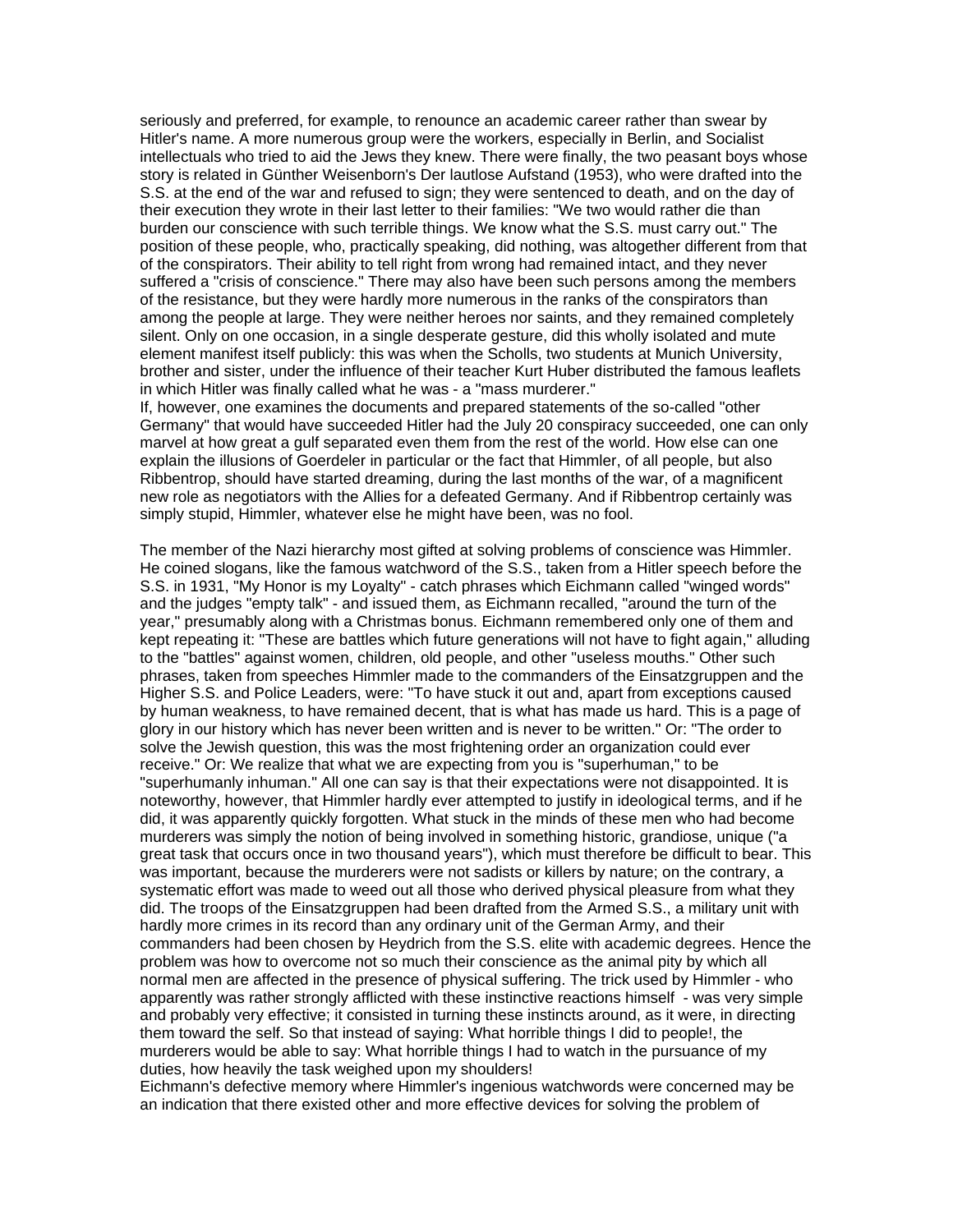seriously and preferred, for example, to renounce an academic career rather than swear by Hitler's name. A more numerous group were the workers, especially in Berlin, and Socialist intellectuals who tried to aid the Jews they knew. There were finally, the two peasant boys whose story is related in Günther Weisenborn's Der lautlose Aufstand (1953), who were drafted into the S.S. at the end of the war and refused to sign; they were sentenced to death, and on the day of their execution they wrote in their last letter to their families: "We two would rather die than burden our conscience with such terrible things. We know what the S.S. must carry out." The position of these people, who, practically speaking, did nothing, was altogether different from that of the conspirators. Their ability to tell right from wrong had remained intact, and they never suffered a "crisis of conscience." There may also have been such persons among the members of the resistance, but they were hardly more numerous in the ranks of the conspirators than among the people at large. They were neither heroes nor saints, and they remained completely silent. Only on one occasion, in a single desperate gesture, did this wholly isolated and mute element manifest itself publicly: this was when the Scholls, two students at Munich University, brother and sister, under the influence of their teacher Kurt Huber distributed the famous leaflets in which Hitler was finally called what he was - a "mass murderer."

If, however, one examines the documents and prepared statements of the so-called "other Germany" that would have succeeded Hitler had the July 20 conspiracy succeeded, one can only marvel at how great a gulf separated even them from the rest of the world. How else can one explain the illusions of Goerdeler in particular or the fact that Himmler, of all people, but also Ribbentrop, should have started dreaming, during the last months of the war, of a magnificent new role as negotiators with the Allies for a defeated Germany. And if Ribbentrop certainly was simply stupid, Himmler, whatever else he might have been, was no fool.

The member of the Nazi hierarchy most gifted at solving problems of conscience was Himmler. He coined slogans, like the famous watchword of the S.S., taken from a Hitler speech before the S.S. in 1931, "My Honor is my Loyalty" - catch phrases which Eichmann called "winged words" and the judges "empty talk" - and issued them, as Eichmann recalled, "around the turn of the year," presumably along with a Christmas bonus. Eichmann remembered only one of them and kept repeating it: "These are battles which future generations will not have to fight again," alluding to the "battles" against women, children, old people, and other "useless mouths." Other such phrases, taken from speeches Himmler made to the commanders of the Einsatzgruppen and the Higher S.S. and Police Leaders, were: "To have stuck it out and, apart from exceptions caused by human weakness, to have remained decent, that is what has made us hard. This is a page of glory in our history which has never been written and is never to be written." Or: "The order to solve the Jewish question, this was the most frightening order an organization could ever receive." Or: We realize that what we are expecting from you is "superhuman," to be "superhumanly inhuman." All one can say is that their expectations were not disappointed. It is noteworthy, however, that Himmler hardly ever attempted to justify in ideological terms, and if he did, it was apparently quickly forgotten. What stuck in the minds of these men who had become murderers was simply the notion of being involved in something historic, grandiose, unique ("a great task that occurs once in two thousand years"), which must therefore be difficult to bear. This was important, because the murderers were not sadists or killers by nature; on the contrary, a systematic effort was made to weed out all those who derived physical pleasure from what they did. The troops of the Einsatzgruppen had been drafted from the Armed S.S., a military unit with hardly more crimes in its record than any ordinary unit of the German Army, and their commanders had been chosen by Heydrich from the S.S. elite with academic degrees. Hence the problem was how to overcome not so much their conscience as the animal pity by which all normal men are affected in the presence of physical suffering. The trick used by Himmler - who apparently was rather strongly afflicted with these instinctive reactions himself - was very simple and probably very effective; it consisted in turning these instincts around, as it were, in directing them toward the self. So that instead of saying: What horrible things I did to people!, the murderers would be able to say: What horrible things I had to watch in the pursuance of my duties, how heavily the task weighed upon my shoulders!

Eichmann's defective memory where Himmler's ingenious watchwords were concerned may be an indication that there existed other and more effective devices for solving the problem of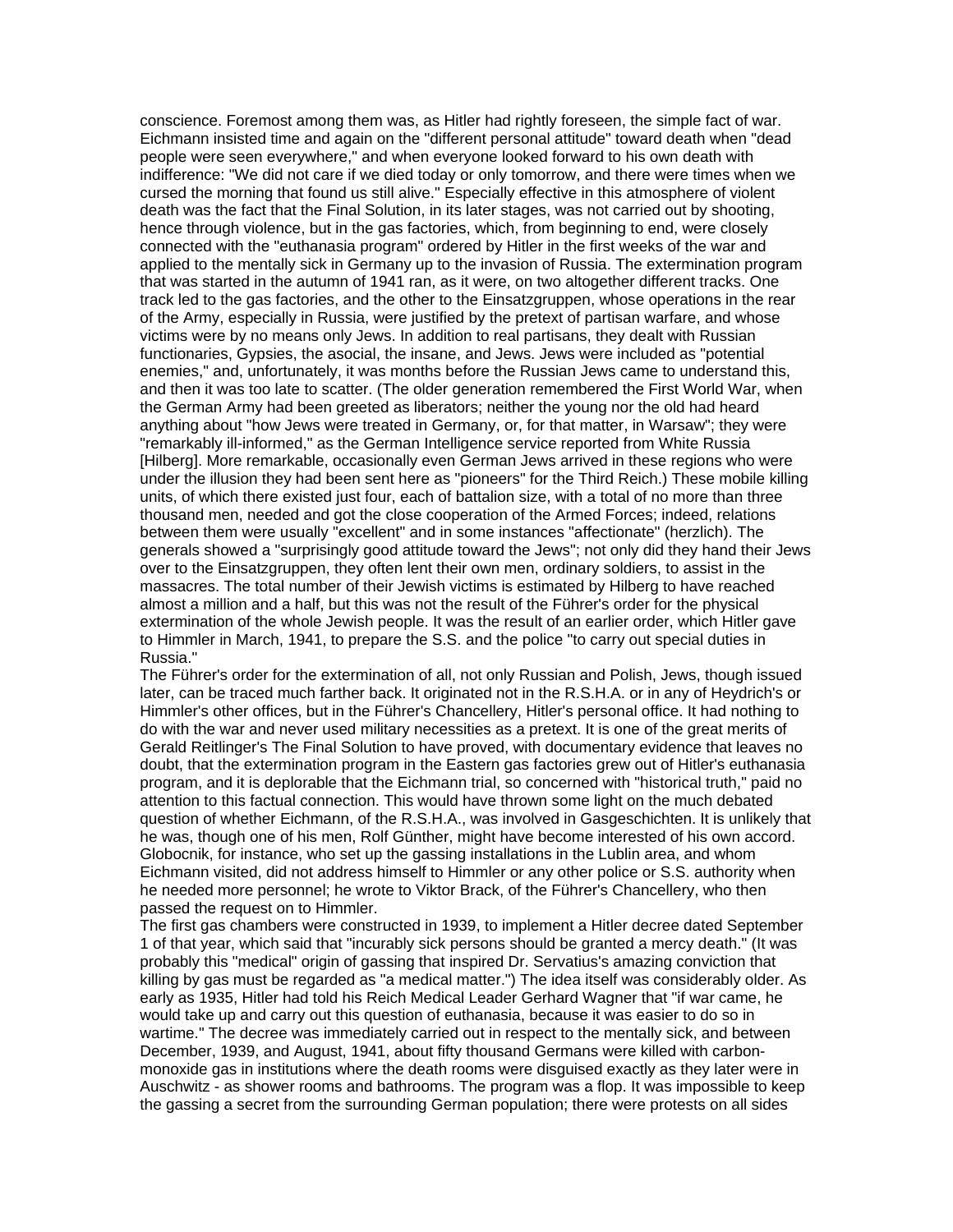conscience. Foremost among them was, as Hitler had rightly foreseen, the simple fact of war. Eichmann insisted time and again on the "different personal attitude" toward death when "dead people were seen everywhere," and when everyone looked forward to his own death with indifference: "We did not care if we died today or only tomorrow, and there were times when we cursed the morning that found us still alive." Especially effective in this atmosphere of violent death was the fact that the Final Solution, in its later stages, was not carried out by shooting, hence through violence, but in the gas factories, which, from beginning to end, were closely connected with the "euthanasia program" ordered by Hitler in the first weeks of the war and applied to the mentally sick in Germany up to the invasion of Russia. The extermination program that was started in the autumn of 1941 ran, as it were, on two altogether different tracks. One track led to the gas factories, and the other to the Einsatzgruppen, whose operations in the rear of the Army, especially in Russia, were justified by the pretext of partisan warfare, and whose victims were by no means only Jews. In addition to real partisans, they dealt with Russian functionaries, Gypsies, the asocial, the insane, and Jews. Jews were included as "potential enemies," and, unfortunately, it was months before the Russian Jews came to understand this, and then it was too late to scatter. (The older generation remembered the First World War, when the German Army had been greeted as liberators; neither the young nor the old had heard anything about "how Jews were treated in Germany, or, for that matter, in Warsaw"; they were "remarkably ill-informed," as the German Intelligence service reported from White Russia [Hilberg]. More remarkable, occasionally even German Jews arrived in these regions who were under the illusion they had been sent here as "pioneers" for the Third Reich.) These mobile killing units, of which there existed just four, each of battalion size, with a total of no more than three thousand men, needed and got the close cooperation of the Armed Forces; indeed, relations between them were usually "excellent" and in some instances "affectionate" (herzlich). The generals showed a "surprisingly good attitude toward the Jews"; not only did they hand their Jews over to the Einsatzgruppen, they often lent their own men, ordinary soldiers, to assist in the massacres. The total number of their Jewish victims is estimated by Hilberg to have reached almost a million and a half, but this was not the result of the Führer's order for the physical extermination of the whole Jewish people. It was the result of an earlier order, which Hitler gave to Himmler in March, 1941, to prepare the S.S. and the police "to carry out special duties in Russia."

The Führer's order for the extermination of all, not only Russian and Polish, Jews, though issued later, can be traced much farther back. It originated not in the R.S.H.A. or in any of Heydrich's or Himmler's other offices, but in the Führer's Chancellery, Hitler's personal office. It had nothing to do with the war and never used military necessities as a pretext. It is one of the great merits of Gerald Reitlinger's The Final Solution to have proved, with documentary evidence that leaves no doubt, that the extermination program in the Eastern gas factories grew out of Hitler's euthanasia program, and it is deplorable that the Eichmann trial, so concerned with "historical truth," paid no attention to this factual connection. This would have thrown some light on the much debated question of whether Eichmann, of the R.S.H.A., was involved in Gasgeschichten. It is unlikely that he was, though one of his men, Rolf Günther, might have become interested of his own accord. Globocnik, for instance, who set up the gassing installations in the Lublin area, and whom Eichmann visited, did not address himself to Himmler or any other police or S.S. authority when he needed more personnel; he wrote to Viktor Brack, of the Führer's Chancellery, who then passed the request on to Himmler.

The first gas chambers were constructed in 1939, to implement a Hitler decree dated September 1 of that year, which said that "incurably sick persons should be granted a mercy death." (It was probably this "medical" origin of gassing that inspired Dr. Servatius's amazing conviction that killing by gas must be regarded as "a medical matter.") The idea itself was considerably older. As early as 1935, Hitler had told his Reich Medical Leader Gerhard Wagner that "if war came, he would take up and carry out this question of euthanasia, because it was easier to do so in wartime." The decree was immediately carried out in respect to the mentally sick, and between December, 1939, and August, 1941, about fifty thousand Germans were killed with carbonmonoxide gas in institutions where the death rooms were disguised exactly as they later were in Auschwitz - as shower rooms and bathrooms. The program was a flop. It was impossible to keep the gassing a secret from the surrounding German population; there were protests on all sides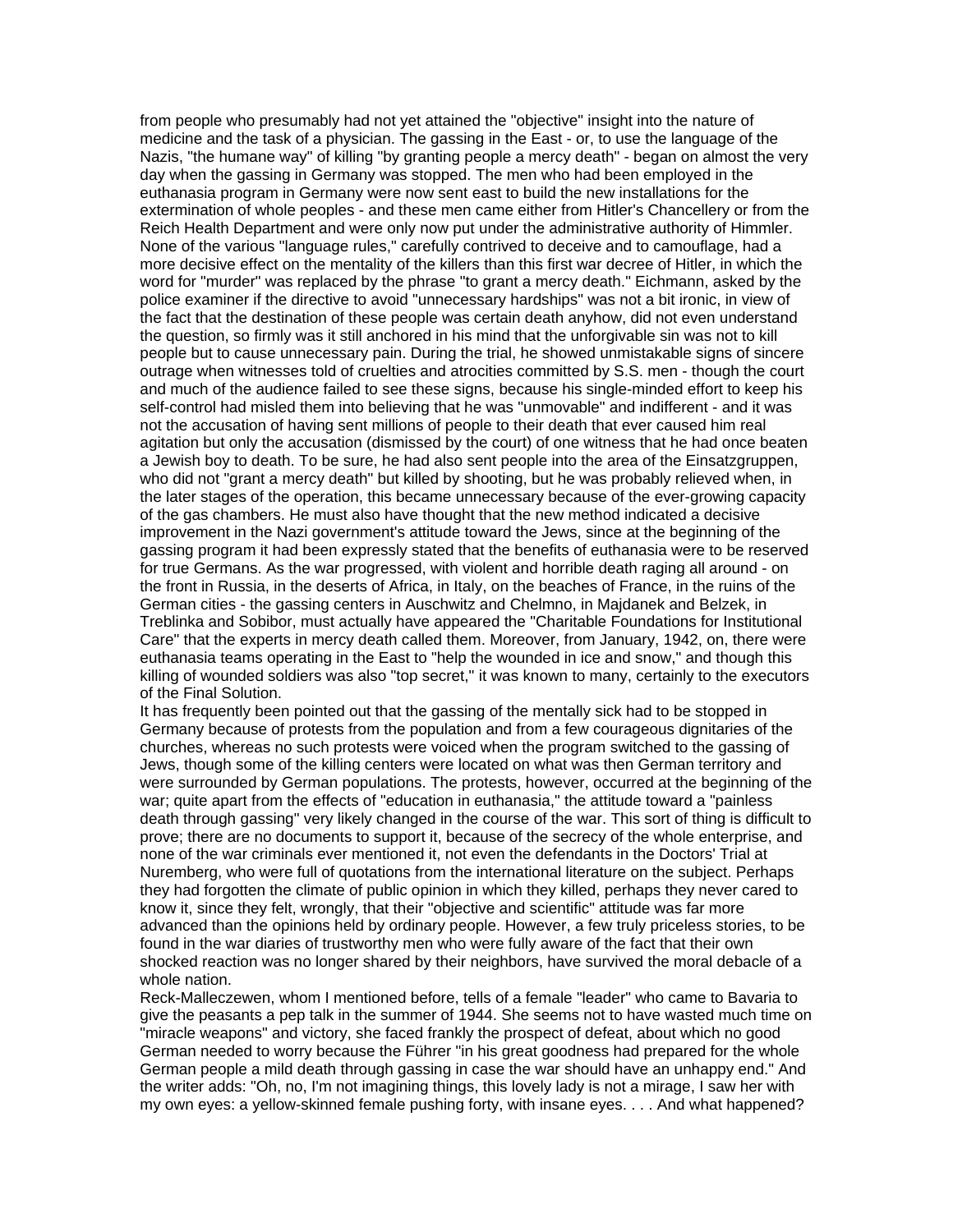from people who presumably had not yet attained the "objective" insight into the nature of medicine and the task of a physician. The gassing in the East - or, to use the language of the Nazis, "the humane way" of killing "by granting people a mercy death" - began on almost the very day when the gassing in Germany was stopped. The men who had been employed in the euthanasia program in Germany were now sent east to build the new installations for the extermination of whole peoples - and these men came either from Hitler's Chancellery or from the Reich Health Department and were only now put under the administrative authority of Himmler. None of the various "language rules," carefully contrived to deceive and to camouflage, had a more decisive effect on the mentality of the killers than this first war decree of Hitler, in which the word for "murder" was replaced by the phrase "to grant a mercy death." Eichmann, asked by the police examiner if the directive to avoid "unnecessary hardships" was not a bit ironic, in view of the fact that the destination of these people was certain death anyhow, did not even understand the question, so firmly was it still anchored in his mind that the unforgivable sin was not to kill people but to cause unnecessary pain. During the trial, he showed unmistakable signs of sincere outrage when witnesses told of cruelties and atrocities committed by S.S. men - though the court and much of the audience failed to see these signs, because his single-minded effort to keep his self-control had misled them into believing that he was "unmovable" and indifferent - and it was not the accusation of having sent millions of people to their death that ever caused him real agitation but only the accusation (dismissed by the court) of one witness that he had once beaten a Jewish boy to death. To be sure, he had also sent people into the area of the Einsatzgruppen, who did not "grant a mercy death" but killed by shooting, but he was probably relieved when, in the later stages of the operation, this became unnecessary because of the ever-growing capacity of the gas chambers. He must also have thought that the new method indicated a decisive improvement in the Nazi government's attitude toward the Jews, since at the beginning of the gassing program it had been expressly stated that the benefits of euthanasia were to be reserved for true Germans. As the war progressed, with violent and horrible death raging all around - on the front in Russia, in the deserts of Africa, in Italy, on the beaches of France, in the ruins of the German cities - the gassing centers in Auschwitz and Chelmno, in Majdanek and Belzek, in Treblinka and Sobibor, must actually have appeared the "Charitable Foundations for Institutional Care" that the experts in mercy death called them. Moreover, from January, 1942, on, there were euthanasia teams operating in the East to "help the wounded in ice and snow," and though this killing of wounded soldiers was also "top secret," it was known to many, certainly to the executors of the Final Solution.

It has frequently been pointed out that the gassing of the mentally sick had to be stopped in Germany because of protests from the population and from a few courageous dignitaries of the churches, whereas no such protests were voiced when the program switched to the gassing of Jews, though some of the killing centers were located on what was then German territory and were surrounded by German populations. The protests, however, occurred at the beginning of the war; quite apart from the effects of "education in euthanasia," the attitude toward a "painless death through gassing" very likely changed in the course of the war. This sort of thing is difficult to prove; there are no documents to support it, because of the secrecy of the whole enterprise, and none of the war criminals ever mentioned it, not even the defendants in the Doctors' Trial at Nuremberg, who were full of quotations from the international literature on the subject. Perhaps they had forgotten the climate of public opinion in which they killed, perhaps they never cared to know it, since they felt, wrongly, that their "objective and scientific" attitude was far more advanced than the opinions held by ordinary people. However, a few truly priceless stories, to be found in the war diaries of trustworthy men who were fully aware of the fact that their own shocked reaction was no longer shared by their neighbors, have survived the moral debacle of a whole nation.

Reck-Malleczewen, whom I mentioned before, tells of a female "leader" who came to Bavaria to give the peasants a pep talk in the summer of 1944. She seems not to have wasted much time on "miracle weapons" and victory, she faced frankly the prospect of defeat, about which no good German needed to worry because the Führer "in his great goodness had prepared for the whole German people a mild death through gassing in case the war should have an unhappy end." And the writer adds: "Oh, no, I'm not imagining things, this lovely lady is not a mirage, I saw her with my own eyes: a yellow-skinned female pushing forty, with insane eyes. . . . And what happened?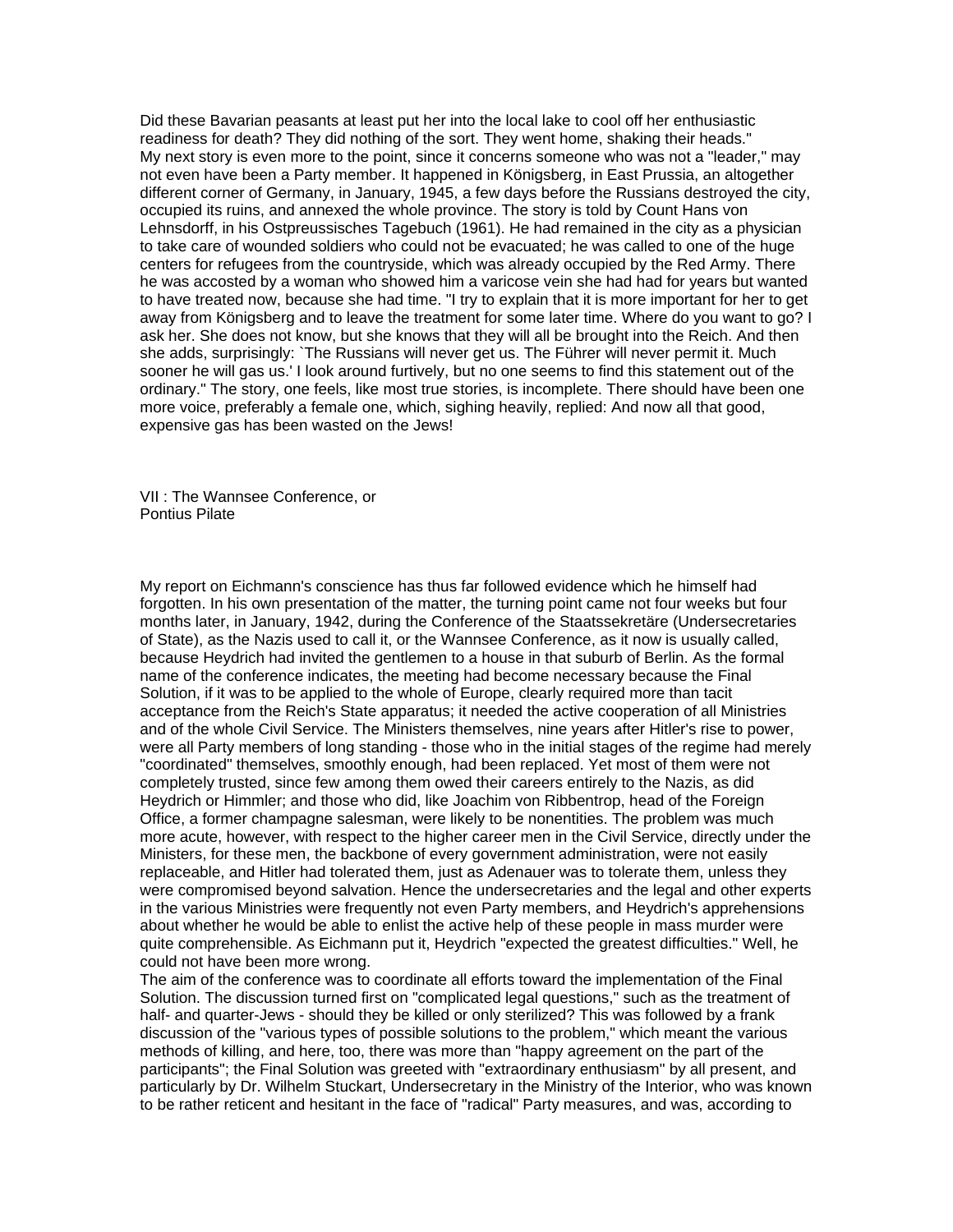Did these Bavarian peasants at least put her into the local lake to cool off her enthusiastic readiness for death? They did nothing of the sort. They went home, shaking their heads." My next story is even more to the point, since it concerns someone who was not a "leader," may not even have been a Party member. It happened in Königsberg, in East Prussia, an altogether different corner of Germany, in January, 1945, a few days before the Russians destroyed the city, occupied its ruins, and annexed the whole province. The story is told by Count Hans von Lehnsdorff, in his Ostpreussisches Tagebuch (1961). He had remained in the city as a physician to take care of wounded soldiers who could not be evacuated; he was called to one of the huge centers for refugees from the countryside, which was already occupied by the Red Army. There he was accosted by a woman who showed him a varicose vein she had had for years but wanted to have treated now, because she had time. "I try to explain that it is more important for her to get away from Königsberg and to leave the treatment for some later time. Where do you want to go? I ask her. She does not know, but she knows that they will all be brought into the Reich. And then she adds, surprisingly: `The Russians will never get us. The Führer will never permit it. Much sooner he will gas us.' I look around furtively, but no one seems to find this statement out of the ordinary." The story, one feels, like most true stories, is incomplete. There should have been one more voice, preferably a female one, which, sighing heavily, replied: And now all that good, expensive gas has been wasted on the Jews!

VII : The Wannsee Conference, or Pontius Pilate

My report on Eichmann's conscience has thus far followed evidence which he himself had forgotten. In his own presentation of the matter, the turning point came not four weeks but four months later, in January, 1942, during the Conference of the Staatssekretäre (Undersecretaries of State), as the Nazis used to call it, or the Wannsee Conference, as it now is usually called, because Heydrich had invited the gentlemen to a house in that suburb of Berlin. As the formal name of the conference indicates, the meeting had become necessary because the Final Solution, if it was to be applied to the whole of Europe, clearly required more than tacit acceptance from the Reich's State apparatus; it needed the active cooperation of all Ministries and of the whole Civil Service. The Ministers themselves, nine years after Hitler's rise to power, were all Party members of long standing - those who in the initial stages of the regime had merely "coordinated" themselves, smoothly enough, had been replaced. Yet most of them were not completely trusted, since few among them owed their careers entirely to the Nazis, as did Heydrich or Himmler; and those who did, like Joachim von Ribbentrop, head of the Foreign Office, a former champagne salesman, were likely to be nonentities. The problem was much more acute, however, with respect to the higher career men in the Civil Service, directly under the Ministers, for these men, the backbone of every government administration, were not easily replaceable, and Hitler had tolerated them, just as Adenauer was to tolerate them, unless they were compromised beyond salvation. Hence the undersecretaries and the legal and other experts in the various Ministries were frequently not even Party members, and Heydrich's apprehensions about whether he would be able to enlist the active help of these people in mass murder were quite comprehensible. As Eichmann put it, Heydrich "expected the greatest difficulties." Well, he could not have been more wrong.

The aim of the conference was to coordinate all efforts toward the implementation of the Final Solution. The discussion turned first on "complicated legal questions," such as the treatment of half- and quarter-Jews - should they be killed or only sterilized? This was followed by a frank discussion of the "various types of possible solutions to the problem," which meant the various methods of killing, and here, too, there was more than "happy agreement on the part of the participants"; the Final Solution was greeted with "extraordinary enthusiasm" by all present, and particularly by Dr. Wilhelm Stuckart, Undersecretary in the Ministry of the Interior, who was known to be rather reticent and hesitant in the face of "radical" Party measures, and was, according to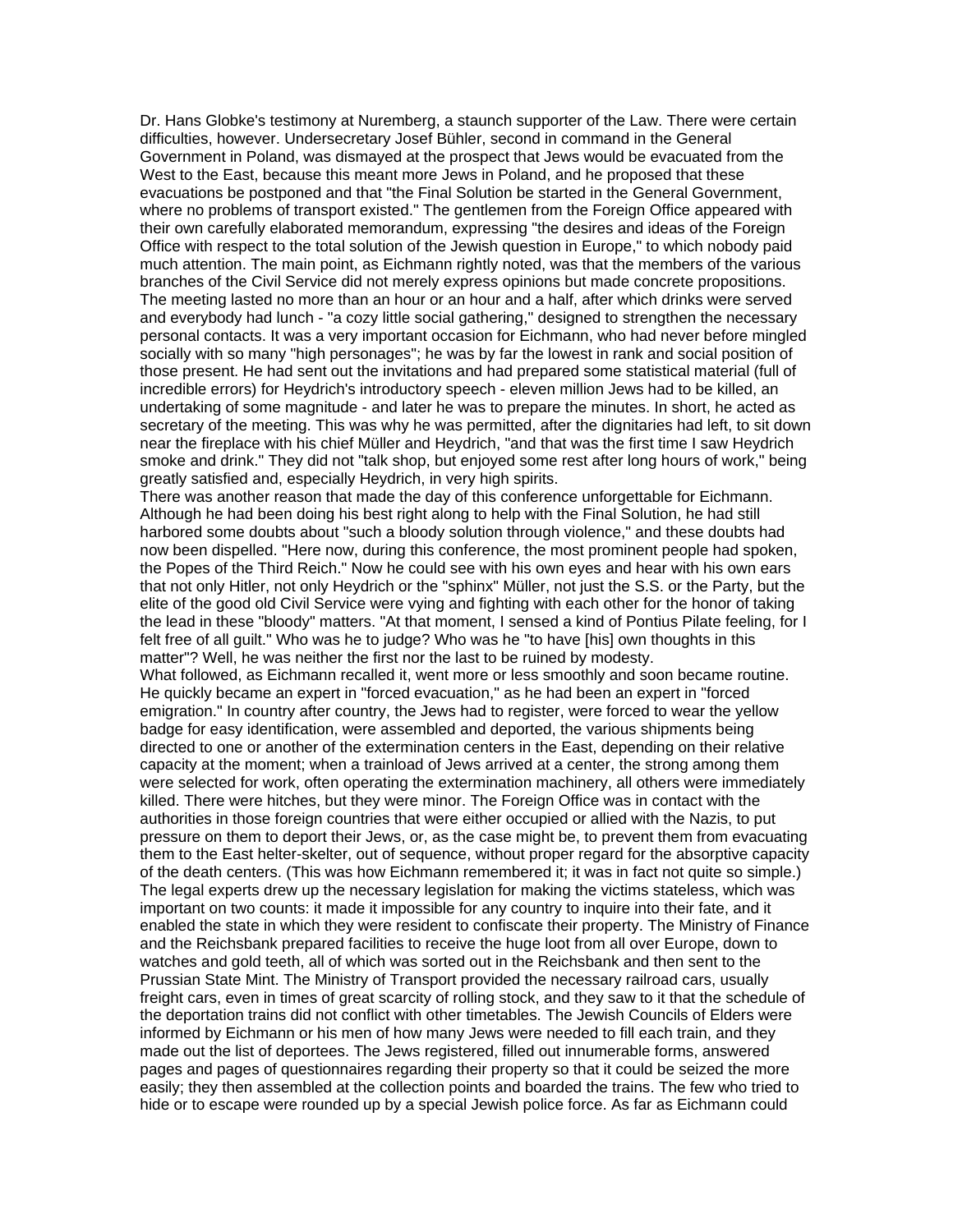Dr. Hans Globke's testimony at Nuremberg, a staunch supporter of the Law. There were certain difficulties, however. Undersecretary Josef Bühler, second in command in the General Government in Poland, was dismayed at the prospect that Jews would be evacuated from the West to the East, because this meant more Jews in Poland, and he proposed that these evacuations be postponed and that "the Final Solution be started in the General Government, where no problems of transport existed." The gentlemen from the Foreign Office appeared with their own carefully elaborated memorandum, expressing "the desires and ideas of the Foreign Office with respect to the total solution of the Jewish question in Europe," to which nobody paid much attention. The main point, as Eichmann rightly noted, was that the members of the various branches of the Civil Service did not merely express opinions but made concrete propositions. The meeting lasted no more than an hour or an hour and a half, after which drinks were served and everybody had lunch - "a cozy little social gathering," designed to strengthen the necessary personal contacts. It was a very important occasion for Eichmann, who had never before mingled socially with so many "high personages"; he was by far the lowest in rank and social position of those present. He had sent out the invitations and had prepared some statistical material (full of incredible errors) for Heydrich's introductory speech - eleven million Jews had to be killed, an undertaking of some magnitude - and later he was to prepare the minutes. In short, he acted as secretary of the meeting. This was why he was permitted, after the dignitaries had left, to sit down near the fireplace with his chief Müller and Heydrich, "and that was the first time I saw Heydrich smoke and drink." They did not "talk shop, but enjoyed some rest after long hours of work," being greatly satisfied and, especially Heydrich, in very high spirits.

There was another reason that made the day of this conference unforgettable for Eichmann. Although he had been doing his best right along to help with the Final Solution, he had still harbored some doubts about "such a bloody solution through violence," and these doubts had now been dispelled. "Here now, during this conference, the most prominent people had spoken, the Popes of the Third Reich." Now he could see with his own eyes and hear with his own ears that not only Hitler, not only Heydrich or the "sphinx" Müller, not just the S.S. or the Party, but the elite of the good old Civil Service were vying and fighting with each other for the honor of taking the lead in these "bloody" matters. "At that moment, I sensed a kind of Pontius Pilate feeling, for I felt free of all guilt." Who was he to judge? Who was he "to have [his] own thoughts in this matter"? Well, he was neither the first nor the last to be ruined by modesty.

What followed, as Eichmann recalled it, went more or less smoothly and soon became routine. He quickly became an expert in "forced evacuation," as he had been an expert in "forced emigration." In country after country, the Jews had to register, were forced to wear the yellow badge for easy identification, were assembled and deported, the various shipments being directed to one or another of the extermination centers in the East, depending on their relative capacity at the moment; when a trainload of Jews arrived at a center, the strong among them were selected for work, often operating the extermination machinery, all others were immediately killed. There were hitches, but they were minor. The Foreign Office was in contact with the authorities in those foreign countries that were either occupied or allied with the Nazis, to put pressure on them to deport their Jews, or, as the case might be, to prevent them from evacuating them to the East helter-skelter, out of sequence, without proper regard for the absorptive capacity of the death centers. (This was how Eichmann remembered it; it was in fact not quite so simple.) The legal experts drew up the necessary legislation for making the victims stateless, which was important on two counts: it made it impossible for any country to inquire into their fate, and it enabled the state in which they were resident to confiscate their property. The Ministry of Finance and the Reichsbank prepared facilities to receive the huge loot from all over Europe, down to watches and gold teeth, all of which was sorted out in the Reichsbank and then sent to the Prussian State Mint. The Ministry of Transport provided the necessary railroad cars, usually freight cars, even in times of great scarcity of rolling stock, and they saw to it that the schedule of the deportation trains did not conflict with other timetables. The Jewish Councils of Elders were informed by Eichmann or his men of how many Jews were needed to fill each train, and they made out the list of deportees. The Jews registered, filled out innumerable forms, answered pages and pages of questionnaires regarding their property so that it could be seized the more easily; they then assembled at the collection points and boarded the trains. The few who tried to hide or to escape were rounded up by a special Jewish police force. As far as Eichmann could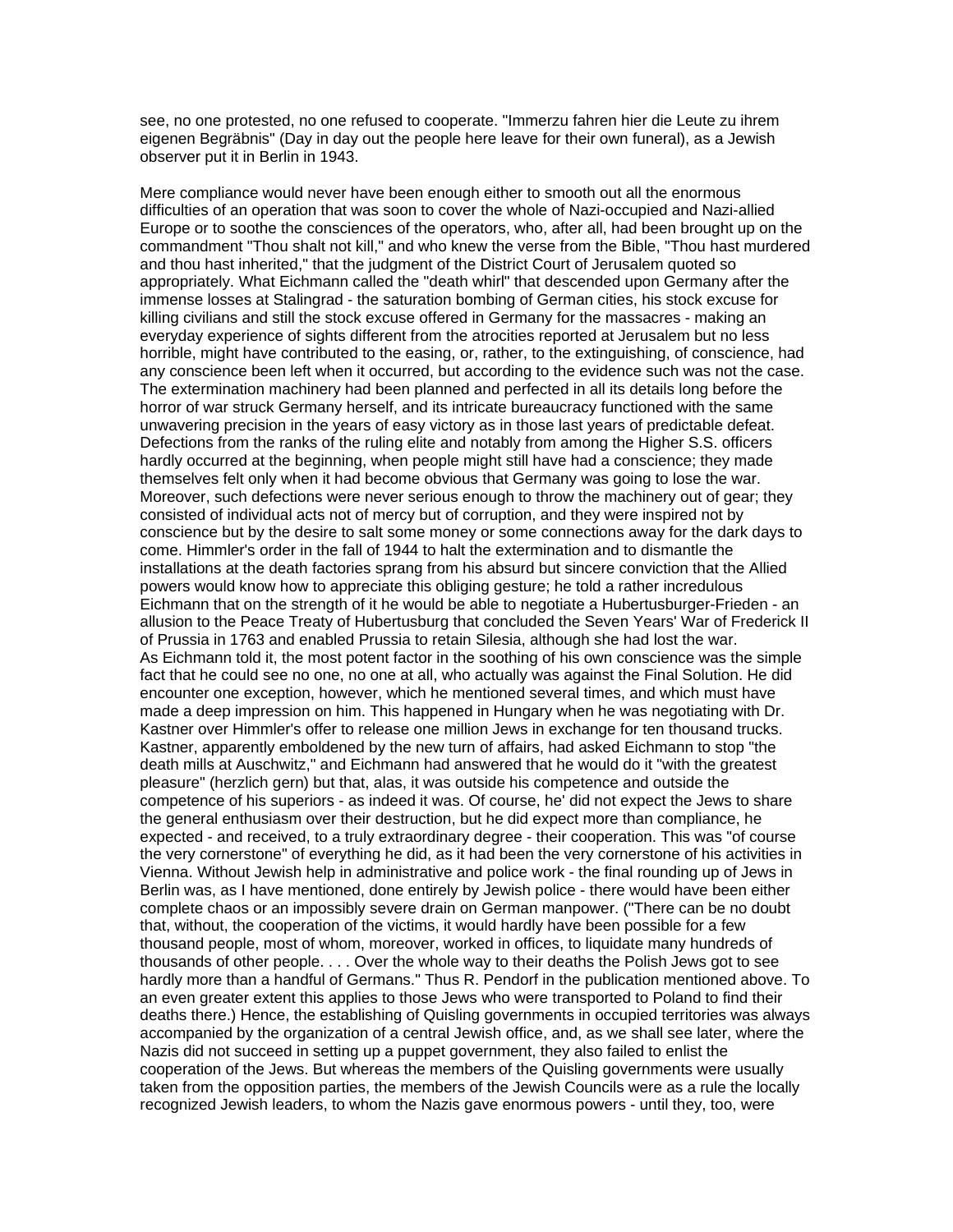see, no one protested, no one refused to cooperate. "Immerzu fahren hier die Leute zu ihrem eigenen Begräbnis" (Day in day out the people here leave for their own funeral), as a Jewish observer put it in Berlin in 1943.

Mere compliance would never have been enough either to smooth out all the enormous difficulties of an operation that was soon to cover the whole of Nazi-occupied and Nazi-allied Europe or to soothe the consciences of the operators, who, after all, had been brought up on the commandment "Thou shalt not kill," and who knew the verse from the Bible, "Thou hast murdered and thou hast inherited," that the judgment of the District Court of Jerusalem quoted so appropriately. What Eichmann called the "death whirl" that descended upon Germany after the immense losses at Stalingrad - the saturation bombing of German cities, his stock excuse for killing civilians and still the stock excuse offered in Germany for the massacres - making an everyday experience of sights different from the atrocities reported at Jerusalem but no less horrible, might have contributed to the easing, or, rather, to the extinguishing, of conscience, had any conscience been left when it occurred, but according to the evidence such was not the case. The extermination machinery had been planned and perfected in all its details long before the horror of war struck Germany herself, and its intricate bureaucracy functioned with the same unwavering precision in the years of easy victory as in those last years of predictable defeat. Defections from the ranks of the ruling elite and notably from among the Higher S.S. officers hardly occurred at the beginning, when people might still have had a conscience; they made themselves felt only when it had become obvious that Germany was going to lose the war. Moreover, such defections were never serious enough to throw the machinery out of gear; they consisted of individual acts not of mercy but of corruption, and they were inspired not by conscience but by the desire to salt some money or some connections away for the dark days to come. Himmler's order in the fall of 1944 to halt the extermination and to dismantle the installations at the death factories sprang from his absurd but sincere conviction that the Allied powers would know how to appreciate this obliging gesture; he told a rather incredulous Eichmann that on the strength of it he would be able to negotiate a Hubertusburger-Frieden - an allusion to the Peace Treaty of Hubertusburg that concluded the Seven Years' War of Frederick II of Prussia in 1763 and enabled Prussia to retain Silesia, although she had lost the war. As Eichmann told it, the most potent factor in the soothing of his own conscience was the simple fact that he could see no one, no one at all, who actually was against the Final Solution. He did encounter one exception, however, which he mentioned several times, and which must have made a deep impression on him. This happened in Hungary when he was negotiating with Dr. Kastner over Himmler's offer to release one million Jews in exchange for ten thousand trucks. Kastner, apparently emboldened by the new turn of affairs, had asked Eichmann to stop "the death mills at Auschwitz," and Eichmann had answered that he would do it "with the greatest pleasure" (herzlich gern) but that, alas, it was outside his competence and outside the competence of his superiors - as indeed it was. Of course, he' did not expect the Jews to share the general enthusiasm over their destruction, but he did expect more than compliance, he expected - and received, to a truly extraordinary degree - their cooperation. This was "of course the very cornerstone" of everything he did, as it had been the very cornerstone of his activities in Vienna. Without Jewish help in administrative and police work - the final rounding up of Jews in Berlin was, as I have mentioned, done entirely by Jewish police - there would have been either complete chaos or an impossibly severe drain on German manpower. ("There can be no doubt that, without, the cooperation of the victims, it would hardly have been possible for a few thousand people, most of whom, moreover, worked in offices, to liquidate many hundreds of thousands of other people. . . . Over the whole way to their deaths the Polish Jews got to see hardly more than a handful of Germans." Thus R. Pendorf in the publication mentioned above. To an even greater extent this applies to those Jews who were transported to Poland to find their deaths there.) Hence, the establishing of Quisling governments in occupied territories was always accompanied by the organization of a central Jewish office, and, as we shall see later, where the Nazis did not succeed in setting up a puppet government, they also failed to enlist the cooperation of the Jews. But whereas the members of the Quisling governments were usually taken from the opposition parties, the members of the Jewish Councils were as a rule the locally recognized Jewish leaders, to whom the Nazis gave enormous powers - until they, too, were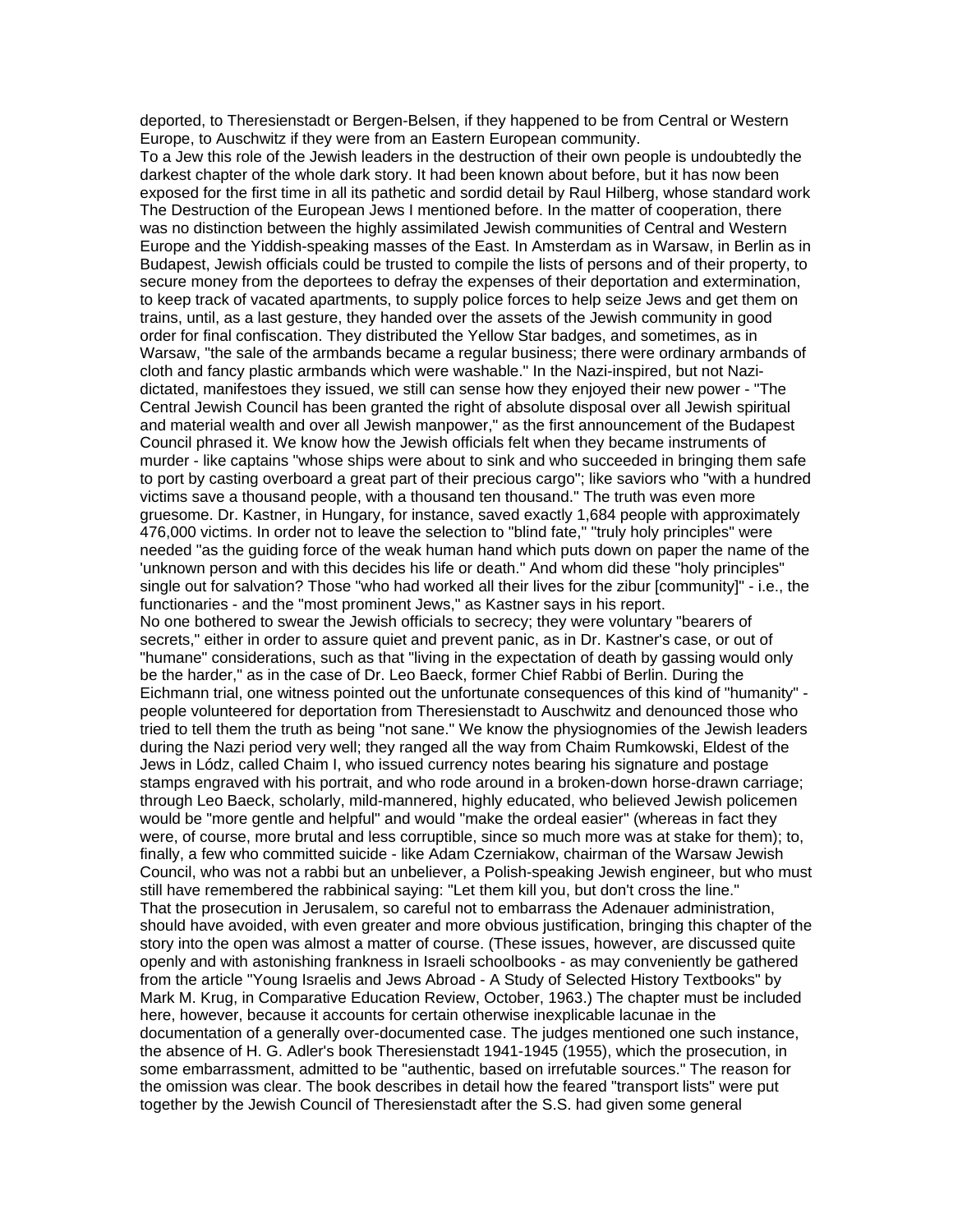deported, to Theresienstadt or Bergen-Belsen, if they happened to be from Central or Western Europe, to Auschwitz if they were from an Eastern European community.

To a Jew this role of the Jewish leaders in the destruction of their own people is undoubtedly the darkest chapter of the whole dark story. It had been known about before, but it has now been exposed for the first time in all its pathetic and sordid detail by Raul Hilberg, whose standard work The Destruction of the European Jews I mentioned before. In the matter of cooperation, there was no distinction between the highly assimilated Jewish communities of Central and Western Europe and the Yiddish-speaking masses of the East. In Amsterdam as in Warsaw, in Berlin as in Budapest, Jewish officials could be trusted to compile the lists of persons and of their property, to secure money from the deportees to defray the expenses of their deportation and extermination, to keep track of vacated apartments, to supply police forces to help seize Jews and get them on trains, until, as a last gesture, they handed over the assets of the Jewish community in good order for final confiscation. They distributed the Yellow Star badges, and sometimes, as in Warsaw, "the sale of the armbands became a regular business; there were ordinary armbands of cloth and fancy plastic armbands which were washable." In the Nazi-inspired, but not Nazidictated, manifestoes they issued, we still can sense how they enjoyed their new power - "The Central Jewish Council has been granted the right of absolute disposal over all Jewish spiritual and material wealth and over all Jewish manpower," as the first announcement of the Budapest Council phrased it. We know how the Jewish officials felt when they became instruments of murder - like captains "whose ships were about to sink and who succeeded in bringing them safe to port by casting overboard a great part of their precious cargo"; like saviors who "with a hundred victims save a thousand people, with a thousand ten thousand." The truth was even more gruesome. Dr. Kastner, in Hungary, for instance, saved exactly 1,684 people with approximately 476,000 victims. In order not to leave the selection to "blind fate," "truly holy principles" were needed "as the guiding force of the weak human hand which puts down on paper the name of the 'unknown person and with this decides his life or death." And whom did these "holy principles" single out for salvation? Those "who had worked all their lives for the zibur [community]" - i.e., the functionaries - and the "most prominent Jews," as Kastner says in his report. No one bothered to swear the Jewish officials to secrecy; they were voluntary "bearers of secrets," either in order to assure quiet and prevent panic, as in Dr. Kastner's case, or out of "humane" considerations, such as that "living in the expectation of death by gassing would only be the harder," as in the case of Dr. Leo Baeck, former Chief Rabbi of Berlin. During the Eichmann trial, one witness pointed out the unfortunate consequences of this kind of "humanity" people volunteered for deportation from Theresienstadt to Auschwitz and denounced those who tried to tell them the truth as being "not sane." We know the physiognomies of the Jewish leaders during the Nazi period very well; they ranged all the way from Chaim Rumkowski, Eldest of the Jews in Lódz, called Chaim I, who issued currency notes bearing his signature and postage stamps engraved with his portrait, and who rode around in a broken-down horse-drawn carriage; through Leo Baeck, scholarly, mild-mannered, highly educated, who believed Jewish policemen would be "more gentle and helpful" and would "make the ordeal easier" (whereas in fact they were, of course, more brutal and less corruptible, since so much more was at stake for them); to, finally, a few who committed suicide - like Adam Czerniakow, chairman of the Warsaw Jewish Council, who was not a rabbi but an unbeliever, a Polish-speaking Jewish engineer, but who must still have remembered the rabbinical saying: "Let them kill you, but don't cross the line." That the prosecution in Jerusalem, so careful not to embarrass the Adenauer administration, should have avoided, with even greater and more obvious justification, bringing this chapter of the story into the open was almost a matter of course. (These issues, however, are discussed quite openly and with astonishing frankness in Israeli schoolbooks - as may conveniently be gathered from the article "Young Israelis and Jews Abroad - A Study of Selected History Textbooks" by Mark M. Krug, in Comparative Education Review, October, 1963.) The chapter must be included here, however, because it accounts for certain otherwise inexplicable lacunae in the documentation of a generally over-documented case. The judges mentioned one such instance, the absence of H. G. Adler's book Theresienstadt 1941-1945 (1955), which the prosecution, in some embarrassment, admitted to be "authentic, based on irrefutable sources." The reason for the omission was clear. The book describes in detail how the feared "transport lists" were put together by the Jewish Council of Theresienstadt after the S.S. had given some general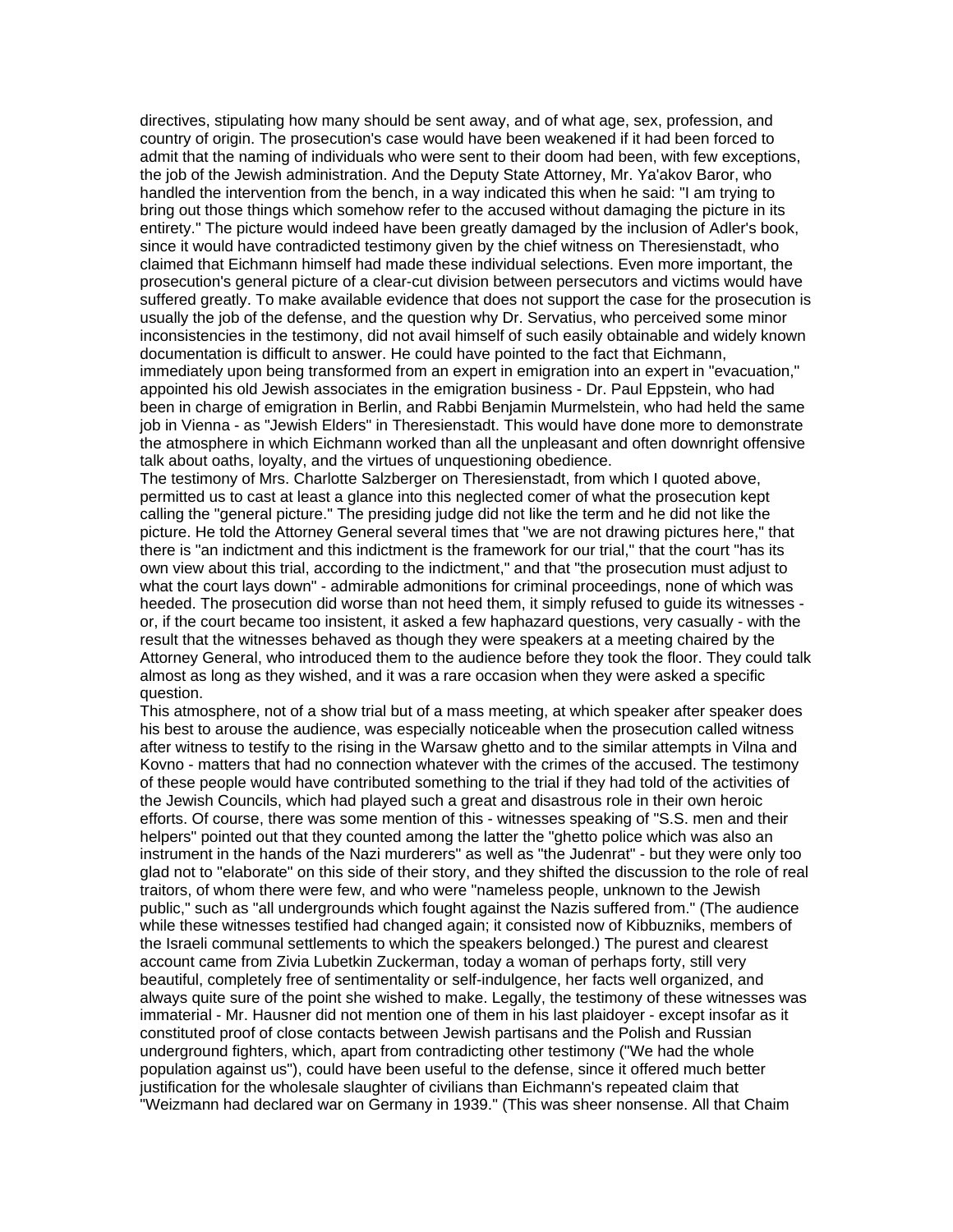directives, stipulating how many should be sent away, and of what age, sex, profession, and country of origin. The prosecution's case would have been weakened if it had been forced to admit that the naming of individuals who were sent to their doom had been, with few exceptions, the job of the Jewish administration. And the Deputy State Attorney, Mr. Ya'akov Baror, who handled the intervention from the bench, in a way indicated this when he said: "I am trying to bring out those things which somehow refer to the accused without damaging the picture in its entirety." The picture would indeed have been greatly damaged by the inclusion of Adler's book, since it would have contradicted testimony given by the chief witness on Theresienstadt, who claimed that Eichmann himself had made these individual selections. Even more important, the prosecution's general picture of a clear-cut division between persecutors and victims would have suffered greatly. To make available evidence that does not support the case for the prosecution is usually the job of the defense, and the question why Dr. Servatius, who perceived some minor inconsistencies in the testimony, did not avail himself of such easily obtainable and widely known documentation is difficult to answer. He could have pointed to the fact that Eichmann, immediately upon being transformed from an expert in emigration into an expert in "evacuation," appointed his old Jewish associates in the emigration business - Dr. Paul Eppstein, who had been in charge of emigration in Berlin, and Rabbi Benjamin Murmelstein, who had held the same job in Vienna - as "Jewish Elders" in Theresienstadt. This would have done more to demonstrate the atmosphere in which Eichmann worked than all the unpleasant and often downright offensive talk about oaths, loyalty, and the virtues of unquestioning obedience.

The testimony of Mrs. Charlotte Salzberger on Theresienstadt, from which I quoted above, permitted us to cast at least a glance into this neglected comer of what the prosecution kept calling the "general picture." The presiding judge did not like the term and he did not like the picture. He told the Attorney General several times that "we are not drawing pictures here," that there is "an indictment and this indictment is the framework for our trial," that the court "has its own view about this trial, according to the indictment," and that "the prosecution must adjust to what the court lays down" - admirable admonitions for criminal proceedings, none of which was heeded. The prosecution did worse than not heed them, it simply refused to quide its witnesses or, if the court became too insistent, it asked a few haphazard questions, very casually - with the result that the witnesses behaved as though they were speakers at a meeting chaired by the Attorney General, who introduced them to the audience before they took the floor. They could talk almost as long as they wished, and it was a rare occasion when they were asked a specific question.

This atmosphere, not of a show trial but of a mass meeting, at which speaker after speaker does his best to arouse the audience, was especially noticeable when the prosecution called witness after witness to testify to the rising in the Warsaw ghetto and to the similar attempts in Vilna and Kovno - matters that had no connection whatever with the crimes of the accused. The testimony of these people would have contributed something to the trial if they had told of the activities of the Jewish Councils, which had played such a great and disastrous role in their own heroic efforts. Of course, there was some mention of this - witnesses speaking of "S.S. men and their helpers" pointed out that they counted among the latter the "ghetto police which was also an instrument in the hands of the Nazi murderers" as well as "the Judenrat" - but they were only too glad not to "elaborate" on this side of their story, and they shifted the discussion to the role of real traitors, of whom there were few, and who were "nameless people, unknown to the Jewish public," such as "all undergrounds which fought against the Nazis suffered from." (The audience while these witnesses testified had changed again; it consisted now of Kibbuzniks, members of the Israeli communal settlements to which the speakers belonged.) The purest and clearest account came from Zivia Lubetkin Zuckerman, today a woman of perhaps forty, still very beautiful, completely free of sentimentality or self-indulgence, her facts well organized, and always quite sure of the point she wished to make. Legally, the testimony of these witnesses was immaterial - Mr. Hausner did not mention one of them in his last plaidoyer - except insofar as it constituted proof of close contacts between Jewish partisans and the Polish and Russian underground fighters, which, apart from contradicting other testimony ("We had the whole population against us"), could have been useful to the defense, since it offered much better justification for the wholesale slaughter of civilians than Eichmann's repeated claim that "Weizmann had declared war on Germany in 1939." (This was sheer nonsense. All that Chaim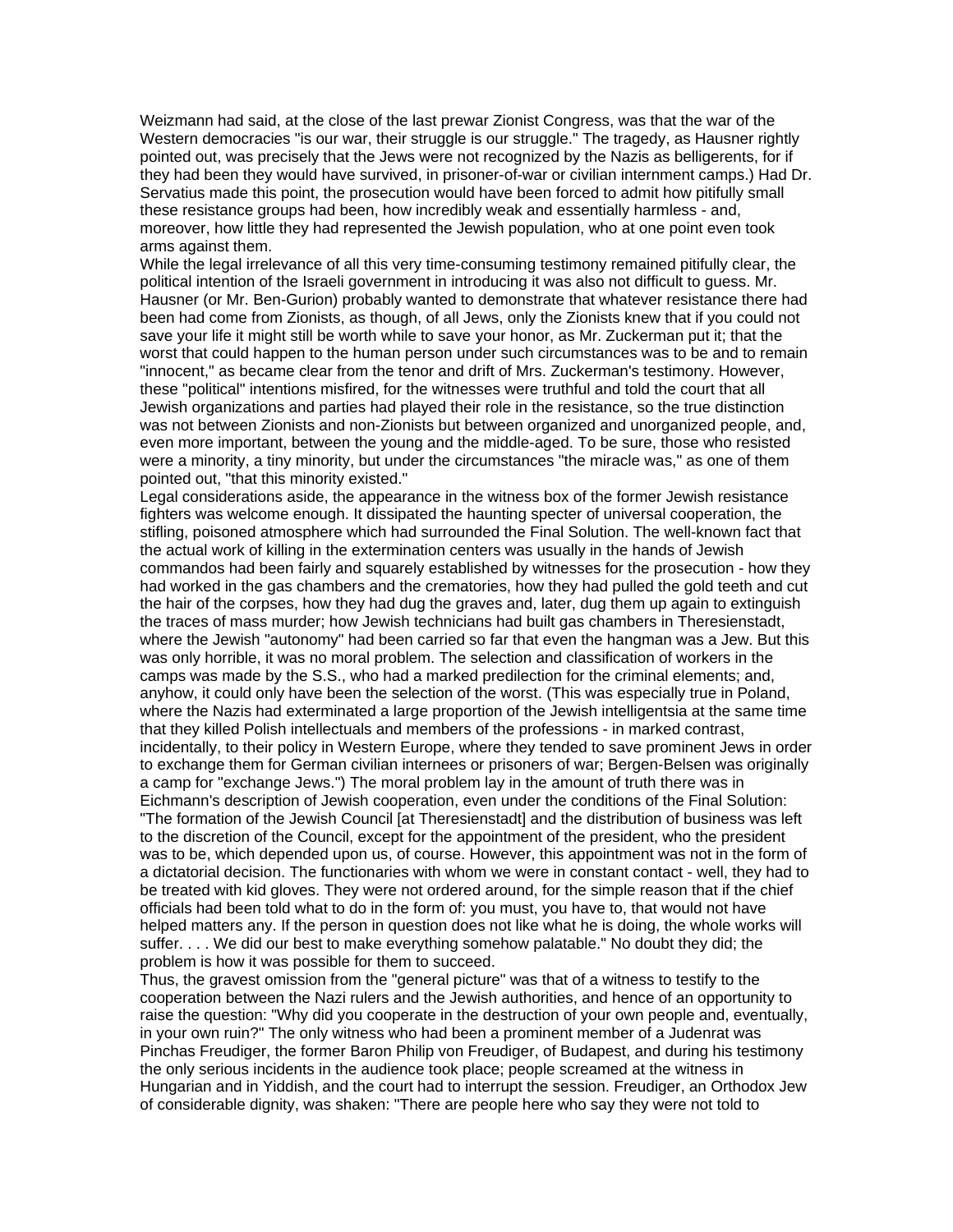Weizmann had said, at the close of the last prewar Zionist Congress, was that the war of the Western democracies "is our war, their struggle is our struggle." The tragedy, as Hausner rightly pointed out, was precisely that the Jews were not recognized by the Nazis as belligerents, for if they had been they would have survived, in prisoner-of-war or civilian internment camps.) Had Dr. Servatius made this point, the prosecution would have been forced to admit how pitifully small these resistance groups had been, how incredibly weak and essentially harmless - and, moreover, how little they had represented the Jewish population, who at one point even took arms against them.

While the legal irrelevance of all this very time-consuming testimony remained pitifully clear, the political intention of the Israeli government in introducing it was also not difficult to guess. Mr. Hausner (or Mr. Ben-Gurion) probably wanted to demonstrate that whatever resistance there had been had come from Zionists, as though, of all Jews, only the Zionists knew that if you could not save your life it might still be worth while to save your honor, as Mr. Zuckerman put it; that the worst that could happen to the human person under such circumstances was to be and to remain "innocent," as became clear from the tenor and drift of Mrs. Zuckerman's testimony. However, these "political" intentions misfired, for the witnesses were truthful and told the court that all Jewish organizations and parties had played their role in the resistance, so the true distinction was not between Zionists and non-Zionists but between organized and unorganized people, and, even more important, between the young and the middle-aged. To be sure, those who resisted were a minority, a tiny minority, but under the circumstances "the miracle was," as one of them pointed out, "that this minority existed."

Legal considerations aside, the appearance in the witness box of the former Jewish resistance fighters was welcome enough. It dissipated the haunting specter of universal cooperation, the stifling, poisoned atmosphere which had surrounded the Final Solution. The well-known fact that the actual work of killing in the extermination centers was usually in the hands of Jewish commandos had been fairly and squarely established by witnesses for the prosecution - how they had worked in the gas chambers and the crematories, how they had pulled the gold teeth and cut the hair of the corpses, how they had dug the graves and, later, dug them up again to extinguish the traces of mass murder; how Jewish technicians had built gas chambers in Theresienstadt, where the Jewish "autonomy" had been carried so far that even the hangman was a Jew. But this was only horrible, it was no moral problem. The selection and classification of workers in the camps was made by the S.S., who had a marked predilection for the criminal elements; and, anyhow, it could only have been the selection of the worst. (This was especially true in Poland, where the Nazis had exterminated a large proportion of the Jewish intelligentsia at the same time that they killed Polish intellectuals and members of the professions - in marked contrast, incidentally, to their policy in Western Europe, where they tended to save prominent Jews in order to exchange them for German civilian internees or prisoners of war; Bergen-Belsen was originally a camp for "exchange Jews.") The moral problem lay in the amount of truth there was in Eichmann's description of Jewish cooperation, even under the conditions of the Final Solution: "The formation of the Jewish Council [at Theresienstadt] and the distribution of business was left to the discretion of the Council, except for the appointment of the president, who the president was to be, which depended upon us, of course. However, this appointment was not in the form of a dictatorial decision. The functionaries with whom we were in constant contact - well, they had to be treated with kid gloves. They were not ordered around, for the simple reason that if the chief officials had been told what to do in the form of: you must, you have to, that would not have helped matters any. If the person in question does not like what he is doing, the whole works will suffer. . . . We did our best to make everything somehow palatable." No doubt they did; the problem is how it was possible for them to succeed.

Thus, the gravest omission from the "general picture" was that of a witness to testify to the cooperation between the Nazi rulers and the Jewish authorities, and hence of an opportunity to raise the question: "Why did you cooperate in the destruction of your own people and, eventually, in your own ruin?" The only witness who had been a prominent member of a Judenrat was Pinchas Freudiger, the former Baron Philip von Freudiger, of Budapest, and during his testimony the only serious incidents in the audience took place; people screamed at the witness in Hungarian and in Yiddish, and the court had to interrupt the session. Freudiger, an Orthodox Jew of considerable dignity, was shaken: "There are people here who say they were not told to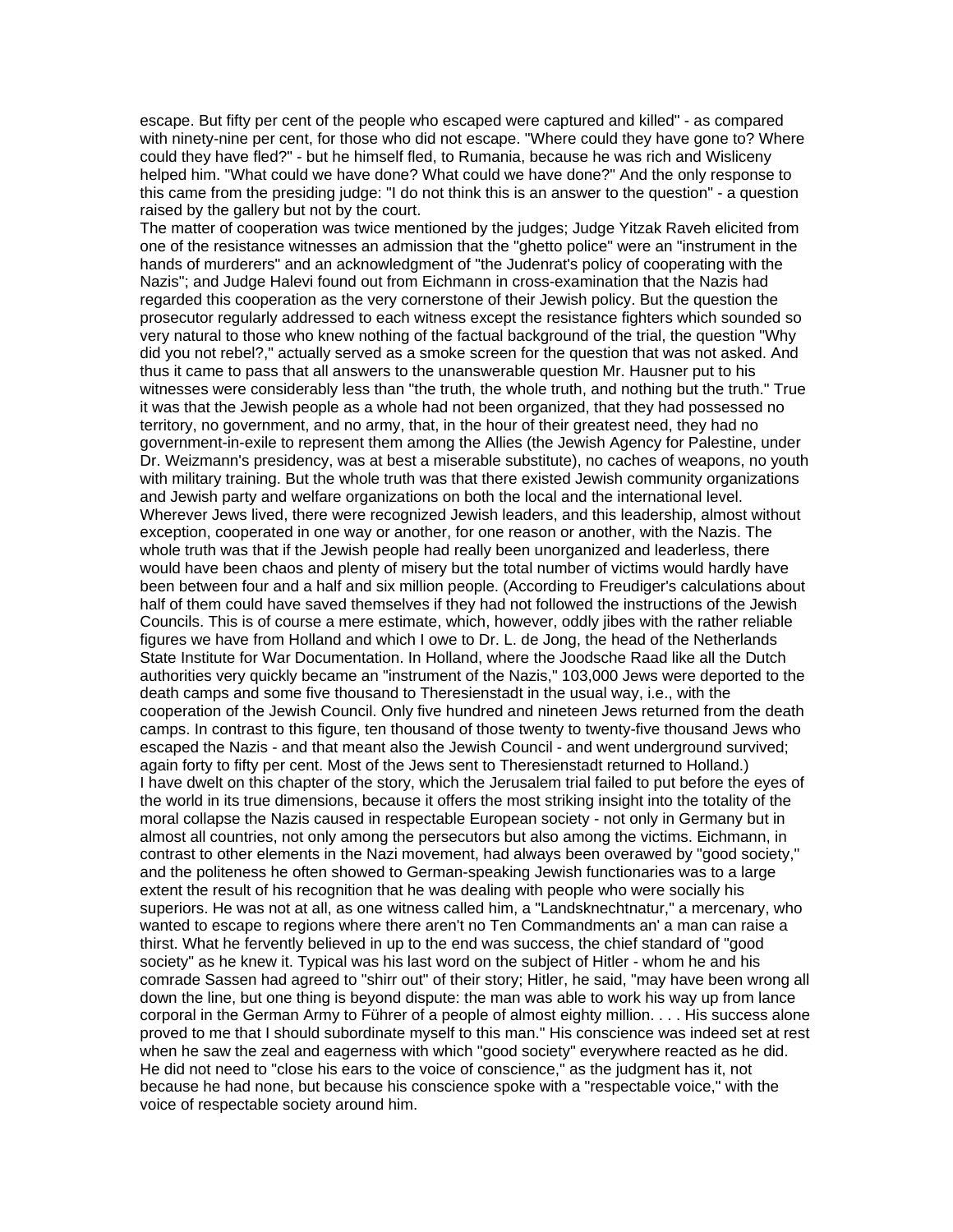escape. But fifty per cent of the people who escaped were captured and killed" - as compared with ninety-nine per cent, for those who did not escape. "Where could they have gone to? Where could they have fled?" - but he himself fled, to Rumania, because he was rich and Wisliceny helped him. "What could we have done? What could we have done?" And the only response to this came from the presiding judge: "I do not think this is an answer to the question" - a question raised by the gallery but not by the court.

The matter of cooperation was twice mentioned by the judges; Judge Yitzak Raveh elicited from one of the resistance witnesses an admission that the "ghetto police" were an "instrument in the hands of murderers" and an acknowledgment of "the Judenrat's policy of cooperating with the Nazis"; and Judge Halevi found out from Eichmann in cross-examination that the Nazis had regarded this cooperation as the very cornerstone of their Jewish policy. But the question the prosecutor regularly addressed to each witness except the resistance fighters which sounded so very natural to those who knew nothing of the factual background of the trial, the question "Why did you not rebel?," actually served as a smoke screen for the question that was not asked. And thus it came to pass that all answers to the unanswerable question Mr. Hausner put to his witnesses were considerably less than "the truth, the whole truth, and nothing but the truth." True it was that the Jewish people as a whole had not been organized, that they had possessed no territory, no government, and no army, that, in the hour of their greatest need, they had no government-in-exile to represent them among the Allies (the Jewish Agency for Palestine, under Dr. Weizmann's presidency, was at best a miserable substitute), no caches of weapons, no youth with military training. But the whole truth was that there existed Jewish community organizations and Jewish party and welfare organizations on both the local and the international level. Wherever Jews lived, there were recognized Jewish leaders, and this leadership, almost without exception, cooperated in one way or another, for one reason or another, with the Nazis. The whole truth was that if the Jewish people had really been unorganized and leaderless, there would have been chaos and plenty of misery but the total number of victims would hardly have been between four and a half and six million people. (According to Freudiger's calculations about half of them could have saved themselves if they had not followed the instructions of the Jewish Councils. This is of course a mere estimate, which, however, oddly jibes with the rather reliable figures we have from Holland and which I owe to Dr. L. de Jong, the head of the Netherlands State Institute for War Documentation. In Holland, where the Joodsche Raad like all the Dutch authorities very quickly became an "instrument of the Nazis," 103,000 Jews were deported to the death camps and some five thousand to Theresienstadt in the usual way, i.e., with the cooperation of the Jewish Council. Only five hundred and nineteen Jews returned from the death camps. In contrast to this figure, ten thousand of those twenty to twenty-five thousand Jews who escaped the Nazis - and that meant also the Jewish Council - and went underground survived; again forty to fifty per cent. Most of the Jews sent to Theresienstadt returned to Holland.) I have dwelt on this chapter of the story, which the Jerusalem trial failed to put before the eyes of the world in its true dimensions, because it offers the most striking insight into the totality of the moral collapse the Nazis caused in respectable European society - not only in Germany but in almost all countries, not only among the persecutors but also among the victims. Eichmann, in contrast to other elements in the Nazi movement, had always been overawed by "good society," and the politeness he often showed to German-speaking Jewish functionaries was to a large extent the result of his recognition that he was dealing with people who were socially his superiors. He was not at all, as one witness called him, a "Landsknechtnatur," a mercenary, who wanted to escape to regions where there aren't no Ten Commandments an' a man can raise a thirst. What he fervently believed in up to the end was success, the chief standard of "good society" as he knew it. Typical was his last word on the subject of Hitler - whom he and his comrade Sassen had agreed to "shirr out" of their story; Hitler, he said, "may have been wrong all down the line, but one thing is beyond dispute: the man was able to work his way up from lance corporal in the German Army to Führer of a people of almost eighty million. . . . His success alone proved to me that I should subordinate myself to this man." His conscience was indeed set at rest when he saw the zeal and eagerness with which "good society" everywhere reacted as he did. He did not need to "close his ears to the voice of conscience," as the judgment has it, not because he had none, but because his conscience spoke with a "respectable voice," with the voice of respectable society around him.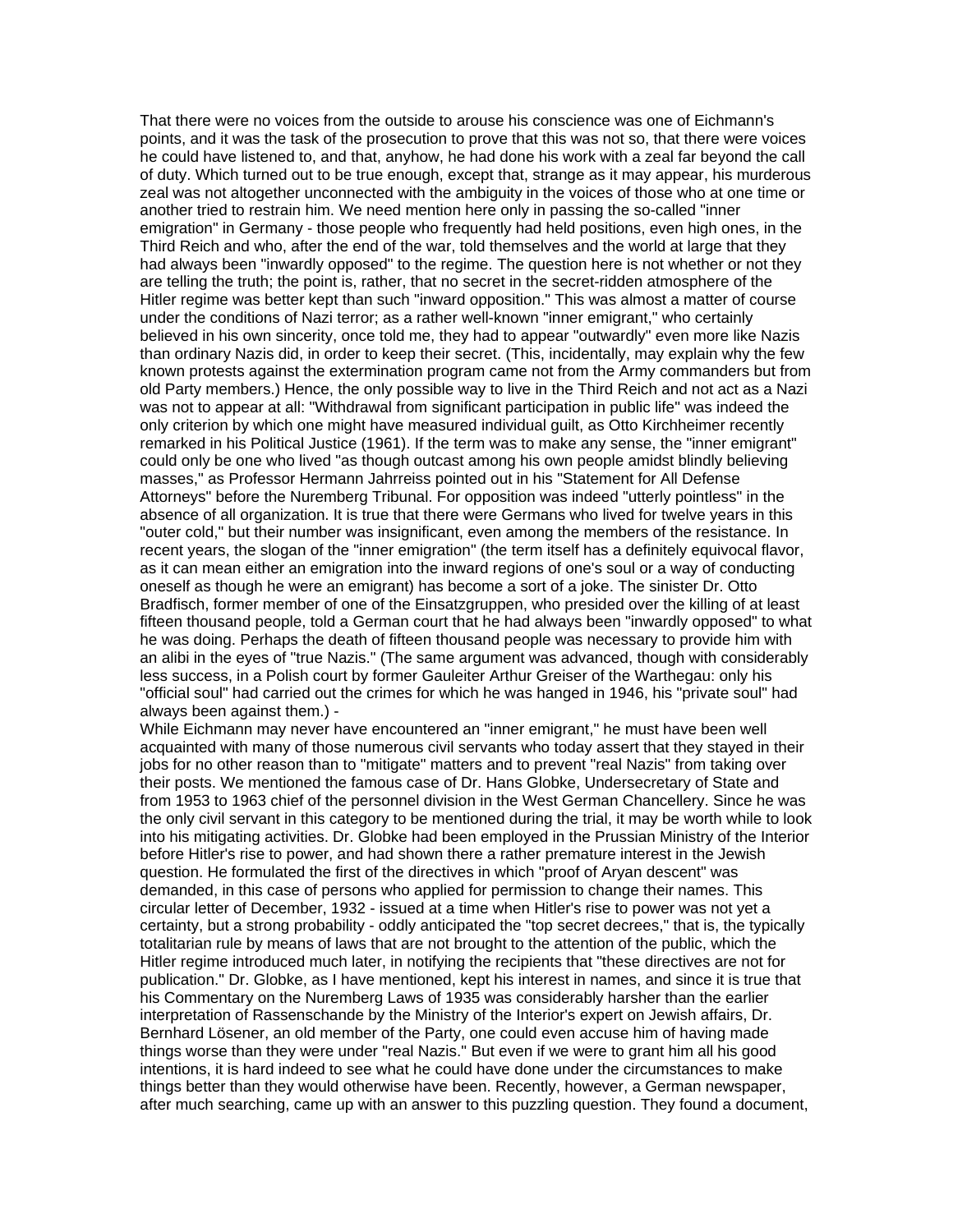That there were no voices from the outside to arouse his conscience was one of Eichmann's points, and it was the task of the prosecution to prove that this was not so, that there were voices he could have listened to, and that, anyhow, he had done his work with a zeal far beyond the call of duty. Which turned out to be true enough, except that, strange as it may appear, his murderous zeal was not altogether unconnected with the ambiguity in the voices of those who at one time or another tried to restrain him. We need mention here only in passing the so-called "inner emigration" in Germany - those people who frequently had held positions, even high ones, in the Third Reich and who, after the end of the war, told themselves and the world at large that they had always been "inwardly opposed" to the regime. The question here is not whether or not they are telling the truth; the point is, rather, that no secret in the secret-ridden atmosphere of the Hitler regime was better kept than such "inward opposition." This was almost a matter of course under the conditions of Nazi terror; as a rather well-known "inner emigrant," who certainly believed in his own sincerity, once told me, they had to appear "outwardly" even more like Nazis than ordinary Nazis did, in order to keep their secret. (This, incidentally, may explain why the few known protests against the extermination program came not from the Army commanders but from old Party members.) Hence, the only possible way to live in the Third Reich and not act as a Nazi was not to appear at all: "Withdrawal from significant participation in public life" was indeed the only criterion by which one might have measured individual guilt, as Otto Kirchheimer recently remarked in his Political Justice (1961). If the term was to make any sense, the "inner emigrant" could only be one who lived "as though outcast among his own people amidst blindly believing masses," as Professor Hermann Jahrreiss pointed out in his "Statement for All Defense Attorneys" before the Nuremberg Tribunal. For opposition was indeed "utterly pointless" in the absence of all organization. It is true that there were Germans who lived for twelve years in this "outer cold," but their number was insignificant, even among the members of the resistance. In recent years, the slogan of the "inner emigration" (the term itself has a definitely equivocal flavor, as it can mean either an emigration into the inward regions of one's soul or a way of conducting oneself as though he were an emigrant) has become a sort of a joke. The sinister Dr. Otto Bradfisch, former member of one of the Einsatzgruppen, who presided over the killing of at least fifteen thousand people, told a German court that he had always been "inwardly opposed" to what he was doing. Perhaps the death of fifteen thousand people was necessary to provide him with an alibi in the eyes of "true Nazis." (The same argument was advanced, though with considerably less success, in a Polish court by former Gauleiter Arthur Greiser of the Warthegau: only his "official soul" had carried out the crimes for which he was hanged in 1946, his "private soul" had always been against them.) -

While Eichmann may never have encountered an "inner emigrant," he must have been well acquainted with many of those numerous civil servants who today assert that they stayed in their jobs for no other reason than to "mitigate" matters and to prevent "real Nazis" from taking over their posts. We mentioned the famous case of Dr. Hans Globke, Undersecretary of State and from 1953 to 1963 chief of the personnel division in the West German Chancellery. Since he was the only civil servant in this category to be mentioned during the trial, it may be worth while to look into his mitigating activities. Dr. Globke had been employed in the Prussian Ministry of the Interior before Hitler's rise to power, and had shown there a rather premature interest in the Jewish question. He formulated the first of the directives in which "proof of Aryan descent" was demanded, in this case of persons who applied for permission to change their names. This circular letter of December, 1932 - issued at a time when Hitler's rise to power was not yet a certainty, but a strong probability - oddly anticipated the "top secret decrees," that is, the typically totalitarian rule by means of laws that are not brought to the attention of the public, which the Hitler regime introduced much later, in notifying the recipients that "these directives are not for publication." Dr. Globke, as I have mentioned, kept his interest in names, and since it is true that his Commentary on the Nuremberg Laws of 1935 was considerably harsher than the earlier interpretation of Rassenschande by the Ministry of the Interior's expert on Jewish affairs, Dr. Bernhard Lösener, an old member of the Party, one could even accuse him of having made things worse than they were under "real Nazis." But even if we were to grant him all his good intentions, it is hard indeed to see what he could have done under the circumstances to make things better than they would otherwise have been. Recently, however, a German newspaper, after much searching, came up with an answer to this puzzling question. They found a document,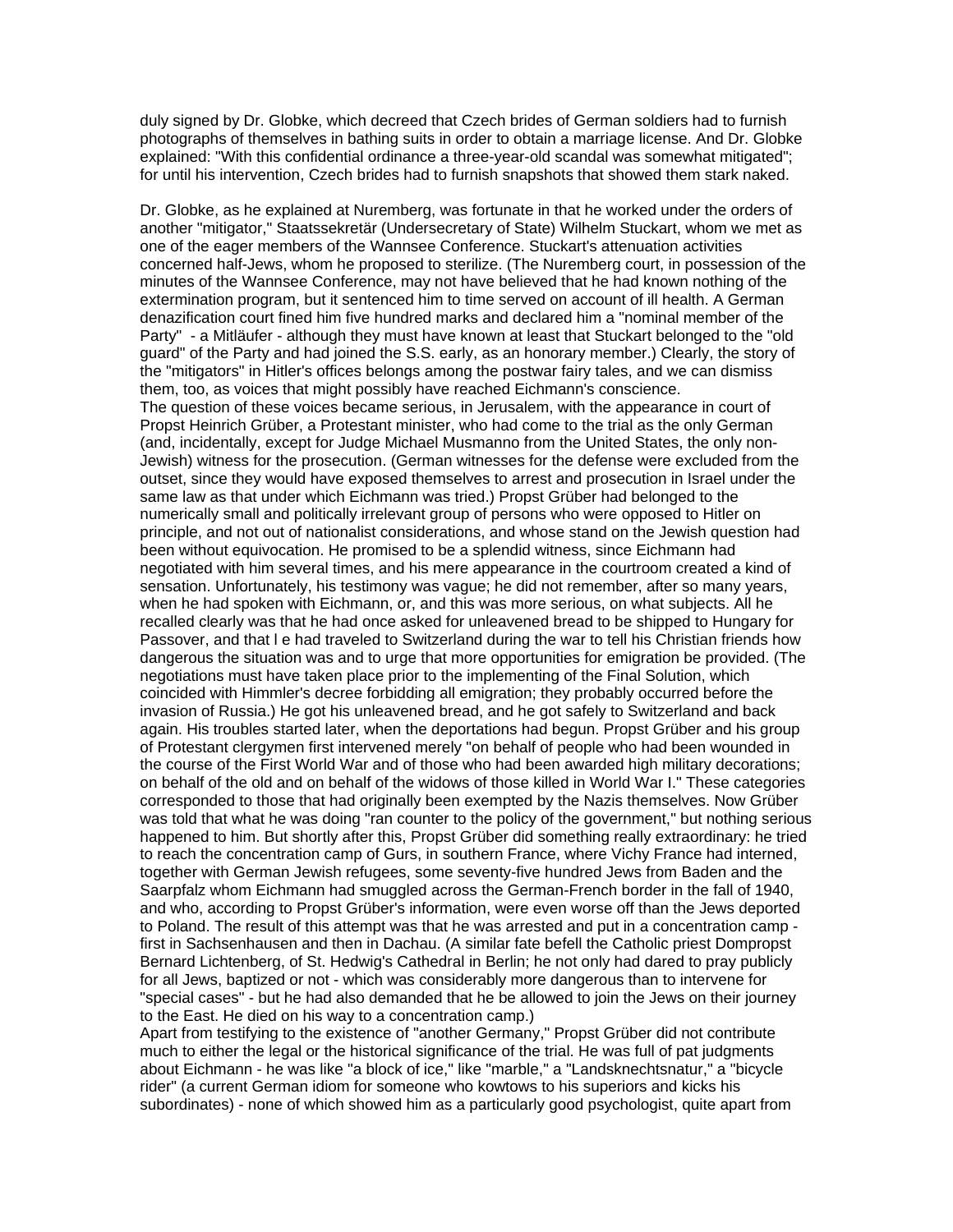duly signed by Dr. Globke, which decreed that Czech brides of German soldiers had to furnish photographs of themselves in bathing suits in order to obtain a marriage license. And Dr. Globke explained: "With this confidential ordinance a three-year-old scandal was somewhat mitigated"; for until his intervention, Czech brides had to furnish snapshots that showed them stark naked.

Dr. Globke, as he explained at Nuremberg, was fortunate in that he worked under the orders of another "mitigator," Staatssekretär (Undersecretary of State) Wilhelm Stuckart, whom we met as one of the eager members of the Wannsee Conference. Stuckart's attenuation activities concerned half-Jews, whom he proposed to sterilize. (The Nuremberg court, in possession of the minutes of the Wannsee Conference, may not have believed that he had known nothing of the extermination program, but it sentenced him to time served on account of ill health. A German denazification court fined him five hundred marks and declared him a "nominal member of the Party" - a Mitläufer - although they must have known at least that Stuckart belonged to the "old guard" of the Party and had joined the S.S. early, as an honorary member.) Clearly, the story of the "mitigators" in Hitler's offices belongs among the postwar fairy tales, and we can dismiss them, too, as voices that might possibly have reached Eichmann's conscience. The question of these voices became serious, in Jerusalem, with the appearance in court of Propst Heinrich Grüber, a Protestant minister, who had come to the trial as the only German (and, incidentally, except for Judge Michael Musmanno from the United States, the only non-Jewish) witness for the prosecution. (German witnesses for the defense were excluded from the outset, since they would have exposed themselves to arrest and prosecution in Israel under the same law as that under which Eichmann was tried.) Propst Grüber had belonged to the numerically small and politically irrelevant group of persons who were opposed to Hitler on principle, and not out of nationalist considerations, and whose stand on the Jewish question had been without equivocation. He promised to be a splendid witness, since Eichmann had negotiated with him several times, and his mere appearance in the courtroom created a kind of sensation. Unfortunately, his testimony was vague; he did not remember, after so many years, when he had spoken with Eichmann, or, and this was more serious, on what subjects. All he recalled clearly was that he had once asked for unleavened bread to be shipped to Hungary for Passover, and that l e had traveled to Switzerland during the war to tell his Christian friends how dangerous the situation was and to urge that more opportunities for emigration be provided. (The negotiations must have taken place prior to the implementing of the Final Solution, which coincided with Himmler's decree forbidding all emigration; they probably occurred before the invasion of Russia.) He got his unleavened bread, and he got safely to Switzerland and back again. His troubles started later, when the deportations had begun. Propst Grüber and his group of Protestant clergymen first intervened merely "on behalf of people who had been wounded in the course of the First World War and of those who had been awarded high military decorations; on behalf of the old and on behalf of the widows of those killed in World War I." These categories corresponded to those that had originally been exempted by the Nazis themselves. Now Grüber was told that what he was doing "ran counter to the policy of the government," but nothing serious happened to him. But shortly after this, Propst Grüber did something really extraordinary: he tried to reach the concentration camp of Gurs, in southern France, where Vichy France had interned, together with German Jewish refugees, some seventy-five hundred Jews from Baden and the Saarpfalz whom Eichmann had smuggled across the German-French border in the fall of 1940, and who, according to Propst Grüber's information, were even worse off than the Jews deported to Poland. The result of this attempt was that he was arrested and put in a concentration camp first in Sachsenhausen and then in Dachau. (A similar fate befell the Catholic priest Dompropst Bernard Lichtenberg, of St. Hedwig's Cathedral in Berlin; he not only had dared to pray publicly for all Jews, baptized or not - which was considerably more dangerous than to intervene for "special cases" - but he had also demanded that he be allowed to join the Jews on their journey to the East. He died on his way to a concentration camp.)

Apart from testifying to the existence of "another Germany," Propst Grüber did not contribute much to either the legal or the historical significance of the trial. He was full of pat judgments about Eichmann - he was like "a block of ice," like "marble," a "Landsknechtsnatur," a "bicycle rider" (a current German idiom for someone who kowtows to his superiors and kicks his subordinates) - none of which showed him as a particularly good psychologist, quite apart from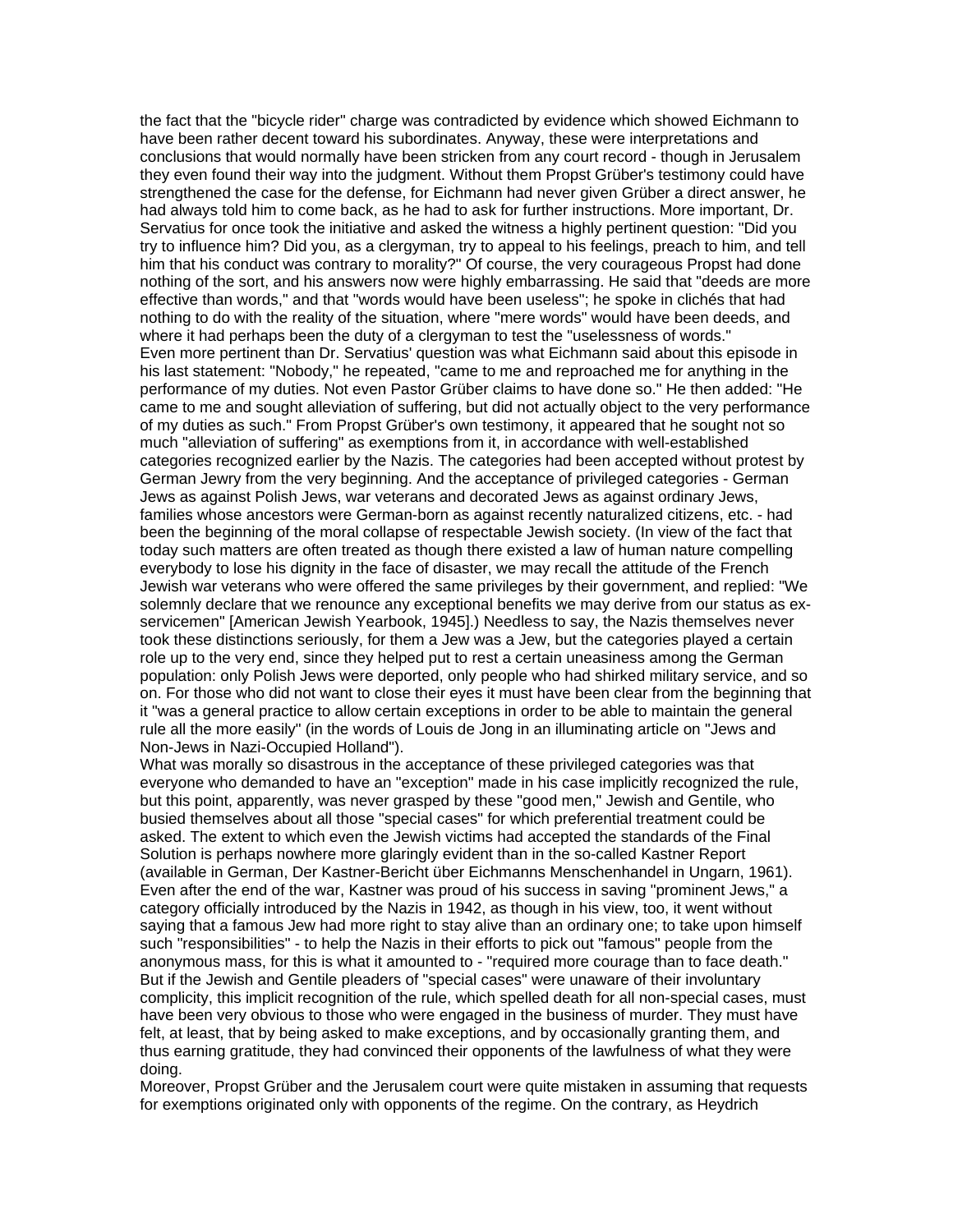the fact that the "bicycle rider" charge was contradicted by evidence which showed Eichmann to have been rather decent toward his subordinates. Anyway, these were interpretations and conclusions that would normally have been stricken from any court record - though in Jerusalem they even found their way into the judgment. Without them Propst Grüber's testimony could have strengthened the case for the defense, for Eichmann had never given Grüber a direct answer, he had always told him to come back, as he had to ask for further instructions. More important, Dr. Servatius for once took the initiative and asked the witness a highly pertinent question: "Did you try to influence him? Did you, as a clergyman, try to appeal to his feelings, preach to him, and tell him that his conduct was contrary to morality?" Of course, the very courageous Propst had done nothing of the sort, and his answers now were highly embarrassing. He said that "deeds are more effective than words," and that "words would have been useless"; he spoke in clichés that had nothing to do with the reality of the situation, where "mere words" would have been deeds, and where it had perhaps been the duty of a clergyman to test the "uselessness of words." Even more pertinent than Dr. Servatius' question was what Eichmann said about this episode in his last statement: "Nobody," he repeated, "came to me and reproached me for anything in the performance of my duties. Not even Pastor Grüber claims to have done so." He then added: "He came to me and sought alleviation of suffering, but did not actually object to the very performance of my duties as such." From Propst Grüber's own testimony, it appeared that he sought not so much "alleviation of suffering" as exemptions from it, in accordance with well-established categories recognized earlier by the Nazis. The categories had been accepted without protest by German Jewry from the very beginning. And the acceptance of privileged categories - German Jews as against Polish Jews, war veterans and decorated Jews as against ordinary Jews, families whose ancestors were German-born as against recently naturalized citizens, etc. - had been the beginning of the moral collapse of respectable Jewish society. (In view of the fact that today such matters are often treated as though there existed a law of human nature compelling everybody to lose his dignity in the face of disaster, we may recall the attitude of the French Jewish war veterans who were offered the same privileges by their government, and replied: "We solemnly declare that we renounce any exceptional benefits we may derive from our status as exservicemen" [American Jewish Yearbook, 1945].) Needless to say, the Nazis themselves never took these distinctions seriously, for them a Jew was a Jew, but the categories played a certain role up to the very end, since they helped put to rest a certain uneasiness among the German population: only Polish Jews were deported, only people who had shirked military service, and so on. For those who did not want to close their eyes it must have been clear from the beginning that it "was a general practice to allow certain exceptions in order to be able to maintain the general rule all the more easily" (in the words of Louis de Jong in an illuminating article on "Jews and Non-Jews in Nazi-Occupied Holland").

What was morally so disastrous in the acceptance of these privileged categories was that everyone who demanded to have an "exception" made in his case implicitly recognized the rule, but this point, apparently, was never grasped by these "good men," Jewish and Gentile, who busied themselves about all those "special cases" for which preferential treatment could be asked. The extent to which even the Jewish victims had accepted the standards of the Final Solution is perhaps nowhere more glaringly evident than in the so-called Kastner Report (available in German, Der Kastner-Bericht über Eichmanns Menschenhandel in Ungarn, 1961). Even after the end of the war, Kastner was proud of his success in saving "prominent Jews," a category officially introduced by the Nazis in 1942, as though in his view, too, it went without saying that a famous Jew had more right to stay alive than an ordinary one; to take upon himself such "responsibilities" - to help the Nazis in their efforts to pick out "famous" people from the anonymous mass, for this is what it amounted to - "required more courage than to face death." But if the Jewish and Gentile pleaders of "special cases" were unaware of their involuntary complicity, this implicit recognition of the rule, which spelled death for all non-special cases, must have been very obvious to those who were engaged in the business of murder. They must have felt, at least, that by being asked to make exceptions, and by occasionally granting them, and thus earning gratitude, they had convinced their opponents of the lawfulness of what they were doing.

Moreover, Propst Grüber and the Jerusalem court were quite mistaken in assuming that requests for exemptions originated only with opponents of the regime. On the contrary, as Heydrich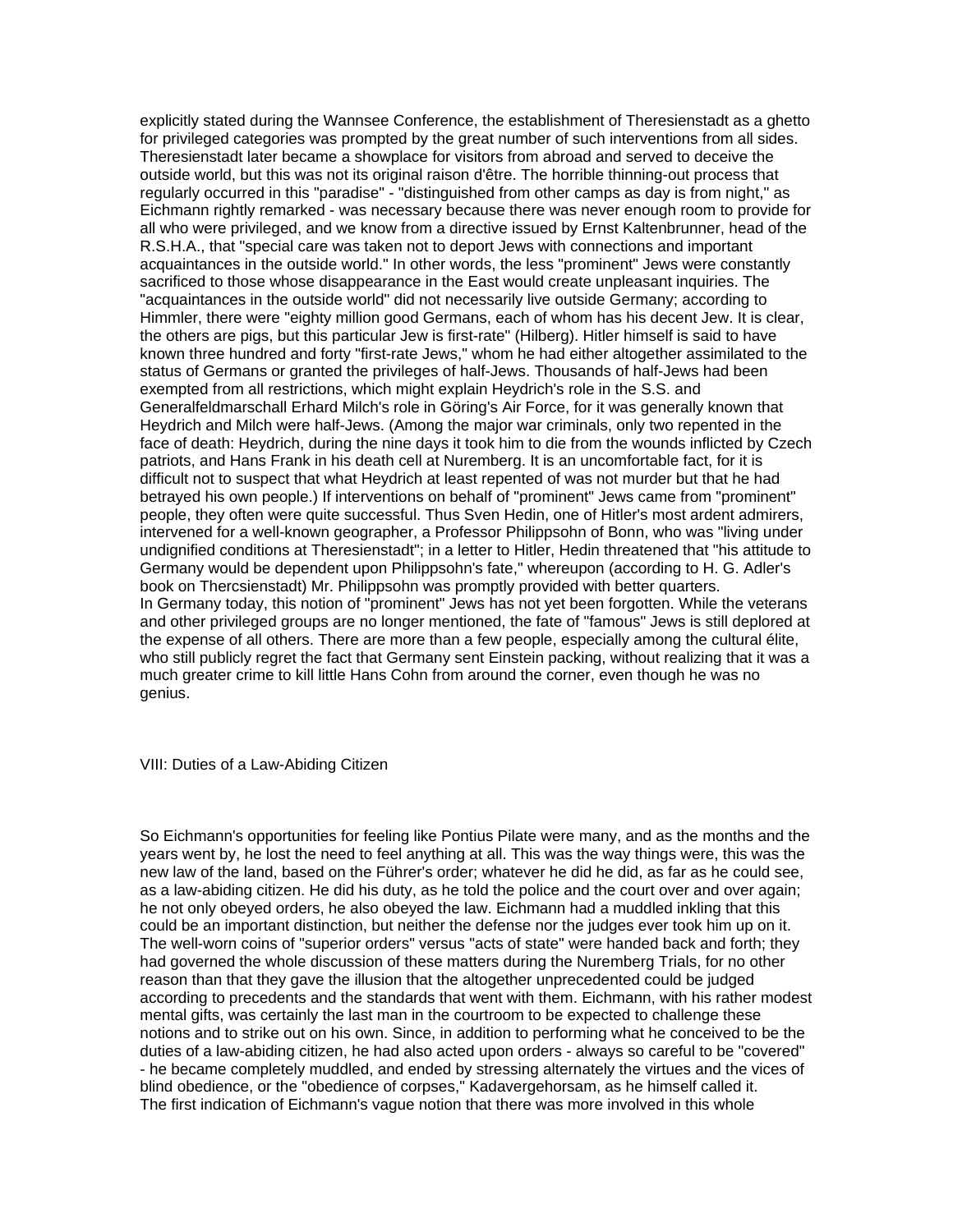explicitly stated during the Wannsee Conference, the establishment of Theresienstadt as a ghetto for privileged categories was prompted by the great number of such interventions from all sides. Theresienstadt later became a showplace for visitors from abroad and served to deceive the outside world, but this was not its original raison d'être. The horrible thinning-out process that regularly occurred in this "paradise" - "distinguished from other camps as day is from night," as Eichmann rightly remarked - was necessary because there was never enough room to provide for all who were privileged, and we know from a directive issued by Ernst Kaltenbrunner, head of the R.S.H.A., that "special care was taken not to deport Jews with connections and important acquaintances in the outside world." In other words, the less "prominent" Jews were constantly sacrificed to those whose disappearance in the East would create unpleasant inquiries. The "acquaintances in the outside world" did not necessarily live outside Germany; according to Himmler, there were "eighty million good Germans, each of whom has his decent Jew. It is clear, the others are pigs, but this particular Jew is first-rate" (Hilberg). Hitler himself is said to have known three hundred and forty "first-rate Jews," whom he had either altogether assimilated to the status of Germans or granted the privileges of half-Jews. Thousands of half-Jews had been exempted from all restrictions, which might explain Heydrich's role in the S.S. and Generalfeldmarschall Erhard Milch's role in Göring's Air Force, for it was generally known that Heydrich and Milch were half-Jews. (Among the major war criminals, only two repented in the face of death: Heydrich, during the nine days it took him to die from the wounds inflicted by Czech patriots, and Hans Frank in his death cell at Nuremberg. It is an uncomfortable fact, for it is difficult not to suspect that what Heydrich at least repented of was not murder but that he had betrayed his own people.) If interventions on behalf of "prominent" Jews came from "prominent" people, they often were quite successful. Thus Sven Hedin, one of Hitler's most ardent admirers, intervened for a well-known geographer, a Professor Philippsohn of Bonn, who was "living under undignified conditions at Theresienstadt"; in a letter to Hitler, Hedin threatened that "his attitude to Germany would be dependent upon Philippsohn's fate," whereupon (according to H. G. Adler's book on Thercsienstadt) Mr. Philippsohn was promptly provided with better quarters. In Germany today, this notion of "prominent" Jews has not yet been forgotten. While the veterans and other privileged groups are no longer mentioned, the fate of "famous" Jews is still deplored at the expense of all others. There are more than a few people, especially among the cultural élite, who still publicly regret the fact that Germany sent Einstein packing, without realizing that it was a much greater crime to kill little Hans Cohn from around the corner, even though he was no genius.

VIII: Duties of a Law-Abiding Citizen

So Eichmann's opportunities for feeling like Pontius Pilate were many, and as the months and the years went by, he lost the need to feel anything at all. This was the way things were, this was the new law of the land, based on the Führer's order; whatever he did he did, as far as he could see, as a law-abiding citizen. He did his duty, as he told the police and the court over and over again; he not only obeyed orders, he also obeyed the law. Eichmann had a muddled inkling that this could be an important distinction, but neither the defense nor the judges ever took him up on it. The well-worn coins of "superior orders" versus "acts of state" were handed back and forth; they had governed the whole discussion of these matters during the Nuremberg Trials, for no other reason than that they gave the illusion that the altogether unprecedented could be judged according to precedents and the standards that went with them. Eichmann, with his rather modest mental gifts, was certainly the last man in the courtroom to be expected to challenge these notions and to strike out on his own. Since, in addition to performing what he conceived to be the duties of a law-abiding citizen, he had also acted upon orders - always so careful to be "covered" - he became completely muddled, and ended by stressing alternately the virtues and the vices of blind obedience, or the "obedience of corpses," Kadavergehorsam, as he himself called it. The first indication of Eichmann's vague notion that there was more involved in this whole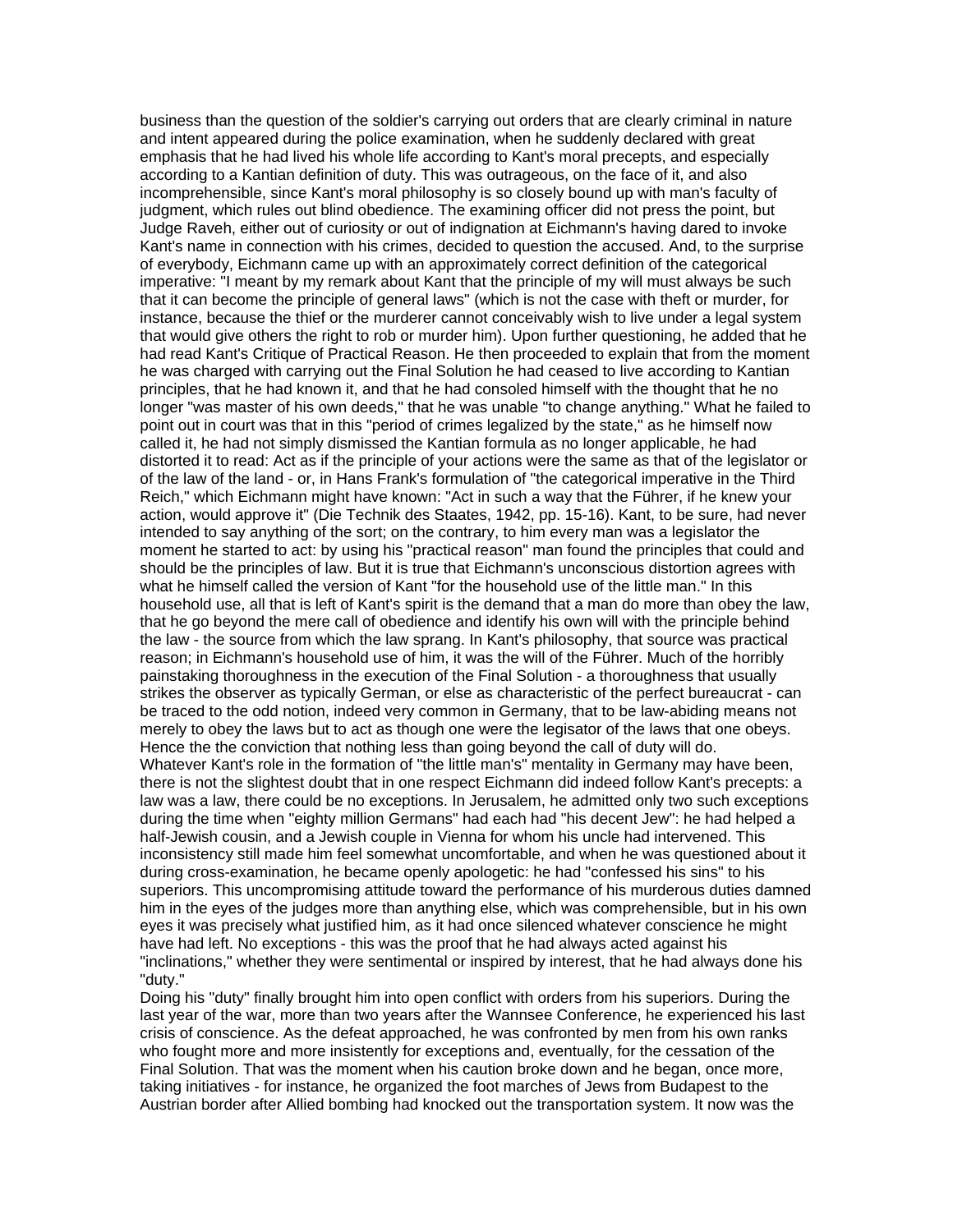business than the question of the soldier's carrying out orders that are clearly criminal in nature and intent appeared during the police examination, when he suddenly declared with great emphasis that he had lived his whole life according to Kant's moral precepts, and especially according to a Kantian definition of duty. This was outrageous, on the face of it, and also incomprehensible, since Kant's moral philosophy is so closely bound up with man's faculty of judgment, which rules out blind obedience. The examining officer did not press the point, but Judge Raveh, either out of curiosity or out of indignation at Eichmann's having dared to invoke Kant's name in connection with his crimes, decided to question the accused. And, to the surprise of everybody, Eichmann came up with an approximately correct definition of the categorical imperative: "I meant by my remark about Kant that the principle of my will must always be such that it can become the principle of general laws" (which is not the case with theft or murder, for instance, because the thief or the murderer cannot conceivably wish to live under a legal system that would give others the right to rob or murder him). Upon further questioning, he added that he had read Kant's Critique of Practical Reason. He then proceeded to explain that from the moment he was charged with carrying out the Final Solution he had ceased to live according to Kantian principles, that he had known it, and that he had consoled himself with the thought that he no longer "was master of his own deeds," that he was unable "to change anything." What he failed to point out in court was that in this "period of crimes legalized by the state," as he himself now called it, he had not simply dismissed the Kantian formula as no longer applicable, he had distorted it to read: Act as if the principle of your actions were the same as that of the legislator or of the law of the land - or, in Hans Frank's formulation of "the categorical imperative in the Third Reich," which Eichmann might have known: "Act in such a way that the Führer, if he knew your action, would approve it" (Die Technik des Staates, 1942, pp. 15-16). Kant, to be sure, had never intended to say anything of the sort; on the contrary, to him every man was a legislator the moment he started to act: by using his "practical reason" man found the principles that could and should be the principles of law. But it is true that Eichmann's unconscious distortion agrees with what he himself called the version of Kant "for the household use of the little man." In this household use, all that is left of Kant's spirit is the demand that a man do more than obey the law. that he go beyond the mere call of obedience and identify his own will with the principle behind the law - the source from which the law sprang. In Kant's philosophy, that source was practical reason; in Eichmann's household use of him, it was the will of the Führer. Much of the horribly painstaking thoroughness in the execution of the Final Solution - a thoroughness that usually strikes the observer as typically German, or else as characteristic of the perfect bureaucrat - can be traced to the odd notion, indeed very common in Germany, that to be law-abiding means not merely to obey the laws but to act as though one were the legisator of the laws that one obeys. Hence the the conviction that nothing less than going beyond the call of duty will do. Whatever Kant's role in the formation of "the little man's" mentality in Germany may have been, there is not the slightest doubt that in one respect Eichmann did indeed follow Kant's precepts: a law was a law, there could be no exceptions. In Jerusalem, he admitted only two such exceptions during the time when "eighty million Germans" had each had "his decent Jew": he had helped a half-Jewish cousin, and a Jewish couple in Vienna for whom his uncle had intervened. This inconsistency still made him feel somewhat uncomfortable, and when he was questioned about it during cross-examination, he became openly apologetic: he had "confessed his sins" to his superiors. This uncompromising attitude toward the performance of his murderous duties damned him in the eyes of the judges more than anything else, which was comprehensible, but in his own eyes it was precisely what justified him, as it had once silenced whatever conscience he might have had left. No exceptions - this was the proof that he had always acted against his "inclinations," whether they were sentimental or inspired by interest, that he had always done his "duty."

Doing his "duty" finally brought him into open conflict with orders from his superiors. During the last year of the war, more than two years after the Wannsee Conference, he experienced his last crisis of conscience. As the defeat approached, he was confronted by men from his own ranks who fought more and more insistently for exceptions and, eventually, for the cessation of the Final Solution. That was the moment when his caution broke down and he began, once more, taking initiatives - for instance, he organized the foot marches of Jews from Budapest to the Austrian border after Allied bombing had knocked out the transportation system. It now was the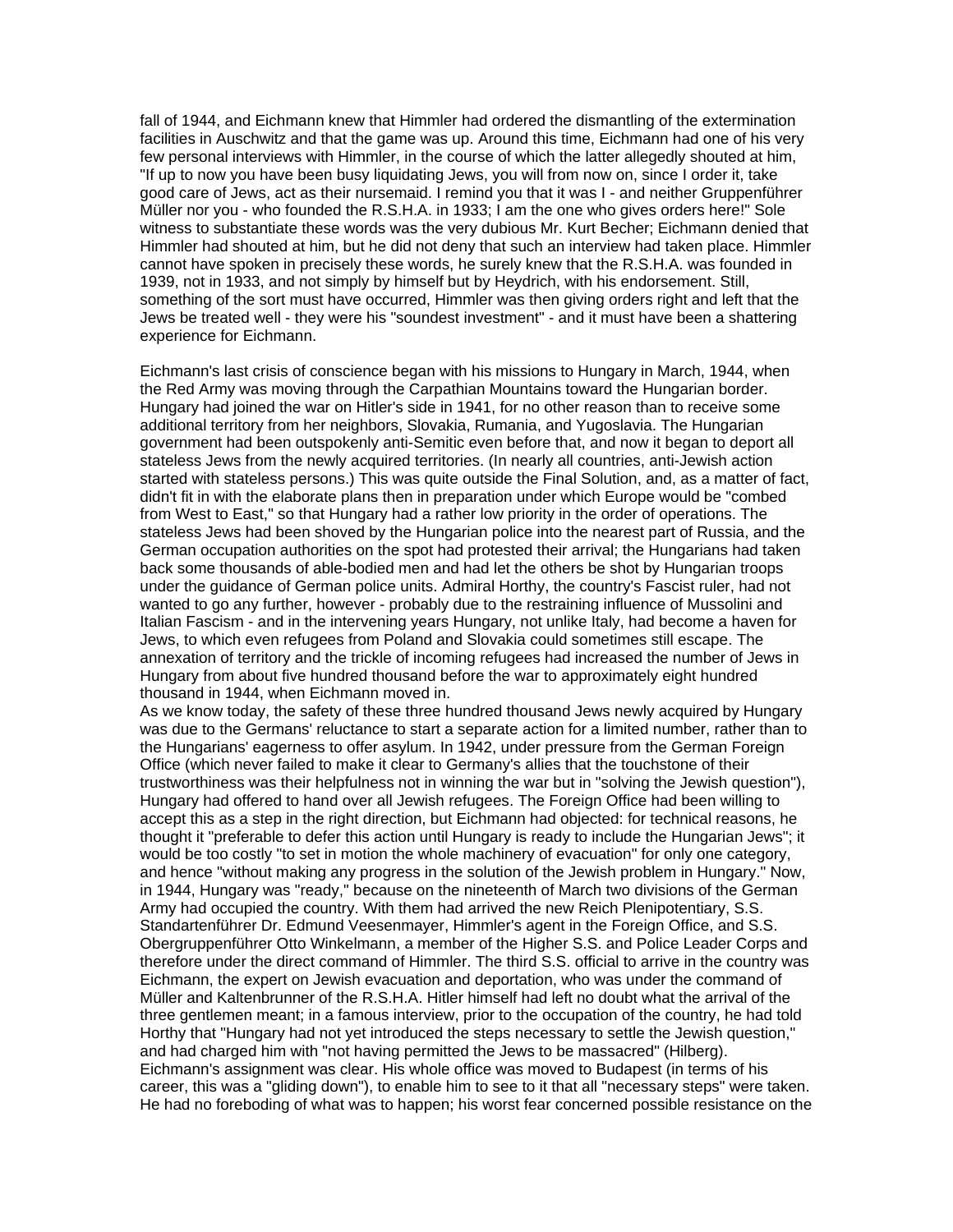fall of 1944, and Eichmann knew that Himmler had ordered the dismantling of the extermination facilities in Auschwitz and that the game was up. Around this time, Eichmann had one of his very few personal interviews with Himmler, in the course of which the latter allegedly shouted at him, "If up to now you have been busy liquidating Jews, you will from now on, since I order it, take good care of Jews, act as their nursemaid. I remind you that it was I - and neither Gruppenführer Müller nor you - who founded the R.S.H.A. in 1933; I am the one who gives orders here!" Sole witness to substantiate these words was the very dubious Mr. Kurt Becher; Eichmann denied that Himmler had shouted at him, but he did not deny that such an interview had taken place. Himmler cannot have spoken in precisely these words, he surely knew that the R.S.H.A. was founded in 1939, not in 1933, and not simply by himself but by Heydrich, with his endorsement. Still, something of the sort must have occurred, Himmler was then giving orders right and left that the Jews be treated well - they were his "soundest investment" - and it must have been a shattering experience for Eichmann.

Eichmann's last crisis of conscience began with his missions to Hungary in March, 1944, when the Red Army was moving through the Carpathian Mountains toward the Hungarian border. Hungary had joined the war on Hitler's side in 1941, for no other reason than to receive some additional territory from her neighbors, Slovakia, Rumania, and Yugoslavia. The Hungarian government had been outspokenly anti-Semitic even before that, and now it began to deport all stateless Jews from the newly acquired territories. (In nearly all countries, anti-Jewish action started with stateless persons.) This was quite outside the Final Solution, and, as a matter of fact, didn't fit in with the elaborate plans then in preparation under which Europe would be "combed from West to East," so that Hungary had a rather low priority in the order of operations. The stateless Jews had been shoved by the Hungarian police into the nearest part of Russia, and the German occupation authorities on the spot had protested their arrival; the Hungarians had taken back some thousands of able-bodied men and had let the others be shot by Hungarian troops under the guidance of German police units. Admiral Horthy, the country's Fascist ruler, had not wanted to go any further, however - probably due to the restraining influence of Mussolini and Italian Fascism - and in the intervening years Hungary, not unlike Italy, had become a haven for Jews, to which even refugees from Poland and Slovakia could sometimes still escape. The annexation of territory and the trickle of incoming refugees had increased the number of Jews in Hungary from about five hundred thousand before the war to approximately eight hundred thousand in 1944, when Eichmann moved in.

As we know today, the safety of these three hundred thousand Jews newly acquired by Hungary was due to the Germans' reluctance to start a separate action for a limited number, rather than to the Hungarians' eagerness to offer asylum. In 1942, under pressure from the German Foreign Office (which never failed to make it clear to Germany's allies that the touchstone of their trustworthiness was their helpfulness not in winning the war but in "solving the Jewish question"), Hungary had offered to hand over all Jewish refugees. The Foreign Office had been willing to accept this as a step in the right direction, but Eichmann had objected: for technical reasons, he thought it "preferable to defer this action until Hungary is ready to include the Hungarian Jews"; it would be too costly "to set in motion the whole machinery of evacuation" for only one category, and hence "without making any progress in the solution of the Jewish problem in Hungary." Now, in 1944, Hungary was "ready," because on the nineteenth of March two divisions of the German Army had occupied the country. With them had arrived the new Reich Plenipotentiary, S.S. Standartenführer Dr. Edmund Veesenmayer, Himmler's agent in the Foreign Office, and S.S. Obergruppenführer Otto Winkelmann, a member of the Higher S.S. and Police Leader Corps and therefore under the direct command of Himmler. The third S.S. official to arrive in the country was Eichmann, the expert on Jewish evacuation and deportation, who was under the command of Müller and Kaltenbrunner of the R.S.H.A. Hitler himself had left no doubt what the arrival of the three gentlemen meant; in a famous interview, prior to the occupation of the country, he had told Horthy that "Hungary had not yet introduced the steps necessary to settle the Jewish question," and had charged him with "not having permitted the Jews to be massacred" (Hilberg). Eichmann's assignment was clear. His whole office was moved to Budapest (in terms of his career, this was a "gliding down"), to enable him to see to it that all "necessary steps" were taken. He had no foreboding of what was to happen; his worst fear concerned possible resistance on the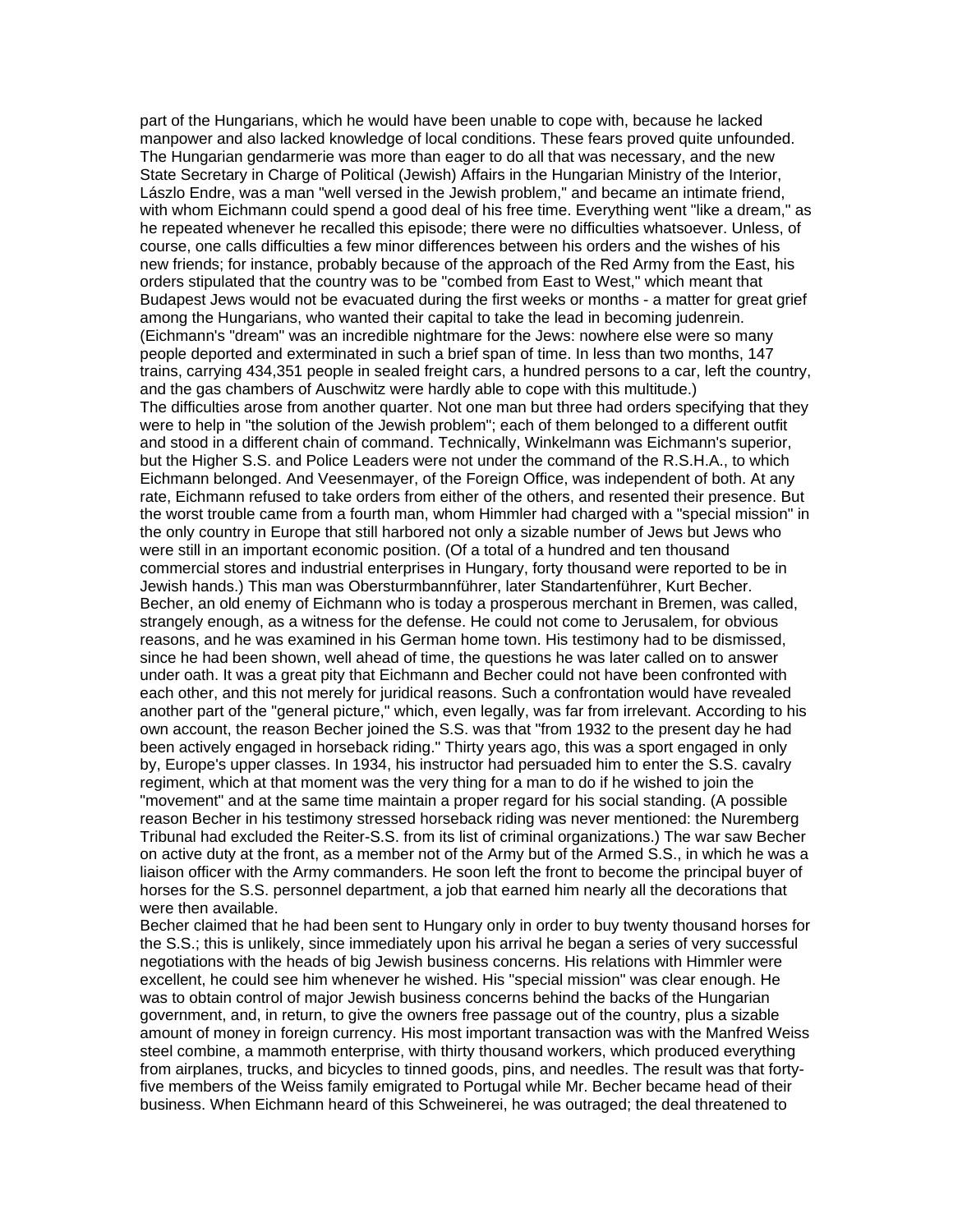part of the Hungarians, which he would have been unable to cope with, because he lacked manpower and also lacked knowledge of local conditions. These fears proved quite unfounded. The Hungarian gendarmerie was more than eager to do all that was necessary, and the new State Secretary in Charge of Political (Jewish) Affairs in the Hungarian Ministry of the Interior, Lászlo Endre, was a man "well versed in the Jewish problem," and became an intimate friend, with whom Eichmann could spend a good deal of his free time. Everything went "like a dream," as he repeated whenever he recalled this episode; there were no difficulties whatsoever. Unless, of course, one calls difficulties a few minor differences between his orders and the wishes of his new friends; for instance, probably because of the approach of the Red Army from the East, his orders stipulated that the country was to be "combed from East to West," which meant that Budapest Jews would not be evacuated during the first weeks or months - a matter for great grief among the Hungarians, who wanted their capital to take the lead in becoming judenrein. (Eichmann's "dream" was an incredible nightmare for the Jews: nowhere else were so many people deported and exterminated in such a brief span of time. In less than two months, 147 trains, carrying 434,351 people in sealed freight cars, a hundred persons to a car, left the country, and the gas chambers of Auschwitz were hardly able to cope with this multitude.) The difficulties arose from another quarter. Not one man but three had orders specifying that they were to help in "the solution of the Jewish problem"; each of them belonged to a different outfit and stood in a different chain of command. Technically, Winkelmann was Eichmann's superior, but the Higher S.S. and Police Leaders were not under the command of the R.S.H.A., to which Eichmann belonged. And Veesenmayer, of the Foreign Office, was independent of both. At any rate, Eichmann refused to take orders from either of the others, and resented their presence. But the worst trouble came from a fourth man, whom Himmler had charged with a "special mission" in the only country in Europe that still harbored not only a sizable number of Jews but Jews who were still in an important economic position. (Of a total of a hundred and ten thousand commercial stores and industrial enterprises in Hungary, forty thousand were reported to be in Jewish hands.) This man was Obersturmbannführer, later Standartenführer, Kurt Becher. Becher, an old enemy of Eichmann who is today a prosperous merchant in Bremen, was called, strangely enough, as a witness for the defense. He could not come to Jerusalem, for obvious reasons, and he was examined in his German home town. His testimony had to be dismissed, since he had been shown, well ahead of time, the questions he was later called on to answer under oath. It was a great pity that Eichmann and Becher could not have been confronted with each other, and this not merely for juridical reasons. Such a confrontation would have revealed another part of the "general picture," which, even legally, was far from irrelevant. According to his own account, the reason Becher joined the S.S. was that "from 1932 to the present day he had been actively engaged in horseback riding." Thirty years ago, this was a sport engaged in only by, Europe's upper classes. In 1934, his instructor had persuaded him to enter the S.S. cavalry regiment, which at that moment was the very thing for a man to do if he wished to join the "movement" and at the same time maintain a proper regard for his social standing. (A possible reason Becher in his testimony stressed horseback riding was never mentioned: the Nuremberg Tribunal had excluded the Reiter-S.S. from its list of criminal organizations.) The war saw Becher on active duty at the front, as a member not of the Army but of the Armed S.S., in which he was a liaison officer with the Army commanders. He soon left the front to become the principal buyer of horses for the S.S. personnel department, a job that earned him nearly all the decorations that were then available.

Becher claimed that he had been sent to Hungary only in order to buy twenty thousand horses for the S.S.; this is unlikely, since immediately upon his arrival he began a series of very successful negotiations with the heads of big Jewish business concerns. His relations with Himmler were excellent, he could see him whenever he wished. His "special mission" was clear enough. He was to obtain control of major Jewish business concerns behind the backs of the Hungarian government, and, in return, to give the owners free passage out of the country, plus a sizable amount of money in foreign currency. His most important transaction was with the Manfred Weiss steel combine, a mammoth enterprise, with thirty thousand workers, which produced everything from airplanes, trucks, and bicycles to tinned goods, pins, and needles. The result was that fortyfive members of the Weiss family emigrated to Portugal while Mr. Becher became head of their business. When Eichmann heard of this Schweinerei, he was outraged; the deal threatened to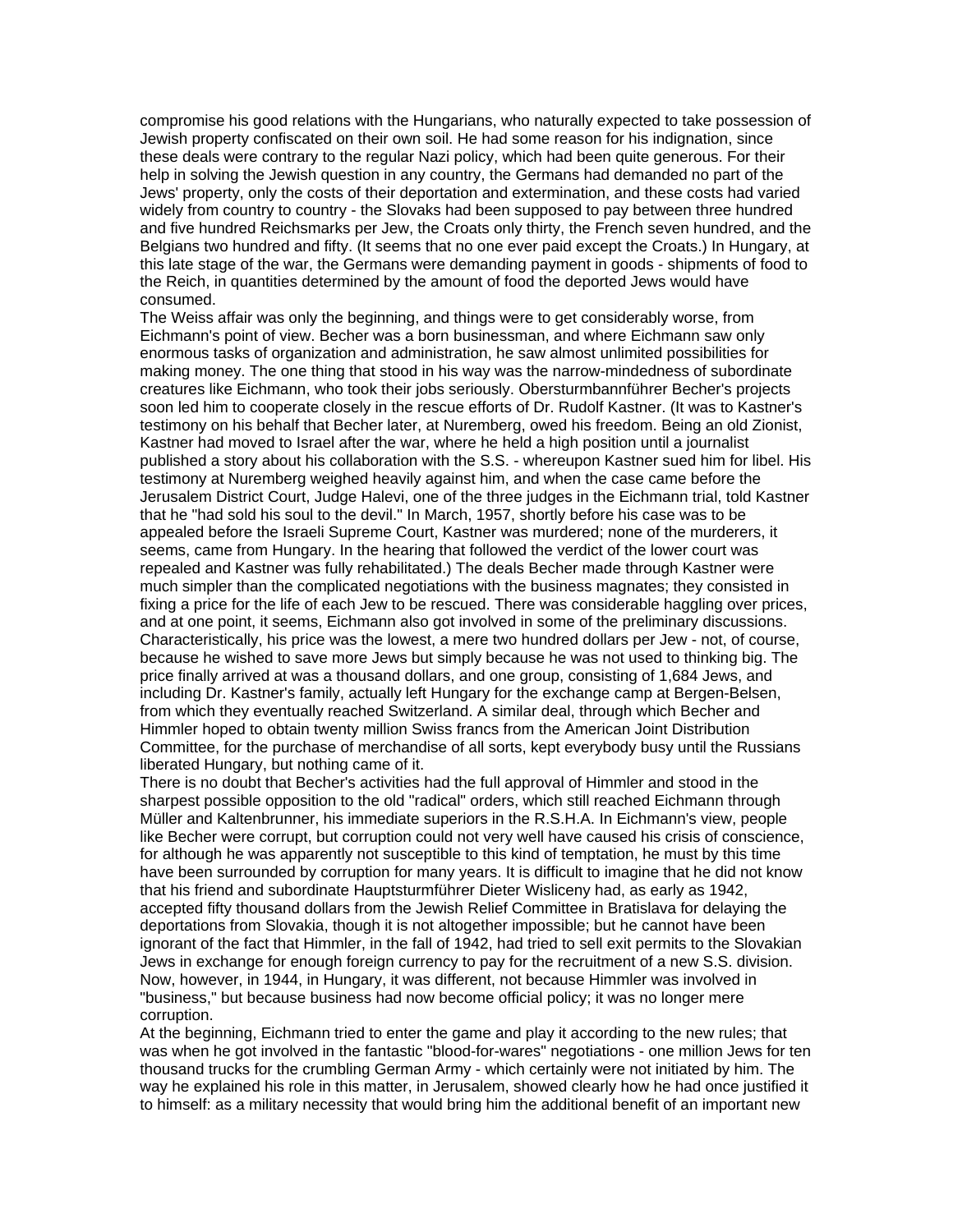compromise his good relations with the Hungarians, who naturally expected to take possession of Jewish property confiscated on their own soil. He had some reason for his indignation, since these deals were contrary to the regular Nazi policy, which had been quite generous. For their help in solving the Jewish question in any country, the Germans had demanded no part of the Jews' property, only the costs of their deportation and extermination, and these costs had varied widely from country to country - the Slovaks had been supposed to pay between three hundred and five hundred Reichsmarks per Jew, the Croats only thirty, the French seven hundred, and the Belgians two hundred and fifty. (It seems that no one ever paid except the Croats.) In Hungary, at this late stage of the war, the Germans were demanding payment in goods - shipments of food to the Reich, in quantities determined by the amount of food the deported Jews would have consumed.

The Weiss affair was only the beginning, and things were to get considerably worse, from Eichmann's point of view. Becher was a born businessman, and where Eichmann saw only enormous tasks of organization and administration, he saw almost unlimited possibilities for making money. The one thing that stood in his way was the narrow-mindedness of subordinate creatures like Eichmann, who took their jobs seriously. Obersturmbannführer Becher's projects soon led him to cooperate closely in the rescue efforts of Dr. Rudolf Kastner. (It was to Kastner's testimony on his behalf that Becher later, at Nuremberg, owed his freedom. Being an old Zionist, Kastner had moved to Israel after the war, where he held a high position until a journalist published a story about his collaboration with the S.S. - whereupon Kastner sued him for libel. His testimony at Nuremberg weighed heavily against him, and when the case came before the Jerusalem District Court, Judge Halevi, one of the three judges in the Eichmann trial, told Kastner that he "had sold his soul to the devil." In March, 1957, shortly before his case was to be appealed before the Israeli Supreme Court, Kastner was murdered; none of the murderers, it seems, came from Hungary. In the hearing that followed the verdict of the lower court was repealed and Kastner was fully rehabilitated.) The deals Becher made through Kastner were much simpler than the complicated negotiations with the business magnates; they consisted in fixing a price for the life of each Jew to be rescued. There was considerable haggling over prices, and at one point, it seems, Eichmann also got involved in some of the preliminary discussions. Characteristically, his price was the lowest, a mere two hundred dollars per Jew - not, of course, because he wished to save more Jews but simply because he was not used to thinking big. The price finally arrived at was a thousand dollars, and one group, consisting of 1,684 Jews, and including Dr. Kastner's family, actually left Hungary for the exchange camp at Bergen-Belsen, from which they eventually reached Switzerland. A similar deal, through which Becher and Himmler hoped to obtain twenty million Swiss francs from the American Joint Distribution Committee, for the purchase of merchandise of all sorts, kept everybody busy until the Russians liberated Hungary, but nothing came of it.

There is no doubt that Becher's activities had the full approval of Himmler and stood in the sharpest possible opposition to the old "radical" orders, which still reached Eichmann through Müller and Kaltenbrunner, his immediate superiors in the R.S.H.A. In Eichmann's view, people like Becher were corrupt, but corruption could not very well have caused his crisis of conscience, for although he was apparently not susceptible to this kind of temptation, he must by this time have been surrounded by corruption for many years. It is difficult to imagine that he did not know that his friend and subordinate Hauptsturmführer Dieter Wisliceny had, as early as 1942, accepted fifty thousand dollars from the Jewish Relief Committee in Bratislava for delaying the deportations from Slovakia, though it is not altogether impossible; but he cannot have been ignorant of the fact that Himmler, in the fall of 1942, had tried to sell exit permits to the Slovakian Jews in exchange for enough foreign currency to pay for the recruitment of a new S.S. division. Now, however, in 1944, in Hungary, it was different, not because Himmler was involved in "business," but because business had now become official policy; it was no longer mere corruption.

At the beginning, Eichmann tried to enter the game and play it according to the new rules; that was when he got involved in the fantastic "blood-for-wares" negotiations - one million Jews for ten thousand trucks for the crumbling German Army - which certainly were not initiated by him. The way he explained his role in this matter, in Jerusalem, showed clearly how he had once justified it to himself: as a military necessity that would bring him the additional benefit of an important new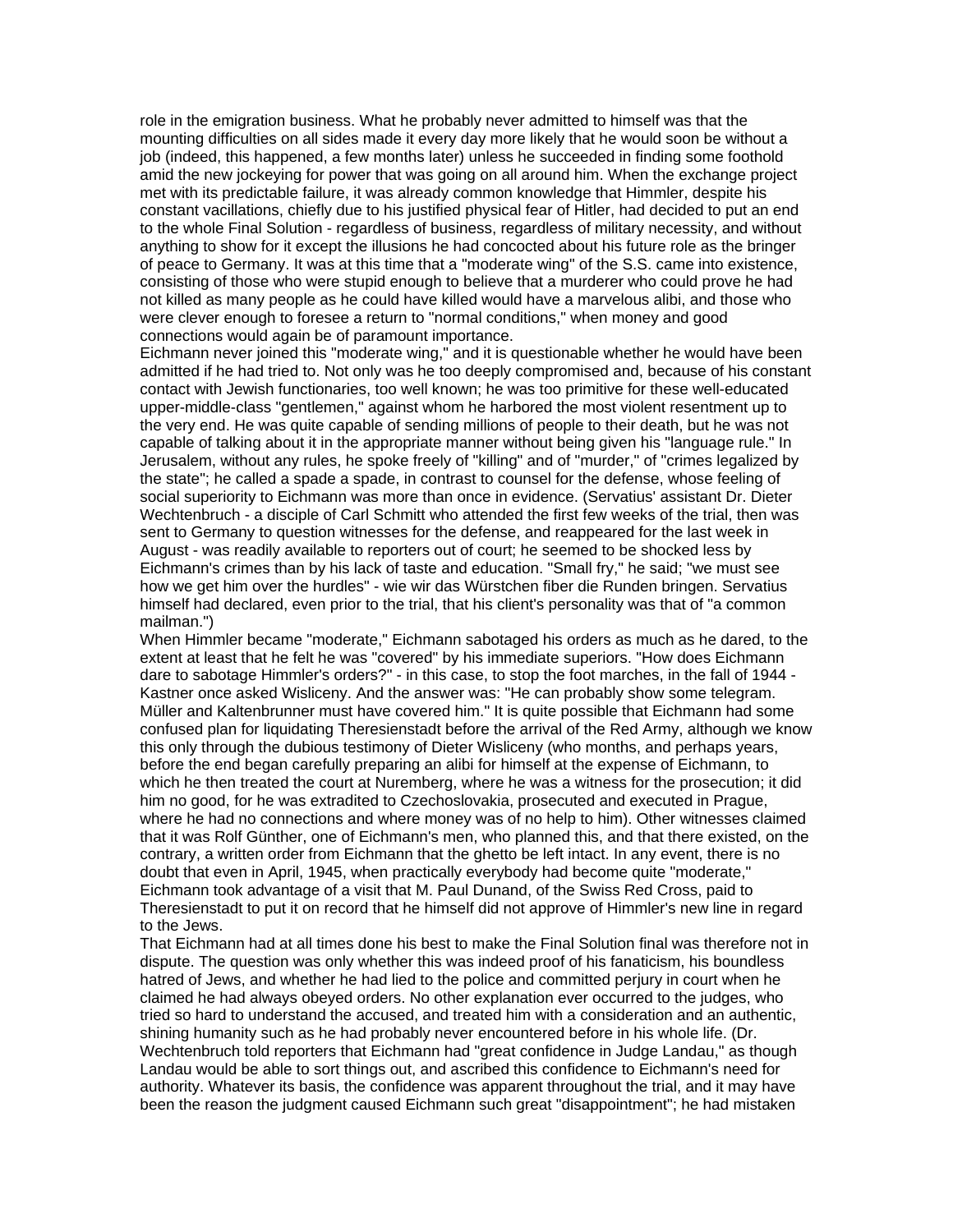role in the emigration business. What he probably never admitted to himself was that the mounting difficulties on all sides made it every day more likely that he would soon be without a job (indeed, this happened, a few months later) unless he succeeded in finding some foothold amid the new jockeying for power that was going on all around him. When the exchange project met with its predictable failure, it was already common knowledge that Himmler, despite his constant vacillations, chiefly due to his justified physical fear of Hitler, had decided to put an end to the whole Final Solution - regardless of business, regardless of military necessity, and without anything to show for it except the illusions he had concocted about his future role as the bringer of peace to Germany. It was at this time that a "moderate wing" of the S.S. came into existence, consisting of those who were stupid enough to believe that a murderer who could prove he had not killed as many people as he could have killed would have a marvelous alibi, and those who were clever enough to foresee a return to "normal conditions," when money and good connections would again be of paramount importance.

Eichmann never joined this "moderate wing," and it is questionable whether he would have been admitted if he had tried to. Not only was he too deeply compromised and, because of his constant contact with Jewish functionaries, too well known; he was too primitive for these well-educated upper-middle-class "gentlemen," against whom he harbored the most violent resentment up to the very end. He was quite capable of sending millions of people to their death, but he was not capable of talking about it in the appropriate manner without being given his "language rule." In Jerusalem, without any rules, he spoke freely of "killing" and of "murder," of "crimes legalized by the state"; he called a spade a spade, in contrast to counsel for the defense, whose feeling of social superiority to Eichmann was more than once in evidence. (Servatius' assistant Dr. Dieter Wechtenbruch - a disciple of Carl Schmitt who attended the first few weeks of the trial, then was sent to Germany to question witnesses for the defense, and reappeared for the last week in August - was readily available to reporters out of court; he seemed to be shocked less by Eichmann's crimes than by his lack of taste and education. "Small fry," he said; "we must see how we get him over the hurdles" - wie wir das Würstchen fiber die Runden bringen. Servatius himself had declared, even prior to the trial, that his client's personality was that of "a common mailman.")

When Himmler became "moderate," Eichmann sabotaged his orders as much as he dared, to the extent at least that he felt he was "covered" by his immediate superiors. "How does Eichmann dare to sabotage Himmler's orders?" - in this case, to stop the foot marches, in the fall of 1944 - Kastner once asked Wisliceny. And the answer was: "He can probably show some telegram. Müller and Kaltenbrunner must have covered him." It is quite possible that Eichmann had some confused plan for liquidating Theresienstadt before the arrival of the Red Army, although we know this only through the dubious testimony of Dieter Wisliceny (who months, and perhaps years, before the end began carefully preparing an alibi for himself at the expense of Eichmann, to which he then treated the court at Nuremberg, where he was a witness for the prosecution; it did him no good, for he was extradited to Czechoslovakia, prosecuted and executed in Prague, where he had no connections and where money was of no help to him). Other witnesses claimed that it was Rolf Günther, one of Eichmann's men, who planned this, and that there existed, on the contrary, a written order from Eichmann that the ghetto be left intact. In any event, there is no doubt that even in April, 1945, when practically everybody had become quite "moderate," Eichmann took advantage of a visit that M. Paul Dunand, of the Swiss Red Cross, paid to Theresienstadt to put it on record that he himself did not approve of Himmler's new line in regard to the Jews.

That Eichmann had at all times done his best to make the Final Solution final was therefore not in dispute. The question was only whether this was indeed proof of his fanaticism, his boundless hatred of Jews, and whether he had lied to the police and committed perjury in court when he claimed he had always obeyed orders. No other explanation ever occurred to the judges, who tried so hard to understand the accused, and treated him with a consideration and an authentic, shining humanity such as he had probably never encountered before in his whole life. (Dr. Wechtenbruch told reporters that Eichmann had "great confidence in Judge Landau," as though Landau would be able to sort things out, and ascribed this confidence to Eichmann's need for authority. Whatever its basis, the confidence was apparent throughout the trial, and it may have been the reason the judgment caused Eichmann such great "disappointment"; he had mistaken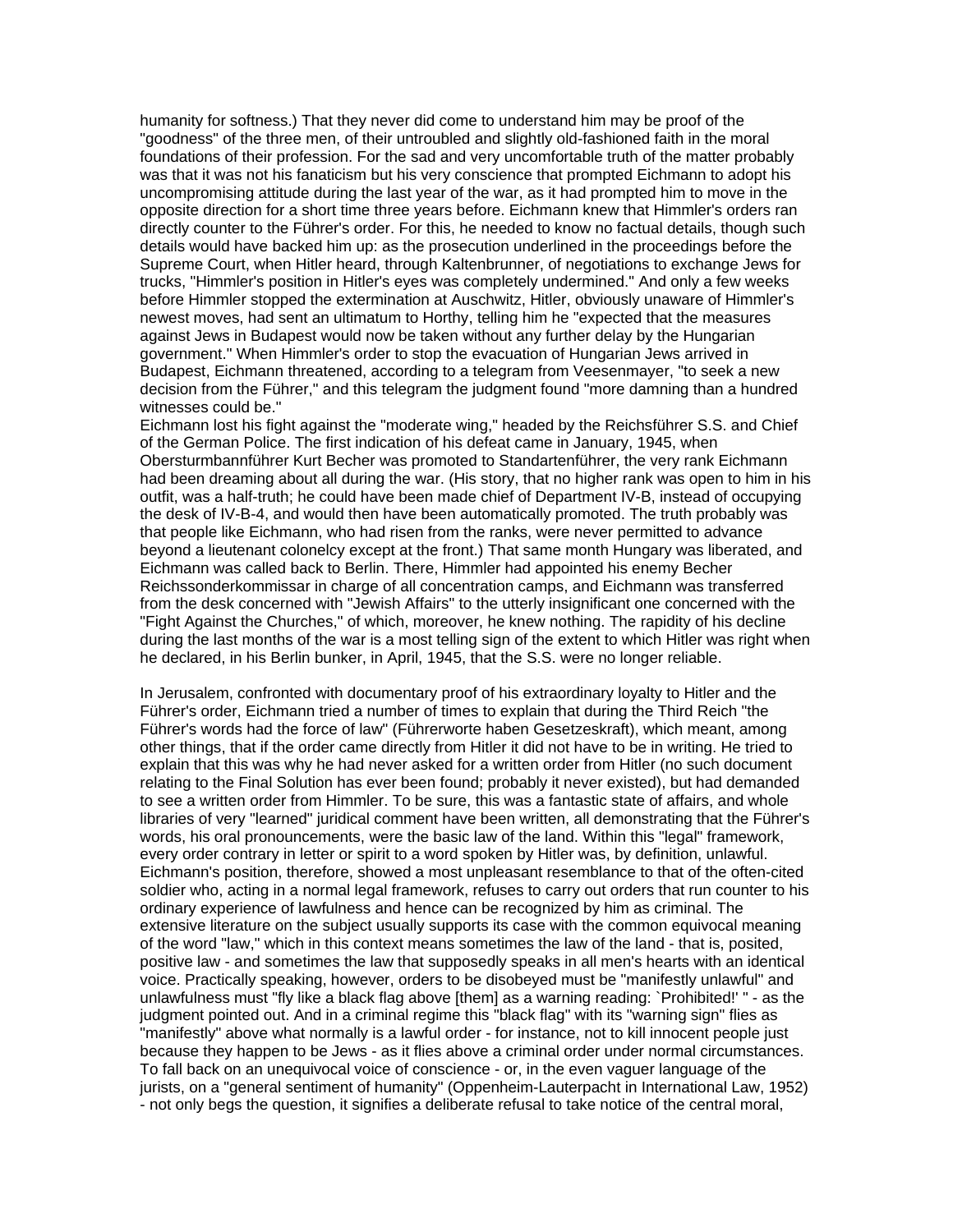humanity for softness.) That they never did come to understand him may be proof of the "goodness" of the three men, of their untroubled and slightly old-fashioned faith in the moral foundations of their profession. For the sad and very uncomfortable truth of the matter probably was that it was not his fanaticism but his very conscience that prompted Eichmann to adopt his uncompromising attitude during the last year of the war, as it had prompted him to move in the opposite direction for a short time three years before. Eichmann knew that Himmler's orders ran directly counter to the Führer's order. For this, he needed to know no factual details, though such details would have backed him up: as the prosecution underlined in the proceedings before the Supreme Court, when Hitler heard, through Kaltenbrunner, of negotiations to exchange Jews for trucks, "Himmler's position in Hitler's eyes was completely undermined." And only a few weeks before Himmler stopped the extermination at Auschwitz, Hitler, obviously unaware of Himmler's newest moves, had sent an ultimatum to Horthy, telling him he "expected that the measures against Jews in Budapest would now be taken without any further delay by the Hungarian government." When Himmler's order to stop the evacuation of Hungarian Jews arrived in Budapest, Eichmann threatened, according to a telegram from Veesenmayer, "to seek a new decision from the Führer," and this telegram the judgment found "more damning than a hundred witnesses could be."

Eichmann lost his fight against the "moderate wing," headed by the Reichsführer S.S. and Chief of the German Police. The first indication of his defeat came in January, 1945, when Obersturmbannführer Kurt Becher was promoted to Standartenführer, the very rank Eichmann had been dreaming about all during the war. (His story, that no higher rank was open to him in his outfit, was a half-truth; he could have been made chief of Department IV-B, instead of occupying the desk of IV-B-4, and would then have been automatically promoted. The truth probably was that people like Eichmann, who had risen from the ranks, were never permitted to advance beyond a lieutenant colonelcy except at the front.) That same month Hungary was liberated, and Eichmann was called back to Berlin. There, Himmler had appointed his enemy Becher Reichssonderkommissar in charge of all concentration camps, and Eichmann was transferred from the desk concerned with "Jewish Affairs" to the utterly insignificant one concerned with the "Fight Against the Churches," of which, moreover, he knew nothing. The rapidity of his decline during the last months of the war is a most telling sign of the extent to which Hitler was right when he declared, in his Berlin bunker, in April, 1945, that the S.S. were no longer reliable.

In Jerusalem, confronted with documentary proof of his extraordinary loyalty to Hitler and the Führer's order, Eichmann tried a number of times to explain that during the Third Reich "the Führer's words had the force of law" (Führerworte haben Gesetzeskraft), which meant, among other things, that if the order came directly from Hitler it did not have to be in writing. He tried to explain that this was why he had never asked for a written order from Hitler (no such document relating to the Final Solution has ever been found; probably it never existed), but had demanded to see a written order from Himmler. To be sure, this was a fantastic state of affairs, and whole libraries of very "learned" juridical comment have been written, all demonstrating that the Führer's words, his oral pronouncements, were the basic law of the land. Within this "legal" framework, every order contrary in letter or spirit to a word spoken by Hitler was, by definition, unlawful. Eichmann's position, therefore, showed a most unpleasant resemblance to that of the often-cited soldier who, acting in a normal legal framework, refuses to carry out orders that run counter to his ordinary experience of lawfulness and hence can be recognized by him as criminal. The extensive literature on the subject usually supports its case with the common equivocal meaning of the word "law," which in this context means sometimes the law of the land - that is, posited, positive law - and sometimes the law that supposedly speaks in all men's hearts with an identical voice. Practically speaking, however, orders to be disobeyed must be "manifestly unlawful" and unlawfulness must "fly like a black flag above [them] as a warning reading: `Prohibited!' " - as the judgment pointed out. And in a criminal regime this "black flag" with its "warning sign" flies as "manifestly" above what normally is a lawful order - for instance, not to kill innocent people just because they happen to be Jews - as it flies above a criminal order under normal circumstances. To fall back on an unequivocal voice of conscience - or, in the even vaguer language of the jurists, on a "general sentiment of humanity" (Oppenheim-Lauterpacht in International Law, 1952) - not only begs the question, it signifies a deliberate refusal to take notice of the central moral,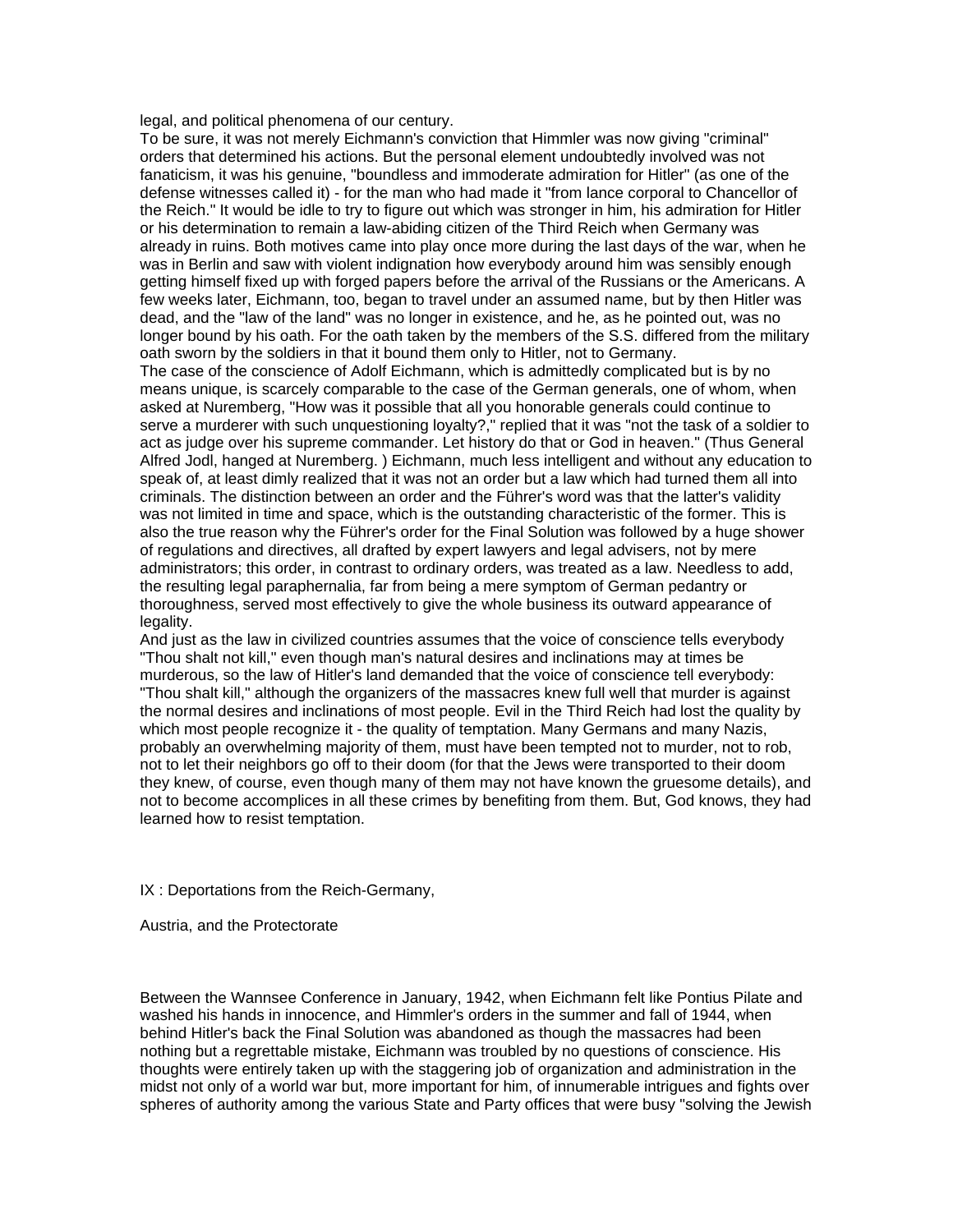legal, and political phenomena of our century.

To be sure, it was not merely Eichmann's conviction that Himmler was now giving "criminal" orders that determined his actions. But the personal element undoubtedly involved was not fanaticism, it was his genuine, "boundless and immoderate admiration for Hitler" (as one of the defense witnesses called it) - for the man who had made it "from lance corporal to Chancellor of the Reich." It would be idle to try to figure out which was stronger in him, his admiration for Hitler or his determination to remain a law-abiding citizen of the Third Reich when Germany was already in ruins. Both motives came into play once more during the last days of the war, when he was in Berlin and saw with violent indignation how everybody around him was sensibly enough getting himself fixed up with forged papers before the arrival of the Russians or the Americans. A few weeks later, Eichmann, too, began to travel under an assumed name, but by then Hitler was dead, and the "law of the land" was no longer in existence, and he, as he pointed out, was no longer bound by his oath. For the oath taken by the members of the S.S. differed from the military oath sworn by the soldiers in that it bound them only to Hitler, not to Germany. The case of the conscience of Adolf Eichmann, which is admittedly complicated but is by no means unique, is scarcely comparable to the case of the German generals, one of whom, when asked at Nuremberg, "How was it possible that all you honorable generals could continue to serve a murderer with such unquestioning loyalty?," replied that it was "not the task of a soldier to act as judge over his supreme commander. Let history do that or God in heaven." (Thus General Alfred Jodl, hanged at Nuremberg. ) Eichmann, much less intelligent and without any education to speak of, at least dimly realized that it was not an order but a law which had turned them all into criminals. The distinction between an order and the Führer's word was that the latter's validity was not limited in time and space, which is the outstanding characteristic of the former. This is also the true reason why the Führer's order for the Final Solution was followed by a huge shower of regulations and directives, all drafted by expert lawyers and legal advisers, not by mere administrators; this order, in contrast to ordinary orders, was treated as a law. Needless to add, the resulting legal paraphernalia, far from being a mere symptom of German pedantry or thoroughness, served most effectively to give the whole business its outward appearance of

legality. And just as the law in civilized countries assumes that the voice of conscience tells everybody "Thou shalt not kill," even though man's natural desires and inclinations may at times be murderous, so the law of Hitler's land demanded that the voice of conscience tell everybody: "Thou shalt kill," although the organizers of the massacres knew full well that murder is against the normal desires and inclinations of most people. Evil in the Third Reich had lost the quality by which most people recognize it - the quality of temptation. Many Germans and many Nazis, probably an overwhelming majority of them, must have been tempted not to murder, not to rob, not to let their neighbors go off to their doom (for that the Jews were transported to their doom they knew, of course, even though many of them may not have known the gruesome details), and not to become accomplices in all these crimes by benefiting from them. But, God knows, they had learned how to resist temptation.

## IX : Deportations from the Reich-Germany,

Austria, and the Protectorate

Between the Wannsee Conference in January, 1942, when Eichmann felt like Pontius Pilate and washed his hands in innocence, and Himmler's orders in the summer and fall of 1944, when behind Hitler's back the Final Solution was abandoned as though the massacres had been nothing but a regrettable mistake, Eichmann was troubled by no questions of conscience. His thoughts were entirely taken up with the staggering job of organization and administration in the midst not only of a world war but, more important for him, of innumerable intrigues and fights over spheres of authority among the various State and Party offices that were busy "solving the Jewish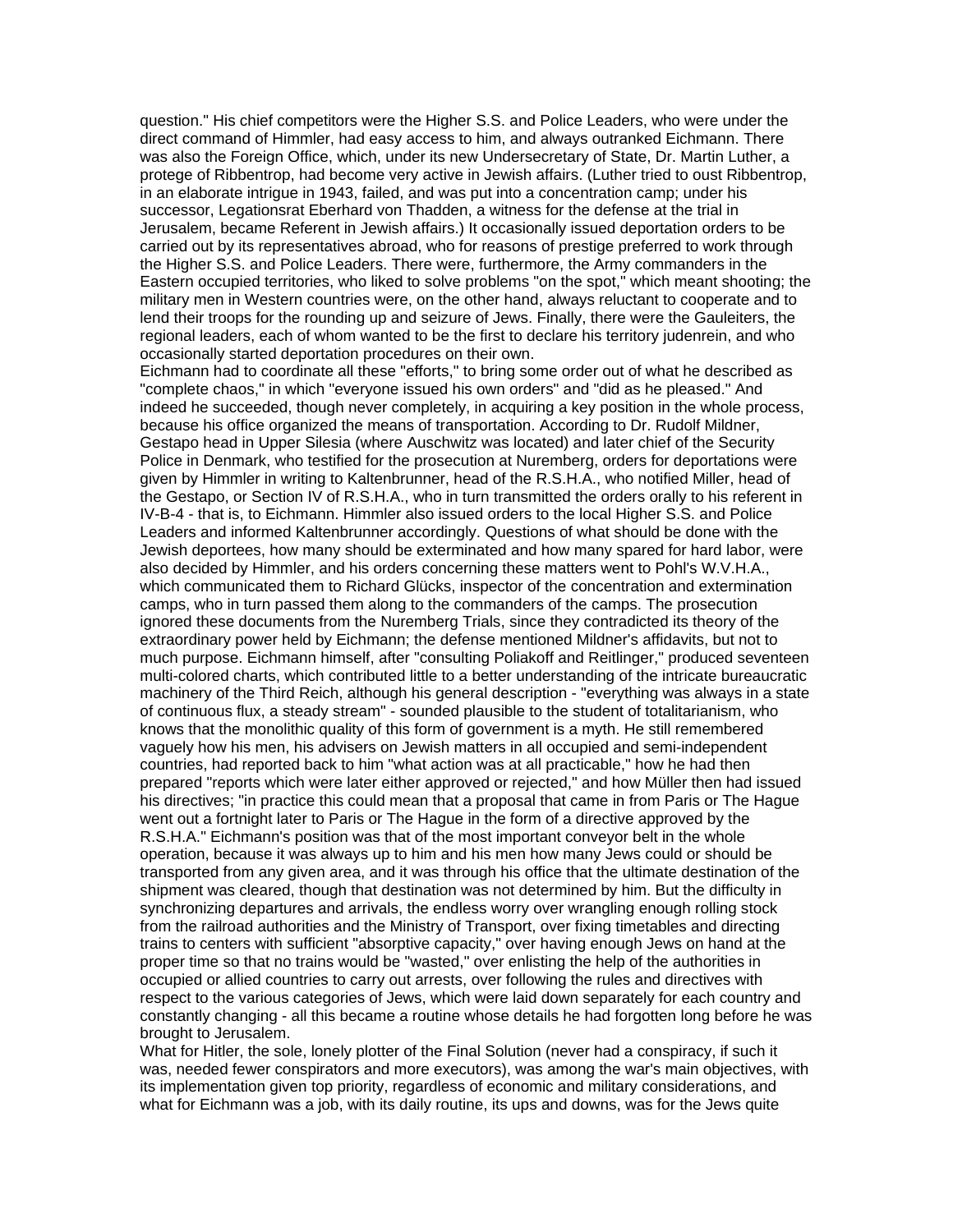question." His chief competitors were the Higher S.S. and Police Leaders, who were under the direct command of Himmler, had easy access to him, and always outranked Eichmann. There was also the Foreign Office, which, under its new Undersecretary of State, Dr. Martin Luther, a protege of Ribbentrop, had become very active in Jewish affairs. (Luther tried to oust Ribbentrop, in an elaborate intrigue in 1943, failed, and was put into a concentration camp; under his successor, Legationsrat Eberhard von Thadden, a witness for the defense at the trial in Jerusalem, became Referent in Jewish affairs.) It occasionally issued deportation orders to be carried out by its representatives abroad, who for reasons of prestige preferred to work through the Higher S.S. and Police Leaders. There were, furthermore, the Army commanders in the Eastern occupied territories, who liked to solve problems "on the spot," which meant shooting; the military men in Western countries were, on the other hand, always reluctant to cooperate and to lend their troops for the rounding up and seizure of Jews. Finally, there were the Gauleiters, the regional leaders, each of whom wanted to be the first to declare his territory judenrein, and who occasionally started deportation procedures on their own.

Eichmann had to coordinate all these "efforts," to bring some order out of what he described as "complete chaos," in which "everyone issued his own orders" and "did as he pleased." And indeed he succeeded, though never completely, in acquiring a key position in the whole process, because his office organized the means of transportation. According to Dr. Rudolf Mildner, Gestapo head in Upper Silesia (where Auschwitz was located) and later chief of the Security Police in Denmark, who testified for the prosecution at Nuremberg, orders for deportations were given by Himmler in writing to Kaltenbrunner, head of the R.S.H.A., who notified Miller, head of the Gestapo, or Section IV of R.S.H.A., who in turn transmitted the orders orally to his referent in IV-B-4 - that is, to Eichmann. Himmler also issued orders to the local Higher S.S. and Police Leaders and informed Kaltenbrunner accordingly. Questions of what should be done with the Jewish deportees, how many should be exterminated and how many spared for hard labor, were also decided by Himmler, and his orders concerning these matters went to Pohl's W.V.H.A., which communicated them to Richard Glücks, inspector of the concentration and extermination camps, who in turn passed them along to the commanders of the camps. The prosecution ignored these documents from the Nuremberg Trials, since they contradicted its theory of the extraordinary power held by Eichmann; the defense mentioned Mildner's affidavits, but not to much purpose. Eichmann himself, after "consulting Poliakoff and Reitlinger," produced seventeen multi-colored charts, which contributed little to a better understanding of the intricate bureaucratic machinery of the Third Reich, although his general description - "everything was always in a state of continuous flux, a steady stream" - sounded plausible to the student of totalitarianism, who knows that the monolithic quality of this form of government is a myth. He still remembered vaguely how his men, his advisers on Jewish matters in all occupied and semi-independent countries, had reported back to him "what action was at all practicable," how he had then prepared "reports which were later either approved or rejected," and how Müller then had issued his directives; "in practice this could mean that a proposal that came in from Paris or The Hague went out a fortnight later to Paris or The Hague in the form of a directive approved by the R.S.H.A." Eichmann's position was that of the most important conveyor belt in the whole operation, because it was always up to him and his men how many Jews could or should be transported from any given area, and it was through his office that the ultimate destination of the shipment was cleared, though that destination was not determined by him. But the difficulty in synchronizing departures and arrivals, the endless worry over wrangling enough rolling stock from the railroad authorities and the Ministry of Transport, over fixing timetables and directing trains to centers with sufficient "absorptive capacity," over having enough Jews on hand at the proper time so that no trains would be "wasted," over enlisting the help of the authorities in occupied or allied countries to carry out arrests, over following the rules and directives with respect to the various categories of Jews, which were laid down separately for each country and constantly changing - all this became a routine whose details he had forgotten long before he was brought to Jerusalem.

What for Hitler, the sole, lonely plotter of the Final Solution (never had a conspiracy, if such it was, needed fewer conspirators and more executors), was among the war's main objectives, with its implementation given top priority, regardless of economic and military considerations, and what for Eichmann was a job, with its daily routine, its ups and downs, was for the Jews quite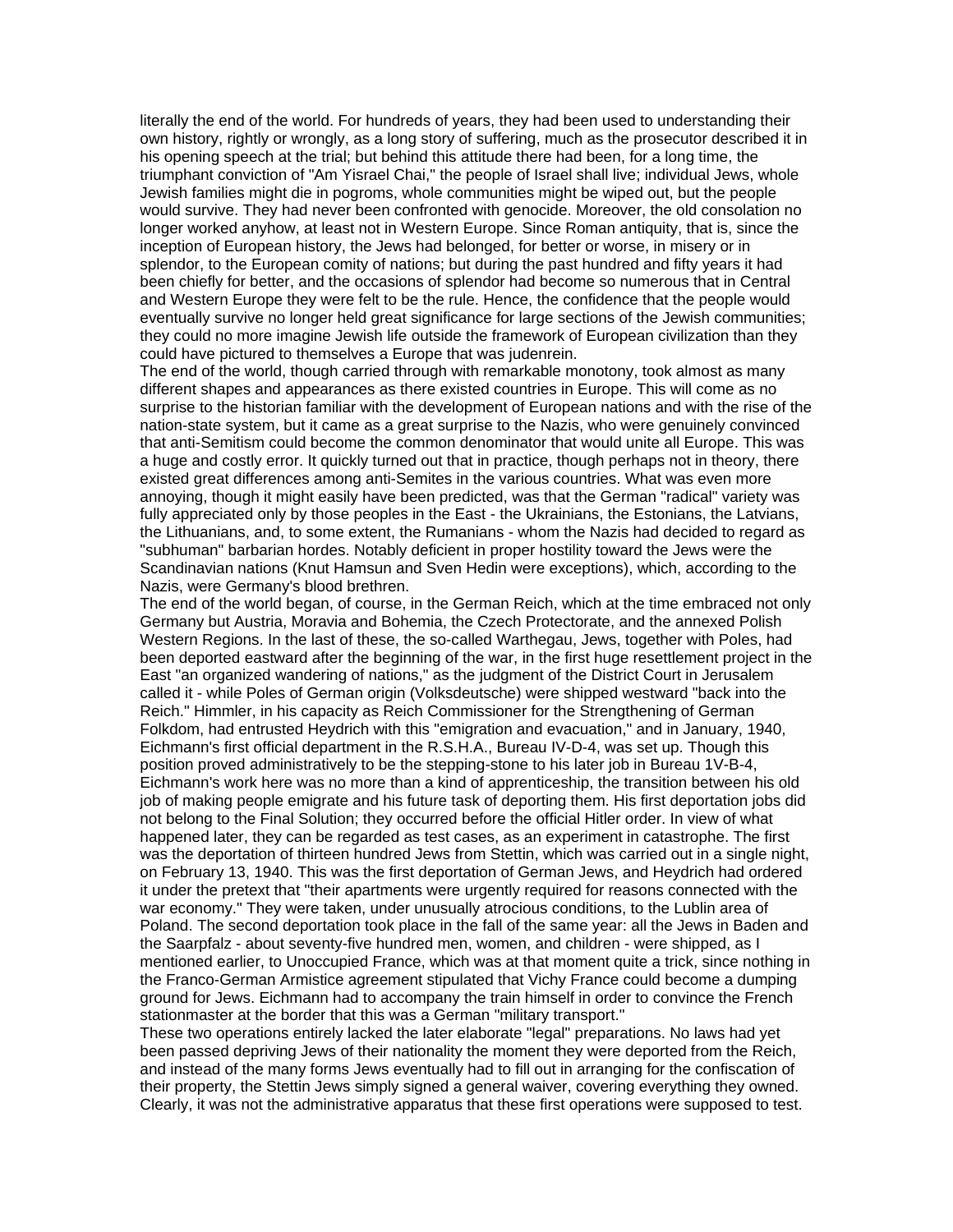literally the end of the world. For hundreds of years, they had been used to understanding their own history, rightly or wrongly, as a long story of suffering, much as the prosecutor described it in his opening speech at the trial; but behind this attitude there had been, for a long time, the triumphant conviction of "Am Yisrael Chai," the people of Israel shall live; individual Jews, whole Jewish families might die in pogroms, whole communities might be wiped out, but the people would survive. They had never been confronted with genocide. Moreover, the old consolation no longer worked anyhow, at least not in Western Europe. Since Roman antiquity, that is, since the inception of European history, the Jews had belonged, for better or worse, in misery or in splendor, to the European comity of nations; but during the past hundred and fifty years it had been chiefly for better, and the occasions of splendor had become so numerous that in Central and Western Europe they were felt to be the rule. Hence, the confidence that the people would eventually survive no longer held great significance for large sections of the Jewish communities; they could no more imagine Jewish life outside the framework of European civilization than they could have pictured to themselves a Europe that was judenrein.

The end of the world, though carried through with remarkable monotony, took almost as many different shapes and appearances as there existed countries in Europe. This will come as no surprise to the historian familiar with the development of European nations and with the rise of the nation-state system, but it came as a great surprise to the Nazis, who were genuinely convinced that anti-Semitism could become the common denominator that would unite all Europe. This was a huge and costly error. It quickly turned out that in practice, though perhaps not in theory, there existed great differences among anti-Semites in the various countries. What was even more annoying, though it might easily have been predicted, was that the German "radical" variety was fully appreciated only by those peoples in the East - the Ukrainians, the Estonians, the Latvians, the Lithuanians, and, to some extent, the Rumanians - whom the Nazis had decided to regard as "subhuman" barbarian hordes. Notably deficient in proper hostility toward the Jews were the Scandinavian nations (Knut Hamsun and Sven Hedin were exceptions), which, according to the Nazis, were Germany's blood brethren.

The end of the world began, of course, in the German Reich, which at the time embraced not only Germany but Austria, Moravia and Bohemia, the Czech Protectorate, and the annexed Polish Western Regions. In the last of these, the so-called Warthegau, Jews, together with Poles, had been deported eastward after the beginning of the war, in the first huge resettlement project in the East "an organized wandering of nations," as the judgment of the District Court in Jerusalem called it - while Poles of German origin (Volksdeutsche) were shipped westward "back into the Reich." Himmler, in his capacity as Reich Commissioner for the Strengthening of German Folkdom, had entrusted Heydrich with this "emigration and evacuation," and in January, 1940, Eichmann's first official department in the R.S.H.A., Bureau IV-D-4, was set up. Though this position proved administratively to be the stepping-stone to his later job in Bureau 1V-B-4, Eichmann's work here was no more than a kind of apprenticeship, the transition between his old job of making people emigrate and his future task of deporting them. His first deportation jobs did not belong to the Final Solution; they occurred before the official Hitler order. In view of what happened later, they can be regarded as test cases, as an experiment in catastrophe. The first was the deportation of thirteen hundred Jews from Stettin, which was carried out in a single night, on February 13, 1940. This was the first deportation of German Jews, and Heydrich had ordered it under the pretext that "their apartments were urgently required for reasons connected with the war economy." They were taken, under unusually atrocious conditions, to the Lublin area of Poland. The second deportation took place in the fall of the same year: all the Jews in Baden and the Saarpfalz - about seventy-five hundred men, women, and children - were shipped, as I mentioned earlier, to Unoccupied France, which was at that moment quite a trick, since nothing in the Franco-German Armistice agreement stipulated that Vichy France could become a dumping ground for Jews. Eichmann had to accompany the train himself in order to convince the French stationmaster at the border that this was a German "military transport."

These two operations entirely lacked the later elaborate "legal" preparations. No laws had yet been passed depriving Jews of their nationality the moment they were deported from the Reich, and instead of the many forms Jews eventually had to fill out in arranging for the confiscation of their property, the Stettin Jews simply signed a general waiver, covering everything they owned. Clearly, it was not the administrative apparatus that these first operations were supposed to test.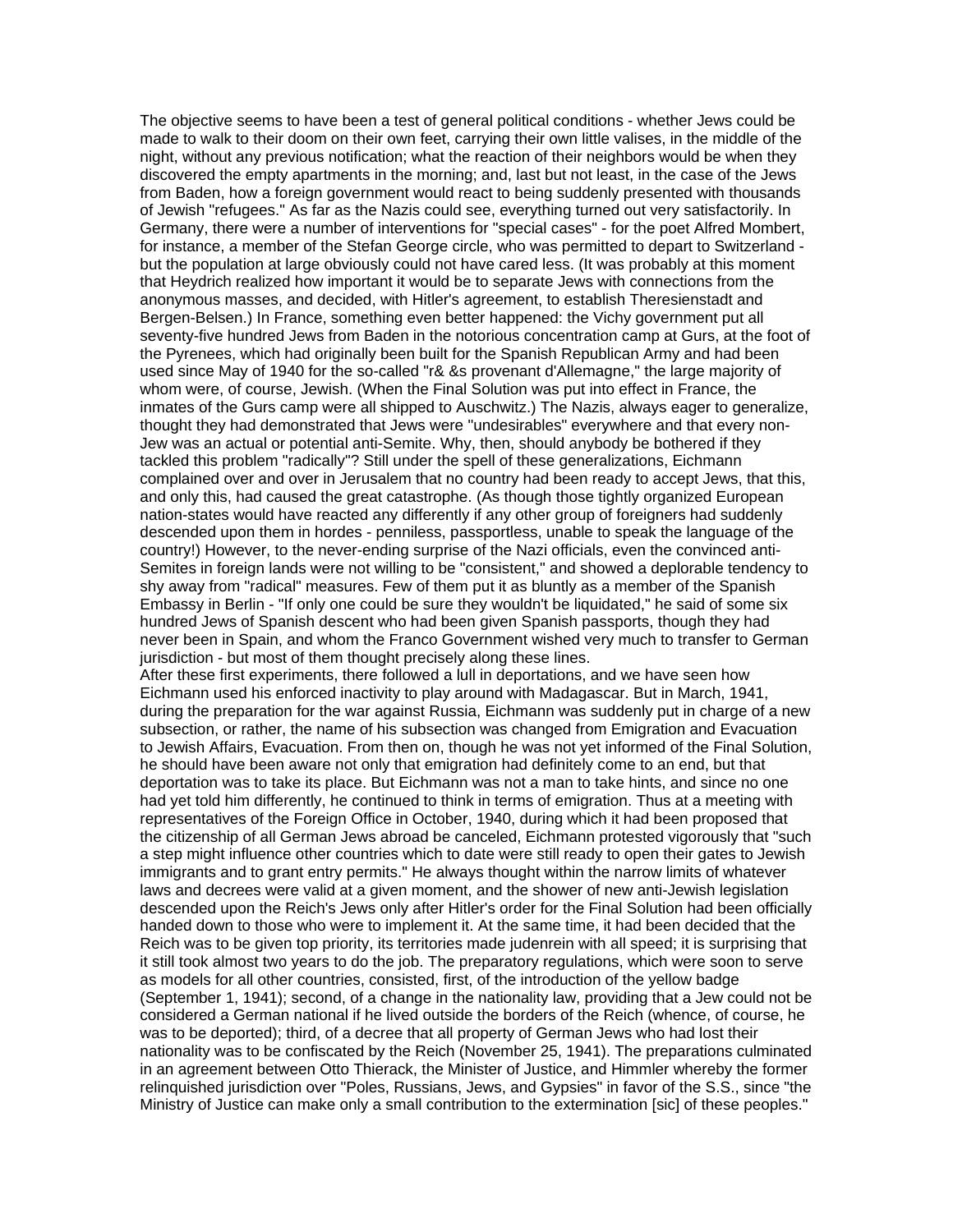The objective seems to have been a test of general political conditions - whether Jews could be made to walk to their doom on their own feet, carrying their own little valises, in the middle of the night, without any previous notification; what the reaction of their neighbors would be when they discovered the empty apartments in the morning; and, last but not least, in the case of the Jews from Baden, how a foreign government would react to being suddenly presented with thousands of Jewish "refugees." As far as the Nazis could see, everything turned out very satisfactorily. In Germany, there were a number of interventions for "special cases" - for the poet Alfred Mombert, for instance, a member of the Stefan George circle, who was permitted to depart to Switzerland but the population at large obviously could not have cared less. (It was probably at this moment that Heydrich realized how important it would be to separate Jews with connections from the anonymous masses, and decided, with Hitler's agreement, to establish Theresienstadt and Bergen-Belsen.) In France, something even better happened: the Vichy government put all seventy-five hundred Jews from Baden in the notorious concentration camp at Gurs, at the foot of the Pyrenees, which had originally been built for the Spanish Republican Army and had been used since May of 1940 for the so-called "r& &s provenant d'Allemagne," the large majority of whom were, of course, Jewish. (When the Final Solution was put into effect in France, the inmates of the Gurs camp were all shipped to Auschwitz.) The Nazis, always eager to generalize, thought they had demonstrated that Jews were "undesirables" everywhere and that every non-Jew was an actual or potential anti-Semite. Why, then, should anybody be bothered if they tackled this problem "radically"? Still under the spell of these generalizations, Eichmann complained over and over in Jerusalem that no country had been ready to accept Jews, that this, and only this, had caused the great catastrophe. (As though those tightly organized European nation-states would have reacted any differently if any other group of foreigners had suddenly descended upon them in hordes - penniless, passportless, unable to speak the language of the country!) However, to the never-ending surprise of the Nazi officials, even the convinced anti-Semites in foreign lands were not willing to be "consistent," and showed a deplorable tendency to shy away from "radical" measures. Few of them put it as bluntly as a member of the Spanish Embassy in Berlin - "If only one could be sure they wouldn't be liquidated," he said of some six hundred Jews of Spanish descent who had been given Spanish passports, though they had never been in Spain, and whom the Franco Government wished very much to transfer to German jurisdiction - but most of them thought precisely along these lines.

After these first experiments, there followed a lull in deportations, and we have seen how Eichmann used his enforced inactivity to play around with Madagascar. But in March, 1941, during the preparation for the war against Russia, Eichmann was suddenly put in charge of a new subsection, or rather, the name of his subsection was changed from Emigration and Evacuation to Jewish Affairs, Evacuation. From then on, though he was not yet informed of the Final Solution, he should have been aware not only that emigration had definitely come to an end, but that deportation was to take its place. But Eichmann was not a man to take hints, and since no one had yet told him differently, he continued to think in terms of emigration. Thus at a meeting with representatives of the Foreign Office in October, 1940, during which it had been proposed that the citizenship of all German Jews abroad be canceled, Eichmann protested vigorously that "such a step might influence other countries which to date were still ready to open their gates to Jewish immigrants and to grant entry permits." He always thought within the narrow limits of whatever laws and decrees were valid at a given moment, and the shower of new anti-Jewish legislation descended upon the Reich's Jews only after Hitler's order for the Final Solution had been officially handed down to those who were to implement it. At the same time, it had been decided that the Reich was to be given top priority, its territories made judenrein with all speed; it is surprising that it still took almost two years to do the job. The preparatory regulations, which were soon to serve as models for all other countries, consisted, first, of the introduction of the yellow badge (September 1, 1941); second, of a change in the nationality law, providing that a Jew could not be considered a German national if he lived outside the borders of the Reich (whence, of course, he was to be deported); third, of a decree that all property of German Jews who had lost their nationality was to be confiscated by the Reich (November 25, 1941). The preparations culminated in an agreement between Otto Thierack, the Minister of Justice, and Himmler whereby the former relinquished jurisdiction over "Poles, Russians, Jews, and Gypsies" in favor of the S.S., since "the Ministry of Justice can make only a small contribution to the extermination [sic] of these peoples."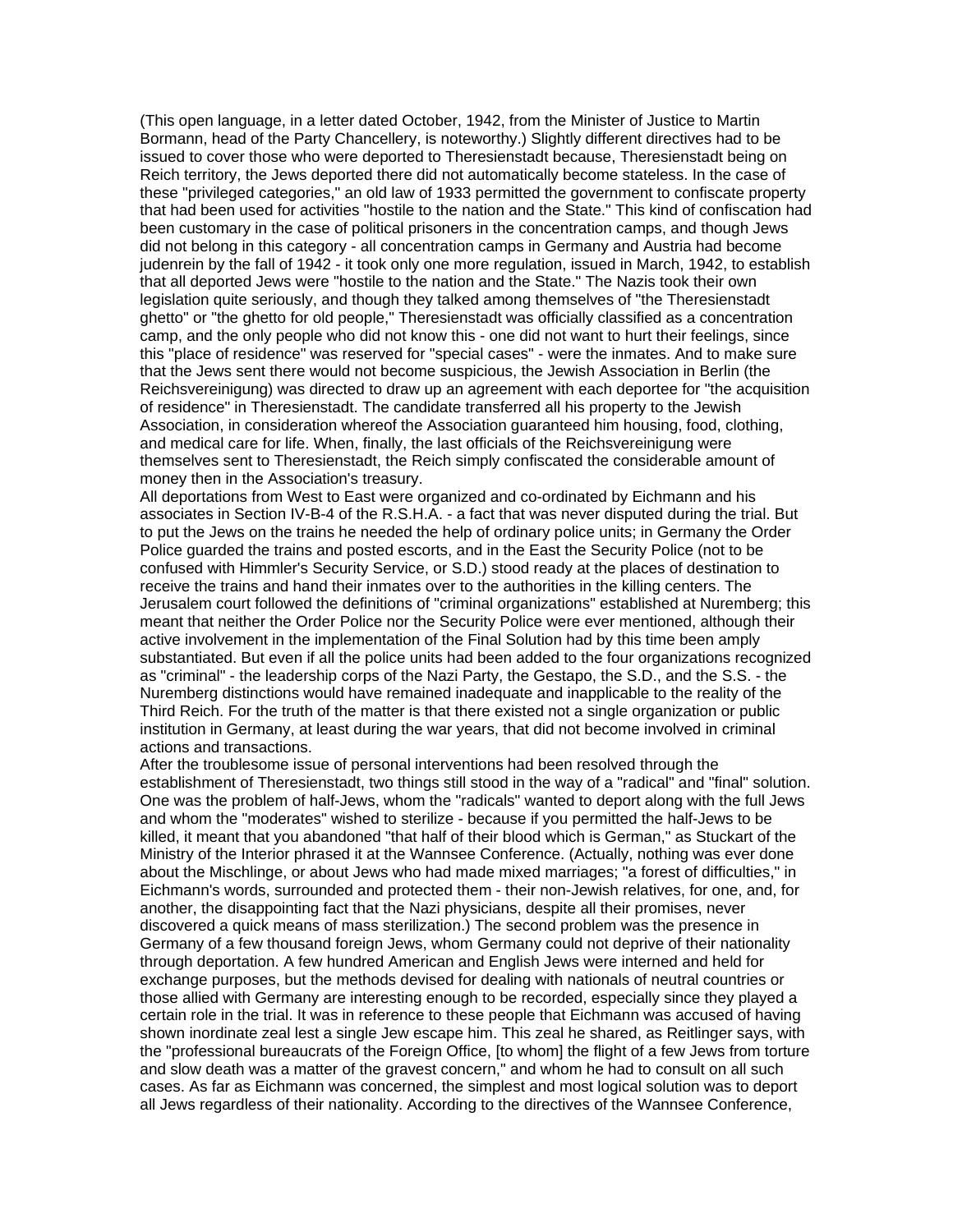(This open language, in a letter dated October, 1942, from the Minister of Justice to Martin Bormann, head of the Party Chancellery, is noteworthy.) Slightly different directives had to be issued to cover those who were deported to Theresienstadt because, Theresienstadt being on Reich territory, the Jews deported there did not automatically become stateless. In the case of these "privileged categories," an old law of 1933 permitted the government to confiscate property that had been used for activities "hostile to the nation and the State." This kind of confiscation had been customary in the case of political prisoners in the concentration camps, and though Jews did not belong in this category - all concentration camps in Germany and Austria had become judenrein by the fall of 1942 - it took only one more regulation, issued in March, 1942, to establish that all deported Jews were "hostile to the nation and the State." The Nazis took their own legislation quite seriously, and though they talked among themselves of "the Theresienstadt ghetto" or "the ghetto for old people," Theresienstadt was officially classified as a concentration camp, and the only people who did not know this - one did not want to hurt their feelings, since this "place of residence" was reserved for "special cases" - were the inmates. And to make sure that the Jews sent there would not become suspicious, the Jewish Association in Berlin (the Reichsvereinigung) was directed to draw up an agreement with each deportee for "the acquisition of residence" in Theresienstadt. The candidate transferred all his property to the Jewish Association, in consideration whereof the Association guaranteed him housing, food, clothing, and medical care for life. When, finally, the last officials of the Reichsvereinigung were themselves sent to Theresienstadt, the Reich simply confiscated the considerable amount of money then in the Association's treasury.

All deportations from West to East were organized and co-ordinated by Eichmann and his associates in Section IV-B-4 of the R.S.H.A. - a fact that was never disputed during the trial. But to put the Jews on the trains he needed the help of ordinary police units; in Germany the Order Police guarded the trains and posted escorts, and in the East the Security Police (not to be confused with Himmler's Security Service, or S.D.) stood ready at the places of destination to receive the trains and hand their inmates over to the authorities in the killing centers. The Jerusalem court followed the definitions of "criminal organizations" established at Nuremberg; this meant that neither the Order Police nor the Security Police were ever mentioned, although their active involvement in the implementation of the Final Solution had by this time been amply substantiated. But even if all the police units had been added to the four organizations recognized as "criminal" - the leadership corps of the Nazi Party, the Gestapo, the S.D., and the S.S. - the Nuremberg distinctions would have remained inadequate and inapplicable to the reality of the Third Reich. For the truth of the matter is that there existed not a single organization or public institution in Germany, at least during the war years, that did not become involved in criminal actions and transactions.

After the troublesome issue of personal interventions had been resolved through the establishment of Theresienstadt, two things still stood in the way of a "radical" and "final" solution. One was the problem of half-Jews, whom the "radicals" wanted to deport along with the full Jews and whom the "moderates" wished to sterilize - because if you permitted the half-Jews to be killed, it meant that you abandoned "that half of their blood which is German," as Stuckart of the Ministry of the Interior phrased it at the Wannsee Conference. (Actually, nothing was ever done about the Mischlinge, or about Jews who had made mixed marriages; "a forest of difficulties," in Eichmann's words, surrounded and protected them - their non-Jewish relatives, for one, and, for another, the disappointing fact that the Nazi physicians, despite all their promises, never discovered a quick means of mass sterilization.) The second problem was the presence in Germany of a few thousand foreign Jews, whom Germany could not deprive of their nationality through deportation. A few hundred American and English Jews were interned and held for exchange purposes, but the methods devised for dealing with nationals of neutral countries or those allied with Germany are interesting enough to be recorded, especially since they played a certain role in the trial. It was in reference to these people that Eichmann was accused of having shown inordinate zeal lest a single Jew escape him. This zeal he shared, as Reitlinger says, with the "professional bureaucrats of the Foreign Office, [to whom] the flight of a few Jews from torture and slow death was a matter of the gravest concern," and whom he had to consult on all such cases. As far as Eichmann was concerned, the simplest and most logical solution was to deport all Jews regardless of their nationality. According to the directives of the Wannsee Conference,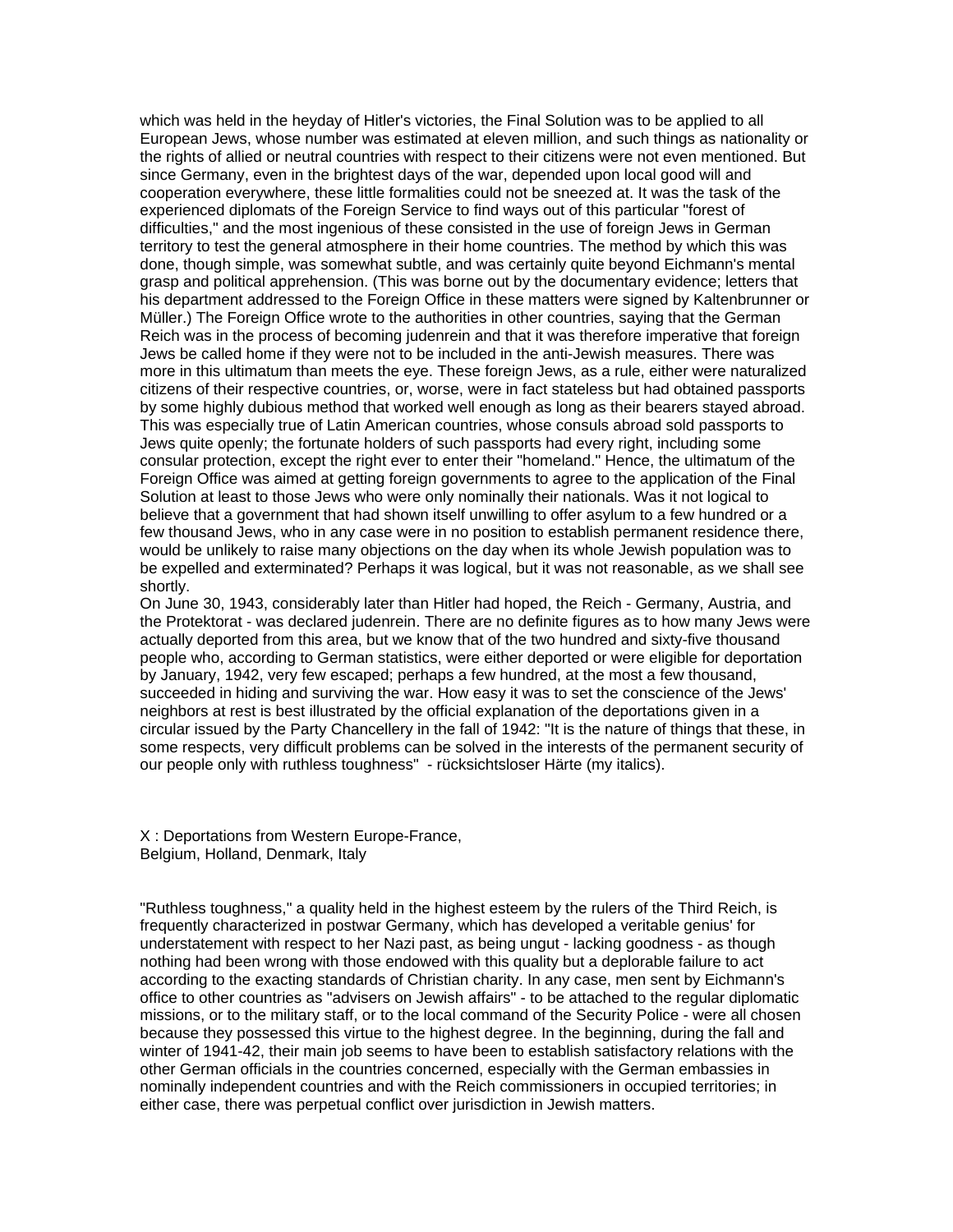which was held in the heyday of Hitler's victories, the Final Solution was to be applied to all European Jews, whose number was estimated at eleven million, and such things as nationality or the rights of allied or neutral countries with respect to their citizens were not even mentioned. But since Germany, even in the brightest days of the war, depended upon local good will and cooperation everywhere, these little formalities could not be sneezed at. It was the task of the experienced diplomats of the Foreign Service to find ways out of this particular "forest of difficulties," and the most ingenious of these consisted in the use of foreign Jews in German territory to test the general atmosphere in their home countries. The method by which this was done, though simple, was somewhat subtle, and was certainly quite beyond Eichmann's mental grasp and political apprehension. (This was borne out by the documentary evidence; letters that his department addressed to the Foreign Office in these matters were signed by Kaltenbrunner or Müller.) The Foreign Office wrote to the authorities in other countries, saying that the German Reich was in the process of becoming judenrein and that it was therefore imperative that foreign Jews be called home if they were not to be included in the anti-Jewish measures. There was more in this ultimatum than meets the eye. These foreign Jews, as a rule, either were naturalized citizens of their respective countries, or, worse, were in fact stateless but had obtained passports by some highly dubious method that worked well enough as long as their bearers stayed abroad. This was especially true of Latin American countries, whose consuls abroad sold passports to Jews quite openly; the fortunate holders of such passports had every right, including some consular protection, except the right ever to enter their "homeland." Hence, the ultimatum of the Foreign Office was aimed at getting foreign governments to agree to the application of the Final Solution at least to those Jews who were only nominally their nationals. Was it not logical to believe that a government that had shown itself unwilling to offer asylum to a few hundred or a few thousand Jews, who in any case were in no position to establish permanent residence there, would be unlikely to raise many objections on the day when its whole Jewish population was to be expelled and exterminated? Perhaps it was logical, but it was not reasonable, as we shall see shortly.

On June 30, 1943, considerably later than Hitler had hoped, the Reich - Germany, Austria, and the Protektorat - was declared judenrein. There are no definite figures as to how many Jews were actually deported from this area, but we know that of the two hundred and sixty-five thousand people who, according to German statistics, were either deported or were eligible for deportation by January, 1942, very few escaped; perhaps a few hundred, at the most a few thousand, succeeded in hiding and surviving the war. How easy it was to set the conscience of the Jews' neighbors at rest is best illustrated by the official explanation of the deportations given in a circular issued by the Party Chancellery in the fall of 1942: "It is the nature of things that these, in some respects, very difficult problems can be solved in the interests of the permanent security of our people only with ruthless toughness" - rücksichtsloser Härte (my italics).

X : Deportations from Western Europe-France, Belgium, Holland, Denmark, Italy

"Ruthless toughness," a quality held in the highest esteem by the rulers of the Third Reich, is frequently characterized in postwar Germany, which has developed a veritable genius' for understatement with respect to her Nazi past, as being ungut - lacking goodness - as though nothing had been wrong with those endowed with this quality but a deplorable failure to act according to the exacting standards of Christian charity. In any case, men sent by Eichmann's office to other countries as "advisers on Jewish affairs" - to be attached to the regular diplomatic missions, or to the military staff, or to the local command of the Security Police - were all chosen because they possessed this virtue to the highest degree. In the beginning, during the fall and winter of 1941-42, their main job seems to have been to establish satisfactory relations with the other German officials in the countries concerned, especially with the German embassies in nominally independent countries and with the Reich commissioners in occupied territories; in either case, there was perpetual conflict over jurisdiction in Jewish matters.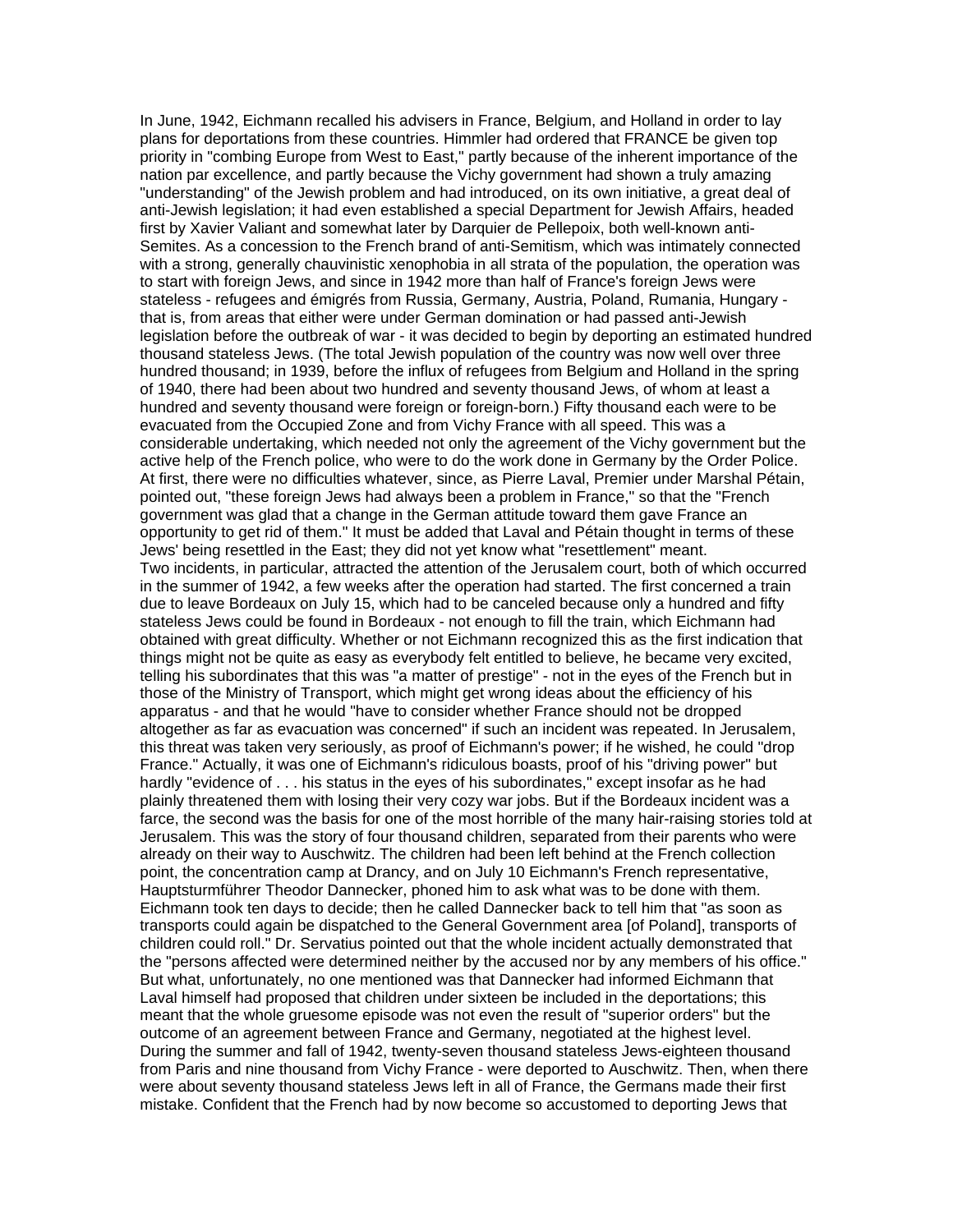In June, 1942, Eichmann recalled his advisers in France, Belgium, and Holland in order to lay plans for deportations from these countries. Himmler had ordered that FRANCE be given top priority in "combing Europe from West to East," partly because of the inherent importance of the nation par excellence, and partly because the Vichy government had shown a truly amazing "understanding" of the Jewish problem and had introduced, on its own initiative, a great deal of anti-Jewish legislation; it had even established a special Department for Jewish Affairs, headed first by Xavier Valiant and somewhat later by Darquier de Pellepoix, both well-known anti-Semites. As a concession to the French brand of anti-Semitism, which was intimately connected with a strong, generally chauvinistic xenophobia in all strata of the population, the operation was to start with foreign Jews, and since in 1942 more than half of France's foreign Jews were stateless - refugees and émigrés from Russia, Germany, Austria, Poland, Rumania, Hungary that is, from areas that either were under German domination or had passed anti-Jewish legislation before the outbreak of war - it was decided to begin by deporting an estimated hundred thousand stateless Jews. (The total Jewish population of the country was now well over three hundred thousand; in 1939, before the influx of refugees from Belgium and Holland in the spring of 1940, there had been about two hundred and seventy thousand Jews, of whom at least a hundred and seventy thousand were foreign or foreign-born.) Fifty thousand each were to be evacuated from the Occupied Zone and from Vichy France with all speed. This was a considerable undertaking, which needed not only the agreement of the Vichy government but the active help of the French police, who were to do the work done in Germany by the Order Police. At first, there were no difficulties whatever, since, as Pierre Laval, Premier under Marshal Pétain, pointed out, "these foreign Jews had always been a problem in France," so that the "French government was glad that a change in the German attitude toward them gave France an opportunity to get rid of them." It must be added that Laval and Pétain thought in terms of these Jews' being resettled in the East; they did not yet know what "resettlement" meant. Two incidents, in particular, attracted the attention of the Jerusalem court, both of which occurred in the summer of 1942, a few weeks after the operation had started. The first concerned a train due to leave Bordeaux on July 15, which had to be canceled because only a hundred and fifty stateless Jews could be found in Bordeaux - not enough to fill the train, which Eichmann had obtained with great difficulty. Whether or not Eichmann recognized this as the first indication that things might not be quite as easy as everybody felt entitled to believe, he became very excited, telling his subordinates that this was "a matter of prestige" - not in the eyes of the French but in those of the Ministry of Transport, which might get wrong ideas about the efficiency of his apparatus - and that he would "have to consider whether France should not be dropped altogether as far as evacuation was concerned" if such an incident was repeated. In Jerusalem, this threat was taken very seriously, as proof of Eichmann's power; if he wished, he could "drop France." Actually, it was one of Eichmann's ridiculous boasts, proof of his "driving power" but hardly "evidence of . . . his status in the eyes of his subordinates," except insofar as he had plainly threatened them with losing their very cozy war jobs. But if the Bordeaux incident was a farce, the second was the basis for one of the most horrible of the many hair-raising stories told at Jerusalem. This was the story of four thousand children, separated from their parents who were already on their way to Auschwitz. The children had been left behind at the French collection point, the concentration camp at Drancy, and on July 10 Eichmann's French representative, Hauptsturmführer Theodor Dannecker, phoned him to ask what was to be done with them. Eichmann took ten days to decide; then he called Dannecker back to tell him that "as soon as transports could again be dispatched to the General Government area [of Poland], transports of children could roll." Dr. Servatius pointed out that the whole incident actually demonstrated that the "persons affected were determined neither by the accused nor by any members of his office." But what, unfortunately, no one mentioned was that Dannecker had informed Eichmann that Laval himself had proposed that children under sixteen be included in the deportations; this meant that the whole gruesome episode was not even the result of "superior orders" but the outcome of an agreement between France and Germany, negotiated at the highest level. During the summer and fall of 1942, twenty-seven thousand stateless Jews-eighteen thousand from Paris and nine thousand from Vichy France - were deported to Auschwitz. Then, when there were about seventy thousand stateless Jews left in all of France, the Germans made their first mistake. Confident that the French had by now become so accustomed to deporting Jews that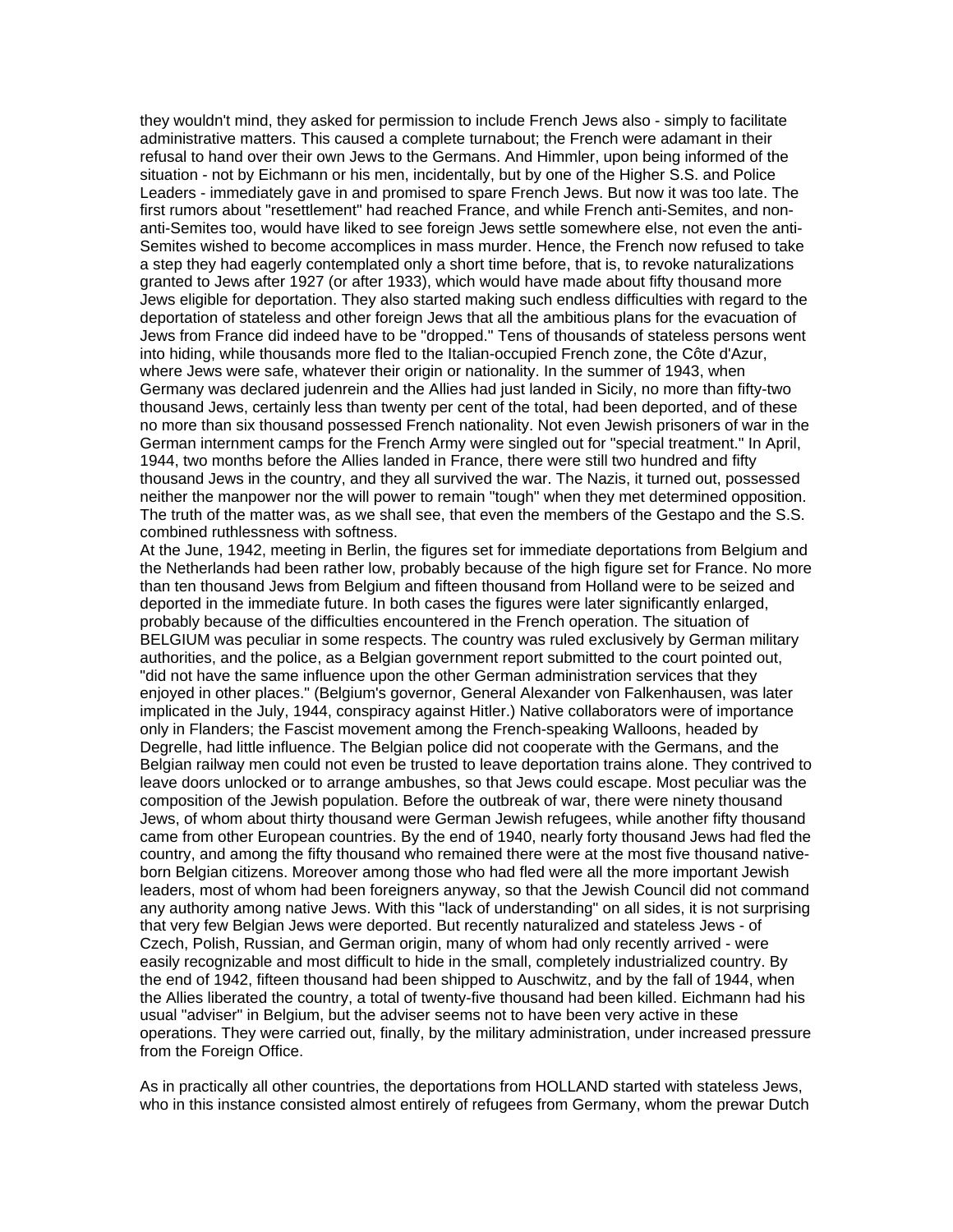they wouldn't mind, they asked for permission to include French Jews also - simply to facilitate administrative matters. This caused a complete turnabout; the French were adamant in their refusal to hand over their own Jews to the Germans. And Himmler, upon being informed of the situation - not by Eichmann or his men, incidentally, but by one of the Higher S.S. and Police Leaders - immediately gave in and promised to spare French Jews. But now it was too late. The first rumors about "resettlement" had reached France, and while French anti-Semites, and nonanti-Semites too, would have liked to see foreign Jews settle somewhere else, not even the anti-Semites wished to become accomplices in mass murder. Hence, the French now refused to take a step they had eagerly contemplated only a short time before, that is, to revoke naturalizations granted to Jews after 1927 (or after 1933), which would have made about fifty thousand more Jews eligible for deportation. They also started making such endless difficulties with regard to the deportation of stateless and other foreign Jews that all the ambitious plans for the evacuation of Jews from France did indeed have to be "dropped." Tens of thousands of stateless persons went into hiding, while thousands more fled to the Italian-occupied French zone, the Côte d'Azur, where Jews were safe, whatever their origin or nationality. In the summer of 1943, when Germany was declared judenrein and the Allies had just landed in Sicily, no more than fifty-two thousand Jews, certainly less than twenty per cent of the total, had been deported, and of these no more than six thousand possessed French nationality. Not even Jewish prisoners of war in the German internment camps for the French Army were singled out for "special treatment." In April, 1944, two months before the Allies landed in France, there were still two hundred and fifty thousand Jews in the country, and they all survived the war. The Nazis, it turned out, possessed neither the manpower nor the will power to remain "tough" when they met determined opposition. The truth of the matter was, as we shall see, that even the members of the Gestapo and the S.S. combined ruthlessness with softness.

At the June, 1942, meeting in Berlin, the figures set for immediate deportations from Belgium and the Netherlands had been rather low, probably because of the high figure set for France. No more than ten thousand Jews from Belgium and fifteen thousand from Holland were to be seized and deported in the immediate future. In both cases the figures were later significantly enlarged, probably because of the difficulties encountered in the French operation. The situation of BELGIUM was peculiar in some respects. The country was ruled exclusively by German military authorities, and the police, as a Belgian government report submitted to the court pointed out, "did not have the same influence upon the other German administration services that they enjoyed in other places." (Belgium's governor, General Alexander von Falkenhausen, was later implicated in the July, 1944, conspiracy against Hitler.) Native collaborators were of importance only in Flanders; the Fascist movement among the French-speaking Walloons, headed by Degrelle, had little influence. The Belgian police did not cooperate with the Germans, and the Belgian railway men could not even be trusted to leave deportation trains alone. They contrived to leave doors unlocked or to arrange ambushes, so that Jews could escape. Most peculiar was the composition of the Jewish population. Before the outbreak of war, there were ninety thousand Jews, of whom about thirty thousand were German Jewish refugees, while another fifty thousand came from other European countries. By the end of 1940, nearly forty thousand Jews had fled the country, and among the fifty thousand who remained there were at the most five thousand nativeborn Belgian citizens. Moreover among those who had fled were all the more important Jewish leaders, most of whom had been foreigners anyway, so that the Jewish Council did not command any authority among native Jews. With this "lack of understanding" on all sides, it is not surprising that very few Belgian Jews were deported. But recently naturalized and stateless Jews - of Czech, Polish, Russian, and German origin, many of whom had only recently arrived - were easily recognizable and most difficult to hide in the small, completely industrialized country. By the end of 1942, fifteen thousand had been shipped to Auschwitz, and by the fall of 1944, when the Allies liberated the country, a total of twenty-five thousand had been killed. Eichmann had his usual "adviser" in Belgium, but the adviser seems not to have been very active in these operations. They were carried out, finally, by the military administration, under increased pressure from the Foreign Office.

As in practically all other countries, the deportations from HOLLAND started with stateless Jews, who in this instance consisted almost entirely of refugees from Germany, whom the prewar Dutch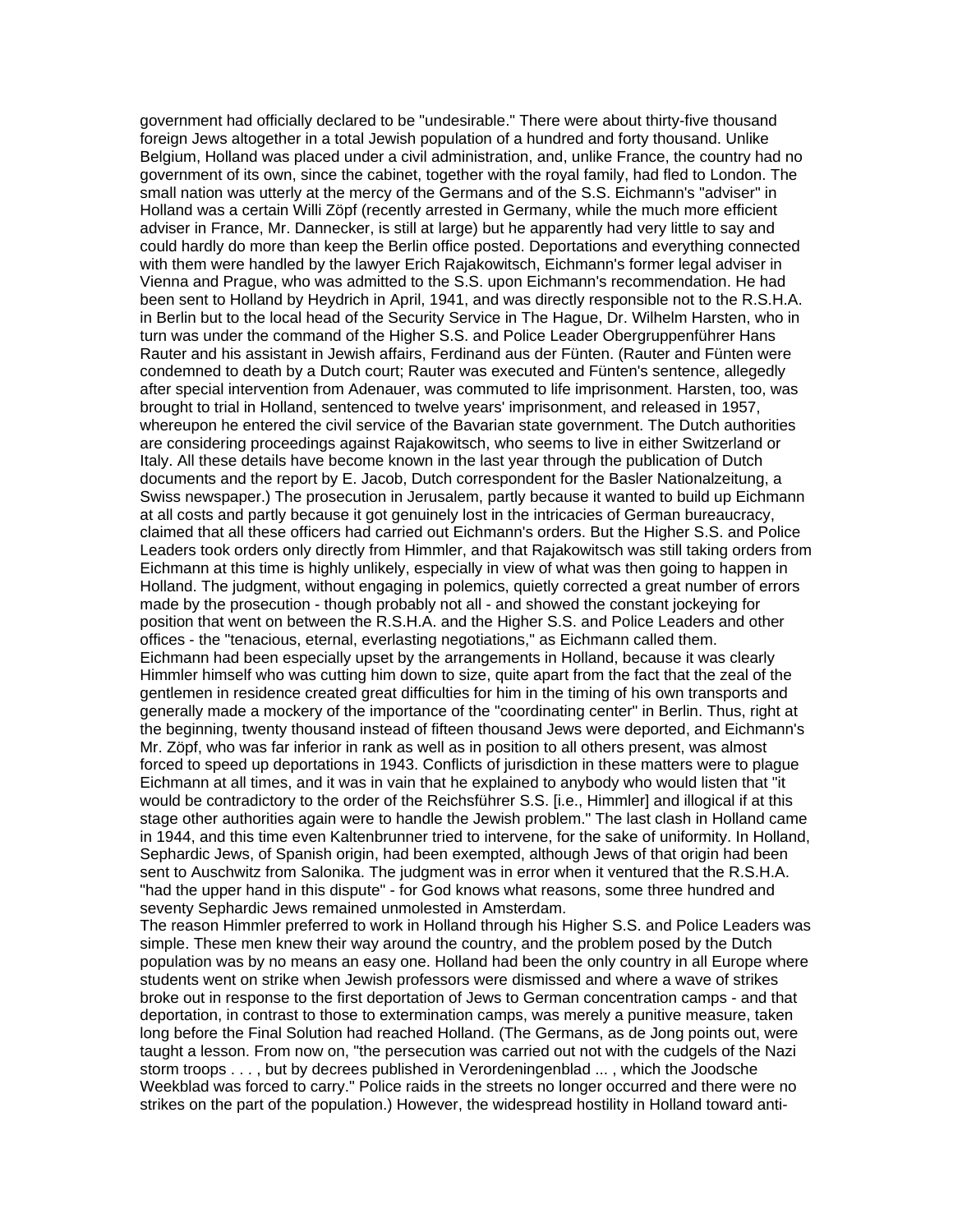government had officially declared to be "undesirable." There were about thirty-five thousand foreign Jews altogether in a total Jewish population of a hundred and forty thousand. Unlike Belgium, Holland was placed under a civil administration, and, unlike France, the country had no government of its own, since the cabinet, together with the royal family, had fled to London. The small nation was utterly at the mercy of the Germans and of the S.S. Eichmann's "adviser" in Holland was a certain Willi Zöpf (recently arrested in Germany, while the much more efficient adviser in France, Mr. Dannecker, is still at large) but he apparently had very little to say and could hardly do more than keep the Berlin office posted. Deportations and everything connected with them were handled by the lawyer Erich Rajakowitsch, Eichmann's former legal adviser in Vienna and Prague, who was admitted to the S.S. upon Eichmann's recommendation. He had been sent to Holland by Heydrich in April, 1941, and was directly responsible not to the R.S.H.A. in Berlin but to the local head of the Security Service in The Hague, Dr. Wilhelm Harsten, who in turn was under the command of the Higher S.S. and Police Leader Obergruppenführer Hans Rauter and his assistant in Jewish affairs, Ferdinand aus der Fünten. (Rauter and Fünten were condemned to death by a Dutch court; Rauter was executed and Fünten's sentence, allegedly after special intervention from Adenauer, was commuted to life imprisonment. Harsten, too, was brought to trial in Holland, sentenced to twelve years' imprisonment, and released in 1957, whereupon he entered the civil service of the Bavarian state government. The Dutch authorities are considering proceedings against Rajakowitsch, who seems to live in either Switzerland or Italy. All these details have become known in the last year through the publication of Dutch documents and the report by E. Jacob, Dutch correspondent for the Basler Nationalzeitung, a Swiss newspaper.) The prosecution in Jerusalem, partly because it wanted to build up Eichmann at all costs and partly because it got genuinely lost in the intricacies of German bureaucracy, claimed that all these officers had carried out Eichmann's orders. But the Higher S.S. and Police Leaders took orders only directly from Himmler, and that Rajakowitsch was still taking orders from Eichmann at this time is highly unlikely, especially in view of what was then going to happen in Holland. The judgment, without engaging in polemics, quietly corrected a great number of errors made by the prosecution - though probably not all - and showed the constant jockeying for position that went on between the R.S.H.A. and the Higher S.S. and Police Leaders and other offices - the "tenacious, eternal, everlasting negotiations," as Eichmann called them. Eichmann had been especially upset by the arrangements in Holland, because it was clearly Himmler himself who was cutting him down to size, quite apart from the fact that the zeal of the gentlemen in residence created great difficulties for him in the timing of his own transports and generally made a mockery of the importance of the "coordinating center" in Berlin. Thus, right at the beginning, twenty thousand instead of fifteen thousand Jews were deported, and Eichmann's Mr. Zöpf, who was far inferior in rank as well as in position to all others present, was almost forced to speed up deportations in 1943. Conflicts of jurisdiction in these matters were to plague Eichmann at all times, and it was in vain that he explained to anybody who would listen that "it would be contradictory to the order of the Reichsführer S.S. *li.e.*, Himmlerl and illogical if at this stage other authorities again were to handle the Jewish problem." The last clash in Holland came in 1944, and this time even Kaltenbrunner tried to intervene, for the sake of uniformity. In Holland, Sephardic Jews, of Spanish origin, had been exempted, although Jews of that origin had been sent to Auschwitz from Salonika. The judgment was in error when it ventured that the R.S.H.A. "had the upper hand in this dispute" - for God knows what reasons, some three hundred and seventy Sephardic Jews remained unmolested in Amsterdam.

The reason Himmler preferred to work in Holland through his Higher S.S. and Police Leaders was simple. These men knew their way around the country, and the problem posed by the Dutch population was by no means an easy one. Holland had been the only country in all Europe where students went on strike when Jewish professors were dismissed and where a wave of strikes broke out in response to the first deportation of Jews to German concentration camps - and that deportation, in contrast to those to extermination camps, was merely a punitive measure, taken long before the Final Solution had reached Holland. (The Germans, as de Jong points out, were taught a lesson. From now on, "the persecution was carried out not with the cudgels of the Nazi storm troops . . . , but by decrees published in Verordeningenblad ... , which the Joodsche Weekblad was forced to carry." Police raids in the streets no longer occurred and there were no strikes on the part of the population.) However, the widespread hostility in Holland toward anti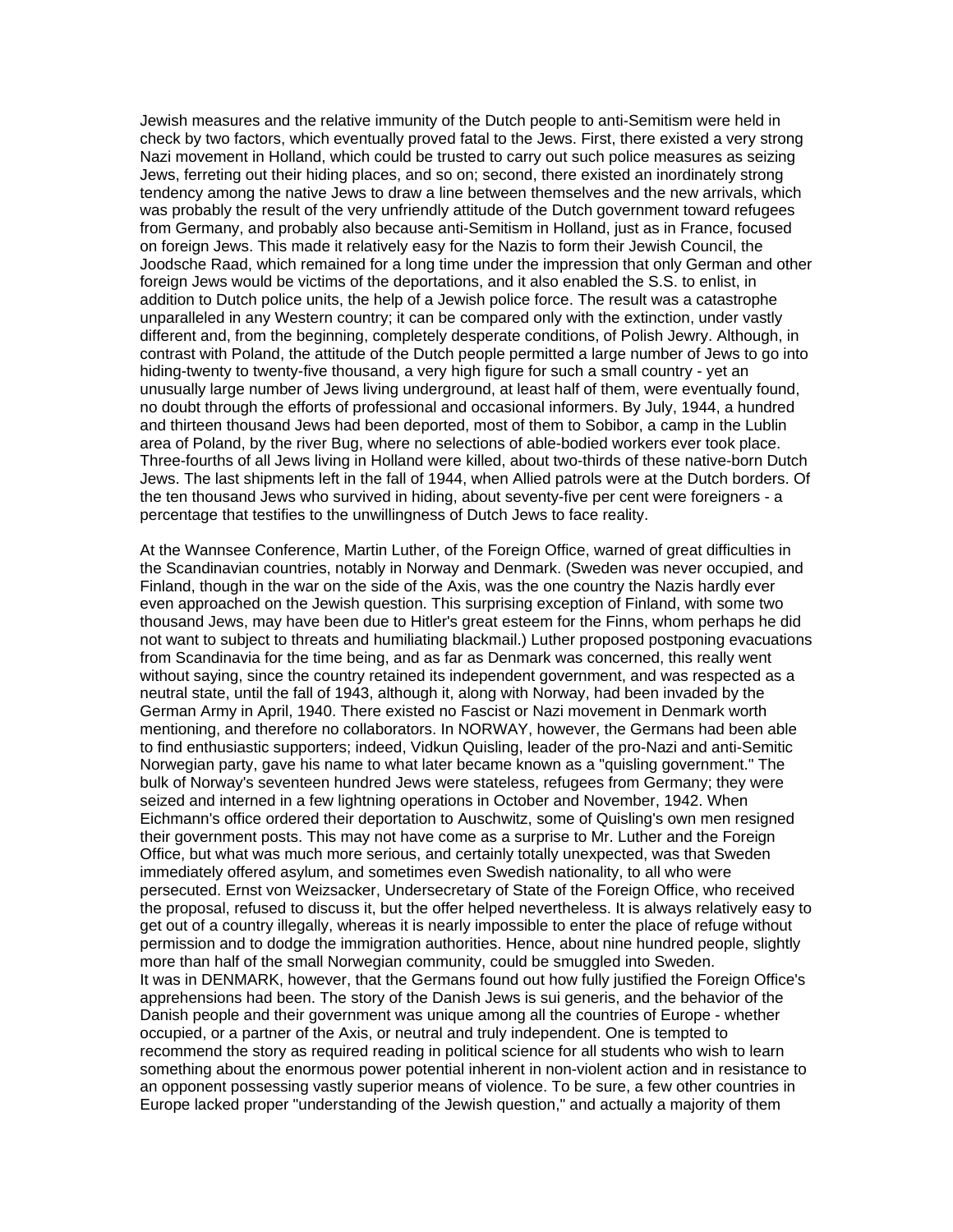Jewish measures and the relative immunity of the Dutch people to anti-Semitism were held in check by two factors, which eventually proved fatal to the Jews. First, there existed a very strong Nazi movement in Holland, which could be trusted to carry out such police measures as seizing Jews, ferreting out their hiding places, and so on; second, there existed an inordinately strong tendency among the native Jews to draw a line between themselves and the new arrivals, which was probably the result of the very unfriendly attitude of the Dutch government toward refugees from Germany, and probably also because anti-Semitism in Holland, just as in France, focused on foreign Jews. This made it relatively easy for the Nazis to form their Jewish Council, the Joodsche Raad, which remained for a long time under the impression that only German and other foreign Jews would be victims of the deportations, and it also enabled the S.S. to enlist, in addition to Dutch police units, the help of a Jewish police force. The result was a catastrophe unparalleled in any Western country; it can be compared only with the extinction, under vastly different and, from the beginning, completely desperate conditions, of Polish Jewry. Although, in contrast with Poland, the attitude of the Dutch people permitted a large number of Jews to go into hiding-twenty to twenty-five thousand, a very high figure for such a small country - yet an unusually large number of Jews living underground, at least half of them, were eventually found, no doubt through the efforts of professional and occasional informers. By July, 1944, a hundred and thirteen thousand Jews had been deported, most of them to Sobibor, a camp in the Lublin area of Poland, by the river Bug, where no selections of able-bodied workers ever took place. Three-fourths of all Jews living in Holland were killed, about two-thirds of these native-born Dutch Jews. The last shipments left in the fall of 1944, when Allied patrols were at the Dutch borders. Of the ten thousand Jews who survived in hiding, about seventy-five per cent were foreigners - a percentage that testifies to the unwillingness of Dutch Jews to face reality.

At the Wannsee Conference, Martin Luther, of the Foreign Office, warned of great difficulties in the Scandinavian countries, notably in Norway and Denmark. (Sweden was never occupied, and Finland, though in the war on the side of the Axis, was the one country the Nazis hardly ever even approached on the Jewish question. This surprising exception of Finland, with some two thousand Jews, may have been due to Hitler's great esteem for the Finns, whom perhaps he did not want to subject to threats and humiliating blackmail.) Luther proposed postponing evacuations from Scandinavia for the time being, and as far as Denmark was concerned, this really went without saying, since the country retained its independent government, and was respected as a neutral state, until the fall of 1943, although it, along with Norway, had been invaded by the German Army in April, 1940. There existed no Fascist or Nazi movement in Denmark worth mentioning, and therefore no collaborators. In NORWAY, however, the Germans had been able to find enthusiastic supporters; indeed, Vidkun Quisling, leader of the pro-Nazi and anti-Semitic Norwegian party, gave his name to what later became known as a "quisling government." The bulk of Norway's seventeen hundred Jews were stateless, refugees from Germany; they were seized and interned in a few lightning operations in October and November, 1942. When Eichmann's office ordered their deportation to Auschwitz, some of Quisling's own men resigned their government posts. This may not have come as a surprise to Mr. Luther and the Foreign Office, but what was much more serious, and certainly totally unexpected, was that Sweden immediately offered asylum, and sometimes even Swedish nationality, to all who were persecuted. Ernst von Weizsacker, Undersecretary of State of the Foreign Office, who received the proposal, refused to discuss it, but the offer helped nevertheless. It is always relatively easy to get out of a country illegally, whereas it is nearly impossible to enter the place of refuge without permission and to dodge the immigration authorities. Hence, about nine hundred people, slightly more than half of the small Norwegian community, could be smuggled into Sweden. It was in DENMARK, however, that the Germans found out how fully justified the Foreign Office's apprehensions had been. The story of the Danish Jews is sui generis, and the behavior of the Danish people and their government was unique among all the countries of Europe - whether occupied, or a partner of the Axis, or neutral and truly independent. One is tempted to recommend the story as required reading in political science for all students who wish to learn something about the enormous power potential inherent in non-violent action and in resistance to an opponent possessing vastly superior means of violence. To be sure, a few other countries in Europe lacked proper "understanding of the Jewish question," and actually a majority of them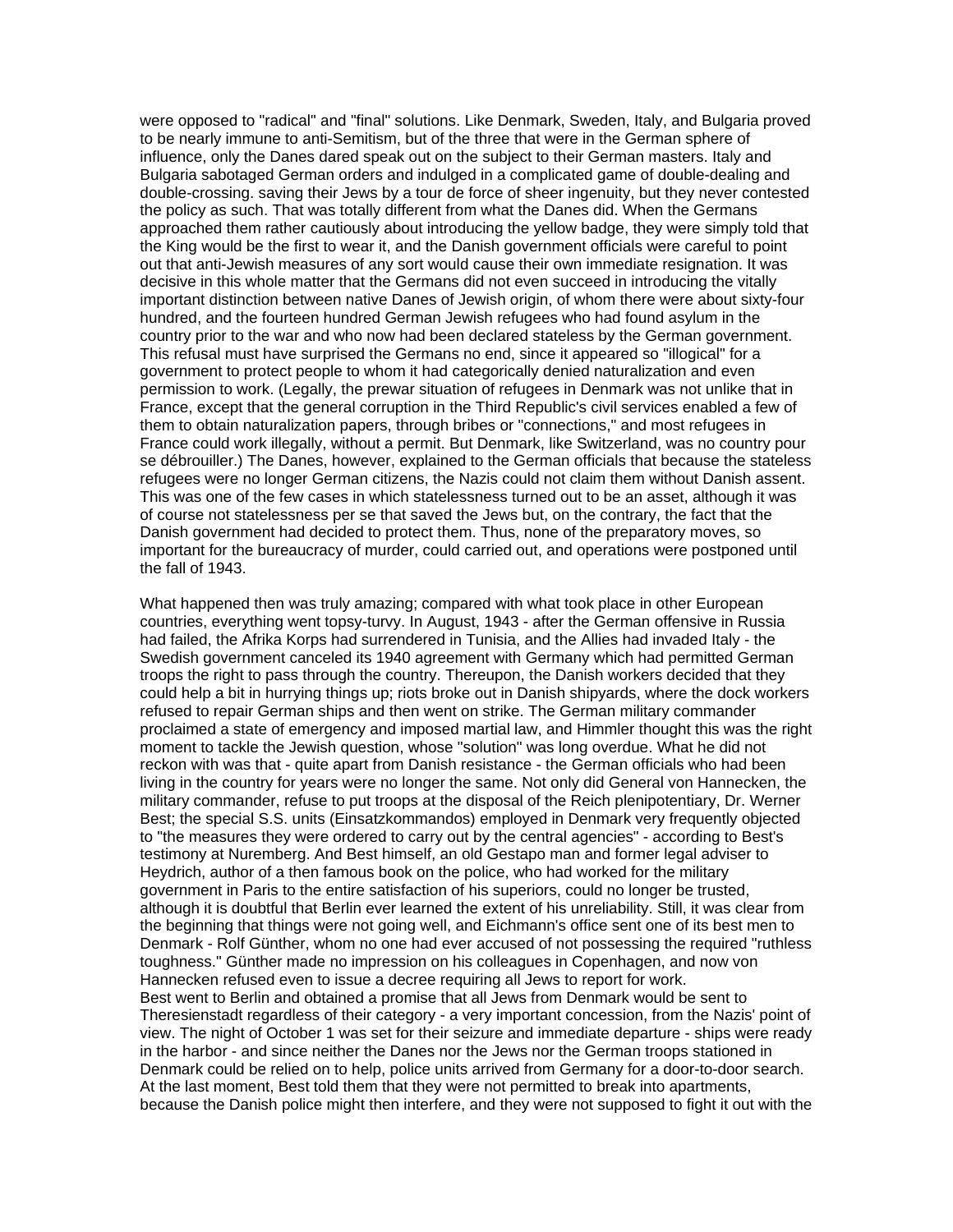were opposed to "radical" and "final" solutions. Like Denmark, Sweden, Italy, and Bulgaria proved to be nearly immune to anti-Semitism, but of the three that were in the German sphere of influence, only the Danes dared speak out on the subject to their German masters. Italy and Bulgaria sabotaged German orders and indulged in a complicated game of double-dealing and double-crossing. saving their Jews by a tour de force of sheer ingenuity, but they never contested the policy as such. That was totally different from what the Danes did. When the Germans approached them rather cautiously about introducing the yellow badge, they were simply told that the King would be the first to wear it, and the Danish government officials were careful to point out that anti-Jewish measures of any sort would cause their own immediate resignation. It was decisive in this whole matter that the Germans did not even succeed in introducing the vitally important distinction between native Danes of Jewish origin, of whom there were about sixty-four hundred, and the fourteen hundred German Jewish refugees who had found asylum in the country prior to the war and who now had been declared stateless by the German government. This refusal must have surprised the Germans no end, since it appeared so "illogical" for a government to protect people to whom it had categorically denied naturalization and even permission to work. (Legally, the prewar situation of refugees in Denmark was not unlike that in France, except that the general corruption in the Third Republic's civil services enabled a few of them to obtain naturalization papers, through bribes or "connections," and most refugees in France could work illegally, without a permit. But Denmark, like Switzerland, was no country pour se débrouiller.) The Danes, however, explained to the German officials that because the stateless refugees were no longer German citizens, the Nazis could not claim them without Danish assent. This was one of the few cases in which statelessness turned out to be an asset, although it was of course not statelessness per se that saved the Jews but, on the contrary, the fact that the Danish government had decided to protect them. Thus, none of the preparatory moves, so important for the bureaucracy of murder, could carried out, and operations were postponed until the fall of 1943.

What happened then was truly amazing; compared with what took place in other European countries, everything went topsy-turvy. In August, 1943 - after the German offensive in Russia had failed, the Afrika Korps had surrendered in Tunisia, and the Allies had invaded Italy - the Swedish government canceled its 1940 agreement with Germany which had permitted German troops the right to pass through the country. Thereupon, the Danish workers decided that they could help a bit in hurrying things up; riots broke out in Danish shipyards, where the dock workers refused to repair German ships and then went on strike. The German military commander proclaimed a state of emergency and imposed martial law, and Himmler thought this was the right moment to tackle the Jewish question, whose "solution" was long overdue. What he did not reckon with was that - quite apart from Danish resistance - the German officials who had been living in the country for years were no longer the same. Not only did General von Hannecken, the military commander, refuse to put troops at the disposal of the Reich plenipotentiary, Dr. Werner Best; the special S.S. units (Einsatzkommandos) employed in Denmark very frequently objected to "the measures they were ordered to carry out by the central agencies" - according to Best's testimony at Nuremberg. And Best himself, an old Gestapo man and former legal adviser to Heydrich, author of a then famous book on the police, who had worked for the military government in Paris to the entire satisfaction of his superiors, could no longer be trusted, although it is doubtful that Berlin ever learned the extent of his unreliability. Still, it was clear from the beginning that things were not going well, and Eichmann's office sent one of its best men to Denmark - Rolf Günther, whom no one had ever accused of not possessing the required "ruthless toughness." Günther made no impression on his colleagues in Copenhagen, and now von Hannecken refused even to issue a decree requiring all Jews to report for work. Best went to Berlin and obtained a promise that all Jews from Denmark would be sent to Theresienstadt regardless of their category - a very important concession, from the Nazis' point of view. The night of October 1 was set for their seizure and immediate departure - ships were ready in the harbor - and since neither the Danes nor the Jews nor the German troops stationed in Denmark could be relied on to help, police units arrived from Germany for a door-to-door search. At the last moment, Best told them that they were not permitted to break into apartments, because the Danish police might then interfere, and they were not supposed to fight it out with the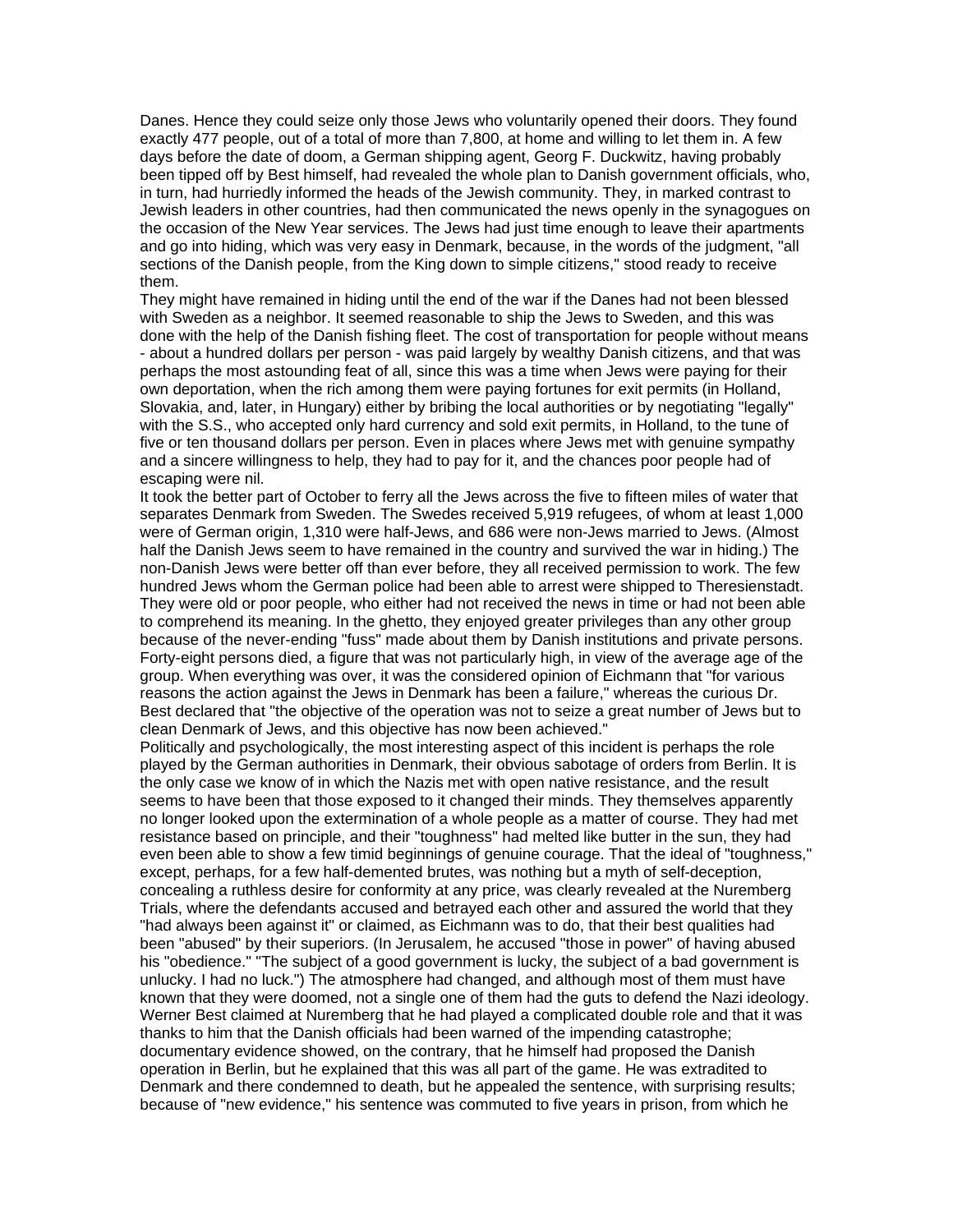Danes. Hence they could seize only those Jews who voluntarily opened their doors. They found exactly 477 people, out of a total of more than 7,800, at home and willing to let them in. A few days before the date of doom, a German shipping agent, Georg F. Duckwitz, having probably been tipped off by Best himself, had revealed the whole plan to Danish government officials, who, in turn, had hurriedly informed the heads of the Jewish community. They, in marked contrast to Jewish leaders in other countries, had then communicated the news openly in the synagogues on the occasion of the New Year services. The Jews had just time enough to leave their apartments and go into hiding, which was very easy in Denmark, because, in the words of the judgment, "all sections of the Danish people, from the King down to simple citizens," stood ready to receive them.

They might have remained in hiding until the end of the war if the Danes had not been blessed with Sweden as a neighbor. It seemed reasonable to ship the Jews to Sweden, and this was done with the help of the Danish fishing fleet. The cost of transportation for people without means - about a hundred dollars per person - was paid largely by wealthy Danish citizens, and that was perhaps the most astounding feat of all, since this was a time when Jews were paying for their own deportation, when the rich among them were paying fortunes for exit permits (in Holland, Slovakia, and, later, in Hungary) either by bribing the local authorities or by negotiating "legally" with the S.S., who accepted only hard currency and sold exit permits, in Holland, to the tune of five or ten thousand dollars per person. Even in places where Jews met with genuine sympathy and a sincere willingness to help, they had to pay for it, and the chances poor people had of escaping were nil.

It took the better part of October to ferry all the Jews across the five to fifteen miles of water that separates Denmark from Sweden. The Swedes received 5,919 refugees, of whom at least 1,000 were of German origin, 1,310 were half-Jews, and 686 were non-Jews married to Jews. (Almost half the Danish Jews seem to have remained in the country and survived the war in hiding.) The non-Danish Jews were better off than ever before, they all received permission to work. The few hundred Jews whom the German police had been able to arrest were shipped to Theresienstadt. They were old or poor people, who either had not received the news in time or had not been able to comprehend its meaning. In the ghetto, they enjoyed greater privileges than any other group because of the never-ending "fuss" made about them by Danish institutions and private persons. Forty-eight persons died, a figure that was not particularly high, in view of the average age of the group. When everything was over, it was the considered opinion of Eichmann that "for various reasons the action against the Jews in Denmark has been a failure," whereas the curious Dr. Best declared that "the objective of the operation was not to seize a great number of Jews but to clean Denmark of Jews, and this objective has now been achieved."

Politically and psychologically, the most interesting aspect of this incident is perhaps the role played by the German authorities in Denmark, their obvious sabotage of orders from Berlin. It is the only case we know of in which the Nazis met with open native resistance, and the result seems to have been that those exposed to it changed their minds. They themselves apparently no longer looked upon the extermination of a whole people as a matter of course. They had met resistance based on principle, and their "toughness" had melted like butter in the sun, they had even been able to show a few timid beginnings of genuine courage. That the ideal of "toughness," except, perhaps, for a few half-demented brutes, was nothing but a myth of self-deception, concealing a ruthless desire for conformity at any price, was clearly revealed at the Nuremberg Trials, where the defendants accused and betrayed each other and assured the world that they "had always been against it" or claimed, as Eichmann was to do, that their best qualities had been "abused" by their superiors. (In Jerusalem, he accused "those in power" of having abused his "obedience." "The subject of a good government is lucky, the subject of a bad government is unlucky. I had no luck.") The atmosphere had changed, and although most of them must have known that they were doomed, not a single one of them had the guts to defend the Nazi ideology. Werner Best claimed at Nuremberg that he had played a complicated double role and that it was thanks to him that the Danish officials had been warned of the impending catastrophe; documentary evidence showed, on the contrary, that he himself had proposed the Danish operation in Berlin, but he explained that this was all part of the game. He was extradited to Denmark and there condemned to death, but he appealed the sentence, with surprising results; because of "new evidence," his sentence was commuted to five years in prison, from which he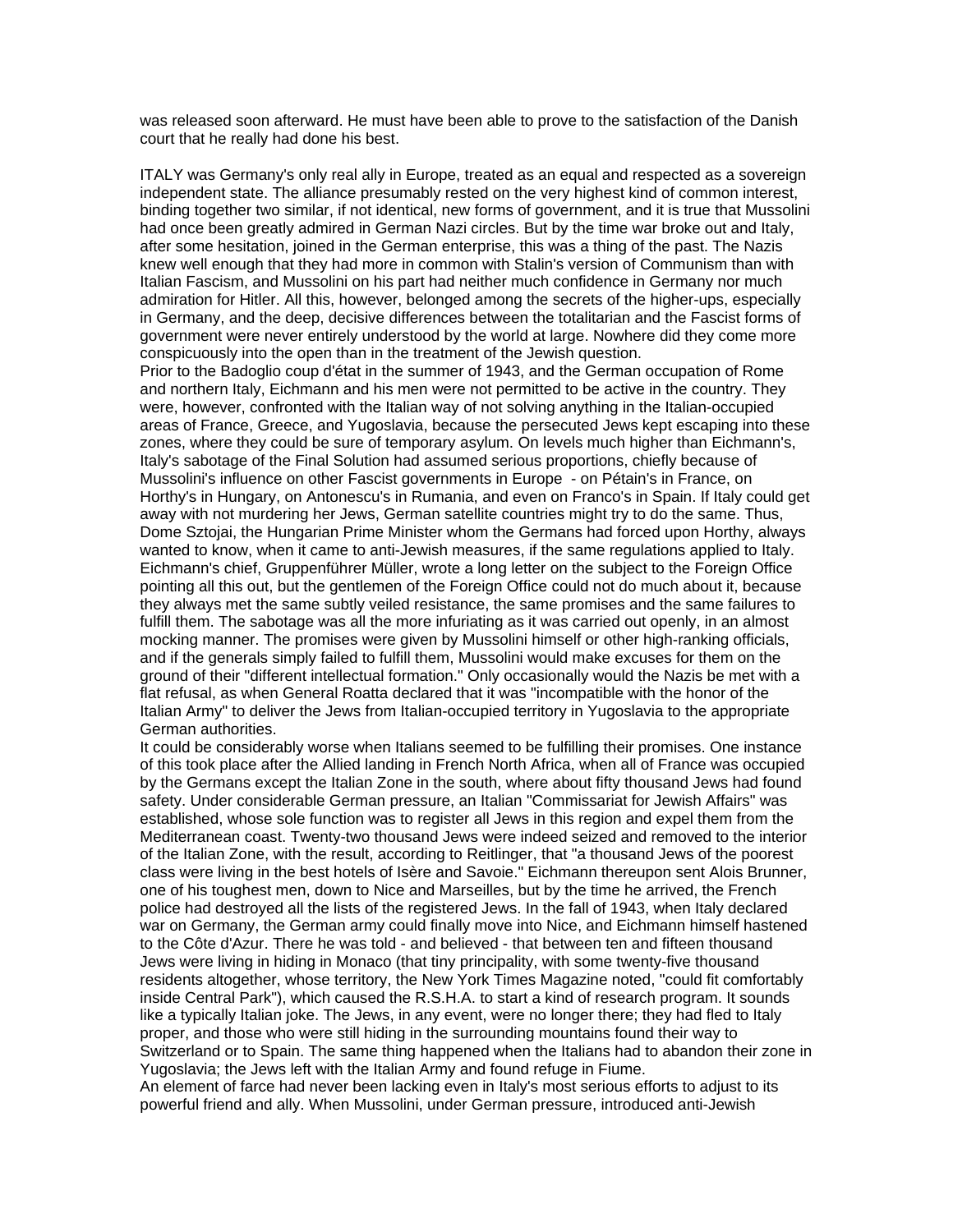was released soon afterward. He must have been able to prove to the satisfaction of the Danish court that he really had done his best.

ITALY was Germany's only real ally in Europe, treated as an equal and respected as a sovereign independent state. The alliance presumably rested on the very highest kind of common interest, binding together two similar, if not identical, new forms of government, and it is true that Mussolini had once been greatly admired in German Nazi circles. But by the time war broke out and Italy, after some hesitation, joined in the German enterprise, this was a thing of the past. The Nazis knew well enough that they had more in common with Stalin's version of Communism than with Italian Fascism, and Mussolini on his part had neither much confidence in Germany nor much admiration for Hitler. All this, however, belonged among the secrets of the higher-ups, especially in Germany, and the deep, decisive differences between the totalitarian and the Fascist forms of government were never entirely understood by the world at large. Nowhere did they come more conspicuously into the open than in the treatment of the Jewish question.

Prior to the Badoglio coup d'état in the summer of 1943, and the German occupation of Rome and northern Italy, Eichmann and his men were not permitted to be active in the country. They were, however, confronted with the Italian way of not solving anything in the Italian-occupied areas of France, Greece, and Yugoslavia, because the persecuted Jews kept escaping into these zones, where they could be sure of temporary asylum. On levels much higher than Eichmann's, Italy's sabotage of the Final Solution had assumed serious proportions, chiefly because of Mussolini's influence on other Fascist governments in Europe - on Pétain's in France, on Horthy's in Hungary, on Antonescu's in Rumania, and even on Franco's in Spain. If Italy could get away with not murdering her Jews, German satellite countries might try to do the same. Thus, Dome Sztojai, the Hungarian Prime Minister whom the Germans had forced upon Horthy, always wanted to know, when it came to anti-Jewish measures, if the same regulations applied to Italy. Eichmann's chief, Gruppenführer Müller, wrote a long letter on the subject to the Foreign Office pointing all this out, but the gentlemen of the Foreign Office could not do much about it, because they always met the same subtly veiled resistance, the same promises and the same failures to fulfill them. The sabotage was all the more infuriating as it was carried out openly, in an almost mocking manner. The promises were given by Mussolini himself or other high-ranking officials, and if the generals simply failed to fulfill them, Mussolini would make excuses for them on the ground of their "different intellectual formation." Only occasionally would the Nazis be met with a flat refusal, as when General Roatta declared that it was "incompatible with the honor of the Italian Army" to deliver the Jews from Italian-occupied territory in Yugoslavia to the appropriate German authorities.

It could be considerably worse when Italians seemed to be fulfilling their promises. One instance of this took place after the Allied landing in French North Africa, when all of France was occupied by the Germans except the Italian Zone in the south, where about fifty thousand Jews had found safety. Under considerable German pressure, an Italian "Commissariat for Jewish Affairs" was established, whose sole function was to register all Jews in this region and expel them from the Mediterranean coast. Twenty-two thousand Jews were indeed seized and removed to the interior of the Italian Zone, with the result, according to Reitlinger, that "a thousand Jews of the poorest class were living in the best hotels of Isère and Savoie." Eichmann thereupon sent Alois Brunner, one of his toughest men, down to Nice and Marseilles, but by the time he arrived, the French police had destroyed all the lists of the registered Jews. In the fall of 1943, when Italy declared war on Germany, the German army could finally move into Nice, and Eichmann himself hastened to the Côte d'Azur. There he was told - and believed - that between ten and fifteen thousand Jews were living in hiding in Monaco (that tiny principality, with some twenty-five thousand residents altogether, whose territory, the New York Times Magazine noted, "could fit comfortably inside Central Park"), which caused the R.S.H.A. to start a kind of research program. It sounds like a typically Italian joke. The Jews, in any event, were no longer there; they had fled to Italy proper, and those who were still hiding in the surrounding mountains found their way to Switzerland or to Spain. The same thing happened when the Italians had to abandon their zone in Yugoslavia; the Jews left with the Italian Army and found refuge in Fiume.

An element of farce had never been lacking even in Italy's most serious efforts to adjust to its powerful friend and ally. When Mussolini, under German pressure, introduced anti-Jewish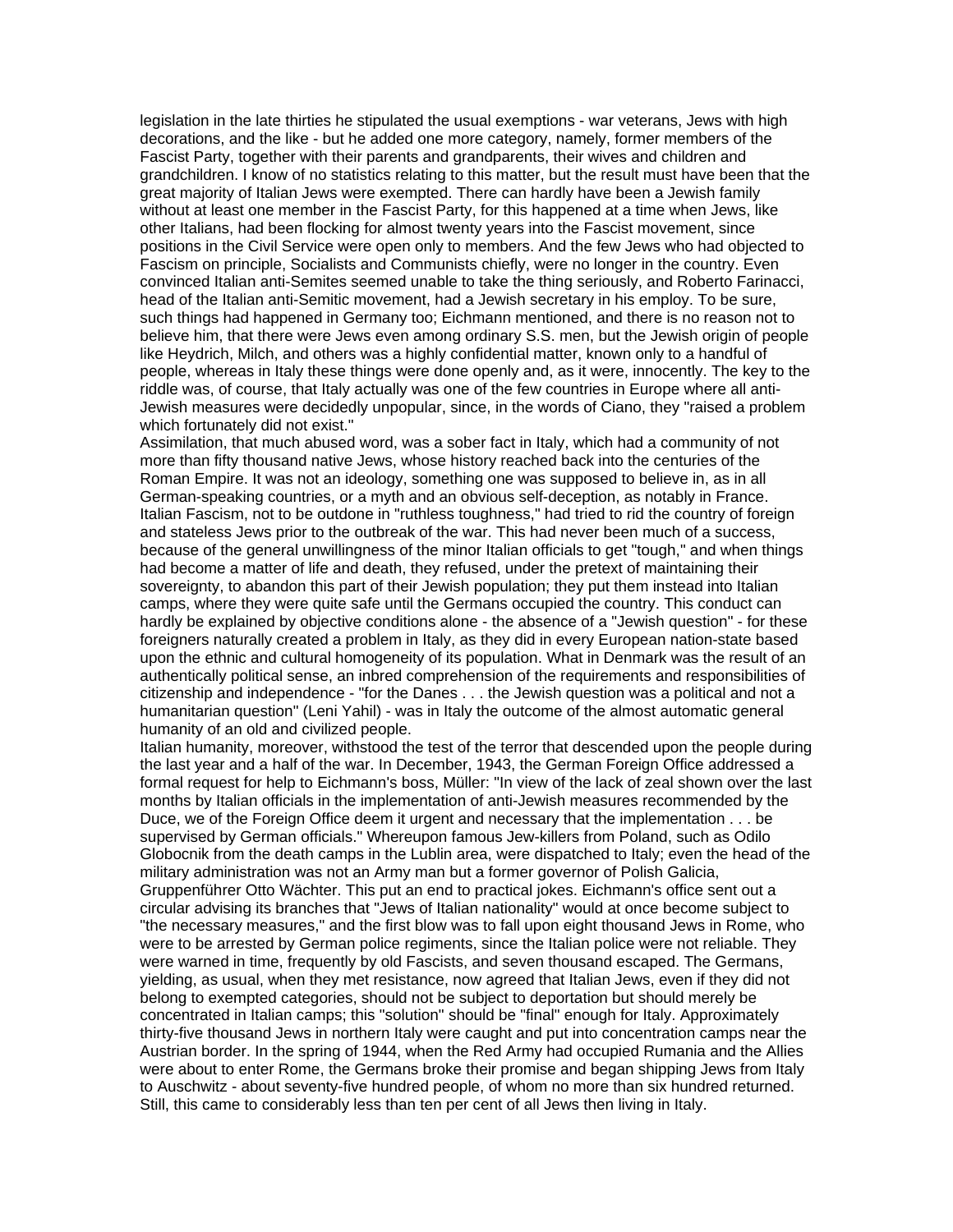legislation in the late thirties he stipulated the usual exemptions - war veterans, Jews with high decorations, and the like - but he added one more category, namely, former members of the Fascist Party, together with their parents and grandparents, their wives and children and grandchildren. I know of no statistics relating to this matter, but the result must have been that the great majority of Italian Jews were exempted. There can hardly have been a Jewish family without at least one member in the Fascist Party, for this happened at a time when Jews, like other Italians, had been flocking for almost twenty years into the Fascist movement, since positions in the Civil Service were open only to members. And the few Jews who had objected to Fascism on principle, Socialists and Communists chiefly, were no longer in the country. Even convinced Italian anti-Semites seemed unable to take the thing seriously, and Roberto Farinacci, head of the Italian anti-Semitic movement, had a Jewish secretary in his employ. To be sure, such things had happened in Germany too; Eichmann mentioned, and there is no reason not to believe him, that there were Jews even among ordinary S.S. men, but the Jewish origin of people like Heydrich, Milch, and others was a highly confidential matter, known only to a handful of people, whereas in Italy these things were done openly and, as it were, innocently. The key to the riddle was, of course, that Italy actually was one of the few countries in Europe where all anti-Jewish measures were decidedly unpopular, since, in the words of Ciano, they "raised a problem which fortunately did not exist."

Assimilation, that much abused word, was a sober fact in Italy, which had a community of not more than fifty thousand native Jews, whose history reached back into the centuries of the Roman Empire. It was not an ideology, something one was supposed to believe in, as in all German-speaking countries, or a myth and an obvious self-deception, as notably in France. Italian Fascism, not to be outdone in "ruthless toughness," had tried to rid the country of foreign and stateless Jews prior to the outbreak of the war. This had never been much of a success, because of the general unwillingness of the minor Italian officials to get "tough," and when things had become a matter of life and death, they refused, under the pretext of maintaining their sovereignty, to abandon this part of their Jewish population; they put them instead into Italian camps, where they were quite safe until the Germans occupied the country. This conduct can hardly be explained by objective conditions alone - the absence of a "Jewish question" - for these foreigners naturally created a problem in Italy, as they did in every European nation-state based upon the ethnic and cultural homogeneity of its population. What in Denmark was the result of an authentically political sense, an inbred comprehension of the requirements and responsibilities of citizenship and independence - "for the Danes . . . the Jewish question was a political and not a humanitarian question" (Leni Yahil) - was in Italy the outcome of the almost automatic general humanity of an old and civilized people.

Italian humanity, moreover, withstood the test of the terror that descended upon the people during the last year and a half of the war. In December, 1943, the German Foreign Office addressed a formal request for help to Eichmann's boss, Müller: "In view of the lack of zeal shown over the last months by Italian officials in the implementation of anti-Jewish measures recommended by the Duce, we of the Foreign Office deem it urgent and necessary that the implementation . . . be supervised by German officials." Whereupon famous Jew-killers from Poland, such as Odilo Globocnik from the death camps in the Lublin area, were dispatched to Italy; even the head of the military administration was not an Army man but a former governor of Polish Galicia, Gruppenführer Otto Wächter. This put an end to practical jokes. Eichmann's office sent out a circular advising its branches that "Jews of Italian nationality" would at once become subject to "the necessary measures," and the first blow was to fall upon eight thousand Jews in Rome, who were to be arrested by German police regiments, since the Italian police were not reliable. They were warned in time, frequently by old Fascists, and seven thousand escaped. The Germans, yielding, as usual, when they met resistance, now agreed that Italian Jews, even if they did not belong to exempted categories, should not be subject to deportation but should merely be concentrated in Italian camps; this "solution" should be "final" enough for Italy. Approximately thirty-five thousand Jews in northern Italy were caught and put into concentration camps near the Austrian border. In the spring of 1944, when the Red Army had occupied Rumania and the Allies were about to enter Rome, the Germans broke their promise and began shipping Jews from Italy to Auschwitz - about seventy-five hundred people, of whom no more than six hundred returned. Still, this came to considerably less than ten per cent of all Jews then living in Italy.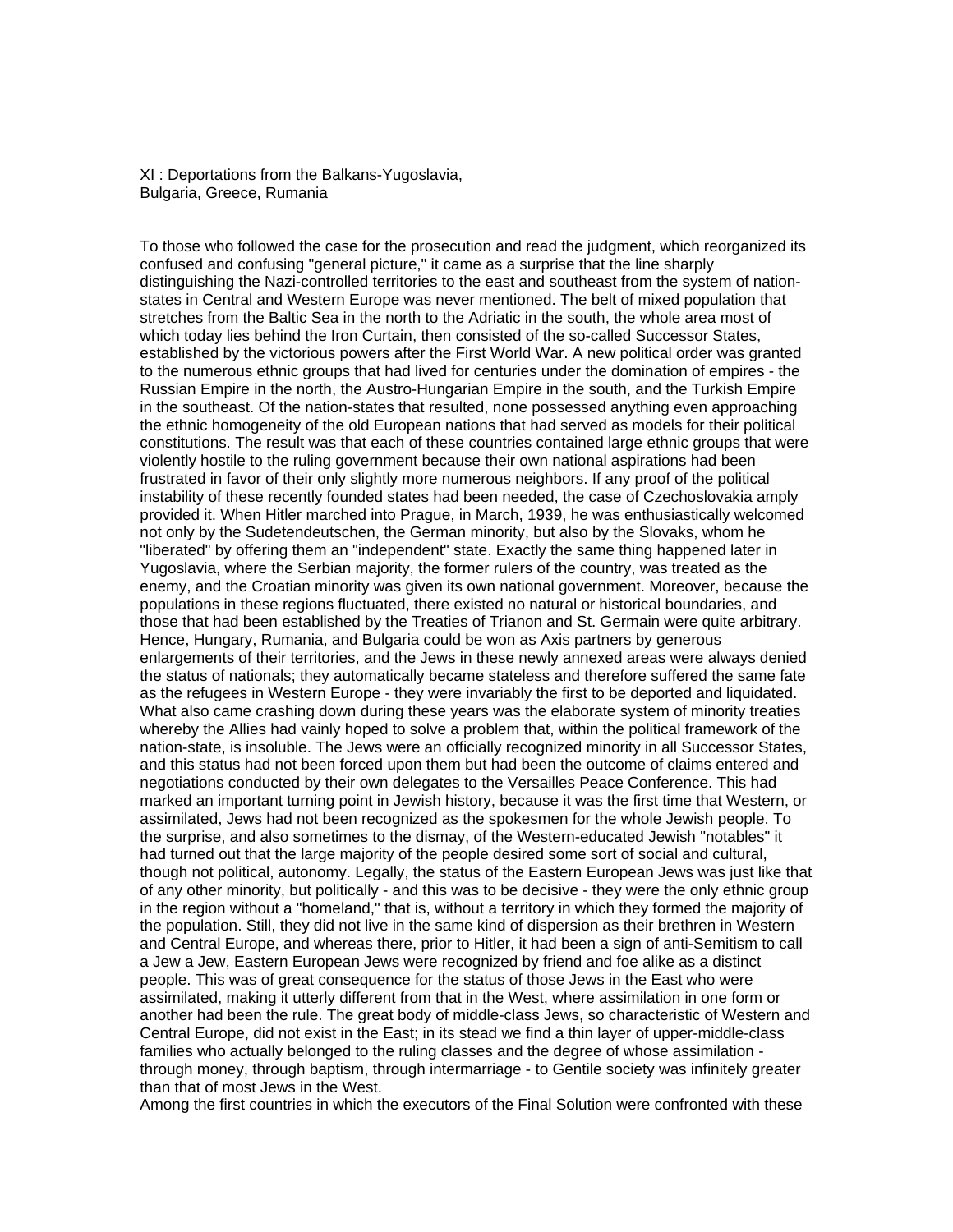XI : Deportations from the Balkans-Yugoslavia, Bulgaria, Greece, Rumania

To those who followed the case for the prosecution and read the judgment, which reorganized its confused and confusing "general picture," it came as a surprise that the line sharply distinguishing the Nazi-controlled territories to the east and southeast from the system of nationstates in Central and Western Europe was never mentioned. The belt of mixed population that stretches from the Baltic Sea in the north to the Adriatic in the south, the whole area most of which today lies behind the Iron Curtain, then consisted of the so-called Successor States, established by the victorious powers after the First World War. A new political order was granted to the numerous ethnic groups that had lived for centuries under the domination of empires - the Russian Empire in the north, the Austro-Hungarian Empire in the south, and the Turkish Empire in the southeast. Of the nation-states that resulted, none possessed anything even approaching the ethnic homogeneity of the old European nations that had served as models for their political constitutions. The result was that each of these countries contained large ethnic groups that were violently hostile to the ruling government because their own national aspirations had been frustrated in favor of their only slightly more numerous neighbors. If any proof of the political instability of these recently founded states had been needed, the case of Czechoslovakia amply provided it. When Hitler marched into Prague, in March, 1939, he was enthusiastically welcomed not only by the Sudetendeutschen, the German minority, but also by the Slovaks, whom he "liberated" by offering them an "independent" state. Exactly the same thing happened later in Yugoslavia, where the Serbian majority, the former rulers of the country, was treated as the enemy, and the Croatian minority was given its own national government. Moreover, because the populations in these regions fluctuated, there existed no natural or historical boundaries, and those that had been established by the Treaties of Trianon and St. Germain were quite arbitrary. Hence, Hungary, Rumania, and Bulgaria could be won as Axis partners by generous enlargements of their territories, and the Jews in these newly annexed areas were always denied the status of nationals; they automatically became stateless and therefore suffered the same fate as the refugees in Western Europe - they were invariably the first to be deported and liquidated. What also came crashing down during these years was the elaborate system of minority treaties whereby the Allies had vainly hoped to solve a problem that, within the political framework of the nation-state, is insoluble. The Jews were an officially recognized minority in all Successor States, and this status had not been forced upon them but had been the outcome of claims entered and negotiations conducted by their own delegates to the Versailles Peace Conference. This had marked an important turning point in Jewish history, because it was the first time that Western, or assimilated, Jews had not been recognized as the spokesmen for the whole Jewish people. To the surprise, and also sometimes to the dismay, of the Western-educated Jewish "notables" it had turned out that the large majority of the people desired some sort of social and cultural, though not political, autonomy. Legally, the status of the Eastern European Jews was just like that of any other minority, but politically - and this was to be decisive - they were the only ethnic group in the region without a "homeland," that is, without a territory in which they formed the majority of the population. Still, they did not live in the same kind of dispersion as their brethren in Western and Central Europe, and whereas there, prior to Hitler, it had been a sign of anti-Semitism to call a Jew a Jew, Eastern European Jews were recognized by friend and foe alike as a distinct people. This was of great consequence for the status of those Jews in the East who were assimilated, making it utterly different from that in the West, where assimilation in one form or another had been the rule. The great body of middle-class Jews, so characteristic of Western and Central Europe, did not exist in the East; in its stead we find a thin layer of upper-middle-class families who actually belonged to the ruling classes and the degree of whose assimilation through money, through baptism, through intermarriage - to Gentile society was infinitely greater than that of most Jews in the West.

Among the first countries in which the executors of the Final Solution were confronted with these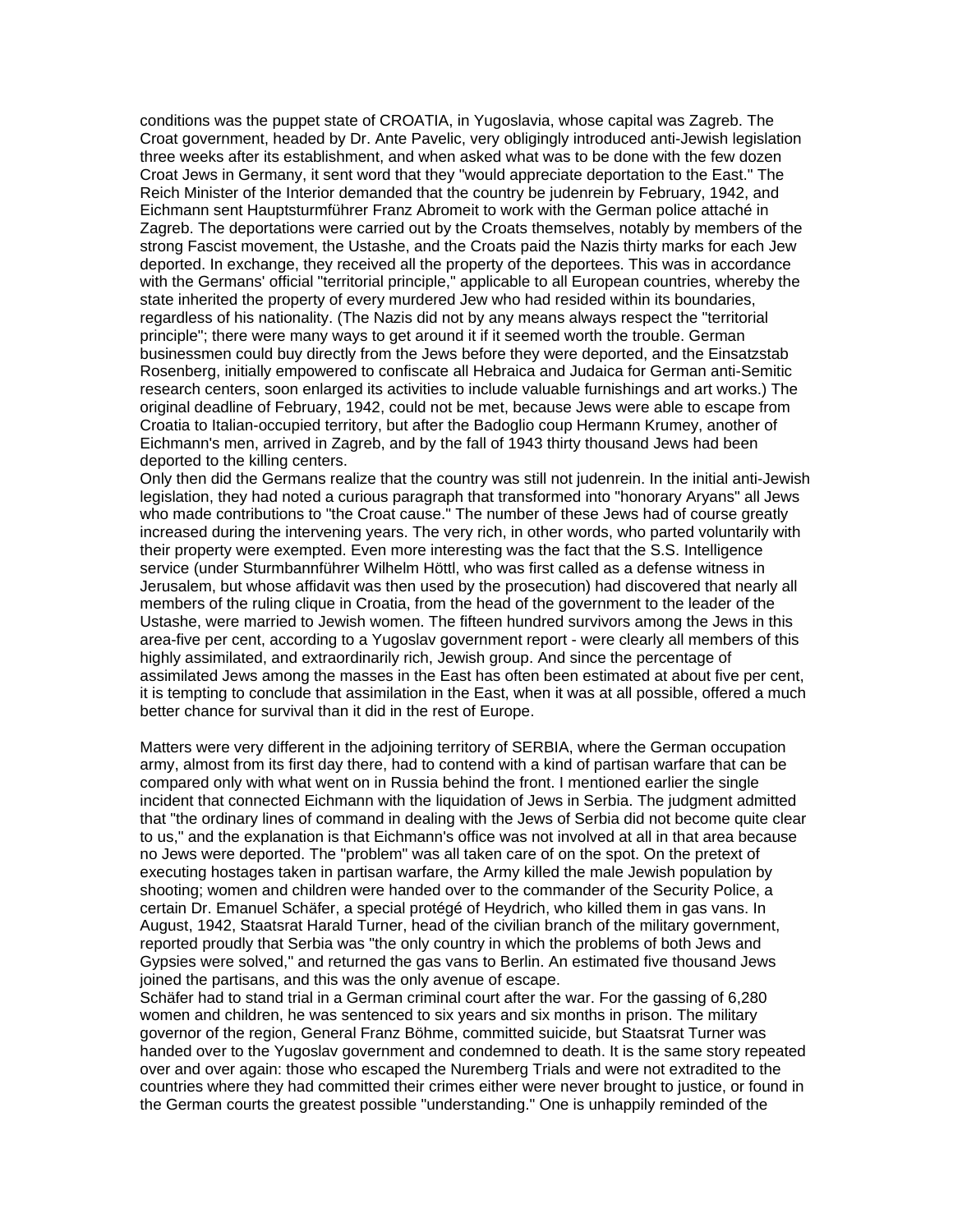conditions was the puppet state of CROATIA, in Yugoslavia, whose capital was Zagreb. The Croat government, headed by Dr. Ante Pavelic, very obligingly introduced anti-Jewish legislation three weeks after its establishment, and when asked what was to be done with the few dozen Croat Jews in Germany, it sent word that they "would appreciate deportation to the East." The Reich Minister of the Interior demanded that the country be judenrein by February, 1942, and Eichmann sent Hauptsturmführer Franz Abromeit to work with the German police attaché in Zagreb. The deportations were carried out by the Croats themselves, notably by members of the strong Fascist movement, the Ustashe, and the Croats paid the Nazis thirty marks for each Jew deported. In exchange, they received all the property of the deportees. This was in accordance with the Germans' official "territorial principle," applicable to all European countries, whereby the state inherited the property of every murdered Jew who had resided within its boundaries, regardless of his nationality. (The Nazis did not by any means always respect the "territorial principle"; there were many ways to get around it if it seemed worth the trouble. German businessmen could buy directly from the Jews before they were deported, and the Einsatzstab Rosenberg, initially empowered to confiscate all Hebraica and Judaica for German anti-Semitic research centers, soon enlarged its activities to include valuable furnishings and art works.) The original deadline of February, 1942, could not be met, because Jews were able to escape from Croatia to Italian-occupied territory, but after the Badoglio coup Hermann Krumey, another of Eichmann's men, arrived in Zagreb, and by the fall of 1943 thirty thousand Jews had been deported to the killing centers.

Only then did the Germans realize that the country was still not judenrein. In the initial anti-Jewish legislation, they had noted a curious paragraph that transformed into "honorary Aryans" all Jews who made contributions to "the Croat cause." The number of these Jews had of course greatly increased during the intervening years. The very rich, in other words, who parted voluntarily with their property were exempted. Even more interesting was the fact that the S.S. Intelligence service (under Sturmbannführer Wilhelm Höttl, who was first called as a defense witness in Jerusalem, but whose affidavit was then used by the prosecution) had discovered that nearly all members of the ruling clique in Croatia, from the head of the government to the leader of the Ustashe, were married to Jewish women. The fifteen hundred survivors among the Jews in this area-five per cent, according to a Yugoslav government report - were clearly all members of this highly assimilated, and extraordinarily rich, Jewish group. And since the percentage of assimilated Jews among the masses in the East has often been estimated at about five per cent, it is tempting to conclude that assimilation in the East, when it was at all possible, offered a much better chance for survival than it did in the rest of Europe.

Matters were very different in the adjoining territory of SERBIA, where the German occupation army, almost from its first day there, had to contend with a kind of partisan warfare that can be compared only with what went on in Russia behind the front. I mentioned earlier the single incident that connected Eichmann with the liquidation of Jews in Serbia. The judgment admitted that "the ordinary lines of command in dealing with the Jews of Serbia did not become quite clear to us," and the explanation is that Eichmann's office was not involved at all in that area because no Jews were deported. The "problem" was all taken care of on the spot. On the pretext of executing hostages taken in partisan warfare, the Army killed the male Jewish population by shooting; women and children were handed over to the commander of the Security Police, a certain Dr. Emanuel Schäfer, a special protégé of Heydrich, who killed them in gas vans. In August, 1942, Staatsrat Harald Turner, head of the civilian branch of the military government, reported proudly that Serbia was "the only country in which the problems of both Jews and Gypsies were solved," and returned the gas vans to Berlin. An estimated five thousand Jews joined the partisans, and this was the only avenue of escape.

Schäfer had to stand trial in a German criminal court after the war. For the gassing of 6,280 women and children, he was sentenced to six years and six months in prison. The military governor of the region, General Franz Böhme, committed suicide, but Staatsrat Turner was handed over to the Yugoslav government and condemned to death. It is the same story repeated over and over again: those who escaped the Nuremberg Trials and were not extradited to the countries where they had committed their crimes either were never brought to justice, or found in the German courts the greatest possible "understanding." One is unhappily reminded of the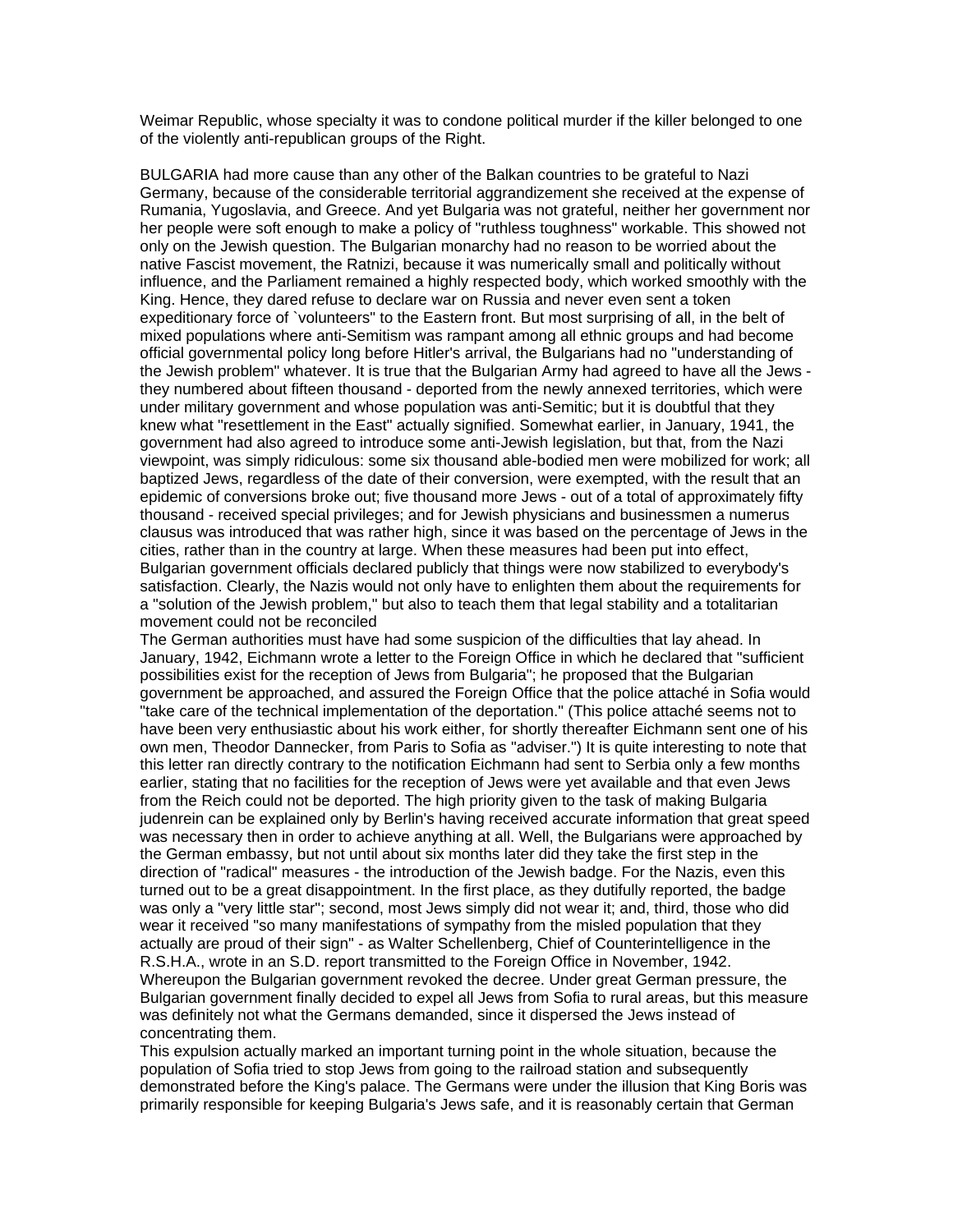Weimar Republic, whose specialty it was to condone political murder if the killer belonged to one of the violently anti-republican groups of the Right.

BULGARIA had more cause than any other of the Balkan countries to be grateful to Nazi Germany, because of the considerable territorial aggrandizement she received at the expense of Rumania, Yugoslavia, and Greece. And yet Bulgaria was not grateful, neither her government nor her people were soft enough to make a policy of "ruthless toughness" workable. This showed not only on the Jewish question. The Bulgarian monarchy had no reason to be worried about the native Fascist movement, the Ratnizi, because it was numerically small and politically without influence, and the Parliament remained a highly respected body, which worked smoothly with the King. Hence, they dared refuse to declare war on Russia and never even sent a token expeditionary force of `volunteers" to the Eastern front. But most surprising of all, in the belt of mixed populations where anti-Semitism was rampant among all ethnic groups and had become official governmental policy long before Hitler's arrival, the Bulgarians had no "understanding of the Jewish problem" whatever. It is true that the Bulgarian Army had agreed to have all the Jews they numbered about fifteen thousand - deported from the newly annexed territories, which were under military government and whose population was anti-Semitic; but it is doubtful that they knew what "resettlement in the East" actually signified. Somewhat earlier, in January, 1941, the government had also agreed to introduce some anti-Jewish legislation, but that, from the Nazi viewpoint, was simply ridiculous: some six thousand able-bodied men were mobilized for work; all baptized Jews, regardless of the date of their conversion, were exempted, with the result that an epidemic of conversions broke out; five thousand more Jews - out of a total of approximately fifty thousand - received special privileges; and for Jewish physicians and businessmen a numerus clausus was introduced that was rather high, since it was based on the percentage of Jews in the cities, rather than in the country at large. When these measures had been put into effect, Bulgarian government officials declared publicly that things were now stabilized to everybody's satisfaction. Clearly, the Nazis would not only have to enlighten them about the requirements for a "solution of the Jewish problem," but also to teach them that legal stability and a totalitarian movement could not be reconciled

The German authorities must have had some suspicion of the difficulties that lay ahead. In January, 1942, Eichmann wrote a letter to the Foreign Office in which he declared that "sufficient possibilities exist for the reception of Jews from Bulgaria"; he proposed that the Bulgarian government be approached, and assured the Foreign Office that the police attaché in Sofia would "take care of the technical implementation of the deportation." (This police attaché seems not to have been very enthusiastic about his work either, for shortly thereafter Eichmann sent one of his own men, Theodor Dannecker, from Paris to Sofia as "adviser.") It is quite interesting to note that this letter ran directly contrary to the notification Eichmann had sent to Serbia only a few months earlier, stating that no facilities for the reception of Jews were yet available and that even Jews from the Reich could not be deported. The high priority given to the task of making Bulgaria judenrein can be explained only by Berlin's having received accurate information that great speed was necessary then in order to achieve anything at all. Well, the Bulgarians were approached by the German embassy, but not until about six months later did they take the first step in the direction of "radical" measures - the introduction of the Jewish badge. For the Nazis, even this turned out to be a great disappointment. In the first place, as they dutifully reported, the badge was only a "very little star"; second, most Jews simply did not wear it; and, third, those who did wear it received "so many manifestations of sympathy from the misled population that they actually are proud of their sign" - as Walter Schellenberg, Chief of Counterintelligence in the R.S.H.A., wrote in an S.D. report transmitted to the Foreign Office in November, 1942. Whereupon the Bulgarian government revoked the decree. Under great German pressure, the Bulgarian government finally decided to expel all Jews from Sofia to rural areas, but this measure was definitely not what the Germans demanded, since it dispersed the Jews instead of concentrating them.

This expulsion actually marked an important turning point in the whole situation, because the population of Sofia tried to stop Jews from going to the railroad station and subsequently demonstrated before the King's palace. The Germans were under the illusion that King Boris was primarily responsible for keeping Bulgaria's Jews safe, and it is reasonably certain that German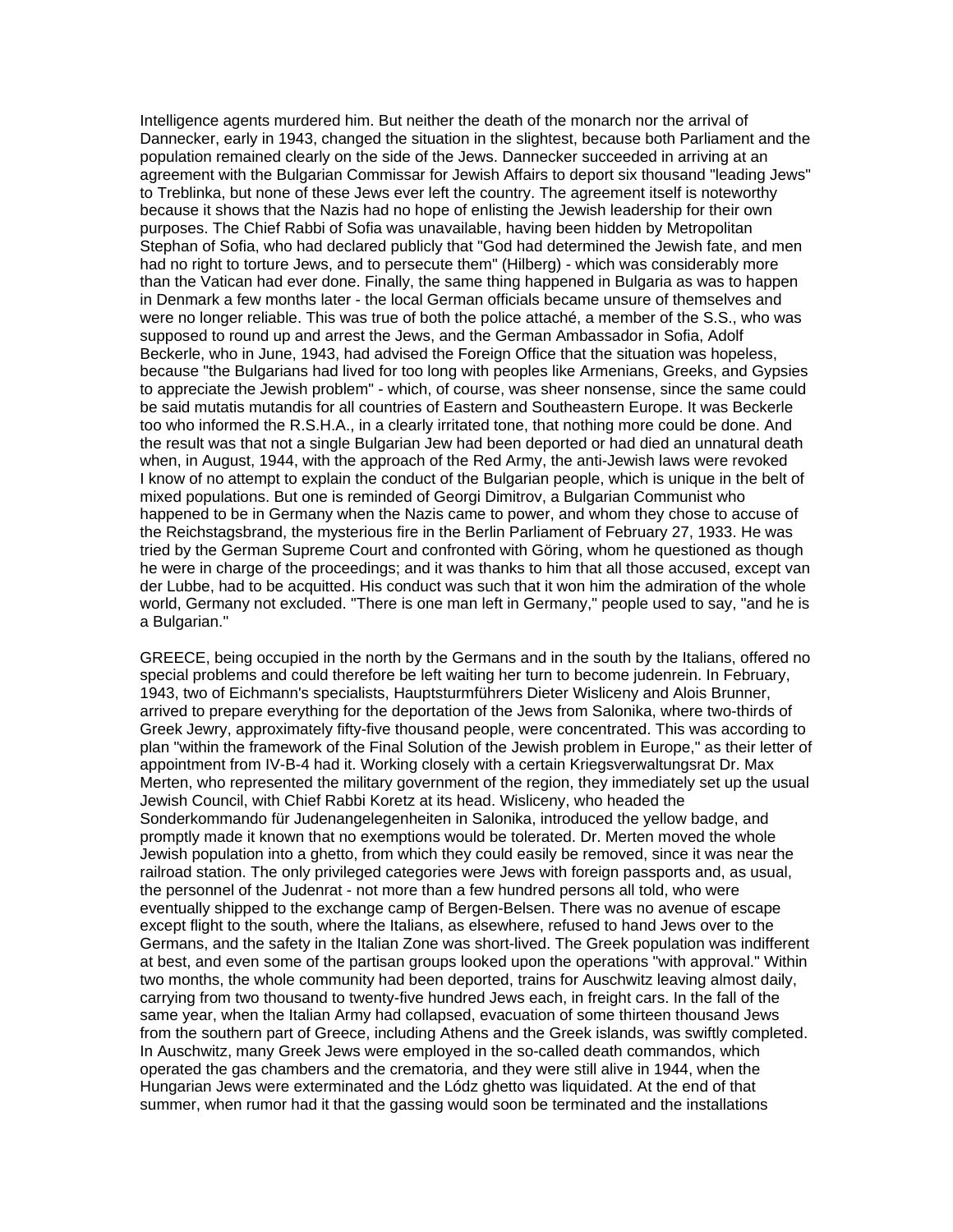Intelligence agents murdered him. But neither the death of the monarch nor the arrival of Dannecker, early in 1943, changed the situation in the slightest, because both Parliament and the population remained clearly on the side of the Jews. Dannecker succeeded in arriving at an agreement with the Bulgarian Commissar for Jewish Affairs to deport six thousand "leading Jews" to Treblinka, but none of these Jews ever left the country. The agreement itself is noteworthy because it shows that the Nazis had no hope of enlisting the Jewish leadership for their own purposes. The Chief Rabbi of Sofia was unavailable, having been hidden by Metropolitan Stephan of Sofia, who had declared publicly that "God had determined the Jewish fate, and men had no right to torture Jews, and to persecute them" (Hilberg) - which was considerably more than the Vatican had ever done. Finally, the same thing happened in Bulgaria as was to happen in Denmark a few months later - the local German officials became unsure of themselves and were no longer reliable. This was true of both the police attaché, a member of the S.S., who was supposed to round up and arrest the Jews, and the German Ambassador in Sofia, Adolf Beckerle, who in June, 1943, had advised the Foreign Office that the situation was hopeless, because "the Bulgarians had lived for too long with peoples like Armenians, Greeks, and Gypsies to appreciate the Jewish problem" - which, of course, was sheer nonsense, since the same could be said mutatis mutandis for all countries of Eastern and Southeastern Europe. It was Beckerle too who informed the R.S.H.A., in a clearly irritated tone, that nothing more could be done. And the result was that not a single Bulgarian Jew had been deported or had died an unnatural death when, in August, 1944, with the approach of the Red Army, the anti-Jewish laws were revoked I know of no attempt to explain the conduct of the Bulgarian people, which is unique in the belt of mixed populations. But one is reminded of Georgi Dimitrov, a Bulgarian Communist who happened to be in Germany when the Nazis came to power, and whom they chose to accuse of the Reichstagsbrand, the mysterious fire in the Berlin Parliament of February 27, 1933. He was tried by the German Supreme Court and confronted with Göring, whom he questioned as though he were in charge of the proceedings; and it was thanks to him that all those accused, except van der Lubbe, had to be acquitted. His conduct was such that it won him the admiration of the whole world, Germany not excluded. "There is one man left in Germany," people used to say, "and he is a Bulgarian."

GREECE, being occupied in the north by the Germans and in the south by the Italians, offered no special problems and could therefore be left waiting her turn to become judenrein. In February, 1943, two of Eichmann's specialists, Hauptsturmführers Dieter Wisliceny and Alois Brunner, arrived to prepare everything for the deportation of the Jews from Salonika, where two-thirds of Greek Jewry, approximately fifty-five thousand people, were concentrated. This was according to plan "within the framework of the Final Solution of the Jewish problem in Europe," as their letter of appointment from IV-B-4 had it. Working closely with a certain Kriegsverwaltungsrat Dr. Max Merten, who represented the military government of the region, they immediately set up the usual Jewish Council, with Chief Rabbi Koretz at its head. Wisliceny, who headed the Sonderkommando für Judenangelegenheiten in Salonika, introduced the yellow badge, and promptly made it known that no exemptions would be tolerated. Dr. Merten moved the whole Jewish population into a ghetto, from which they could easily be removed, since it was near the railroad station. The only privileged categories were Jews with foreign passports and, as usual, the personnel of the Judenrat - not more than a few hundred persons all told, who were eventually shipped to the exchange camp of Bergen-Belsen. There was no avenue of escape except flight to the south, where the Italians, as elsewhere, refused to hand Jews over to the Germans, and the safety in the Italian Zone was short-lived. The Greek population was indifferent at best, and even some of the partisan groups looked upon the operations "with approval." Within two months, the whole community had been deported, trains for Auschwitz leaving almost daily, carrying from two thousand to twenty-five hundred Jews each, in freight cars. In the fall of the same year, when the Italian Army had collapsed, evacuation of some thirteen thousand Jews from the southern part of Greece, including Athens and the Greek islands, was swiftly completed. In Auschwitz, many Greek Jews were employed in the so-called death commandos, which operated the gas chambers and the crematoria, and they were still alive in 1944, when the Hungarian Jews were exterminated and the Lódz ghetto was liquidated. At the end of that summer, when rumor had it that the gassing would soon be terminated and the installations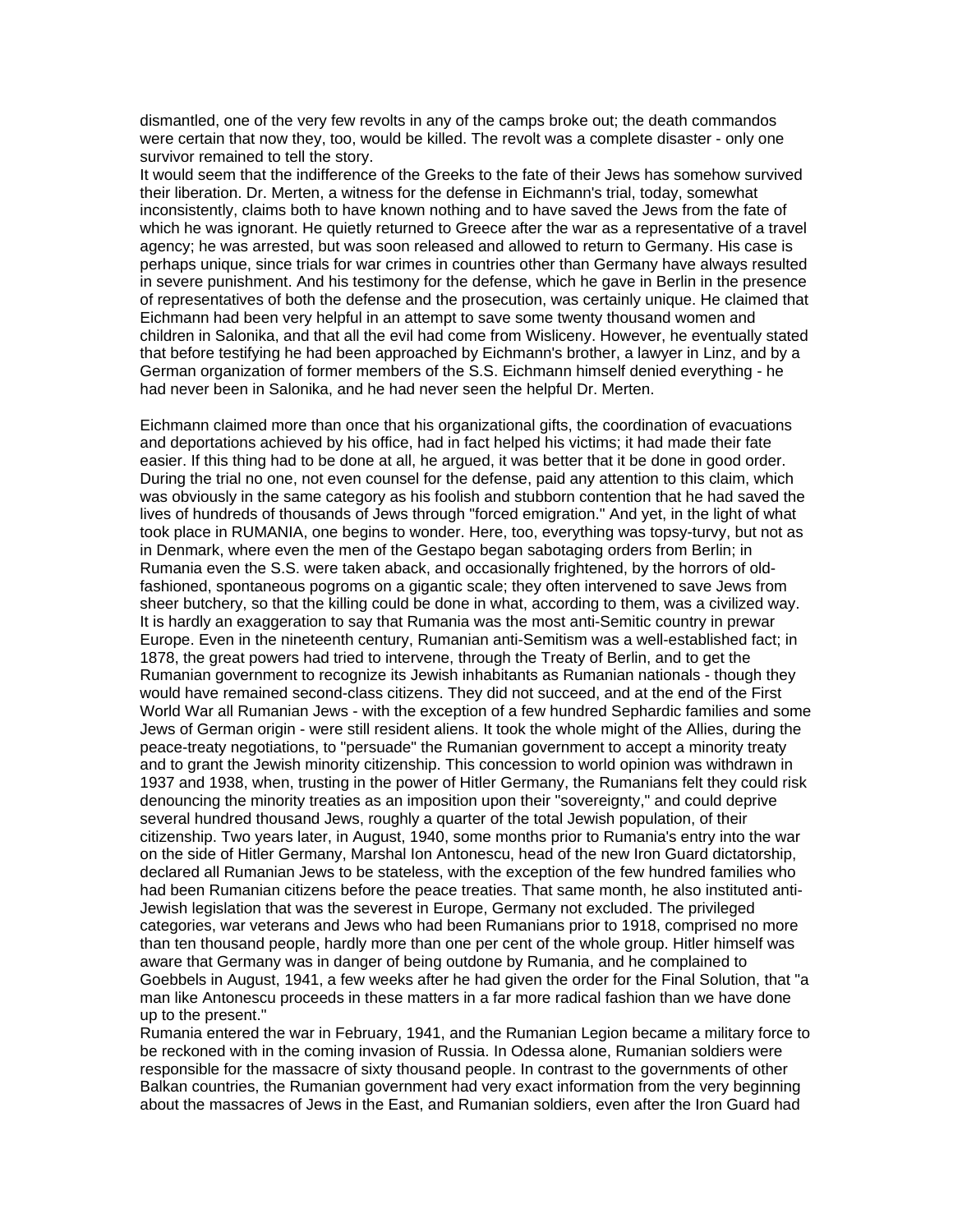dismantled, one of the very few revolts in any of the camps broke out; the death commandos were certain that now they, too, would be killed. The revolt was a complete disaster - only one survivor remained to tell the story.

It would seem that the indifference of the Greeks to the fate of their Jews has somehow survived their liberation. Dr. Merten, a witness for the defense in Eichmann's trial, today, somewhat inconsistently, claims both to have known nothing and to have saved the Jews from the fate of which he was ignorant. He quietly returned to Greece after the war as a representative of a travel agency; he was arrested, but was soon released and allowed to return to Germany. His case is perhaps unique, since trials for war crimes in countries other than Germany have always resulted in severe punishment. And his testimony for the defense, which he gave in Berlin in the presence of representatives of both the defense and the prosecution, was certainly unique. He claimed that Eichmann had been very helpful in an attempt to save some twenty thousand women and children in Salonika, and that all the evil had come from Wisliceny. However, he eventually stated that before testifying he had been approached by Eichmann's brother, a lawyer in Linz, and by a German organization of former members of the S.S. Eichmann himself denied everything - he had never been in Salonika, and he had never seen the helpful Dr. Merten.

Eichmann claimed more than once that his organizational gifts, the coordination of evacuations and deportations achieved by his office, had in fact helped his victims; it had made their fate easier. If this thing had to be done at all, he argued, it was better that it be done in good order. During the trial no one, not even counsel for the defense, paid any attention to this claim, which was obviously in the same category as his foolish and stubborn contention that he had saved the lives of hundreds of thousands of Jews through "forced emigration." And yet, in the light of what took place in RUMANIA, one begins to wonder. Here, too, everything was topsy-turvy, but not as in Denmark, where even the men of the Gestapo began sabotaging orders from Berlin; in Rumania even the S.S. were taken aback, and occasionally frightened, by the horrors of oldfashioned, spontaneous pogroms on a gigantic scale; they often intervened to save Jews from sheer butchery, so that the killing could be done in what, according to them, was a civilized way. It is hardly an exaggeration to say that Rumania was the most anti-Semitic country in prewar Europe. Even in the nineteenth century, Rumanian anti-Semitism was a well-established fact; in 1878, the great powers had tried to intervene, through the Treaty of Berlin, and to get the Rumanian government to recognize its Jewish inhabitants as Rumanian nationals - though they would have remained second-class citizens. They did not succeed, and at the end of the First World War all Rumanian Jews - with the exception of a few hundred Sephardic families and some Jews of German origin - were still resident aliens. It took the whole might of the Allies, during the peace-treaty negotiations, to "persuade" the Rumanian government to accept a minority treaty and to grant the Jewish minority citizenship. This concession to world opinion was withdrawn in 1937 and 1938, when, trusting in the power of Hitler Germany, the Rumanians felt they could risk denouncing the minority treaties as an imposition upon their "sovereignty," and could deprive several hundred thousand Jews, roughly a quarter of the total Jewish population, of their citizenship. Two years later, in August, 1940, some months prior to Rumania's entry into the war on the side of Hitler Germany, Marshal Ion Antonescu, head of the new Iron Guard dictatorship, declared all Rumanian Jews to be stateless, with the exception of the few hundred families who had been Rumanian citizens before the peace treaties. That same month, he also instituted anti-Jewish legislation that was the severest in Europe, Germany not excluded. The privileged categories, war veterans and Jews who had been Rumanians prior to 1918, comprised no more than ten thousand people, hardly more than one per cent of the whole group. Hitler himself was aware that Germany was in danger of being outdone by Rumania, and he complained to Goebbels in August, 1941, a few weeks after he had given the order for the Final Solution, that "a man like Antonescu proceeds in these matters in a far more radical fashion than we have done up to the present."

Rumania entered the war in February, 1941, and the Rumanian Legion became a military force to be reckoned with in the coming invasion of Russia. In Odessa alone, Rumanian soldiers were responsible for the massacre of sixty thousand people. In contrast to the governments of other Balkan countries, the Rumanian government had very exact information from the very beginning about the massacres of Jews in the East, and Rumanian soldiers, even after the Iron Guard had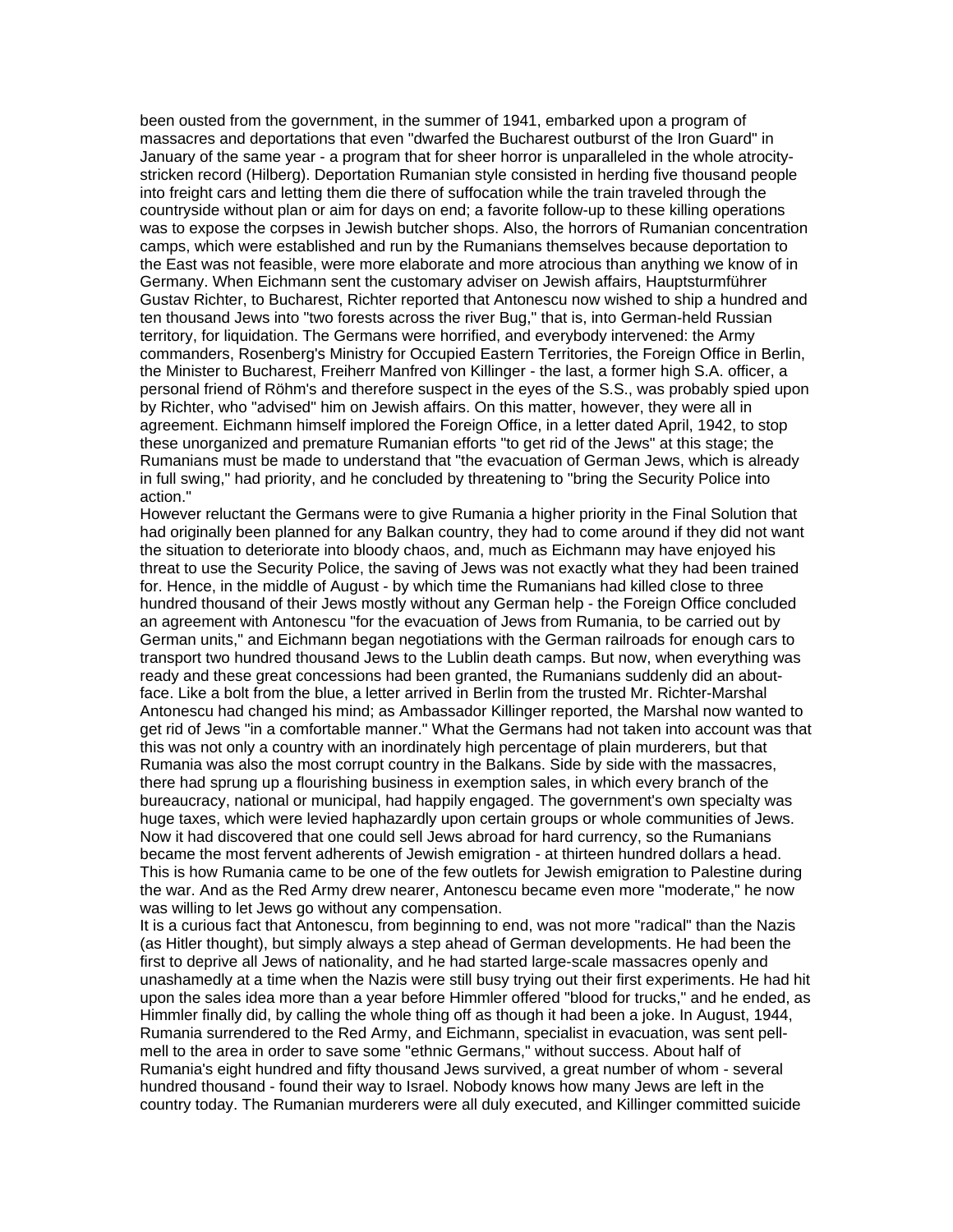been ousted from the government, in the summer of 1941, embarked upon a program of massacres and deportations that even "dwarfed the Bucharest outburst of the Iron Guard" in January of the same year - a program that for sheer horror is unparalleled in the whole atrocitystricken record (Hilberg). Deportation Rumanian style consisted in herding five thousand people into freight cars and letting them die there of suffocation while the train traveled through the countryside without plan or aim for days on end; a favorite follow-up to these killing operations was to expose the corpses in Jewish butcher shops. Also, the horrors of Rumanian concentration camps, which were established and run by the Rumanians themselves because deportation to the East was not feasible, were more elaborate and more atrocious than anything we know of in Germany. When Eichmann sent the customary adviser on Jewish affairs, Hauptsturmführer Gustav Richter, to Bucharest, Richter reported that Antonescu now wished to ship a hundred and ten thousand Jews into "two forests across the river Bug," that is, into German-held Russian territory, for liquidation. The Germans were horrified, and everybody intervened: the Army commanders, Rosenberg's Ministry for Occupied Eastern Territories, the Foreign Office in Berlin, the Minister to Bucharest, Freiherr Manfred von Killinger - the last, a former high S.A. officer, a personal friend of Röhm's and therefore suspect in the eyes of the S.S., was probably spied upon by Richter, who "advised" him on Jewish affairs. On this matter, however, they were all in agreement. Eichmann himself implored the Foreign Office, in a letter dated April, 1942, to stop these unorganized and premature Rumanian efforts "to get rid of the Jews" at this stage; the Rumanians must be made to understand that "the evacuation of German Jews, which is already in full swing," had priority, and he concluded by threatening to "bring the Security Police into action."

However reluctant the Germans were to give Rumania a higher priority in the Final Solution that had originally been planned for any Balkan country, they had to come around if they did not want the situation to deteriorate into bloody chaos, and, much as Eichmann may have enjoyed his threat to use the Security Police, the saving of Jews was not exactly what they had been trained for. Hence, in the middle of August - by which time the Rumanians had killed close to three hundred thousand of their Jews mostly without any German help - the Foreign Office concluded an agreement with Antonescu "for the evacuation of Jews from Rumania, to be carried out by German units," and Eichmann began negotiations with the German railroads for enough cars to transport two hundred thousand Jews to the Lublin death camps. But now, when everything was ready and these great concessions had been granted, the Rumanians suddenly did an aboutface. Like a bolt from the blue, a letter arrived in Berlin from the trusted Mr. Richter-Marshal Antonescu had changed his mind; as Ambassador Killinger reported, the Marshal now wanted to get rid of Jews "in a comfortable manner." What the Germans had not taken into account was that this was not only a country with an inordinately high percentage of plain murderers, but that Rumania was also the most corrupt country in the Balkans. Side by side with the massacres, there had sprung up a flourishing business in exemption sales, in which every branch of the bureaucracy, national or municipal, had happily engaged. The government's own specialty was huge taxes, which were levied haphazardly upon certain groups or whole communities of Jews. Now it had discovered that one could sell Jews abroad for hard currency, so the Rumanians became the most fervent adherents of Jewish emigration - at thirteen hundred dollars a head. This is how Rumania came to be one of the few outlets for Jewish emigration to Palestine during the war. And as the Red Army drew nearer, Antonescu became even more "moderate," he now was willing to let Jews go without any compensation.

It is a curious fact that Antonescu, from beginning to end, was not more "radical" than the Nazis (as Hitler thought), but simply always a step ahead of German developments. He had been the first to deprive all Jews of nationality, and he had started large-scale massacres openly and unashamedly at a time when the Nazis were still busy trying out their first experiments. He had hit upon the sales idea more than a year before Himmler offered "blood for trucks," and he ended, as Himmler finally did, by calling the whole thing off as though it had been a joke. In August, 1944, Rumania surrendered to the Red Army, and Eichmann, specialist in evacuation, was sent pellmell to the area in order to save some "ethnic Germans," without success. About half of Rumania's eight hundred and fifty thousand Jews survived, a great number of whom - several hundred thousand - found their way to Israel. Nobody knows how many Jews are left in the country today. The Rumanian murderers were all duly executed, and Killinger committed suicide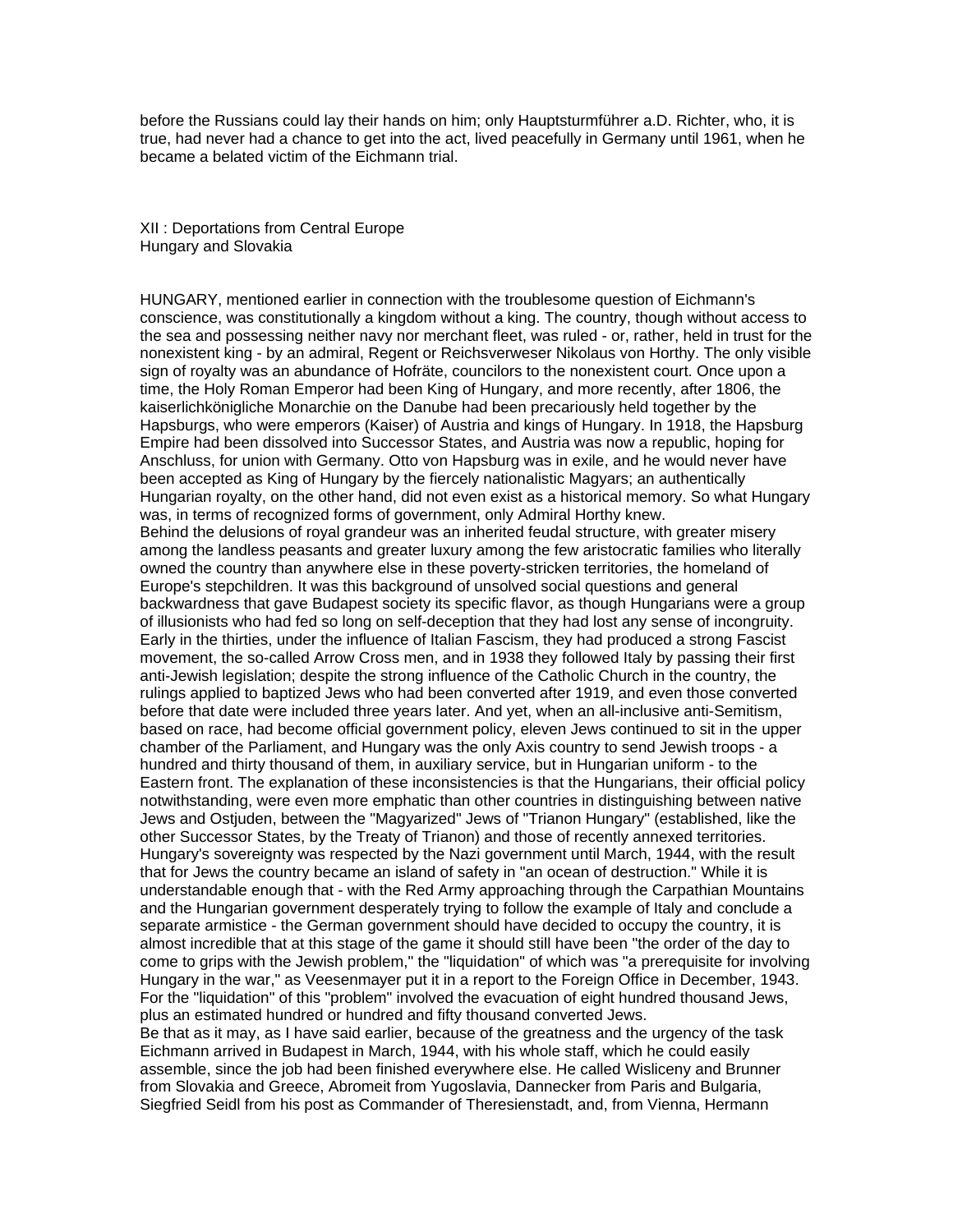before the Russians could lay their hands on him; only Hauptsturmführer a.D. Richter, who, it is true, had never had a chance to get into the act, lived peacefully in Germany until 1961, when he became a belated victim of the Eichmann trial.

XII : Deportations from Central Europe Hungary and Slovakia

HUNGARY, mentioned earlier in connection with the troublesome question of Eichmann's conscience, was constitutionally a kingdom without a king. The country, though without access to the sea and possessing neither navy nor merchant fleet, was ruled - or, rather, held in trust for the nonexistent king - by an admiral, Regent or Reichsverweser Nikolaus von Horthy. The only visible sign of royalty was an abundance of Hofräte, councilors to the nonexistent court. Once upon a time, the Holy Roman Emperor had been King of Hungary, and more recently, after 1806, the kaiserlichkönigliche Monarchie on the Danube had been precariously held together by the Hapsburgs, who were emperors (Kaiser) of Austria and kings of Hungary. In 1918, the Hapsburg Empire had been dissolved into Successor States, and Austria was now a republic, hoping for Anschluss, for union with Germany. Otto von Hapsburg was in exile, and he would never have been accepted as King of Hungary by the fiercely nationalistic Magyars; an authentically Hungarian royalty, on the other hand, did not even exist as a historical memory. So what Hungary was, in terms of recognized forms of government, only Admiral Horthy knew. Behind the delusions of royal grandeur was an inherited feudal structure, with greater misery among the landless peasants and greater luxury among the few aristocratic families who literally owned the country than anywhere else in these poverty-stricken territories, the homeland of Europe's stepchildren. It was this background of unsolved social questions and general backwardness that gave Budapest society its specific flavor, as though Hungarians were a group of illusionists who had fed so long on self-deception that they had lost any sense of incongruity. Early in the thirties, under the influence of Italian Fascism, they had produced a strong Fascist movement, the so-called Arrow Cross men, and in 1938 they followed Italy by passing their first anti-Jewish legislation; despite the strong influence of the Catholic Church in the country, the rulings applied to baptized Jews who had been converted after 1919, and even those converted before that date were included three years later. And yet, when an all-inclusive anti-Semitism, based on race, had become official government policy, eleven Jews continued to sit in the upper chamber of the Parliament, and Hungary was the only Axis country to send Jewish troops - a hundred and thirty thousand of them, in auxiliary service, but in Hungarian uniform - to the Eastern front. The explanation of these inconsistencies is that the Hungarians, their official policy notwithstanding, were even more emphatic than other countries in distinguishing between native Jews and Ostjuden, between the "Magyarized" Jews of "Trianon Hungary" (established, like the other Successor States, by the Treaty of Trianon) and those of recently annexed territories. Hungary's sovereignty was respected by the Nazi government until March, 1944, with the result that for Jews the country became an island of safety in "an ocean of destruction." While it is understandable enough that - with the Red Army approaching through the Carpathian Mountains and the Hungarian government desperately trying to follow the example of Italy and conclude a separate armistice - the German government should have decided to occupy the country, it is almost incredible that at this stage of the game it should still have been "the order of the day to come to grips with the Jewish problem," the "liquidation" of which was "a prerequisite for involving Hungary in the war," as Veesenmayer put it in a report to the Foreign Office in December, 1943. For the "liquidation" of this "problem" involved the evacuation of eight hundred thousand Jews, plus an estimated hundred or hundred and fifty thousand converted Jews.

Be that as it may, as I have said earlier, because of the greatness and the urgency of the task Eichmann arrived in Budapest in March, 1944, with his whole staff, which he could easily assemble, since the job had been finished everywhere else. He called Wisliceny and Brunner from Slovakia and Greece, Abromeit from Yugoslavia, Dannecker from Paris and Bulgaria, Siegfried Seidl from his post as Commander of Theresienstadt, and, from Vienna, Hermann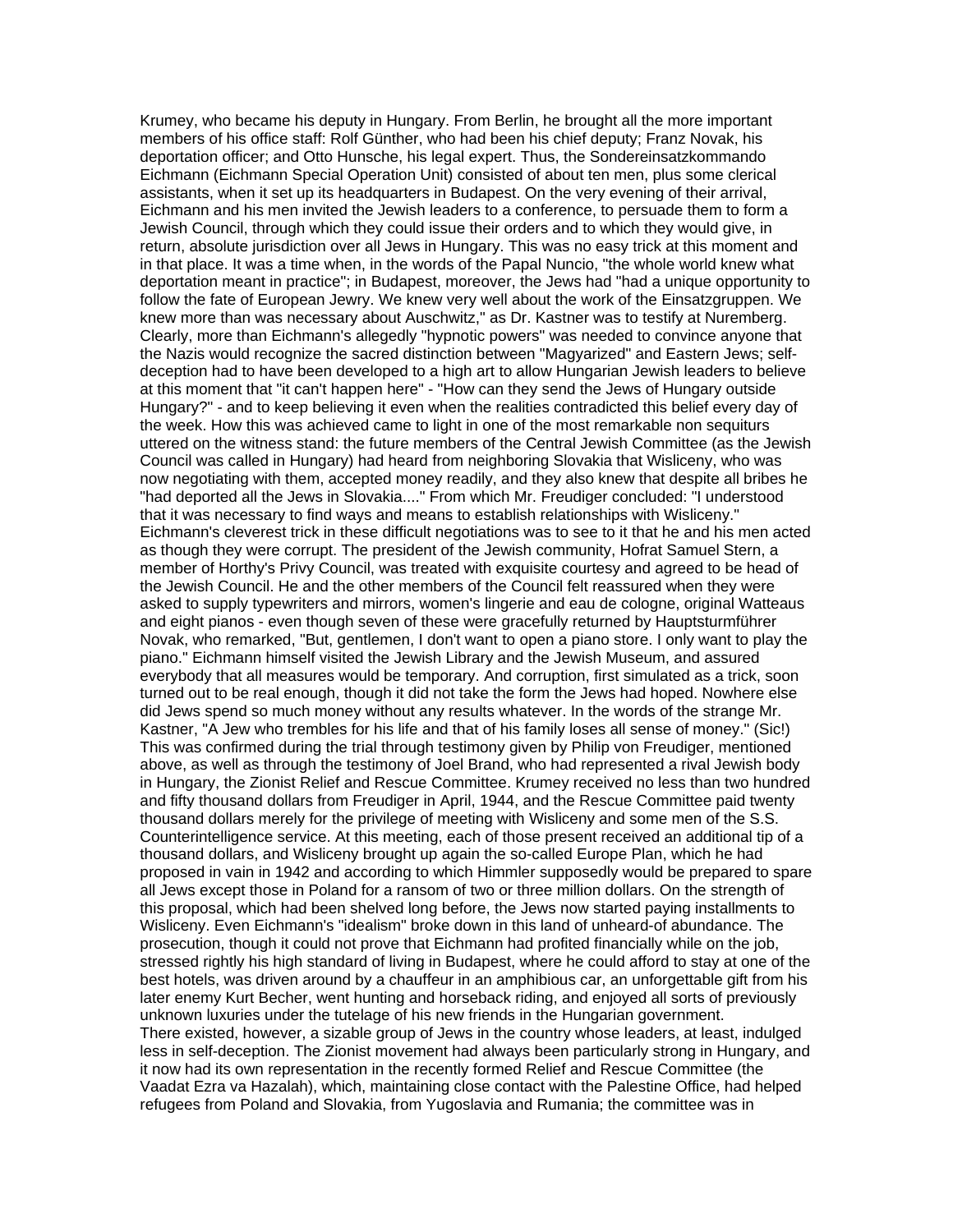Krumey, who became his deputy in Hungary. From Berlin, he brought all the more important members of his office staff: Rolf Günther, who had been his chief deputy; Franz Novak, his deportation officer; and Otto Hunsche, his legal expert. Thus, the Sondereinsatzkommando Eichmann (Eichmann Special Operation Unit) consisted of about ten men, plus some clerical assistants, when it set up its headquarters in Budapest. On the very evening of their arrival, Eichmann and his men invited the Jewish leaders to a conference, to persuade them to form a Jewish Council, through which they could issue their orders and to which they would give, in return, absolute jurisdiction over all Jews in Hungary. This was no easy trick at this moment and in that place. It was a time when, in the words of the Papal Nuncio, "the whole world knew what deportation meant in practice"; in Budapest, moreover, the Jews had "had a unique opportunity to follow the fate of European Jewry. We knew very well about the work of the Einsatzgruppen. We knew more than was necessary about Auschwitz," as Dr. Kastner was to testify at Nuremberg. Clearly, more than Eichmann's allegedly "hypnotic powers" was needed to convince anyone that the Nazis would recognize the sacred distinction between "Magyarized" and Eastern Jews; selfdeception had to have been developed to a high art to allow Hungarian Jewish leaders to believe at this moment that "it can't happen here" - "How can they send the Jews of Hungary outside Hungary?" - and to keep believing it even when the realities contradicted this belief every day of the week. How this was achieved came to light in one of the most remarkable non sequiturs uttered on the witness stand: the future members of the Central Jewish Committee (as the Jewish Council was called in Hungary) had heard from neighboring Slovakia that Wisliceny, who was now negotiating with them, accepted money readily, and they also knew that despite all bribes he "had deported all the Jews in Slovakia...." From which Mr. Freudiger concluded: "I understood that it was necessary to find ways and means to establish relationships with Wisliceny." Eichmann's cleverest trick in these difficult negotiations was to see to it that he and his men acted as though they were corrupt. The president of the Jewish community, Hofrat Samuel Stern, a member of Horthy's Privy Council, was treated with exquisite courtesy and agreed to be head of the Jewish Council. He and the other members of the Council felt reassured when they were asked to supply typewriters and mirrors, women's lingerie and eau de cologne, original Watteaus and eight pianos - even though seven of these were gracefully returned by Hauptsturmführer Novak, who remarked, "But, gentlemen, I don't want to open a piano store. I only want to play the piano." Eichmann himself visited the Jewish Library and the Jewish Museum, and assured everybody that all measures would be temporary. And corruption, first simulated as a trick, soon turned out to be real enough, though it did not take the form the Jews had hoped. Nowhere else did Jews spend so much money without any results whatever. In the words of the strange Mr. Kastner, "A Jew who trembles for his life and that of his family loses all sense of money." (Sic!) This was confirmed during the trial through testimony given by Philip von Freudiger, mentioned above, as well as through the testimony of Joel Brand, who had represented a rival Jewish body in Hungary, the Zionist Relief and Rescue Committee. Krumey received no less than two hundred and fifty thousand dollars from Freudiger in April, 1944, and the Rescue Committee paid twenty thousand dollars merely for the privilege of meeting with Wisliceny and some men of the S.S. Counterintelligence service. At this meeting, each of those present received an additional tip of a thousand dollars, and Wisliceny brought up again the so-called Europe Plan, which he had proposed in vain in 1942 and according to which Himmler supposedly would be prepared to spare all Jews except those in Poland for a ransom of two or three million dollars. On the strength of this proposal, which had been shelved long before, the Jews now started paying installments to Wisliceny. Even Eichmann's "idealism" broke down in this land of unheard-of abundance. The prosecution, though it could not prove that Eichmann had profited financially while on the job, stressed rightly his high standard of living in Budapest, where he could afford to stay at one of the best hotels, was driven around by a chauffeur in an amphibious car, an unforgettable gift from his later enemy Kurt Becher, went hunting and horseback riding, and enjoyed all sorts of previously unknown luxuries under the tutelage of his new friends in the Hungarian government. There existed, however, a sizable group of Jews in the country whose leaders, at least, indulged less in self-deception. The Zionist movement had always been particularly strong in Hungary, and it now had its own representation in the recently formed Relief and Rescue Committee (the Vaadat Ezra va Hazalah), which, maintaining close contact with the Palestine Office, had helped refugees from Poland and Slovakia, from Yugoslavia and Rumania; the committee was in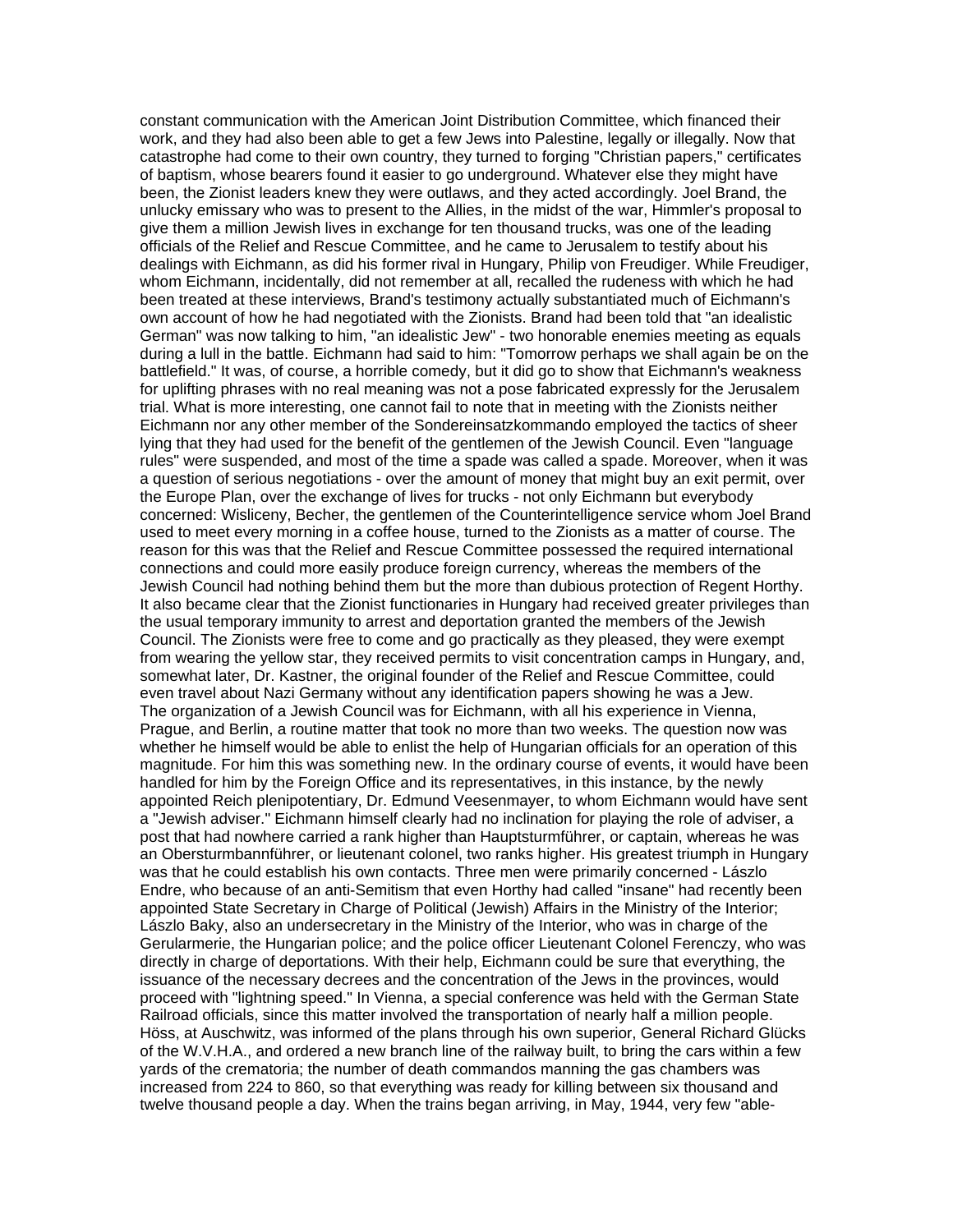constant communication with the American Joint Distribution Committee, which financed their work, and they had also been able to get a few Jews into Palestine, legally or illegally. Now that catastrophe had come to their own country, they turned to forging "Christian papers," certificates of baptism, whose bearers found it easier to go underground. Whatever else they might have been, the Zionist leaders knew they were outlaws, and they acted accordingly. Joel Brand, the unlucky emissary who was to present to the Allies, in the midst of the war, Himmler's proposal to give them a million Jewish lives in exchange for ten thousand trucks, was one of the leading officials of the Relief and Rescue Committee, and he came to Jerusalem to testify about his dealings with Eichmann, as did his former rival in Hungary, Philip von Freudiger. While Freudiger, whom Eichmann, incidentally, did not remember at all, recalled the rudeness with which he had been treated at these interviews, Brand's testimony actually substantiated much of Eichmann's own account of how he had negotiated with the Zionists. Brand had been told that "an idealistic German" was now talking to him, "an idealistic Jew" - two honorable enemies meeting as equals during a lull in the battle. Eichmann had said to him: "Tomorrow perhaps we shall again be on the battlefield." It was, of course, a horrible comedy, but it did go to show that Eichmann's weakness for uplifting phrases with no real meaning was not a pose fabricated expressly for the Jerusalem trial. What is more interesting, one cannot fail to note that in meeting with the Zionists neither Eichmann nor any other member of the Sondereinsatzkommando employed the tactics of sheer lying that they had used for the benefit of the gentlemen of the Jewish Council. Even "language rules" were suspended, and most of the time a spade was called a spade. Moreover, when it was a question of serious negotiations - over the amount of money that might buy an exit permit, over the Europe Plan, over the exchange of lives for trucks - not only Eichmann but everybody concerned: Wisliceny, Becher, the gentlemen of the Counterintelligence service whom Joel Brand used to meet every morning in a coffee house, turned to the Zionists as a matter of course. The reason for this was that the Relief and Rescue Committee possessed the required international connections and could more easily produce foreign currency, whereas the members of the Jewish Council had nothing behind them but the more than dubious protection of Regent Horthy. It also became clear that the Zionist functionaries in Hungary had received greater privileges than the usual temporary immunity to arrest and deportation granted the members of the Jewish Council. The Zionists were free to come and go practically as they pleased, they were exempt from wearing the yellow star, they received permits to visit concentration camps in Hungary, and, somewhat later, Dr. Kastner, the original founder of the Relief and Rescue Committee, could even travel about Nazi Germany without any identification papers showing he was a Jew. The organization of a Jewish Council was for Eichmann, with all his experience in Vienna, Prague, and Berlin, a routine matter that took no more than two weeks. The question now was whether he himself would be able to enlist the help of Hungarian officials for an operation of this magnitude. For him this was something new. In the ordinary course of events, it would have been handled for him by the Foreign Office and its representatives, in this instance, by the newly appointed Reich plenipotentiary, Dr. Edmund Veesenmayer, to whom Eichmann would have sent a "Jewish adviser." Eichmann himself clearly had no inclination for playing the role of adviser, a post that had nowhere carried a rank higher than Hauptsturmführer, or captain, whereas he was an Obersturmbannführer, or lieutenant colonel, two ranks higher. His greatest triumph in Hungary was that he could establish his own contacts. Three men were primarily concerned - Lászlo Endre, who because of an anti-Semitism that even Horthy had called "insane" had recently been appointed State Secretary in Charge of Political (Jewish) Affairs in the Ministry of the Interior; Lászlo Baky, also an undersecretary in the Ministry of the Interior, who was in charge of the Gerularmerie, the Hungarian police; and the police officer Lieutenant Colonel Ferenczy, who was directly in charge of deportations. With their help, Eichmann could be sure that everything, the issuance of the necessary decrees and the concentration of the Jews in the provinces, would proceed with "lightning speed." In Vienna, a special conference was held with the German State Railroad officials, since this matter involved the transportation of nearly half a million people. Höss, at Auschwitz, was informed of the plans through his own superior, General Richard Glücks of the W.V.H.A., and ordered a new branch line of the railway built, to bring the cars within a few yards of the crematoria; the number of death commandos manning the gas chambers was increased from 224 to 860, so that everything was ready for killing between six thousand and twelve thousand people a day. When the trains began arriving, in May, 1944, very few "able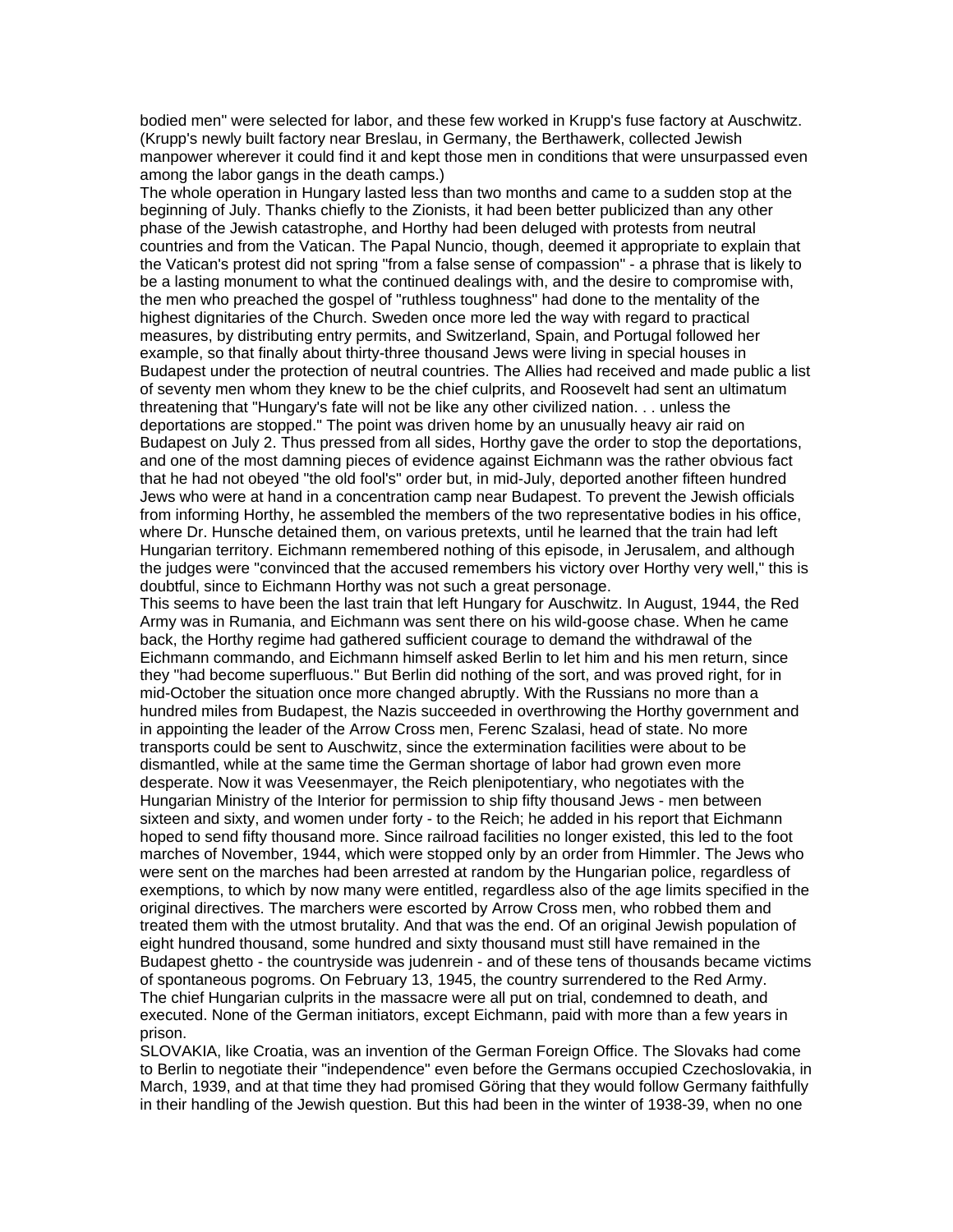bodied men" were selected for labor, and these few worked in Krupp's fuse factory at Auschwitz. (Krupp's newly built factory near Breslau, in Germany, the Berthawerk, collected Jewish manpower wherever it could find it and kept those men in conditions that were unsurpassed even among the labor gangs in the death camps.)

The whole operation in Hungary lasted less than two months and came to a sudden stop at the beginning of July. Thanks chiefly to the Zionists, it had been better publicized than any other phase of the Jewish catastrophe, and Horthy had been deluged with protests from neutral countries and from the Vatican. The Papal Nuncio, though, deemed it appropriate to explain that the Vatican's protest did not spring "from a false sense of compassion" - a phrase that is likely to be a lasting monument to what the continued dealings with, and the desire to compromise with, the men who preached the gospel of "ruthless toughness" had done to the mentality of the highest dignitaries of the Church. Sweden once more led the way with regard to practical measures, by distributing entry permits, and Switzerland, Spain, and Portugal followed her example, so that finally about thirty-three thousand Jews were living in special houses in Budapest under the protection of neutral countries. The Allies had received and made public a list of seventy men whom they knew to be the chief culprits, and Roosevelt had sent an ultimatum threatening that "Hungary's fate will not be like any other civilized nation. . . unless the deportations are stopped." The point was driven home by an unusually heavy air raid on Budapest on July 2. Thus pressed from all sides, Horthy gave the order to stop the deportations, and one of the most damning pieces of evidence against Eichmann was the rather obvious fact that he had not obeyed "the old fool's" order but, in mid-July, deported another fifteen hundred Jews who were at hand in a concentration camp near Budapest. To prevent the Jewish officials from informing Horthy, he assembled the members of the two representative bodies in his office, where Dr. Hunsche detained them, on various pretexts, until he learned that the train had left Hungarian territory. Eichmann remembered nothing of this episode, in Jerusalem, and although the judges were "convinced that the accused remembers his victory over Horthy very well," this is doubtful, since to Eichmann Horthy was not such a great personage.

This seems to have been the last train that left Hungary for Auschwitz. In August, 1944, the Red Army was in Rumania, and Eichmann was sent there on his wild-goose chase. When he came back, the Horthy regime had gathered sufficient courage to demand the withdrawal of the Eichmann commando, and Eichmann himself asked Berlin to let him and his men return, since they "had become superfluous." But Berlin did nothing of the sort, and was proved right, for in mid-October the situation once more changed abruptly. With the Russians no more than a hundred miles from Budapest, the Nazis succeeded in overthrowing the Horthy government and in appointing the leader of the Arrow Cross men, Ferenc Szalasi, head of state. No more transports could be sent to Auschwitz, since the extermination facilities were about to be dismantled, while at the same time the German shortage of labor had grown even more desperate. Now it was Veesenmayer, the Reich plenipotentiary, who negotiates with the Hungarian Ministry of the Interior for permission to ship fifty thousand Jews - men between sixteen and sixty, and women under forty - to the Reich; he added in his report that Eichmann hoped to send fifty thousand more. Since railroad facilities no longer existed, this led to the foot marches of November, 1944, which were stopped only by an order from Himmler. The Jews who were sent on the marches had been arrested at random by the Hungarian police, regardless of exemptions, to which by now many were entitled, regardless also of the age limits specified in the original directives. The marchers were escorted by Arrow Cross men, who robbed them and treated them with the utmost brutality. And that was the end. Of an original Jewish population of eight hundred thousand, some hundred and sixty thousand must still have remained in the Budapest ghetto - the countryside was judenrein - and of these tens of thousands became victims of spontaneous pogroms. On February 13, 1945, the country surrendered to the Red Army. The chief Hungarian culprits in the massacre were all put on trial, condemned to death, and executed. None of the German initiators, except Eichmann, paid with more than a few years in prison.

SLOVAKIA, like Croatia, was an invention of the German Foreign Office. The Slovaks had come to Berlin to negotiate their "independence" even before the Germans occupied Czechoslovakia, in March, 1939, and at that time they had promised Göring that they would follow Germany faithfully in their handling of the Jewish question. But this had been in the winter of 1938-39, when no one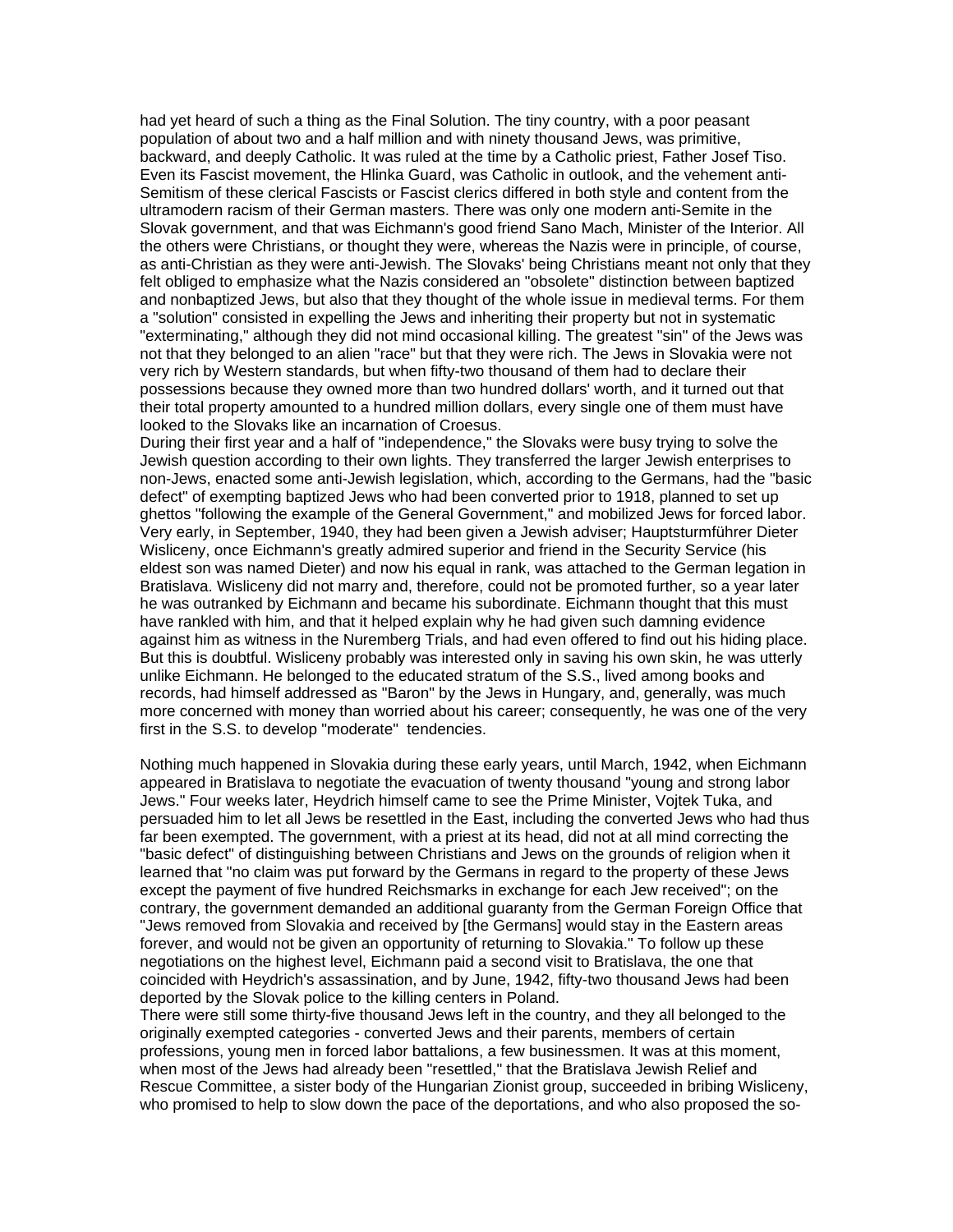had yet heard of such a thing as the Final Solution. The tiny country, with a poor peasant population of about two and a half million and with ninety thousand Jews, was primitive, backward, and deeply Catholic. It was ruled at the time by a Catholic priest, Father Josef Tiso. Even its Fascist movement, the Hlinka Guard, was Catholic in outlook, and the vehement anti-Semitism of these clerical Fascists or Fascist clerics differed in both style and content from the ultramodern racism of their German masters. There was only one modern anti-Semite in the Slovak government, and that was Eichmann's good friend Sano Mach, Minister of the Interior. All the others were Christians, or thought they were, whereas the Nazis were in principle, of course, as anti-Christian as they were anti-Jewish. The Slovaks' being Christians meant not only that they felt obliged to emphasize what the Nazis considered an "obsolete" distinction between baptized and nonbaptized Jews, but also that they thought of the whole issue in medieval terms. For them a "solution" consisted in expelling the Jews and inheriting their property but not in systematic "exterminating," although they did not mind occasional killing. The greatest "sin" of the Jews was not that they belonged to an alien "race" but that they were rich. The Jews in Slovakia were not very rich by Western standards, but when fifty-two thousand of them had to declare their possessions because they owned more than two hundred dollars' worth, and it turned out that their total property amounted to a hundred million dollars, every single one of them must have looked to the Slovaks like an incarnation of Croesus.

During their first year and a half of "independence," the Slovaks were busy trying to solve the Jewish question according to their own lights. They transferred the larger Jewish enterprises to non-Jews, enacted some anti-Jewish legislation, which, according to the Germans, had the "basic defect" of exempting baptized Jews who had been converted prior to 1918, planned to set up ghettos "following the example of the General Government," and mobilized Jews for forced labor. Very early, in September, 1940, they had been given a Jewish adviser; Hauptsturmführer Dieter Wisliceny, once Eichmann's greatly admired superior and friend in the Security Service (his eldest son was named Dieter) and now his equal in rank, was attached to the German legation in Bratislava. Wisliceny did not marry and, therefore, could not be promoted further, so a year later he was outranked by Eichmann and became his subordinate. Eichmann thought that this must have rankled with him, and that it helped explain why he had given such damning evidence against him as witness in the Nuremberg Trials, and had even offered to find out his hiding place. But this is doubtful. Wisliceny probably was interested only in saving his own skin, he was utterly unlike Eichmann. He belonged to the educated stratum of the S.S., lived among books and records, had himself addressed as "Baron" by the Jews in Hungary, and, generally, was much more concerned with money than worried about his career; consequently, he was one of the very first in the S.S. to develop "moderate" tendencies.

Nothing much happened in Slovakia during these early years, until March, 1942, when Eichmann appeared in Bratislava to negotiate the evacuation of twenty thousand "young and strong labor Jews." Four weeks later, Heydrich himself came to see the Prime Minister, Vojtek Tuka, and persuaded him to let all Jews be resettled in the East, including the converted Jews who had thus far been exempted. The government, with a priest at its head, did not at all mind correcting the "basic defect" of distinguishing between Christians and Jews on the grounds of religion when it learned that "no claim was put forward by the Germans in regard to the property of these Jews except the payment of five hundred Reichsmarks in exchange for each Jew received"; on the contrary, the government demanded an additional guaranty from the German Foreign Office that "Jews removed from Slovakia and received by [the Germans] would stay in the Eastern areas forever, and would not be given an opportunity of returning to Slovakia." To follow up these negotiations on the highest level, Eichmann paid a second visit to Bratislava, the one that coincided with Heydrich's assassination, and by June, 1942, fifty-two thousand Jews had been deported by the Slovak police to the killing centers in Poland.

There were still some thirty-five thousand Jews left in the country, and they all belonged to the originally exempted categories - converted Jews and their parents, members of certain professions, young men in forced labor battalions, a few businessmen. It was at this moment, when most of the Jews had already been "resettled," that the Bratislava Jewish Relief and Rescue Committee, a sister body of the Hungarian Zionist group, succeeded in bribing Wisliceny, who promised to help to slow down the pace of the deportations, and who also proposed the so-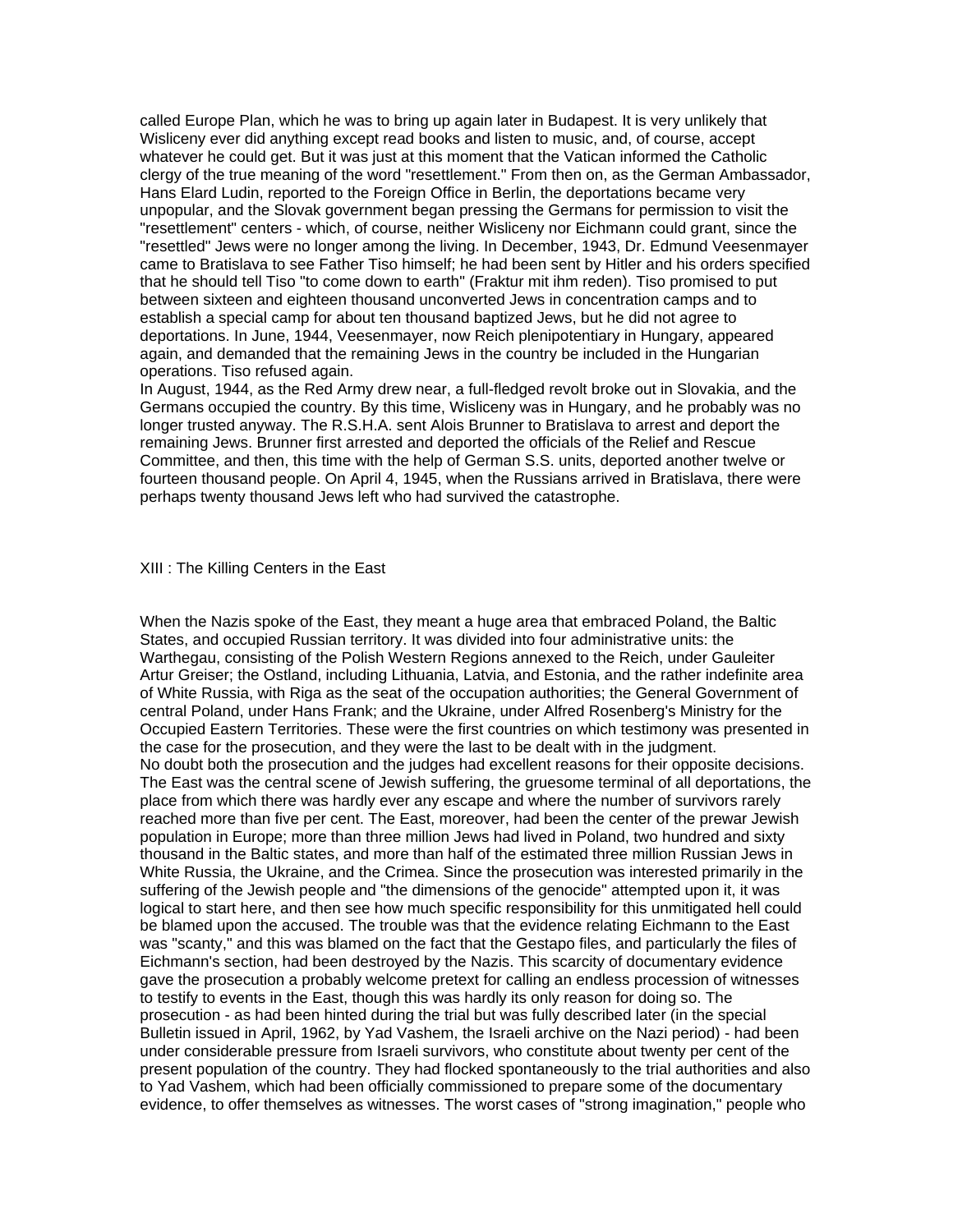called Europe Plan, which he was to bring up again later in Budapest. It is very unlikely that Wisliceny ever did anything except read books and listen to music, and, of course, accept whatever he could get. But it was just at this moment that the Vatican informed the Catholic clergy of the true meaning of the word "resettlement." From then on, as the German Ambassador, Hans Elard Ludin, reported to the Foreign Office in Berlin, the deportations became very unpopular, and the Slovak government began pressing the Germans for permission to visit the "resettlement" centers - which, of course, neither Wisliceny nor Eichmann could grant, since the "resettled" Jews were no longer among the living. In December, 1943, Dr. Edmund Veesenmayer came to Bratislava to see Father Tiso himself; he had been sent by Hitler and his orders specified that he should tell Tiso "to come down to earth" (Fraktur mit ihm reden). Tiso promised to put between sixteen and eighteen thousand unconverted Jews in concentration camps and to establish a special camp for about ten thousand baptized Jews, but he did not agree to deportations. In June, 1944, Veesenmayer, now Reich plenipotentiary in Hungary, appeared again, and demanded that the remaining Jews in the country be included in the Hungarian operations. Tiso refused again.

In August, 1944, as the Red Army drew near, a full-fledged revolt broke out in Slovakia, and the Germans occupied the country. By this time, Wisliceny was in Hungary, and he probably was no longer trusted anyway. The R.S.H.A. sent Alois Brunner to Bratislava to arrest and deport the remaining Jews. Brunner first arrested and deported the officials of the Relief and Rescue Committee, and then, this time with the help of German S.S. units, deported another twelve or fourteen thousand people. On April 4, 1945, when the Russians arrived in Bratislava, there were perhaps twenty thousand Jews left who had survived the catastrophe.

## XIII : The Killing Centers in the East

When the Nazis spoke of the East, they meant a huge area that embraced Poland, the Baltic States, and occupied Russian territory. It was divided into four administrative units: the Warthegau, consisting of the Polish Western Regions annexed to the Reich, under Gauleiter Artur Greiser; the Ostland, including Lithuania, Latvia, and Estonia, and the rather indefinite area of White Russia, with Riga as the seat of the occupation authorities; the General Government of central Poland, under Hans Frank; and the Ukraine, under Alfred Rosenberg's Ministry for the Occupied Eastern Territories. These were the first countries on which testimony was presented in the case for the prosecution, and they were the last to be dealt with in the judgment. No doubt both the prosecution and the judges had excellent reasons for their opposite decisions. The East was the central scene of Jewish suffering, the gruesome terminal of all deportations, the place from which there was hardly ever any escape and where the number of survivors rarely reached more than five per cent. The East, moreover, had been the center of the prewar Jewish population in Europe; more than three million Jews had lived in Poland, two hundred and sixty thousand in the Baltic states, and more than half of the estimated three million Russian Jews in White Russia, the Ukraine, and the Crimea. Since the prosecution was interested primarily in the suffering of the Jewish people and "the dimensions of the genocide" attempted upon it, it was logical to start here, and then see how much specific responsibility for this unmitigated hell could be blamed upon the accused. The trouble was that the evidence relating Eichmann to the East was "scanty," and this was blamed on the fact that the Gestapo files, and particularly the files of Eichmann's section, had been destroyed by the Nazis. This scarcity of documentary evidence gave the prosecution a probably welcome pretext for calling an endless procession of witnesses to testify to events in the East, though this was hardly its only reason for doing so. The prosecution - as had been hinted during the trial but was fully described later (in the special Bulletin issued in April, 1962, by Yad Vashem, the Israeli archive on the Nazi period) - had been under considerable pressure from Israeli survivors, who constitute about twenty per cent of the present population of the country. They had flocked spontaneously to the trial authorities and also to Yad Vashem, which had been officially commissioned to prepare some of the documentary evidence, to offer themselves as witnesses. The worst cases of "strong imagination," people who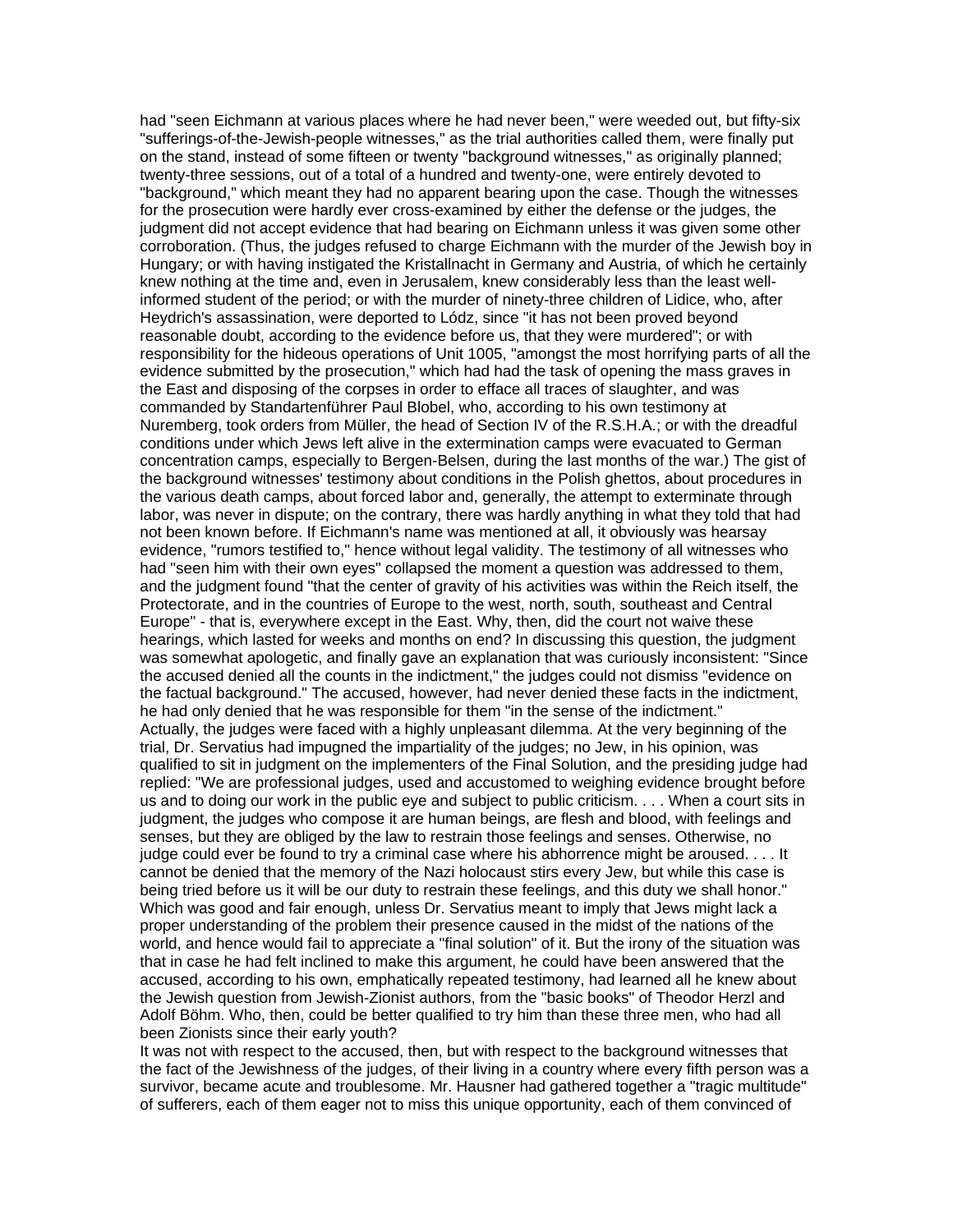had "seen Eichmann at various places where he had never been," were weeded out, but fifty-six "sufferings-of-the-Jewish-people witnesses," as the trial authorities called them, were finally put on the stand, instead of some fifteen or twenty "background witnesses," as originally planned; twenty-three sessions, out of a total of a hundred and twenty-one, were entirely devoted to "background," which meant they had no apparent bearing upon the case. Though the witnesses for the prosecution were hardly ever cross-examined by either the defense or the judges, the judgment did not accept evidence that had bearing on Eichmann unless it was given some other corroboration. (Thus, the judges refused to charge Eichmann with the murder of the Jewish boy in Hungary; or with having instigated the Kristallnacht in Germany and Austria, of which he certainly knew nothing at the time and, even in Jerusalem, knew considerably less than the least wellinformed student of the period; or with the murder of ninety-three children of Lidice, who, after Heydrich's assassination, were deported to Lódz, since "it has not been proved beyond reasonable doubt, according to the evidence before us, that they were murdered"; or with responsibility for the hideous operations of Unit 1005, "amongst the most horrifying parts of all the evidence submitted by the prosecution," which had had the task of opening the mass graves in the East and disposing of the corpses in order to efface all traces of slaughter, and was commanded by Standartenführer Paul Blobel, who, according to his own testimony at Nuremberg, took orders from Müller, the head of Section IV of the R.S.H.A.; or with the dreadful conditions under which Jews left alive in the extermination camps were evacuated to German concentration camps, especially to Bergen-Belsen, during the last months of the war.) The gist of the background witnesses' testimony about conditions in the Polish ghettos, about procedures in the various death camps, about forced labor and, generally, the attempt to exterminate through labor, was never in dispute; on the contrary, there was hardly anything in what they told that had not been known before. If Eichmann's name was mentioned at all, it obviously was hearsay evidence, "rumors testified to," hence without legal validity. The testimony of all witnesses who had "seen him with their own eyes" collapsed the moment a question was addressed to them, and the judgment found "that the center of gravity of his activities was within the Reich itself, the Protectorate, and in the countries of Europe to the west, north, south, southeast and Central Europe" - that is, everywhere except in the East. Why, then, did the court not waive these hearings, which lasted for weeks and months on end? In discussing this question, the judgment was somewhat apologetic, and finally gave an explanation that was curiously inconsistent: "Since the accused denied all the counts in the indictment," the judges could not dismiss "evidence on the factual background." The accused, however, had never denied these facts in the indictment, he had only denied that he was responsible for them "in the sense of the indictment." Actually, the judges were faced with a highly unpleasant dilemma. At the very beginning of the trial, Dr. Servatius had impugned the impartiality of the judges; no Jew, in his opinion, was qualified to sit in judgment on the implementers of the Final Solution, and the presiding judge had replied: "We are professional judges, used and accustomed to weighing evidence brought before us and to doing our work in the public eye and subject to public criticism. . . . When a court sits in judgment, the judges who compose it are human beings, are flesh and blood, with feelings and senses, but they are obliged by the law to restrain those feelings and senses. Otherwise, no judge could ever be found to try a criminal case where his abhorrence might be aroused. . . . It cannot be denied that the memory of the Nazi holocaust stirs every Jew, but while this case is being tried before us it will be our duty to restrain these feelings, and this duty we shall honor." Which was good and fair enough, unless Dr. Servatius meant to imply that Jews might lack a proper understanding of the problem their presence caused in the midst of the nations of the world, and hence would fail to appreciate a "final solution" of it. But the irony of the situation was that in case he had felt inclined to make this argument, he could have been answered that the accused, according to his own, emphatically repeated testimony, had learned all he knew about the Jewish question from Jewish-Zionist authors, from the "basic books" of Theodor Herzl and Adolf Böhm. Who, then, could be better qualified to try him than these three men, who had all been Zionists since their early youth?

It was not with respect to the accused, then, but with respect to the background witnesses that the fact of the Jewishness of the judges, of their living in a country where every fifth person was a survivor, became acute and troublesome. Mr. Hausner had gathered together a "tragic multitude" of sufferers, each of them eager not to miss this unique opportunity, each of them convinced of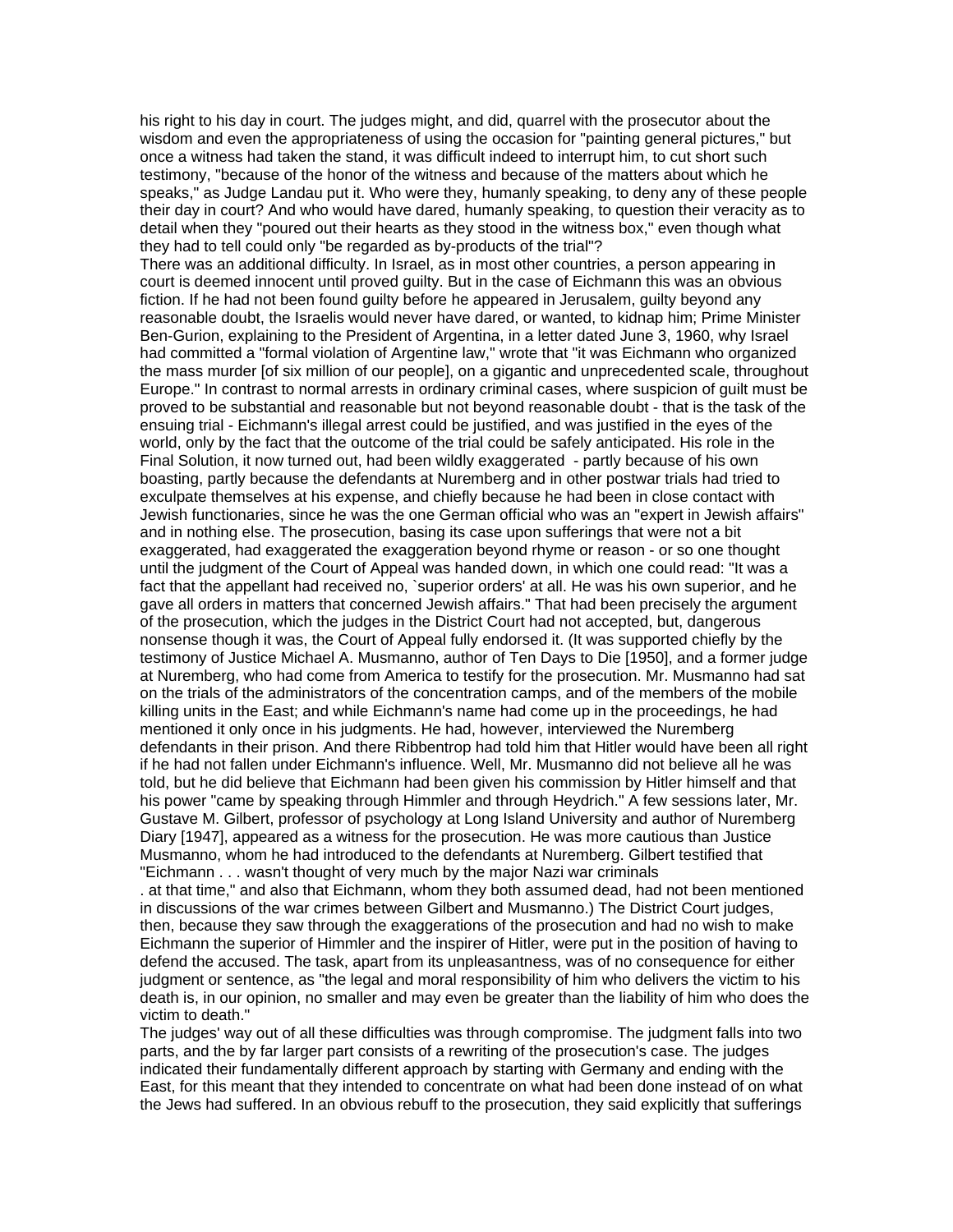his right to his day in court. The judges might, and did, quarrel with the prosecutor about the wisdom and even the appropriateness of using the occasion for "painting general pictures," but once a witness had taken the stand, it was difficult indeed to interrupt him, to cut short such testimony, "because of the honor of the witness and because of the matters about which he speaks," as Judge Landau put it. Who were they, humanly speaking, to deny any of these people their day in court? And who would have dared, humanly speaking, to question their veracity as to detail when they "poured out their hearts as they stood in the witness box," even though what they had to tell could only "be regarded as by-products of the trial"?

There was an additional difficulty. In Israel, as in most other countries, a person appearing in court is deemed innocent until proved guilty. But in the case of Eichmann this was an obvious fiction. If he had not been found guilty before he appeared in Jerusalem, guilty beyond any reasonable doubt, the Israelis would never have dared, or wanted, to kidnap him; Prime Minister Ben-Gurion, explaining to the President of Argentina, in a letter dated June 3, 1960, why Israel had committed a "formal violation of Argentine law," wrote that "it was Eichmann who organized the mass murder [of six million of our people], on a gigantic and unprecedented scale, throughout Europe." In contrast to normal arrests in ordinary criminal cases, where suspicion of guilt must be proved to be substantial and reasonable but not beyond reasonable doubt - that is the task of the ensuing trial - Eichmann's illegal arrest could be justified, and was justified in the eyes of the world, only by the fact that the outcome of the trial could be safely anticipated. His role in the Final Solution, it now turned out, had been wildly exaggerated - partly because of his own boasting, partly because the defendants at Nuremberg and in other postwar trials had tried to exculpate themselves at his expense, and chiefly because he had been in close contact with Jewish functionaries, since he was the one German official who was an "expert in Jewish affairs" and in nothing else. The prosecution, basing its case upon sufferings that were not a bit exaggerated, had exaggerated the exaggeration beyond rhyme or reason - or so one thought until the judgment of the Court of Appeal was handed down, in which one could read: "It was a fact that the appellant had received no, `superior orders' at all. He was his own superior, and he gave all orders in matters that concerned Jewish affairs." That had been precisely the argument of the prosecution, which the judges in the District Court had not accepted, but, dangerous nonsense though it was, the Court of Appeal fully endorsed it. (It was supported chiefly by the testimony of Justice Michael A. Musmanno, author of Ten Days to Die [1950], and a former judge at Nuremberg, who had come from America to testify for the prosecution. Mr. Musmanno had sat on the trials of the administrators of the concentration camps, and of the members of the mobile killing units in the East; and while Eichmann's name had come up in the proceedings, he had mentioned it only once in his judgments. He had, however, interviewed the Nuremberg defendants in their prison. And there Ribbentrop had told him that Hitler would have been all right if he had not fallen under Eichmann's influence. Well, Mr. Musmanno did not believe all he was told, but he did believe that Eichmann had been given his commission by Hitler himself and that his power "came by speaking through Himmler and through Heydrich." A few sessions later, Mr. Gustave M. Gilbert, professor of psychology at Long Island University and author of Nuremberg Diary [1947], appeared as a witness for the prosecution. He was more cautious than Justice Musmanno, whom he had introduced to the defendants at Nuremberg. Gilbert testified that "Eichmann . . . wasn't thought of very much by the major Nazi war criminals

. at that time," and also that Eichmann, whom they both assumed dead, had not been mentioned in discussions of the war crimes between Gilbert and Musmanno.) The District Court judges, then, because they saw through the exaggerations of the prosecution and had no wish to make Eichmann the superior of Himmler and the inspirer of Hitler, were put in the position of having to defend the accused. The task, apart from its unpleasantness, was of no consequence for either judgment or sentence, as "the legal and moral responsibility of him who delivers the victim to his death is, in our opinion, no smaller and may even be greater than the liability of him who does the victim to death."

The judges' way out of all these difficulties was through compromise. The judgment falls into two parts, and the by far larger part consists of a rewriting of the prosecution's case. The judges indicated their fundamentally different approach by starting with Germany and ending with the East, for this meant that they intended to concentrate on what had been done instead of on what the Jews had suffered. In an obvious rebuff to the prosecution, they said explicitly that sufferings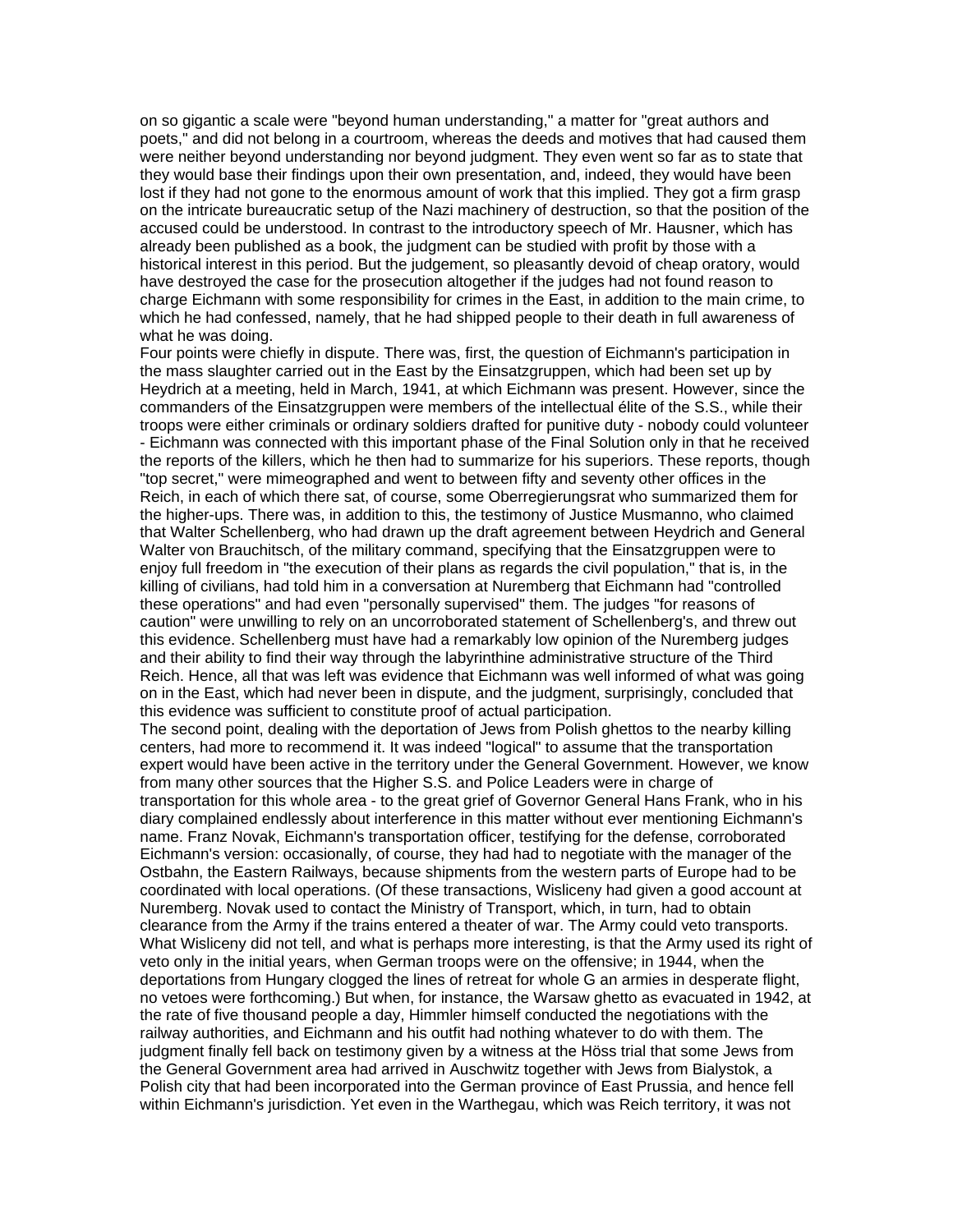on so gigantic a scale were "beyond human understanding," a matter for "great authors and poets," and did not belong in a courtroom, whereas the deeds and motives that had caused them were neither beyond understanding nor beyond judgment. They even went so far as to state that they would base their findings upon their own presentation, and, indeed, they would have been lost if they had not gone to the enormous amount of work that this implied. They got a firm grasp on the intricate bureaucratic setup of the Nazi machinery of destruction, so that the position of the accused could be understood. In contrast to the introductory speech of Mr. Hausner, which has already been published as a book, the judgment can be studied with profit by those with a historical interest in this period. But the judgement, so pleasantly devoid of cheap oratory, would have destroyed the case for the prosecution altogether if the judges had not found reason to charge Eichmann with some responsibility for crimes in the East, in addition to the main crime, to which he had confessed, namely, that he had shipped people to their death in full awareness of what he was doing.

Four points were chiefly in dispute. There was, first, the question of Eichmann's participation in the mass slaughter carried out in the East by the Einsatzgruppen, which had been set up by Heydrich at a meeting, held in March, 1941, at which Eichmann was present. However, since the commanders of the Einsatzgruppen were members of the intellectual élite of the S.S., while their troops were either criminals or ordinary soldiers drafted for punitive duty - nobody could volunteer - Eichmann was connected with this important phase of the Final Solution only in that he received the reports of the killers, which he then had to summarize for his superiors. These reports, though "top secret," were mimeographed and went to between fifty and seventy other offices in the Reich, in each of which there sat, of course, some Oberregierungsrat who summarized them for the higher-ups. There was, in addition to this, the testimony of Justice Musmanno, who claimed that Walter Schellenberg, who had drawn up the draft agreement between Heydrich and General Walter von Brauchitsch, of the military command, specifying that the Einsatzgruppen were to enjoy full freedom in "the execution of their plans as regards the civil population," that is, in the killing of civilians, had told him in a conversation at Nuremberg that Eichmann had "controlled these operations" and had even "personally supervised" them. The judges "for reasons of caution" were unwilling to rely on an uncorroborated statement of Schellenberg's, and threw out this evidence. Schellenberg must have had a remarkably low opinion of the Nuremberg judges and their ability to find their way through the labyrinthine administrative structure of the Third Reich. Hence, all that was left was evidence that Eichmann was well informed of what was going on in the East, which had never been in dispute, and the judgment, surprisingly, concluded that this evidence was sufficient to constitute proof of actual participation.

The second point, dealing with the deportation of Jews from Polish ghettos to the nearby killing centers, had more to recommend it. It was indeed "logical" to assume that the transportation expert would have been active in the territory under the General Government. However, we know from many other sources that the Higher S.S. and Police Leaders were in charge of transportation for this whole area - to the great grief of Governor General Hans Frank, who in his diary complained endlessly about interference in this matter without ever mentioning Eichmann's name. Franz Novak, Eichmann's transportation officer, testifying for the defense, corroborated Eichmann's version: occasionally, of course, they had had to negotiate with the manager of the Ostbahn, the Eastern Railways, because shipments from the western parts of Europe had to be coordinated with local operations. (Of these transactions, Wisliceny had given a good account at Nuremberg. Novak used to contact the Ministry of Transport, which, in turn, had to obtain clearance from the Army if the trains entered a theater of war. The Army could veto transports. What Wisliceny did not tell, and what is perhaps more interesting, is that the Army used its right of veto only in the initial years, when German troops were on the offensive; in 1944, when the deportations from Hungary clogged the lines of retreat for whole G an armies in desperate flight, no vetoes were forthcoming.) But when, for instance, the Warsaw ghetto as evacuated in 1942, at the rate of five thousand people a day, Himmler himself conducted the negotiations with the railway authorities, and Eichmann and his outfit had nothing whatever to do with them. The judgment finally fell back on testimony given by a witness at the Höss trial that some Jews from the General Government area had arrived in Auschwitz together with Jews from Bialystok, a Polish city that had been incorporated into the German province of East Prussia, and hence fell within Eichmann's jurisdiction. Yet even in the Warthegau, which was Reich territory, it was not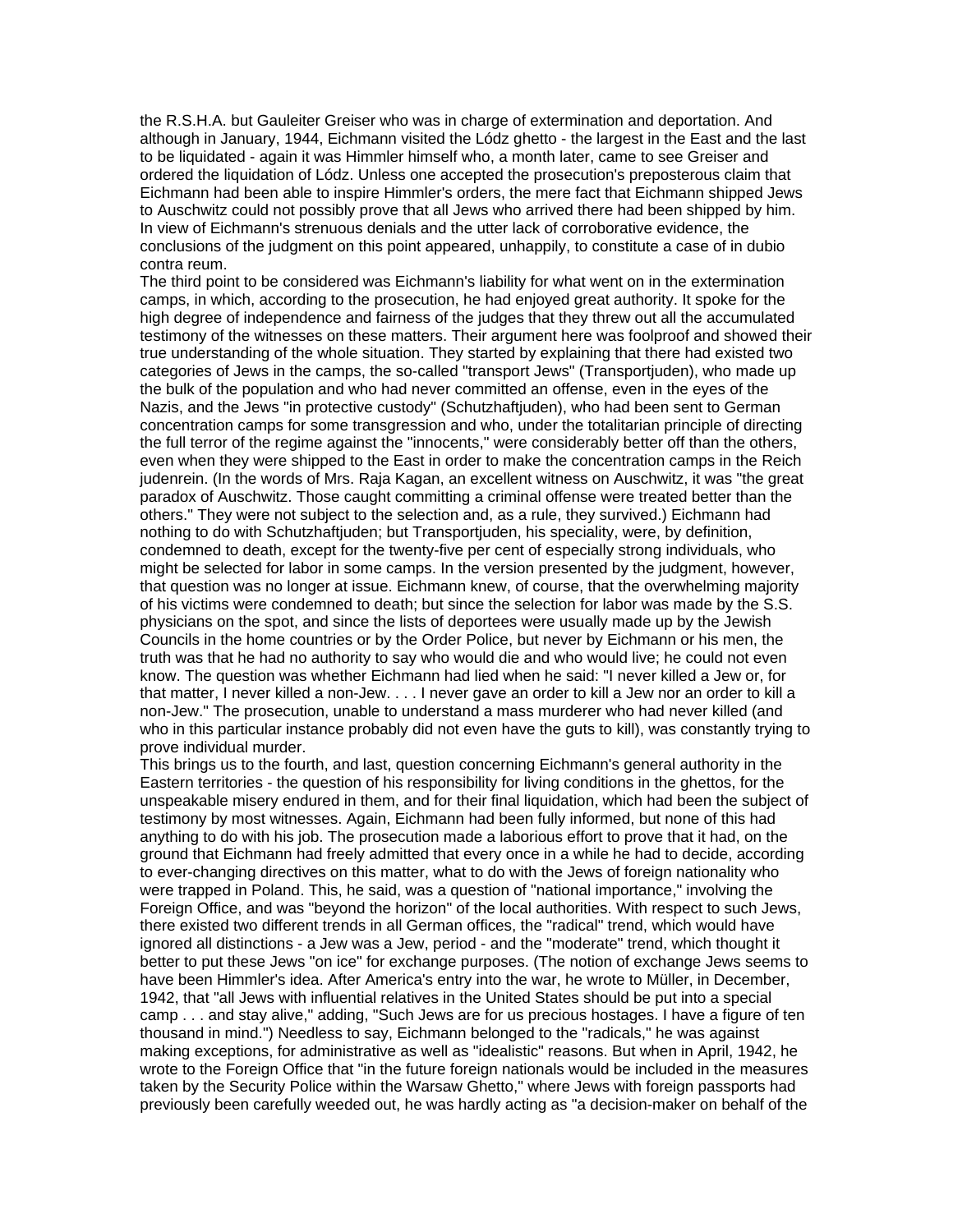the R.S.H.A. but Gauleiter Greiser who was in charge of extermination and deportation. And although in January, 1944, Eichmann visited the Lódz ghetto - the largest in the East and the last to be liquidated - again it was Himmler himself who, a month later, came to see Greiser and ordered the liquidation of Lódz. Unless one accepted the prosecution's preposterous claim that Eichmann had been able to inspire Himmler's orders, the mere fact that Eichmann shipped Jews to Auschwitz could not possibly prove that all Jews who arrived there had been shipped by him. In view of Eichmann's strenuous denials and the utter lack of corroborative evidence, the conclusions of the judgment on this point appeared, unhappily, to constitute a case of in dubio contra reum.

The third point to be considered was Eichmann's liability for what went on in the extermination camps, in which, according to the prosecution, he had enjoyed great authority. It spoke for the high degree of independence and fairness of the judges that they threw out all the accumulated testimony of the witnesses on these matters. Their argument here was foolproof and showed their true understanding of the whole situation. They started by explaining that there had existed two categories of Jews in the camps, the so-called "transport Jews" (Transportjuden), who made up the bulk of the population and who had never committed an offense, even in the eyes of the Nazis, and the Jews "in protective custody" (Schutzhaftjuden), who had been sent to German concentration camps for some transgression and who, under the totalitarian principle of directing the full terror of the regime against the "innocents," were considerably better off than the others, even when they were shipped to the East in order to make the concentration camps in the Reich judenrein. (In the words of Mrs. Raja Kagan, an excellent witness on Auschwitz, it was "the great paradox of Auschwitz. Those caught committing a criminal offense were treated better than the others." They were not subject to the selection and, as a rule, they survived.) Eichmann had nothing to do with Schutzhaftjuden; but Transportjuden, his speciality, were, by definition, condemned to death, except for the twenty-five per cent of especially strong individuals, who might be selected for labor in some camps. In the version presented by the judgment, however, that question was no longer at issue. Eichmann knew, of course, that the overwhelming majority of his victims were condemned to death; but since the selection for labor was made by the S.S. physicians on the spot, and since the lists of deportees were usually made up by the Jewish Councils in the home countries or by the Order Police, but never by Eichmann or his men, the truth was that he had no authority to say who would die and who would live; he could not even know. The question was whether Eichmann had lied when he said: "I never killed a Jew or, for that matter, I never killed a non-Jew. . . . I never gave an order to kill a Jew nor an order to kill a non-Jew." The prosecution, unable to understand a mass murderer who had never killed (and who in this particular instance probably did not even have the guts to kill), was constantly trying to prove individual murder.

This brings us to the fourth, and last, question concerning Eichmann's general authority in the Eastern territories - the question of his responsibility for living conditions in the ghettos, for the unspeakable misery endured in them, and for their final liquidation, which had been the subject of testimony by most witnesses. Again, Eichmann had been fully informed, but none of this had anything to do with his job. The prosecution made a laborious effort to prove that it had, on the ground that Eichmann had freely admitted that every once in a while he had to decide, according to ever-changing directives on this matter, what to do with the Jews of foreign nationality who were trapped in Poland. This, he said, was a question of "national importance," involving the Foreign Office, and was "beyond the horizon" of the local authorities. With respect to such Jews, there existed two different trends in all German offices, the "radical" trend, which would have ignored all distinctions - a Jew was a Jew, period - and the "moderate" trend, which thought it better to put these Jews "on ice" for exchange purposes. (The notion of exchange Jews seems to have been Himmler's idea. After America's entry into the war, he wrote to Müller, in December, 1942, that "all Jews with influential relatives in the United States should be put into a special camp . . . and stay alive," adding, "Such Jews are for us precious hostages. I have a figure of ten thousand in mind.") Needless to say, Eichmann belonged to the "radicals," he was against making exceptions, for administrative as well as "idealistic" reasons. But when in April, 1942, he wrote to the Foreign Office that "in the future foreign nationals would be included in the measures taken by the Security Police within the Warsaw Ghetto," where Jews with foreign passports had previously been carefully weeded out, he was hardly acting as "a decision-maker on behalf of the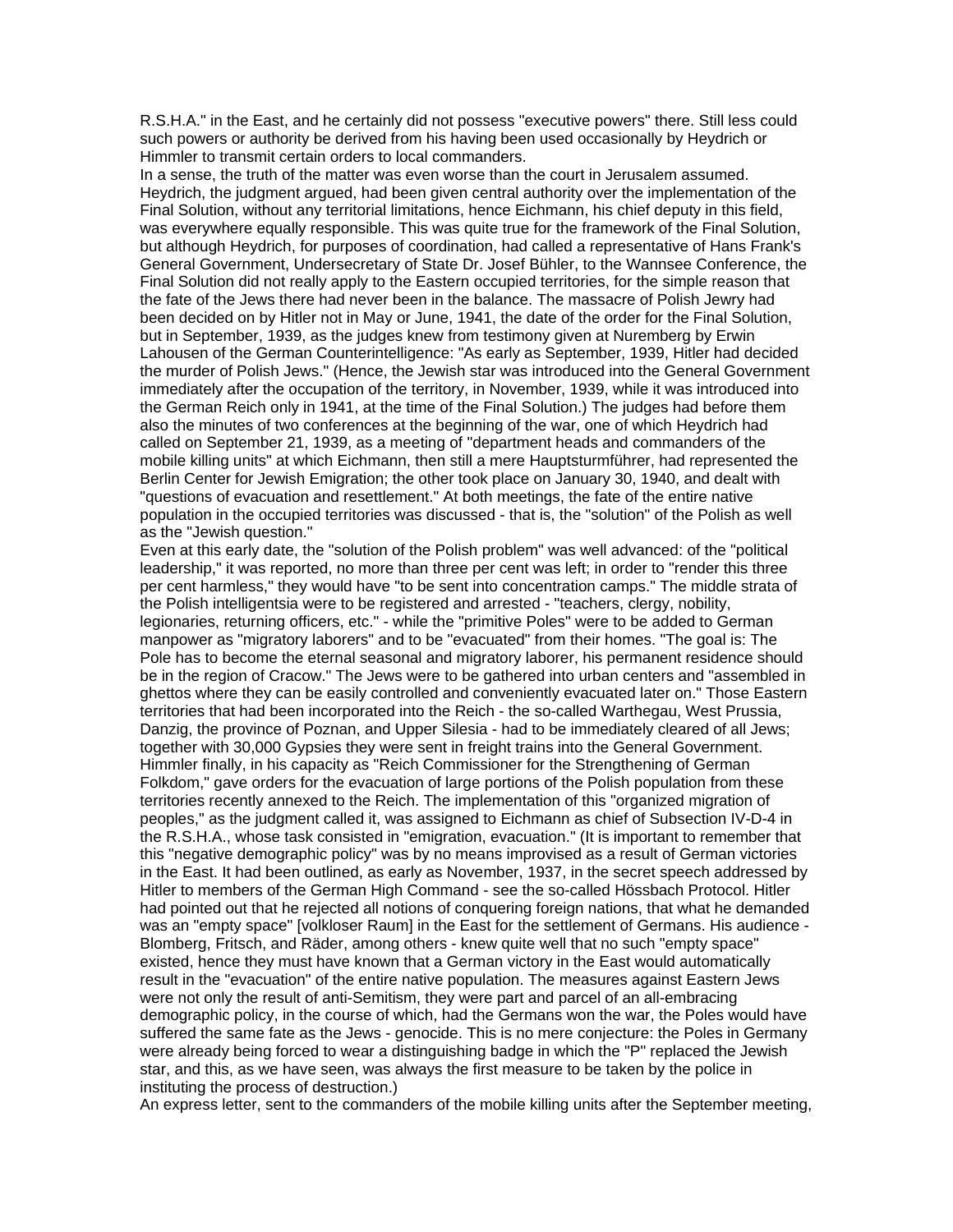R.S.H.A." in the East, and he certainly did not possess "executive powers" there. Still less could such powers or authority be derived from his having been used occasionally by Heydrich or Himmler to transmit certain orders to local commanders.

In a sense, the truth of the matter was even worse than the court in Jerusalem assumed. Heydrich, the judgment argued, had been given central authority over the implementation of the Final Solution, without any territorial limitations, hence Eichmann, his chief deputy in this field, was everywhere equally responsible. This was quite true for the framework of the Final Solution, but although Heydrich, for purposes of coordination, had called a representative of Hans Frank's General Government, Undersecretary of State Dr. Josef Bühler, to the Wannsee Conference, the Final Solution did not really apply to the Eastern occupied territories, for the simple reason that the fate of the Jews there had never been in the balance. The massacre of Polish Jewry had been decided on by Hitler not in May or June, 1941, the date of the order for the Final Solution, but in September, 1939, as the judges knew from testimony given at Nuremberg by Erwin Lahousen of the German Counterintelligence: "As early as September, 1939, Hitler had decided the murder of Polish Jews." (Hence, the Jewish star was introduced into the General Government immediately after the occupation of the territory, in November, 1939, while it was introduced into the German Reich only in 1941, at the time of the Final Solution.) The judges had before them also the minutes of two conferences at the beginning of the war, one of which Heydrich had called on September 21, 1939, as a meeting of "department heads and commanders of the mobile killing units" at which Eichmann, then still a mere Hauptsturmführer, had represented the Berlin Center for Jewish Emigration; the other took place on January 30, 1940, and dealt with "questions of evacuation and resettlement." At both meetings, the fate of the entire native population in the occupied territories was discussed - that is, the "solution" of the Polish as well as the "Jewish question."

Even at this early date, the "solution of the Polish problem" was well advanced: of the "political leadership," it was reported, no more than three per cent was left; in order to "render this three per cent harmless," they would have "to be sent into concentration camps." The middle strata of the Polish intelligentsia were to be registered and arrested - "teachers, clergy, nobility, legionaries, returning officers, etc." - while the "primitive Poles" were to be added to German manpower as "migratory laborers" and to be "evacuated" from their homes. "The goal is: The Pole has to become the eternal seasonal and migratory laborer, his permanent residence should be in the region of Cracow." The Jews were to be gathered into urban centers and "assembled in ghettos where they can be easily controlled and conveniently evacuated later on." Those Eastern territories that had been incorporated into the Reich - the so-called Warthegau, West Prussia, Danzig, the province of Poznan, and Upper Silesia - had to be immediately cleared of all Jews; together with 30,000 Gypsies they were sent in freight trains into the General Government. Himmler finally, in his capacity as "Reich Commissioner for the Strengthening of German Folkdom," gave orders for the evacuation of large portions of the Polish population from these territories recently annexed to the Reich. The implementation of this "organized migration of peoples," as the judgment called it, was assigned to Eichmann as chief of Subsection IV-D-4 in the R.S.H.A., whose task consisted in "emigration, evacuation." (It is important to remember that this "negative demographic policy" was by no means improvised as a result of German victories in the East. It had been outlined, as early as November, 1937, in the secret speech addressed by Hitler to members of the German High Command - see the so-called Hössbach Protocol. Hitler had pointed out that he rejected all notions of conquering foreign nations, that what he demanded was an "empty space" [volkloser Raum] in the East for the settlement of Germans. His audience - Blomberg, Fritsch, and Räder, among others - knew quite well that no such "empty space" existed, hence they must have known that a German victory in the East would automatically result in the "evacuation" of the entire native population. The measures against Eastern Jews were not only the result of anti-Semitism, they were part and parcel of an all-embracing demographic policy, in the course of which, had the Germans won the war, the Poles would have suffered the same fate as the Jews - genocide. This is no mere conjecture: the Poles in Germany were already being forced to wear a distinguishing badge in which the "P" replaced the Jewish star, and this, as we have seen, was always the first measure to be taken by the police in instituting the process of destruction.)

An express letter, sent to the commanders of the mobile killing units after the September meeting,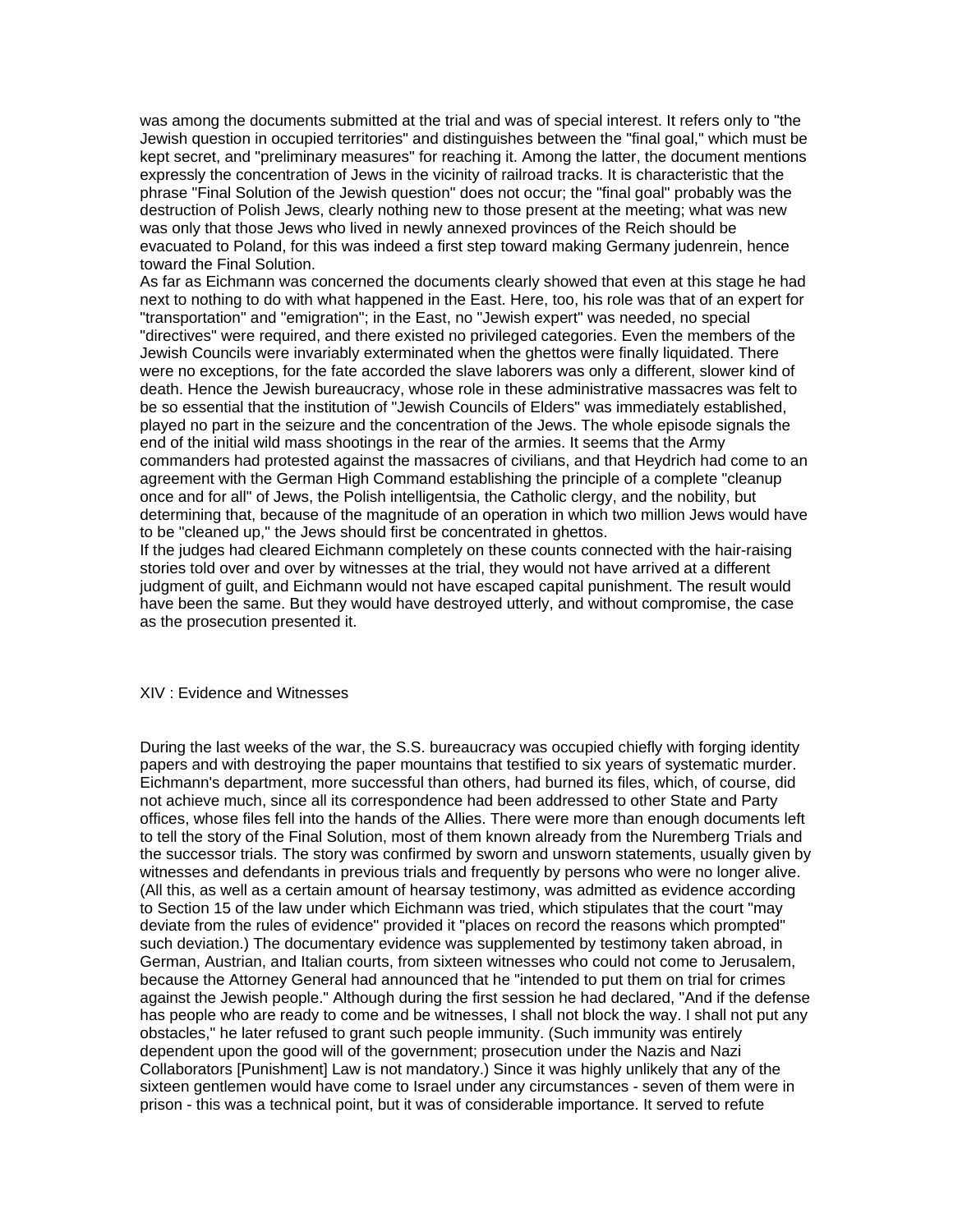was among the documents submitted at the trial and was of special interest. It refers only to "the Jewish question in occupied territories" and distinguishes between the "final goal," which must be kept secret, and "preliminary measures" for reaching it. Among the latter, the document mentions expressly the concentration of Jews in the vicinity of railroad tracks. It is characteristic that the phrase "Final Solution of the Jewish question" does not occur; the "final goal" probably was the destruction of Polish Jews, clearly nothing new to those present at the meeting; what was new was only that those Jews who lived in newly annexed provinces of the Reich should be evacuated to Poland, for this was indeed a first step toward making Germany judenrein, hence toward the Final Solution.

As far as Eichmann was concerned the documents clearly showed that even at this stage he had next to nothing to do with what happened in the East. Here, too, his role was that of an expert for "transportation" and "emigration"; in the East, no "Jewish expert" was needed, no special "directives" were required, and there existed no privileged categories. Even the members of the Jewish Councils were invariably exterminated when the ghettos were finally liquidated. There were no exceptions, for the fate accorded the slave laborers was only a different, slower kind of death. Hence the Jewish bureaucracy, whose role in these administrative massacres was felt to be so essential that the institution of "Jewish Councils of Elders" was immediately established, played no part in the seizure and the concentration of the Jews. The whole episode signals the end of the initial wild mass shootings in the rear of the armies. It seems that the Army commanders had protested against the massacres of civilians, and that Heydrich had come to an agreement with the German High Command establishing the principle of a complete "cleanup once and for all" of Jews, the Polish intelligentsia, the Catholic clergy, and the nobility, but determining that, because of the magnitude of an operation in which two million Jews would have to be "cleaned up," the Jews should first be concentrated in ghettos.

If the judges had cleared Eichmann completely on these counts connected with the hair-raising stories told over and over by witnesses at the trial, they would not have arrived at a different judgment of guilt, and Eichmann would not have escaped capital punishment. The result would have been the same. But they would have destroyed utterly, and without compromise, the case as the prosecution presented it.

## XIV : Evidence and Witnesses

During the last weeks of the war, the S.S. bureaucracy was occupied chiefly with forging identity papers and with destroying the paper mountains that testified to six years of systematic murder. Eichmann's department, more successful than others, had burned its files, which, of course, did not achieve much, since all its correspondence had been addressed to other State and Party offices, whose files fell into the hands of the Allies. There were more than enough documents left to tell the story of the Final Solution, most of them known already from the Nuremberg Trials and the successor trials. The story was confirmed by sworn and unsworn statements, usually given by witnesses and defendants in previous trials and frequently by persons who were no longer alive. (All this, as well as a certain amount of hearsay testimony, was admitted as evidence according to Section 15 of the law under which Eichmann was tried, which stipulates that the court "may deviate from the rules of evidence" provided it "places on record the reasons which prompted" such deviation.) The documentary evidence was supplemented by testimony taken abroad, in German, Austrian, and Italian courts, from sixteen witnesses who could not come to Jerusalem, because the Attorney General had announced that he "intended to put them on trial for crimes against the Jewish people." Although during the first session he had declared, "And if the defense has people who are ready to come and be witnesses, I shall not block the way. I shall not put any obstacles," he later refused to grant such people immunity. (Such immunity was entirely dependent upon the good will of the government; prosecution under the Nazis and Nazi Collaborators [Punishment] Law is not mandatory.) Since it was highly unlikely that any of the sixteen gentlemen would have come to Israel under any circumstances - seven of them were in prison - this was a technical point, but it was of considerable importance. It served to refute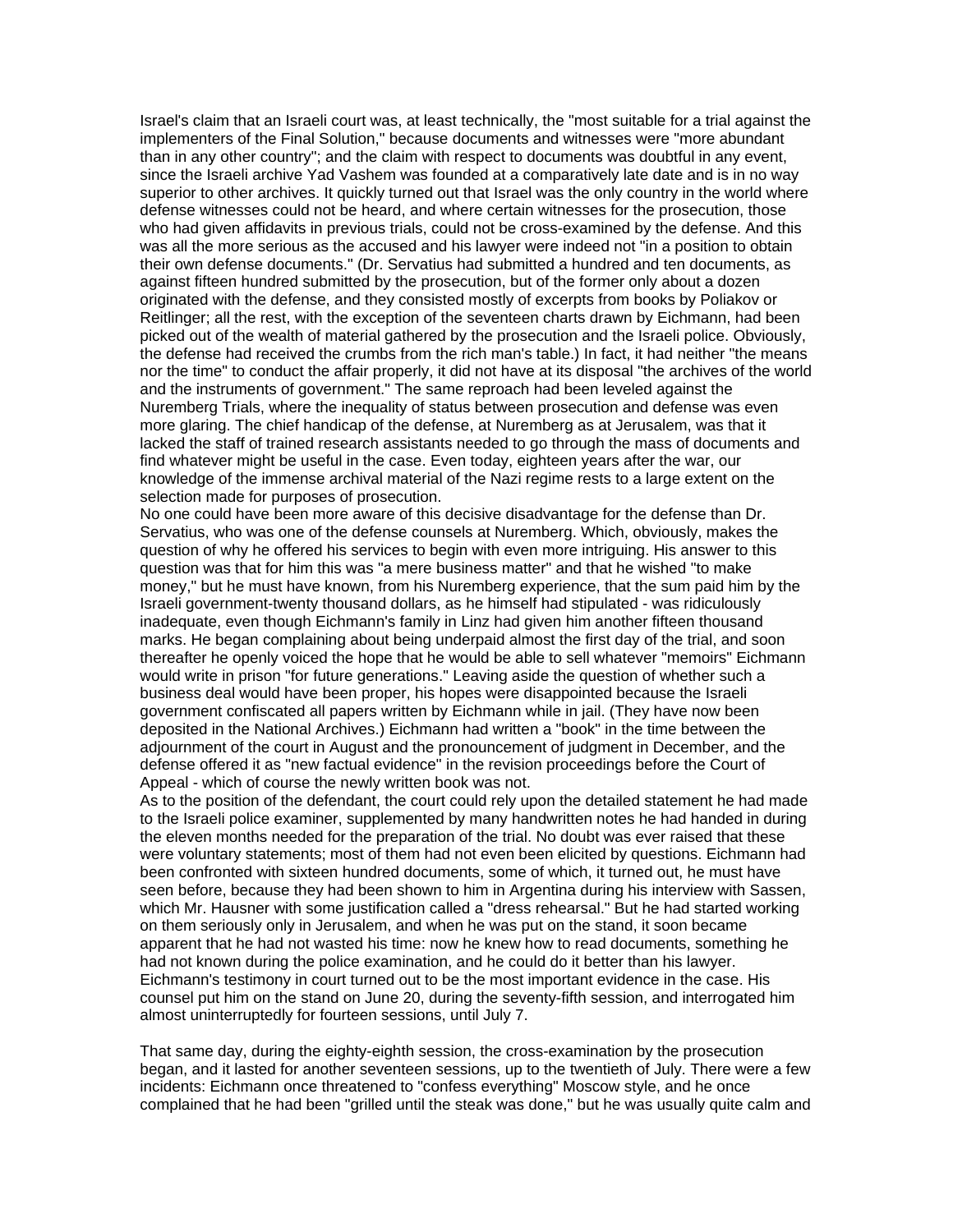Israel's claim that an Israeli court was, at least technically, the "most suitable for a trial against the implementers of the Final Solution," because documents and witnesses were "more abundant than in any other country"; and the claim with respect to documents was doubtful in any event, since the Israeli archive Yad Vashem was founded at a comparatively late date and is in no way superior to other archives. It quickly turned out that Israel was the only country in the world where defense witnesses could not be heard, and where certain witnesses for the prosecution, those who had given affidavits in previous trials, could not be cross-examined by the defense. And this was all the more serious as the accused and his lawyer were indeed not "in a position to obtain their own defense documents." (Dr. Servatius had submitted a hundred and ten documents, as against fifteen hundred submitted by the prosecution, but of the former only about a dozen originated with the defense, and they consisted mostly of excerpts from books by Poliakov or Reitlinger; all the rest, with the exception of the seventeen charts drawn by Eichmann, had been picked out of the wealth of material gathered by the prosecution and the Israeli police. Obviously, the defense had received the crumbs from the rich man's table.) In fact, it had neither "the means nor the time" to conduct the affair properly, it did not have at its disposal "the archives of the world and the instruments of government." The same reproach had been leveled against the Nuremberg Trials, where the inequality of status between prosecution and defense was even more glaring. The chief handicap of the defense, at Nuremberg as at Jerusalem, was that it lacked the staff of trained research assistants needed to go through the mass of documents and find whatever might be useful in the case. Even today, eighteen years after the war, our knowledge of the immense archival material of the Nazi regime rests to a large extent on the selection made for purposes of prosecution.

No one could have been more aware of this decisive disadvantage for the defense than Dr. Servatius, who was one of the defense counsels at Nuremberg. Which, obviously, makes the question of why he offered his services to begin with even more intriguing. His answer to this question was that for him this was "a mere business matter" and that he wished "to make money," but he must have known, from his Nuremberg experience, that the sum paid him by the Israeli government-twenty thousand dollars, as he himself had stipulated - was ridiculously inadequate, even though Eichmann's family in Linz had given him another fifteen thousand marks. He began complaining about being underpaid almost the first day of the trial, and soon thereafter he openly voiced the hope that he would be able to sell whatever "memoirs" Eichmann would write in prison "for future generations." Leaving aside the question of whether such a business deal would have been proper, his hopes were disappointed because the Israeli government confiscated all papers written by Eichmann while in jail. (They have now been deposited in the National Archives.) Eichmann had written a "book" in the time between the adjournment of the court in August and the pronouncement of judgment in December, and the defense offered it as "new factual evidence" in the revision proceedings before the Court of Appeal - which of course the newly written book was not.

As to the position of the defendant, the court could rely upon the detailed statement he had made to the Israeli police examiner, supplemented by many handwritten notes he had handed in during the eleven months needed for the preparation of the trial. No doubt was ever raised that these were voluntary statements; most of them had not even been elicited by questions. Eichmann had been confronted with sixteen hundred documents, some of which, it turned out, he must have seen before, because they had been shown to him in Argentina during his interview with Sassen, which Mr. Hausner with some justification called a "dress rehearsal." But he had started working on them seriously only in Jerusalem, and when he was put on the stand, it soon became apparent that he had not wasted his time: now he knew how to read documents, something he had not known during the police examination, and he could do it better than his lawyer. Eichmann's testimony in court turned out to be the most important evidence in the case. His counsel put him on the stand on June 20, during the seventy-fifth session, and interrogated him almost uninterruptedly for fourteen sessions, until July 7.

That same day, during the eighty-eighth session, the cross-examination by the prosecution began, and it lasted for another seventeen sessions, up to the twentieth of July. There were a few incidents: Eichmann once threatened to "confess everything" Moscow style, and he once complained that he had been "grilled until the steak was done," but he was usually quite calm and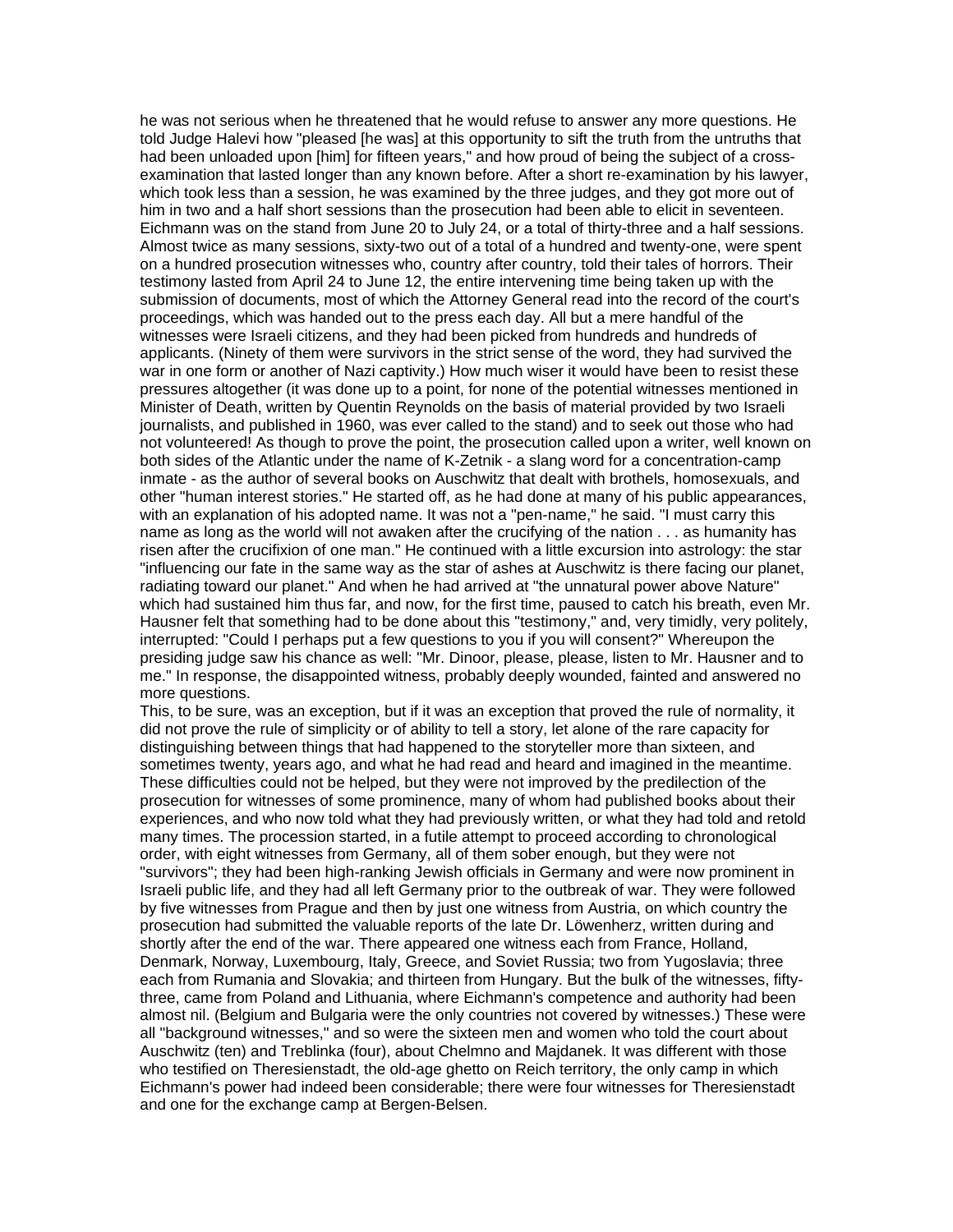he was not serious when he threatened that he would refuse to answer any more questions. He told Judge Halevi how "pleased [he was] at this opportunity to sift the truth from the untruths that had been unloaded upon [him] for fifteen years," and how proud of being the subject of a crossexamination that lasted longer than any known before. After a short re-examination by his lawyer, which took less than a session, he was examined by the three judges, and they got more out of him in two and a half short sessions than the prosecution had been able to elicit in seventeen. Eichmann was on the stand from June 20 to July 24, or a total of thirty-three and a half sessions. Almost twice as many sessions, sixty-two out of a total of a hundred and twenty-one, were spent on a hundred prosecution witnesses who, country after country, told their tales of horrors. Their testimony lasted from April 24 to June 12, the entire intervening time being taken up with the submission of documents, most of which the Attorney General read into the record of the court's proceedings, which was handed out to the press each day. All but a mere handful of the witnesses were Israeli citizens, and they had been picked from hundreds and hundreds of applicants. (Ninety of them were survivors in the strict sense of the word, they had survived the war in one form or another of Nazi captivity.) How much wiser it would have been to resist these pressures altogether (it was done up to a point, for none of the potential witnesses mentioned in Minister of Death, written by Quentin Reynolds on the basis of material provided by two Israeli journalists, and published in 1960, was ever called to the stand) and to seek out those who had not volunteered! As though to prove the point, the prosecution called upon a writer, well known on both sides of the Atlantic under the name of K-Zetnik - a slang word for a concentration-camp inmate - as the author of several books on Auschwitz that dealt with brothels, homosexuals, and other "human interest stories." He started off, as he had done at many of his public appearances, with an explanation of his adopted name. It was not a "pen-name," he said. "I must carry this name as long as the world will not awaken after the crucifying of the nation . . . as humanity has risen after the crucifixion of one man." He continued with a little excursion into astrology: the star "influencing our fate in the same way as the star of ashes at Auschwitz is there facing our planet, radiating toward our planet." And when he had arrived at "the unnatural power above Nature" which had sustained him thus far, and now, for the first time, paused to catch his breath, even Mr. Hausner felt that something had to be done about this "testimony," and, very timidly, very politely, interrupted: "Could I perhaps put a few questions to you if you will consent?" Whereupon the presiding judge saw his chance as well: "Mr. Dinoor, please, please, listen to Mr. Hausner and to me." In response, the disappointed witness, probably deeply wounded, fainted and answered no more questions.

This, to be sure, was an exception, but if it was an exception that proved the rule of normality, it did not prove the rule of simplicity or of ability to tell a story, let alone of the rare capacity for distinguishing between things that had happened to the storyteller more than sixteen, and sometimes twenty, years ago, and what he had read and heard and imagined in the meantime. These difficulties could not be helped, but they were not improved by the predilection of the prosecution for witnesses of some prominence, many of whom had published books about their experiences, and who now told what they had previously written, or what they had told and retold many times. The procession started, in a futile attempt to proceed according to chronological order, with eight witnesses from Germany, all of them sober enough, but they were not "survivors"; they had been high-ranking Jewish officials in Germany and were now prominent in Israeli public life, and they had all left Germany prior to the outbreak of war. They were followed by five witnesses from Prague and then by just one witness from Austria, on which country the prosecution had submitted the valuable reports of the late Dr. Löwenherz, written during and shortly after the end of the war. There appeared one witness each from France, Holland, Denmark, Norway, Luxembourg, Italy, Greece, and Soviet Russia; two from Yugoslavia; three each from Rumania and Slovakia; and thirteen from Hungary. But the bulk of the witnesses, fiftythree, came from Poland and Lithuania, where Eichmann's competence and authority had been almost nil. (Belgium and Bulgaria were the only countries not covered by witnesses.) These were all "background witnesses," and so were the sixteen men and women who told the court about Auschwitz (ten) and Treblinka (four), about Chelmno and Majdanek. It was different with those who testified on Theresienstadt, the old-age ghetto on Reich territory, the only camp in which Eichmann's power had indeed been considerable; there were four witnesses for Theresienstadt and one for the exchange camp at Bergen-Belsen.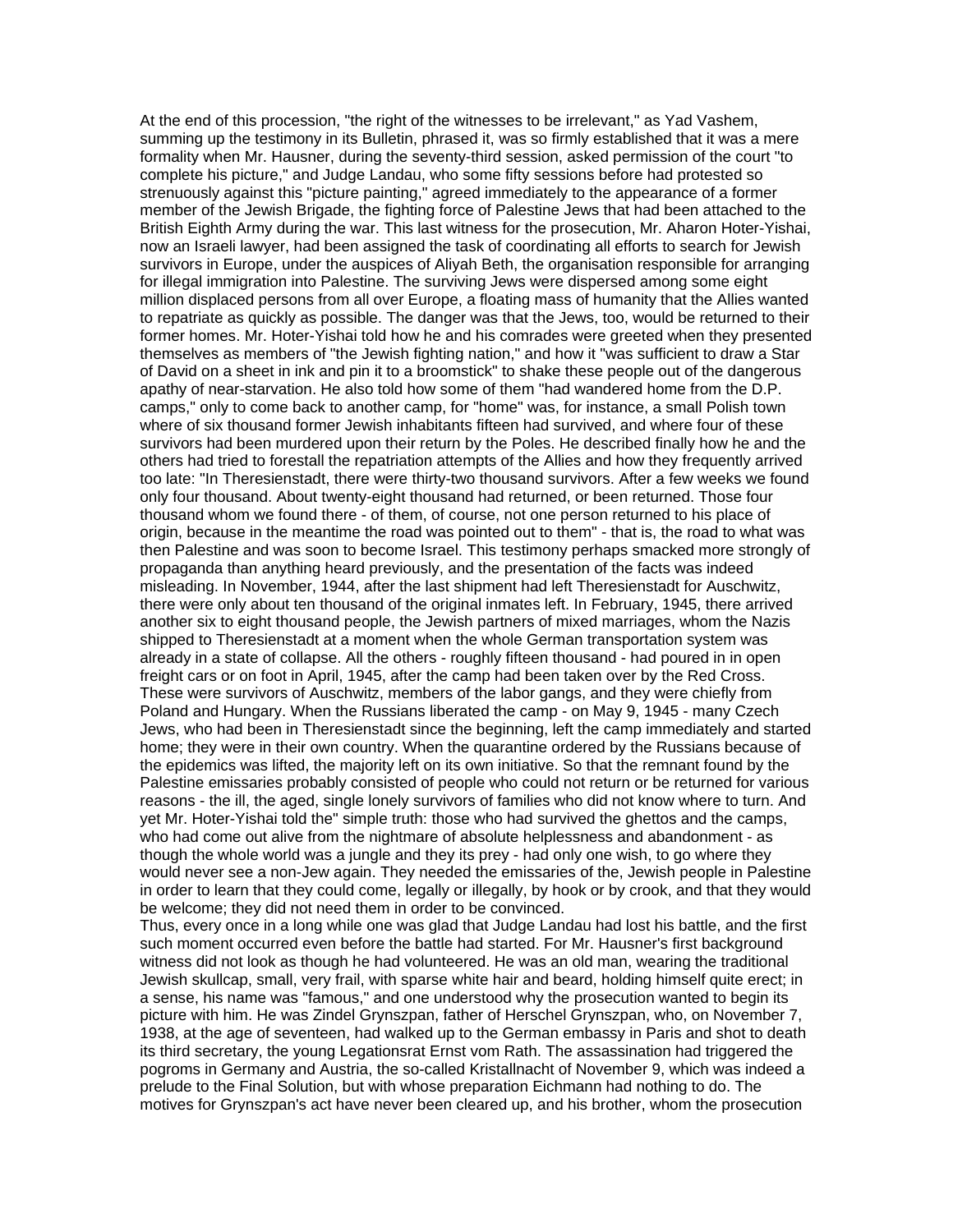At the end of this procession, "the right of the witnesses to be irrelevant," as Yad Vashem, summing up the testimony in its Bulletin, phrased it, was so firmly established that it was a mere formality when Mr. Hausner, during the seventy-third session, asked permission of the court "to complete his picture," and Judge Landau, who some fifty sessions before had protested so strenuously against this "picture painting," agreed immediately to the appearance of a former member of the Jewish Brigade, the fighting force of Palestine Jews that had been attached to the British Eighth Army during the war. This last witness for the prosecution, Mr. Aharon Hoter-Yishai, now an Israeli lawyer, had been assigned the task of coordinating all efforts to search for Jewish survivors in Europe, under the auspices of Aliyah Beth, the organisation responsible for arranging for illegal immigration into Palestine. The surviving Jews were dispersed among some eight million displaced persons from all over Europe, a floating mass of humanity that the Allies wanted to repatriate as quickly as possible. The danger was that the Jews, too, would be returned to their former homes. Mr. Hoter-Yishai told how he and his comrades were greeted when they presented themselves as members of "the Jewish fighting nation," and how it "was sufficient to draw a Star of David on a sheet in ink and pin it to a broomstick" to shake these people out of the dangerous apathy of near-starvation. He also told how some of them "had wandered home from the D.P. camps," only to come back to another camp, for "home" was, for instance, a small Polish town where of six thousand former Jewish inhabitants fifteen had survived, and where four of these survivors had been murdered upon their return by the Poles. He described finally how he and the others had tried to forestall the repatriation attempts of the Allies and how they frequently arrived too late: "In Theresienstadt, there were thirty-two thousand survivors. After a few weeks we found only four thousand. About twenty-eight thousand had returned, or been returned. Those four thousand whom we found there - of them, of course, not one person returned to his place of origin, because in the meantime the road was pointed out to them" - that is, the road to what was then Palestine and was soon to become Israel. This testimony perhaps smacked more strongly of propaganda than anything heard previously, and the presentation of the facts was indeed misleading. In November, 1944, after the last shipment had left Theresienstadt for Auschwitz, there were only about ten thousand of the original inmates left. In February, 1945, there arrived another six to eight thousand people, the Jewish partners of mixed marriages, whom the Nazis shipped to Theresienstadt at a moment when the whole German transportation system was already in a state of collapse. All the others - roughly fifteen thousand - had poured in in open freight cars or on foot in April, 1945, after the camp had been taken over by the Red Cross. These were survivors of Auschwitz, members of the labor gangs, and they were chiefly from Poland and Hungary. When the Russians liberated the camp - on May 9, 1945 - many Czech Jews, who had been in Theresienstadt since the beginning, left the camp immediately and started home; they were in their own country. When the quarantine ordered by the Russians because of the epidemics was lifted, the majority left on its own initiative. So that the remnant found by the Palestine emissaries probably consisted of people who could not return or be returned for various reasons - the ill, the aged, single lonely survivors of families who did not know where to turn. And yet Mr. Hoter-Yishai told the" simple truth: those who had survived the ghettos and the camps, who had come out alive from the nightmare of absolute helplessness and abandonment - as though the whole world was a jungle and they its prey - had only one wish, to go where they would never see a non-Jew again. They needed the emissaries of the, Jewish people in Palestine in order to learn that they could come, legally or illegally, by hook or by crook, and that they would be welcome; they did not need them in order to be convinced.

Thus, every once in a long while one was glad that Judge Landau had lost his battle, and the first such moment occurred even before the battle had started. For Mr. Hausner's first background witness did not look as though he had volunteered. He was an old man, wearing the traditional Jewish skullcap, small, very frail, with sparse white hair and beard, holding himself quite erect; in a sense, his name was "famous," and one understood why the prosecution wanted to begin its picture with him. He was Zindel Grynszpan, father of Herschel Grynszpan, who, on November 7, 1938, at the age of seventeen, had walked up to the German embassy in Paris and shot to death its third secretary, the young Legationsrat Ernst vom Rath. The assassination had triggered the pogroms in Germany and Austria, the so-called Kristallnacht of November 9, which was indeed a prelude to the Final Solution, but with whose preparation Eichmann had nothing to do. The motives for Grynszpan's act have never been cleared up, and his brother, whom the prosecution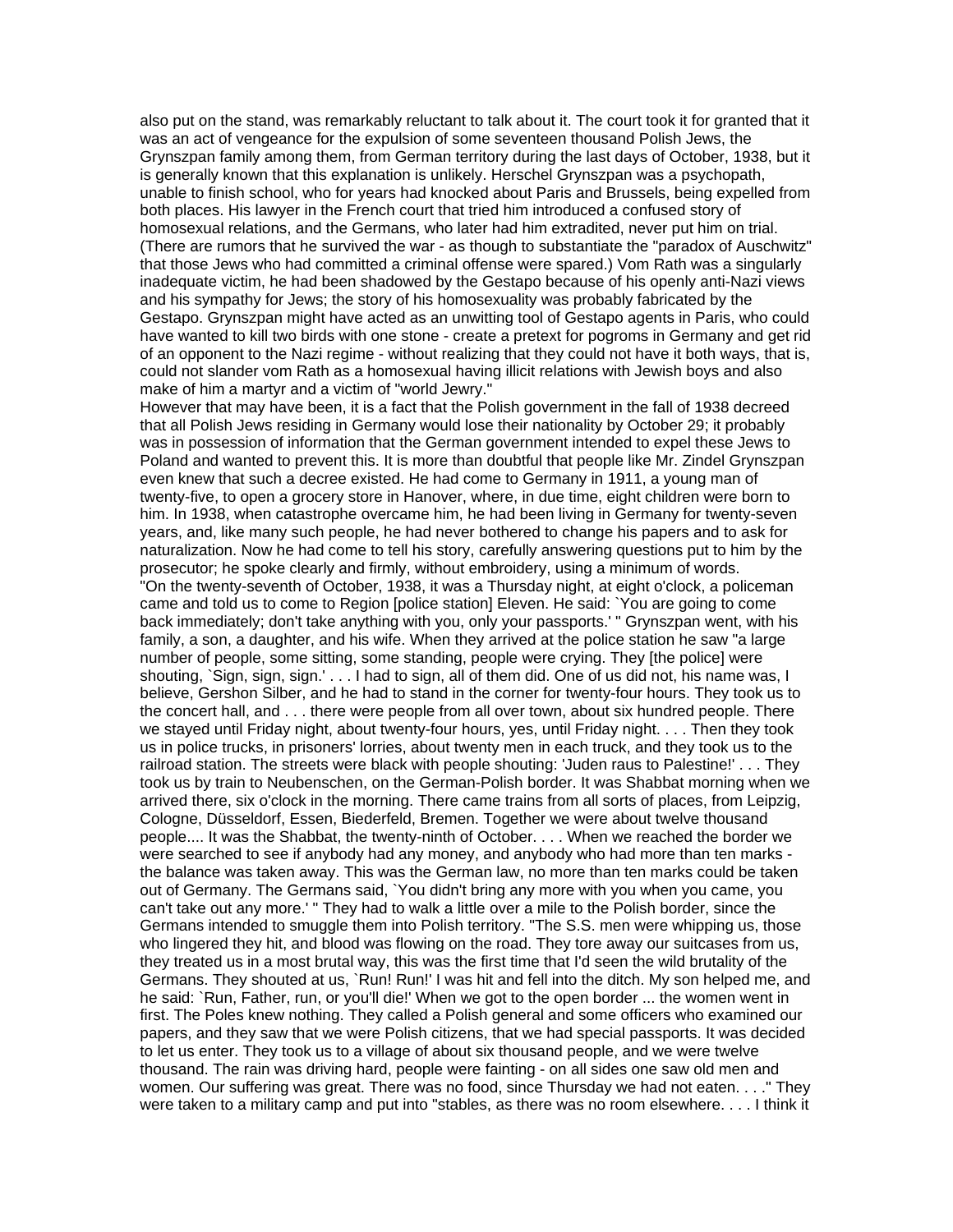also put on the stand, was remarkably reluctant to talk about it. The court took it for granted that it was an act of vengeance for the expulsion of some seventeen thousand Polish Jews, the Grynszpan family among them, from German territory during the last days of October, 1938, but it is generally known that this explanation is unlikely. Herschel Grynszpan was a psychopath, unable to finish school, who for years had knocked about Paris and Brussels, being expelled from both places. His lawyer in the French court that tried him introduced a confused story of homosexual relations, and the Germans, who later had him extradited, never put him on trial. (There are rumors that he survived the war - as though to substantiate the "paradox of Auschwitz" that those Jews who had committed a criminal offense were spared.) Vom Rath was a singularly inadequate victim, he had been shadowed by the Gestapo because of his openly anti-Nazi views and his sympathy for Jews; the story of his homosexuality was probably fabricated by the Gestapo. Grynszpan might have acted as an unwitting tool of Gestapo agents in Paris, who could have wanted to kill two birds with one stone - create a pretext for pogroms in Germany and get rid of an opponent to the Nazi regime - without realizing that they could not have it both ways, that is, could not slander vom Rath as a homosexual having illicit relations with Jewish boys and also make of him a martyr and a victim of "world Jewry."

However that may have been, it is a fact that the Polish government in the fall of 1938 decreed that all Polish Jews residing in Germany would lose their nationality by October 29; it probably was in possession of information that the German government intended to expel these Jews to Poland and wanted to prevent this. It is more than doubtful that people like Mr. Zindel Grynszpan even knew that such a decree existed. He had come to Germany in 1911, a young man of twenty-five, to open a grocery store in Hanover, where, in due time, eight children were born to him. In 1938, when catastrophe overcame him, he had been living in Germany for twenty-seven years, and, like many such people, he had never bothered to change his papers and to ask for naturalization. Now he had come to tell his story, carefully answering questions put to him by the prosecutor; he spoke clearly and firmly, without embroidery, using a minimum of words. "On the twenty-seventh of October, 1938, it was a Thursday night, at eight o'clock, a policeman came and told us to come to Region [police station] Eleven. He said: `You are going to come back immediately; don't take anything with you, only your passports.' " Grynszpan went, with his family, a son, a daughter, and his wife. When they arrived at the police station he saw "a large number of people, some sitting, some standing, people were crying. They [the police] were shouting, `Sign, sign, sign.' . . . I had to sign, all of them did. One of us did not, his name was, I believe, Gershon Silber, and he had to stand in the corner for twenty-four hours. They took us to the concert hall, and . . . there were people from all over town, about six hundred people. There we stayed until Friday night, about twenty-four hours, yes, until Friday night. . . . Then they took us in police trucks, in prisoners' lorries, about twenty men in each truck, and they took us to the railroad station. The streets were black with people shouting: 'Juden raus to Palestine!' . . . They took us by train to Neubenschen, on the German-Polish border. It was Shabbat morning when we arrived there, six o'clock in the morning. There came trains from all sorts of places, from Leipzig, Cologne, Düsseldorf, Essen, Biederfeld, Bremen. Together we were about twelve thousand people.... It was the Shabbat, the twenty-ninth of October. . . . When we reached the border we were searched to see if anybody had any money, and anybody who had more than ten marks the balance was taken away. This was the German law, no more than ten marks could be taken out of Germany. The Germans said, `You didn't bring any more with you when you came, you can't take out any more.' " They had to walk a little over a mile to the Polish border, since the Germans intended to smuggle them into Polish territory. "The S.S. men were whipping us, those who lingered they hit, and blood was flowing on the road. They tore away our suitcases from us, they treated us in a most brutal way, this was the first time that I'd seen the wild brutality of the Germans. They shouted at us, `Run! Run!' I was hit and fell into the ditch. My son helped me, and he said: `Run, Father, run, or you'll die!' When we got to the open border ... the women went in first. The Poles knew nothing. They called a Polish general and some officers who examined our papers, and they saw that we were Polish citizens, that we had special passports. It was decided to let us enter. They took us to a village of about six thousand people, and we were twelve thousand. The rain was driving hard, people were fainting - on all sides one saw old men and women. Our suffering was great. There was no food, since Thursday we had not eaten. . . ." They were taken to a military camp and put into "stables, as there was no room elsewhere. . . . I think it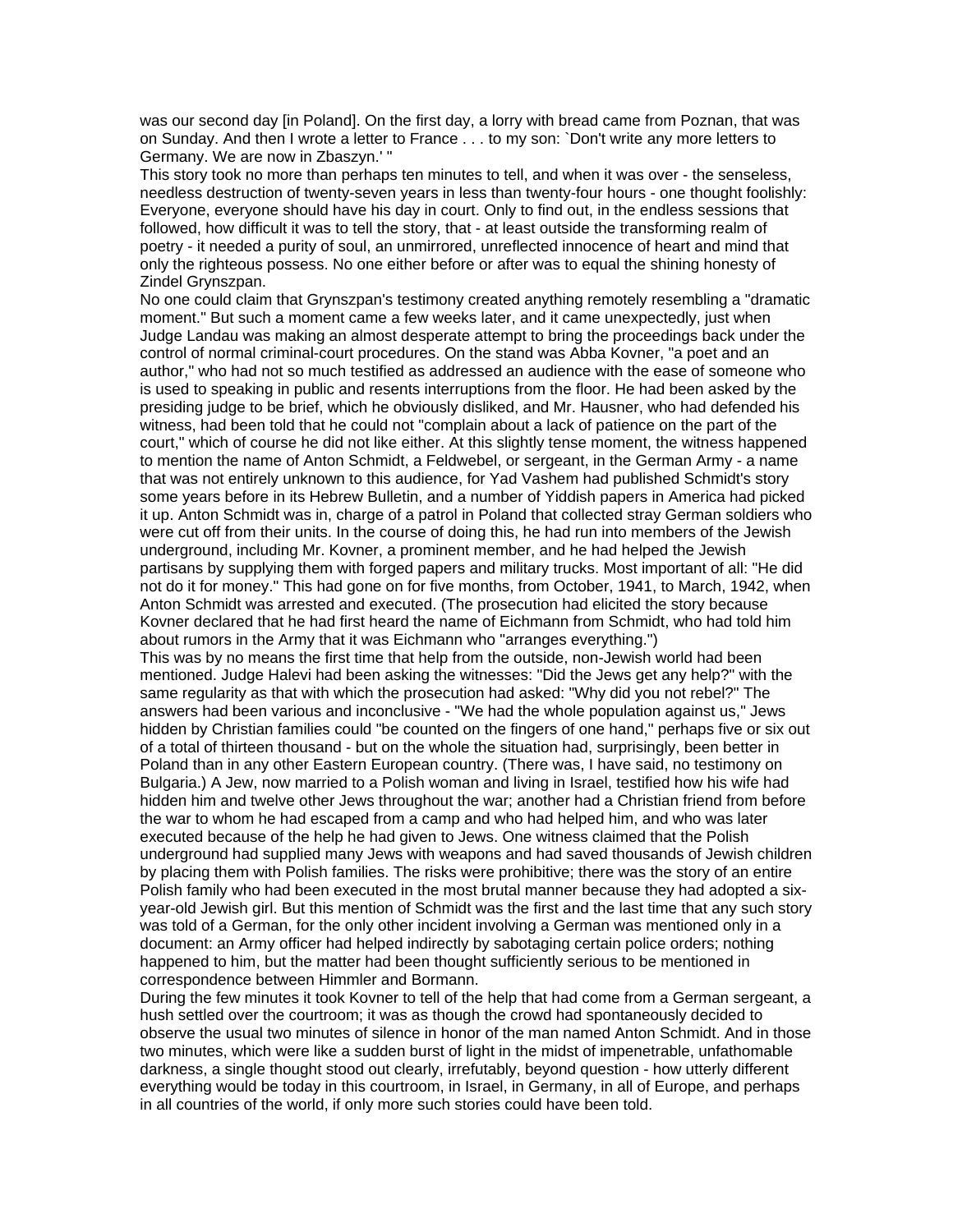was our second day [in Poland]. On the first day, a lorry with bread came from Poznan, that was on Sunday. And then I wrote a letter to France . . . to my son: `Don't write any more letters to Germany. We are now in Zbaszyn.' "

This story took no more than perhaps ten minutes to tell, and when it was over - the senseless, needless destruction of twenty-seven years in less than twenty-four hours - one thought foolishly: Everyone, everyone should have his day in court. Only to find out, in the endless sessions that followed, how difficult it was to tell the story, that - at least outside the transforming realm of poetry - it needed a purity of soul, an unmirrored, unreflected innocence of heart and mind that only the righteous possess. No one either before or after was to equal the shining honesty of Zindel Grynszpan.

No one could claim that Grynszpan's testimony created anything remotely resembling a "dramatic moment." But such a moment came a few weeks later, and it came unexpectedly, just when Judge Landau was making an almost desperate attempt to bring the proceedings back under the control of normal criminal-court procedures. On the stand was Abba Kovner, "a poet and an author," who had not so much testified as addressed an audience with the ease of someone who is used to speaking in public and resents interruptions from the floor. He had been asked by the presiding judge to be brief, which he obviously disliked, and Mr. Hausner, who had defended his witness, had been told that he could not "complain about a lack of patience on the part of the court," which of course he did not like either. At this slightly tense moment, the witness happened to mention the name of Anton Schmidt, a Feldwebel, or sergeant, in the German Army - a name that was not entirely unknown to this audience, for Yad Vashem had published Schmidt's story some years before in its Hebrew Bulletin, and a number of Yiddish papers in America had picked it up. Anton Schmidt was in, charge of a patrol in Poland that collected stray German soldiers who were cut off from their units. In the course of doing this, he had run into members of the Jewish underground, including Mr. Kovner, a prominent member, and he had helped the Jewish partisans by supplying them with forged papers and military trucks. Most important of all: "He did not do it for money." This had gone on for five months, from October, 1941, to March, 1942, when Anton Schmidt was arrested and executed. (The prosecution had elicited the story because Kovner declared that he had first heard the name of Eichmann from Schmidt, who had told him about rumors in the Army that it was Eichmann who "arranges everything.") This was by no means the first time that help from the outside, non-Jewish world had been mentioned. Judge Halevi had been asking the witnesses: "Did the Jews get any help?" with the same regularity as that with which the prosecution had asked: "Why did you not rebel?" The

answers had been various and inconclusive - "We had the whole population against us," Jews hidden by Christian families could "be counted on the fingers of one hand," perhaps five or six out of a total of thirteen thousand - but on the whole the situation had, surprisingly, been better in Poland than in any other Eastern European country. (There was, I have said, no testimony on Bulgaria.) A Jew, now married to a Polish woman and living in Israel, testified how his wife had hidden him and twelve other Jews throughout the war; another had a Christian friend from before the war to whom he had escaped from a camp and who had helped him, and who was later executed because of the help he had given to Jews. One witness claimed that the Polish underground had supplied many Jews with weapons and had saved thousands of Jewish children by placing them with Polish families. The risks were prohibitive; there was the story of an entire Polish family who had been executed in the most brutal manner because they had adopted a sixyear-old Jewish girl. But this mention of Schmidt was the first and the last time that any such story was told of a German, for the only other incident involving a German was mentioned only in a document: an Army officer had helped indirectly by sabotaging certain police orders; nothing happened to him, but the matter had been thought sufficiently serious to be mentioned in correspondence between Himmler and Bormann.

During the few minutes it took Kovner to tell of the help that had come from a German sergeant, a hush settled over the courtroom; it was as though the crowd had spontaneously decided to observe the usual two minutes of silence in honor of the man named Anton Schmidt. And in those two minutes, which were like a sudden burst of light in the midst of impenetrable, unfathomable darkness, a single thought stood out clearly, irrefutably, beyond question - how utterly different everything would be today in this courtroom, in Israel, in Germany, in all of Europe, and perhaps in all countries of the world, if only more such stories could have been told.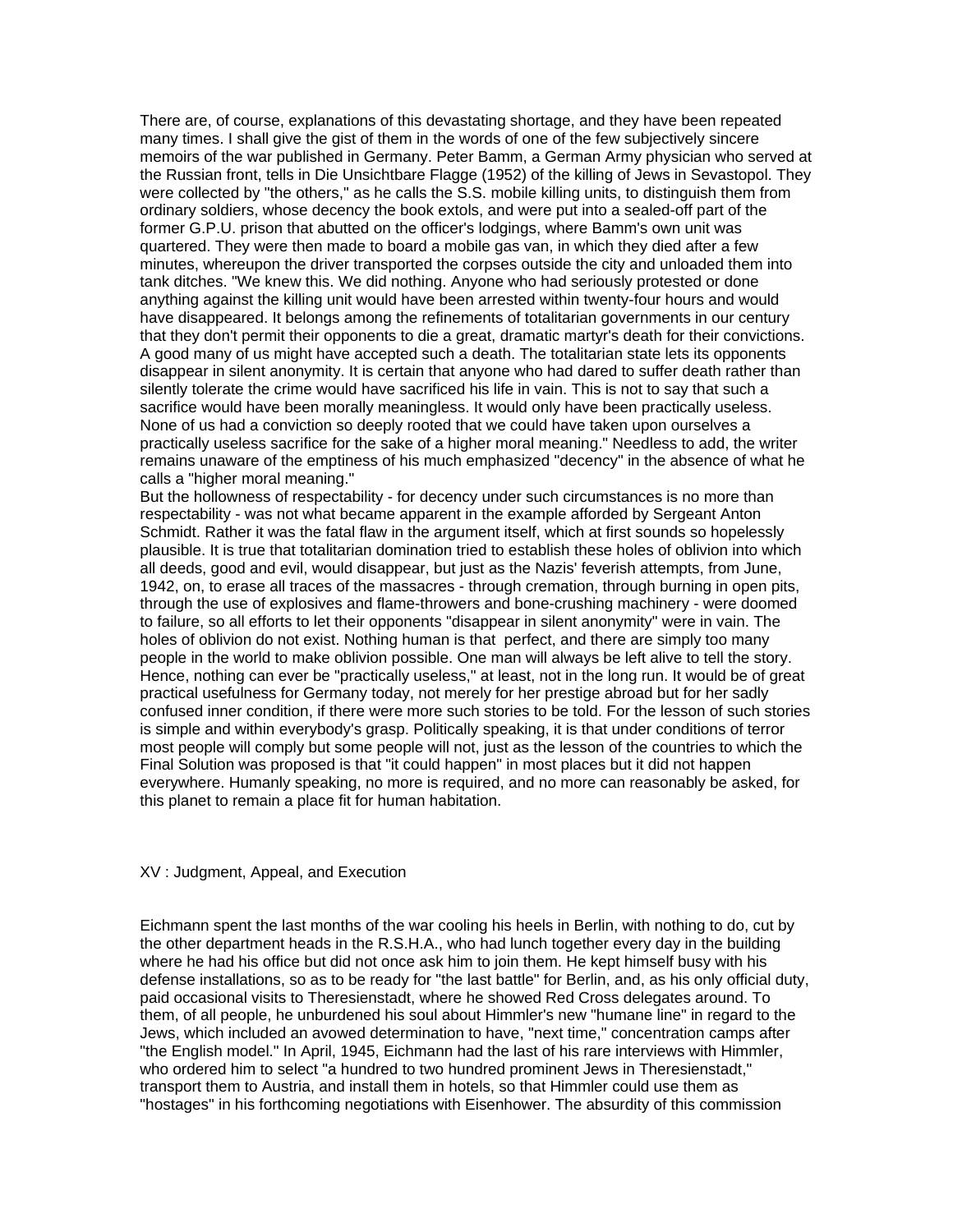There are, of course, explanations of this devastating shortage, and they have been repeated many times. I shall give the gist of them in the words of one of the few subjectively sincere memoirs of the war published in Germany. Peter Bamm, a German Army physician who served at the Russian front, tells in Die Unsichtbare Flagge (1952) of the killing of Jews in Sevastopol. They were collected by "the others," as he calls the S.S. mobile killing units, to distinguish them from ordinary soldiers, whose decency the book extols, and were put into a sealed-off part of the former G.P.U. prison that abutted on the officer's lodgings, where Bamm's own unit was quartered. They were then made to board a mobile gas van, in which they died after a few minutes, whereupon the driver transported the corpses outside the city and unloaded them into tank ditches. "We knew this. We did nothing. Anyone who had seriously protested or done anything against the killing unit would have been arrested within twenty-four hours and would have disappeared. It belongs among the refinements of totalitarian governments in our century that they don't permit their opponents to die a great, dramatic martyr's death for their convictions. A good many of us might have accepted such a death. The totalitarian state lets its opponents disappear in silent anonymity. It is certain that anyone who had dared to suffer death rather than silently tolerate the crime would have sacrificed his life in vain. This is not to say that such a sacrifice would have been morally meaningless. It would only have been practically useless. None of us had a conviction so deeply rooted that we could have taken upon ourselves a practically useless sacrifice for the sake of a higher moral meaning." Needless to add, the writer remains unaware of the emptiness of his much emphasized "decency" in the absence of what he calls a "higher moral meaning."

But the hollowness of respectability - for decency under such circumstances is no more than respectability - was not what became apparent in the example afforded by Sergeant Anton Schmidt. Rather it was the fatal flaw in the argument itself, which at first sounds so hopelessly plausible. It is true that totalitarian domination tried to establish these holes of oblivion into which all deeds, good and evil, would disappear, but just as the Nazis' feverish attempts, from June, 1942, on, to erase all traces of the massacres - through cremation, through burning in open pits, through the use of explosives and flame-throwers and bone-crushing machinery - were doomed to failure, so all efforts to let their opponents "disappear in silent anonymity" were in vain. The holes of oblivion do not exist. Nothing human is that perfect, and there are simply too many people in the world to make oblivion possible. One man will always be left alive to tell the story. Hence, nothing can ever be "practically useless," at least, not in the long run. It would be of great practical usefulness for Germany today, not merely for her prestige abroad but for her sadly confused inner condition, if there were more such stories to be told. For the lesson of such stories is simple and within everybody's grasp. Politically speaking, it is that under conditions of terror most people will comply but some people will not, just as the lesson of the countries to which the Final Solution was proposed is that "it could happen" in most places but it did not happen everywhere. Humanly speaking, no more is required, and no more can reasonably be asked, for this planet to remain a place fit for human habitation.

# XV : Judgment, Appeal, and Execution

Eichmann spent the last months of the war cooling his heels in Berlin, with nothing to do, cut by the other department heads in the R.S.H.A., who had lunch together every day in the building where he had his office but did not once ask him to join them. He kept himself busy with his defense installations, so as to be ready for "the last battle" for Berlin, and, as his only official duty, paid occasional visits to Theresienstadt, where he showed Red Cross delegates around. To them, of all people, he unburdened his soul about Himmler's new "humane line" in regard to the Jews, which included an avowed determination to have, "next time," concentration camps after "the English model." In April, 1945, Eichmann had the last of his rare interviews with Himmler, who ordered him to select "a hundred to two hundred prominent Jews in Theresienstadt," transport them to Austria, and install them in hotels, so that Himmler could use them as "hostages" in his forthcoming negotiations with Eisenhower. The absurdity of this commission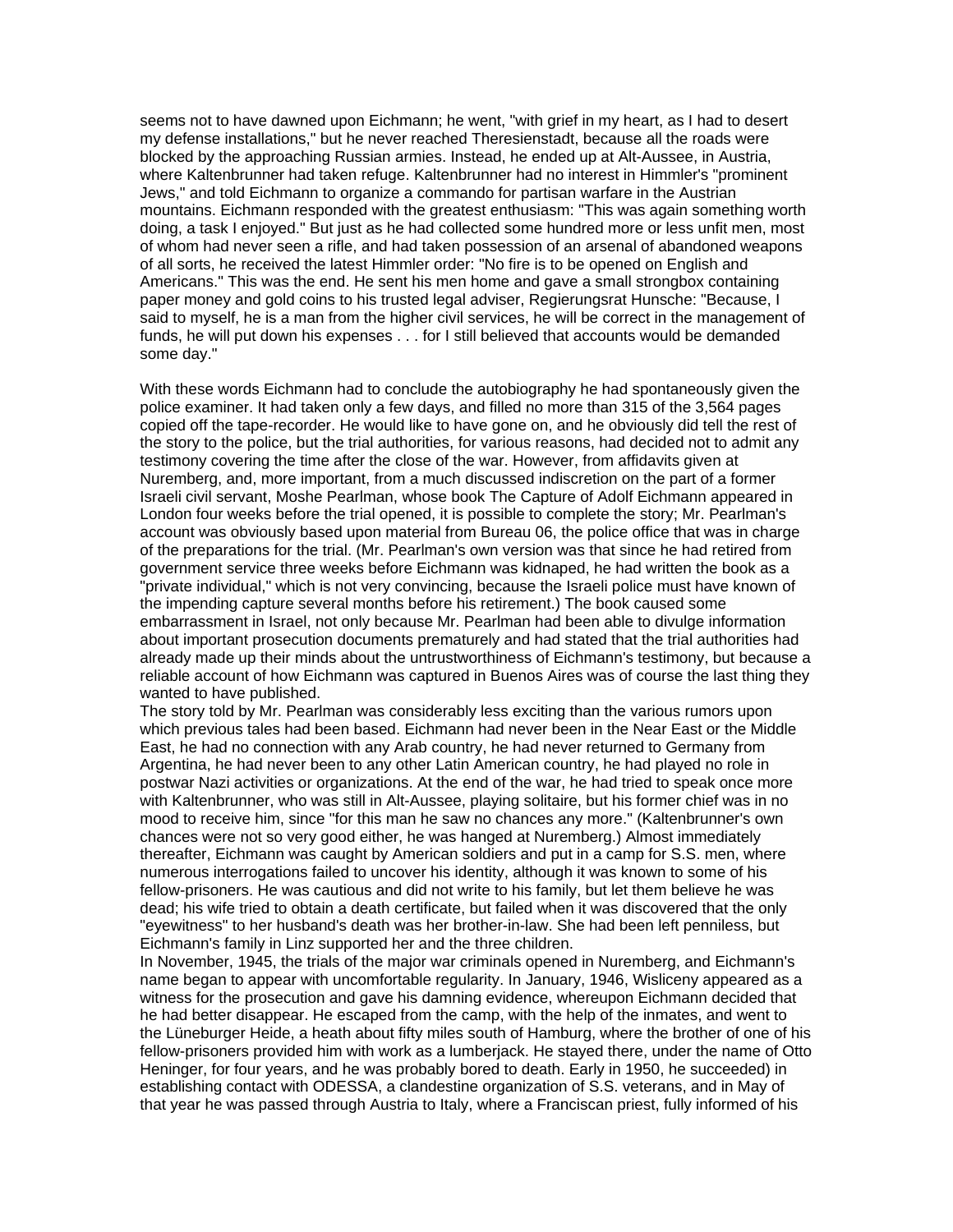seems not to have dawned upon Eichmann; he went, "with grief in my heart, as I had to desert my defense installations," but he never reached Theresienstadt, because all the roads were blocked by the approaching Russian armies. Instead, he ended up at Alt-Aussee, in Austria, where Kaltenbrunner had taken refuge. Kaltenbrunner had no interest in Himmler's "prominent Jews," and told Eichmann to organize a commando for partisan warfare in the Austrian mountains. Eichmann responded with the greatest enthusiasm: "This was again something worth doing, a task I enjoyed." But just as he had collected some hundred more or less unfit men, most of whom had never seen a rifle, and had taken possession of an arsenal of abandoned weapons of all sorts, he received the latest Himmler order: "No fire is to be opened on English and Americans." This was the end. He sent his men home and gave a small strongbox containing paper money and gold coins to his trusted legal adviser, Regierungsrat Hunsche: "Because, I said to myself, he is a man from the higher civil services, he will be correct in the management of funds, he will put down his expenses . . . for I still believed that accounts would be demanded some day."

With these words Eichmann had to conclude the autobiography he had spontaneously given the police examiner. It had taken only a few days, and filled no more than 315 of the 3,564 pages copied off the tape-recorder. He would like to have gone on, and he obviously did tell the rest of the story to the police, but the trial authorities, for various reasons, had decided not to admit any testimony covering the time after the close of the war. However, from affidavits given at Nuremberg, and, more important, from a much discussed indiscretion on the part of a former Israeli civil servant, Moshe Pearlman, whose book The Capture of Adolf Eichmann appeared in London four weeks before the trial opened, it is possible to complete the story; Mr. Pearlman's account was obviously based upon material from Bureau 06, the police office that was in charge of the preparations for the trial. (Mr. Pearlman's own version was that since he had retired from government service three weeks before Eichmann was kidnaped, he had written the book as a "private individual," which is not very convincing, because the Israeli police must have known of the impending capture several months before his retirement.) The book caused some embarrassment in Israel, not only because Mr. Pearlman had been able to divulge information about important prosecution documents prematurely and had stated that the trial authorities had already made up their minds about the untrustworthiness of Eichmann's testimony, but because a reliable account of how Eichmann was captured in Buenos Aires was of course the last thing they wanted to have published.

The story told by Mr. Pearlman was considerably less exciting than the various rumors upon which previous tales had been based. Eichmann had never been in the Near East or the Middle East, he had no connection with any Arab country, he had never returned to Germany from Argentina, he had never been to any other Latin American country, he had played no role in postwar Nazi activities or organizations. At the end of the war, he had tried to speak once more with Kaltenbrunner, who was still in Alt-Aussee, playing solitaire, but his former chief was in no mood to receive him, since "for this man he saw no chances any more." (Kaltenbrunner's own chances were not so very good either, he was hanged at Nuremberg.) Almost immediately thereafter, Eichmann was caught by American soldiers and put in a camp for S.S. men, where numerous interrogations failed to uncover his identity, although it was known to some of his fellow-prisoners. He was cautious and did not write to his family, but let them believe he was dead; his wife tried to obtain a death certificate, but failed when it was discovered that the only "eyewitness" to her husband's death was her brother-in-law. She had been left penniless, but Eichmann's family in Linz supported her and the three children.

In November, 1945, the trials of the major war criminals opened in Nuremberg, and Eichmann's name began to appear with uncomfortable regularity. In January, 1946, Wisliceny appeared as a witness for the prosecution and gave his damning evidence, whereupon Eichmann decided that he had better disappear. He escaped from the camp, with the help of the inmates, and went to the Lüneburger Heide, a heath about fifty miles south of Hamburg, where the brother of one of his fellow-prisoners provided him with work as a lumberjack. He stayed there, under the name of Otto Heninger, for four years, and he was probably bored to death. Early in 1950, he succeeded) in establishing contact with ODESSA, a clandestine organization of S.S. veterans, and in May of that year he was passed through Austria to Italy, where a Franciscan priest, fully informed of his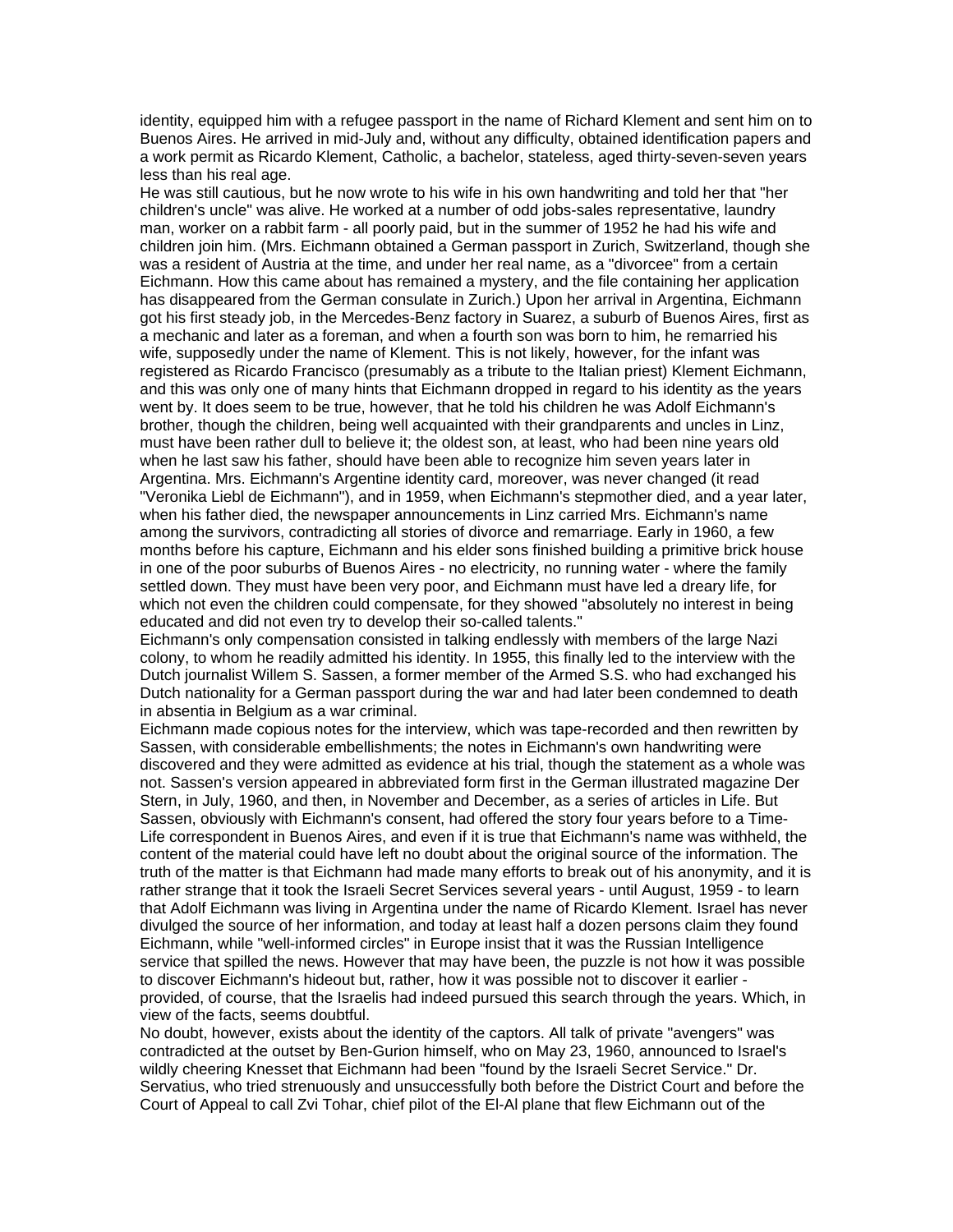identity, equipped him with a refugee passport in the name of Richard Klement and sent him on to Buenos Aires. He arrived in mid-July and, without any difficulty, obtained identification papers and a work permit as Ricardo Klement, Catholic, a bachelor, stateless, aged thirty-seven-seven years less than his real age.

He was still cautious, but he now wrote to his wife in his own handwriting and told her that "her children's uncle" was alive. He worked at a number of odd jobs-sales representative, laundry man, worker on a rabbit farm - all poorly paid, but in the summer of 1952 he had his wife and children join him. (Mrs. Eichmann obtained a German passport in Zurich, Switzerland, though she was a resident of Austria at the time, and under her real name, as a "divorcee" from a certain Eichmann. How this came about has remained a mystery, and the file containing her application has disappeared from the German consulate in Zurich.) Upon her arrival in Argentina, Eichmann got his first steady job, in the Mercedes-Benz factory in Suarez, a suburb of Buenos Aires, first as a mechanic and later as a foreman, and when a fourth son was born to him, he remarried his wife, supposedly under the name of Klement. This is not likely, however, for the infant was registered as Ricardo Francisco (presumably as a tribute to the Italian priest) Klement Eichmann, and this was only one of many hints that Eichmann dropped in regard to his identity as the years went by. It does seem to be true, however, that he told his children he was Adolf Eichmann's brother, though the children, being well acquainted with their grandparents and uncles in Linz, must have been rather dull to believe it; the oldest son, at least, who had been nine years old when he last saw his father, should have been able to recognize him seven years later in Argentina. Mrs. Eichmann's Argentine identity card, moreover, was never changed (it read "Veronika Liebl de Eichmann"), and in 1959, when Eichmann's stepmother died, and a year later, when his father died, the newspaper announcements in Linz carried Mrs. Eichmann's name among the survivors, contradicting all stories of divorce and remarriage. Early in 1960, a few months before his capture, Eichmann and his elder sons finished building a primitive brick house in one of the poor suburbs of Buenos Aires - no electricity, no running water - where the family settled down. They must have been very poor, and Eichmann must have led a dreary life, for which not even the children could compensate, for they showed "absolutely no interest in being educated and did not even try to develop their so-called talents."

Eichmann's only compensation consisted in talking endlessly with members of the large Nazi colony, to whom he readily admitted his identity. In 1955, this finally led to the interview with the Dutch journalist Willem S. Sassen, a former member of the Armed S.S. who had exchanged his Dutch nationality for a German passport during the war and had later been condemned to death in absentia in Belgium as a war criminal.

Eichmann made copious notes for the interview, which was tape-recorded and then rewritten by Sassen, with considerable embellishments; the notes in Eichmann's own handwriting were discovered and they were admitted as evidence at his trial, though the statement as a whole was not. Sassen's version appeared in abbreviated form first in the German illustrated magazine Der Stern, in July, 1960, and then, in November and December, as a series of articles in Life. But Sassen, obviously with Eichmann's consent, had offered the story four years before to a Time-Life correspondent in Buenos Aires, and even if it is true that Eichmann's name was withheld, the content of the material could have left no doubt about the original source of the information. The truth of the matter is that Eichmann had made many efforts to break out of his anonymity, and it is rather strange that it took the Israeli Secret Services several years - until August, 1959 - to learn that Adolf Eichmann was living in Argentina under the name of Ricardo Klement. Israel has never divulged the source of her information, and today at least half a dozen persons claim they found Eichmann, while "well-informed circles" in Europe insist that it was the Russian Intelligence service that spilled the news. However that may have been, the puzzle is not how it was possible to discover Eichmann's hideout but, rather, how it was possible not to discover it earlier provided, of course, that the Israelis had indeed pursued this search through the years. Which, in view of the facts, seems doubtful.

No doubt, however, exists about the identity of the captors. All talk of private "avengers" was contradicted at the outset by Ben-Gurion himself, who on May 23, 1960, announced to Israel's wildly cheering Knesset that Eichmann had been "found by the Israeli Secret Service." Dr. Servatius, who tried strenuously and unsuccessfully both before the District Court and before the Court of Appeal to call Zvi Tohar, chief pilot of the El-Al plane that flew Eichmann out of the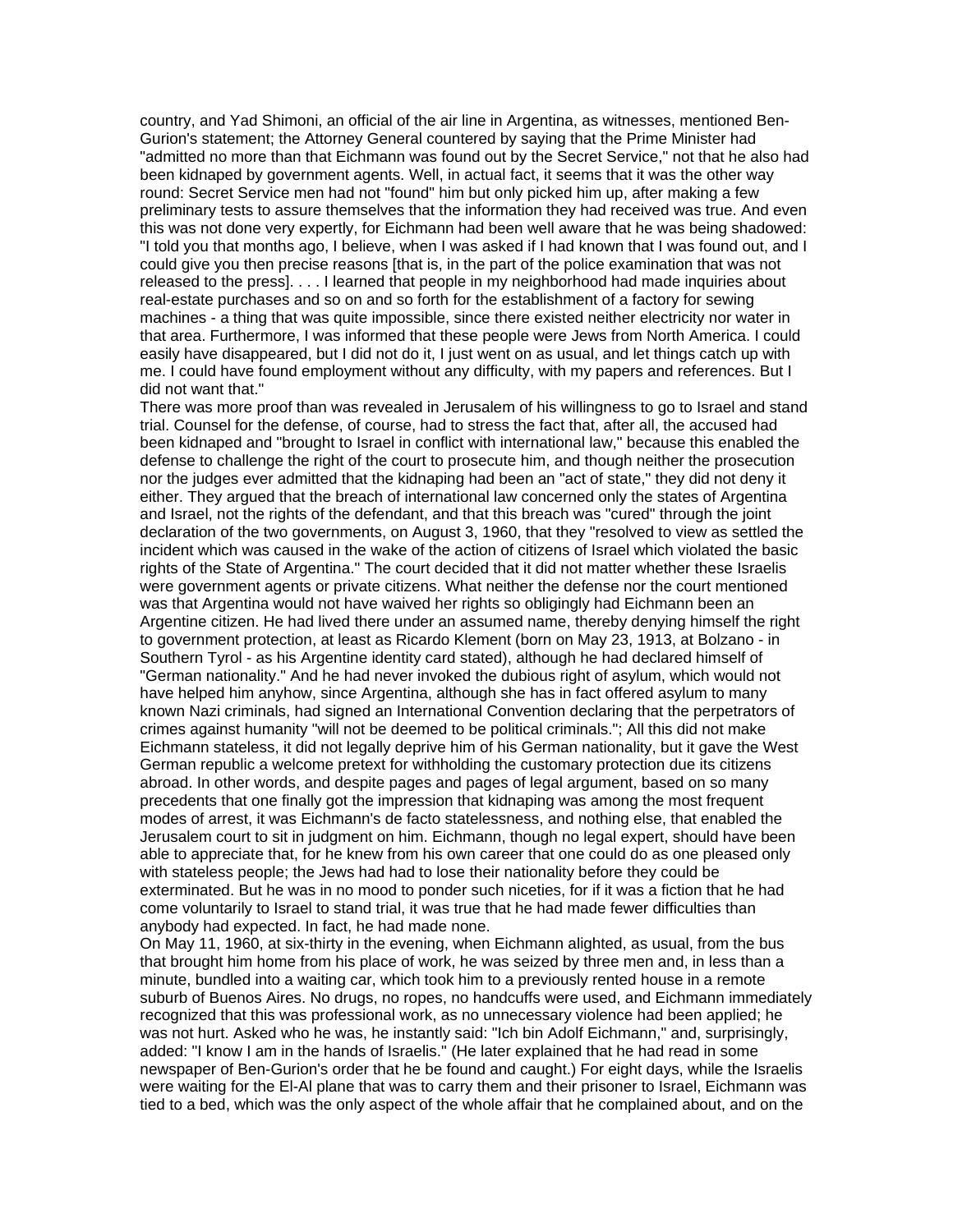country, and Yad Shimoni, an official of the air line in Argentina, as witnesses, mentioned Ben-Gurion's statement; the Attorney General countered by saying that the Prime Minister had "admitted no more than that Eichmann was found out by the Secret Service," not that he also had been kidnaped by government agents. Well, in actual fact, it seems that it was the other way round: Secret Service men had not "found" him but only picked him up, after making a few preliminary tests to assure themselves that the information they had received was true. And even this was not done very expertly, for Eichmann had been well aware that he was being shadowed: "I told you that months ago, I believe, when I was asked if I had known that I was found out, and I could give you then precise reasons [that is, in the part of the police examination that was not released to the press]. . . . I learned that people in my neighborhood had made inquiries about real-estate purchases and so on and so forth for the establishment of a factory for sewing machines - a thing that was quite impossible, since there existed neither electricity nor water in that area. Furthermore, I was informed that these people were Jews from North America. I could easily have disappeared, but I did not do it, I just went on as usual, and let things catch up with me. I could have found employment without any difficulty, with my papers and references. But I did not want that."

There was more proof than was revealed in Jerusalem of his willingness to go to Israel and stand trial. Counsel for the defense, of course, had to stress the fact that, after all, the accused had been kidnaped and "brought to Israel in conflict with international law," because this enabled the defense to challenge the right of the court to prosecute him, and though neither the prosecution nor the judges ever admitted that the kidnaping had been an "act of state," they did not deny it either. They argued that the breach of international law concerned only the states of Argentina and Israel, not the rights of the defendant, and that this breach was "cured" through the joint declaration of the two governments, on August 3, 1960, that they "resolved to view as settled the incident which was caused in the wake of the action of citizens of Israel which violated the basic rights of the State of Argentina." The court decided that it did not matter whether these Israelis were government agents or private citizens. What neither the defense nor the court mentioned was that Argentina would not have waived her rights so obligingly had Eichmann been an Argentine citizen. He had lived there under an assumed name, thereby denying himself the right to government protection, at least as Ricardo Klement (born on May 23, 1913, at Bolzano - in Southern Tyrol - as his Argentine identity card stated), although he had declared himself of "German nationality." And he had never invoked the dubious right of asylum, which would not have helped him anyhow, since Argentina, although she has in fact offered asylum to many known Nazi criminals, had signed an International Convention declaring that the perpetrators of crimes against humanity "will not be deemed to be political criminals."; All this did not make Eichmann stateless, it did not legally deprive him of his German nationality, but it gave the West German republic a welcome pretext for withholding the customary protection due its citizens abroad. In other words, and despite pages and pages of legal argument, based on so many precedents that one finally got the impression that kidnaping was among the most frequent modes of arrest, it was Eichmann's de facto statelessness, and nothing else, that enabled the Jerusalem court to sit in judgment on him. Eichmann, though no legal expert, should have been able to appreciate that, for he knew from his own career that one could do as one pleased only with stateless people; the Jews had had to lose their nationality before they could be exterminated. But he was in no mood to ponder such niceties, for if it was a fiction that he had come voluntarily to Israel to stand trial, it was true that he had made fewer difficulties than anybody had expected. In fact, he had made none.

On May 11, 1960, at six-thirty in the evening, when Eichmann alighted, as usual, from the bus that brought him home from his place of work, he was seized by three men and, in less than a minute, bundled into a waiting car, which took him to a previously rented house in a remote suburb of Buenos Aires. No drugs, no ropes, no handcuffs were used, and Eichmann immediately recognized that this was professional work, as no unnecessary violence had been applied; he was not hurt. Asked who he was, he instantly said: "Ich bin Adolf Eichmann," and, surprisingly, added: "I know I am in the hands of Israelis." (He later explained that he had read in some newspaper of Ben-Gurion's order that he be found and caught.) For eight days, while the Israelis were waiting for the El-Al plane that was to carry them and their prisoner to Israel, Eichmann was tied to a bed, which was the only aspect of the whole affair that he complained about, and on the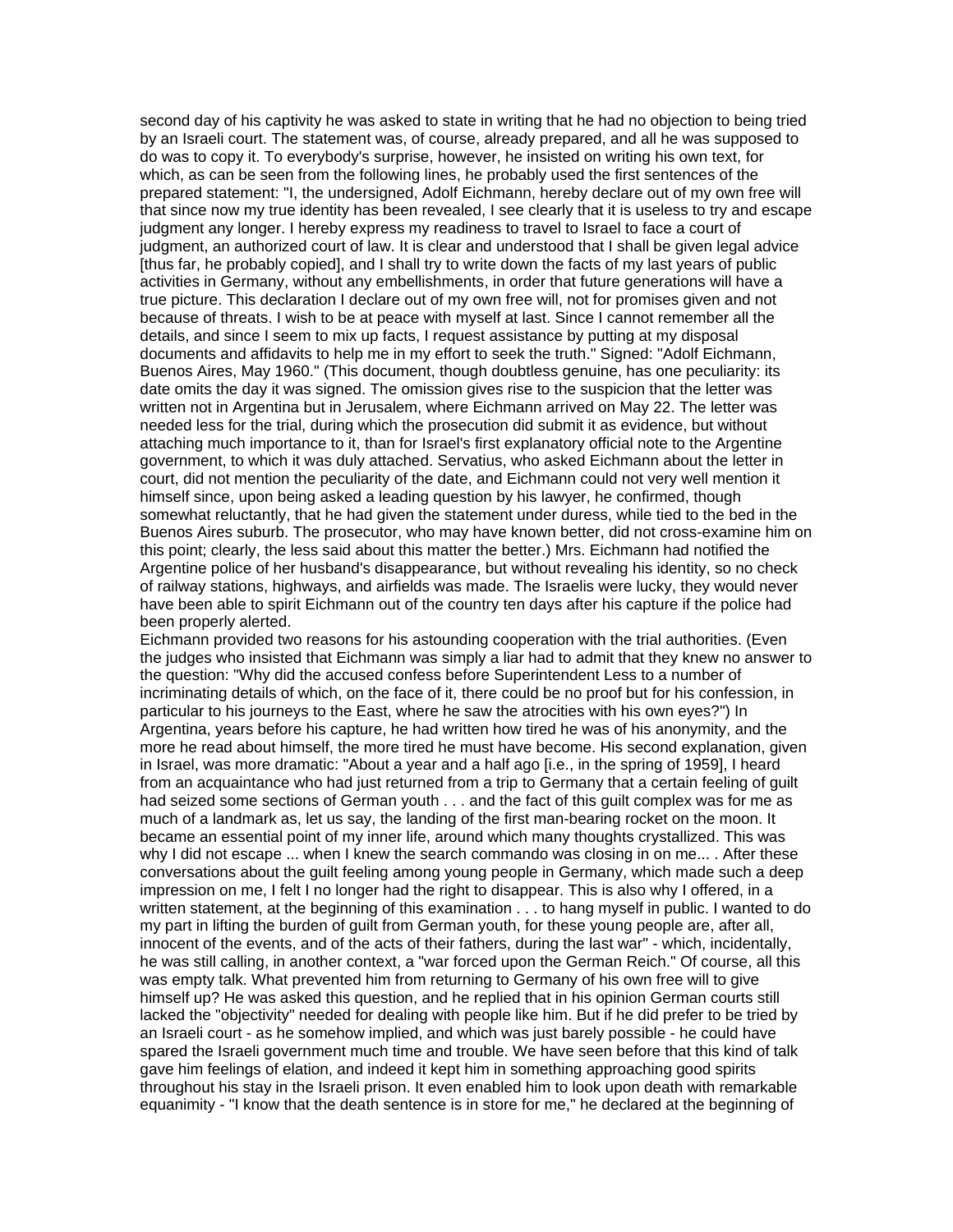second day of his captivity he was asked to state in writing that he had no objection to being tried by an Israeli court. The statement was, of course, already prepared, and all he was supposed to do was to copy it. To everybody's surprise, however, he insisted on writing his own text, for which, as can be seen from the following lines, he probably used the first sentences of the prepared statement: "I, the undersigned, Adolf Eichmann, hereby declare out of my own free will that since now my true identity has been revealed, I see clearly that it is useless to try and escape judgment any longer. I hereby express my readiness to travel to Israel to face a court of judgment, an authorized court of law. It is clear and understood that I shall be given legal advice [thus far, he probably copied], and I shall try to write down the facts of my last years of public activities in Germany, without any embellishments, in order that future generations will have a true picture. This declaration I declare out of my own free will, not for promises given and not because of threats. I wish to be at peace with myself at last. Since I cannot remember all the details, and since I seem to mix up facts, I request assistance by putting at my disposal documents and affidavits to help me in my effort to seek the truth." Signed: "Adolf Eichmann, Buenos Aires, May 1960." (This document, though doubtless genuine, has one peculiarity: its date omits the day it was signed. The omission gives rise to the suspicion that the letter was written not in Argentina but in Jerusalem, where Eichmann arrived on May 22. The letter was needed less for the trial, during which the prosecution did submit it as evidence, but without attaching much importance to it, than for Israel's first explanatory official note to the Argentine government, to which it was duly attached. Servatius, who asked Eichmann about the letter in court, did not mention the peculiarity of the date, and Eichmann could not very well mention it himself since, upon being asked a leading question by his lawyer, he confirmed, though somewhat reluctantly, that he had given the statement under duress, while tied to the bed in the Buenos Aires suburb. The prosecutor, who may have known better, did not cross-examine him on this point; clearly, the less said about this matter the better.) Mrs. Eichmann had notified the Argentine police of her husband's disappearance, but without revealing his identity, so no check of railway stations, highways, and airfields was made. The Israelis were lucky, they would never have been able to spirit Eichmann out of the country ten days after his capture if the police had been properly alerted.

Eichmann provided two reasons for his astounding cooperation with the trial authorities. (Even the judges who insisted that Eichmann was simply a liar had to admit that they knew no answer to the question: "Why did the accused confess before Superintendent Less to a number of incriminating details of which, on the face of it, there could be no proof but for his confession, in particular to his journeys to the East, where he saw the atrocities with his own eyes?") In Argentina, years before his capture, he had written how tired he was of his anonymity, and the more he read about himself, the more tired he must have become. His second explanation, given in Israel, was more dramatic: "About a year and a half ago [i.e., in the spring of 1959], I heard from an acquaintance who had just returned from a trip to Germany that a certain feeling of guilt had seized some sections of German youth . . . and the fact of this guilt complex was for me as much of a landmark as, let us say, the landing of the first man-bearing rocket on the moon. It became an essential point of my inner life, around which many thoughts crystallized. This was why I did not escape ... when I knew the search commando was closing in on me... . After these conversations about the guilt feeling among young people in Germany, which made such a deep impression on me, I felt I no longer had the right to disappear. This is also why I offered, in a written statement, at the beginning of this examination . . . to hang myself in public. I wanted to do my part in lifting the burden of guilt from German youth, for these young people are, after all, innocent of the events, and of the acts of their fathers, during the last war" - which, incidentally, he was still calling, in another context, a "war forced upon the German Reich." Of course, all this was empty talk. What prevented him from returning to Germany of his own free will to give himself up? He was asked this question, and he replied that in his opinion German courts still lacked the "objectivity" needed for dealing with people like him. But if he did prefer to be tried by an Israeli court - as he somehow implied, and which was just barely possible - he could have spared the Israeli government much time and trouble. We have seen before that this kind of talk gave him feelings of elation, and indeed it kept him in something approaching good spirits throughout his stay in the Israeli prison. It even enabled him to look upon death with remarkable equanimity - "I know that the death sentence is in store for me," he declared at the beginning of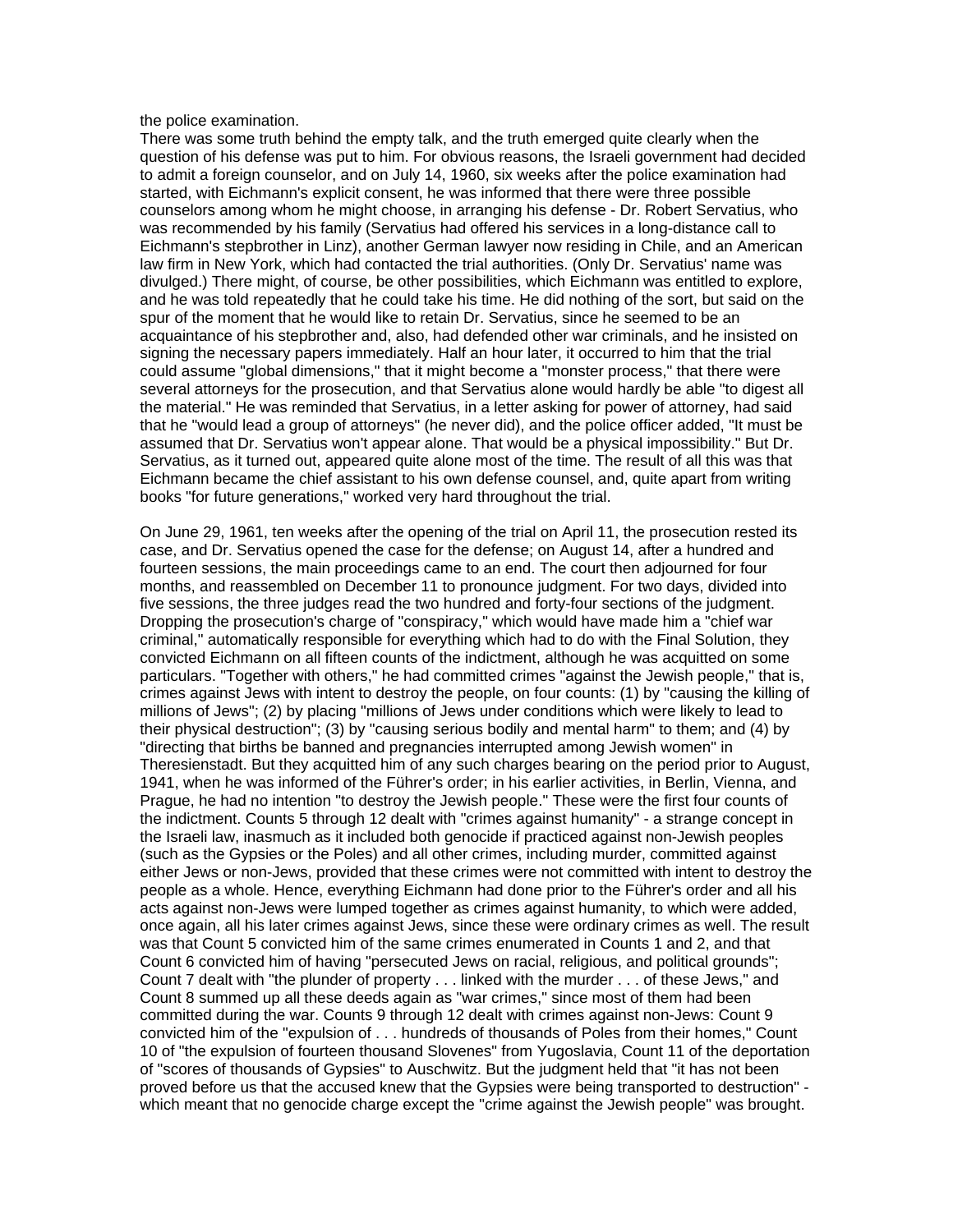the police examination.

There was some truth behind the empty talk, and the truth emerged quite clearly when the question of his defense was put to him. For obvious reasons, the Israeli government had decided to admit a foreign counselor, and on July 14, 1960, six weeks after the police examination had started, with Eichmann's explicit consent, he was informed that there were three possible counselors among whom he might choose, in arranging his defense - Dr. Robert Servatius, who was recommended by his family (Servatius had offered his services in a long-distance call to Eichmann's stepbrother in Linz), another German lawyer now residing in Chile, and an American law firm in New York, which had contacted the trial authorities. (Only Dr. Servatius' name was divulged.) There might, of course, be other possibilities, which Eichmann was entitled to explore, and he was told repeatedly that he could take his time. He did nothing of the sort, but said on the spur of the moment that he would like to retain Dr. Servatius, since he seemed to be an acquaintance of his stepbrother and, also, had defended other war criminals, and he insisted on signing the necessary papers immediately. Half an hour later, it occurred to him that the trial could assume "global dimensions," that it might become a "monster process," that there were several attorneys for the prosecution, and that Servatius alone would hardly be able "to digest all the material." He was reminded that Servatius, in a letter asking for power of attorney, had said that he "would lead a group of attorneys" (he never did), and the police officer added, "It must be assumed that Dr. Servatius won't appear alone. That would be a physical impossibility." But Dr. Servatius, as it turned out, appeared quite alone most of the time. The result of all this was that Eichmann became the chief assistant to his own defense counsel, and, quite apart from writing books "for future generations," worked very hard throughout the trial.

On June 29, 1961, ten weeks after the opening of the trial on April 11, the prosecution rested its case, and Dr. Servatius opened the case for the defense; on August 14, after a hundred and fourteen sessions, the main proceedings came to an end. The court then adjourned for four months, and reassembled on December 11 to pronounce judgment. For two days, divided into five sessions, the three judges read the two hundred and forty-four sections of the judgment. Dropping the prosecution's charge of "conspiracy," which would have made him a "chief war criminal," automatically responsible for everything which had to do with the Final Solution, they convicted Eichmann on all fifteen counts of the indictment, although he was acquitted on some particulars. "Together with others," he had committed crimes "against the Jewish people," that is, crimes against Jews with intent to destroy the people, on four counts: (1) by "causing the killing of millions of Jews"; (2) by placing "millions of Jews under conditions which were likely to lead to their physical destruction"; (3) by "causing serious bodily and mental harm" to them; and (4) by "directing that births be banned and pregnancies interrupted among Jewish women" in Theresienstadt. But they acquitted him of any such charges bearing on the period prior to August, 1941, when he was informed of the Führer's order; in his earlier activities, in Berlin, Vienna, and Prague, he had no intention "to destroy the Jewish people." These were the first four counts of the indictment. Counts 5 through 12 dealt with "crimes against humanity" - a strange concept in the Israeli law, inasmuch as it included both genocide if practiced against non-Jewish peoples (such as the Gypsies or the Poles) and all other crimes, including murder, committed against either Jews or non-Jews, provided that these crimes were not committed with intent to destroy the people as a whole. Hence, everything Eichmann had done prior to the Führer's order and all his acts against non-Jews were lumped together as crimes against humanity, to which were added, once again, all his later crimes against Jews, since these were ordinary crimes as well. The result was that Count 5 convicted him of the same crimes enumerated in Counts 1 and 2, and that Count 6 convicted him of having "persecuted Jews on racial, religious, and political grounds"; Count 7 dealt with "the plunder of property . . . linked with the murder . . . of these Jews," and Count 8 summed up all these deeds again as "war crimes," since most of them had been committed during the war. Counts 9 through 12 dealt with crimes against non-Jews: Count 9 convicted him of the "expulsion of . . . hundreds of thousands of Poles from their homes," Count 10 of "the expulsion of fourteen thousand Slovenes" from Yugoslavia, Count 11 of the deportation of "scores of thousands of Gypsies" to Auschwitz. But the judgment held that "it has not been proved before us that the accused knew that the Gypsies were being transported to destruction" which meant that no genocide charge except the "crime against the Jewish people" was brought.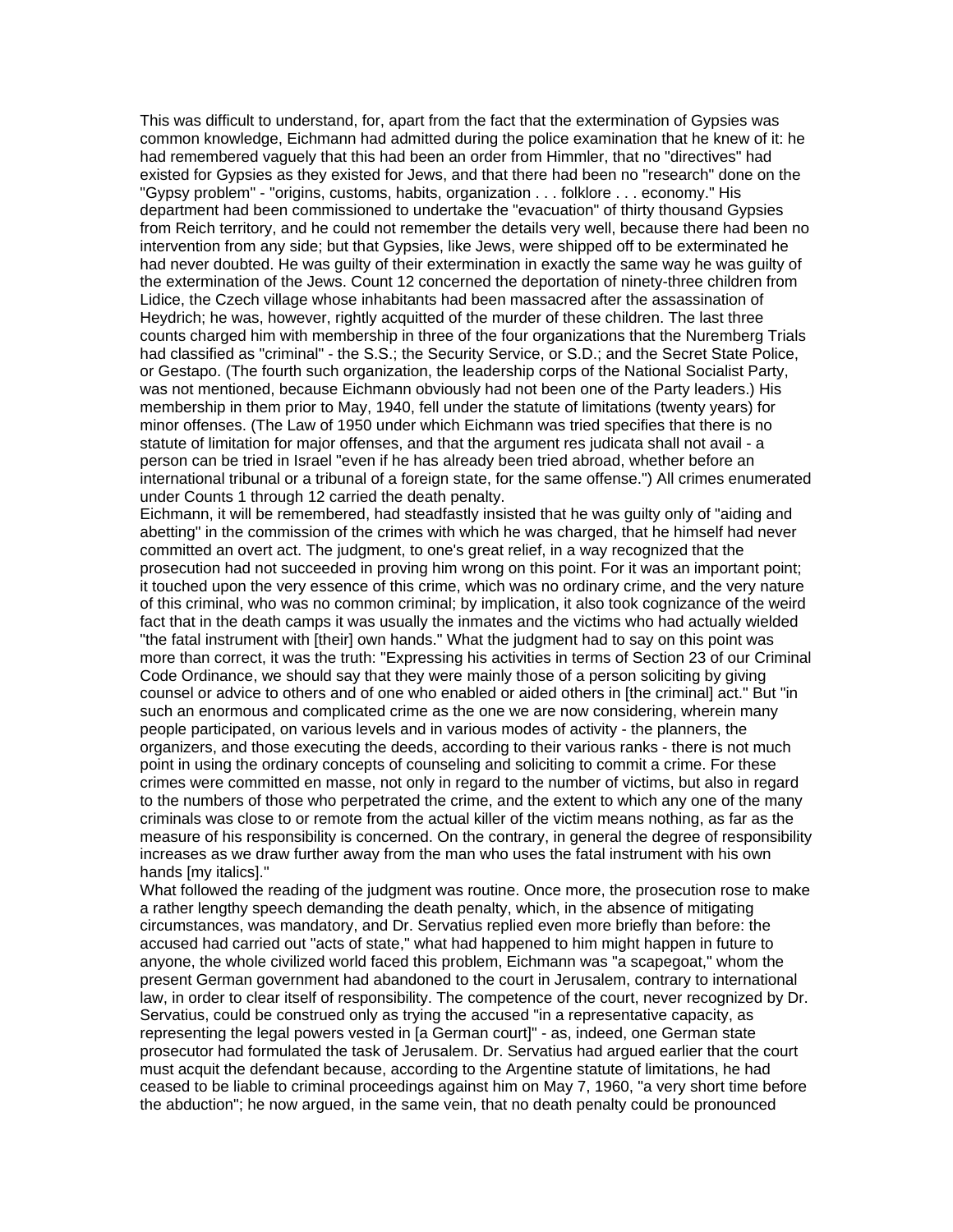This was difficult to understand, for, apart from the fact that the extermination of Gypsies was common knowledge, Eichmann had admitted during the police examination that he knew of it: he had remembered vaguely that this had been an order from Himmler, that no "directives" had existed for Gypsies as they existed for Jews, and that there had been no "research" done on the "Gypsy problem" - "origins, customs, habits, organization . . . folklore . . . economy." His department had been commissioned to undertake the "evacuation" of thirty thousand Gypsies from Reich territory, and he could not remember the details very well, because there had been no intervention from any side; but that Gypsies, like Jews, were shipped off to be exterminated he had never doubted. He was guilty of their extermination in exactly the same way he was guilty of the extermination of the Jews. Count 12 concerned the deportation of ninety-three children from Lidice, the Czech village whose inhabitants had been massacred after the assassination of Heydrich; he was, however, rightly acquitted of the murder of these children. The last three counts charged him with membership in three of the four organizations that the Nuremberg Trials had classified as "criminal" - the S.S.; the Security Service, or S.D.; and the Secret State Police, or Gestapo. (The fourth such organization, the leadership corps of the National Socialist Party, was not mentioned, because Eichmann obviously had not been one of the Party leaders.) His membership in them prior to May, 1940, fell under the statute of limitations (twenty years) for minor offenses. (The Law of 1950 under which Eichmann was tried specifies that there is no statute of limitation for major offenses, and that the argument res judicata shall not avail - a person can be tried in Israel "even if he has already been tried abroad, whether before an international tribunal or a tribunal of a foreign state, for the same offense.") All crimes enumerated under Counts 1 through 12 carried the death penalty.

Eichmann, it will be remembered, had steadfastly insisted that he was guilty only of "aiding and abetting" in the commission of the crimes with which he was charged, that he himself had never committed an overt act. The judgment, to one's great relief, in a way recognized that the prosecution had not succeeded in proving him wrong on this point. For it was an important point; it touched upon the very essence of this crime, which was no ordinary crime, and the very nature of this criminal, who was no common criminal; by implication, it also took cognizance of the weird fact that in the death camps it was usually the inmates and the victims who had actually wielded "the fatal instrument with [their] own hands." What the judgment had to say on this point was more than correct, it was the truth: "Expressing his activities in terms of Section 23 of our Criminal Code Ordinance, we should say that they were mainly those of a person soliciting by giving counsel or advice to others and of one who enabled or aided others in [the criminal] act." But "in such an enormous and complicated crime as the one we are now considering, wherein many people participated, on various levels and in various modes of activity - the planners, the organizers, and those executing the deeds, according to their various ranks - there is not much point in using the ordinary concepts of counseling and soliciting to commit a crime. For these crimes were committed en masse, not only in regard to the number of victims, but also in regard to the numbers of those who perpetrated the crime, and the extent to which any one of the many criminals was close to or remote from the actual killer of the victim means nothing, as far as the measure of his responsibility is concerned. On the contrary, in general the degree of responsibility increases as we draw further away from the man who uses the fatal instrument with his own hands [my italics]."

What followed the reading of the judgment was routine. Once more, the prosecution rose to make a rather lengthy speech demanding the death penalty, which, in the absence of mitigating circumstances, was mandatory, and Dr. Servatius replied even more briefly than before: the accused had carried out "acts of state," what had happened to him might happen in future to anyone, the whole civilized world faced this problem, Eichmann was "a scapegoat," whom the present German government had abandoned to the court in Jerusalem, contrary to international law, in order to clear itself of responsibility. The competence of the court, never recognized by Dr. Servatius, could be construed only as trying the accused "in a representative capacity, as representing the legal powers vested in [a German court]" - as, indeed, one German state prosecutor had formulated the task of Jerusalem. Dr. Servatius had argued earlier that the court must acquit the defendant because, according to the Argentine statute of limitations, he had ceased to be liable to criminal proceedings against him on May 7, 1960, "a very short time before the abduction"; he now argued, in the same vein, that no death penalty could be pronounced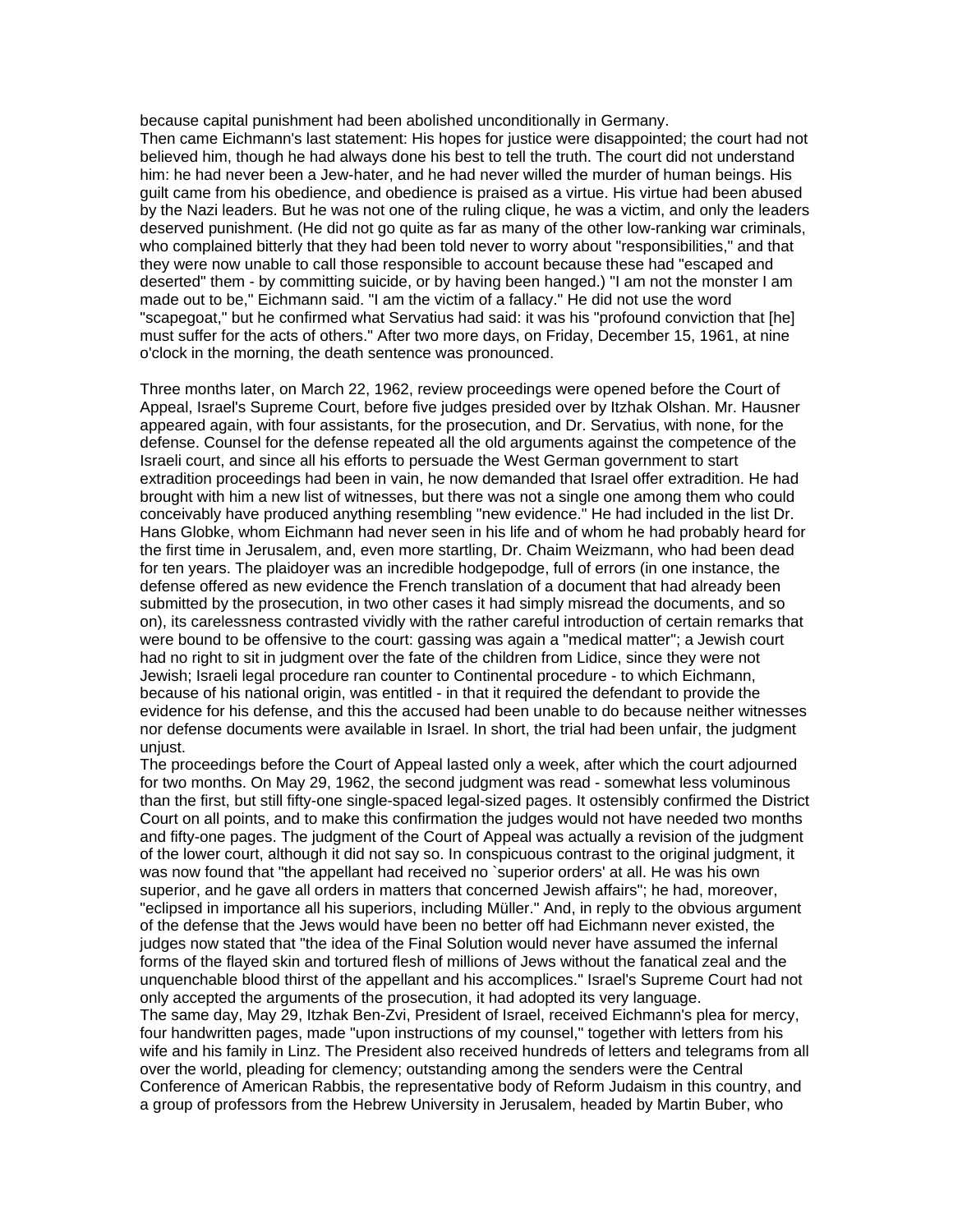because capital punishment had been abolished unconditionally in Germany. Then came Eichmann's last statement: His hopes for justice were disappointed; the court had not believed him, though he had always done his best to tell the truth. The court did not understand him: he had never been a Jew-hater, and he had never willed the murder of human beings. His guilt came from his obedience, and obedience is praised as a virtue. His virtue had been abused by the Nazi leaders. But he was not one of the ruling clique, he was a victim, and only the leaders deserved punishment. (He did not go quite as far as many of the other low-ranking war criminals, who complained bitterly that they had been told never to worry about "responsibilities," and that they were now unable to call those responsible to account because these had "escaped and deserted" them - by committing suicide, or by having been hanged.) "I am not the monster I am made out to be," Eichmann said. "I am the victim of a fallacy." He did not use the word "scapegoat," but he confirmed what Servatius had said: it was his "profound conviction that [he] must suffer for the acts of others." After two more days, on Friday, December 15, 1961, at nine o'clock in the morning, the death sentence was pronounced.

Three months later, on March 22, 1962, review proceedings were opened before the Court of Appeal, Israel's Supreme Court, before five judges presided over by Itzhak Olshan. Mr. Hausner appeared again, with four assistants, for the prosecution, and Dr. Servatius, with none, for the defense. Counsel for the defense repeated all the old arguments against the competence of the Israeli court, and since all his efforts to persuade the West German government to start extradition proceedings had been in vain, he now demanded that Israel offer extradition. He had brought with him a new list of witnesses, but there was not a single one among them who could conceivably have produced anything resembling "new evidence." He had included in the list Dr. Hans Globke, whom Eichmann had never seen in his life and of whom he had probably heard for the first time in Jerusalem, and, even more startling, Dr. Chaim Weizmann, who had been dead for ten years. The plaidoyer was an incredible hodgepodge, full of errors (in one instance, the defense offered as new evidence the French translation of a document that had already been submitted by the prosecution, in two other cases it had simply misread the documents, and so on), its carelessness contrasted vividly with the rather careful introduction of certain remarks that were bound to be offensive to the court: gassing was again a "medical matter"; a Jewish court had no right to sit in judgment over the fate of the children from Lidice, since they were not Jewish; Israeli legal procedure ran counter to Continental procedure - to which Eichmann, because of his national origin, was entitled - in that it required the defendant to provide the evidence for his defense, and this the accused had been unable to do because neither witnesses nor defense documents were available in Israel. In short, the trial had been unfair, the judgment uniust.

The proceedings before the Court of Appeal lasted only a week, after which the court adjourned for two months. On May 29, 1962, the second judgment was read - somewhat less voluminous than the first, but still fifty-one single-spaced legal-sized pages. It ostensibly confirmed the District Court on all points, and to make this confirmation the judges would not have needed two months and fifty-one pages. The judgment of the Court of Appeal was actually a revision of the judgment of the lower court, although it did not say so. In conspicuous contrast to the original judgment, it was now found that "the appellant had received no `superior orders' at all. He was his own superior, and he gave all orders in matters that concerned Jewish affairs"; he had, moreover, "eclipsed in importance all his superiors, including Müller." And, in reply to the obvious argument of the defense that the Jews would have been no better off had Eichmann never existed, the judges now stated that "the idea of the Final Solution would never have assumed the infernal forms of the flayed skin and tortured flesh of millions of Jews without the fanatical zeal and the unquenchable blood thirst of the appellant and his accomplices." Israel's Supreme Court had not only accepted the arguments of the prosecution, it had adopted its very language. The same day, May 29, Itzhak Ben-Zvi, President of Israel, received Eichmann's plea for mercy, four handwritten pages, made "upon instructions of my counsel," together with letters from his wife and his family in Linz. The President also received hundreds of letters and telegrams from all over the world, pleading for clemency; outstanding among the senders were the Central Conference of American Rabbis, the representative body of Reform Judaism in this country, and a group of professors from the Hebrew University in Jerusalem, headed by Martin Buber, who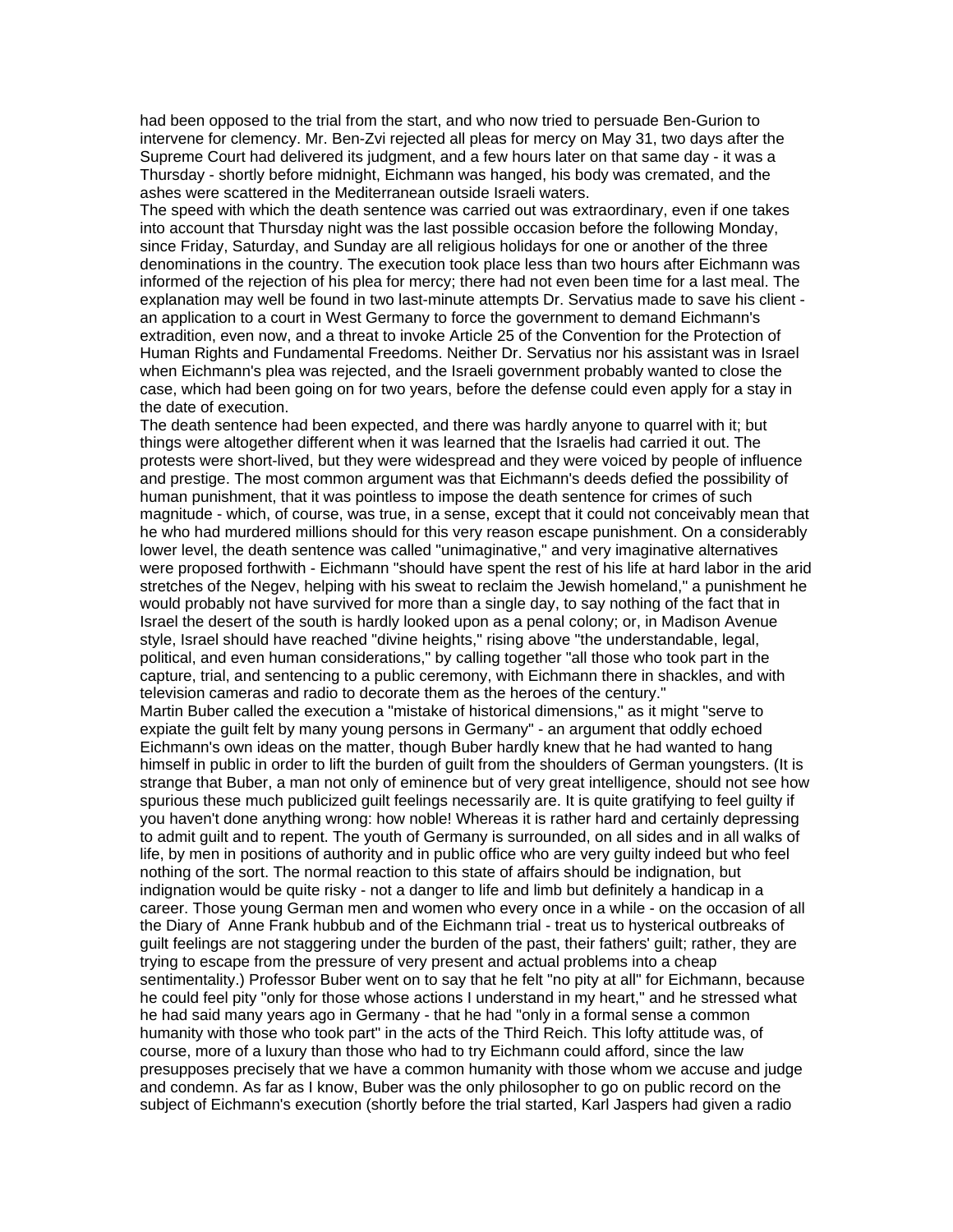had been opposed to the trial from the start, and who now tried to persuade Ben-Gurion to intervene for clemency. Mr. Ben-Zvi rejected all pleas for mercy on May 31, two days after the Supreme Court had delivered its judgment, and a few hours later on that same day - it was a Thursday - shortly before midnight, Eichmann was hanged, his body was cremated, and the ashes were scattered in the Mediterranean outside Israeli waters.

The speed with which the death sentence was carried out was extraordinary, even if one takes into account that Thursday night was the last possible occasion before the following Monday, since Friday, Saturday, and Sunday are all religious holidays for one or another of the three denominations in the country. The execution took place less than two hours after Eichmann was informed of the rejection of his plea for mercy; there had not even been time for a last meal. The explanation may well be found in two last-minute attempts Dr. Servatius made to save his client an application to a court in West Germany to force the government to demand Eichmann's extradition, even now, and a threat to invoke Article 25 of the Convention for the Protection of Human Rights and Fundamental Freedoms. Neither Dr. Servatius nor his assistant was in Israel when Eichmann's plea was rejected, and the Israeli government probably wanted to close the case, which had been going on for two years, before the defense could even apply for a stay in the date of execution.

The death sentence had been expected, and there was hardly anyone to quarrel with it; but things were altogether different when it was learned that the Israelis had carried it out. The protests were short-lived, but they were widespread and they were voiced by people of influence and prestige. The most common argument was that Eichmann's deeds defied the possibility of human punishment, that it was pointless to impose the death sentence for crimes of such magnitude - which, of course, was true, in a sense, except that it could not conceivably mean that he who had murdered millions should for this very reason escape punishment. On a considerably lower level, the death sentence was called "unimaginative," and very imaginative alternatives were proposed forthwith - Eichmann "should have spent the rest of his life at hard labor in the arid stretches of the Negev, helping with his sweat to reclaim the Jewish homeland," a punishment he would probably not have survived for more than a single day, to say nothing of the fact that in Israel the desert of the south is hardly looked upon as a penal colony; or, in Madison Avenue style, Israel should have reached "divine heights," rising above "the understandable, legal, political, and even human considerations," by calling together "all those who took part in the capture, trial, and sentencing to a public ceremony, with Eichmann there in shackles, and with television cameras and radio to decorate them as the heroes of the century." Martin Buber called the execution a "mistake of historical dimensions," as it might "serve to expiate the guilt felt by many young persons in Germany" - an argument that oddly echoed Eichmann's own ideas on the matter, though Buber hardly knew that he had wanted to hang himself in public in order to lift the burden of guilt from the shoulders of German youngsters. (It is strange that Buber, a man not only of eminence but of very great intelligence, should not see how spurious these much publicized guilt feelings necessarily are. It is quite gratifying to feel guilty if you haven't done anything wrong: how noble! Whereas it is rather hard and certainly depressing to admit guilt and to repent. The youth of Germany is surrounded, on all sides and in all walks of life, by men in positions of authority and in public office who are very guilty indeed but who feel nothing of the sort. The normal reaction to this state of affairs should be indignation, but indignation would be quite risky - not a danger to life and limb but definitely a handicap in a career. Those young German men and women who every once in a while - on the occasion of all the Diary of Anne Frank hubbub and of the Eichmann trial - treat us to hysterical outbreaks of guilt feelings are not staggering under the burden of the past, their fathers' guilt; rather, they are trying to escape from the pressure of very present and actual problems into a cheap sentimentality.) Professor Buber went on to say that he felt "no pity at all" for Eichmann, because he could feel pity "only for those whose actions I understand in my heart," and he stressed what he had said many years ago in Germany - that he had "only in a formal sense a common humanity with those who took part" in the acts of the Third Reich. This lofty attitude was, of course, more of a luxury than those who had to try Eichmann could afford, since the law presupposes precisely that we have a common humanity with those whom we accuse and judge and condemn. As far as I know, Buber was the only philosopher to go on public record on the subject of Eichmann's execution (shortly before the trial started, Karl Jaspers had given a radio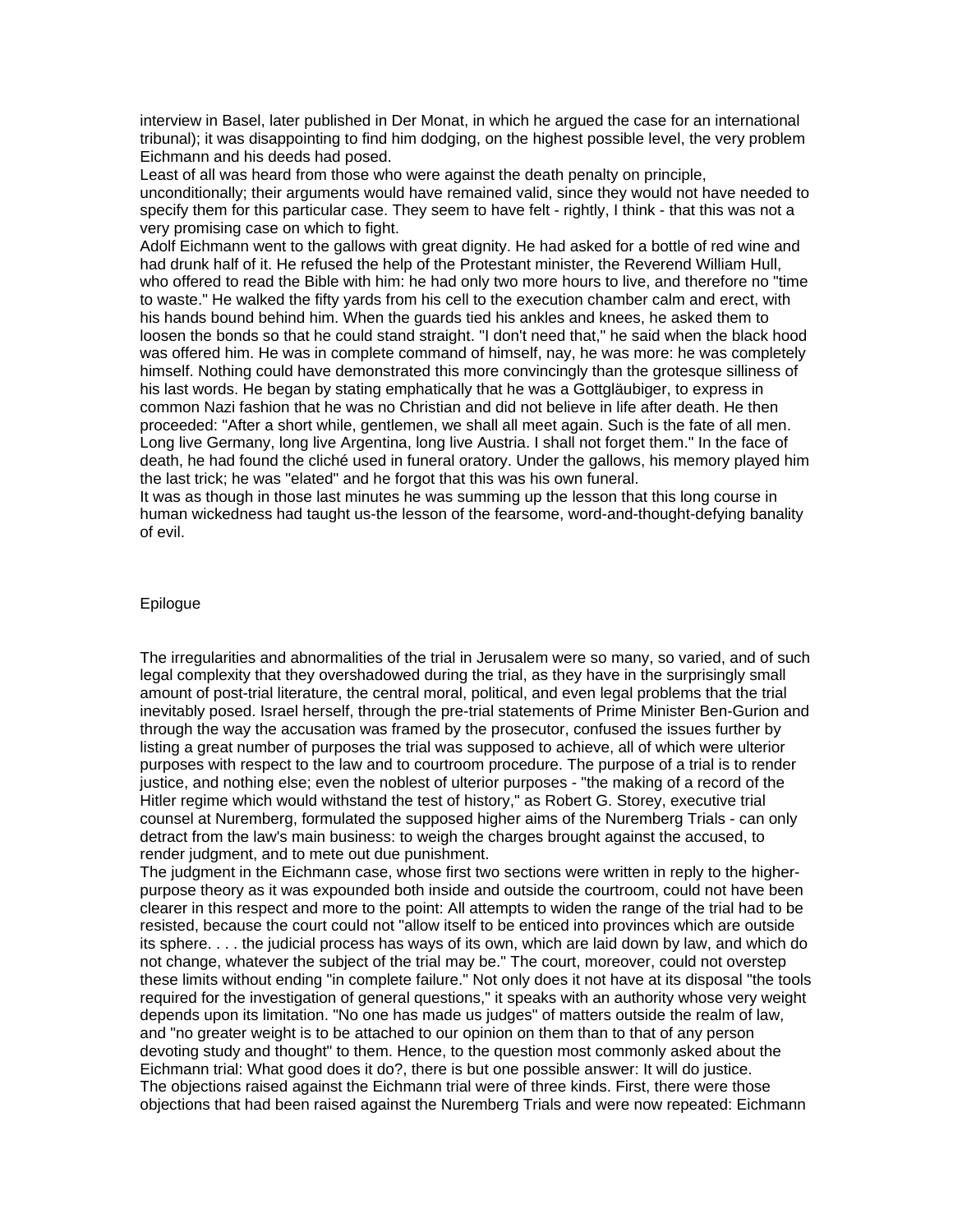interview in Basel, later published in Der Monat, in which he argued the case for an international tribunal); it was disappointing to find him dodging, on the highest possible level, the very problem Eichmann and his deeds had posed.

Least of all was heard from those who were against the death penalty on principle, unconditionally; their arguments would have remained valid, since they would not have needed to specify them for this particular case. They seem to have felt - rightly, I think - that this was not a very promising case on which to fight.

Adolf Eichmann went to the gallows with great dignity. He had asked for a bottle of red wine and had drunk half of it. He refused the help of the Protestant minister, the Reverend William Hull, who offered to read the Bible with him: he had only two more hours to live, and therefore no "time to waste." He walked the fifty yards from his cell to the execution chamber calm and erect, with his hands bound behind him. When the guards tied his ankles and knees, he asked them to loosen the bonds so that he could stand straight. "I don't need that," he said when the black hood was offered him. He was in complete command of himself, nay, he was more: he was completely himself. Nothing could have demonstrated this more convincingly than the grotesque silliness of his last words. He began by stating emphatically that he was a Gottgläubiger, to express in common Nazi fashion that he was no Christian and did not believe in life after death. He then proceeded: "After a short while, gentlemen, we shall all meet again. Such is the fate of all men. Long live Germany, long live Argentina, long live Austria. I shall not forget them." In the face of death, he had found the cliché used in funeral oratory. Under the gallows, his memory played him the last trick; he was "elated" and he forgot that this was his own funeral.

It was as though in those last minutes he was summing up the lesson that this long course in human wickedness had taught us-the lesson of the fearsome, word-and-thought-defying banality of evil.

# Epilogue

The irregularities and abnormalities of the trial in Jerusalem were so many, so varied, and of such legal complexity that they overshadowed during the trial, as they have in the surprisingly small amount of post-trial literature, the central moral, political, and even legal problems that the trial inevitably posed. Israel herself, through the pre-trial statements of Prime Minister Ben-Gurion and through the way the accusation was framed by the prosecutor, confused the issues further by listing a great number of purposes the trial was supposed to achieve, all of which were ulterior purposes with respect to the law and to courtroom procedure. The purpose of a trial is to render justice, and nothing else; even the noblest of ulterior purposes - "the making of a record of the Hitler regime which would withstand the test of history," as Robert G. Storey, executive trial counsel at Nuremberg, formulated the supposed higher aims of the Nuremberg Trials - can only detract from the law's main business: to weigh the charges brought against the accused, to render judgment, and to mete out due punishment.

The judgment in the Eichmann case, whose first two sections were written in reply to the higherpurpose theory as it was expounded both inside and outside the courtroom, could not have been clearer in this respect and more to the point: All attempts to widen the range of the trial had to be resisted, because the court could not "allow itself to be enticed into provinces which are outside its sphere. . . . the judicial process has ways of its own, which are laid down by law, and which do not change, whatever the subject of the trial may be." The court, moreover, could not overstep these limits without ending "in complete failure." Not only does it not have at its disposal "the tools required for the investigation of general questions," it speaks with an authority whose very weight depends upon its limitation. "No one has made us judges" of matters outside the realm of law, and "no greater weight is to be attached to our opinion on them than to that of any person devoting study and thought" to them. Hence, to the question most commonly asked about the Eichmann trial: What good does it do?, there is but one possible answer: It will do justice. The objections raised against the Eichmann trial were of three kinds. First, there were those objections that had been raised against the Nuremberg Trials and were now repeated: Eichmann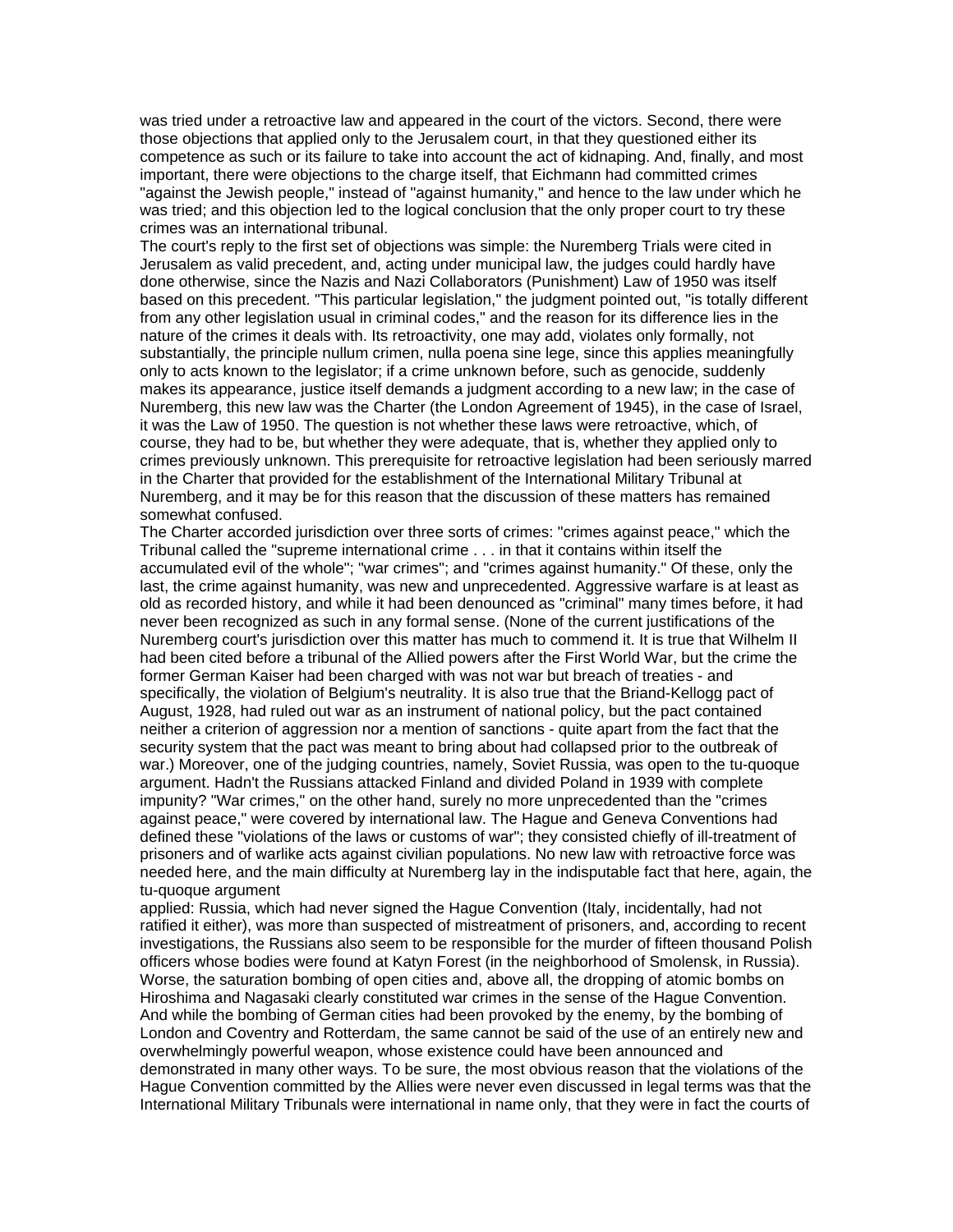was tried under a retroactive law and appeared in the court of the victors. Second, there were those objections that applied only to the Jerusalem court, in that they questioned either its competence as such or its failure to take into account the act of kidnaping. And, finally, and most important, there were objections to the charge itself, that Eichmann had committed crimes "against the Jewish people," instead of "against humanity," and hence to the law under which he was tried; and this objection led to the logical conclusion that the only proper court to try these crimes was an international tribunal.

The court's reply to the first set of objections was simple: the Nuremberg Trials were cited in Jerusalem as valid precedent, and, acting under municipal law, the judges could hardly have done otherwise, since the Nazis and Nazi Collaborators (Punishment) Law of 1950 was itself based on this precedent. "This particular legislation," the judgment pointed out, "is totally different from any other legislation usual in criminal codes," and the reason for its difference lies in the nature of the crimes it deals with. Its retroactivity, one may add, violates only formally, not substantially, the principle nullum crimen, nulla poena sine lege, since this applies meaningfully only to acts known to the legislator; if a crime unknown before, such as genocide, suddenly makes its appearance, justice itself demands a judgment according to a new law; in the case of Nuremberg, this new law was the Charter (the London Agreement of 1945), in the case of Israel, it was the Law of 1950. The question is not whether these laws were retroactive, which, of course, they had to be, but whether they were adequate, that is, whether they applied only to crimes previously unknown. This prerequisite for retroactive legislation had been seriously marred in the Charter that provided for the establishment of the International Military Tribunal at Nuremberg, and it may be for this reason that the discussion of these matters has remained somewhat confused.

The Charter accorded jurisdiction over three sorts of crimes: "crimes against peace," which the Tribunal called the "supreme international crime . . . in that it contains within itself the accumulated evil of the whole"; "war crimes"; and "crimes against humanity." Of these, only the last, the crime against humanity, was new and unprecedented. Aggressive warfare is at least as old as recorded history, and while it had been denounced as "criminal" many times before, it had never been recognized as such in any formal sense. (None of the current justifications of the Nuremberg court's jurisdiction over this matter has much to commend it. It is true that Wilhelm II had been cited before a tribunal of the Allied powers after the First World War, but the crime the former German Kaiser had been charged with was not war but breach of treaties - and specifically, the violation of Belgium's neutrality. It is also true that the Briand-Kellogg pact of August, 1928, had ruled out war as an instrument of national policy, but the pact contained neither a criterion of aggression nor a mention of sanctions - quite apart from the fact that the security system that the pact was meant to bring about had collapsed prior to the outbreak of war.) Moreover, one of the judging countries, namely, Soviet Russia, was open to the tu-quoque argument. Hadn't the Russians attacked Finland and divided Poland in 1939 with complete impunity? "War crimes," on the other hand, surely no more unprecedented than the "crimes against peace," were covered by international law. The Hague and Geneva Conventions had defined these "violations of the laws or customs of war"; they consisted chiefly of ill-treatment of prisoners and of warlike acts against civilian populations. No new law with retroactive force was needed here, and the main difficulty at Nuremberg lay in the indisputable fact that here, again, the tu-quoque argument

applied: Russia, which had never signed the Hague Convention (Italy, incidentally, had not ratified it either), was more than suspected of mistreatment of prisoners, and, according to recent investigations, the Russians also seem to be responsible for the murder of fifteen thousand Polish officers whose bodies were found at Katyn Forest (in the neighborhood of Smolensk, in Russia). Worse, the saturation bombing of open cities and, above all, the dropping of atomic bombs on Hiroshima and Nagasaki clearly constituted war crimes in the sense of the Hague Convention. And while the bombing of German cities had been provoked by the enemy, by the bombing of London and Coventry and Rotterdam, the same cannot be said of the use of an entirely new and overwhelmingly powerful weapon, whose existence could have been announced and demonstrated in many other ways. To be sure, the most obvious reason that the violations of the Hague Convention committed by the Allies were never even discussed in legal terms was that the International Military Tribunals were international in name only, that they were in fact the courts of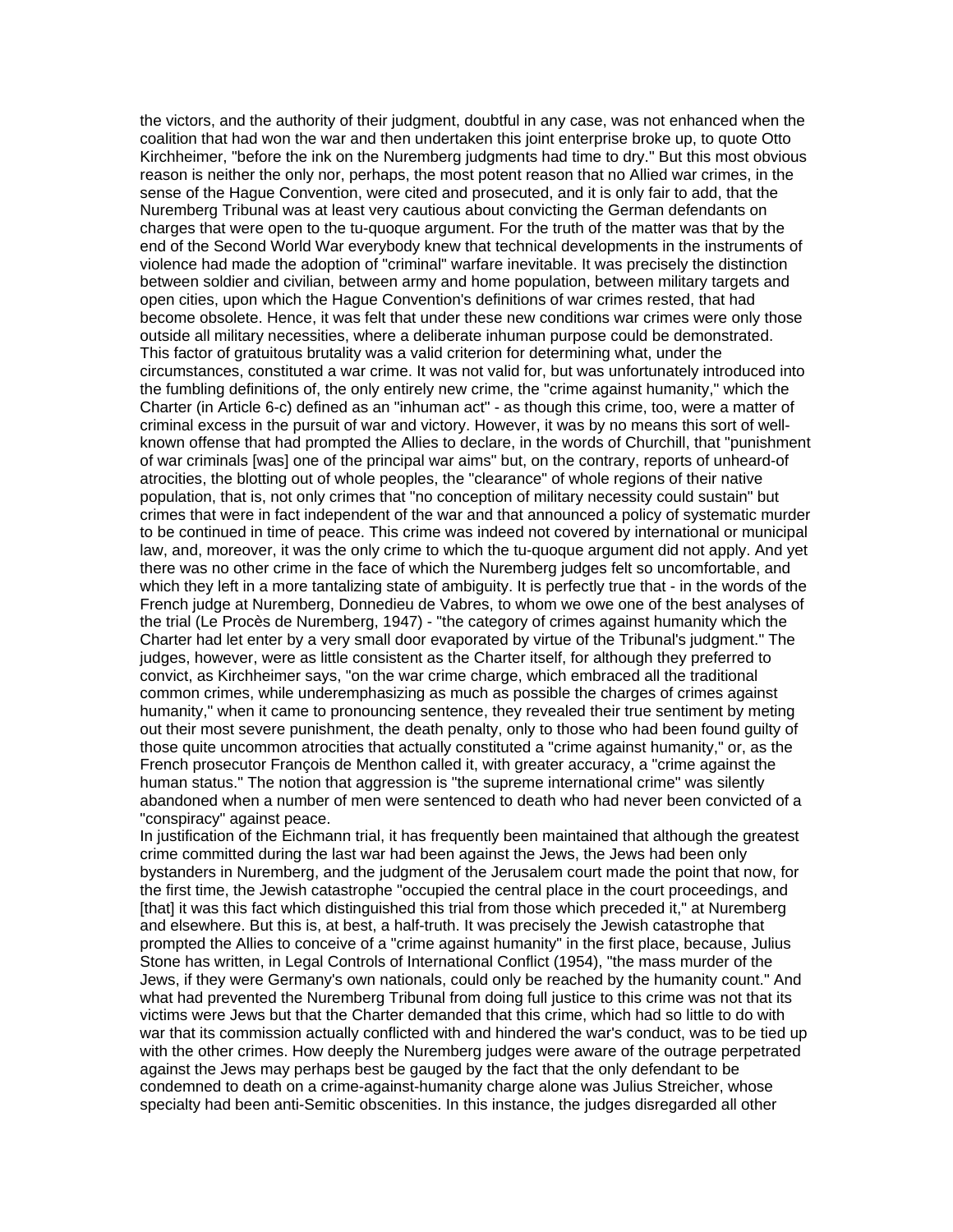the victors, and the authority of their judgment, doubtful in any case, was not enhanced when the coalition that had won the war and then undertaken this joint enterprise broke up, to quote Otto Kirchheimer, "before the ink on the Nuremberg judgments had time to dry." But this most obvious reason is neither the only nor, perhaps, the most potent reason that no Allied war crimes, in the sense of the Hague Convention, were cited and prosecuted, and it is only fair to add, that the Nuremberg Tribunal was at least very cautious about convicting the German defendants on charges that were open to the tu-quoque argument. For the truth of the matter was that by the end of the Second World War everybody knew that technical developments in the instruments of violence had made the adoption of "criminal" warfare inevitable. It was precisely the distinction between soldier and civilian, between army and home population, between military targets and open cities, upon which the Hague Convention's definitions of war crimes rested, that had become obsolete. Hence, it was felt that under these new conditions war crimes were only those outside all military necessities, where a deliberate inhuman purpose could be demonstrated. This factor of gratuitous brutality was a valid criterion for determining what, under the circumstances, constituted a war crime. It was not valid for, but was unfortunately introduced into the fumbling definitions of, the only entirely new crime, the "crime against humanity," which the Charter (in Article 6-c) defined as an "inhuman act" - as though this crime, too, were a matter of criminal excess in the pursuit of war and victory. However, it was by no means this sort of wellknown offense that had prompted the Allies to declare, in the words of Churchill, that "punishment of war criminals [was] one of the principal war aims" but, on the contrary, reports of unheard-of atrocities, the blotting out of whole peoples, the "clearance" of whole regions of their native population, that is, not only crimes that "no conception of military necessity could sustain" but crimes that were in fact independent of the war and that announced a policy of systematic murder to be continued in time of peace. This crime was indeed not covered by international or municipal law, and, moreover, it was the only crime to which the tu-quoque argument did not apply. And yet there was no other crime in the face of which the Nuremberg judges felt so uncomfortable, and which they left in a more tantalizing state of ambiguity. It is perfectly true that - in the words of the French judge at Nuremberg, Donnedieu de Vabres, to whom we owe one of the best analyses of the trial (Le Procès de Nuremberg, 1947) - "the category of crimes against humanity which the Charter had let enter by a very small door evaporated by virtue of the Tribunal's judgment." The judges, however, were as little consistent as the Charter itself, for although they preferred to convict, as Kirchheimer says, "on the war crime charge, which embraced all the traditional common crimes, while underemphasizing as much as possible the charges of crimes against humanity," when it came to pronouncing sentence, they revealed their true sentiment by meting out their most severe punishment, the death penalty, only to those who had been found guilty of those quite uncommon atrocities that actually constituted a "crime against humanity," or, as the French prosecutor François de Menthon called it, with greater accuracy, a "crime against the human status." The notion that aggression is "the supreme international crime" was silently abandoned when a number of men were sentenced to death who had never been convicted of a "conspiracy" against peace.

In justification of the Eichmann trial, it has frequently been maintained that although the greatest crime committed during the last war had been against the Jews, the Jews had been only bystanders in Nuremberg, and the judgment of the Jerusalem court made the point that now, for the first time, the Jewish catastrophe "occupied the central place in the court proceedings, and [that] it was this fact which distinguished this trial from those which preceded it," at Nuremberg and elsewhere. But this is, at best, a half-truth. It was precisely the Jewish catastrophe that prompted the Allies to conceive of a "crime against humanity" in the first place, because, Julius Stone has written, in Legal Controls of International Conflict (1954), "the mass murder of the Jews, if they were Germany's own nationals, could only be reached by the humanity count." And what had prevented the Nuremberg Tribunal from doing full justice to this crime was not that its victims were Jews but that the Charter demanded that this crime, which had so little to do with war that its commission actually conflicted with and hindered the war's conduct, was to be tied up with the other crimes. How deeply the Nuremberg judges were aware of the outrage perpetrated against the Jews may perhaps best be gauged by the fact that the only defendant to be condemned to death on a crime-against-humanity charge alone was Julius Streicher, whose specialty had been anti-Semitic obscenities. In this instance, the judges disregarded all other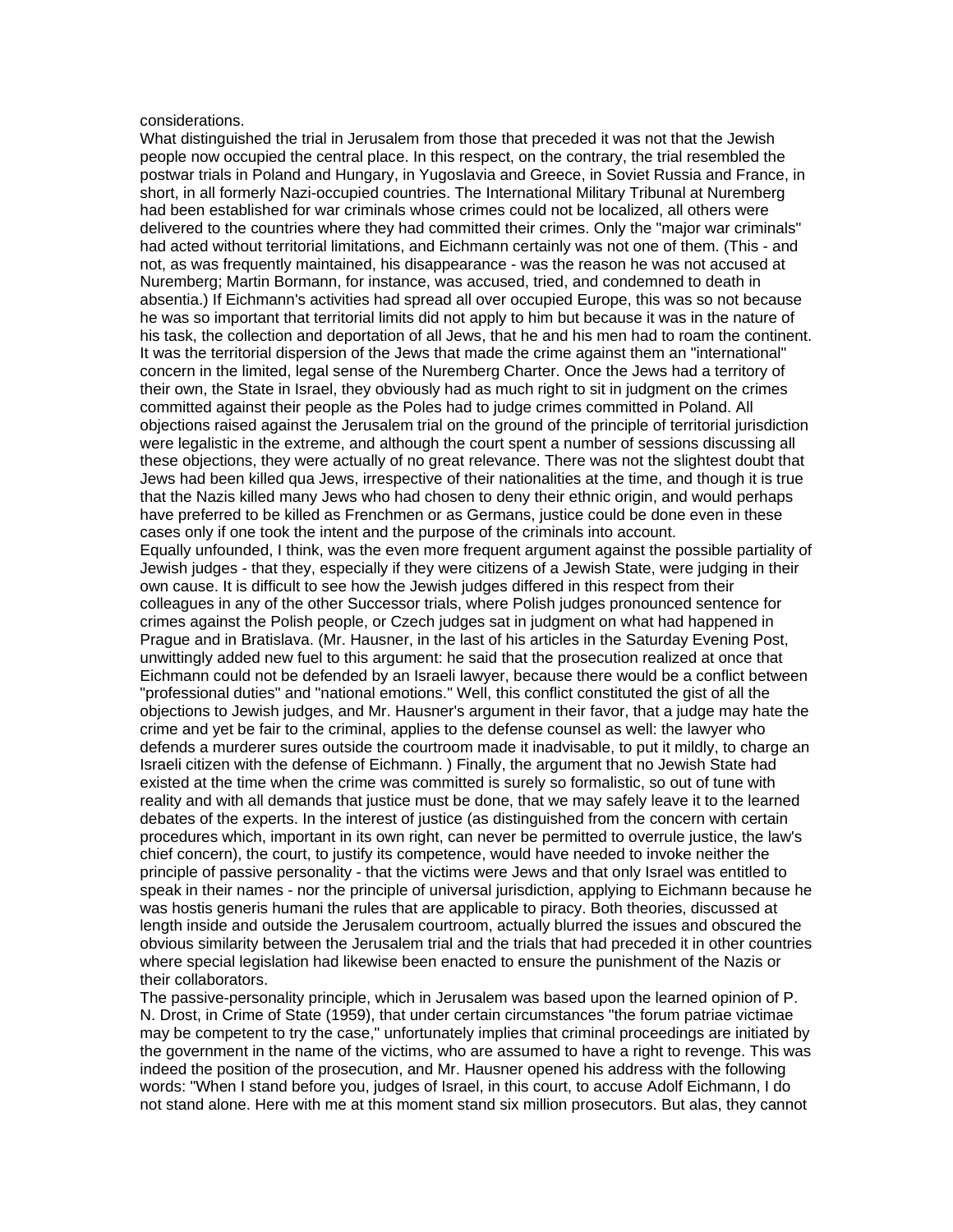# considerations.

What distinguished the trial in Jerusalem from those that preceded it was not that the Jewish people now occupied the central place. In this respect, on the contrary, the trial resembled the postwar trials in Poland and Hungary, in Yugoslavia and Greece, in Soviet Russia and France, in short, in all formerly Nazi-occupied countries. The International Military Tribunal at Nuremberg had been established for war criminals whose crimes could not be localized, all others were delivered to the countries where they had committed their crimes. Only the "major war criminals" had acted without territorial limitations, and Eichmann certainly was not one of them. (This - and not, as was frequently maintained, his disappearance - was the reason he was not accused at Nuremberg; Martin Bormann, for instance, was accused, tried, and condemned to death in absentia.) If Eichmann's activities had spread all over occupied Europe, this was so not because he was so important that territorial limits did not apply to him but because it was in the nature of his task, the collection and deportation of all Jews, that he and his men had to roam the continent. It was the territorial dispersion of the Jews that made the crime against them an "international" concern in the limited, legal sense of the Nuremberg Charter. Once the Jews had a territory of their own, the State in Israel, they obviously had as much right to sit in judgment on the crimes committed against their people as the Poles had to judge crimes committed in Poland. All objections raised against the Jerusalem trial on the ground of the principle of territorial jurisdiction were legalistic in the extreme, and although the court spent a number of sessions discussing all these objections, they were actually of no great relevance. There was not the slightest doubt that Jews had been killed qua Jews, irrespective of their nationalities at the time, and though it is true that the Nazis killed many Jews who had chosen to deny their ethnic origin, and would perhaps have preferred to be killed as Frenchmen or as Germans, justice could be done even in these cases only if one took the intent and the purpose of the criminals into account. Equally unfounded, I think, was the even more frequent argument against the possible partiality of Jewish judges - that they, especially if they were citizens of a Jewish State, were judging in their own cause. It is difficult to see how the Jewish judges differed in this respect from their colleagues in any of the other Successor trials, where Polish judges pronounced sentence for crimes against the Polish people, or Czech judges sat in judgment on what had happened in Prague and in Bratislava. (Mr. Hausner, in the last of his articles in the Saturday Evening Post, unwittingly added new fuel to this argument: he said that the prosecution realized at once that Eichmann could not be defended by an Israeli lawyer, because there would be a conflict between "professional duties" and "national emotions." Well, this conflict constituted the gist of all the objections to Jewish judges, and Mr. Hausner's argument in their favor, that a judge may hate the crime and yet be fair to the criminal, applies to the defense counsel as well: the lawyer who defends a murderer sures outside the courtroom made it inadvisable, to put it mildly, to charge an Israeli citizen with the defense of Eichmann. ) Finally, the argument that no Jewish State had existed at the time when the crime was committed is surely so formalistic, so out of tune with reality and with all demands that justice must be done, that we may safely leave it to the learned debates of the experts. In the interest of justice (as distinguished from the concern with certain procedures which, important in its own right, can never be permitted to overrule justice, the law's chief concern), the court, to justify its competence, would have needed to invoke neither the principle of passive personality - that the victims were Jews and that only Israel was entitled to speak in their names - nor the principle of universal jurisdiction, applying to Eichmann because he was hostis generis humani the rules that are applicable to piracy. Both theories, discussed at length inside and outside the Jerusalem courtroom, actually blurred the issues and obscured the obvious similarity between the Jerusalem trial and the trials that had preceded it in other countries where special legislation had likewise been enacted to ensure the punishment of the Nazis or their collaborators.

The passive-personality principle, which in Jerusalem was based upon the learned opinion of P. N. Drost, in Crime of State (1959), that under certain circumstances "the forum patriae victimae may be competent to try the case," unfortunately implies that criminal proceedings are initiated by the government in the name of the victims, who are assumed to have a right to revenge. This was indeed the position of the prosecution, and Mr. Hausner opened his address with the following words: "When I stand before you, judges of Israel, in this court, to accuse Adolf Eichmann, I do not stand alone. Here with me at this moment stand six million prosecutors. But alas, they cannot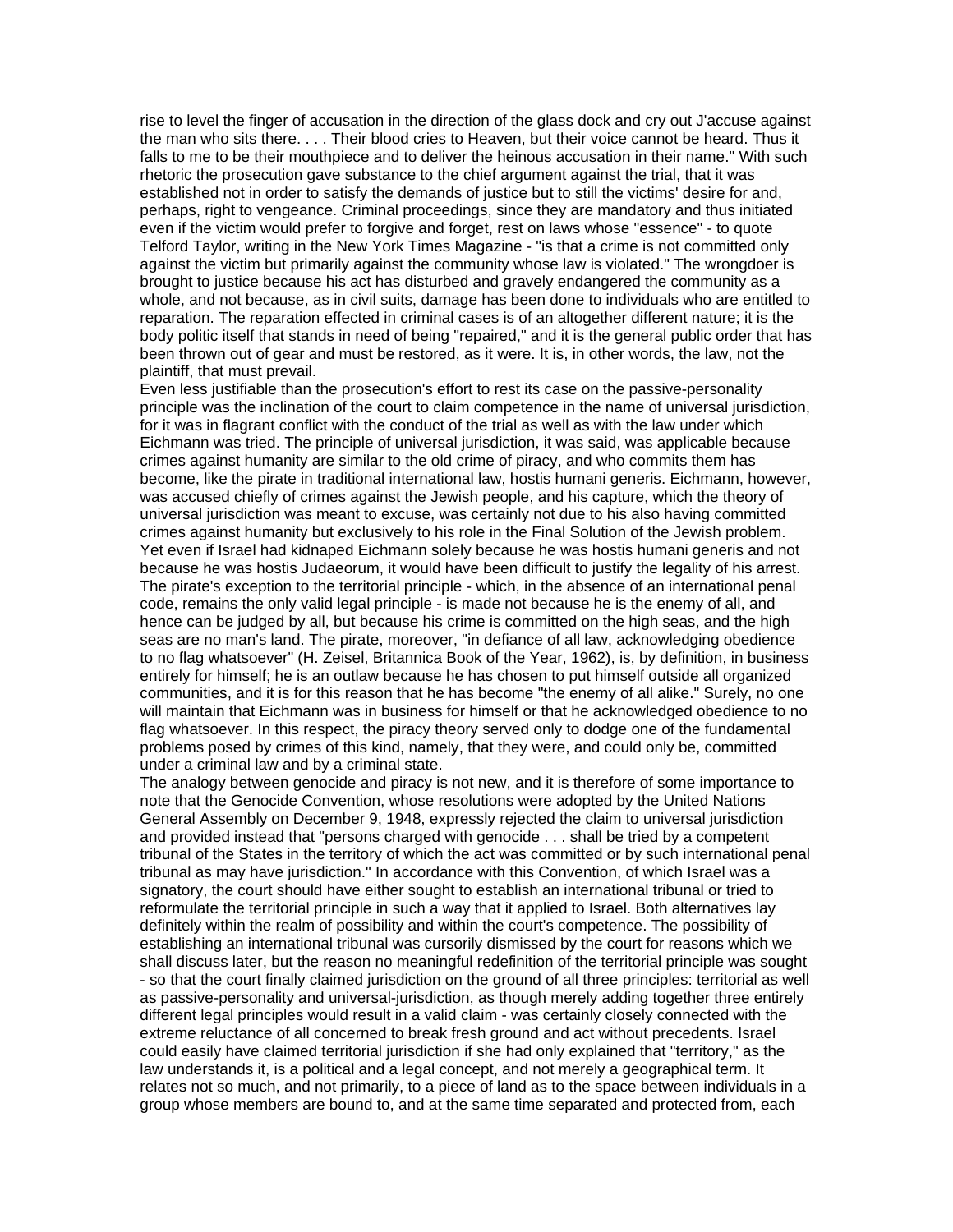rise to level the finger of accusation in the direction of the glass dock and cry out J'accuse against the man who sits there. . . . Their blood cries to Heaven, but their voice cannot be heard. Thus it falls to me to be their mouthpiece and to deliver the heinous accusation in their name." With such rhetoric the prosecution gave substance to the chief argument against the trial, that it was established not in order to satisfy the demands of justice but to still the victims' desire for and, perhaps, right to vengeance. Criminal proceedings, since they are mandatory and thus initiated even if the victim would prefer to forgive and forget, rest on laws whose "essence" - to quote Telford Taylor, writing in the New York Times Magazine - "is that a crime is not committed only against the victim but primarily against the community whose law is violated." The wrongdoer is brought to justice because his act has disturbed and gravely endangered the community as a whole, and not because, as in civil suits, damage has been done to individuals who are entitled to reparation. The reparation effected in criminal cases is of an altogether different nature; it is the body politic itself that stands in need of being "repaired," and it is the general public order that has been thrown out of gear and must be restored, as it were. It is, in other words, the law, not the plaintiff, that must prevail.

Even less justifiable than the prosecution's effort to rest its case on the passive-personality principle was the inclination of the court to claim competence in the name of universal jurisdiction, for it was in flagrant conflict with the conduct of the trial as well as with the law under which Eichmann was tried. The principle of universal jurisdiction, it was said, was applicable because crimes against humanity are similar to the old crime of piracy, and who commits them has become, like the pirate in traditional international law, hostis humani generis. Eichmann, however, was accused chiefly of crimes against the Jewish people, and his capture, which the theory of universal jurisdiction was meant to excuse, was certainly not due to his also having committed crimes against humanity but exclusively to his role in the Final Solution of the Jewish problem. Yet even if Israel had kidnaped Eichmann solely because he was hostis humani generis and not because he was hostis Judaeorum, it would have been difficult to justify the legality of his arrest. The pirate's exception to the territorial principle - which, in the absence of an international penal code, remains the only valid legal principle - is made not because he is the enemy of all, and hence can be judged by all, but because his crime is committed on the high seas, and the high seas are no man's land. The pirate, moreover, "in defiance of all law, acknowledging obedience to no flag whatsoever" (H. Zeisel, Britannica Book of the Year, 1962), is, by definition, in business entirely for himself; he is an outlaw because he has chosen to put himself outside all organized communities, and it is for this reason that he has become "the enemy of all alike." Surely, no one will maintain that Eichmann was in business for himself or that he acknowledged obedience to no flag whatsoever. In this respect, the piracy theory served only to dodge one of the fundamental problems posed by crimes of this kind, namely, that they were, and could only be, committed under a criminal law and by a criminal state.

The analogy between genocide and piracy is not new, and it is therefore of some importance to note that the Genocide Convention, whose resolutions were adopted by the United Nations General Assembly on December 9, 1948, expressly rejected the claim to universal jurisdiction and provided instead that "persons charged with genocide . . . shall be tried by a competent tribunal of the States in the territory of which the act was committed or by such international penal tribunal as may have jurisdiction." In accordance with this Convention, of which Israel was a signatory, the court should have either sought to establish an international tribunal or tried to reformulate the territorial principle in such a way that it applied to Israel. Both alternatives lay definitely within the realm of possibility and within the court's competence. The possibility of establishing an international tribunal was cursorily dismissed by the court for reasons which we shall discuss later, but the reason no meaningful redefinition of the territorial principle was sought - so that the court finally claimed jurisdiction on the ground of all three principles: territorial as well as passive-personality and universal-jurisdiction, as though merely adding together three entirely different legal principles would result in a valid claim - was certainly closely connected with the extreme reluctance of all concerned to break fresh ground and act without precedents. Israel could easily have claimed territorial jurisdiction if she had only explained that "territory," as the law understands it, is a political and a legal concept, and not merely a geographical term. It relates not so much, and not primarily, to a piece of land as to the space between individuals in a group whose members are bound to, and at the same time separated and protected from, each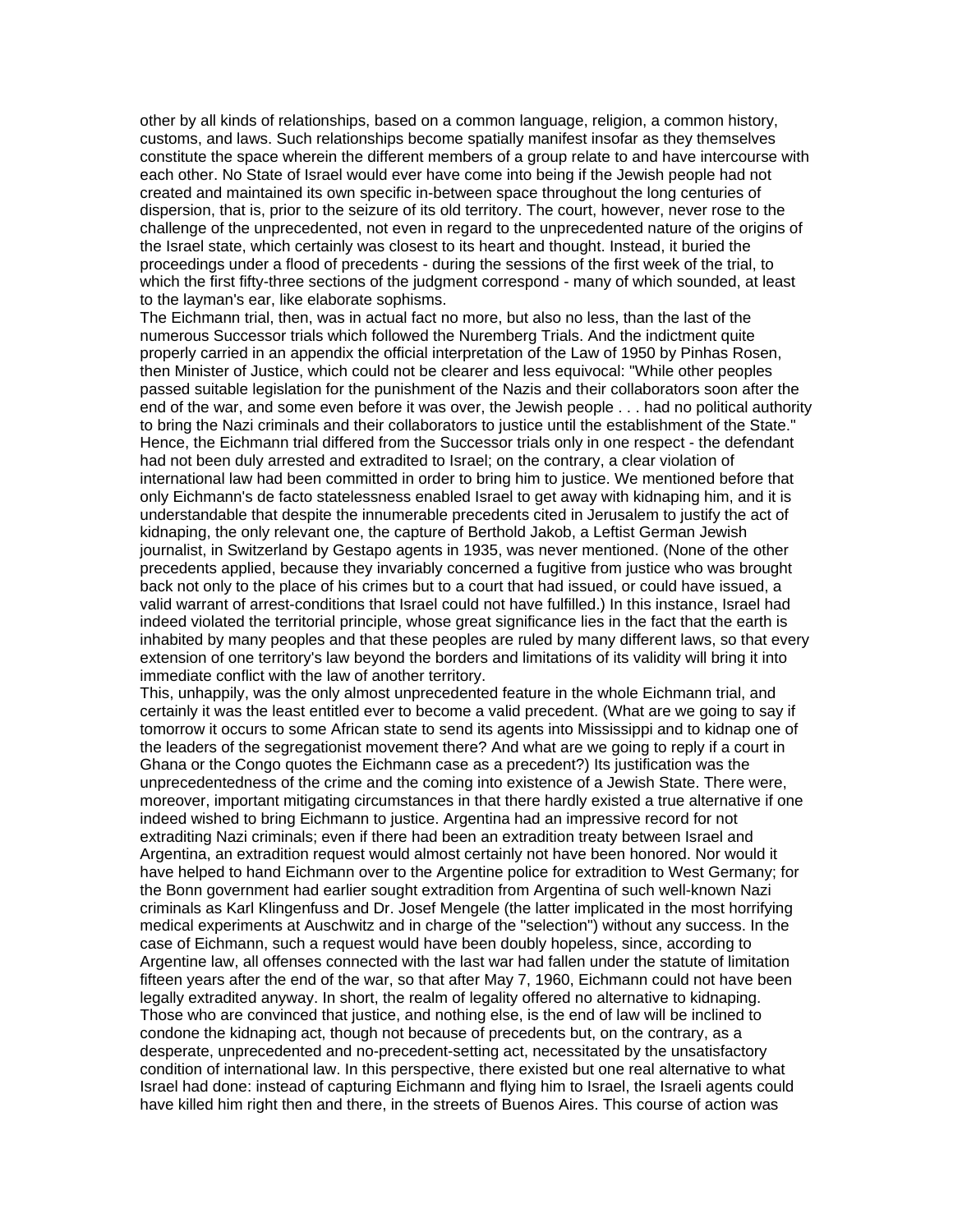other by all kinds of relationships, based on a common language, religion, a common history, customs, and laws. Such relationships become spatially manifest insofar as they themselves constitute the space wherein the different members of a group relate to and have intercourse with each other. No State of Israel would ever have come into being if the Jewish people had not created and maintained its own specific in-between space throughout the long centuries of dispersion, that is, prior to the seizure of its old territory. The court, however, never rose to the challenge of the unprecedented, not even in regard to the unprecedented nature of the origins of the Israel state, which certainly was closest to its heart and thought. Instead, it buried the proceedings under a flood of precedents - during the sessions of the first week of the trial, to which the first fifty-three sections of the judgment correspond - many of which sounded, at least to the layman's ear, like elaborate sophisms.

The Eichmann trial, then, was in actual fact no more, but also no less, than the last of the numerous Successor trials which followed the Nuremberg Trials. And the indictment quite properly carried in an appendix the official interpretation of the Law of 1950 by Pinhas Rosen, then Minister of Justice, which could not be clearer and less equivocal: "While other peoples passed suitable legislation for the punishment of the Nazis and their collaborators soon after the end of the war, and some even before it was over, the Jewish people . . . had no political authority to bring the Nazi criminals and their collaborators to justice until the establishment of the State." Hence, the Eichmann trial differed from the Successor trials only in one respect - the defendant had not been duly arrested and extradited to Israel; on the contrary, a clear violation of international law had been committed in order to bring him to justice. We mentioned before that only Eichmann's de facto statelessness enabled Israel to get away with kidnaping him, and it is understandable that despite the innumerable precedents cited in Jerusalem to justify the act of kidnaping, the only relevant one, the capture of Berthold Jakob, a Leftist German Jewish journalist, in Switzerland by Gestapo agents in 1935, was never mentioned. (None of the other precedents applied, because they invariably concerned a fugitive from justice who was brought back not only to the place of his crimes but to a court that had issued, or could have issued, a valid warrant of arrest-conditions that Israel could not have fulfilled.) In this instance, Israel had indeed violated the territorial principle, whose great significance lies in the fact that the earth is inhabited by many peoples and that these peoples are ruled by many different laws, so that every extension of one territory's law beyond the borders and limitations of its validity will bring it into immediate conflict with the law of another territory.

This, unhappily, was the only almost unprecedented feature in the whole Eichmann trial, and certainly it was the least entitled ever to become a valid precedent. (What are we going to say if tomorrow it occurs to some African state to send its agents into Mississippi and to kidnap one of the leaders of the segregationist movement there? And what are we going to reply if a court in Ghana or the Congo quotes the Eichmann case as a precedent?) Its justification was the unprecedentedness of the crime and the coming into existence of a Jewish State. There were, moreover, important mitigating circumstances in that there hardly existed a true alternative if one indeed wished to bring Eichmann to justice. Argentina had an impressive record for not extraditing Nazi criminals; even if there had been an extradition treaty between Israel and Argentina, an extradition request would almost certainly not have been honored. Nor would it have helped to hand Eichmann over to the Argentine police for extradition to West Germany; for the Bonn government had earlier sought extradition from Argentina of such well-known Nazi criminals as Karl Klingenfuss and Dr. Josef Mengele (the latter implicated in the most horrifying medical experiments at Auschwitz and in charge of the "selection") without any success. In the case of Eichmann, such a request would have been doubly hopeless, since, according to Argentine law, all offenses connected with the last war had fallen under the statute of limitation fifteen years after the end of the war, so that after May 7, 1960, Eichmann could not have been legally extradited anyway. In short, the realm of legality offered no alternative to kidnaping. Those who are convinced that justice, and nothing else, is the end of law will be inclined to condone the kidnaping act, though not because of precedents but, on the contrary, as a desperate, unprecedented and no-precedent-setting act, necessitated by the unsatisfactory condition of international law. In this perspective, there existed but one real alternative to what Israel had done: instead of capturing Eichmann and flying him to Israel, the Israeli agents could have killed him right then and there, in the streets of Buenos Aires. This course of action was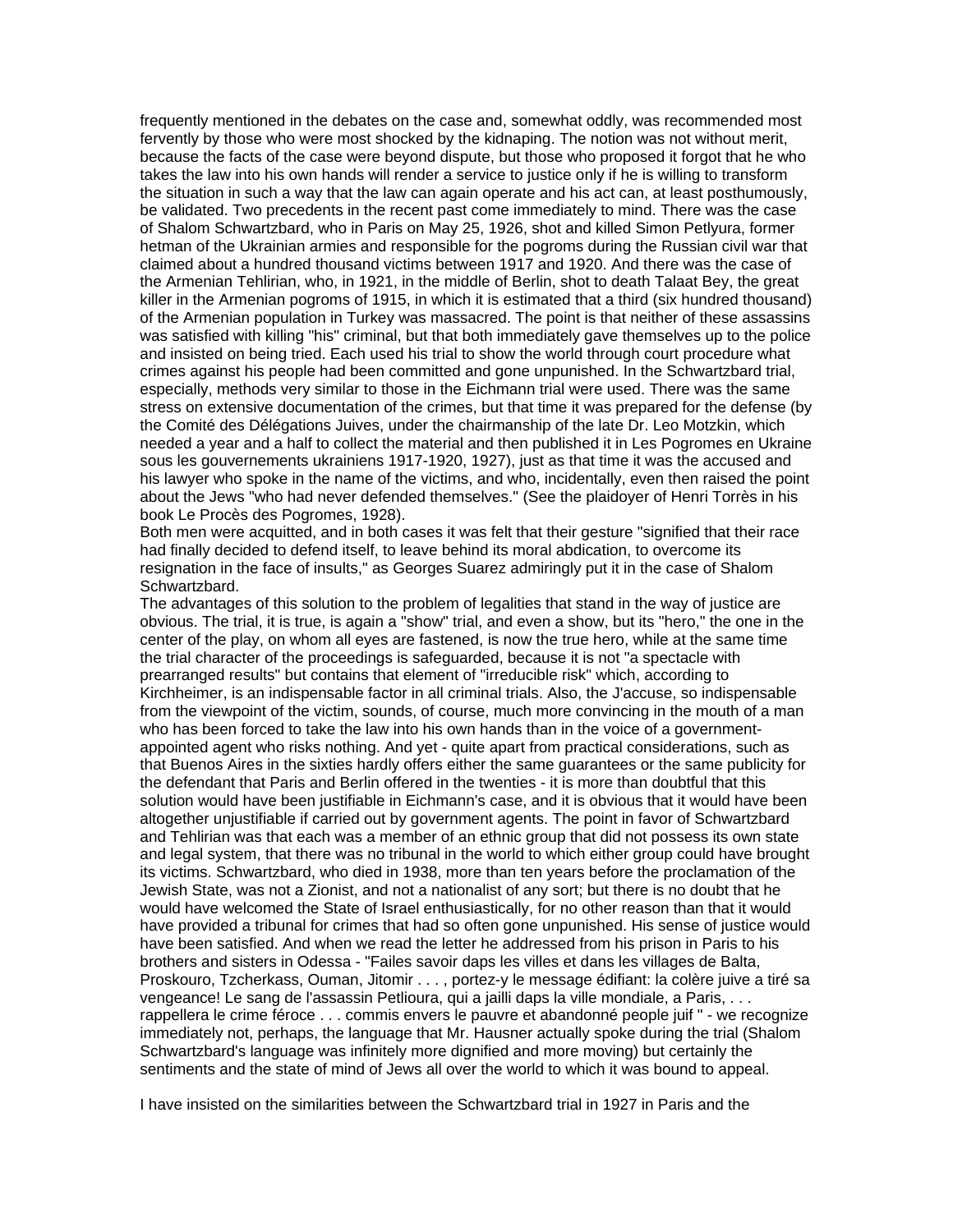frequently mentioned in the debates on the case and, somewhat oddly, was recommended most fervently by those who were most shocked by the kidnaping. The notion was not without merit, because the facts of the case were beyond dispute, but those who proposed it forgot that he who takes the law into his own hands will render a service to justice only if he is willing to transform the situation in such a way that the law can again operate and his act can, at least posthumously, be validated. Two precedents in the recent past come immediately to mind. There was the case of Shalom Schwartzbard, who in Paris on May 25, 1926, shot and killed Simon Petlyura, former hetman of the Ukrainian armies and responsible for the pogroms during the Russian civil war that claimed about a hundred thousand victims between 1917 and 1920. And there was the case of the Armenian Tehlirian, who, in 1921, in the middle of Berlin, shot to death Talaat Bey, the great killer in the Armenian pogroms of 1915, in which it is estimated that a third (six hundred thousand) of the Armenian population in Turkey was massacred. The point is that neither of these assassins was satisfied with killing "his" criminal, but that both immediately gave themselves up to the police and insisted on being tried. Each used his trial to show the world through court procedure what crimes against his people had been committed and gone unpunished. In the Schwartzbard trial, especially, methods very similar to those in the Eichmann trial were used. There was the same stress on extensive documentation of the crimes, but that time it was prepared for the defense (by the Comité des Délégations Juives, under the chairmanship of the late Dr. Leo Motzkin, which needed a year and a half to collect the material and then published it in Les Pogromes en Ukraine sous les gouvernements ukrainiens 1917-1920, 1927), just as that time it was the accused and his lawyer who spoke in the name of the victims, and who, incidentally, even then raised the point about the Jews "who had never defended themselves." (See the plaidoyer of Henri Torrès in his book Le Procès des Pogromes, 1928).

Both men were acquitted, and in both cases it was felt that their gesture "signified that their race had finally decided to defend itself, to leave behind its moral abdication, to overcome its resignation in the face of insults," as Georges Suarez admiringly put it in the case of Shalom Schwartzbard.

The advantages of this solution to the problem of legalities that stand in the way of justice are obvious. The trial, it is true, is again a "show" trial, and even a show, but its "hero," the one in the center of the play, on whom all eyes are fastened, is now the true hero, while at the same time the trial character of the proceedings is safeguarded, because it is not "a spectacle with prearranged results" but contains that element of "irreducible risk" which, according to Kirchheimer, is an indispensable factor in all criminal trials. Also, the J'accuse, so indispensable from the viewpoint of the victim, sounds, of course, much more convincing in the mouth of a man who has been forced to take the law into his own hands than in the voice of a governmentappointed agent who risks nothing. And yet - quite apart from practical considerations, such as that Buenos Aires in the sixties hardly offers either the same guarantees or the same publicity for the defendant that Paris and Berlin offered in the twenties - it is more than doubtful that this solution would have been justifiable in Eichmann's case, and it is obvious that it would have been altogether unjustifiable if carried out by government agents. The point in favor of Schwartzbard and Tehlirian was that each was a member of an ethnic group that did not possess its own state and legal system, that there was no tribunal in the world to which either group could have brought its victims. Schwartzbard, who died in 1938, more than ten years before the proclamation of the Jewish State, was not a Zionist, and not a nationalist of any sort; but there is no doubt that he would have welcomed the State of Israel enthusiastically, for no other reason than that it would have provided a tribunal for crimes that had so often gone unpunished. His sense of justice would have been satisfied. And when we read the letter he addressed from his prison in Paris to his brothers and sisters in Odessa - "Failes savoir daps les villes et dans les villages de Balta, Proskouro, Tzcherkass, Ouman, Jitomir . . . , portez-y le message édifiant: la colère juive a tiré sa vengeance! Le sang de l'assassin Petlioura, qui a jailli daps la ville mondiale, a Paris, . . . rappellera le crime féroce . . . commis envers le pauvre et abandonné people juif " - we recognize immediately not, perhaps, the language that Mr. Hausner actually spoke during the trial (Shalom Schwartzbard's language was infinitely more dignified and more moving) but certainly the sentiments and the state of mind of Jews all over the world to which it was bound to appeal.

I have insisted on the similarities between the Schwartzbard trial in 1927 in Paris and the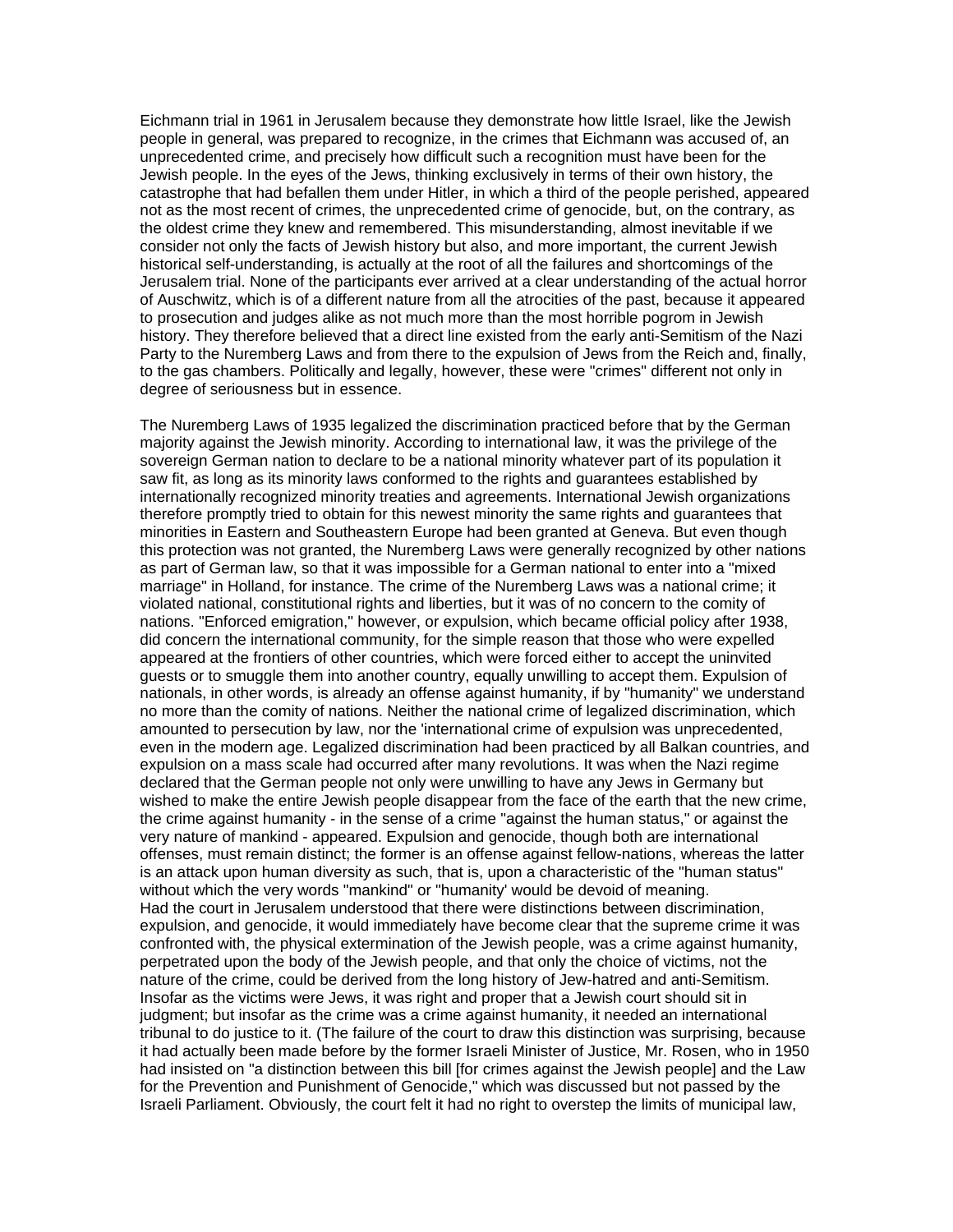Eichmann trial in 1961 in Jerusalem because they demonstrate how little Israel, like the Jewish people in general, was prepared to recognize, in the crimes that Eichmann was accused of, an unprecedented crime, and precisely how difficult such a recognition must have been for the Jewish people. In the eyes of the Jews, thinking exclusively in terms of their own history, the catastrophe that had befallen them under Hitler, in which a third of the people perished, appeared not as the most recent of crimes, the unprecedented crime of genocide, but, on the contrary, as the oldest crime they knew and remembered. This misunderstanding, almost inevitable if we consider not only the facts of Jewish history but also, and more important, the current Jewish historical self-understanding, is actually at the root of all the failures and shortcomings of the Jerusalem trial. None of the participants ever arrived at a clear understanding of the actual horror of Auschwitz, which is of a different nature from all the atrocities of the past, because it appeared to prosecution and judges alike as not much more than the most horrible pogrom in Jewish history. They therefore believed that a direct line existed from the early anti-Semitism of the Nazi Party to the Nuremberg Laws and from there to the expulsion of Jews from the Reich and, finally, to the gas chambers. Politically and legally, however, these were "crimes" different not only in degree of seriousness but in essence.

The Nuremberg Laws of 1935 legalized the discrimination practiced before that by the German majority against the Jewish minority. According to international law, it was the privilege of the sovereign German nation to declare to be a national minority whatever part of its population it saw fit, as long as its minority laws conformed to the rights and guarantees established by internationally recognized minority treaties and agreements. International Jewish organizations therefore promptly tried to obtain for this newest minority the same rights and guarantees that minorities in Eastern and Southeastern Europe had been granted at Geneva. But even though this protection was not granted, the Nuremberg Laws were generally recognized by other nations as part of German law, so that it was impossible for a German national to enter into a "mixed marriage" in Holland, for instance. The crime of the Nuremberg Laws was a national crime; it violated national, constitutional rights and liberties, but it was of no concern to the comity of nations. "Enforced emigration," however, or expulsion, which became official policy after 1938, did concern the international community, for the simple reason that those who were expelled appeared at the frontiers of other countries, which were forced either to accept the uninvited guests or to smuggle them into another country, equally unwilling to accept them. Expulsion of nationals, in other words, is already an offense against humanity, if by "humanity" we understand no more than the comity of nations. Neither the national crime of legalized discrimination, which amounted to persecution by law, nor the 'international crime of expulsion was unprecedented, even in the modern age. Legalized discrimination had been practiced by all Balkan countries, and expulsion on a mass scale had occurred after many revolutions. It was when the Nazi regime declared that the German people not only were unwilling to have any Jews in Germany but wished to make the entire Jewish people disappear from the face of the earth that the new crime, the crime against humanity - in the sense of a crime "against the human status," or against the very nature of mankind - appeared. Expulsion and genocide, though both are international offenses, must remain distinct; the former is an offense against fellow-nations, whereas the latter is an attack upon human diversity as such, that is, upon a characteristic of the "human status" without which the very words "mankind" or "humanity' would be devoid of meaning. Had the court in Jerusalem understood that there were distinctions between discrimination, expulsion, and genocide, it would immediately have become clear that the supreme crime it was confronted with, the physical extermination of the Jewish people, was a crime against humanity, perpetrated upon the body of the Jewish people, and that only the choice of victims, not the nature of the crime, could be derived from the long history of Jew-hatred and anti-Semitism. Insofar as the victims were Jews, it was right and proper that a Jewish court should sit in judgment; but insofar as the crime was a crime against humanity, it needed an international tribunal to do justice to it. (The failure of the court to draw this distinction was surprising, because it had actually been made before by the former Israeli Minister of Justice, Mr. Rosen, who in 1950 had insisted on "a distinction between this bill [for crimes against the Jewish people] and the Law for the Prevention and Punishment of Genocide," which was discussed but not passed by the Israeli Parliament. Obviously, the court felt it had no right to overstep the limits of municipal law,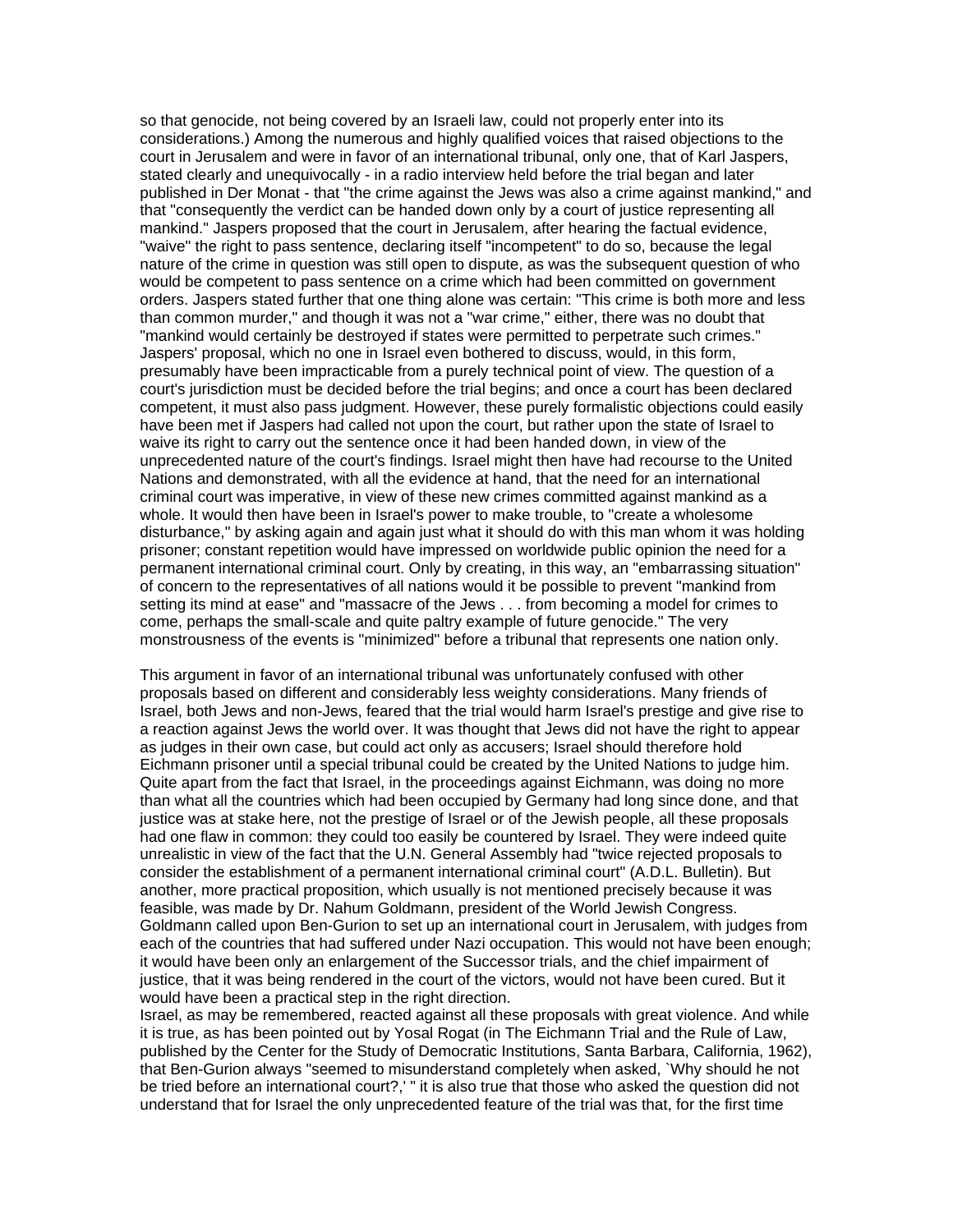so that genocide, not being covered by an Israeli law, could not properly enter into its considerations.) Among the numerous and highly qualified voices that raised objections to the court in Jerusalem and were in favor of an international tribunal, only one, that of Karl Jaspers, stated clearly and unequivocally - in a radio interview held before the trial began and later published in Der Monat - that "the crime against the Jews was also a crime against mankind," and that "consequently the verdict can be handed down only by a court of justice representing all mankind." Jaspers proposed that the court in Jerusalem, after hearing the factual evidence, "waive" the right to pass sentence, declaring itself "incompetent" to do so, because the legal nature of the crime in question was still open to dispute, as was the subsequent question of who would be competent to pass sentence on a crime which had been committed on government orders. Jaspers stated further that one thing alone was certain: "This crime is both more and less than common murder," and though it was not a "war crime," either, there was no doubt that "mankind would certainly be destroyed if states were permitted to perpetrate such crimes." Jaspers' proposal, which no one in Israel even bothered to discuss, would, in this form, presumably have been impracticable from a purely technical point of view. The question of a court's jurisdiction must be decided before the trial begins; and once a court has been declared competent, it must also pass judgment. However, these purely formalistic objections could easily have been met if Jaspers had called not upon the court, but rather upon the state of Israel to waive its right to carry out the sentence once it had been handed down, in view of the unprecedented nature of the court's findings. Israel might then have had recourse to the United Nations and demonstrated, with all the evidence at hand, that the need for an international criminal court was imperative, in view of these new crimes committed against mankind as a whole. It would then have been in Israel's power to make trouble, to "create a wholesome disturbance," by asking again and again just what it should do with this man whom it was holding prisoner; constant repetition would have impressed on worldwide public opinion the need for a permanent international criminal court. Only by creating, in this way, an "embarrassing situation" of concern to the representatives of all nations would it be possible to prevent "mankind from setting its mind at ease" and "massacre of the Jews . . . from becoming a model for crimes to come, perhaps the small-scale and quite paltry example of future genocide." The very monstrousness of the events is "minimized" before a tribunal that represents one nation only.

This argument in favor of an international tribunal was unfortunately confused with other proposals based on different and considerably less weighty considerations. Many friends of Israel, both Jews and non-Jews, feared that the trial would harm Israel's prestige and give rise to a reaction against Jews the world over. It was thought that Jews did not have the right to appear as judges in their own case, but could act only as accusers; Israel should therefore hold Eichmann prisoner until a special tribunal could be created by the United Nations to judge him. Quite apart from the fact that Israel, in the proceedings against Eichmann, was doing no more than what all the countries which had been occupied by Germany had long since done, and that justice was at stake here, not the prestige of Israel or of the Jewish people, all these proposals had one flaw in common: they could too easily be countered by Israel. They were indeed quite unrealistic in view of the fact that the U.N. General Assembly had "twice rejected proposals to consider the establishment of a permanent international criminal court" (A.D.L. Bulletin). But another, more practical proposition, which usually is not mentioned precisely because it was feasible, was made by Dr. Nahum Goldmann, president of the World Jewish Congress. Goldmann called upon Ben-Gurion to set up an international court in Jerusalem, with judges from each of the countries that had suffered under Nazi occupation. This would not have been enough; it would have been only an enlargement of the Successor trials, and the chief impairment of justice, that it was being rendered in the court of the victors, would not have been cured. But it would have been a practical step in the right direction.

Israel, as may be remembered, reacted against all these proposals with great violence. And while it is true, as has been pointed out by Yosal Rogat (in The Eichmann Trial and the Rule of Law, published by the Center for the Study of Democratic Institutions, Santa Barbara, California, 1962), that Ben-Gurion always "seemed to misunderstand completely when asked, `Why should he not be tried before an international court?,' " it is also true that those who asked the question did not understand that for Israel the only unprecedented feature of the trial was that, for the first time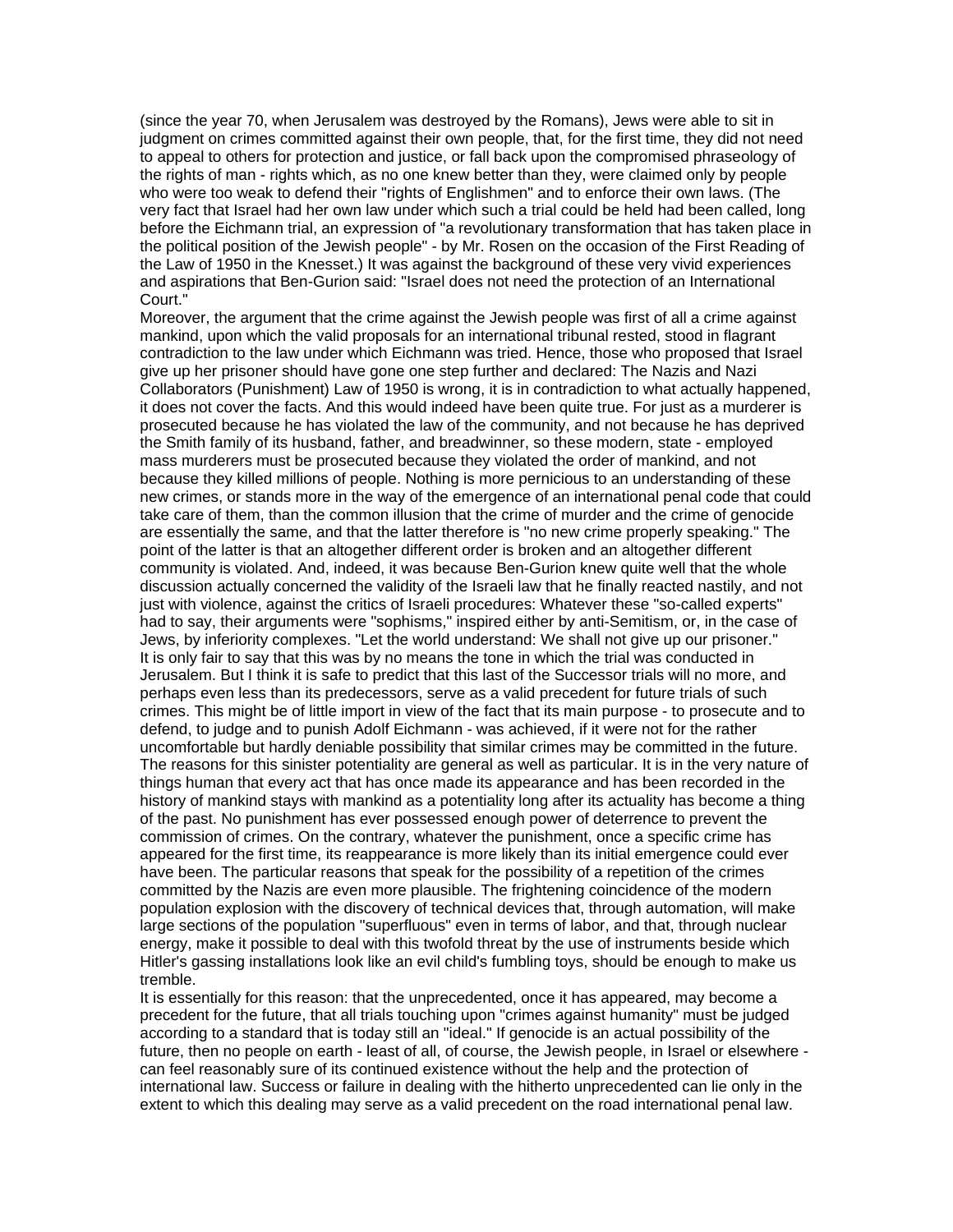(since the year 70, when Jerusalem was destroyed by the Romans), Jews were able to sit in judgment on crimes committed against their own people, that, for the first time, they did not need to appeal to others for protection and justice, or fall back upon the compromised phraseology of the rights of man - rights which, as no one knew better than they, were claimed only by people who were too weak to defend their "rights of Englishmen" and to enforce their own laws. (The very fact that Israel had her own law under which such a trial could be held had been called, long before the Eichmann trial, an expression of "a revolutionary transformation that has taken place in the political position of the Jewish people" - by Mr. Rosen on the occasion of the First Reading of the Law of 1950 in the Knesset.) It was against the background of these very vivid experiences and aspirations that Ben-Gurion said: "Israel does not need the protection of an International Court."

Moreover, the argument that the crime against the Jewish people was first of all a crime against mankind, upon which the valid proposals for an international tribunal rested, stood in flagrant contradiction to the law under which Eichmann was tried. Hence, those who proposed that Israel give up her prisoner should have gone one step further and declared: The Nazis and Nazi Collaborators (Punishment) Law of 1950 is wrong, it is in contradiction to what actually happened, it does not cover the facts. And this would indeed have been quite true. For just as a murderer is prosecuted because he has violated the law of the community, and not because he has deprived the Smith family of its husband, father, and breadwinner, so these modern, state - employed mass murderers must be prosecuted because they violated the order of mankind, and not because they killed millions of people. Nothing is more pernicious to an understanding of these new crimes, or stands more in the way of the emergence of an international penal code that could take care of them, than the common illusion that the crime of murder and the crime of genocide are essentially the same, and that the latter therefore is "no new crime properly speaking." The point of the latter is that an altogether different order is broken and an altogether different community is violated. And, indeed, it was because Ben-Gurion knew quite well that the whole discussion actually concerned the validity of the Israeli law that he finally reacted nastily, and not just with violence, against the critics of Israeli procedures: Whatever these "so-called experts" had to say, their arguments were "sophisms," inspired either by anti-Semitism, or, in the case of Jews, by inferiority complexes. "Let the world understand: We shall not give up our prisoner." It is only fair to say that this was by no means the tone in which the trial was conducted in Jerusalem. But I think it is safe to predict that this last of the Successor trials will no more, and perhaps even less than its predecessors, serve as a valid precedent for future trials of such crimes. This might be of little import in view of the fact that its main purpose - to prosecute and to defend, to judge and to punish Adolf Eichmann - was achieved, if it were not for the rather uncomfortable but hardly deniable possibility that similar crimes may be committed in the future. The reasons for this sinister potentiality are general as well as particular. It is in the very nature of things human that every act that has once made its appearance and has been recorded in the history of mankind stays with mankind as a potentiality long after its actuality has become a thing of the past. No punishment has ever possessed enough power of deterrence to prevent the commission of crimes. On the contrary, whatever the punishment, once a specific crime has appeared for the first time, its reappearance is more likely than its initial emergence could ever have been. The particular reasons that speak for the possibility of a repetition of the crimes committed by the Nazis are even more plausible. The frightening coincidence of the modern population explosion with the discovery of technical devices that, through automation, will make large sections of the population "superfluous" even in terms of labor, and that, through nuclear energy, make it possible to deal with this twofold threat by the use of instruments beside which Hitler's gassing installations look like an evil child's fumbling toys, should be enough to make us tremble.

It is essentially for this reason: that the unprecedented, once it has appeared, may become a precedent for the future, that all trials touching upon "crimes against humanity" must be judged according to a standard that is today still an "ideal." If genocide is an actual possibility of the future, then no people on earth - least of all, of course, the Jewish people, in Israel or elsewhere can feel reasonably sure of its continued existence without the help and the protection of international law. Success or failure in dealing with the hitherto unprecedented can lie only in the extent to which this dealing may serve as a valid precedent on the road international penal law.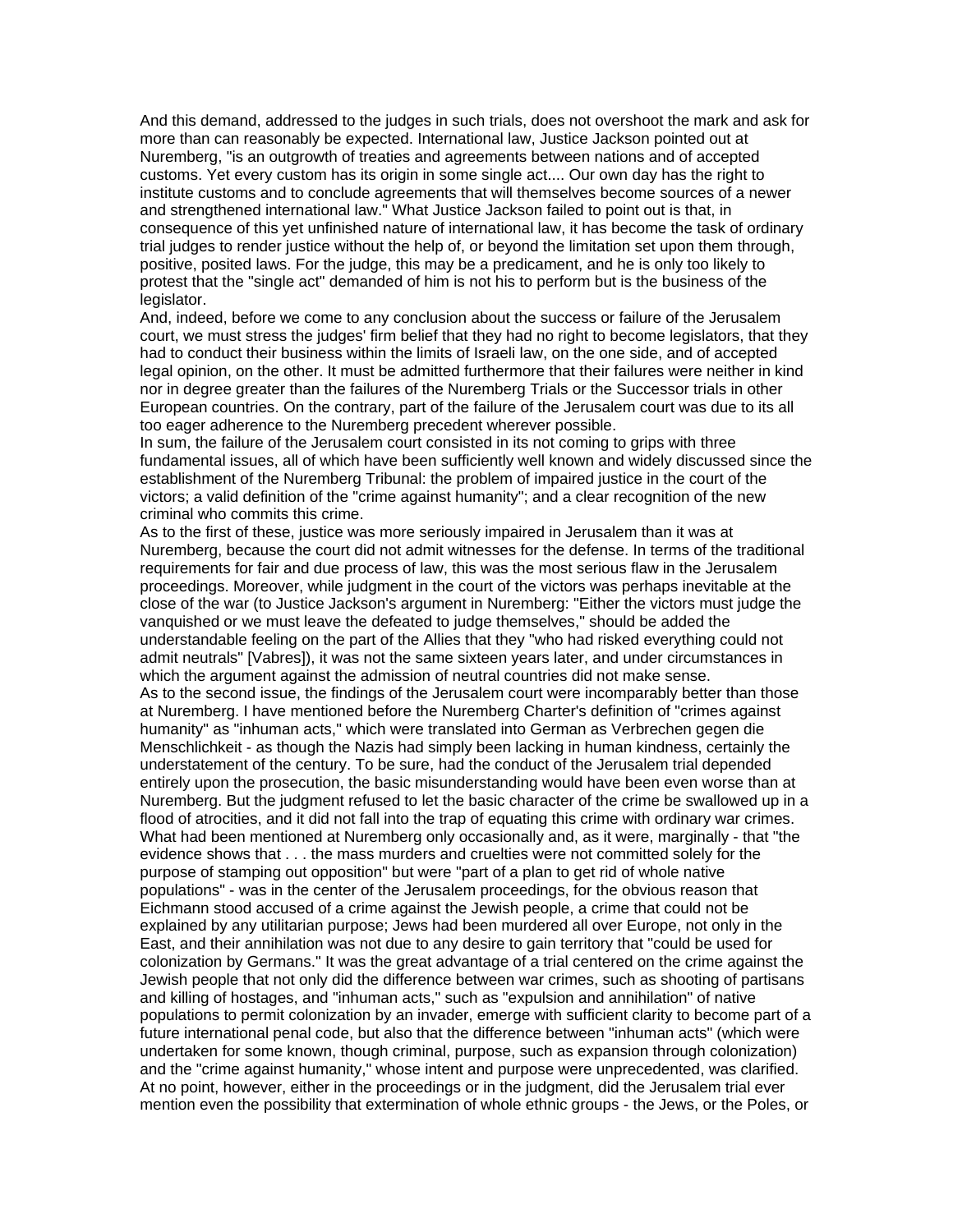And this demand, addressed to the judges in such trials, does not overshoot the mark and ask for more than can reasonably be expected. International law, Justice Jackson pointed out at Nuremberg, "is an outgrowth of treaties and agreements between nations and of accepted customs. Yet every custom has its origin in some single act.... Our own day has the right to institute customs and to conclude agreements that will themselves become sources of a newer and strengthened international law." What Justice Jackson failed to point out is that, in consequence of this yet unfinished nature of international law, it has become the task of ordinary trial judges to render justice without the help of, or beyond the limitation set upon them through, positive, posited laws. For the judge, this may be a predicament, and he is only too likely to protest that the "single act" demanded of him is not his to perform but is the business of the legislator.

And, indeed, before we come to any conclusion about the success or failure of the Jerusalem court, we must stress the judges' firm belief that they had no right to become legislators, that they had to conduct their business within the limits of Israeli law, on the one side, and of accepted legal opinion, on the other. It must be admitted furthermore that their failures were neither in kind nor in degree greater than the failures of the Nuremberg Trials or the Successor trials in other European countries. On the contrary, part of the failure of the Jerusalem court was due to its all too eager adherence to the Nuremberg precedent wherever possible.

In sum, the failure of the Jerusalem court consisted in its not coming to grips with three fundamental issues, all of which have been sufficiently well known and widely discussed since the establishment of the Nuremberg Tribunal: the problem of impaired justice in the court of the victors; a valid definition of the "crime against humanity"; and a clear recognition of the new criminal who commits this crime.

As to the first of these, justice was more seriously impaired in Jerusalem than it was at Nuremberg, because the court did not admit witnesses for the defense. In terms of the traditional requirements for fair and due process of law, this was the most serious flaw in the Jerusalem proceedings. Moreover, while judgment in the court of the victors was perhaps inevitable at the close of the war (to Justice Jackson's argument in Nuremberg: "Either the victors must judge the vanquished or we must leave the defeated to judge themselves," should be added the understandable feeling on the part of the Allies that they "who had risked everything could not admit neutrals" [Vabres]), it was not the same sixteen years later, and under circumstances in which the argument against the admission of neutral countries did not make sense. As to the second issue, the findings of the Jerusalem court were incomparably better than those at Nuremberg. I have mentioned before the Nuremberg Charter's definition of "crimes against humanity" as "inhuman acts," which were translated into German as Verbrechen gegen die Menschlichkeit - as though the Nazis had simply been lacking in human kindness, certainly the understatement of the century. To be sure, had the conduct of the Jerusalem trial depended entirely upon the prosecution, the basic misunderstanding would have been even worse than at Nuremberg. But the judgment refused to let the basic character of the crime be swallowed up in a flood of atrocities, and it did not fall into the trap of equating this crime with ordinary war crimes. What had been mentioned at Nuremberg only occasionally and, as it were, marginally - that "the evidence shows that . . . the mass murders and cruelties were not committed solely for the purpose of stamping out opposition" but were "part of a plan to get rid of whole native populations" - was in the center of the Jerusalem proceedings, for the obvious reason that Eichmann stood accused of a crime against the Jewish people, a crime that could not be explained by any utilitarian purpose; Jews had been murdered all over Europe, not only in the East, and their annihilation was not due to any desire to gain territory that "could be used for colonization by Germans." It was the great advantage of a trial centered on the crime against the Jewish people that not only did the difference between war crimes, such as shooting of partisans and killing of hostages, and "inhuman acts," such as "expulsion and annihilation" of native populations to permit colonization by an invader, emerge with sufficient clarity to become part of a future international penal code, but also that the difference between "inhuman acts" (which were undertaken for some known, though criminal, purpose, such as expansion through colonization) and the "crime against humanity," whose intent and purpose were unprecedented, was clarified. At no point, however, either in the proceedings or in the judgment, did the Jerusalem trial ever mention even the possibility that extermination of whole ethnic groups - the Jews, or the Poles, or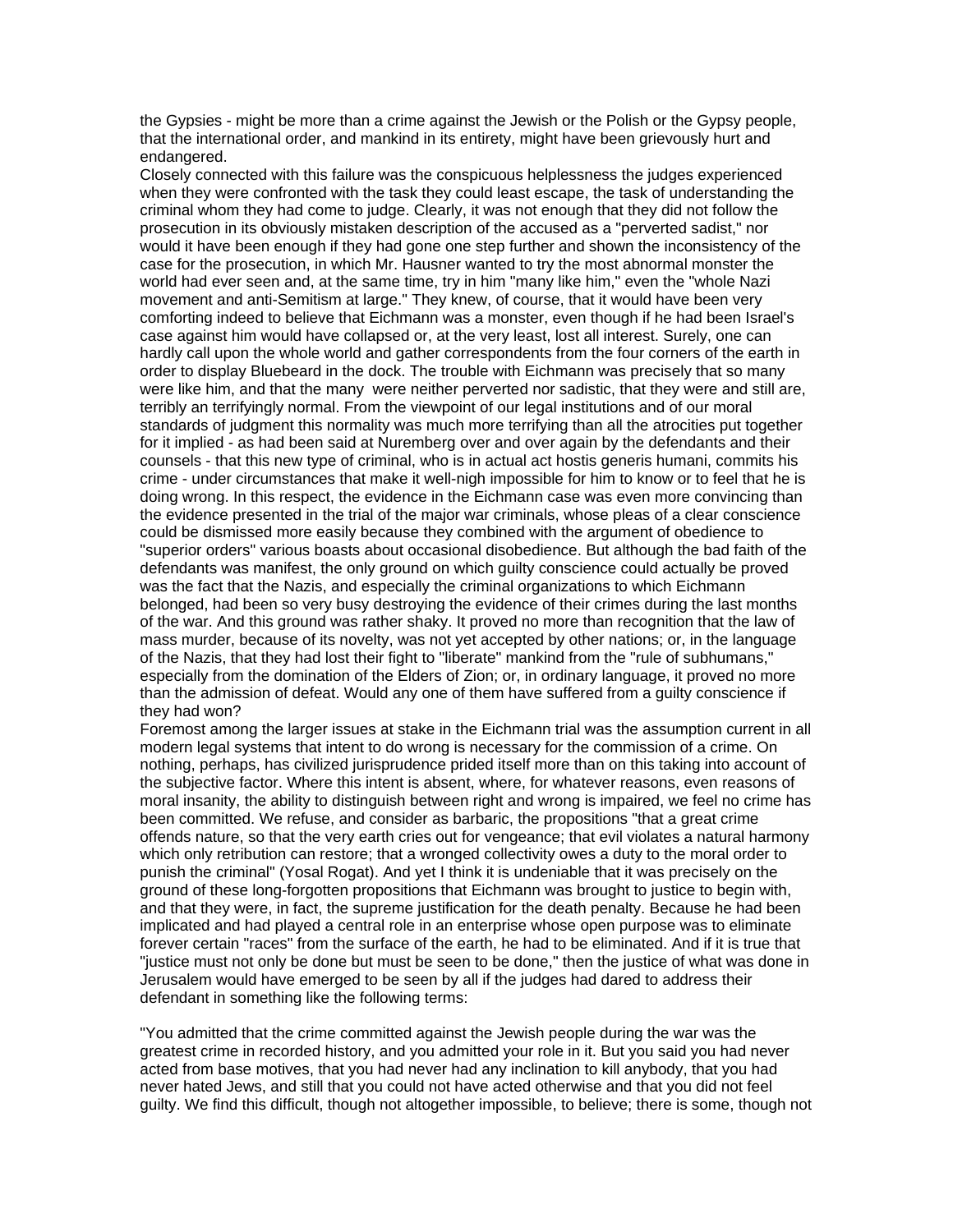the Gypsies - might be more than a crime against the Jewish or the Polish or the Gypsy people, that the international order, and mankind in its entirety, might have been grievously hurt and endangered.

Closely connected with this failure was the conspicuous helplessness the judges experienced when they were confronted with the task they could least escape, the task of understanding the criminal whom they had come to judge. Clearly, it was not enough that they did not follow the prosecution in its obviously mistaken description of the accused as a "perverted sadist," nor would it have been enough if they had gone one step further and shown the inconsistency of the case for the prosecution, in which Mr. Hausner wanted to try the most abnormal monster the world had ever seen and, at the same time, try in him "many like him," even the "whole Nazi movement and anti-Semitism at large." They knew, of course, that it would have been very comforting indeed to believe that Eichmann was a monster, even though if he had been Israel's case against him would have collapsed or, at the very least, lost all interest. Surely, one can hardly call upon the whole world and gather correspondents from the four corners of the earth in order to display Bluebeard in the dock. The trouble with Eichmann was precisely that so many were like him, and that the many were neither perverted nor sadistic, that they were and still are, terribly an terrifyingly normal. From the viewpoint of our legal institutions and of our moral standards of judgment this normality was much more terrifying than all the atrocities put together for it implied - as had been said at Nuremberg over and over again by the defendants and their counsels - that this new type of criminal, who is in actual act hostis generis humani, commits his crime - under circumstances that make it well-nigh impossible for him to know or to feel that he is doing wrong. In this respect, the evidence in the Eichmann case was even more convincing than the evidence presented in the trial of the major war criminals, whose pleas of a clear conscience could be dismissed more easily because they combined with the argument of obedience to "superior orders" various boasts about occasional disobedience. But although the bad faith of the defendants was manifest, the only ground on which guilty conscience could actually be proved was the fact that the Nazis, and especially the criminal organizations to which Eichmann belonged, had been so very busy destroying the evidence of their crimes during the last months of the war. And this ground was rather shaky. It proved no more than recognition that the law of mass murder, because of its novelty, was not yet accepted by other nations; or, in the language of the Nazis, that they had lost their fight to "liberate" mankind from the "rule of subhumans," especially from the domination of the Elders of Zion; or, in ordinary language, it proved no more than the admission of defeat. Would any one of them have suffered from a guilty conscience if they had won?

Foremost among the larger issues at stake in the Eichmann trial was the assumption current in all modern legal systems that intent to do wrong is necessary for the commission of a crime. On nothing, perhaps, has civilized jurisprudence prided itself more than on this taking into account of the subjective factor. Where this intent is absent, where, for whatever reasons, even reasons of moral insanity, the ability to distinguish between right and wrong is impaired, we feel no crime has been committed. We refuse, and consider as barbaric, the propositions "that a great crime offends nature, so that the very earth cries out for vengeance; that evil violates a natural harmony which only retribution can restore; that a wronged collectivity owes a duty to the moral order to punish the criminal" (Yosal Rogat). And yet I think it is undeniable that it was precisely on the ground of these long-forgotten propositions that Eichmann was brought to justice to begin with, and that they were, in fact, the supreme justification for the death penalty. Because he had been implicated and had played a central role in an enterprise whose open purpose was to eliminate forever certain "races" from the surface of the earth, he had to be eliminated. And if it is true that "justice must not only be done but must be seen to be done," then the justice of what was done in Jerusalem would have emerged to be seen by all if the judges had dared to address their defendant in something like the following terms:

"You admitted that the crime committed against the Jewish people during the war was the greatest crime in recorded history, and you admitted your role in it. But you said you had never acted from base motives, that you had never had any inclination to kill anybody, that you had never hated Jews, and still that you could not have acted otherwise and that you did not feel guilty. We find this difficult, though not altogether impossible, to believe; there is some, though not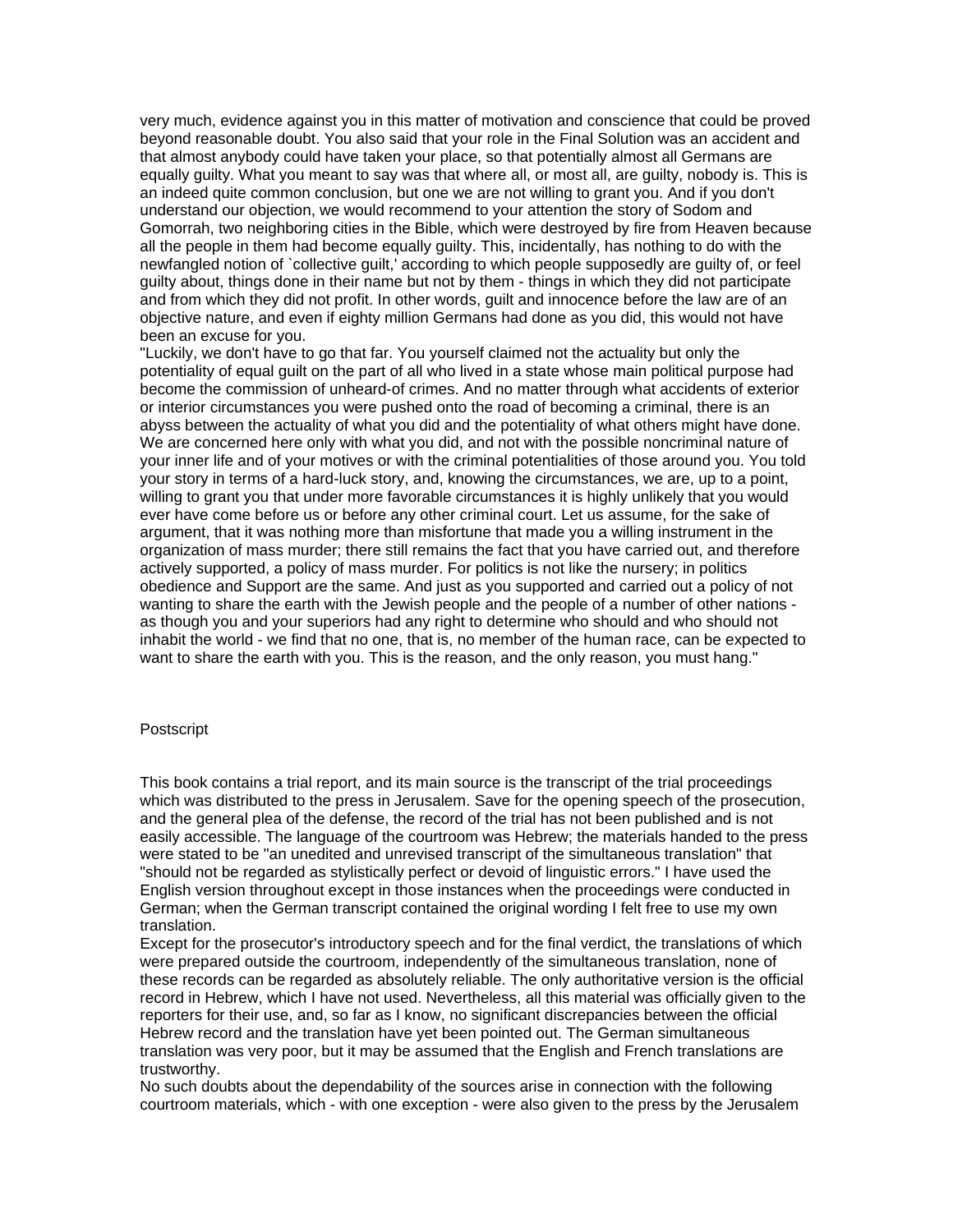very much, evidence against you in this matter of motivation and conscience that could be proved beyond reasonable doubt. You also said that your role in the Final Solution was an accident and that almost anybody could have taken your place, so that potentially almost all Germans are equally guilty. What you meant to say was that where all, or most all, are guilty, nobody is. This is an indeed quite common conclusion, but one we are not willing to grant you. And if you don't understand our objection, we would recommend to your attention the story of Sodom and Gomorrah, two neighboring cities in the Bible, which were destroyed by fire from Heaven because all the people in them had become equally guilty. This, incidentally, has nothing to do with the newfangled notion of `collective guilt,' according to which people supposedly are guilty of, or feel guilty about, things done in their name but not by them - things in which they did not participate and from which they did not profit. In other words, guilt and innocence before the law are of an objective nature, and even if eighty million Germans had done as you did, this would not have been an excuse for you.

"Luckily, we don't have to go that far. You yourself claimed not the actuality but only the potentiality of equal guilt on the part of all who lived in a state whose main political purpose had become the commission of unheard-of crimes. And no matter through what accidents of exterior or interior circumstances you were pushed onto the road of becoming a criminal, there is an abyss between the actuality of what you did and the potentiality of what others might have done. We are concerned here only with what you did, and not with the possible noncriminal nature of your inner life and of your motives or with the criminal potentialities of those around you. You told your story in terms of a hard-luck story, and, knowing the circumstances, we are, up to a point, willing to grant you that under more favorable circumstances it is highly unlikely that you would ever have come before us or before any other criminal court. Let us assume, for the sake of argument, that it was nothing more than misfortune that made you a willing instrument in the organization of mass murder; there still remains the fact that you have carried out, and therefore actively supported, a policy of mass murder. For politics is not like the nursery; in politics obedience and Support are the same. And just as you supported and carried out a policy of not wanting to share the earth with the Jewish people and the people of a number of other nations as though you and your superiors had any right to determine who should and who should not inhabit the world - we find that no one, that is, no member of the human race, can be expected to want to share the earth with you. This is the reason, and the only reason, you must hang."

# Postscript

This book contains a trial report, and its main source is the transcript of the trial proceedings which was distributed to the press in Jerusalem. Save for the opening speech of the prosecution, and the general plea of the defense, the record of the trial has not been published and is not easily accessible. The language of the courtroom was Hebrew; the materials handed to the press were stated to be "an unedited and unrevised transcript of the simultaneous translation" that "should not be regarded as stylistically perfect or devoid of linguistic errors." I have used the English version throughout except in those instances when the proceedings were conducted in German; when the German transcript contained the original wording I felt free to use my own translation.

Except for the prosecutor's introductory speech and for the final verdict, the translations of which were prepared outside the courtroom, independently of the simultaneous translation, none of these records can be regarded as absolutely reliable. The only authoritative version is the official record in Hebrew, which I have not used. Nevertheless, all this material was officially given to the reporters for their use, and, so far as I know, no significant discrepancies between the official Hebrew record and the translation have yet been pointed out. The German simultaneous translation was very poor, but it may be assumed that the English and French translations are trustworthy.

No such doubts about the dependability of the sources arise in connection with the following courtroom materials, which - with one exception - were also given to the press by the Jerusalem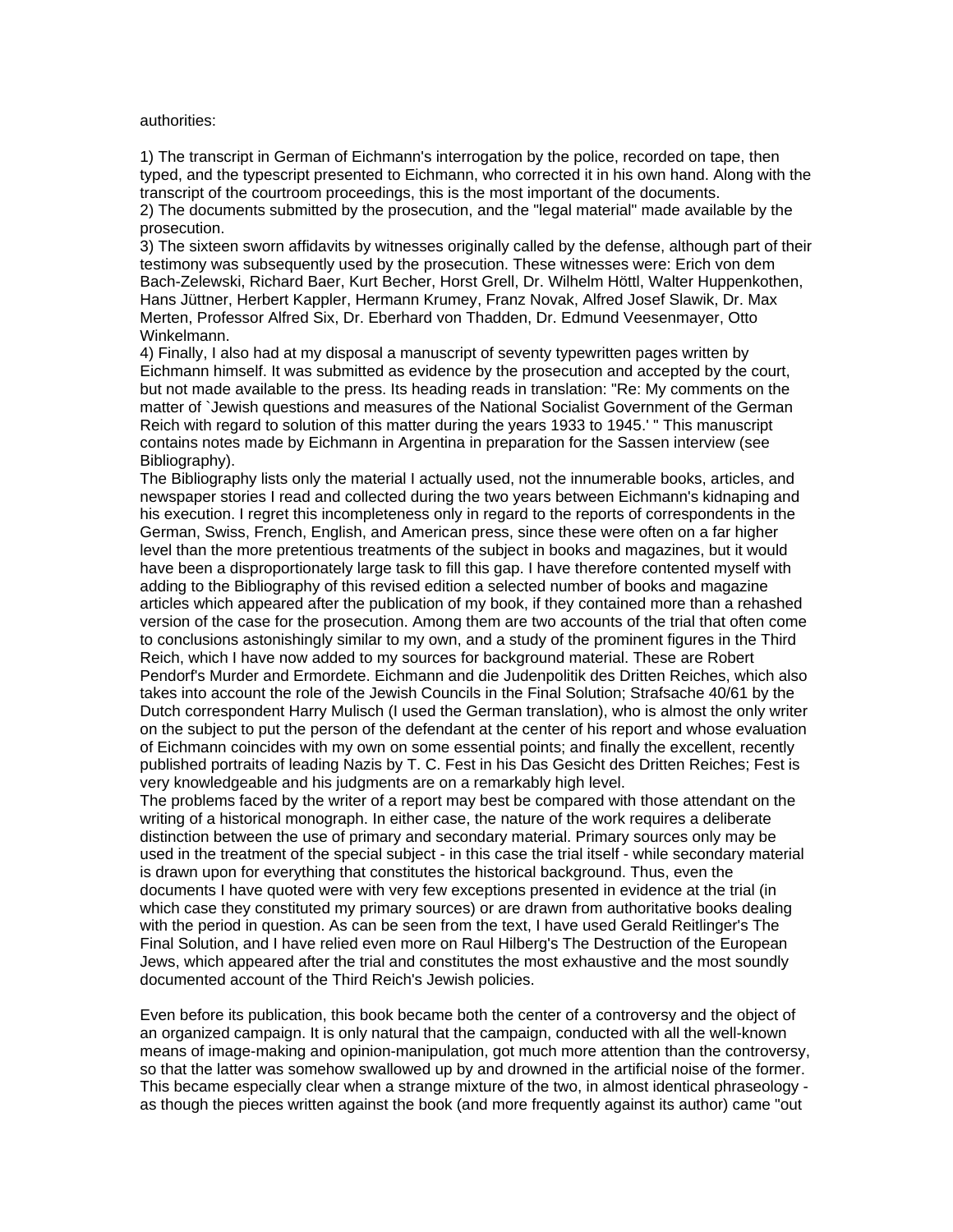## authorities:

1) The transcript in German of Eichmann's interrogation by the police, recorded on tape, then typed, and the typescript presented to Eichmann, who corrected it in his own hand. Along with the transcript of the courtroom proceedings, this is the most important of the documents.

2) The documents submitted by the prosecution, and the "legal material" made available by the prosecution.

3) The sixteen sworn affidavits by witnesses originally called by the defense, although part of their testimony was subsequently used by the prosecution. These witnesses were: Erich von dem Bach-Zelewski, Richard Baer, Kurt Becher, Horst Grell, Dr. Wilhelm Höttl, Walter Huppenkothen, Hans Jüttner, Herbert Kappler, Hermann Krumey, Franz Novak, Alfred Josef Slawik, Dr. Max Merten, Professor Alfred Six, Dr. Eberhard von Thadden, Dr. Edmund Veesenmayer, Otto Winkelmann.

4) Finally, I also had at my disposal a manuscript of seventy typewritten pages written by Eichmann himself. It was submitted as evidence by the prosecution and accepted by the court, but not made available to the press. Its heading reads in translation: "Re: My comments on the matter of `Jewish questions and measures of the National Socialist Government of the German Reich with regard to solution of this matter during the years 1933 to 1945.' " This manuscript contains notes made by Eichmann in Argentina in preparation for the Sassen interview (see Bibliography).

The Bibliography lists only the material I actually used, not the innumerable books, articles, and newspaper stories I read and collected during the two years between Eichmann's kidnaping and his execution. I regret this incompleteness only in regard to the reports of correspondents in the German, Swiss, French, English, and American press, since these were often on a far higher level than the more pretentious treatments of the subject in books and magazines, but it would have been a disproportionately large task to fill this gap. I have therefore contented myself with adding to the Bibliography of this revised edition a selected number of books and magazine articles which appeared after the publication of my book, if they contained more than a rehashed version of the case for the prosecution. Among them are two accounts of the trial that often come to conclusions astonishingly similar to my own, and a study of the prominent figures in the Third Reich, which I have now added to my sources for background material. These are Robert Pendorf's Murder and Ermordete. Eichmann and die Judenpolitik des Dritten Reiches, which also takes into account the role of the Jewish Councils in the Final Solution; Strafsache 40/61 by the Dutch correspondent Harry Mulisch (I used the German translation), who is almost the only writer on the subject to put the person of the defendant at the center of his report and whose evaluation of Eichmann coincides with my own on some essential points; and finally the excellent, recently published portraits of leading Nazis by T. C. Fest in his Das Gesicht des Dritten Reiches; Fest is very knowledgeable and his judgments are on a remarkably high level.

The problems faced by the writer of a report may best be compared with those attendant on the writing of a historical monograph. In either case, the nature of the work requires a deliberate distinction between the use of primary and secondary material. Primary sources only may be used in the treatment of the special subject - in this case the trial itself - while secondary material is drawn upon for everything that constitutes the historical background. Thus, even the documents I have quoted were with very few exceptions presented in evidence at the trial (in which case they constituted my primary sources) or are drawn from authoritative books dealing with the period in question. As can be seen from the text, I have used Gerald Reitlinger's The Final Solution, and I have relied even more on Raul Hilberg's The Destruction of the European Jews, which appeared after the trial and constitutes the most exhaustive and the most soundly documented account of the Third Reich's Jewish policies.

Even before its publication, this book became both the center of a controversy and the object of an organized campaign. It is only natural that the campaign, conducted with all the well-known means of image-making and opinion-manipulation, got much more attention than the controversy, so that the latter was somehow swallowed up by and drowned in the artificial noise of the former. This became especially clear when a strange mixture of the two, in almost identical phraseology as though the pieces written against the book (and more frequently against its author) came "out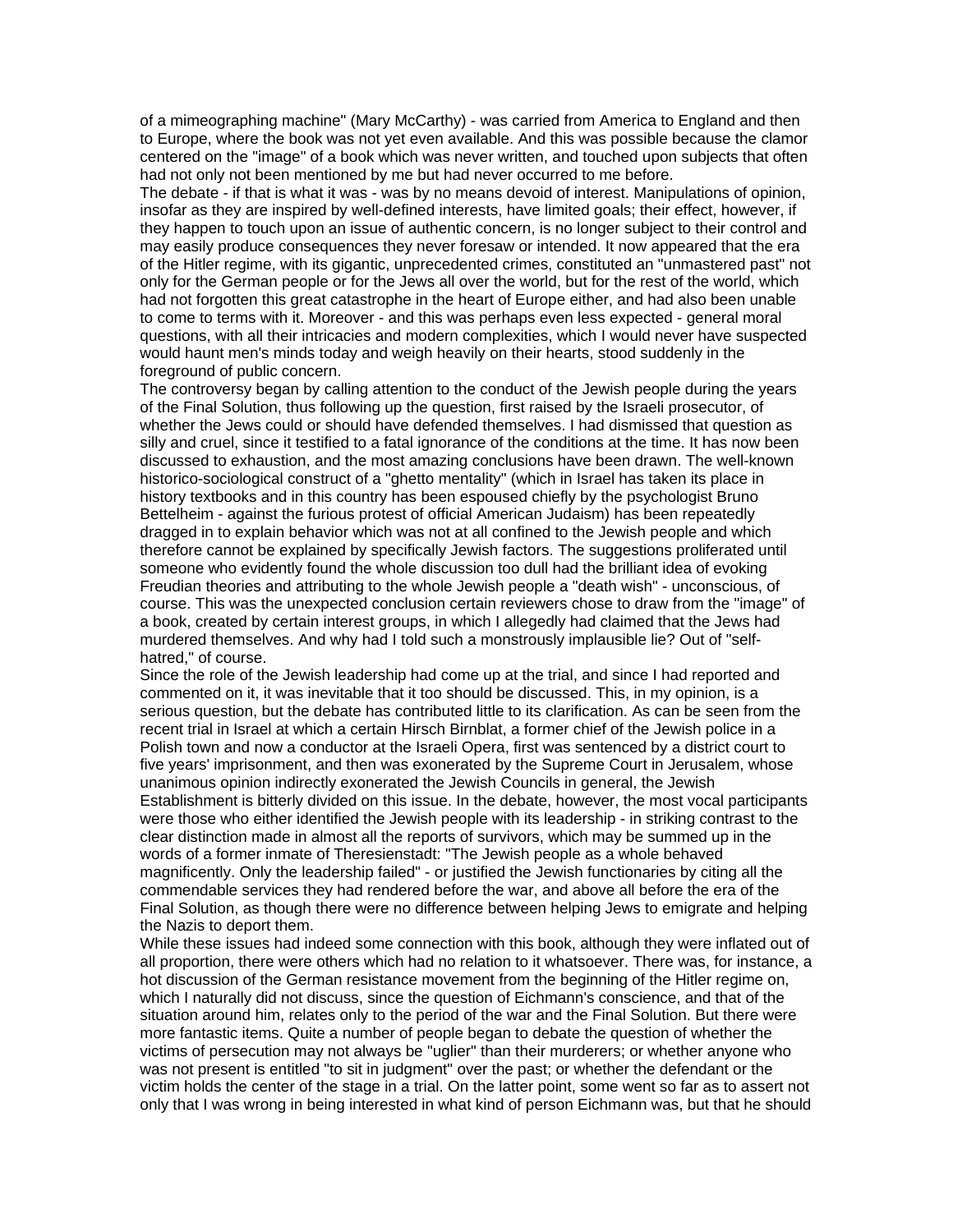of a mimeographing machine" (Mary McCarthy) - was carried from America to England and then to Europe, where the book was not yet even available. And this was possible because the clamor centered on the "image" of a book which was never written, and touched upon subjects that often had not only not been mentioned by me but had never occurred to me before.

The debate - if that is what it was - was by no means devoid of interest. Manipulations of opinion, insofar as they are inspired by well-defined interests, have limited goals; their effect, however, if they happen to touch upon an issue of authentic concern, is no longer subject to their control and may easily produce consequences they never foresaw or intended. It now appeared that the era of the Hitler regime, with its gigantic, unprecedented crimes, constituted an "unmastered past" not only for the German people or for the Jews all over the world, but for the rest of the world, which had not forgotten this great catastrophe in the heart of Europe either, and had also been unable to come to terms with it. Moreover - and this was perhaps even less expected - general moral questions, with all their intricacies and modern complexities, which I would never have suspected would haunt men's minds today and weigh heavily on their hearts, stood suddenly in the foreground of public concern.

The controversy began by calling attention to the conduct of the Jewish people during the years of the Final Solution, thus following up the question, first raised by the Israeli prosecutor, of whether the Jews could or should have defended themselves. I had dismissed that question as silly and cruel, since it testified to a fatal ignorance of the conditions at the time. It has now been discussed to exhaustion, and the most amazing conclusions have been drawn. The well-known historico-sociological construct of a "ghetto mentality" (which in Israel has taken its place in history textbooks and in this country has been espoused chiefly by the psychologist Bruno Bettelheim - against the furious protest of official American Judaism) has been repeatedly dragged in to explain behavior which was not at all confined to the Jewish people and which therefore cannot be explained by specifically Jewish factors. The suggestions proliferated until someone who evidently found the whole discussion too dull had the brilliant idea of evoking Freudian theories and attributing to the whole Jewish people a "death wish" - unconscious, of course. This was the unexpected conclusion certain reviewers chose to draw from the "image" of a book, created by certain interest groups, in which I allegedly had claimed that the Jews had murdered themselves. And why had I told such a monstrously implausible lie? Out of "selfhatred," of course.

Since the role of the Jewish leadership had come up at the trial, and since I had reported and commented on it, it was inevitable that it too should be discussed. This, in my opinion, is a serious question, but the debate has contributed little to its clarification. As can be seen from the recent trial in Israel at which a certain Hirsch Birnblat, a former chief of the Jewish police in a Polish town and now a conductor at the Israeli Opera, first was sentenced by a district court to five years' imprisonment, and then was exonerated by the Supreme Court in Jerusalem, whose unanimous opinion indirectly exonerated the Jewish Councils in general, the Jewish Establishment is bitterly divided on this issue. In the debate, however, the most vocal participants were those who either identified the Jewish people with its leadership - in striking contrast to the clear distinction made in almost all the reports of survivors, which may be summed up in the words of a former inmate of Theresienstadt: "The Jewish people as a whole behaved magnificently. Only the leadership failed" - or justified the Jewish functionaries by citing all the commendable services they had rendered before the war, and above all before the era of the Final Solution, as though there were no difference between helping Jews to emigrate and helping the Nazis to deport them.

While these issues had indeed some connection with this book, although they were inflated out of all proportion, there were others which had no relation to it whatsoever. There was, for instance, a hot discussion of the German resistance movement from the beginning of the Hitler regime on, which I naturally did not discuss, since the question of Eichmann's conscience, and that of the situation around him, relates only to the period of the war and the Final Solution. But there were more fantastic items. Quite a number of people began to debate the question of whether the victims of persecution may not always be "uglier" than their murderers; or whether anyone who was not present is entitled "to sit in judgment" over the past; or whether the defendant or the victim holds the center of the stage in a trial. On the latter point, some went so far as to assert not only that I was wrong in being interested in what kind of person Eichmann was, but that he should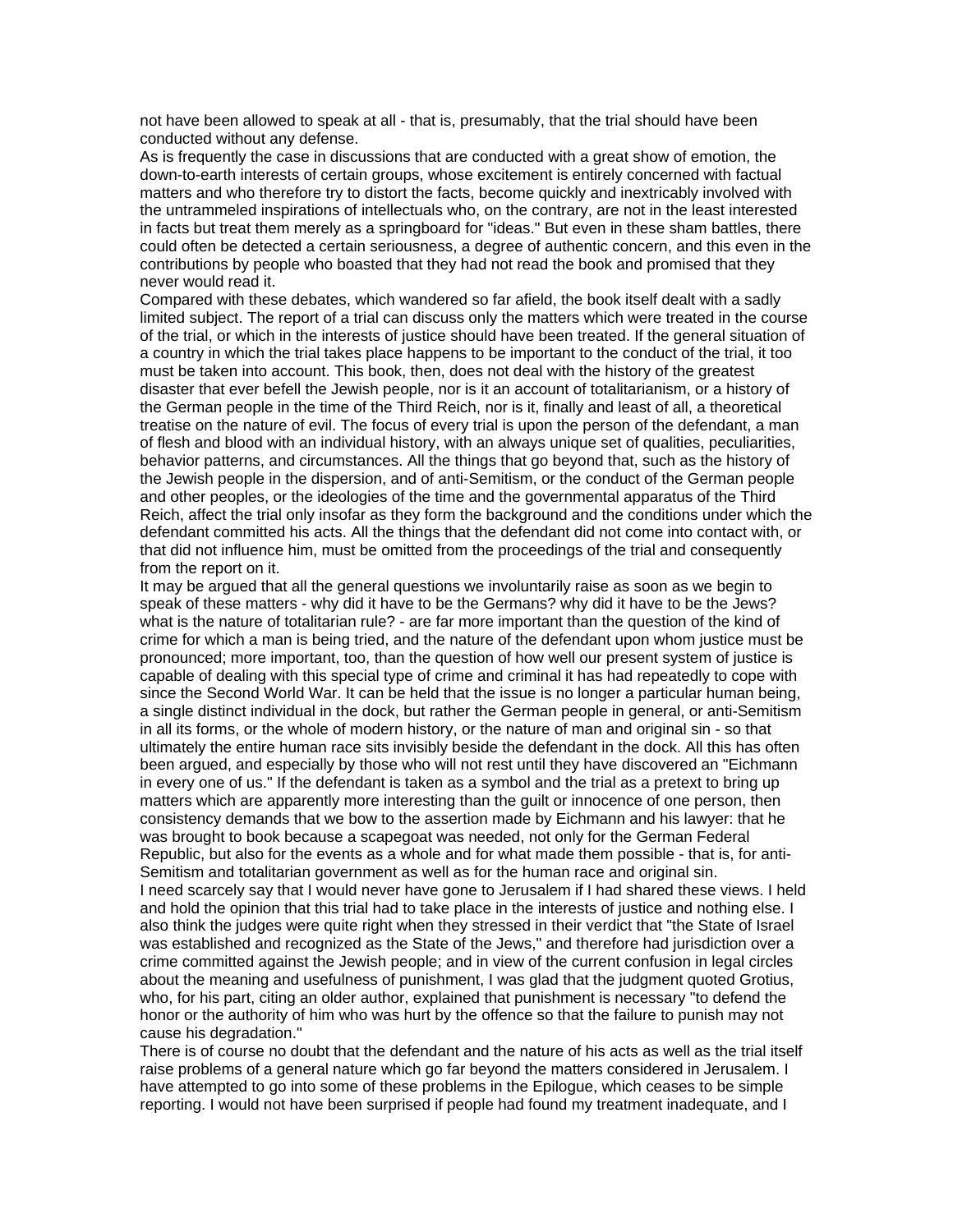not have been allowed to speak at all - that is, presumably, that the trial should have been conducted without any defense.

As is frequently the case in discussions that are conducted with a great show of emotion, the down-to-earth interests of certain groups, whose excitement is entirely concerned with factual matters and who therefore try to distort the facts, become quickly and inextricably involved with the untrammeled inspirations of intellectuals who, on the contrary, are not in the least interested in facts but treat them merely as a springboard for "ideas." But even in these sham battles, there could often be detected a certain seriousness, a degree of authentic concern, and this even in the contributions by people who boasted that they had not read the book and promised that they never would read it.

Compared with these debates, which wandered so far afield, the book itself dealt with a sadly limited subject. The report of a trial can discuss only the matters which were treated in the course of the trial, or which in the interests of justice should have been treated. If the general situation of a country in which the trial takes place happens to be important to the conduct of the trial, it too must be taken into account. This book, then, does not deal with the history of the greatest disaster that ever befell the Jewish people, nor is it an account of totalitarianism, or a history of the German people in the time of the Third Reich, nor is it, finally and least of all, a theoretical treatise on the nature of evil. The focus of every trial is upon the person of the defendant, a man of flesh and blood with an individual history, with an always unique set of qualities, peculiarities, behavior patterns, and circumstances. All the things that go beyond that, such as the history of the Jewish people in the dispersion, and of anti-Semitism, or the conduct of the German people and other peoples, or the ideologies of the time and the governmental apparatus of the Third Reich, affect the trial only insofar as they form the background and the conditions under which the defendant committed his acts. All the things that the defendant did not come into contact with, or that did not influence him, must be omitted from the proceedings of the trial and consequently from the report on it.

It may be argued that all the general questions we involuntarily raise as soon as we begin to speak of these matters - why did it have to be the Germans? why did it have to be the Jews? what is the nature of totalitarian rule? - are far more important than the question of the kind of crime for which a man is being tried, and the nature of the defendant upon whom justice must be pronounced; more important, too, than the question of how well our present system of justice is capable of dealing with this special type of crime and criminal it has had repeatedly to cope with since the Second World War. It can be held that the issue is no longer a particular human being, a single distinct individual in the dock, but rather the German people in general, or anti-Semitism in all its forms, or the whole of modern history, or the nature of man and original sin - so that ultimately the entire human race sits invisibly beside the defendant in the dock. All this has often been argued, and especially by those who will not rest until they have discovered an "Eichmann in every one of us." If the defendant is taken as a symbol and the trial as a pretext to bring up matters which are apparently more interesting than the guilt or innocence of one person, then consistency demands that we bow to the assertion made by Eichmann and his lawyer: that he was brought to book because a scapegoat was needed, not only for the German Federal Republic, but also for the events as a whole and for what made them possible - that is, for anti-Semitism and totalitarian government as well as for the human race and original sin. I need scarcely say that I would never have gone to Jerusalem if I had shared these views. I held and hold the opinion that this trial had to take place in the interests of justice and nothing else. I also think the judges were quite right when they stressed in their verdict that "the State of Israel was established and recognized as the State of the Jews," and therefore had jurisdiction over a crime committed against the Jewish people; and in view of the current confusion in legal circles about the meaning and usefulness of punishment, I was glad that the judgment quoted Grotius, who, for his part, citing an older author, explained that punishment is necessary "to defend the honor or the authority of him who was hurt by the offence so that the failure to punish may not cause his degradation."

There is of course no doubt that the defendant and the nature of his acts as well as the trial itself raise problems of a general nature which go far beyond the matters considered in Jerusalem. I have attempted to go into some of these problems in the Epilogue, which ceases to be simple reporting. I would not have been surprised if people had found my treatment inadequate, and I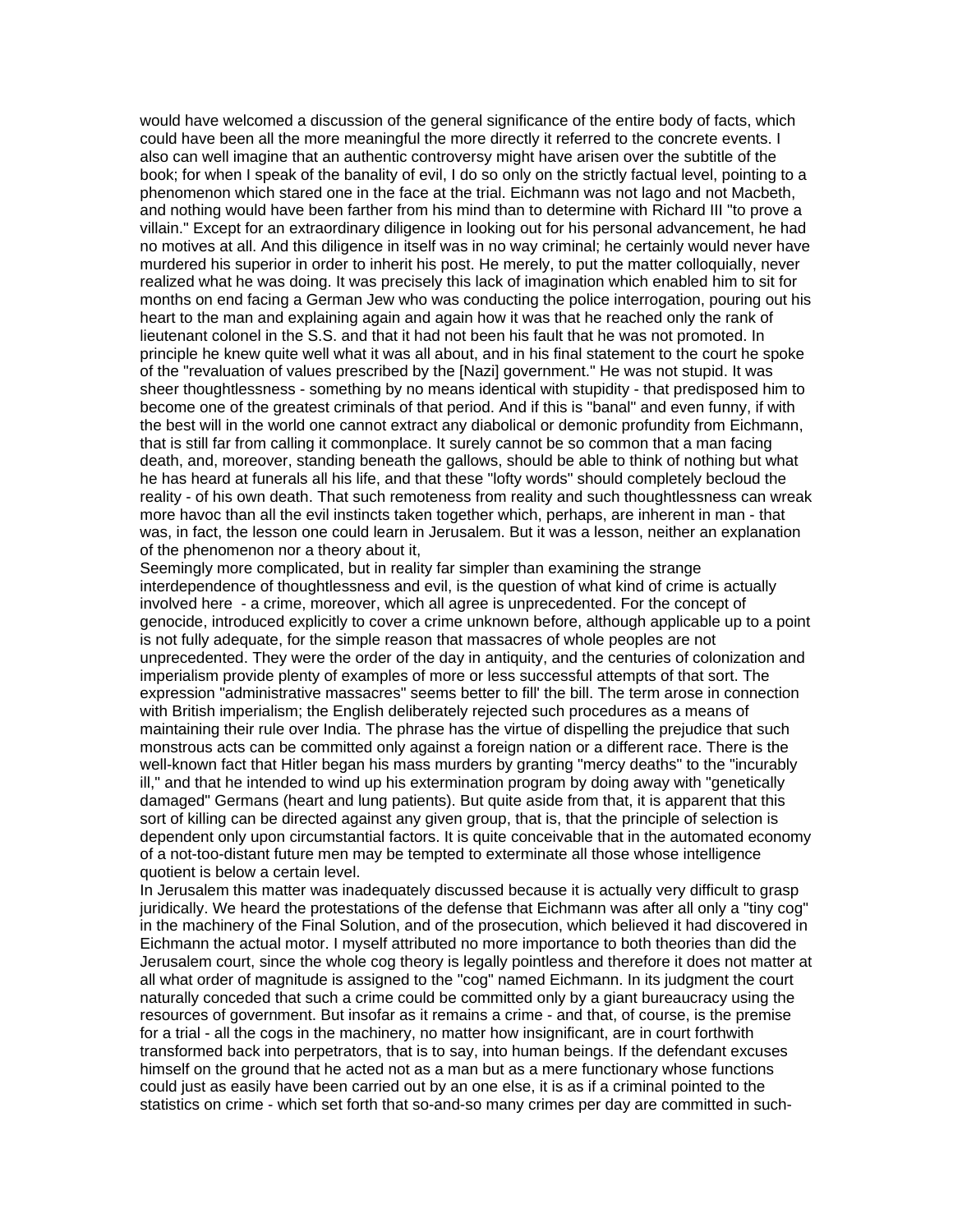would have welcomed a discussion of the general significance of the entire body of facts, which could have been all the more meaningful the more directly it referred to the concrete events. I also can well imagine that an authentic controversy might have arisen over the subtitle of the book; for when I speak of the banality of evil, I do so only on the strictly factual level, pointing to a phenomenon which stared one in the face at the trial. Eichmann was not lago and not Macbeth, and nothing would have been farther from his mind than to determine with Richard III "to prove a villain." Except for an extraordinary diligence in looking out for his personal advancement, he had no motives at all. And this diligence in itself was in no way criminal; he certainly would never have murdered his superior in order to inherit his post. He merely, to put the matter colloquially, never realized what he was doing. It was precisely this lack of imagination which enabled him to sit for months on end facing a German Jew who was conducting the police interrogation, pouring out his heart to the man and explaining again and again how it was that he reached only the rank of lieutenant colonel in the S.S. and that it had not been his fault that he was not promoted. In principle he knew quite well what it was all about, and in his final statement to the court he spoke of the "revaluation of values prescribed by the [Nazi] government." He was not stupid. It was sheer thoughtlessness - something by no means identical with stupidity - that predisposed him to become one of the greatest criminals of that period. And if this is "banal" and even funny, if with the best will in the world one cannot extract any diabolical or demonic profundity from Eichmann, that is still far from calling it commonplace. It surely cannot be so common that a man facing death, and, moreover, standing beneath the gallows, should be able to think of nothing but what he has heard at funerals all his life, and that these "lofty words" should completely becloud the reality - of his own death. That such remoteness from reality and such thoughtlessness can wreak more havoc than all the evil instincts taken together which, perhaps, are inherent in man - that was, in fact, the lesson one could learn in Jerusalem. But it was a lesson, neither an explanation of the phenomenon nor a theory about it,

Seemingly more complicated, but in reality far simpler than examining the strange interdependence of thoughtlessness and evil, is the question of what kind of crime is actually involved here - a crime, moreover, which all agree is unprecedented. For the concept of genocide, introduced explicitly to cover a crime unknown before, although applicable up to a point is not fully adequate, for the simple reason that massacres of whole peoples are not unprecedented. They were the order of the day in antiquity, and the centuries of colonization and imperialism provide plenty of examples of more or less successful attempts of that sort. The expression "administrative massacres" seems better to fill' the bill. The term arose in connection with British imperialism; the English deliberately rejected such procedures as a means of maintaining their rule over India. The phrase has the virtue of dispelling the prejudice that such monstrous acts can be committed only against a foreign nation or a different race. There is the well-known fact that Hitler began his mass murders by granting "mercy deaths" to the "incurably ill," and that he intended to wind up his extermination program by doing away with "genetically damaged" Germans (heart and lung patients). But quite aside from that, it is apparent that this sort of killing can be directed against any given group, that is, that the principle of selection is dependent only upon circumstantial factors. It is quite conceivable that in the automated economy of a not-too-distant future men may be tempted to exterminate all those whose intelligence quotient is below a certain level.

In Jerusalem this matter was inadequately discussed because it is actually very difficult to grasp juridically. We heard the protestations of the defense that Eichmann was after all only a "tiny cog" in the machinery of the Final Solution, and of the prosecution, which believed it had discovered in Eichmann the actual motor. I myself attributed no more importance to both theories than did the Jerusalem court, since the whole cog theory is legally pointless and therefore it does not matter at all what order of magnitude is assigned to the "cog" named Eichmann. In its judgment the court naturally conceded that such a crime could be committed only by a giant bureaucracy using the resources of government. But insofar as it remains a crime - and that, of course, is the premise for a trial - all the cogs in the machinery, no matter how insignificant, are in court forthwith transformed back into perpetrators, that is to say, into human beings. If the defendant excuses himself on the ground that he acted not as a man but as a mere functionary whose functions could just as easily have been carried out by an one else, it is as if a criminal pointed to the statistics on crime - which set forth that so-and-so many crimes per day are committed in such-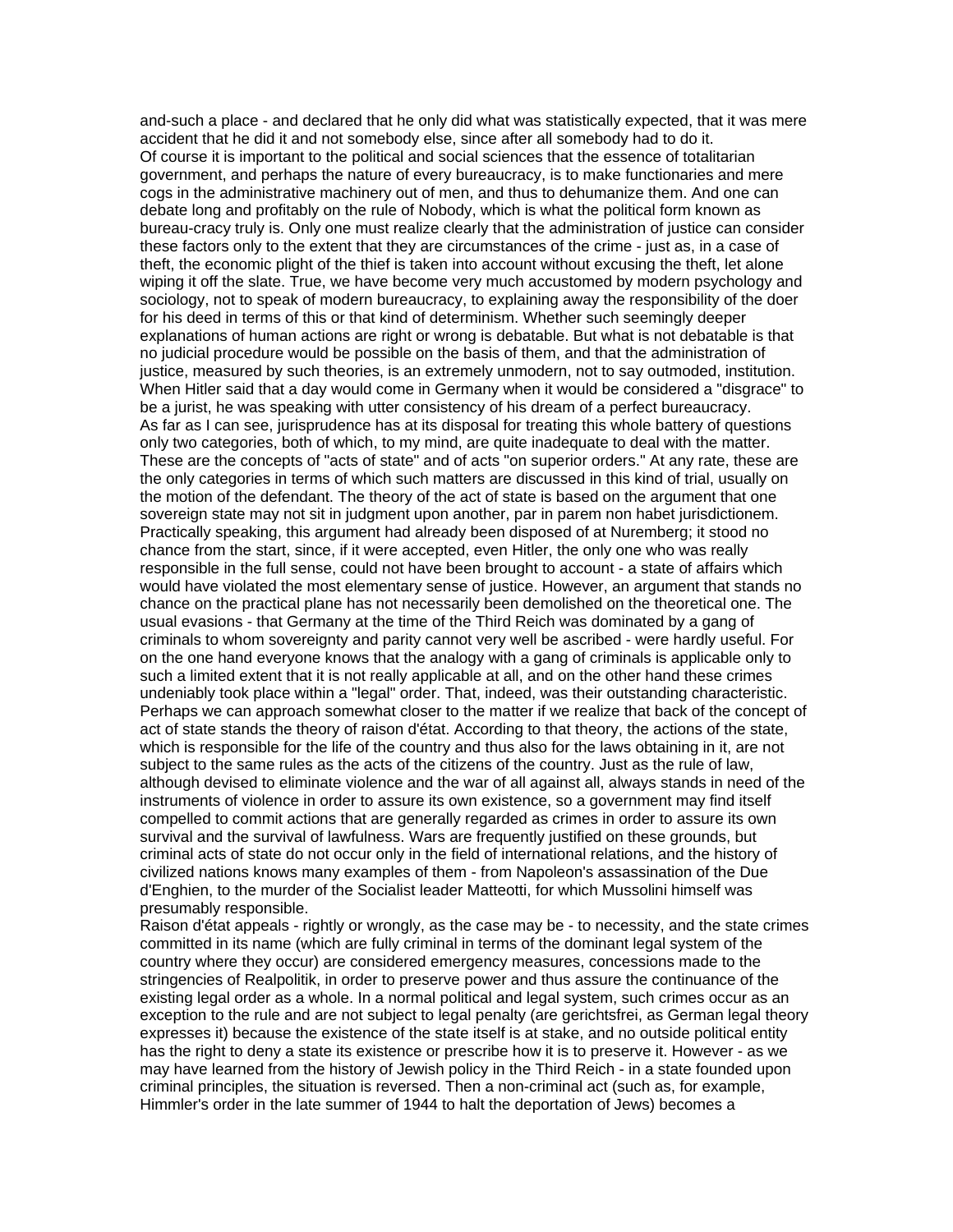and-such a place - and declared that he only did what was statistically expected, that it was mere accident that he did it and not somebody else, since after all somebody had to do it. Of course it is important to the political and social sciences that the essence of totalitarian government, and perhaps the nature of every bureaucracy, is to make functionaries and mere cogs in the administrative machinery out of men, and thus to dehumanize them. And one can debate long and profitably on the rule of Nobody, which is what the political form known as bureau-cracy truly is. Only one must realize clearly that the administration of justice can consider these factors only to the extent that they are circumstances of the crime - just as, in a case of theft, the economic plight of the thief is taken into account without excusing the theft, let alone wiping it off the slate. True, we have become very much accustomed by modern psychology and sociology, not to speak of modern bureaucracy, to explaining away the responsibility of the doer for his deed in terms of this or that kind of determinism. Whether such seemingly deeper explanations of human actions are right or wrong is debatable. But what is not debatable is that no judicial procedure would be possible on the basis of them, and that the administration of justice, measured by such theories, is an extremely unmodern, not to say outmoded, institution. When Hitler said that a day would come in Germany when it would be considered a "disgrace" to be a jurist, he was speaking with utter consistency of his dream of a perfect bureaucracy. As far as I can see, jurisprudence has at its disposal for treating this whole battery of questions only two categories, both of which, to my mind, are quite inadequate to deal with the matter. These are the concepts of "acts of state" and of acts "on superior orders." At any rate, these are the only categories in terms of which such matters are discussed in this kind of trial, usually on the motion of the defendant. The theory of the act of state is based on the argument that one sovereign state may not sit in judgment upon another, par in parem non habet jurisdictionem. Practically speaking, this argument had already been disposed of at Nuremberg; it stood no chance from the start, since, if it were accepted, even Hitler, the only one who was really responsible in the full sense, could not have been brought to account - a state of affairs which would have violated the most elementary sense of justice. However, an argument that stands no chance on the practical plane has not necessarily been demolished on the theoretical one. The usual evasions - that Germany at the time of the Third Reich was dominated by a gang of criminals to whom sovereignty and parity cannot very well be ascribed - were hardly useful. For on the one hand everyone knows that the analogy with a gang of criminals is applicable only to such a limited extent that it is not really applicable at all, and on the other hand these crimes undeniably took place within a "legal" order. That, indeed, was their outstanding characteristic. Perhaps we can approach somewhat closer to the matter if we realize that back of the concept of act of state stands the theory of raison d'état. According to that theory, the actions of the state, which is responsible for the life of the country and thus also for the laws obtaining in it, are not subject to the same rules as the acts of the citizens of the country. Just as the rule of law, although devised to eliminate violence and the war of all against all, always stands in need of the instruments of violence in order to assure its own existence, so a government may find itself compelled to commit actions that are generally regarded as crimes in order to assure its own survival and the survival of lawfulness. Wars are frequently justified on these grounds, but criminal acts of state do not occur only in the field of international relations, and the history of civilized nations knows many examples of them - from Napoleon's assassination of the Due d'Enghien, to the murder of the Socialist leader Matteotti, for which Mussolini himself was presumably responsible.

Raison d'état appeals - rightly or wrongly, as the case may be - to necessity, and the state crimes committed in its name (which are fully criminal in terms of the dominant legal system of the country where they occur) are considered emergency measures, concessions made to the stringencies of Realpolitik, in order to preserve power and thus assure the continuance of the existing legal order as a whole. In a normal political and legal system, such crimes occur as an exception to the rule and are not subject to legal penalty (are gerichtsfrei, as German legal theory expresses it) because the existence of the state itself is at stake, and no outside political entity has the right to deny a state its existence or prescribe how it is to preserve it. However - as we may have learned from the history of Jewish policy in the Third Reich - in a state founded upon criminal principles, the situation is reversed. Then a non-criminal act (such as, for example, Himmler's order in the late summer of 1944 to halt the deportation of Jews) becomes a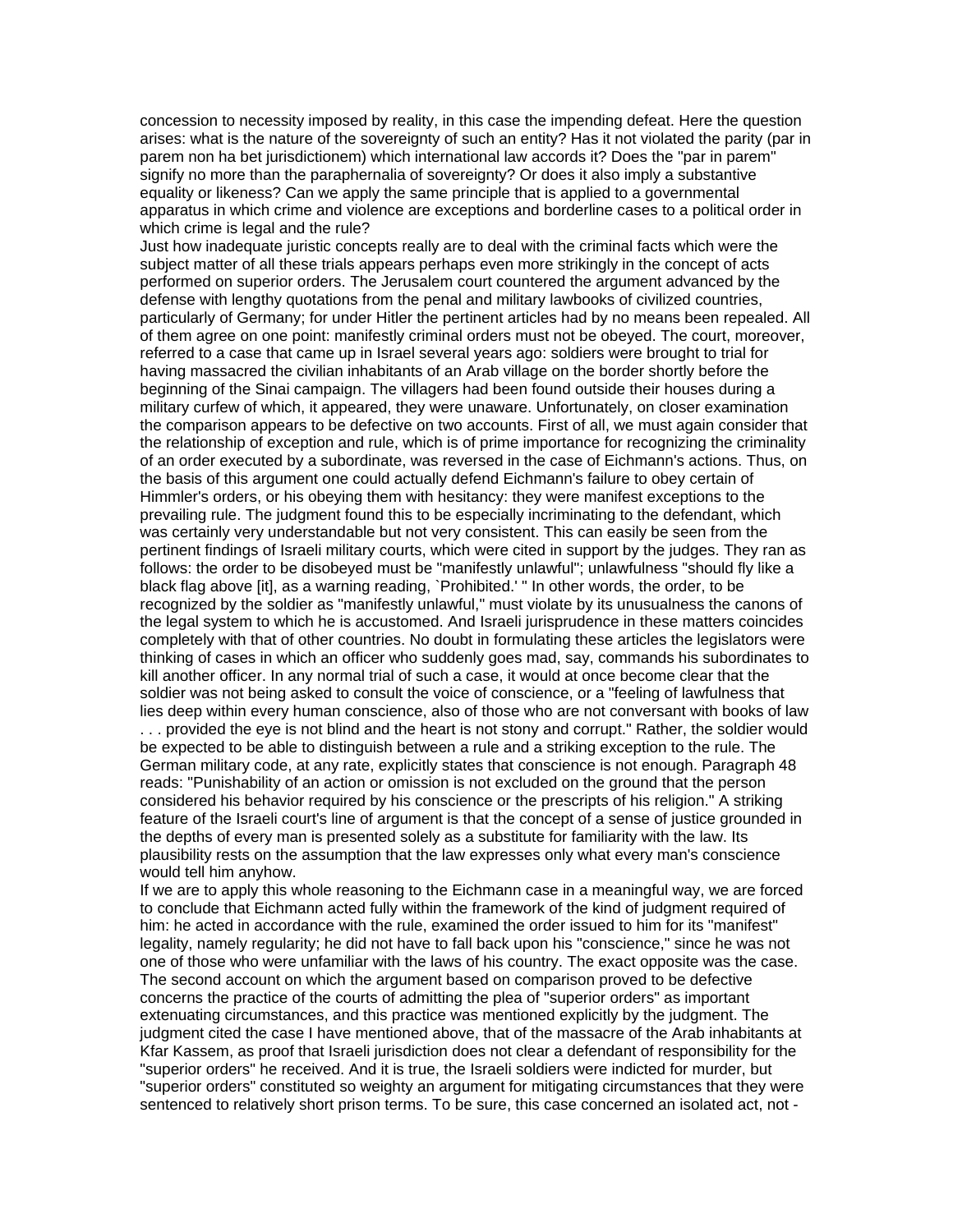concession to necessity imposed by reality, in this case the impending defeat. Here the question arises: what is the nature of the sovereignty of such an entity? Has it not violated the parity (par in parem non ha bet jurisdictionem) which international law accords it? Does the "par in parem" signify no more than the paraphernalia of sovereignty? Or does it also imply a substantive equality or likeness? Can we apply the same principle that is applied to a governmental apparatus in which crime and violence are exceptions and borderline cases to a political order in which crime is legal and the rule?

Just how inadequate juristic concepts really are to deal with the criminal facts which were the subject matter of all these trials appears perhaps even more strikingly in the concept of acts performed on superior orders. The Jerusalem court countered the argument advanced by the defense with lengthy quotations from the penal and military lawbooks of civilized countries, particularly of Germany; for under Hitler the pertinent articles had by no means been repealed. All of them agree on one point: manifestly criminal orders must not be obeyed. The court, moreover, referred to a case that came up in Israel several years ago: soldiers were brought to trial for having massacred the civilian inhabitants of an Arab village on the border shortly before the beginning of the Sinai campaign. The villagers had been found outside their houses during a military curfew of which, it appeared, they were unaware. Unfortunately, on closer examination the comparison appears to be defective on two accounts. First of all, we must again consider that the relationship of exception and rule, which is of prime importance for recognizing the criminality of an order executed by a subordinate, was reversed in the case of Eichmann's actions. Thus, on the basis of this argument one could actually defend Eichmann's failure to obey certain of Himmler's orders, or his obeying them with hesitancy: they were manifest exceptions to the prevailing rule. The judgment found this to be especially incriminating to the defendant, which was certainly very understandable but not very consistent. This can easily be seen from the pertinent findings of Israeli military courts, which were cited in support by the judges. They ran as follows: the order to be disobeyed must be "manifestly unlawful"; unlawfulness "should fly like a black flag above [it], as a warning reading, `Prohibited.' " In other words, the order, to be recognized by the soldier as "manifestly unlawful," must violate by its unusualness the canons of the legal system to which he is accustomed. And Israeli jurisprudence in these matters coincides completely with that of other countries. No doubt in formulating these articles the legislators were thinking of cases in which an officer who suddenly goes mad, say, commands his subordinates to kill another officer. In any normal trial of such a case, it would at once become clear that the soldier was not being asked to consult the voice of conscience, or a "feeling of lawfulness that lies deep within every human conscience, also of those who are not conversant with books of law . . . provided the eye is not blind and the heart is not stony and corrupt." Rather, the soldier would

be expected to be able to distinguish between a rule and a striking exception to the rule. The German military code, at any rate, explicitly states that conscience is not enough. Paragraph 48 reads: "Punishability of an action or omission is not excluded on the ground that the person considered his behavior required by his conscience or the prescripts of his religion." A striking feature of the Israeli court's line of argument is that the concept of a sense of justice grounded in the depths of every man is presented solely as a substitute for familiarity with the law. Its plausibility rests on the assumption that the law expresses only what every man's conscience would tell him anyhow.

If we are to apply this whole reasoning to the Eichmann case in a meaningful way, we are forced to conclude that Eichmann acted fully within the framework of the kind of judgment required of him: he acted in accordance with the rule, examined the order issued to him for its "manifest" legality, namely regularity; he did not have to fall back upon his "conscience," since he was not one of those who were unfamiliar with the laws of his country. The exact opposite was the case. The second account on which the argument based on comparison proved to be defective concerns the practice of the courts of admitting the plea of "superior orders" as important extenuating circumstances, and this practice was mentioned explicitly by the judgment. The judgment cited the case I have mentioned above, that of the massacre of the Arab inhabitants at Kfar Kassem, as proof that Israeli jurisdiction does not clear a defendant of responsibility for the "superior orders" he received. And it is true, the Israeli soldiers were indicted for murder, but "superior orders" constituted so weighty an argument for mitigating circumstances that they were sentenced to relatively short prison terms. To be sure, this case concerned an isolated act, not -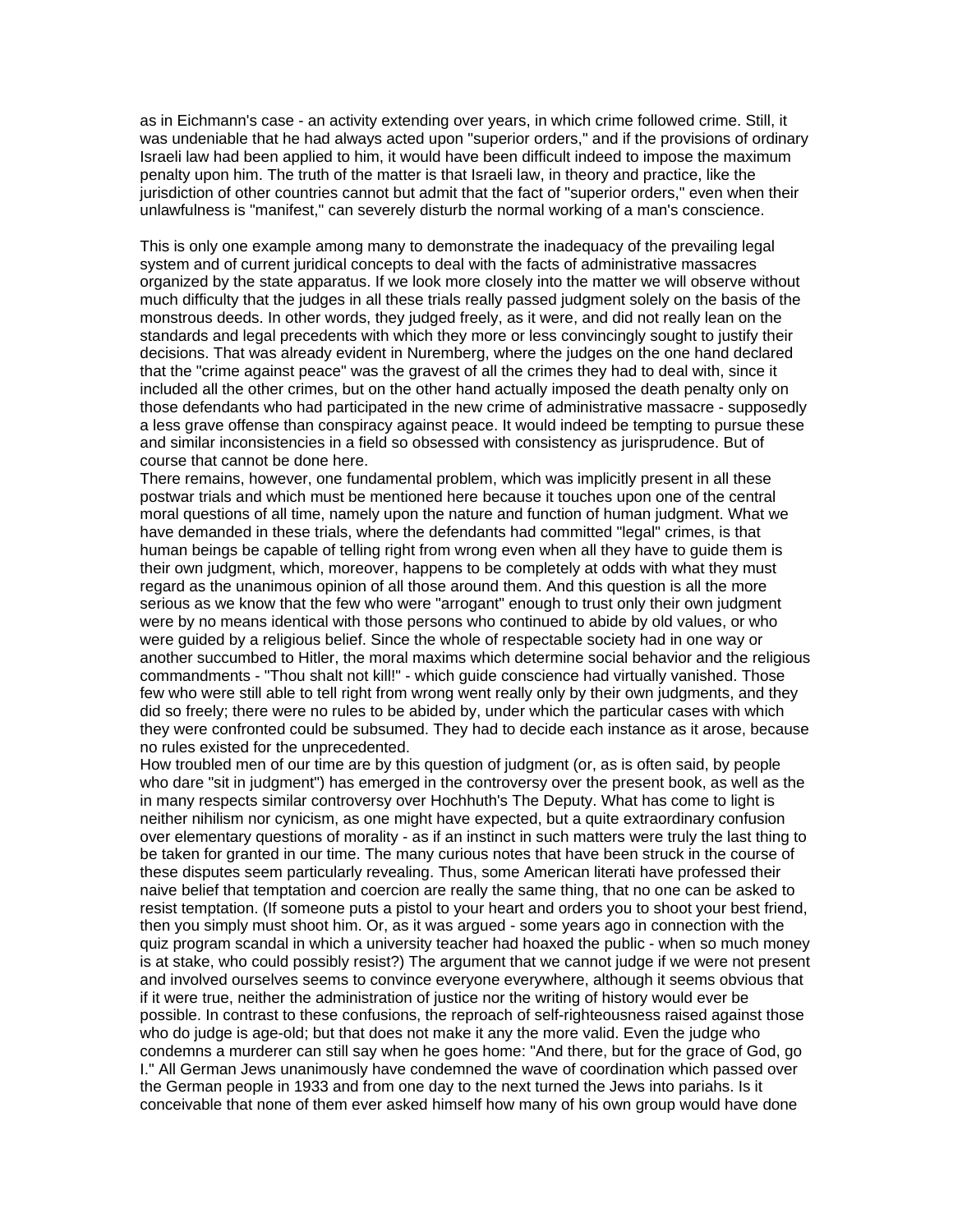as in Eichmann's case - an activity extending over years, in which crime followed crime. Still, it was undeniable that he had always acted upon "superior orders," and if the provisions of ordinary Israeli law had been applied to him, it would have been difficult indeed to impose the maximum penalty upon him. The truth of the matter is that Israeli law, in theory and practice, like the jurisdiction of other countries cannot but admit that the fact of "superior orders," even when their unlawfulness is "manifest," can severely disturb the normal working of a man's conscience.

This is only one example among many to demonstrate the inadequacy of the prevailing legal system and of current juridical concepts to deal with the facts of administrative massacres organized by the state apparatus. If we look more closely into the matter we will observe without much difficulty that the judges in all these trials really passed judgment solely on the basis of the monstrous deeds. In other words, they judged freely, as it were, and did not really lean on the standards and legal precedents with which they more or less convincingly sought to justify their decisions. That was already evident in Nuremberg, where the judges on the one hand declared that the "crime against peace" was the gravest of all the crimes they had to deal with, since it included all the other crimes, but on the other hand actually imposed the death penalty only on those defendants who had participated in the new crime of administrative massacre - supposedly a less grave offense than conspiracy against peace. It would indeed be tempting to pursue these and similar inconsistencies in a field so obsessed with consistency as jurisprudence. But of course that cannot be done here.

There remains, however, one fundamental problem, which was implicitly present in all these postwar trials and which must be mentioned here because it touches upon one of the central moral questions of all time, namely upon the nature and function of human judgment. What we have demanded in these trials, where the defendants had committed "legal" crimes, is that human beings be capable of telling right from wrong even when all they have to guide them is their own judgment, which, moreover, happens to be completely at odds with what they must regard as the unanimous opinion of all those around them. And this question is all the more serious as we know that the few who were "arrogant" enough to trust only their own judgment were by no means identical with those persons who continued to abide by old values, or who were guided by a religious belief. Since the whole of respectable society had in one way or another succumbed to Hitler, the moral maxims which determine social behavior and the religious commandments - "Thou shalt not kill!" - which guide conscience had virtually vanished. Those few who were still able to tell right from wrong went really only by their own judgments, and they did so freely; there were no rules to be abided by, under which the particular cases with which they were confronted could be subsumed. They had to decide each instance as it arose, because no rules existed for the unprecedented.

How troubled men of our time are by this question of judgment (or, as is often said, by people who dare "sit in judgment") has emerged in the controversy over the present book, as well as the in many respects similar controversy over Hochhuth's The Deputy. What has come to light is neither nihilism nor cynicism, as one might have expected, but a quite extraordinary confusion over elementary questions of morality - as if an instinct in such matters were truly the last thing to be taken for granted in our time. The many curious notes that have been struck in the course of these disputes seem particularly revealing. Thus, some American literati have professed their naive belief that temptation and coercion are really the same thing, that no one can be asked to resist temptation. (If someone puts a pistol to your heart and orders you to shoot your best friend, then you simply must shoot him. Or, as it was argued - some years ago in connection with the quiz program scandal in which a university teacher had hoaxed the public - when so much money is at stake, who could possibly resist?) The argument that we cannot judge if we were not present and involved ourselves seems to convince everyone everywhere, although it seems obvious that if it were true, neither the administration of justice nor the writing of history would ever be possible. In contrast to these confusions, the reproach of self-righteousness raised against those who do judge is age-old; but that does not make it any the more valid. Even the judge who condemns a murderer can still say when he goes home: "And there, but for the grace of God, go I." All German Jews unanimously have condemned the wave of coordination which passed over the German people in 1933 and from one day to the next turned the Jews into pariahs. Is it conceivable that none of them ever asked himself how many of his own group would have done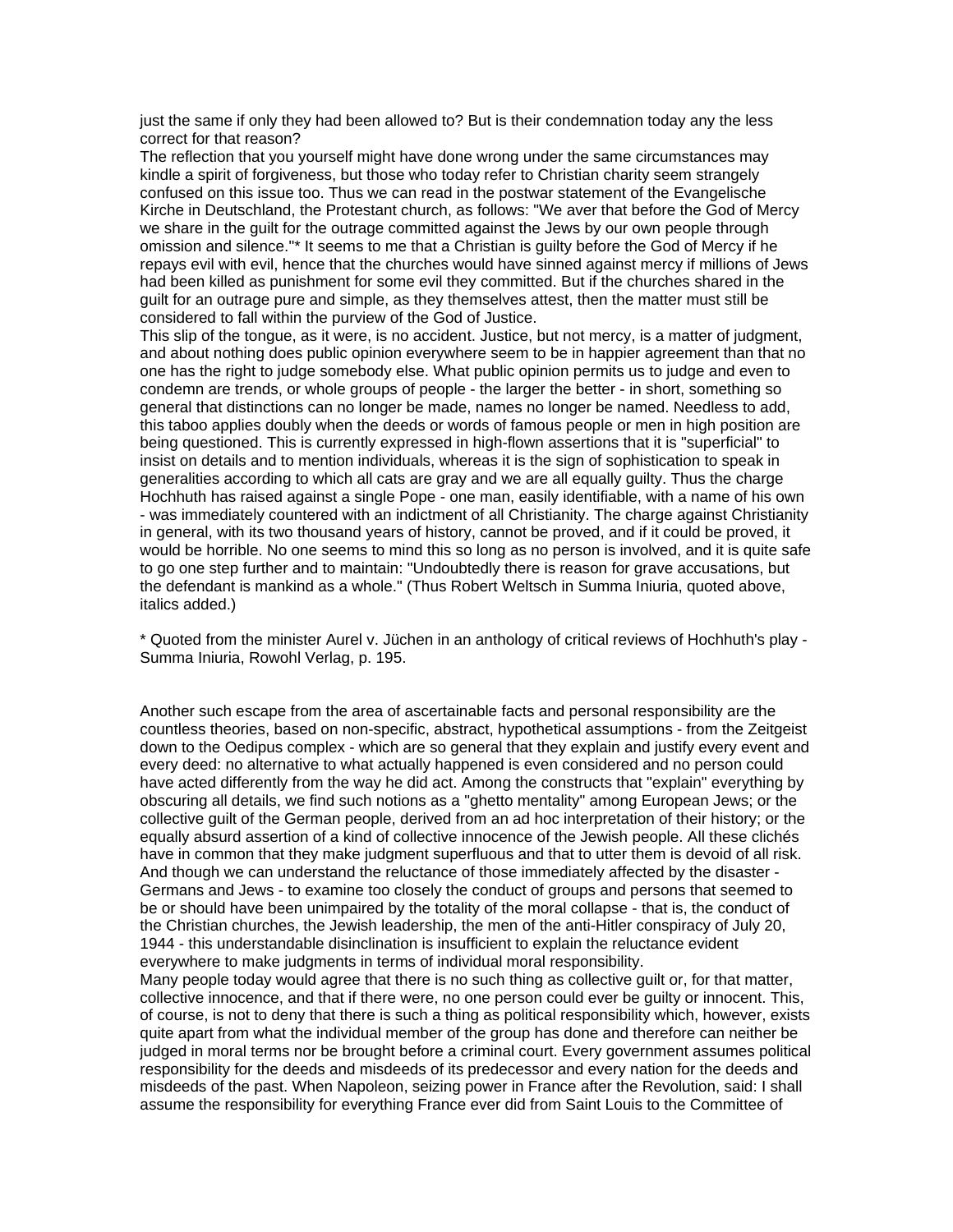just the same if only they had been allowed to? But is their condemnation today any the less correct for that reason?

The reflection that you yourself might have done wrong under the same circumstances may kindle a spirit of forgiveness, but those who today refer to Christian charity seem strangely confused on this issue too. Thus we can read in the postwar statement of the Evangelische Kirche in Deutschland, the Protestant church, as follows: "We aver that before the God of Mercy we share in the guilt for the outrage committed against the Jews by our own people through omission and silence."\* It seems to me that a Christian is guilty before the God of Mercy if he repays evil with evil, hence that the churches would have sinned against mercy if millions of Jews had been killed as punishment for some evil they committed. But if the churches shared in the guilt for an outrage pure and simple, as they themselves attest, then the matter must still be considered to fall within the purview of the God of Justice.

This slip of the tongue, as it were, is no accident. Justice, but not mercy, is a matter of judgment, and about nothing does public opinion everywhere seem to be in happier agreement than that no one has the right to judge somebody else. What public opinion permits us to judge and even to condemn are trends, or whole groups of people - the larger the better - in short, something so general that distinctions can no longer be made, names no longer be named. Needless to add, this taboo applies doubly when the deeds or words of famous people or men in high position are being questioned. This is currently expressed in high-flown assertions that it is "superficial" to insist on details and to mention individuals, whereas it is the sign of sophistication to speak in generalities according to which all cats are gray and we are all equally guilty. Thus the charge Hochhuth has raised against a single Pope - one man, easily identifiable, with a name of his own - was immediately countered with an indictment of all Christianity. The charge against Christianity in general, with its two thousand years of history, cannot be proved, and if it could be proved, it would be horrible. No one seems to mind this so long as no person is involved, and it is quite safe to go one step further and to maintain: "Undoubtedly there is reason for grave accusations, but the defendant is mankind as a whole." (Thus Robert Weltsch in Summa Iniuria, quoted above, italics added.)

\* Quoted from the minister Aurel v. Jüchen in an anthology of critical reviews of Hochhuth's play - Summa Iniuria, Rowohl Verlag, p. 195.

Another such escape from the area of ascertainable facts and personal responsibility are the countless theories, based on non-specific, abstract, hypothetical assumptions - from the Zeitgeist down to the Oedipus complex - which are so general that they explain and justify every event and every deed: no alternative to what actually happened is even considered and no person could have acted differently from the way he did act. Among the constructs that "explain" everything by obscuring all details, we find such notions as a "ghetto mentality" among European Jews; or the collective guilt of the German people, derived from an ad hoc interpretation of their history; or the equally absurd assertion of a kind of collective innocence of the Jewish people. All these clichés have in common that they make judgment superfluous and that to utter them is devoid of all risk. And though we can understand the reluctance of those immediately affected by the disaster - Germans and Jews - to examine too closely the conduct of groups and persons that seemed to be or should have been unimpaired by the totality of the moral collapse - that is, the conduct of the Christian churches, the Jewish leadership, the men of the anti-Hitler conspiracy of July 20, 1944 - this understandable disinclination is insufficient to explain the reluctance evident everywhere to make judgments in terms of individual moral responsibility.

Many people today would agree that there is no such thing as collective guilt or, for that matter, collective innocence, and that if there were, no one person could ever be guilty or innocent. This, of course, is not to deny that there is such a thing as political responsibility which, however, exists quite apart from what the individual member of the group has done and therefore can neither be judged in moral terms nor be brought before a criminal court. Every government assumes political responsibility for the deeds and misdeeds of its predecessor and every nation for the deeds and misdeeds of the past. When Napoleon, seizing power in France after the Revolution, said: I shall assume the responsibility for everything France ever did from Saint Louis to the Committee of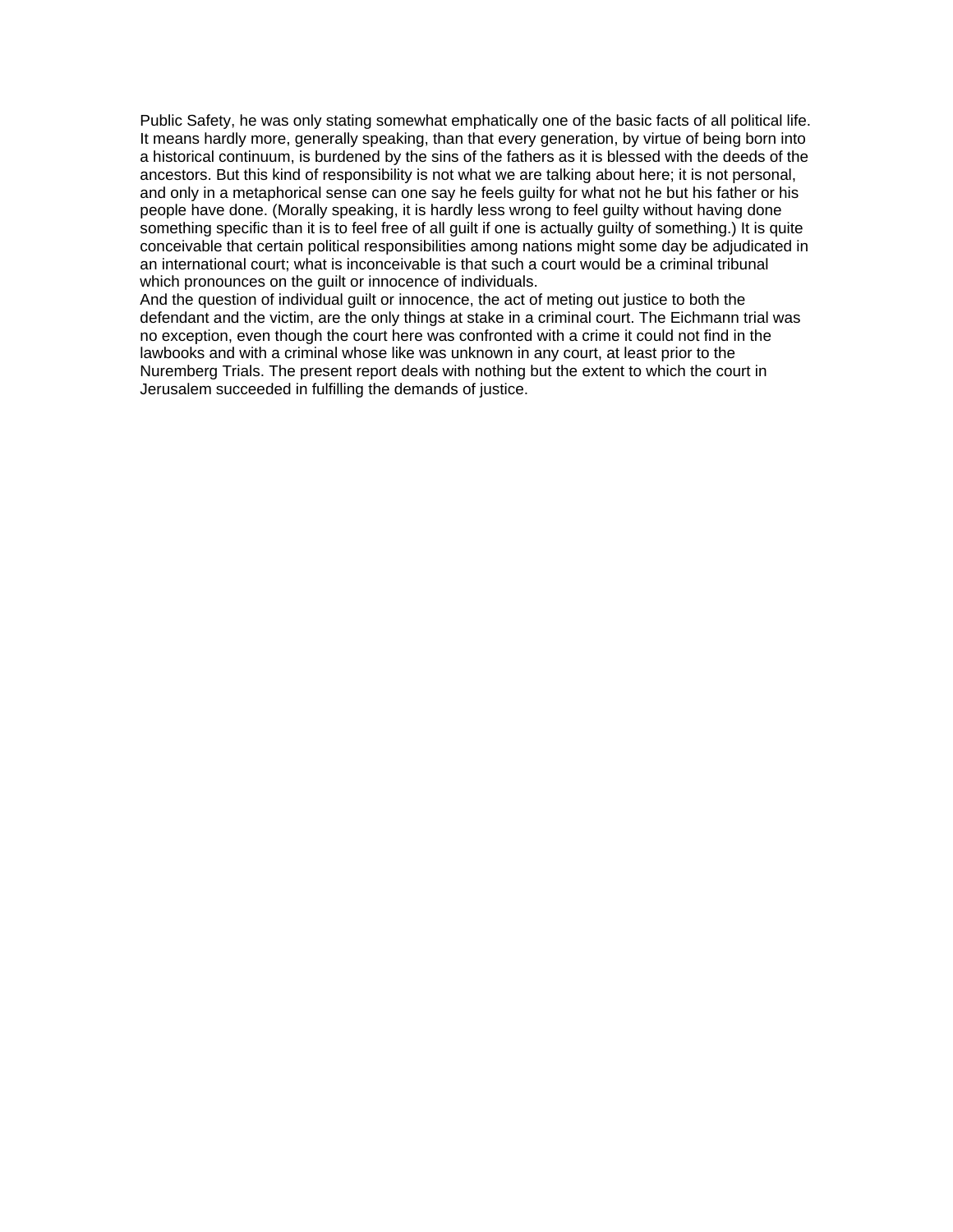Public Safety, he was only stating somewhat emphatically one of the basic facts of all political life. It means hardly more, generally speaking, than that every generation, by virtue of being born into a historical continuum, is burdened by the sins of the fathers as it is blessed with the deeds of the ancestors. But this kind of responsibility is not what we are talking about here; it is not personal, and only in a metaphorical sense can one say he feels guilty for what not he but his father or his people have done. (Morally speaking, it is hardly less wrong to feel guilty without having done something specific than it is to feel free of all guilt if one is actually guilty of something.) It is quite conceivable that certain political responsibilities among nations might some day be adjudicated in an international court; what is inconceivable is that such a court would be a criminal tribunal which pronounces on the guilt or innocence of individuals.

And the question of individual guilt or innocence, the act of meting out justice to both the defendant and the victim, are the only things at stake in a criminal court. The Eichmann trial was no exception, even though the court here was confronted with a crime it could not find in the lawbooks and with a criminal whose like was unknown in any court, at least prior to the Nuremberg Trials. The present report deals with nothing but the extent to which the court in Jerusalem succeeded in fulfilling the demands of justice.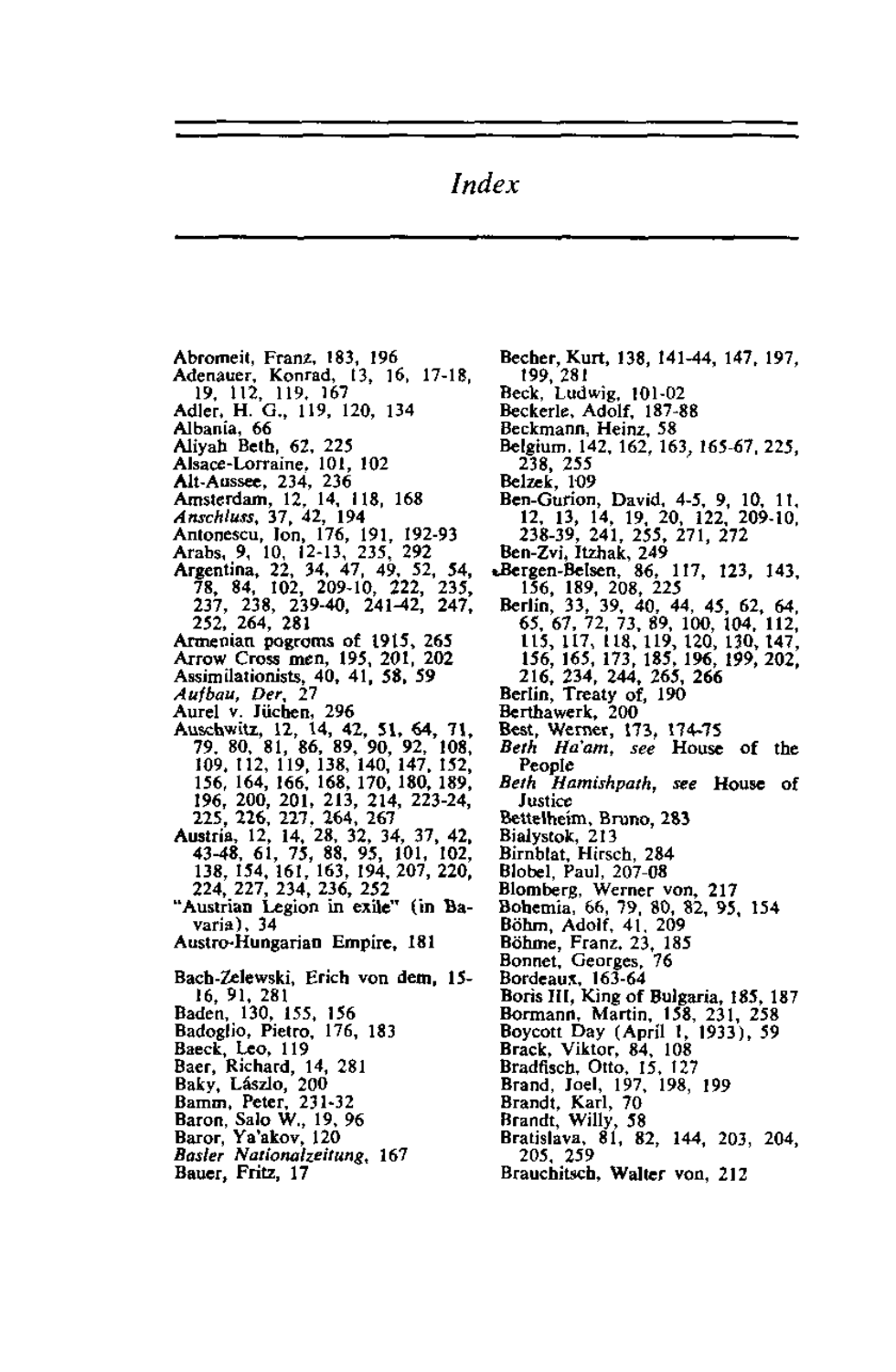#### Index

Abromeit, Franz, 183, 196 Adenauer, Konrad, 13, 16, 17-18,<br>19, 112, 119, 167<br>Adler, H. G., 119, 120, 134 Albania, 66 Aliyah Beth, 62, 225<br>Alsace-Lorraine, 101, 102<br>Alt-Aussee, 234, 236 Amsterdam, 12, 14, 118, 168 Anschluss, 37, 42, 194 Antonescus, 31, 42, 194<br>
Antonescu, Ion, 176, 191, 192-93<br>
Arabs, 9, 10, 12-13, 235, 292<br>
Arabs, 9, 10, 12-13, 23, 23, 24, 78, 84, 102, 239, 24, 78, 84, 102, 209-10, 222, 225,<br>
237, 238, 239-40, 241-2, 247, 252, 264, 281<br> Armenian pogrems of 1915, 265<br>Armenian pogrems of 1915, 201<br>Assimilationists, 40, 41, 58, 59<br>Aufbau, Der, 27<br>Aurel v. Jüchen, 296 Auschwitz, 12, 14, 42, 51, 64, 71, 79, 80, 81, 86, 89, 90, 92, 108, 109, 112, 119, 138, 140, 147, 152, "Austrian Legion in exile" (in Ba-varia), 34 Austro-Hungarian Empire, 181 Bach-Zelewski. Erich von dem. 15-16, 91, 281 Baden, 130, 155, 156 Badoglio, Pietro, 176, 183 Baeck, Leo, 119<br>Baer, Richard, 14, 281<br>Baky, Lászlo, 200 Bamm, Peter, 231-32<br>Baron, Salo W., 19, 96 Baror, Ya'akov, 120<br>Basler Nationalzeitung, 167 Bauer, Fritz, 17

Becher, Kurt, 138, 141-44, 147, 197,<br>199, 281<br>Beck, Ludwig, 101-02 Beckerle, Adolf, 187-88 Beckmann, Heinz, 58<br>Belgium. 142, 162, 163, 165-67, 225, 238, 255 Belzek, 109 Ben-Gurion, David, 4-5, 9, 10, 11, 12, 13, 14, 19, 20, 122, 209-10,<br>238-39, 241, 255, 271, 272<br>Ben-Zvi, Itzhak, 249 «Bergen-Belsen, 86, 117, 123, 143, Berthawerk, 200 Best, Werner, 173, 174-75 Beth Ha'am, see House of the People Beth Hamishpath, see House of Justice Bettelheim, Bruno, 283 Bialystok, 213 Birnblat, Hirsch. 284 Blobel, Paul, 207-08 Blomberg, Werner von, 217<br>Bohemia, 66, 79, 80, 82, 95, 154<br>Böhm, Adolf, 41, 209 Böhme, Franz. 23, 185<br>Bonnet, Georges, 76 Bordeaux, 163-64<br>
Bordeaux, 163-64<br>
Boris III, King of Bulgaria, 185, 187<br>
Bormann, Martin, 158, 231, 258<br>
Boycott Day (April 1, 1933), 59 Brack, Viktor, 84, 108 Bradfisch, Otto, 15, 127 Brand, Joel, 197, 198, 199 Brandt, Karl, 70<br>Brandt, Willy, 58<br>Bratislava, 81, 82, 144, 203, 204, 205, 259 Brauchitsch, Walter von. 212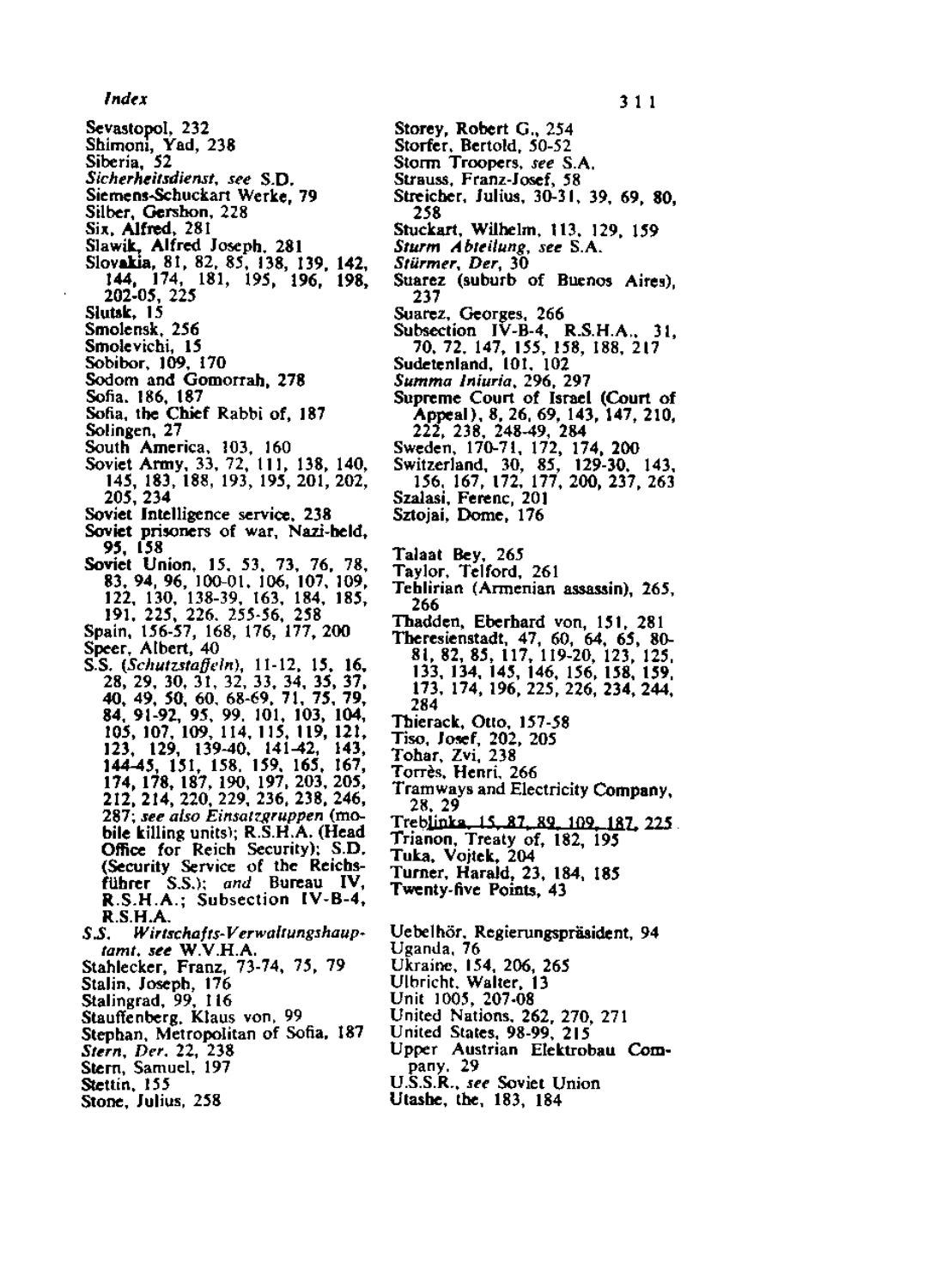Index

Sevastopol, 232 Shimoni, Yad, 238<br>Siberia, 52 Sicherheitsdienst, see S.D. Siemens-Schuckart Werke, 79 Silber, Gershon, 228 Six. Alfred. 281 Slawik, Alfred Joseph 281 Slovakia, 81, 82, 85, 138, 139, 142 ovakia, or. or. or. 195, 196, 198,<br>144. 174. 181. 195, 196, 198, 202-05, 225<br>Slutsk, 15 Smolensk, 256 Smolevichi, 15 Sobibor, 109, 170 Sodom and Gomorrah, 278 Sofia, 186, 187 Sofia, the Chief Rabbi of, 187 Solingen, 27 South America, 103, 160 Soviet Army, 33, 72, 111, 138, 140, 145, 183, 188, 193, 195, 201, 202, 205, 234 Soviet Intelligence service 238 Soviet prisoners of war. Nazi-held, 95, 158 Soviet Union. 15, 53, 73, 76, 78 83, 94, 96, 100-01, 106, 107, 109, 122, 130, 138-39, 163, 184, 185,<br>191, 225, 226, 255-56, 258<br>Spain, 156-57, 168, 176, 177, 200 Speer, Albert, 40 SEC. (Schutzstaffeln), 11-12, 15, 16, 28, 29, 30, 31, 32, 33, 34, 35, 37, 40, 49, 50, 60, 68-69, 71, 75, 79, 84, 91-92, 95, 99, 101, 103, 104, 15, 129, 139, 40, 129, 139, 40, 14, 15, 129, 139, 40, 14, 15, 15, 15, 15, 15, 1 144-45, 151, 158, 159, 165, 167, 174, 178, 187, 190, 197, 203, 205, 212, 214, 220, 229, 236, 238, 246, 287; see also Einsatzgruppen (mobile killing units); R.S.H.A. (Head Office for Reich Security); S.D. (Security Service of the Reichsführer S.S.); and Bureau IV,<br>R.S.H.A.: Subsection IV-B-4, R.S.H.A.  $3.2$ Wirtschafts-Verwaltungshauptamt, see W.V.H.A.<br>Stahlecker, Franz, 73-74, 75, 79 Stalin, Joseph, 176 Stalingrad, 99, 116 Stauffenberg. Klaus von. 99 Stephan, Metropolitan of Sofia, 187 Stern, Der. 22, 238 Stern, Samuel, 197 Stettin, 155 Stone, Julius, 258

Storey, Robert G., 254 Storfer, Bertold, 50-52<br>Storfer, Bertold, 50-52<br>Storm Troopers, see S.A. Strauss. Franz-Josef. 58 Streicher, Julius, 30-31, 39, 69, 80. 258 Stuckart, Wilhelm, 113, 129, 159 Sturm Abteilung, see S.A. Stürmer, Der. 30 Suarez (suburb of Buenos Aires). 237 Suarez, Georges, 266 Subsection IV-B-4, R.S.H.A., 3<br>70, 72, 147, 155, 158, 188, 217 31. Sudetenland, 101, 102 Summa Injuria, 296, 297 Supreme Court of Israel (Court of Appeal), 8, 26, 69, 143, 147. 210. 222, 238, 248-49, 284 Sweden, 170-71, 172, 174, 200 Switzerland, 30, 85, 129-30, 143,<br>156, 167, 172, 177, 200, 237, 263<br>Szalasi, Ferenc, 201 Sztojai, Dome, 176 Talaat Bev. 265 Taylor, Telford, 261 Tehlirian (Armenian assassin). 265. 266 Thadden. Eberhard von 151 281 Theresienstadt, 47, 60, 64, 65, 80-81, 82, 85, 117, 119-20, 123, 125, 133, 134, 145, 146, 156, 158, 159, 173, 174, 196, 225, 226, 234, 244,  $784$ Thierack, Otto, 157-58<br>Tiso, Josef, 202, 205<br>Tohar, Zvi, 238 Torrès, Henri, 266 Tramways and Electricity Company, 28, 29 Treblinka 15, 87, 89, 109, 187, 225 Trianon, Treaty of, 182, 195 Tuka, Vojtek, 204 Turner, Harald, 23, 184, 185 Twenty-five Points, 43 Uebelhör, Regierungspräsident, 94 Uganda, 76 Ukraine, 154, 206, 265<br>Ulbricht, Walter, 13 Unit 1005, 207-08 United Nations, 262, 270, 271 United States, 98-99, 215 Upper Austrian Elektrobau Company. 29 U.S.S.R., see Soviet Union Utashe, the, 183, 184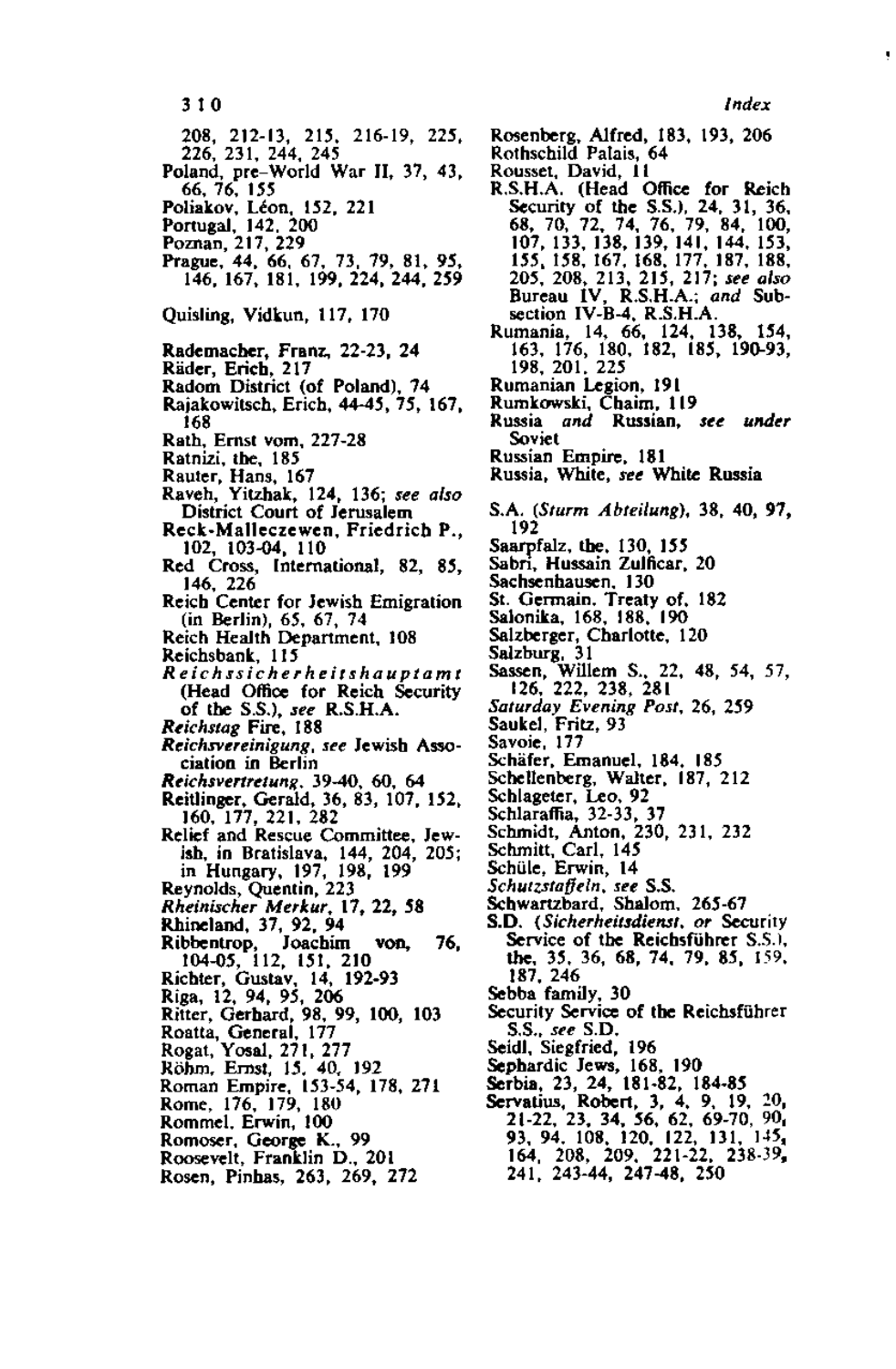310

Index

208, 212-13, 215, 216-19, 225, 226, 231, 244, 245<br>Poland, pre-World War II, 37, 43, 66, 76, 155 Poliakov, Léon, 152, 221<br>Portugal, 142, 200<br>Poznan, 217, 229 Prague, 44, 66, 67, 73, 79, 81, 95, 146, 167, 181, 199, 224, 244, 259 Ouisling, Vidkun, 117, 170 Rademacher, Franz, 22-23, 24 Räder, Erich. 217 Radom District (of Poland). 74 Rajakowitsch, Erich, 44-45, 75, 167, 168 Rath, Ernst vom, 227-28 Ratnizi, the, 185 Rauter, Hans, 167 Raveh, Yitzhak, 124, 136; see also District Court of Jerusalem Reck-Malleczewen, Friedrich P., 102, 103-04, 110 Red Cross, International, 82, 85, 146, 226<br>Reich Center for Jewish Emigration (in Berlin), 65, 67, 74<br>Reich Health Department, 108 Reichsbank. 115 Reichssicherheitshauptamt (Head Office for Reich Security of the S.S.), see R.S.H.A. Reichstag Fire, 188 Reichsvereinigung, see Jewish Association in Berlin Reichsvertretung, 39-40, 60, 64 Reitlinger, Gerald, 36, 83, 107, 152, 160, 177, 221, 282 Relief and Rescue Committee, Jewish, in Bratislava, 144, 204, 205; in Hungary, 197, 198, 199 Reynolds, Quentin, 223 Rheinischer Merkur, 17, 22, 58 Rhineland, 37, 92, 94<br>Ribbentrop, Joachim 76 von, 104-05, 112, 151, 210<br>Richter, Gustav, 14, 192-93<br>Riga, 12, 94, 95, 206 Ritter, Gerhard, 98, 99, 100, 103 Roatta, General, 177<br>Rogat, Yosal, 271, 277<br>Röhm, Ernst, 15, 40, 192 Roman Empire, 153-54, 178, 271 Rome, 176, 179, 180<br>Rommel, Erwin, 100 Romoser, George K., 99<br>Roosevelt, Franklin D., 201 Rosen, Pinhas, 263, 269, 272

Rosenberg, Alfred, 183, 193, 206<br>Rothschild Palais, 64 Rousset, David, 11 Rousset, David, 11<br>R.S.H.A. (Head Office for Reich<br>Security of the S.S.), 24, 31, 36,<br>68, 70, 72, 74, 76, 79, 84, 100,<br>107, 133, 138, 139, 141, 144, 153, 155, 158, 167, 168, 177, 187, 188, 205, 208, 213, 215, 217; see also<br>Bureau IV, R.S.H.A.; and Sub-<br>section IV-B-4, R.S.H.A. Rumania, 14, 66, 124, 138, 154, 163, 176, 180, 182, 185, 190-93, 198, 201, 225 Rumanian Legion, 191 Rumkowski, Chaim, 119 Russia and Russian, see under Soviet Russian Empire, 181 Russia. White, see White Russia S.A. (Sturm Abteilune), 38, 40, 97,  $192$ Saarpfalz, the, 130, 155 Sabri, Hussain Zulficar, 20 Sachsenhausen, 130 St. Germain. Treaty of, 182 Salonika, 168, 188, 190 Salzberger, Charlotte, 120 Salzburg, 31<br>Sassen, Willem S., 22, 48, 54, 57, Sassen, Willem S., 22<br>126, 222, 238, 281 Saturday Evening Post, 26, 259 Saukel, Fritz, 93 Savoie, 177 Schäfer, Emanuel, 184, 185 Schellenberg, Walter, 187, 212 Schlageter, Leo, 92 Schlaraffia, 32-33, 37 Schmidt, Anton, 230, 231, 232 Schmitt, Carl. 145 Schüle, Erwin, 14 Schutzstaffeln, see S.S. Schwartzbard, Shalom. 265-67 S.D. (Sicherheitsdienst, or Security Service of the Reichsführer S.S.I. the, 35, 36, 68, 74, 79, 85, 159, 187, 246 Sebba family, 30 Security Service of the Reichsführer Security Section of the<br>Seidl. Siegfried. 196 Sephardic Jews, 168, 190 Serbia, 23, 24, 181-82, 184-85<br>Servatius, Robert, 3, 4, 9, 19, 20,<br>21-22, 23, 34, 56, 62, 69-70, 90, 93, 94, 108, 120, 122, 131, 145, 164, 208, 209, 221-22, 238-39, 241, 243-44, 247-48, 250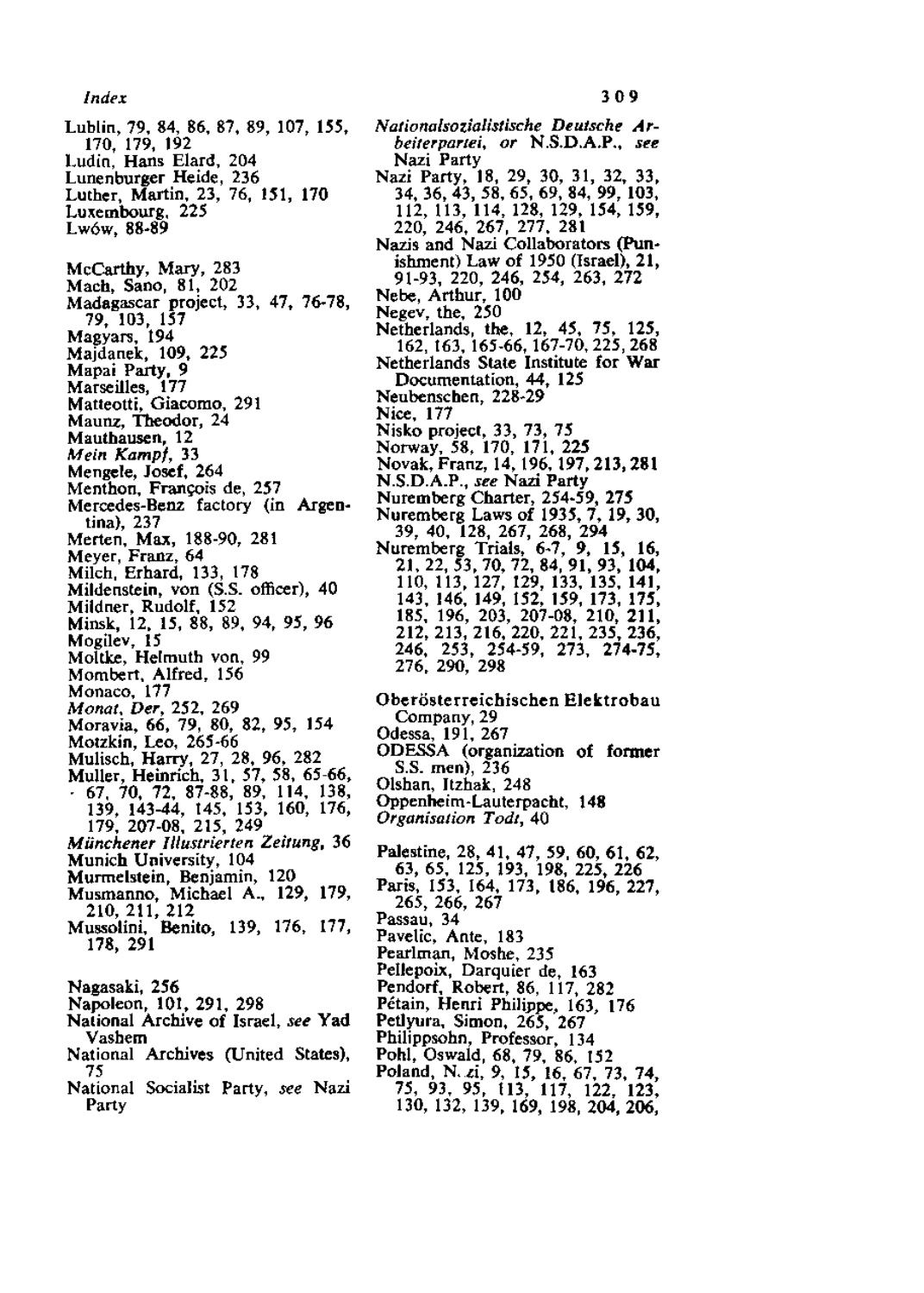Index

Lublin, 79, 84, 86, 87, 89, 107. 155. 170, 179, 192 Ludin, Hans Elard, 204 Lunenburger Heide, 236<br>Luther, Martin, 23, 76, 151, 170 Luxembourg, 225<br>Lwów, 88-89 McCarthy, Mary, 283<br>Mach, Sano, 81, 202 Madagascar project, 33, 47, 76-78,<br>79, 103, 157 Magyars, 194 Majdanek, 109, 225 Mapaie Party, 1997<br>Marseilles, 177<br>Matteotti, Giacomo, 291<br>Maunz, Theodor, 24 Mauthausen, 12 Mein Kampf, 33 Mengele, Josef, 264 Menthon, François de, 257 Mercedes-Benz factory (in Argentina), 237 Merten, Max, 188-90, 281 Meyer, Franz. 64 Milch. Erhard, 133, 178 Mildenstein, von (S.S. officer), 40 Mildner, Rudolf, 152 Minsk, 12, 15, 88, 89, 94, 95, 96 Mogilev, 15 Moltke, Helmuth von, 99 Mombert, Alfred. 156 Monaco, 177 Monat, Der. 252, 269<br>Moravia, 66, 79, 80, 82, 95, 154 Motzkin, Leo, 265-66 Molzkin, Leo, 263-66<br>
Mulisch, Harry, 27, 28, 96, 282<br>
Muller, Heinrich, 31, 57, 58, 65-66,<br>
67, 70, 72, 87-88, 89, 114, 138,<br>
139, 143-44, 145, 153, 160, 176,<br>
179, 207-08, 215, 249 Münchener Illustrierten Zeitung. 36 Munich University, 104 Murmelstein, Benjamin, 120<br>Musmanno, Michael A., 129, 179,<br>210, 211, 212 Mussolini, Benito, 139, 176, 177, 178, 291 Nagasaki, 256 Napoleon, 101, 291, 298 National Archive of Israel, see Yad Vashem National Archives (United States). 75

National Socialist Party, see Nazi Party

Nationalsozialistische Deutsche Arbeiterpartei, or N.S.D.A.P., see Nazi Party Nazi Party, 18, 29, 30, 31, 32, 33, 34, 36, 43, 58, 65, 69, 84, 99, 103, 112, 113, 114, 128, 129, 154, 159, 220, 246, 267, 277, 281 Nazis and Nazi Collaborators (Punishment) Law of 1950 (Israel), 21. 91-93, 220, 246, 254, 263, 272 Nebe, Arthur, 100 Negev, the, 250 Netherlands, the, 12, 45, 75, 125, 162, 163, 165-66, 167-70, 225, 268 Netherlands State Institute for War Documentation, 44, 125 Neubenschen, 228-29 Nice, 177 Nisko project, 33, 73, 75<br>Norway, 58, 170, 171, 225<br>Novak, Franz, 14, 196, 197, 213, 281 N.S.D.A.P., see Nazi Party Nuremberg Charter, 254-59, 275<br>Nuremberg Laws of 1935, 7, 19, 30, Nuremberg Trials, 6-7, 9, 15, 16, 21, 22, 53, 70, 72, 84, 91, 93, 104, 110, 113, 127, 129, 133, 135, 141, 143, 146, 149, 152, 159, 173, 175, 185, 196, 203, 207-08, 210, 211, 212, 213, 216, 220, 221, 235, 236,  $245, 213, 210, 220, 221, 235, 236, 246, 253, 254-59, 273, 274-75, 276, 290, 298$ Oberösterreichischen Elektrobau Company, 29<br>Odessa, 191, 267 ODESSA (organization of former<br>S.S. men), 236 Olshan, Itzhak, 248 Oppenheim-Lauterpacht, 148 Organisation Todt, 40 Palestine, 28, 41, 47, 59, 60, 61, 62, 63, 65, 125, 193, 198, 225, 226 Paris, 153, 164, 173, 186, 196, 227, 265, 266, 267 Passau, 34 Pavelic, Ante, 183 Pearlman, Moshe, 235<br>Pellepoix, Darquier de, 163 Pendorf, Robert, 86, 117, 282 Pétain, Henri Philippe, 163, 176<br>Petlyura, Simon, 265, 267 Philippsohn, Professor, 134 Pohl, Oswald, 68, 79, 86, 152 Poland, N. zi, 9, 15, 16, 67, 73, 74, 75, 93, 95, 113, 117, 122, 123, 130, 132, 139, 169, 198, 204, 206,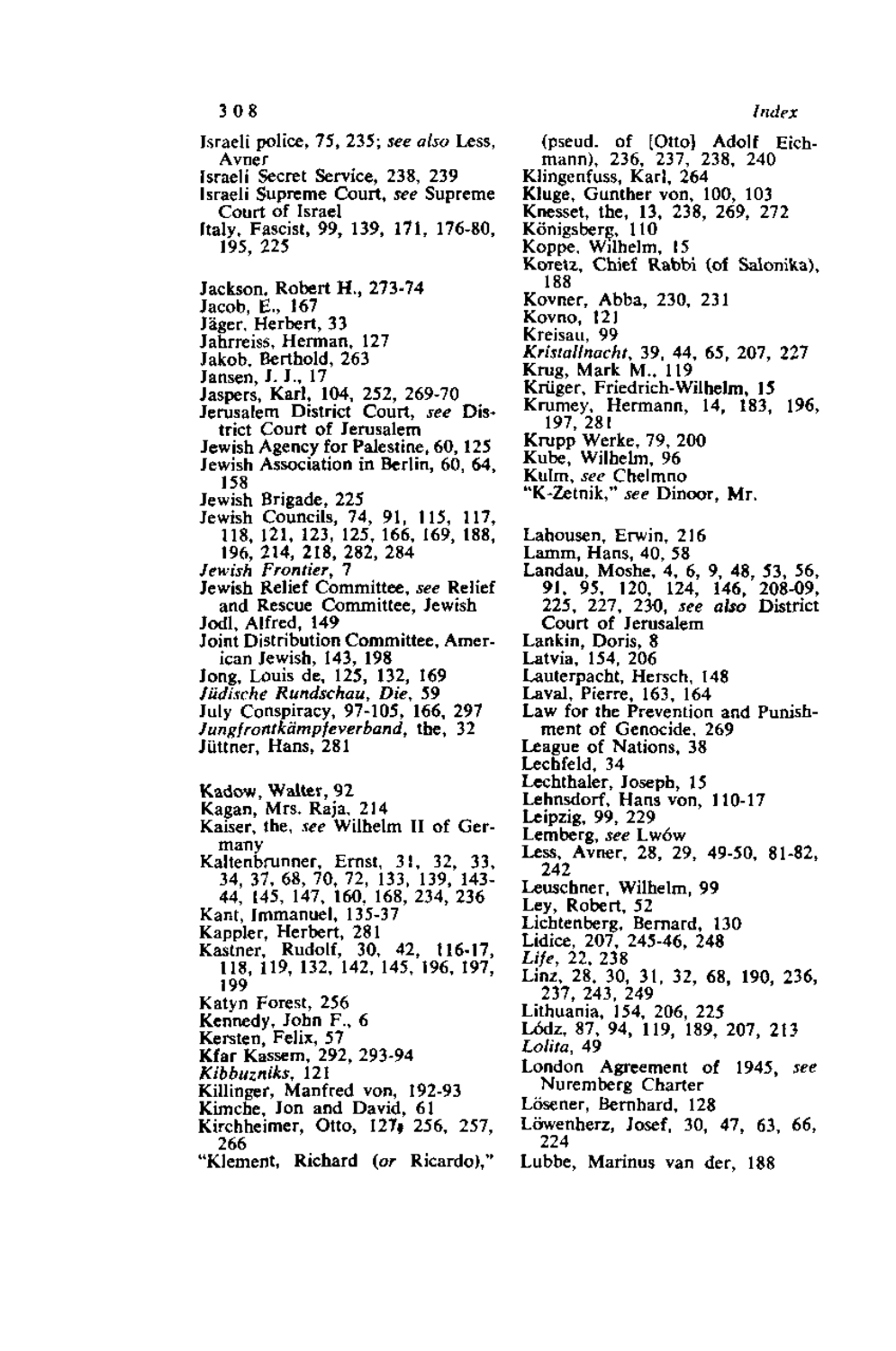#### 308

Israeli nolice, 75, 235; see also Less. Avne Israeli Secret Service, 238, 239 Israeli Supreme Court, see Supreme Court of Israel Italy, Fascist, 99, 139, 171, 176-80. 195, 225 Jackson, Robert H., 273-74 Jacob, E., 167 Jäger, Herbert, 33 Jahrreiss, Herman, 127 Jakob, Berthold, 263 Jansen, J. J., 17 Jaspers, Karl. 104, 252, 269-70 Jerusalem District Court, see District Court of Jerusalem Jewish Agency for Palestine, 60, 125 Jewish Association in Berlin, 60, 64. 158 Jewish Brigade, 225 Jewish Councils, 74, 91, 115, 117, 118, 121, 123, 125, 166, 169, 188. 196, 214, 218, 282, 284 Jewish Frontier, 7 Jewish Relief Committee, see Relief and Rescue Committee, Jewish Jodi, Alfred, 149 Joint Distribution Committee, American Jewish, 143, 198 Jong, Louis de, 125, 132, 169 Jüdische Rundschau, Die, 59 July Conspiracy, 97-105, 166, 297 Jungfrontkämpfeverband, the, 32<br>Jüttner, Hans, 281 Kadow, Walter, 92<br>Kagan, Mrs. Raja, 214 Kaiser, the, see Wilhelm II of Ger $m \sin \nu$ Kaltenbrunner, Ernst, 31, 32, 33, 34, 37, 68, 70, 72, 133, 139, 143-44, 145, 147, 160, 168, 234, 236 Kant, Immanuel, 135-37 Kappler, Herbert, 281 Kastner, Rudolf, 30, 42, 116-17. 118, 119, 132, 142, 145, 196, 197, 199 Katyn Forest, 256 Kennedy, John F., 6<br>Kersten, Felix, 57

Kfar Kassem, 292, 293-94

Kimche, Jon and David, 61

Kibbuzniks, 121

266

Kluge, Gunther von, 100, 103 Knesset, the, 13, 238, 269, 272 Königsberg, 110 Konne. Wilhelm. 15 Koretz, Chief Rabbi (of Salonika), 188 Koyner, Abba. 230, 231 Kovno, 121 Kreisau. 99 Kristallnacht, 39, 44, 65, 207. 227 Krug, Mark M., 119 Krüger, Friedrich-Wilhelm, 15 Krumey, Hermann, 14, 183, 196, Krupp Werke, 79, 200<br>Kube, Wilhelm, 96 Culm, see Chelmno "K-Zetnik," see Dinoor, Mr. Lahousen, Erwin, 216 Lamm, Hans, 40, 58 Landau, Moshe, 4, 6, 9, 48, 53, 56, 91, 95, 120, 124, 146, 208-09,<br>225, 227, 230, see also District Court of Jerusalem Lankin, Doris, 8 Latvia, 154, 206 Lauterpacht, Hersch. 148 Laval, Pierre, 163, 164 Law for the Prevention and Punishment of Genocide, 269 League of Nations, 38 Lechfeld, 34 Lechthaler, Joseph, 15<br>Lehnsdorf, Hans von, 110-17 Leipzig, 99, 229 Lemberg, see Lwów Less, Avner, 28, 29, 49-50, 81-82, 242 Leuschner, Wilhelm, 99 Ley, Robert, 52 Lichtenberg, Bernard, 130<br>Lidice, 207, 245-46, 248 Life, 22, 238 Linz, 28, 30, 31, 32, 68, 190, 236, 237, 243, 249 Lithuania, 154, 206, 225 Lódz, 87, 94, 119, 189, 207, 213 Lolita, 49 London Agreement of 1945, see Nuremberg Charter Killinger, Manfred von, 192-93 Lösener, Bernhard, 128 Kirchheimer, Otto, 127, 256. 257. Löwenherz, Josef. 30, 47, 63, 66, 224 "Klement, Richard (or Ricardo)." Lubbe, Marinus van der, 188

Index

(pseud. of [Otto] Adolf Eich-<br>mann), 236, 237, 238, 240

Klingenfuss, Karl. 264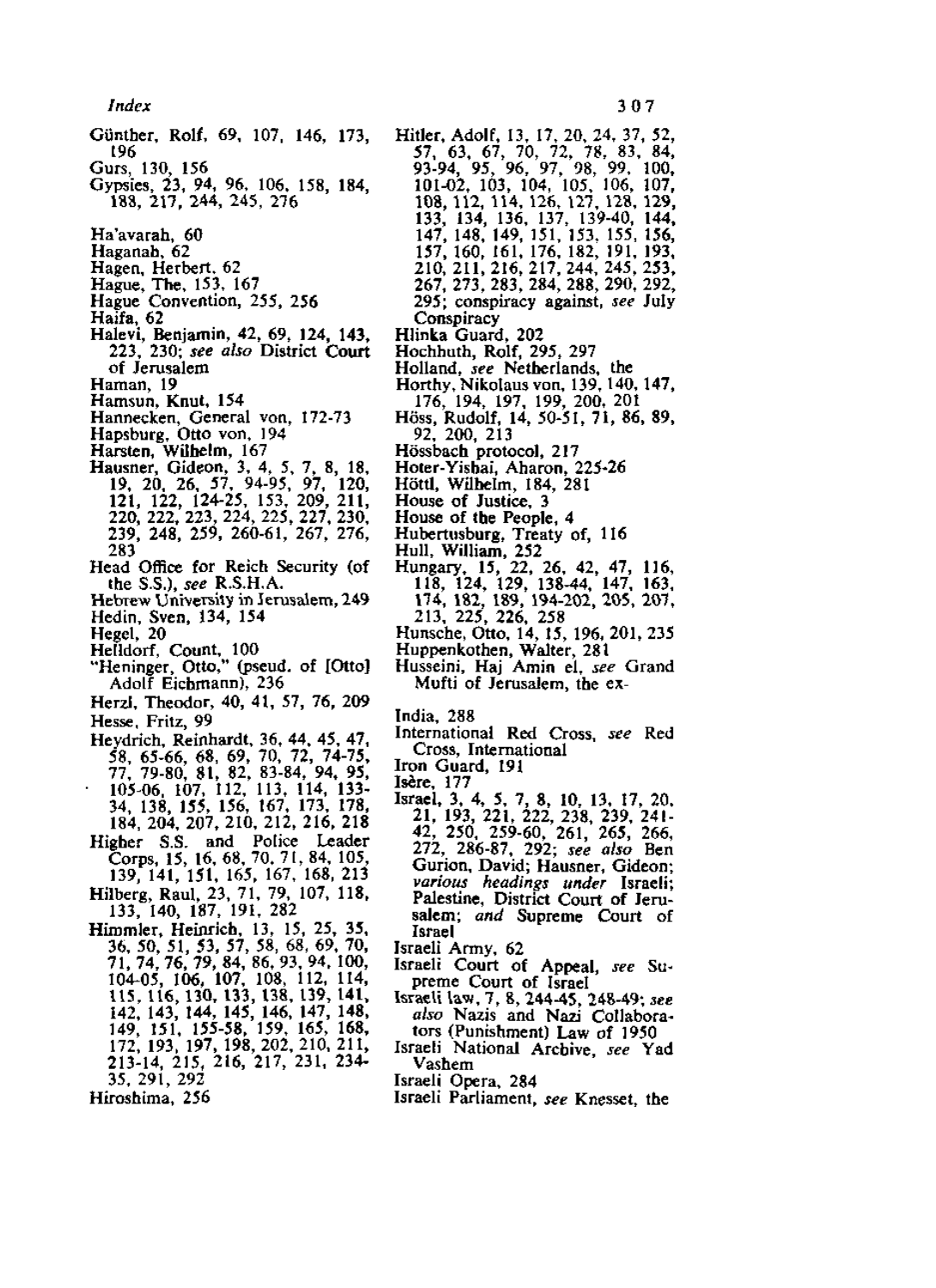Index

- Günther, Rolf, 69, 107, 146, 173, 196 Gurs, 130, 156
- Gypsies, 23, 94, 96, 106, 158, 184, 188, 217, 244, 245, 276
- 
- Ha'avarah. 60 Haganah, 62
- Hagen, Herbert. 62
- Hague, The, 153, 167
- Hague Convention, 255, 256
- Haifa, 62
- Halevi, Benjamin, 42, 69, 124, 143,<br>223, 230; see also District Court of Jerusalem
- Haman, 19
- Hamsun, Knut, 154
- Hannecken, General von, 172-73
- Hapsburg, Otto von, 194
- Harsten, Wilhelm, 167
- Hausner, Gideon, 3, 4, 5, 7, 8, 18,<br>19, 20, 26, 57, 94-95, 97, 120,<br>121, 122, 124-25, 153, 209, 211,<br>220, 222, 223, 224, 225, 227, 227, 227, 228 239, 248, 259, 260-61, 267, 276, 283
- Head Office for Reich Security (of the S.S.), see R.S.H.A.
- Henrew University in Jerusalem, 249
- Hedin, Sven, 134, 154<br>Hegel, 20
- 
- 
- Helidorf, Count, 100<br>"Heninger, Otto," (pseud, of [Otto] Adolf Eichmann), 236
- Herzi, Theodor, 40, 41, 57, 76, 209 Hesse, Fritz, 99
- Heydrich, Reinhardt, 36, 44, 45, 47,<br>
58, 65-66, 68, 69, 70, 72, 74-75,<br>
77, 79-80, 81, 82, 83-84, 94, 95,<br>
105-06, 107, 112, 113, 114, 133<br>
34, 138, 155, 167, 112, 113, 114, 133<br>
34, 138, 155, 156, 167, 173, 178,<br>
34, 204
- Higher S.S. and Police Leader<br>Corps, 15, 16, 68, 70, 71, 84, 105, 139, 141, 151, 165, 167, 168, 213 Hilberg, Raul, 23, 71, 79, 107, 118, 133, 140, 187, 191, 282
- 
- Himmler, Heinrich, 13, 15, 25, 35, 36, 50, 51, 53, 57, 58, 68, 69, 70, 71, 74, 76, 79, 84, 86, 93, 94, 100,  $71, 74, 76, 197, 84, 60, 73, 74, 104, 114, 115, 116, 130, 133, 138, 139, 141, 141, 142, 143, 144, 145, 146, 147, 148, 147, 148, 147, 148, 147, 148, 147, 148, 147, 148, 172, 193, 197, 198, 202, 210, 211, 172, 193, 197, 19$ 213-14, 215, 216, 217, 231, 234-35, 291, 292
- Hiroshima, 256
- Hitler, Adolf, 13, 17, 20, 24, 37, 52,<br>57, 63, 67, 70, 72, 78, 83, 84,<br>93-94, 95, 96, 97, 98, 99, 100, 101-02, 103, 104, 105, 106, 107,<br>108, 112, 114, 126, 127, 128, 129, 133, 134, 136, 137, 139-40, 144, 147, 148, 149, 151, 153, 155, 156, 157, 160, 161, 176, 182, 191, 193,<br>210, 211, 216, 217, 244, 245, 253,<br>267, 273, 283, 284, 288, 290, 292, 295: conspiracy against, see July Conspiracy
- Hlinka Guard, 202
- Hochhuth, Rolf, 295, 297
- 
- Holland, see Netherlands, the<br>Horthy, Nikolaus von, 139, 140, 147, 176, 194, 197, 199, 200, 201<br>Höss, Rudolf, 14, 50-51, 71, 86, 89,
- 92, 200, 213
- Hössbach protocol, 217
- Hoter-Yishai, Aharon, 225-26
- Höttl, Wilhelm, 184, 281
- House of Justice, 3
- House of the People, 4
- Hubertusburg, Treaty of, 116
	-
- 
- 
- Huppenkothen, Walter, 281
- Husseini, Hai Amin el. see Grand Mufti of Jerusalem, the ex-
- India, 288
- International Red Cross see Red Cross, International
- Iron Guard, 191
- Isère, 177
- Israel, 3, 4, 5, 7, 8, 10, 13, 17, 20,<br>21, 193, 221, 222, 238, 239, 241-<br>42, 250, 259-60, 261, 265, 266, 266, 27<br>772, 286-87, 292; see also Ben<br>Gurion, David; Hausner, Gideon; various headings under Israeli;<br>Palestine, District Court of Jerusalem; and Supreme Court of **Israel**
- Israeli Army, 62
- Israeli Court of Appeal, see Supreme Court of Israel
- Israeli law, 7, 8, 244-45, 248-49; see also Nazis and Nazi Collaborators (Punishment) Law of 1950
- Israeli National Archive, see Yad Vashem
- Israeli Opera, 284
- Israeli Parliament, see Knesset, the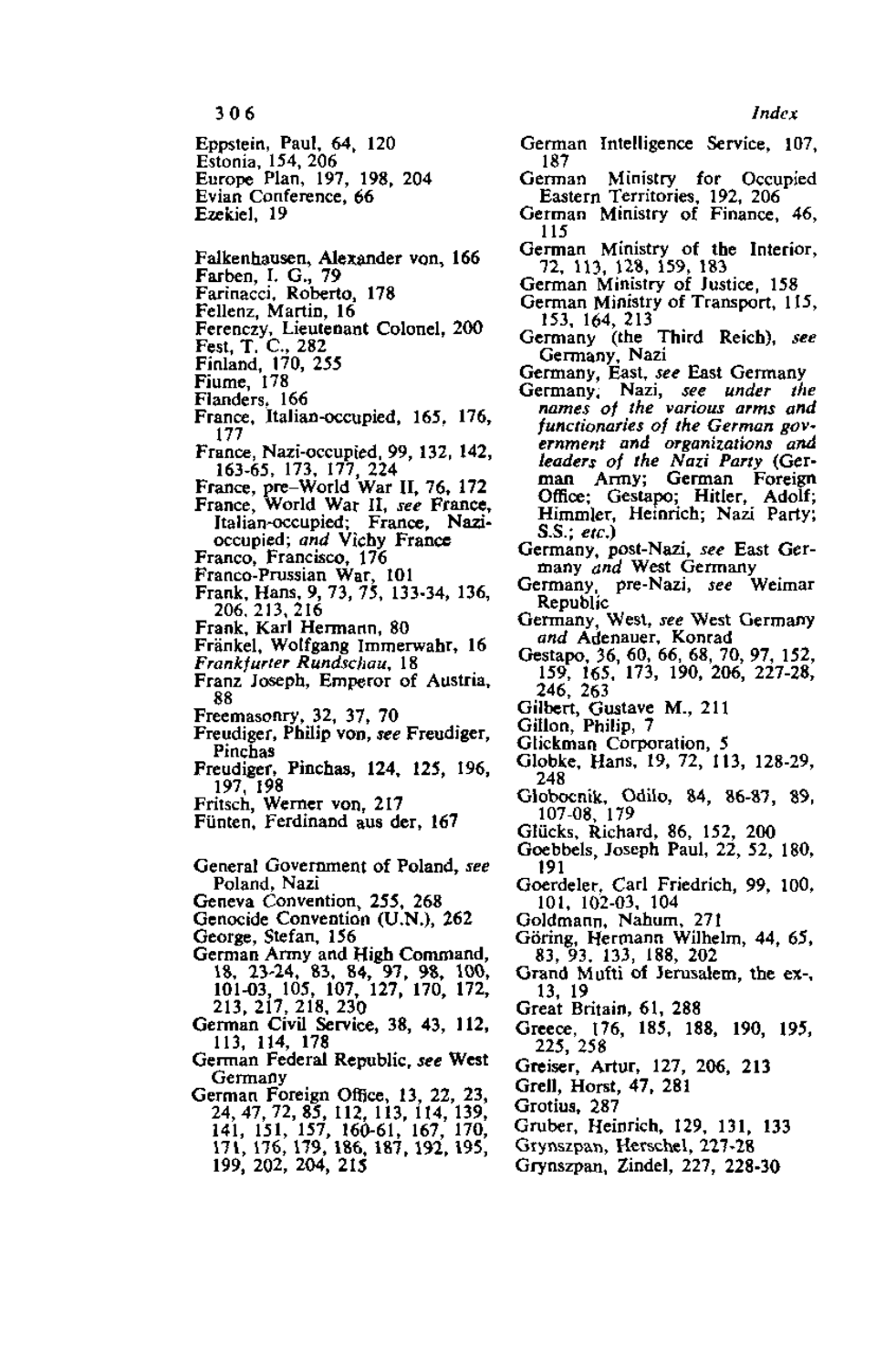- 306
- Eppstein, Paul, 64, 120 Estonia, 154, 206 Europe Plan, 197, 198, 204 Evian Conference, 66 Ezekiel, 19
- Falkenhausen, Alexander von, 166
- Farben, I. G., 79
- Farinacci, Roberto, 178
- Fellenz, Martin, 16
- Frenczy, Lieutenant Colonel, 200<br>Fest, T. C., 282<br>Finland, 170, 255
- 
- 
- Fiume, 178
- Flanders, 166
- France, Italian-occupied, 165, 176,  $177$
- France, Nazi-occupied, 99, 132, 142,
- 
- 163-65, 173, 177, 224<br>France, pre-World War II, 76, 172<br>France, World War II, see France,<br>Italian-occupied: France, Nazioccupied; and Vichy France Franco, Francisco, 176
- 
- Franco-Prussian War, 101<br>Frank, Hans, 9, 73, 75, 133-34, 136,<br>206, 213, 216
- Frank, Karl Hermann, 80
- Fränkel, Wolfgang Immerwahr, 16
- Frankfurter Rundschau, 18
- Franz Joseph, Emperor of Austria, 88
- Freemasonry, 32, 37, 70
- Freudiger, Philip von, see Freudiger, Pinchas
- Freudiger, Pinchas, 124, 125, 196, 197, 198
- 
- Fritsch, Werner von, 217<br>Fünten, Ferdinand aus der, 167
- General Government of Poland, see Poland, Nazi
- Geneva Convention, 255, 268
- Genocide Convention (U.N.), 262
- George, Stefan, 156
- German Army and High Command, 18, 23-24, 83, 84, 97, 98, 100, 101-03, 105, 107, 127, 170, 172,
- German Civil Service, 38, 43, 112, 113, 114, 178
- German Federal Republic, see West Germany
- German Foreign Office, 13, 22, 23 ennan roegan omkok 13, 113, 114, 139,<br>141, 151, 157, 160-61, 167, 170,<br>171, 176, 179, 186, 187, 192, 195, 199, 202, 204, 215
- German Intelligence Service, 107, 187
- Occupied German Ministry for Eastern Territories, 192, 206<br>German Ministry of Finance, 46,
- 115
- German Ministry of the Interior. 72, 113, 128, 159, 183
- German Ministry of Justice, 158
- German Ministry of Transport, 115, 153, 164, 213
- Germany (the Third Reich), see Germany, Nazi
- Germany, East, see East Germany
- Germany, Nazi, see under the<br>names of the various arms and functionaries of the German government and organizations and leaders of the Nazi Party (German Army; German Foreign Office; Gestapo; Hitler, Adolf;<br>Himmler, Heinrich; Nazi Party;  $S.S.:$  etc.)
- Germany, post-Nazi, see East Germany and West Germany
- Germany, pre-Nazi, see Weimar<br>Republic
- Germany, West, see West Germany and Adenauer, Konrad
- Gestapo, 36, 60, 66, 68, 70, 97, 152, 159, 165, 173, 190, 206, 227-28, 246, 263
- Gilbert, Gustave M., 211
- Gillon, Philip, 7
- Glickman Corporation, :
- Globke, Hans, 19, 72, 113, 128-29, 248
- Globocnik, Odilo, 84, 86-87, 89, 107-08, 179
- Glücks, Richard, 86, 152, 200
- Goebbels, Joseph Paul, 22, 52, 180, 191
- Goerdeler, Carl Friedrich, 99, 100, 101, 102-03, 104
- Goldmann, Nahum, 271
- Göring, Hermann Wilhelm. 44. 65. 83, 93, 133, 188, 202
- Grand Mufti of Jerusalem, the ex-,  $13, 19$
- Great Britain, 61, 288
- Greece, 176, 185, 188, 190, 195,<br>225, 258
- Greiser, Artur, 127, 206, 213
- Grell, Horst, 47, 281
- Grotius, 287
- Gruber, Heinrich, 129, 131, 133
- Grynszpan, Herschel, 227-28
- Grynszpan, Zindel, 227, 228-30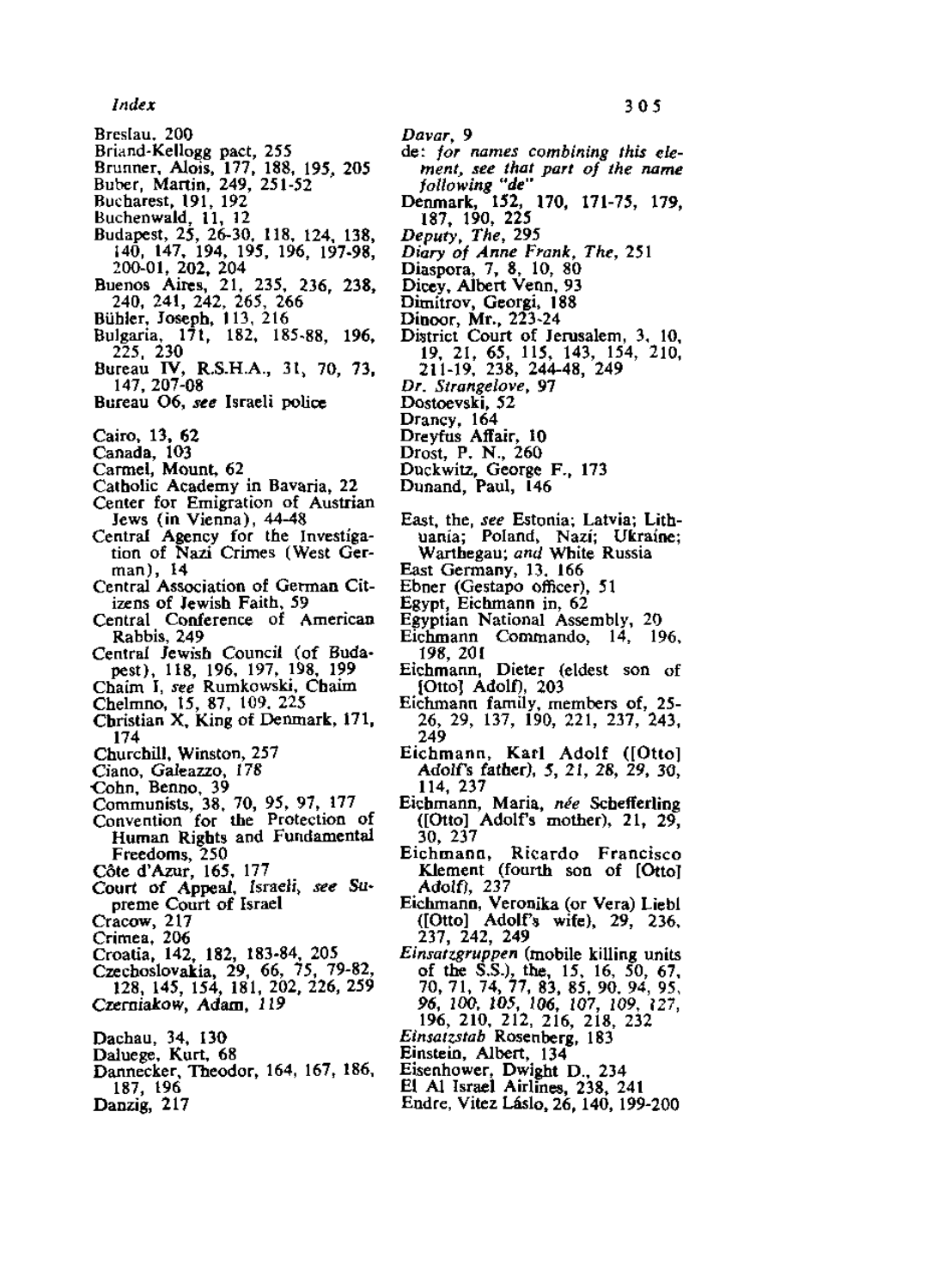Index

Breslau, 200 Briand-Kellogg pact, 255 Brunner, Alois, 177, 188, 195, 205 Buber, Martin, 249, 251-52 Bucharest, 191, 192 Buchenwald, 11, 12 Budapest, 25, 26-30, 118, 124, 138, 140, 147, 194, 195, 196, 197-98, 200-01, 202, 204 Buenos Aires, 21, 235, 236, 238, Bühler, Joseph, 113, 216<br>
Bulgaria, 171, 182, 185-88, 196,<br>
225, 230<br>
227, 230<br>
227, 230<br>
228, 228<br>
228, 230<br>
228, 230<br>
228, 230<br>
228, 230<br>
228, 230<br>
228, 230<br>
228, 230<br>
228, 230<br>
228, 230<br>
228, 230<br>
228, 230<br>
228, 230<br>
2 240, 241, 242, 265, 266 Bureau IV, R.S.H.A., 31, 70, 73, 147, 207-08 Bureau O6, see Israeli police Cairo, 13, 62 Canada, 103<br>Carmel, Mount, 62 Catholic Academy in Bavaria, 22 Center for Emigration of Austrian Jews (in Vienna), 44-48 Central Agency for the Investiga-<br>tion of Nazi Crimes (West German), 14 Central Association of German Citizens of Jewish Faith, 59 Central Conference of American Rabbis, 249 Central Jewish Council (of Budapest), 118, 196, 197, 198, 199 Chaim I. see Rumkowski, Chaim Chelmno, 15, 87, 109, 225 Christian X, King of Denmark, 171, 174 Churchill, Winston, 257 Ciano, Galeazzo, 178 Cohn, Benno, 39 Communists, 38, 70, 95, 97, 177 Convention for the Protection of Human Rights and Fundamental Freedoms, 250 Côte d'Azur, 165, 177 Court of Appeal, Israeli, see Supreme Court of Israel Cracow, 217 Crimea, 206 Croatia, 142, 182, 183-84, 205 Czechoslovakia, 29, 66, 75, 79-82,<br>128, 145, 154, 181, 202, 226, 259 Czerniakow, Adam. 119 Dachau, 34, 130 Daluege, Kurt, 68 Dannecker, Theodor, 164, 167, 186, 187, 196

Danzig, 217

Davar, 9 de: for names combining this element, see that part of the name following "de" Denmark, 152, 170, 171-75, 179,<br>187, 190, 225 Deputy, The, 295 Diary of Anne Frank, The, 251 Diaspora, 7, 8, 10, 80 Dicey, Albert Venn. 93 Dimitrov, Georgi, 188 Dinoor, Mr., 223-24 District Court of Jerusalem, 3, 10, 19, 21, 65, 115, 143, 154, 210, 211-19, 238, 244-48, 249 Dr. Strangelove, 97 Dostoevski, 52 Drancy, 164 Dreyfus Affair, 10 Drost, P. N., 260 Duckwitz, George F., 173 Dunand, Paul, 146 East, the, see Estonia; Latvia; Lithuania: Poland, Nazi: Ukraine: Warthegau; and White Russia East Germany, 13, 166 Ebner (Gestapo officer). 51 Egypt, Eichmann in, 62 Egyptian National Assembly, 20 Eichmann Commando, 14, 196, 198, 201 Eichmann, Dieter (eldest son of [Otto] Adolf), 203 Eichmann family, members of, 25-26, 29, 137, 190, 221, 237, 243, 249 Eichmann, Karl Adolf ([Otto] Adolf's father), 5, 21, 28, 29, 30, 114, 237 30, 237 Adolf), 237 Eichmann, Veronika (or Vera) Liebl 237, 242, 249

- Eichmann, Maria, née Schefferling ([Otto] Adolf's mother), 21, 29,
- Eichmann, Ricardo Francisco<br>Klement (fourth son of [Otto]
- ([Otto] Adolf's wife), 29, 236.
- Einsatzgruppen (mobile killing units<br>
of the S.S.), the, 15, 16, 50, 67,<br>
70, 71, 74, 77, 83, 85, 90, 94, 95,<br>
96, 100, 105, 106, 107, 109, 127,<br>
Einsatzstab Rosenberg, 183<br>
Einsatzstab Rosenberg, 183
	-
- Einstein, Albert, 134
- Eisenhower, Dwight D., 234
- El Al Israel Airlines, 238, 241
- Endre, Vitez Láslo, 26, 140, 199-200